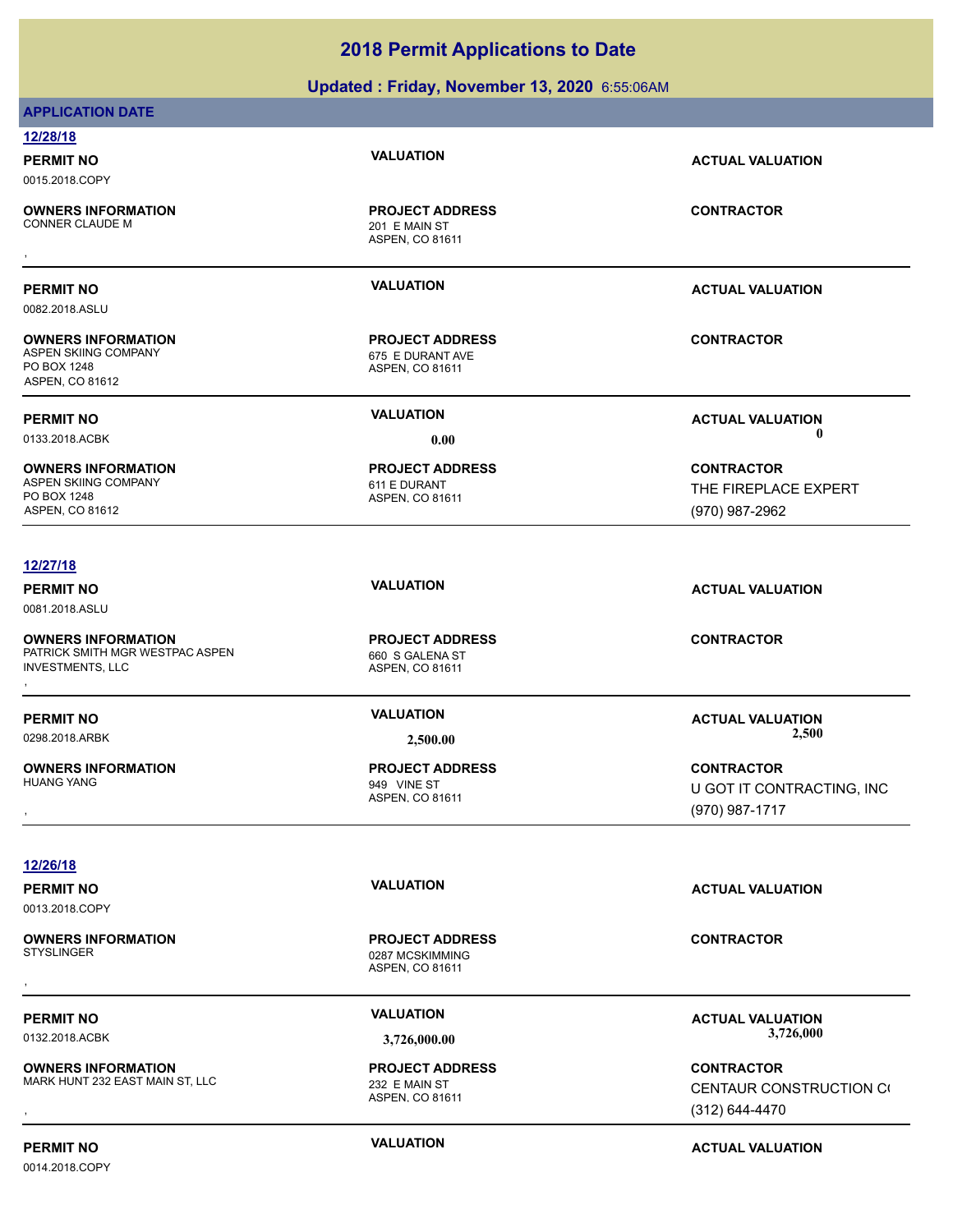### **Updated : Friday, November 13, 2020** 6:55:06AM

| <b>APPLICATION DATE</b>                           |                                            |                                  |
|---------------------------------------------------|--------------------------------------------|----------------------------------|
| 12/28/18                                          |                                            |                                  |
| <b>PERMIT NO</b>                                  | <b>VALUATION</b>                           | <b>ACTUAL VALUATION</b>          |
| 0015.2018.COPY                                    |                                            |                                  |
| <b>OWNERS INFORMATION</b>                         | <b>PROJECT ADDRESS</b>                     | <b>CONTRACTOR</b>                |
| <b>CONNER CLAUDE M</b>                            | 201 E MAIN ST<br>ASPEN, CO 81611           |                                  |
|                                                   |                                            |                                  |
| <b>PERMIT NO</b>                                  | <b>VALUATION</b>                           | <b>ACTUAL VALUATION</b>          |
| 0082.2018.ASLU                                    |                                            |                                  |
|                                                   |                                            |                                  |
| <b>OWNERS INFORMATION</b><br>ASPEN SKIING COMPANY | <b>PROJECT ADDRESS</b><br>675 E DURANT AVE | <b>CONTRACTOR</b>                |
| PO BOX 1248                                       | ASPEN, CO 81611                            |                                  |
| ASPEN, CO 81612                                   |                                            |                                  |
| <b>PERMIT NO</b>                                  | <b>VALUATION</b>                           | <b>ACTUAL VALUATION</b>          |
| 0133.2018.ACBK                                    | 0.00                                       | -0                               |
| <b>OWNERS INFORMATION</b>                         | <b>PROJECT ADDRESS</b>                     | <b>CONTRACTOR</b>                |
| ASPEN SKIING COMPANY                              | 611 E DURANT                               | THE FIREPLACE EXPERT             |
| PO BOX 1248<br>ASPEN, CO 81612                    | ASPEN, CO 81611                            | (970) 987-2962                   |
|                                                   |                                            |                                  |
| 12/27/18                                          |                                            |                                  |
| <b>PERMIT NO</b>                                  | <b>VALUATION</b>                           | <b>ACTUAL VALUATION</b>          |
| 0081.2018.ASLU                                    |                                            |                                  |
| <b>OWNERS INFORMATION</b>                         | <b>PROJECT ADDRESS</b>                     | <b>CONTRACTOR</b>                |
| PATRICK SMITH MGR WESTPAC ASPEN                   | 660 S GALENA ST                            |                                  |
| <b>INVESTMENTS, LLC</b>                           | ASPEN, CO 81611                            |                                  |
|                                                   | <b>VALUATION</b>                           |                                  |
| <b>PERMIT NO</b><br>0298.2018.ARBK                |                                            | <b>ACTUAL VALUATION</b><br>2,500 |
|                                                   | 2,500.00                                   |                                  |
| <b>OWNERS INFORMATION</b><br><b>HUANG YANG</b>    | <b>PROJECT ADDRESS</b><br>949 VINE ST      | <b>CONTRACTOR</b>                |
|                                                   | ASPEN, CO 81611                            | U GOT IT CONTRACTING, INC        |
|                                                   |                                            | (970) 987-1717                   |
|                                                   |                                            |                                  |
| 12/26/18                                          |                                            |                                  |
| <b>PERMIT NO</b>                                  | <b>VALUATION</b>                           | <b>ACTUAL VALUATION</b>          |
| 0013.2018.COPY                                    |                                            |                                  |
| <b>OWNERS INFORMATION</b>                         | <b>PROJECT ADDRESS</b>                     | <b>CONTRACTOR</b>                |
| <b>STYSLINGER</b>                                 | 0287 MCSKIMMING<br>ASPEN, CO 81611         |                                  |
|                                                   |                                            |                                  |
| <b>PERMIT NO</b>                                  | <b>VALUATION</b>                           | <b>ACTUAL VALUATION</b>          |
| 0132.2018.ACBK                                    | 3,726,000.00                               | 3,726,000                        |
| <b>OWNERS INFORMATION</b>                         | <b>PROJECT ADDRESS</b>                     | <b>CONTRACTOR</b>                |
| MARK HUNT 232 EAST MAIN ST, LLC                   | 232 E MAIN ST                              | CENTAUR CONSTRUCTION CO          |
|                                                   | ASPEN, CO 81611                            | (312) 644-4470                   |

**PERMIT NO CONSUMITY ACTUAL VALUATION VALUATION ACTUAL VALUATION**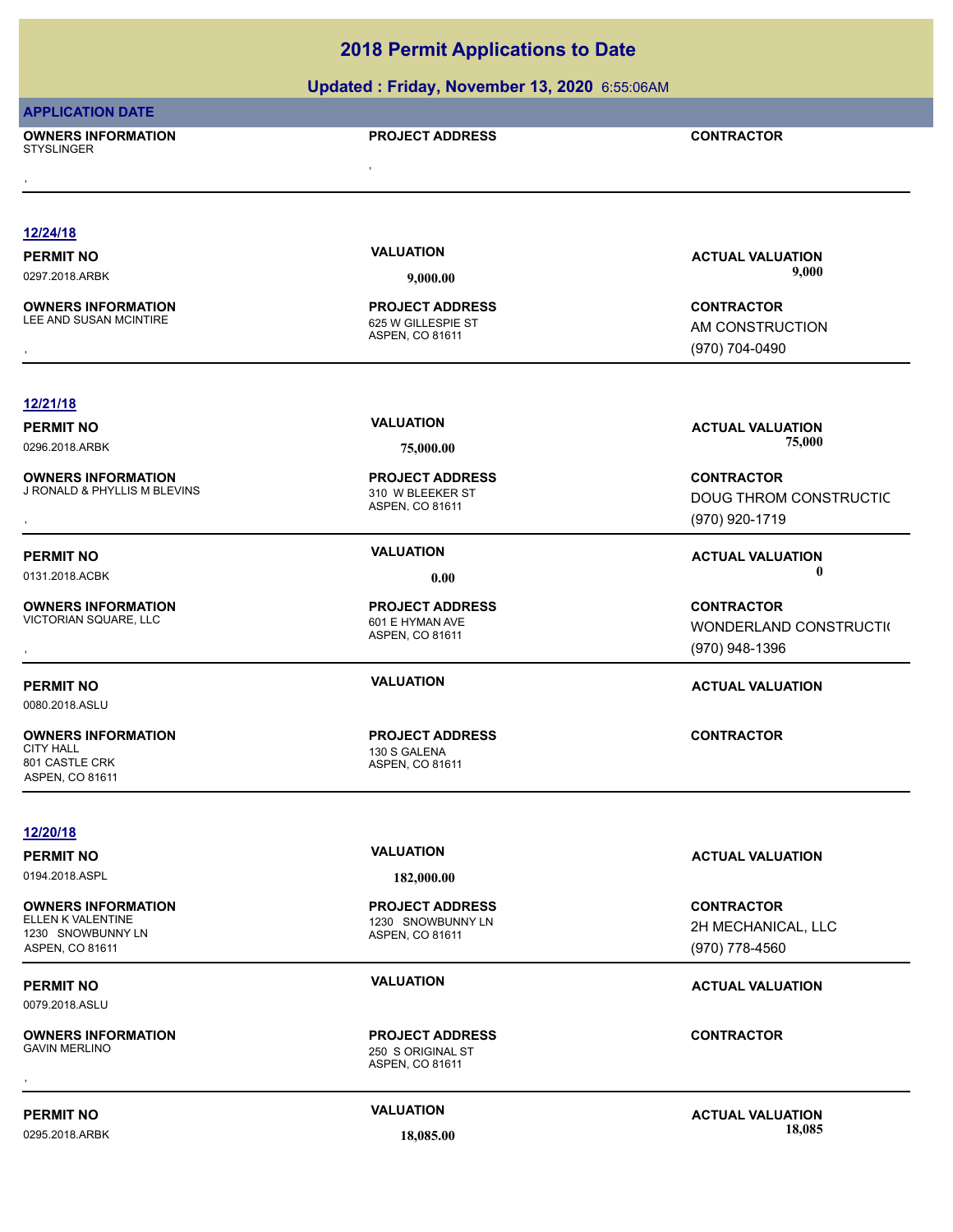### **Updated : Friday, November 13, 2020** 6:55:06AM

|                                                     | <b>opuated . I Huay, November 19, 2020</b> 0.00.00AM |                                        |
|-----------------------------------------------------|------------------------------------------------------|----------------------------------------|
| <b>APPLICATION DATE</b>                             |                                                      |                                        |
| <b>OWNERS INFORMATION</b><br><b>STYSLINGER</b>      | <b>PROJECT ADDRESS</b>                               | <b>CONTRACTOR</b>                      |
|                                                     |                                                      |                                        |
|                                                     |                                                      |                                        |
| 12/24/18                                            |                                                      |                                        |
| <b>PERMIT NO</b>                                    | <b>VALUATION</b>                                     | <b>ACTUAL VALUATION</b>                |
| 0297.2018.ARBK                                      | 9,000.00                                             | 9,000                                  |
|                                                     |                                                      |                                        |
| <b>OWNERS INFORMATION</b><br>LEE AND SUSAN MCINTIRE | <b>PROJECT ADDRESS</b><br>625 W GILLESPIE ST         | <b>CONTRACTOR</b><br>AM CONSTRUCTION   |
|                                                     | ASPEN, CO 81611                                      | (970) 704-0490                         |
|                                                     |                                                      |                                        |
| 12/21/18                                            |                                                      |                                        |
| <b>PERMIT NO</b>                                    | <b>VALUATION</b>                                     | <b>ACTUAL VALUATION</b>                |
| 0296.2018.ARBK                                      | 75,000.00                                            | 75,000                                 |
| <b>OWNERS INFORMATION</b>                           | <b>PROJECT ADDRESS</b>                               | <b>CONTRACTOR</b>                      |
| J RONALD & PHYLLIS M BLEVINS                        | 310 W BLEEKER ST                                     | DOUG THROM CONSTRUCTIC                 |
|                                                     | ASPEN, CO 81611                                      | (970) 920-1719                         |
|                                                     |                                                      |                                        |
| <b>PERMIT NO</b>                                    | <b>VALUATION</b>                                     | <b>ACTUAL VALUATION</b><br>$\mathbf 0$ |
| 0131.2018.ACBK                                      | 0.00                                                 |                                        |
| <b>OWNERS INFORMATION</b><br>VICTORIAN SQUARE, LLC  | <b>PROJECT ADDRESS</b>                               | <b>CONTRACTOR</b>                      |
|                                                     | 601 E HYMAN AVE<br>ASPEN, CO 81611                   | WONDERLAND CONSTRUCTI(                 |
|                                                     |                                                      | (970) 948-1396                         |
| <b>PERMIT NO</b>                                    | <b>VALUATION</b>                                     | <b>ACTUAL VALUATION</b>                |
| 0080.2018.ASLU                                      |                                                      |                                        |
| <b>OWNERS INFORMATION</b>                           | <b>PROJECT ADDRESS</b>                               | <b>CONTRACTOR</b>                      |
| <b>CITY HALL</b>                                    | 130 S GALENA                                         |                                        |
| 801 CASTLE CRK<br>ASPEN, CO 81611                   | ASPEN, CO 81611                                      |                                        |
|                                                     |                                                      |                                        |
| 12/20/18                                            |                                                      |                                        |
| <b>PERMIT NO</b>                                    | <b>VALUATION</b>                                     | <b>ACTUAL VALUATION</b>                |
| 0194.2018.ASPL                                      | 182,000.00                                           |                                        |
| <b>OWNERS INFORMATION</b>                           | <b>PROJECT ADDRESS</b>                               | <b>CONTRACTOR</b>                      |
| ELLEN K VALENTINE<br>1230 SNOWBUNNY LN              | 1230 SNOWBUNNY LN<br>ASPEN, CO 81611                 | 2H MECHANICAL, LLC                     |
| ASPEN, CO 81611                                     |                                                      | (970) 778-4560                         |
| <b>PERMIT NO</b>                                    | <b>VALUATION</b>                                     | <b>ACTUAL VALUATION</b>                |
| 0079.2018.ASLU                                      |                                                      |                                        |
| <b>OWNERS INFORMATION</b>                           | <b>PROJECT ADDRESS</b>                               | <b>CONTRACTOR</b>                      |
| <b>GAVIN MERLINO</b>                                | 250 S ORIGINAL ST                                    |                                        |
|                                                     | ASPEN, CO 81611                                      |                                        |
|                                                     | <b>VALUATION</b>                                     |                                        |
| <b>PERMIT NO</b>                                    |                                                      | <b>ACTUAL VALUATION</b>                |

0295.2018.ARBK **18,085.00 18,085.00**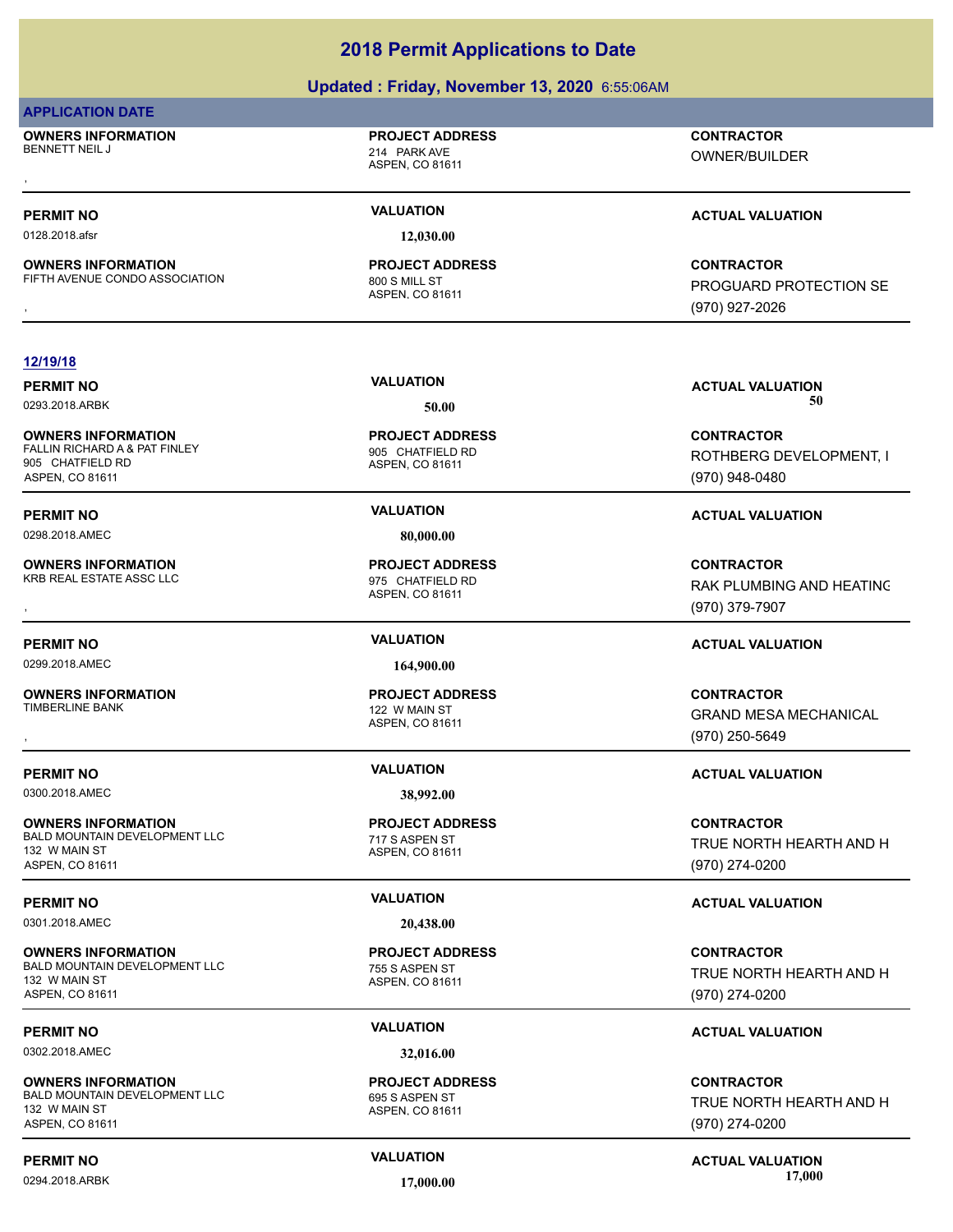### **Updated : Friday, November 13, 2020** 6:55:06AM

### **APPLICATION DATE**

**OWNERS INFORMATION** BENNETT NEIL JAN 1999 STATE STATE STATE STATE 214 PARK AVE

# **PROJECT ADDRESS**

ASPEN, CO 81611

, **CONTRACTOR** OWNER/BUILDER

0128.2018.afsr **12,030.00**

**OWNERS INFORMATION** FIFTH AVENUE CONDO ASSOCIATION 800 S MILL ST

ASPEN, CO 81611 **PROJECT ADDRESS**

### **PERMIT NO VALUATION ACTUAL VALUATION**

, **CONTRACTOR** PROGUARD PROTECTION SE (970) 927-2026

### **12/19/18**

### **OWNERS INFORMATION** FALLIN RICHARD A & PAT FINLEY 905 CHATFIELD RD 905 CHATFIELD RD ASPEN, CO 81611

**PERMIT NO VALUATION ACTUAL VALUATION**

**OWNERS INFORMATION** KRB REAL ESTATE ASSC LLC 875 CHATFIELD RD

0299.2018.AMEC **164,900.00**

**OWNERS INFORMATION**

0300.2018.AMEC **38,992.00**

### **OWNERS INFORMATION** BALD MOUNTAIN DEVELOPMENT LLC<br>
717 S ASPEN ST 132 W MAIN ST ASPEN, CO 81611

0301.2018.AMEC **20,438.00**

### **OWNERS INFORMATION** BALD MOUNTAIN DEVELOPMENT LLC<br>
755 S ASPEN ST 132 W MAIN ST

ASPEN, CO 81611

0302.2018.AMEC **32,016.00**

**OWNERS INFORMATION** BALD MOUNTAIN DEVELOPMENT LLC<br>695 S ASPEN ST 132 W MAIN ST ASPEN, CO 81611

### ASPEN, CO 81611 **PROJECT ADDRESS**

0298.2018.AMEC **80,000.00**

ASPEN, CO 81611 **PROJECT ADDRESS**

ASPEN, CO 81611 122 W MAIN ST **PROJECT ADDRESS**

ASPEN, CO 81611 **PROJECT ADDRESS**

ASPEN, CO 81611 **PROJECT ADDRESS**

### ASPEN, CO 81611 **PROJECT ADDRESS**

**PERMIT NO VALUATION VALUATION VALUATION** 0293.2018.ARBK **50.00 50.00**

> **CONTRACTOR** ROTHBERG DEVELOPMENT, I (970) 948-0480

**OWNERS INFORMATION PROJECT ADDRESS CONTRACTOR**<br>KRB REAL ESTATE ASSC LLC 975 CHATFIELD RD<br>, ASPEN, CO 81611 (970) 379-7907 RAK PLUMBING AND HEATING (970) 379-7907

### **PERMIT NO VALUATION ACTUAL VALUATION**

, **CONTRACTOR** GRAND MESA MECHANICAL (970) 250-5649

### **PERMIT NO VALUATION ACTUAL VALUATION**

**CONTRACTOR** TRUE NORTH HEARTH AND H (970) 274-0200

### **PERMIT NO VALUATION ACTUAL VALUATION**

**CONTRACTOR** TRUE NORTH HEARTH AND H (970) 274-0200

### **PERMIT NO VALUATION ACTUAL VALUATION**

**CONTRACTOR** TRUE NORTH HEARTH AND H (970) 274-0200

**PERMIT NO CONSUMITY ACTUAL VALUATION VALUATION VALUATION** 0294.2018.ARBK **17,000.00 17,000.00**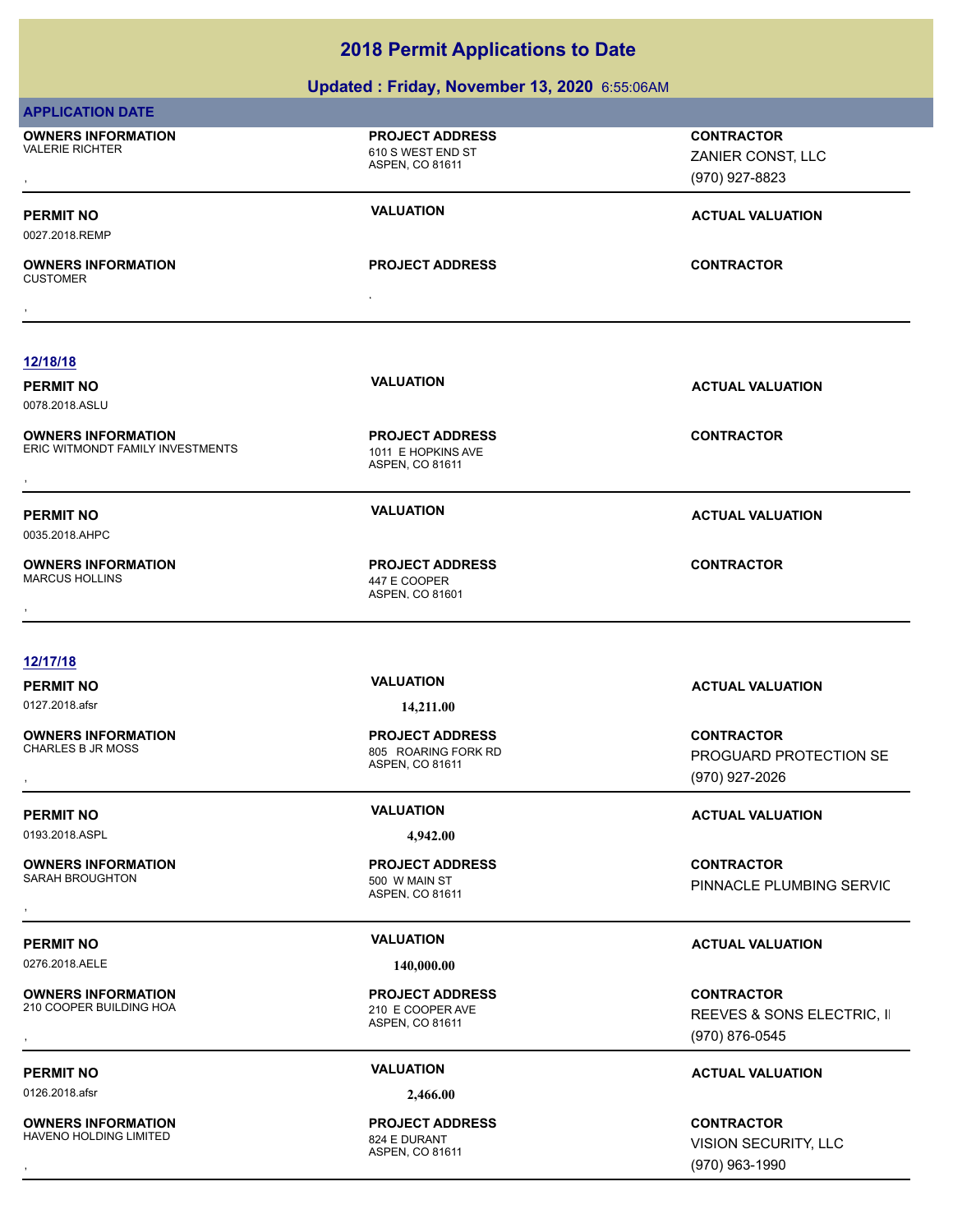### **Updated : Friday, November 13, 2020** 6:55:06AM

| <b>APPLICATION DATE</b>                                       |                                                                  |                                                                   |
|---------------------------------------------------------------|------------------------------------------------------------------|-------------------------------------------------------------------|
| <b>OWNERS INFORMATION</b><br><b>VALERIE RICHTER</b>           | <b>PROJECT ADDRESS</b><br>610 S WEST END ST<br>ASPEN, CO 81611   | <b>CONTRACTOR</b><br>ZANIER CONST, LLC<br>(970) 927-8823          |
| <b>PERMIT NO</b><br>0027.2018.REMP                            | <b>VALUATION</b>                                                 | <b>ACTUAL VALUATION</b>                                           |
| <b>OWNERS INFORMATION</b><br><b>CUSTOMER</b>                  | <b>PROJECT ADDRESS</b><br>$\bullet$                              | <b>CONTRACTOR</b>                                                 |
|                                                               |                                                                  |                                                                   |
| 12/18/18                                                      |                                                                  |                                                                   |
| <b>PERMIT NO</b><br>0078.2018.ASLU                            | <b>VALUATION</b>                                                 | <b>ACTUAL VALUATION</b>                                           |
| <b>OWNERS INFORMATION</b><br>ERIC WITMONDT FAMILY INVESTMENTS | <b>PROJECT ADDRESS</b><br>1011 E HOPKINS AVE<br>ASPEN, CO 81611  | <b>CONTRACTOR</b>                                                 |
| <b>PERMIT NO</b><br>0035.2018.AHPC                            | <b>VALUATION</b>                                                 | <b>ACTUAL VALUATION</b>                                           |
| <b>OWNERS INFORMATION</b><br><b>MARCUS HOLLINS</b>            | <b>PROJECT ADDRESS</b><br>447 E COOPER<br>ASPEN, CO 81601        | <b>CONTRACTOR</b>                                                 |
| 12/17/18                                                      |                                                                  |                                                                   |
| <b>PERMIT NO</b>                                              | <b>VALUATION</b>                                                 | <b>ACTUAL VALUATION</b>                                           |
| 0127.2018.afsr                                                | 14,211.00                                                        |                                                                   |
| <b>OWNERS INFORMATION</b><br><b>CHARLES B JR MOSS</b>         | <b>PROJECT ADDRESS</b><br>805 ROARING FORK RD<br>ASPEN, CO 81611 | <b>CONTRACTOR</b><br>PROGUARD PROTECTION SE<br>(970) 927-2026     |
| <b>PERMIT NO</b>                                              | <b>VALUATION</b>                                                 | <b>ACTUAL VALUATION</b>                                           |
| 0193.2018.ASPL                                                | 4,942.00                                                         |                                                                   |
| <b>OWNERS INFORMATION</b><br>SARAH BROUGHTON                  | <b>PROJECT ADDRESS</b><br>500 W MAIN ST<br>ASPEN, CO 81611       | <b>CONTRACTOR</b><br>PINNACLE PLUMBING SERVIC                     |
|                                                               |                                                                  |                                                                   |
| <b>PERMIT NO</b>                                              | <b>VALUATION</b>                                                 | <b>ACTUAL VALUATION</b>                                           |
| 0276.2018.AELE                                                | 140,000.00                                                       |                                                                   |
| <b>OWNERS INFORMATION</b><br>210 COOPER BUILDING HOA          | <b>PROJECT ADDRESS</b><br>210 E COOPER AVE<br>ASPEN, CO 81611    | <b>CONTRACTOR</b><br>REEVES & SONS ELECTRIC, II<br>(970) 876-0545 |
|                                                               |                                                                  |                                                                   |
| <b>PERMIT NO</b>                                              | <b>VALUATION</b>                                                 | <b>ACTUAL VALUATION</b>                                           |
| 0126.2018.afsr                                                | 2,466.00                                                         |                                                                   |

**OWNERS INFORMATION** HAVENO HOLDING LIMITED

ASPEN, CO 81611 **PROJECT ADDRESS**

, **CONTRACTOR** VISION SECURITY, LLC (970) 963-1990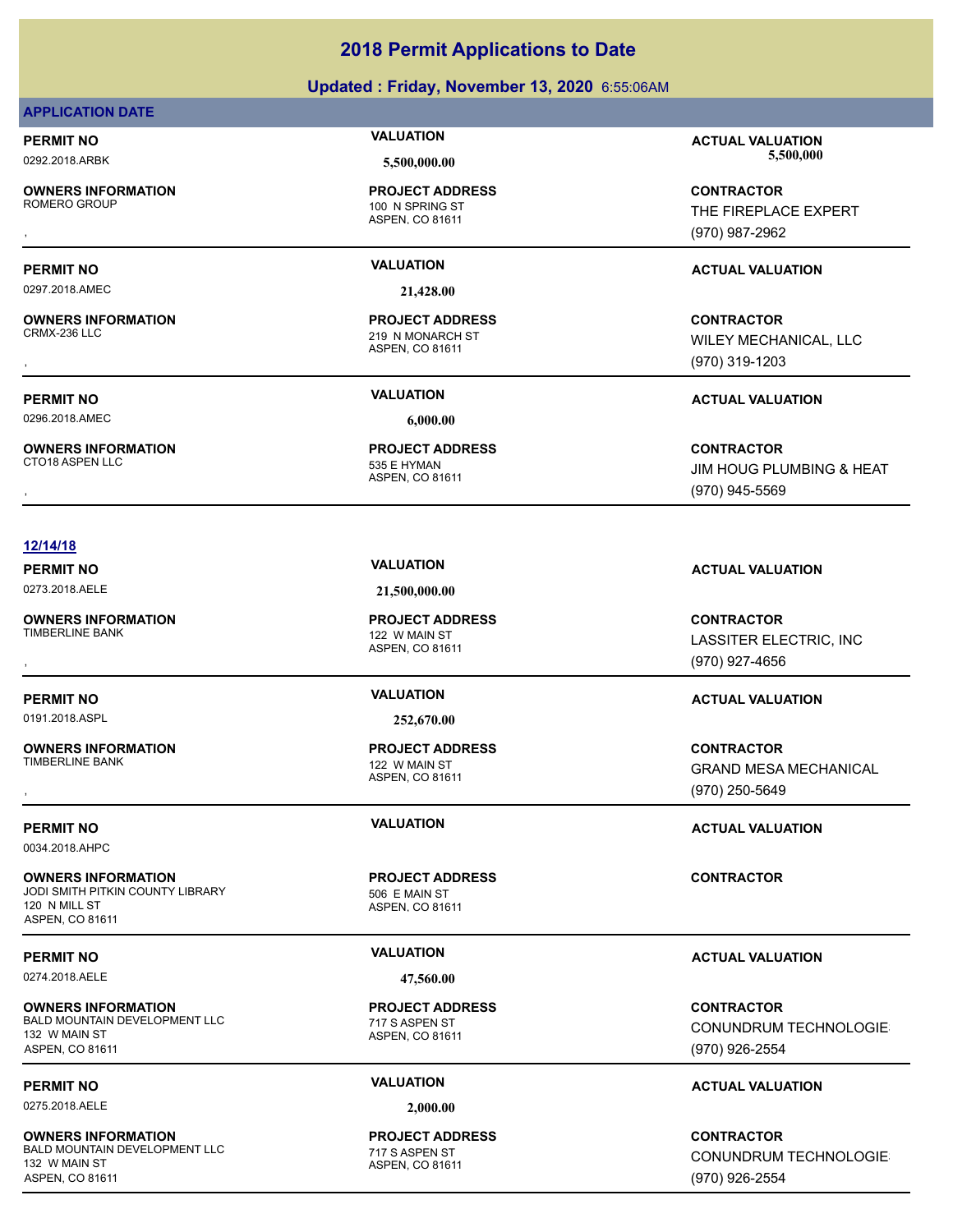### **Updated : Friday, November 13, 2020** 6:55:06AM

### **APPLICATION DATE**

**OWNERS INFORMATION**

0297.2018.AMEC **21,428.00**

**OWNERS INFORMATION**

0296.2018.AMEC **6,000.00**

**OWNERS INFORMATION**

ASPEN, CO 81611 100 N SPRING ST **PROJECT ADDRESS**

ASPEN, CO 81611 219 N MONARCH ST **PROJECT ADDRESS**

ASPEN, CO 81611 535 E HYMAN

**PERMIT NO VALUATION ACTUAL VALUATION** 0292.2018.ARBK **5,500,000.00 5,500,000.00**

, **CONTRACTOR** THE FIREPLACE EXPERT (970) 987-2962

### **PERMIT NO VALUATION ACTUAL VALUATION**

, **CONTRACTOR** WILEY MECHANICAL, LLC (970) 319-1203

, **CONTRACTOR** JIM HOUG PLUMBING & HEAT (970) 945-5569

### **12/14/18**

0273.2018.AELE **21,500,000.00**

**OWNERS INFORMATION** TIMBERLINE BANK 122 W MAIN ST

0191.2018.ASPL **252,670.00**

**OWNERS INFORMATION**

0034.2018.AHPC

**OWNERS INFORMATION** JODI SMITH PITKIN COUNTY LIBRARY 506 E MAIN ST 120 N MILL ST ASPEN, CO 81611

0274.2018.AELE **47,560.00**

**OWNERS INFORMATION** BALD MOUNTAIN DEVELOPMENT LLC 717 S ASPEN ST 132 W MAIN ST ASPEN, CO 81611

0275.2018.AELE **2,000.00**

**OWNERS INFORMATION** BALD MOUNTAIN DEVELOPMENT LLC<br>
717 S ASPEN ST 132 W MAIN ST ASPEN, CO 81611

ASPEN, CO 81611 **PROJECT ADDRESS**

ASPEN, CO 81611 122 W MAIN ST **PROJECT ADDRESS**

ASPEN, CO 81611 **PROJECT ADDRESS**

ASPEN, CO 81611 **PROJECT ADDRESS**

ASPEN, CO 81611 **PROJECT ADDRESS**

**PERMIT NO VALUATION ACTUAL VALUATION**

, **CONTRACTOR** LASSITER ELECTRIC, INC (970) 927-4656

### **PERMIT NO VALUATION ACTUAL VALUATION**

, **CONTRACTOR** GRAND MESA MECHANICAL (970) 250-5649

**PERMIT NO VALUATION ACTUAL VALUATION**

### **CONTRACTOR**

### **PERMIT NO VALUATION ACTUAL VALUATION**

**CONTRACTOR** CONUNDRUM TECHNOLOGIES (970) 926-2554

### **PERMIT NO VALUATION ACTUAL VALUATION**

**CONTRACTOR** CONUNDRUM TECHNOLOGIES (970) 926-2554

**PERMIT NO VALUATION ACTUAL VALUATION**

**PROJECT ADDRESS**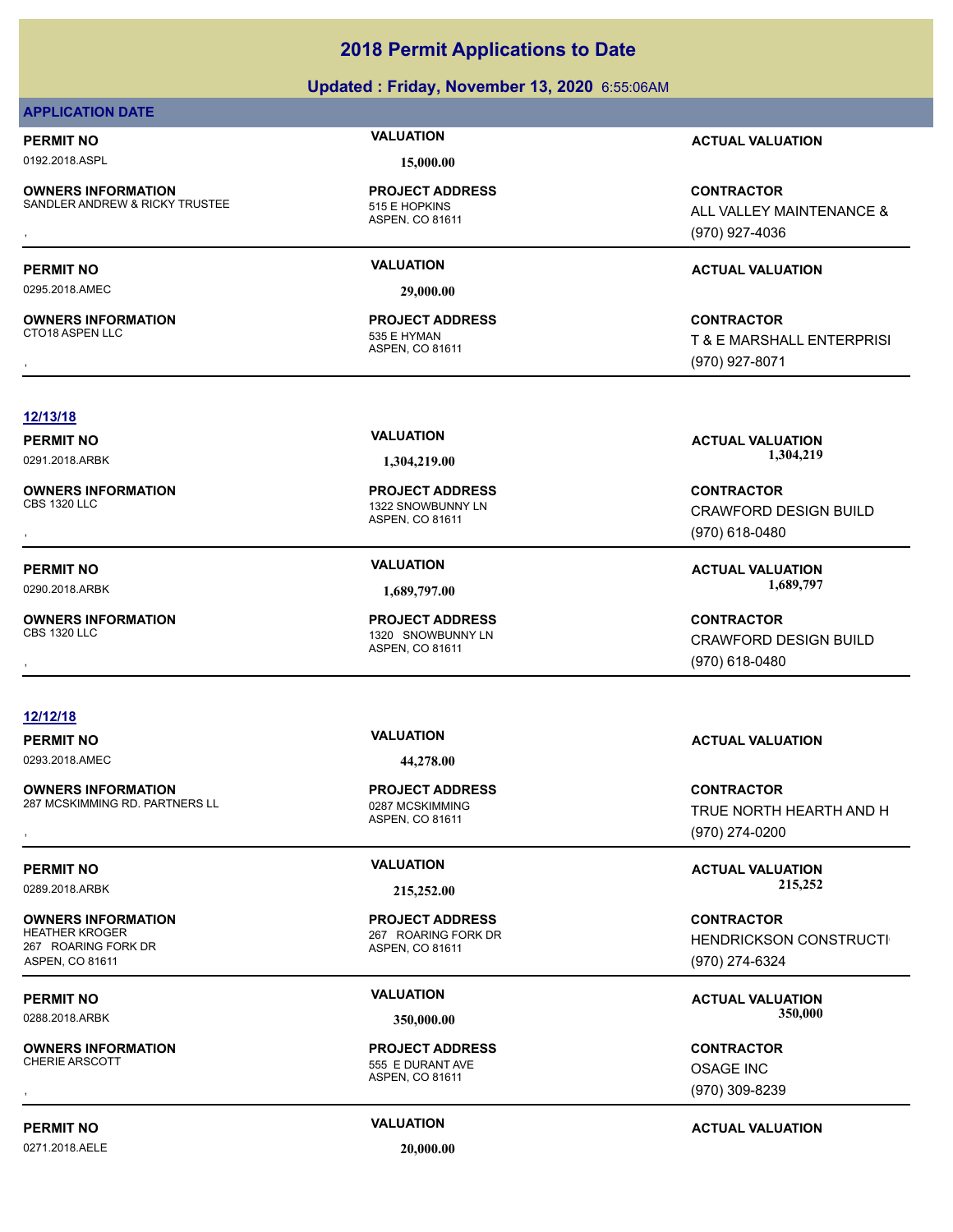### **Updated : Friday, November 13, 2020** 6:55:06AM

### **APPLICATION DATE**

**OWNERS INFORMATION** SANDLER ANDREW & RICKY TRUSTEE 515 E HOPKINS

0192.2018.ASPL **15,000.00**

ASPEN, CO 81611 **PROJECT ADDRESS**

0295.2018.AMEC **29,000.00**

ASPEN, CO 81611 CTO18 ASPEN LLC 535 E HYMAN **PROJECT ADDRESS**

**PERMIT NO VALUATION ACTUAL VALUATION**

**OWNERS INFORMATION FROM THE REPOLUT ADDRESS FOR SANDLER ANDRE AND ALL VALLEY MAINTENANCE &<br>SANDLER ANDREW & RICKY TRUSTEE FROM THE SANDLER ASPEN, CO 81611 FOR SANDLER AND ALL VALLEY MAINTENANCE &<br>FOR SAND ASPEN, CO 81611** ALL VALLEY MAINTENANCE & (970) 927-4036

### **PERMIT NO VALUATION ACTUAL VALUATION**

, **CONTRACTOR** T & E MARSHALL ENTERPRISI (970) 927-8071

### **12/13/18**

**OWNERS INFORMATION**

**OWNERS INFORMATION**

**OWNERS INFORMATION**

### **12/12/18**

0293.2018.AMEC **44,278.00**

**OWNERS INFORMATION** 287 MCSKIMMING RD. PARTNERS LL<br>0287 MCSKIMMING

**OWNERS INFORMATION** 267 ROARING FORK DR ASPEN, CO 81611

**OWNERS INFORMATION**

ASPEN, CO 81611

1320 SNOWBUNNY LN **PROJECT ADDRESS**

ASPEN, CO 81611

1322 SNOWBUNNY LN **PROJECT ADDRESS**

ASPEN, CO 81611 **PROJECT ADDRESS**

ASPEN, CO 81611 267 ROARING FORK DR **PROJECT ADDRESS**

ASPEN, CO 81611 555 E DURANT AVE **PROJECT ADDRESS**

0271.2018.AELE **20,000.00**

**PERMIT NO VALUATION ACTUAL VALUATION** 0291.2018.ARBK **1,304,219.00 1,304,219.00**

, **CONTRACTOR** CRAWFORD DESIGN BUILD (970) 618-0480

**PERMIT NO VALUATION ACTUAL VALUATION** 0290.2018.ARBK **1,689,797.00 1,689,797.00**

, **CONTRACTOR** CRAWFORD DESIGN BUILD (970) 618-0480

### **PERMIT NO VALUATION ACTUAL VALUATION**

**OWNERS INFORMATION EXAMPLE ASS ARE DESCRIPS TO A PROJECT ADDRESS ARE SERVICES CONTRACTOR CONTRACTOR SERVICES A<br>287 MCSKIMMING RD. PARTNERS LL EXAMPLE ASSAN ASPEN. CO 81611<br>, Example a Service of the ASPEN. CO 81611 (970)** TRUE NORTH HEARTH AND H (970) 274-0200

**PERMIT NO CONSUMITY ACTUAL VALUATION VALUATION VALUATION** 0289.2018.ARBK **215,252.00 215,252.00**

> **CONTRACTOR** HENDRICKSON CONSTRUCTI (970) 274-6324

**PERMIT NO VALUATION ACTUAL VALUATION** 0288.2018.ARBK **350,000.00 350,000.00**

, **CONTRACTOR** OSAGE INC (970) 309-8239

**PERMIT NO VALUATION ACTUAL VALUATION**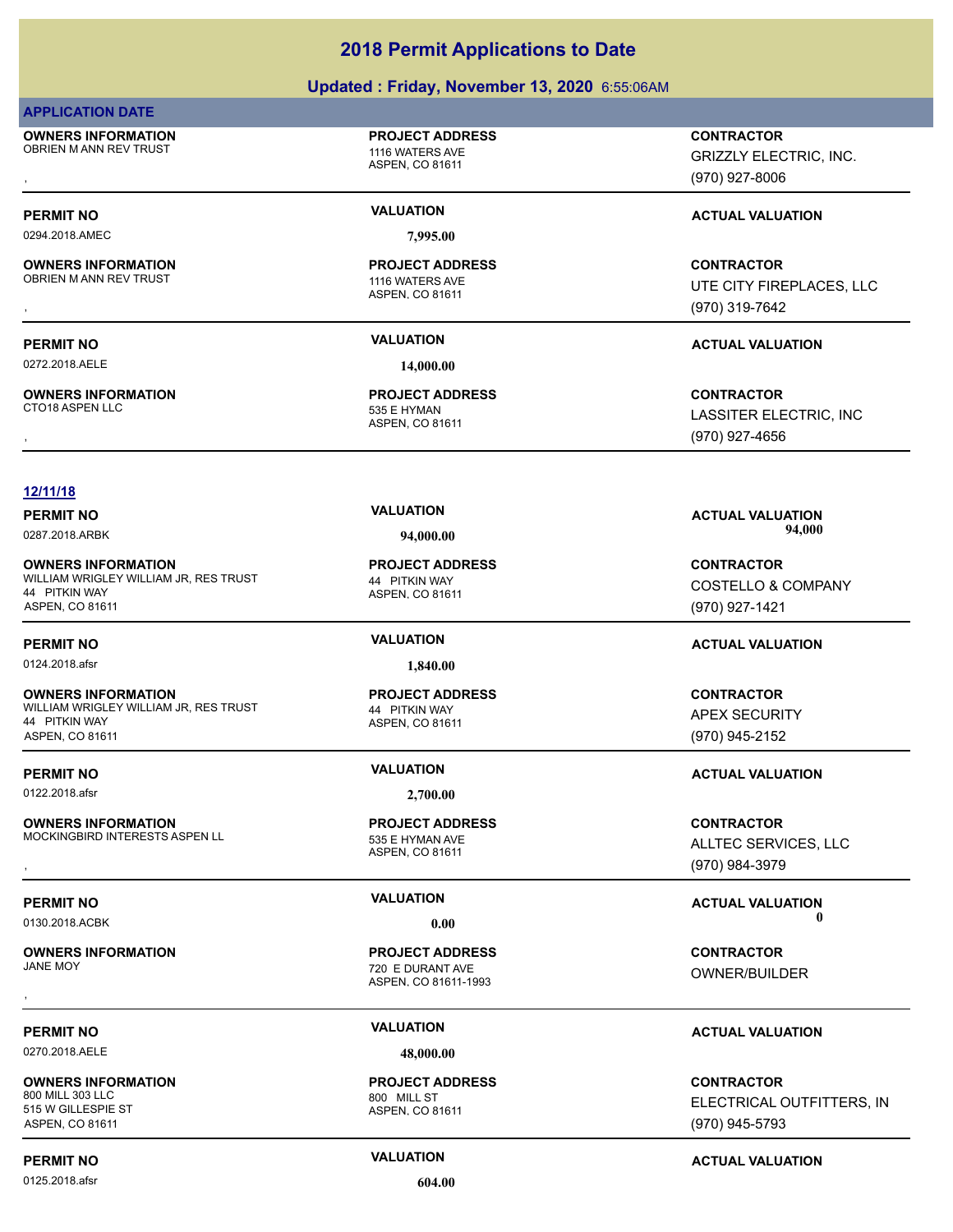### **Updated : Friday, November 13, 2020** 6:55:06AM

### **APPLICATION DATE**

**OWNERS INFORMATION** OBRIEN M ANN REV TRUST **1116 WATERS AVE** 

# **PROJECT ADDRESS**

ASPEN, CO 81611

ASPEN, CO 81611

**PROJECT ADDRESS**

0294.2018.AMEC **7,995.00**

### **OWNERS INFORMATION** OBRIEN M ANN REV TRUST 1116 WATERS AVE

# **OWNERS INFORMATION**

**PERMIT NO VALUATION ACTUAL VALUATION** 0272.2018.AELE **14,000.00**

### ASPEN, CO 81611 535 E HYMAN **PROJECT ADDRESS**

### **12/11/18**

**OWNERS INFORMATION** WILLIAM WRIGLEY WILLIAM JR, RES TRUST **144 PITKIN WAY** 44 PITKIN WAY ASPEN, CO 81611

**OWNERS INFORMATION** WILLIAM WRIGLEY WILLIAM JR, RES TRUST 44 PITKIN WAY 44 PITKIN WAY ASPEN, CO 81611

0122.2018.afsr **2,700.00**

### **OWNERS INFORMATION** MOCKINGBIRD INTERESTS ASPEN LL<br>535 E HYMAN AVE

**OWNERS INFORMATION**

0270.2018.AELE **48,000.00**

**OWNERS INFORMATION** 800 MILL 303 LLC 800 MILL ST 515 W GILLESPIE ST ASPEN, CO 81611

0125.2018.afsr **604.00**

ASPEN, CO 81611 **PROJECT ADDRESS**

# **PROJECT ADDRESS**

ASPEN, CO 81611 **PROJECT ADDRESS**

ASPEN, CO 81611-1993 720 E DURANT AVE **PROJECT ADDRESS** , **CONTRACTOR**

ASPEN, CO 81611 **PROJECT ADDRESS**

## , **CONTRACTOR** GRIZZLY ELECTRIC, INC.

(970) 927-8006

### **PERMIT NO CONSUMITY ACTUAL VALUATION VALUATION VALUATION**

, **CONTRACTOR** UTE CITY FIREPLACES, LLC (970) 319-7642

, **CONTRACTOR** LASSITER ELECTRIC, INC (970) 927-4656

**PERMIT NO VALUATION ACTUAL VALUATION** 0287.2018.ARBK **94,000.00 94,000.00**

> **CONTRACTOR** COSTELLO & COMPANY (970) 927-1421

**CONTRACTOR** APEX SECURITY (970) 945-2152

### **PERMIT NO VALUATION ACTUAL VALUATION**

**OWNERS INFORMATION MODEL SERVICE PROJECT ADDRESS ARE SERVICES CONTRACTOR CONTRACTOR**<br>MOCKINGBIRD INTERESTS ASPEN LL ASPEN, CO 81611 ASPEN, CO 81611 (970) 984-3979 ALLTEC SERVICES, LLC (970) 984-3979

### **PERMIT NO VALUATION ACTUAL VALUATION** 0130.2018.ACBK **0.00 0.00**

OWNER/BUILDER

### **PERMIT NO VALUATION ACTUAL VALUATION**

**CONTRACTOR** ELECTRICAL OUTFITTERS, INC (970) 945-5793

### **PERMIT NO CONSUMITY ACTUAL VALUATION VALUATION VALUATION**

# **PERMIT NO VALUATION ACTUAL VALUATION** 0124.2018.afsr **1,840.00**

ASPEN, CO 81611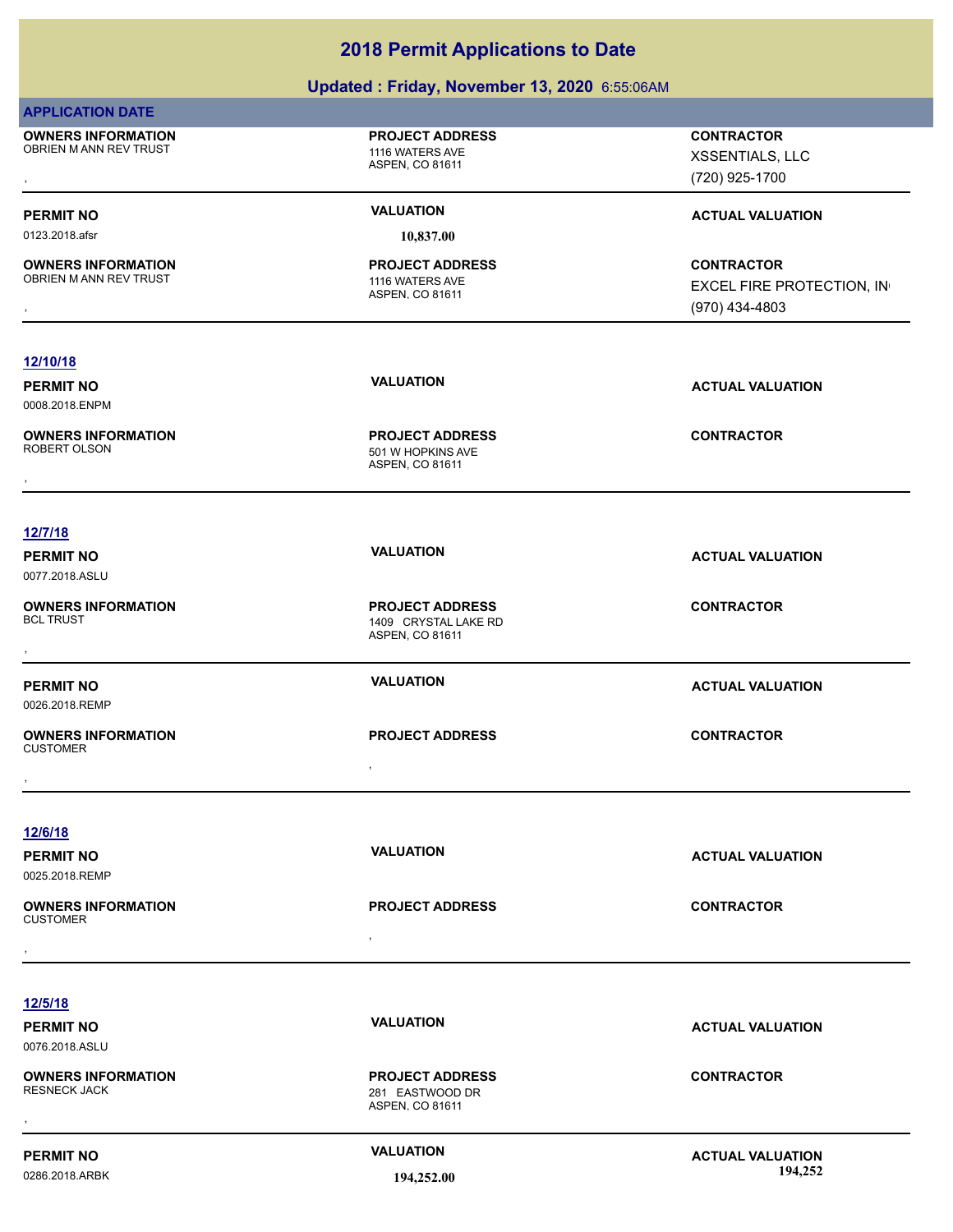### **Updated : Friday, November 13, 2020** 6:55:06AM

| <b>APPLICATION DATE</b>                              |                                                                   |                                                                  |
|------------------------------------------------------|-------------------------------------------------------------------|------------------------------------------------------------------|
| <b>OWNERS INFORMATION</b><br>OBRIEN M ANN REV TRUST  | <b>PROJECT ADDRESS</b><br>1116 WATERS AVE<br>ASPEN, CO 81611      | <b>CONTRACTOR</b><br>XSSENTIALS, LLC<br>(720) 925-1700           |
| <b>PERMIT NO</b>                                     | <b>VALUATION</b>                                                  | <b>ACTUAL VALUATION</b>                                          |
| 0123.2018.afsr                                       | 10,837.00                                                         |                                                                  |
| <b>OWNERS INFORMATION</b><br>OBRIEN M ANN REV TRUST  | <b>PROJECT ADDRESS</b><br>1116 WATERS AVE<br>ASPEN, CO 81611      | <b>CONTRACTOR</b><br>EXCEL FIRE PROTECTION, IN<br>(970) 434-4803 |
| 12/10/18                                             |                                                                   |                                                                  |
| <b>PERMIT NO</b><br>0008.2018.ENPM                   | <b>VALUATION</b>                                                  | <b>ACTUAL VALUATION</b>                                          |
| <b>OWNERS INFORMATION</b><br>ROBERT OLSON            | <b>PROJECT ADDRESS</b><br>501 W HOPKINS AVE<br>ASPEN, CO 81611    | <b>CONTRACTOR</b>                                                |
|                                                      |                                                                   |                                                                  |
| 12/7/18                                              |                                                                   |                                                                  |
| <b>PERMIT NO</b><br>0077.2018.ASLU                   | <b>VALUATION</b>                                                  | <b>ACTUAL VALUATION</b>                                          |
| <b>OWNERS INFORMATION</b><br><b>BCL TRUST</b>        | <b>PROJECT ADDRESS</b><br>1409 CRYSTAL LAKE RD<br>ASPEN, CO 81611 | <b>CONTRACTOR</b>                                                |
| <b>PERMIT NO</b><br>0026.2018.REMP                   | <b>VALUATION</b>                                                  | <b>ACTUAL VALUATION</b>                                          |
| <b>OWNERS INFORMATION</b><br><b>CUSTOMER</b>         | <b>PROJECT ADDRESS</b><br>$\bullet$                               | <b>CONTRACTOR</b>                                                |
|                                                      |                                                                   |                                                                  |
| 12/6/18<br><b>PERMIT NO</b><br>0025.2018.REMP        | <b>VALUATION</b>                                                  | <b>ACTUAL VALUATION</b>                                          |
| <b>OWNERS INFORMATION</b><br><b>CUSTOMER</b>         | <b>PROJECT ADDRESS</b>                                            | <b>CONTRACTOR</b>                                                |
|                                                      | $\sim$                                                            |                                                                  |
|                                                      |                                                                   |                                                                  |
| <u>12/5/18</u><br><b>PERMIT NO</b><br>0076.2018.ASLU | <b>VALUATION</b>                                                  | <b>ACTUAL VALUATION</b>                                          |
| <b>OWNERS INFORMATION</b><br><b>RESNECK JACK</b>     | <b>PROJECT ADDRESS</b><br>281 EASTWOOD DR<br>ASPEN, CO 81611      | <b>CONTRACTOR</b>                                                |
| <b>PERMIT NO</b><br>0286.2018.ARBK                   | <b>VALUATION</b><br>194,252.00                                    | <b>ACTUAL VALUATION</b><br>194,252                               |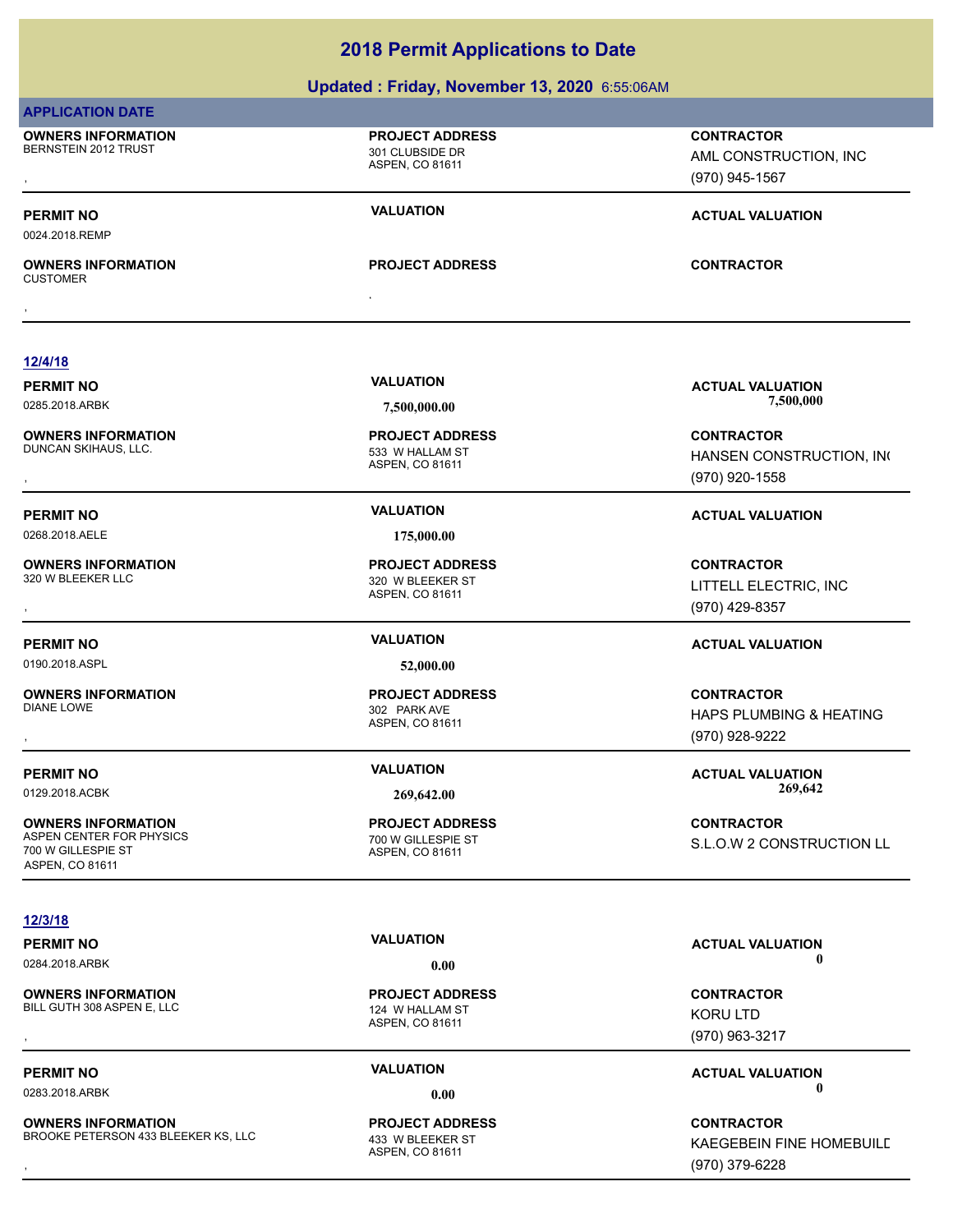### **Updated : Friday, November 13, 2020** 6:55:06AM

### **APPLICATION DATE** ASPEN, CO 81611 **OWNERS INFORMATION** BERNSTEIN 2012 TRUST 301 CLUBSIDE DR **PROJECT ADDRESS** , **CONTRACTOR** AML CONSTRUCTION, INC (970) 945-1567 **PERMIT NO VALUATION ACTUAL VALUATION** 0024.2018.REMP , **OWNERS INFORMATION** CUSTOMER **PROJECT ADDRESS** , **CONTRACTOR 12/4/18 PERMIT NO VALUATION VALUATION VALUATION** 0285.2018.ARBK **7,500,000.00 7,500,000.00** ASPEN, CO 81611 **OWNERS INFORMATION** DUNCAN SKIHAUS, LLC. 533 W HALLAM ST **PROJECT ADDRESS** , **CONTRACTOR**

**OWNERS INFORMATION**<br>320 W BLEEKER LLC

0190.2018.ASPL **52,000.00**

**OWNERS INFORMATION**

**OWNERS INFORMATION** ASPEN CENTER FOR PHYSICS 700 W GILLESPIE ST 700 W GILLESPIE ST ASPEN, CO 81611

### **12/3/18**

**OWNERS INFORMATION**<br>BILL GUTH 308 ASPEN E LLC

**OWNERS INFORMATION** BROOKE PETERSON 433 BLEEKER KS, LLC 433 W BLEEKER ST

0268.2018.AELE **175,000.00**

ASPEN, CO 81611 320 W BLEEKER ST **PROJECT ADDRESS**

ASPEN, CO 81611 302 PARK AVE **PROJECT ADDRESS**

ASPEN, CO 81611 **PROJECT ADDRESS**

HANSEN CONSTRUCTION, INC (970) 920-1558

**PERMIT NO VALUATION ACTUAL VALUATION**

, **CONTRACTOR** LITTELL ELECTRIC, INC (970) 429-8357

### **PERMIT NO VALUATION ACTUAL VALUATION**

, **CONTRACTOR** HAPS PLUMBING & HEATING (970) 928-9222

**PERMIT NO VALUATION ACTUAL VALUATION** 0129.2018.ACBK **269,642.00 269,642.00**

> **CONTRACTOR** S.L.O.W 2 CONSTRUCTION LL

ASPEN, CO 81611 124 W HALLAM ST **PROJECT ADDRESS**

ASPEN, CO 81611 **PROJECT ADDRESS**

**PERMIT NO VALUATION ACTUAL VALUATION** 0284.2018.ARBK **0.00 0.00**

, **CONTRACTOR** KORU LTD (970) 963-3217

**PERMIT NO VALUATION ACTUAL VALUATION** 0283.2018.ARBK **0.00 0.00**

, **CONTRACTOR** KAEGEBEIN FINE HOMEBUILD (970) 379-6228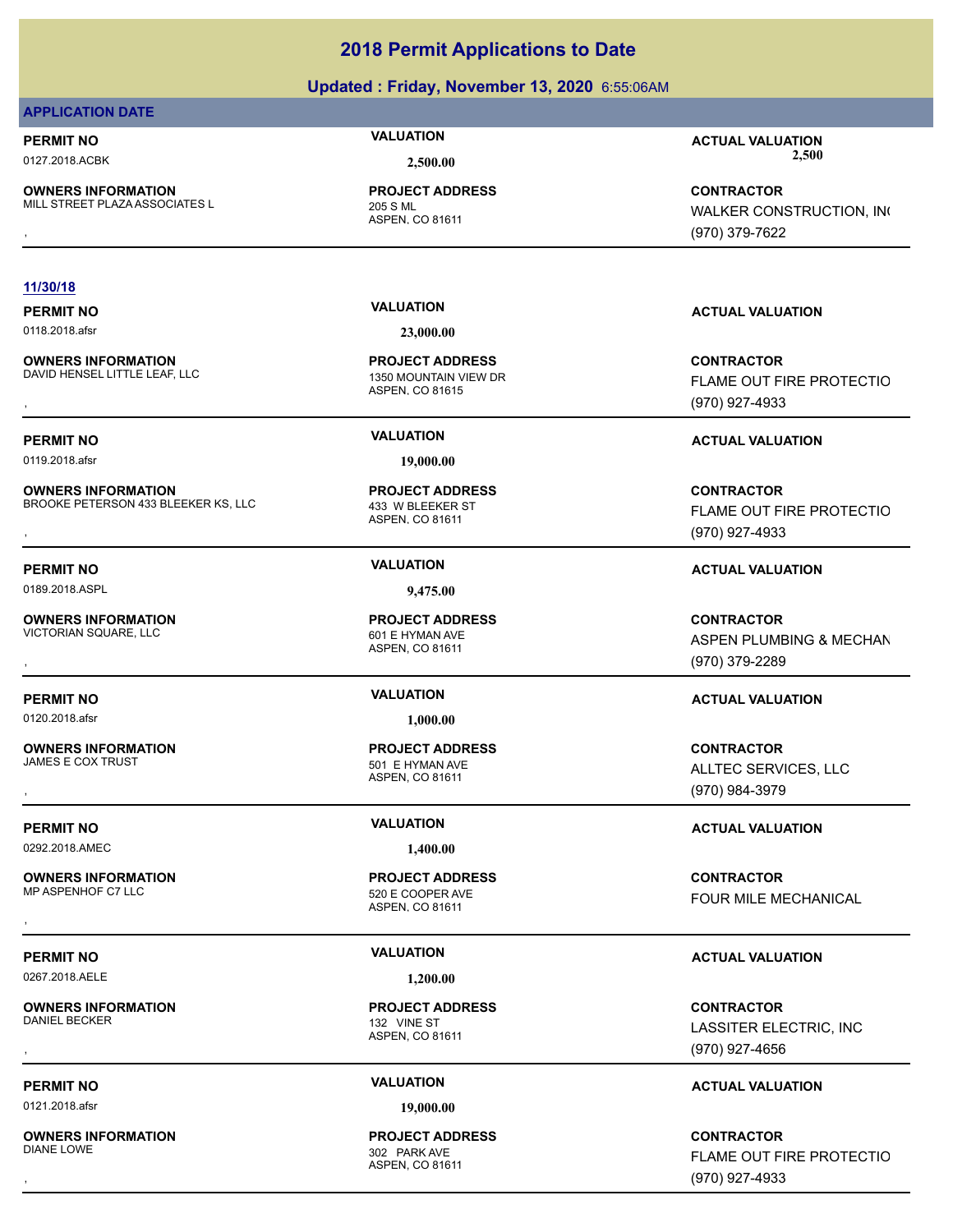### **Updated : Friday, November 13, 2020** 6:55:06AM

### **APPLICATION DATE**

**OWNERS INFORMATION** MILL STREET PLAZA ASSOCIATES L<br>205 S ML

ASPEN, CO 81611 **PROJECT ADDRESS**

### **11/30/18**

0118.2018.afsr **23,000.00**

**OWNERS INFORMATION** DAVID HENSEL LITTLE LEAF, LLC<br>1350 MOUNTAIN VIEW DR

0119.2018.afsr **19,000.00**

**OWNERS INFORMATION** BROOKE PETERSON 433 BLEEKER KS, LLC 433 W BLEEKER ST

0189.2018.ASPL **9,475.00**

**OWNERS INFORMATION** VICTORIAN SQUARE, LLC<br>VICTORIAN SQUARE, LLC 601 E HYMAN AVE

0120.2018.afsr **1,000.00**

**OWNERS INFORMATION**

0292.2018.AMEC **1,400.00**

**OWNERS INFORMATION**

0267.2018.AELE **1,200.00**

**OWNERS INFORMATION**<br>DANIEL BECKER

0121.2018.afsr **19,000.00**

**OWNERS INFORMATION**

ASPEN, CO 81615 **PROJECT ADDRESS**

ASPEN, CO 81611 **PROJECT ADDRESS**

ASPEN, CO 81611 **PROJECT ADDRESS**

ASPEN, CO 81611 501 E HYMAN AVE **PROJECT ADDRESS**

ASPEN, CO 81611 520 E COOPER AVE **PROJECT ADDRESS**

ASPEN, CO 81611 132 VINE ST **PROJECT ADDRESS**

### ASPEN, CO 81611 302 PARK AVE **PROJECT ADDRESS**

**PERMIT NO VALUATION ACTUAL VALUATION** 0127.2018.ACBK **2,500.00 2,500.00**

, **CONTRACTOR** WALKER CONSTRUCTION, INC (970) 379-7622

### **PERMIT NO VALUATION ACTUAL VALUATION**

**OWNERS INFORMATION LEGAL CONNUMIC SERVICE PROJECT ADDRESS ARE:**<br>DAVID HENSEL LITTLE LEAF, LLC LEGAL CONNUMING ASPEN. CO 81615<br>, The Maspen. CO 81615 FLAME OUT FIRE PROTECTIO (970) 927-4933

### **PERMIT NO VALUATION ACTUAL VALUATION**

, **CONTRACTOR** FLAME OUT FIRE PROTECTIO (970) 927-4933

### **PERMIT NO VALUATION ACTUAL VALUATION**

**OWNERS INFORMATION PROJECT ADDRESS CONTRACTOR**<br>VICTORIAN SQUARE, LLC 601 E HYMAN AVE ASPEN PLUMBING & MECHAN<br>, ASPEN. CO 81611 ASPEN PLUMBING & MECHAN (970) 379-2289

### **PERMIT NO VALUATION ACTUAL VALUATION**

, **CONTRACTOR** ALLTEC SERVICES, LLC (970) 984-3979

### **PERMIT NO VALUATION ACTUAL VALUATION**

, **CONTRACTOR** FOUR MILE MECHANICAL

### **PERMIT NO VALUATION ACTUAL VALUATION**

, **CONTRACTOR** LASSITER ELECTRIC, INC (970) 927-4656

### **PERMIT NO VALUATION ACTUAL VALUATION**

, **CONTRACTOR** FLAME OUT FIRE PROTECTIO (970) 927-4933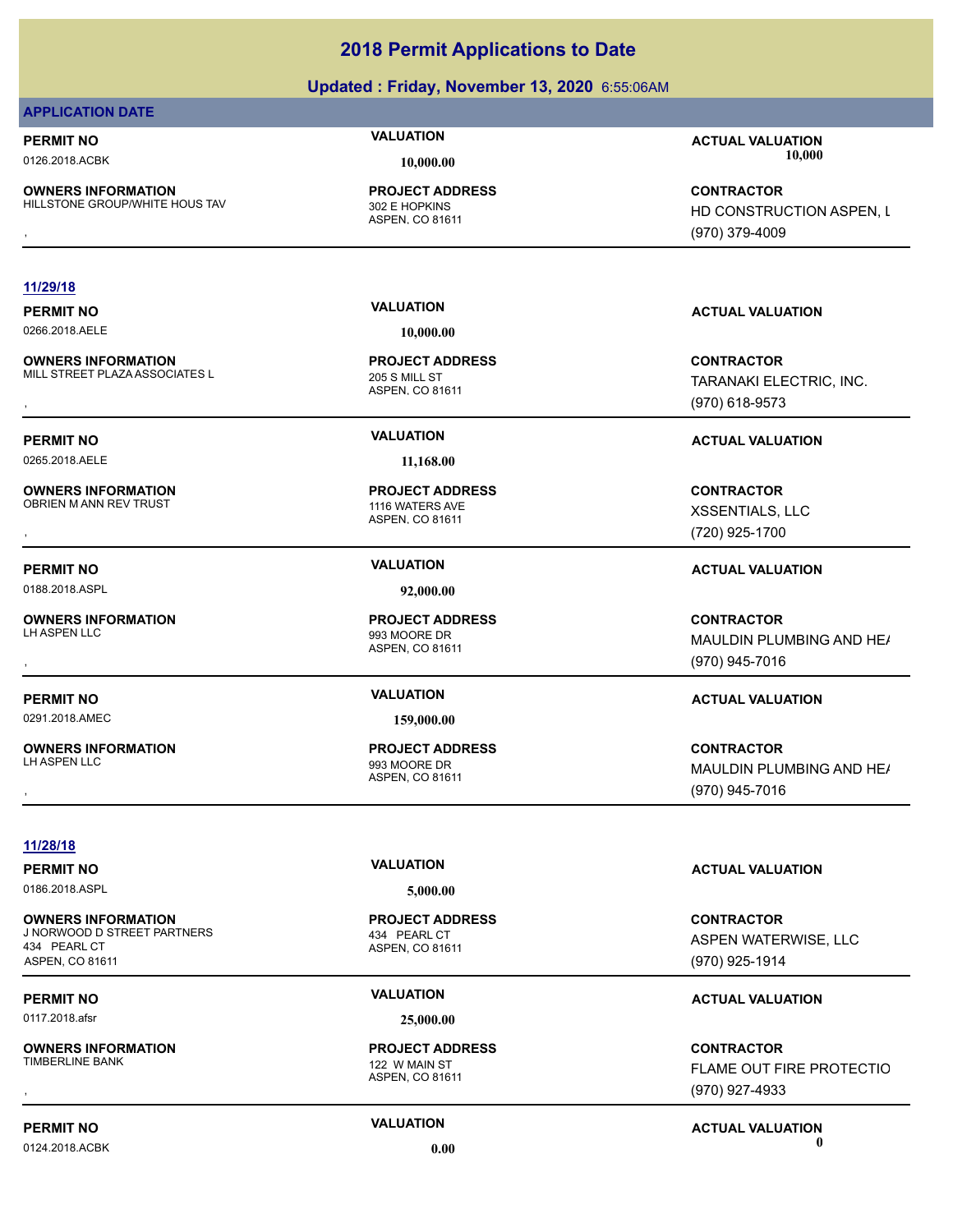### **Updated : Friday, November 13, 2020** 6:55:06AM

### **APPLICATION DATE**

**PERMIT NO VALUATION ACTUAL VALUATION**

**OWNERS INFORMATION** HILLSTONE GROUP/WHITE HOUS TAV 302 E HOPKINS

ASPEN, CO 81611 **PROJECT ADDRESS**

### **11/29/18**

0266.2018.AELE **10,000.00**

**OWNERS INFORMATION** MILL STREET PLAZA ASSOCIATES L<br>205 S MILL ST

0265.2018.AELE **11,168.00**

**OWNERS INFORMATION** OBRIEN M ANN REV TRUST **1116 WATERS AVE** 

0188.2018.ASPL **92,000.00**

**OWNERS INFORMATION**

**OWNERS INFORMATION**

ASPEN, CO 81611 **PROJECT ADDRESS**

ASPEN, CO 81611 **PROJECT ADDRESS**

ASPEN, CO 81611 993 MOORE DR **PROJECT ADDRESS**

0291.2018.AMEC **159,000.00**

ASPEN, CO 81611 993 MOORE DR **PROJECT ADDRESS**

0126.2018.ACBK **10,000.00 10,000.00**

**OWNERS INFORMATION Material contract in the server of the PROJECT ADDRESS (CONTRACTOR CONTRACTOR SERVER), Lati<br>HILLSTONE GROUP/WHITE HOUS TAV ASPEN ASPEN, CO 81611 Material contract of the Server of ASPEN ASPEN, Lating AS** HD CONSTRUCTION ASPEN, L (970) 379-4009

### **PERMIT NO VALUATION ACTUAL VALUATION**

**OWNERS INFORMATION FROJECT ADDRESS ARE SERVIC SONTRACTOR CONTRACTOR**<br>MILL STREET PLAZAASSOCIATES L ASPEN, CO 81611 ASPEN, CO 81611 **1991 SERVICE SONTRAL SERVICE SONTRACTOR**<br>ASPEN, CO 81611 (970) 618-9573 TARANAKI ELECTRIC, INC. (970) 618-9573

### **PERMIT NO VALUATION ACTUAL VALUATION**

, **CONTRACTOR** XSSENTIALS, LLC (720) 925-1700

### **PERMIT NO VALUATION ACTUAL VALUATION**

, **CONTRACTOR** MAULDIN PLUMBING AND HE/ (970) 945-7016

### **PERMIT NO VALUATION ACTUAL VALUATION**

, **CONTRACTOR** MAULDIN PLUMBING AND HE/ (970) 945-7016

**11/28/18**

0186.2018.ASPL **5,000.00**

**OWNERS INFORMATION** J NORWOOD D STREET PARTNERS 434 PEARL CT 434 PEARL CT ASPEN, CO 81611

0117.2018.afsr **25,000.00**

**OWNERS INFORMATION**

0124.2018.ACBK **0.00 0.00**

ASPEN, CO 81611 **PROJECT ADDRESS**

ASPEN, CO 81611 122 W MAIN ST **PROJECT ADDRESS**

### **PERMIT NO VALUATION VALUATION VALUATION**

**CONTRACTOR** ASPEN WATERWISE, LLC (970) 925-1914

### **PERMIT NO VALUATION VALUATION VALUATION**

, **CONTRACTOR** FLAME OUT FIRE PROTECTIO (970) 927-4933

# **PERMIT NO VALUATION ACTUAL VALUATION**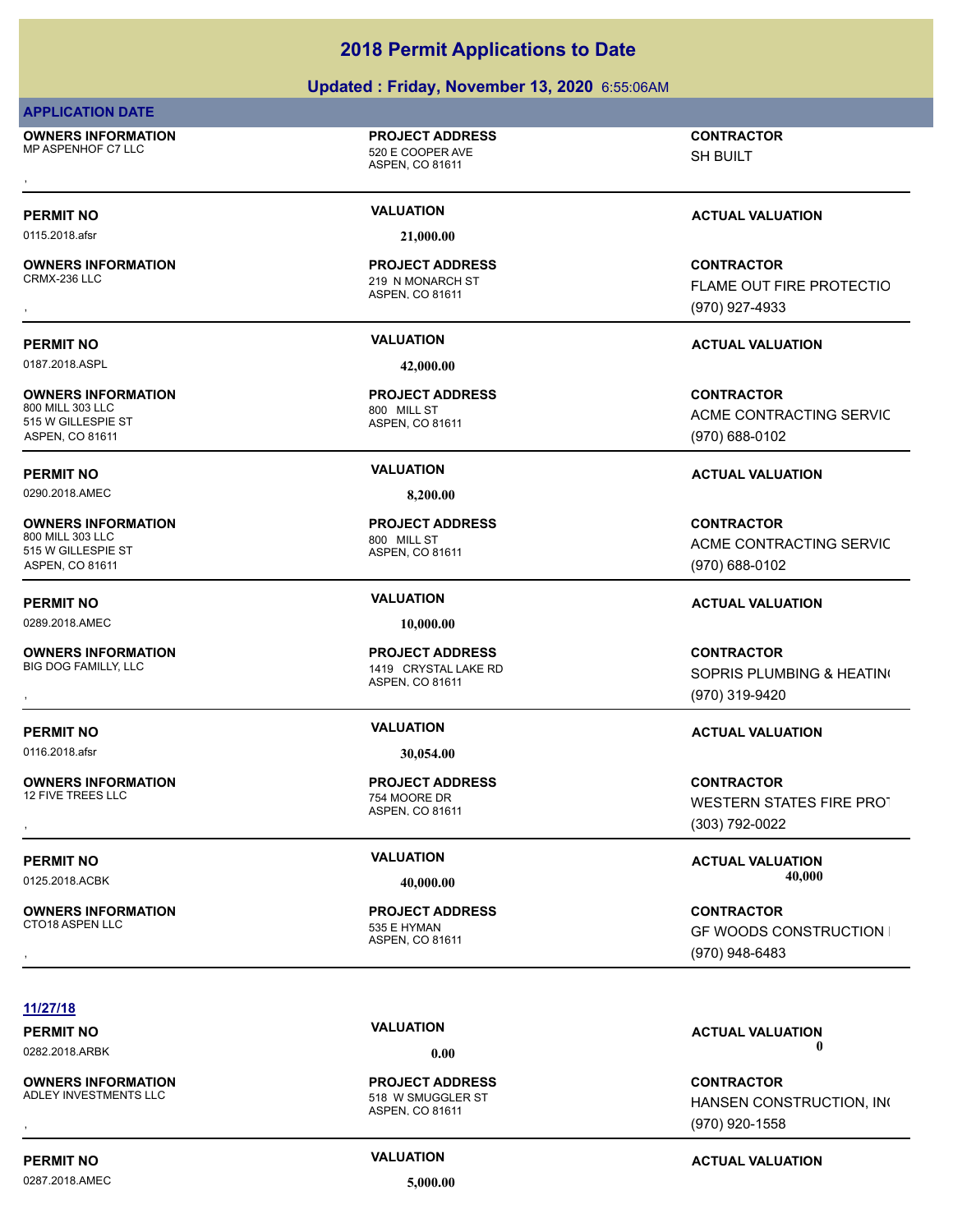### **Updated : Friday, November 13, 2020** 6:55:06AM

### **APPLICATION DATE**

**OWNERS INFORMATION** MP ASPENHOF C7 LLC 620 E COOPER AVE , **CONTRACTOR**

# ASPEN, CO 81611

**PROJECT ADDRESS**

0115.2018.afsr **21,000.00**

**OWNERS INFORMATION**

0187.2018.ASPL **42,000.00**

**OWNERS INFORMATION**<br>800 MILL 303 LLC 515 W GILLESPIE ST ASPEN, CO 81611

0290.2018.AMEC **8,200.00**

**OWNERS INFORMATION** 800 MILL 303 LLC 800 MILL ST 515 W GILLESPIE ST ASPEN, CO 81611

0289.2018.AMEC **10,000.00**

**OWNERS INFORMATION**

**OWNERS INFORMATION**

**OWNERS INFORMATION** CTO18 ASPEN LLC 535 E HYMAN

### 219 N MONARCH ST **PROJECT ADDRESS**

ASPEN, CO 81611

ASPEN, CO 81611 800 MILL ST **PROJECT ADDRESS**

ASPEN, CO 81611 **PROJECT ADDRESS**

ASPEN, CO 81611 1419 CRYSTAL LAKE RD **PROJECT ADDRESS**

ASPEN, CO 81611 **PROJECT ADDRESS**

ASPEN, CO 81611 **PROJECT ADDRESS** SH BUILT

### **PERMIT NO VALUATION VALUATION VALUATION**

, **CONTRACTOR** FLAME OUT FIRE PROTECTIO (970) 927-4933

### **PERMIT NO VALUATION ACTUAL VALUATION**

**CONTRACTOR** ACME CONTRACTING SERVIC (970) 688-0102

### **PERMIT NO VALUATION ACTUAL VALUATION**

**CONTRACTOR** ACME CONTRACTING SERVIC (970) 688-0102

### **PERMIT NO VALUATION ACTUAL VALUATION**

**OWNERS INFORMATION PROJECT ADDRESS CONTRACTOR**<br>BIG DOG FAMILLY, LLC 1419 CRYSTAL LAKE RD SOPRIS PLUMBING & HEATIN(<br>, ASPEN. CO 81611 SOPRIS PLUMBING & HEATING (970) 319-9420

### **PERMIT NO VALUATION ACTUAL VALUATION**

, **CONTRACTOR** WESTERN STATES FIRE PROT (303) 792-0022

**PERMIT NO VALUATION VALUATION VALUATION** 0125.2018.ACBK **40,000.00 40,000.00**

, **CONTRACTOR GF WOODS CONSTRUCTION I** (970) 948-6483

### **11/27/18**

**OWNERS INFORMATION**<br>ADLEY INVESTMENTS LLC

### 0287.2018.AMEC **5,000.00**

ASPEN, CO 81611

518 W SMUGGLER ST **PROJECT ADDRESS**

### **PERMIT NO CONSUMITY ACTUAL VALUATION VALUATION VALUATION**

### **PERMIT NO CONSUMITY OF A CONSUMITY OF A CONSUMITY OF A CONSUMITY OF A CTUAL VALUATION** 0282.2018.ARBK **0.00 0.00**

**OWNERS INFORMATION PROJECT ADDRESS CONTRACTOR**<br>ADLEY INVESTMENTS LLC 518 W SMUGGLER ST HANSEN CONSTRUCTION, IN(<br>, ASPEN. CO 81611 HANSEN CONSTRUCTION, INC (970) 920-1558

# 754 MOORE DR

# 0116.2018.afsr **30,054.00**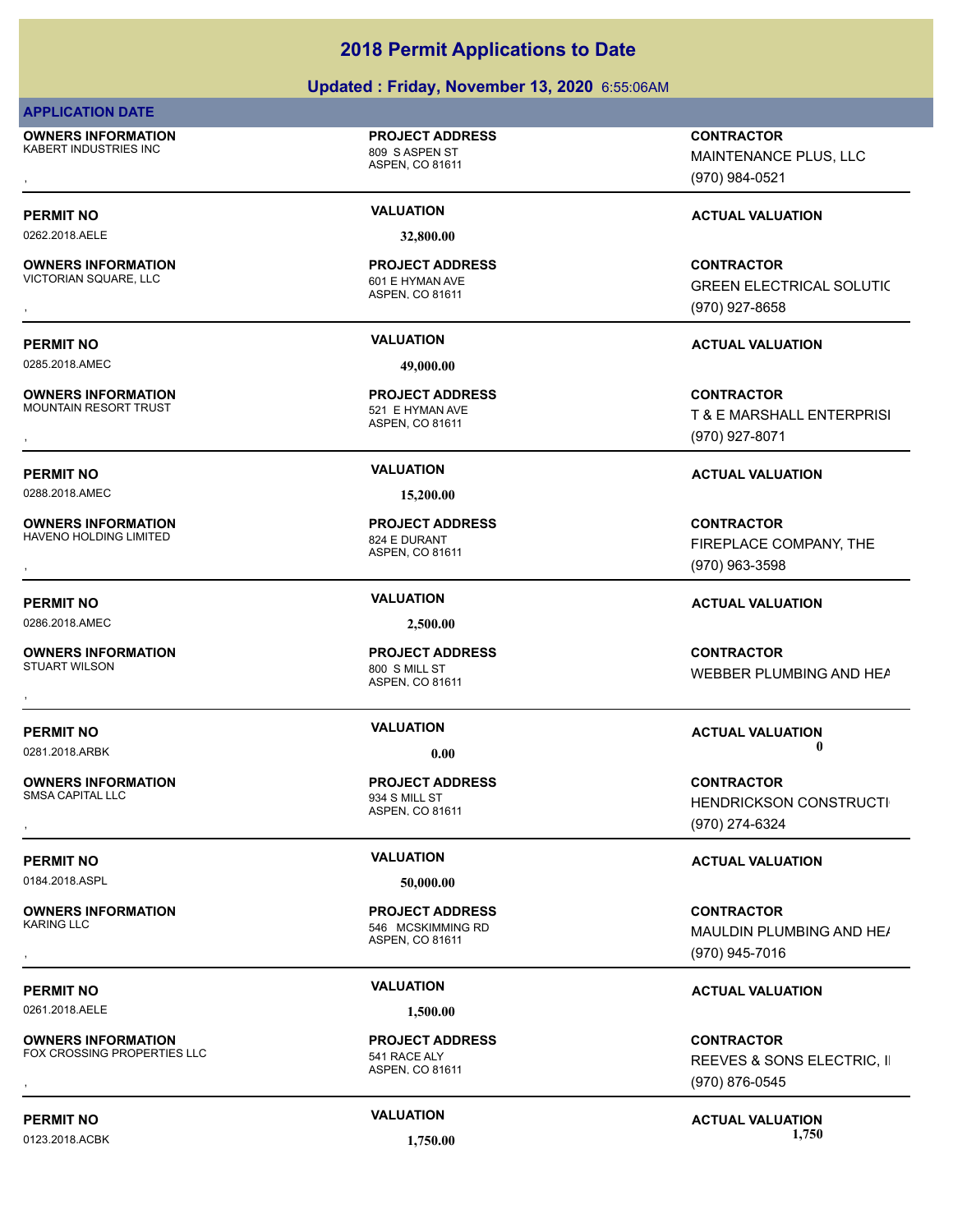### **Updated : Friday, November 13, 2020** 6:55:06AM

### **APPLICATION DATE**

**OWNERS INFORMATION** KABERT INDUSTRIES INC<br>
809 S ASPEN ST

### **PROJECT ADDRESS**

ASPEN, CO 81611

**OWNERS INFORMATION** VICTORIAN SQUARE, LLC<br>601 E HYMAN AVE

0285.2018.AMEC **49,000.00**

**OWNERS INFORMATION** MOUNTAIN RESORT TRUST **12000 FM CHANN AVE SETTED** 521 E HYMAN AVE

0288.2018.AMEC **15,200.00**

**OWNERS INFORMATION** HAVENO HOLDING LIMITED 824 E DURANT

0286.2018.AMEC **2,500.00**

**OWNERS INFORMATION**

**OWNERS INFORMATION**

0184.2018.ASPL **50,000.00**

**OWNERS INFORMATION**

0261.2018.AELE **1,500.00**

**OWNERS INFORMATION** FOX CROSSING PROPERTIES LLC 541 RACE ALY

0262.2018.AELE **32,800.00**

ASPEN, CO 81611 **PROJECT ADDRESS**

ASPEN, CO 81611 **PROJECT ADDRESS**

ASPEN, CO 81611 **PROJECT ADDRESS**

ASPEN, CO 81611 800 S MILL ST **PROJECT ADDRESS**

ASPEN, CO 81611

ASPEN, CO 81611 546 MCSKIMMING RD **PROJECT ADDRESS**

**PROJECT ADDRESS**

, **CONTRACTOR** MAINTENANCE PLUS, LLC (970) 984-0521

### **PERMIT NO VALUATION VALUATION VALUATION**

**OWNERS INFORMATION PROJECT ADDRESS CONTRACTOR**<br>VICTORIAN SQUARE, LLC 601 E HYMAN AVE GREEN ELECTRICAL SOLUTIC<br>, ASPEN, CO 81611 GREEN ELECTRICAL SOLUTIC (970) 927-8658

### **PERMIT NO VALUATION ACTUAL VALUATION**

**OWNERS INFORMATION PROJECT ADDRESS CONTRACTOR**<br>MOUNTAIN RESORT TRUST 521\_E HYMAN AVE T\_& E\_MARSHALL\_ENTERPRISI<br>, ASPEN. CO 81611 T & E MARSHALL ENTERPRISI (970) 927-8071

### **PERMIT NO VALUATION ACTUAL VALUATION**

**OWNERS INFORMATION PROJECT ADDRESS CONTRACTOR**<br>HAVENO HOLDING LIMITED 824 E DURANT FIREPLACE COMPANY, THE<br>, ASPEN, CO 81611 FIREPLACE COMPANY, THE (970) 963-3598

### **PERMIT NO VALUATION ACTUAL VALUATION**

, **CONTRACTOR** WEBBER PLUMBING AND HEAT

### **PERMIT NO CONSUMITY OF A CONSUMITY OF A CONSUMITY OF A CONSUMITY OF A CTUAL VALUATION** 0281.2018.ARBK **0.00 0.00**

, **CONTRACTOR** HENDRICKSON CONSTRUCTI (970) 274-6324

### **PERMIT NO VALUATION VALUATION VALUATION**

, **CONTRACTOR** MAULDIN PLUMBING AND HE/ (970) 945-7016

### **PERMIT NO VALUATION ACTUAL VALUATION**

**OWNERS INFORMATION METALLY REPORT OF A SERVIT ADDRESS CONTRACTOR CONTRACTOR**<br>FOX CROSSING PROPERTIES LLC THE SALT ASPEN, CO 81611 METAL METALLY THE SALT MEEVES & SONS ELECTRIC, II<br>REEVES & SONS ELECTRIC, II REEVES & SONS ELECTRIC, II (970) 876-0545

**PERMIT NO VALUATION ACTUAL VALUATION** 0123.2018.ACBK **1,750.00 1,750.00**

ASPEN, CO 81611

## 934 S MILL ST **PROJECT ADDRESS**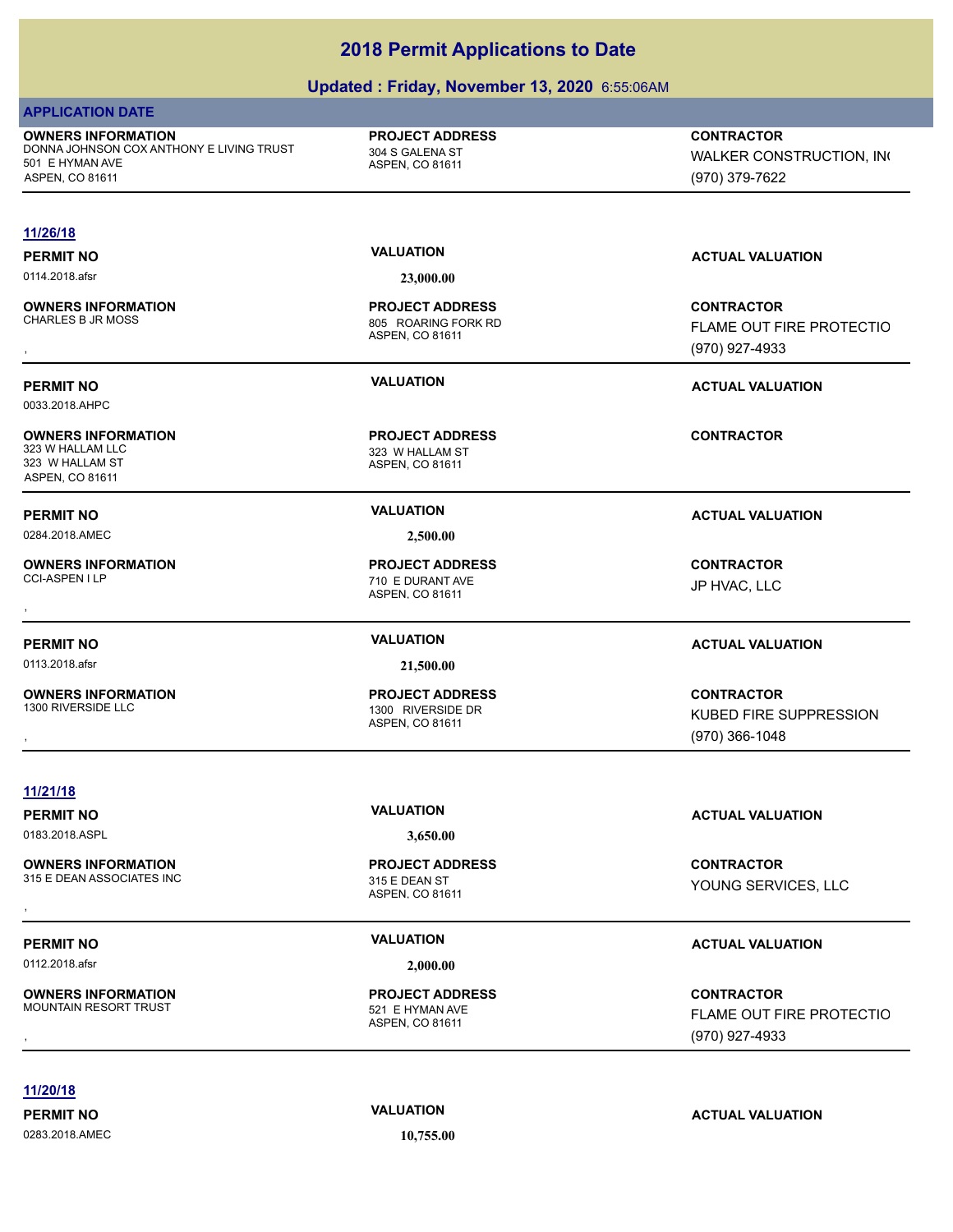### **Updated : Friday, November 13, 2020** 6:55:06AM

| <b>APPLICATION DATE</b>                                                                                     |                                                              |                                                                 |
|-------------------------------------------------------------------------------------------------------------|--------------------------------------------------------------|-----------------------------------------------------------------|
| <b>OWNERS INFORMATION</b><br>DONNA JOHNSON COX ANTHONY E LIVING TRUST<br>501 E HYMAN AVE<br>ASPEN, CO 81611 | <b>PROJECT ADDRESS</b><br>304 S GALENA ST<br>ASPEN, CO 81611 | <b>CONTRACTOR</b><br>WALKER CONSTRUCTION, INC<br>(970) 379-7622 |
|                                                                                                             |                                                              |                                                                 |
| 11/26/18                                                                                                    |                                                              |                                                                 |
| <b>PERMIT NO</b>                                                                                            | <b>VALUATION</b>                                             | <b>ACTUAL VALUATION</b>                                         |
| 0114.2018.afsr                                                                                              | 23,000.00                                                    |                                                                 |
| <b>OWNERS INFORMATION</b>                                                                                   | <b>PROJECT ADDRESS</b>                                       | <b>CONTRACTOR</b>                                               |
| <b>CHARLES B JR MOSS</b>                                                                                    | 805 ROARING FORK RD<br>ASPEN, CO 81611                       | FLAME OUT FIRE PROTECTIO                                        |
|                                                                                                             |                                                              | (970) 927-4933                                                  |
| <b>PERMIT NO</b>                                                                                            | <b>VALUATION</b>                                             | <b>ACTUAL VALUATION</b>                                         |
| 0033.2018.AHPC                                                                                              |                                                              |                                                                 |
| <b>OWNERS INFORMATION</b>                                                                                   | <b>PROJECT ADDRESS</b>                                       | <b>CONTRACTOR</b>                                               |
| 323 W HALLAM LLC                                                                                            | 323 W HALLAM ST                                              |                                                                 |
| 323 W HALLAM ST<br>ASPEN, CO 81611                                                                          | ASPEN, CO 81611                                              |                                                                 |
| <b>PERMIT NO</b>                                                                                            | <b>VALUATION</b>                                             | <b>ACTUAL VALUATION</b>                                         |
| 0284.2018.AMEC                                                                                              | 2,500.00                                                     |                                                                 |
|                                                                                                             |                                                              |                                                                 |
| <b>OWNERS INFORMATION</b><br>CCI-ASPEN I LP                                                                 | <b>PROJECT ADDRESS</b><br>710 E DURANT AVE                   | <b>CONTRACTOR</b>                                               |
|                                                                                                             | ASPEN, CO 81611                                              | JP HVAC, LLC                                                    |
|                                                                                                             |                                                              |                                                                 |
| <b>PERMIT NO</b>                                                                                            | <b>VALUATION</b>                                             | <b>ACTUAL VALUATION</b>                                         |
| 0113.2018.afsr                                                                                              | 21,500.00                                                    |                                                                 |
| <b>OWNERS INFORMATION</b>                                                                                   | <b>PROJECT ADDRESS</b>                                       | <b>CONTRACTOR</b>                                               |
| 1300 RIVERSIDE LLC                                                                                          | 1300 RIVERSIDE DR<br>ASPEN, CO 81611                         | KUBED FIRE SUPPRESSION                                          |
|                                                                                                             |                                                              | $(970)$ 366-1048                                                |
|                                                                                                             |                                                              |                                                                 |
| 11/21/18                                                                                                    |                                                              |                                                                 |
| <b>PERMIT NO</b>                                                                                            | <b>VALUATION</b>                                             | <b>ACTUAL VALUATION</b>                                         |
| 0183.2018.ASPL                                                                                              | 3,650.00                                                     |                                                                 |
| <b>OWNERS INFORMATION</b>                                                                                   | <b>PROJECT ADDRESS</b>                                       | <b>CONTRACTOR</b>                                               |
| 315 E DEAN ASSOCIATES INC                                                                                   | 315 E DEAN ST                                                |                                                                 |

0112.2018.afsr **2,000.00**

**OWNERS INFORMATION** MOUNTAIN RESORT TRUST 521 E HYMAN AVE

**11/20/18**

0283.2018.AMEC **10,755.00**

ASPEN, CO 81611

**PROJECT ADDRESS**

### **PERMIT NO CONSUMITY ACTUAL VALUATION VALUATION VALUATION**

, **CONTRACTOR** FLAME OUT FIRE PROTECTIO (970) 927-4933

**PERMIT NO VALUATION VALUATION VALUATION**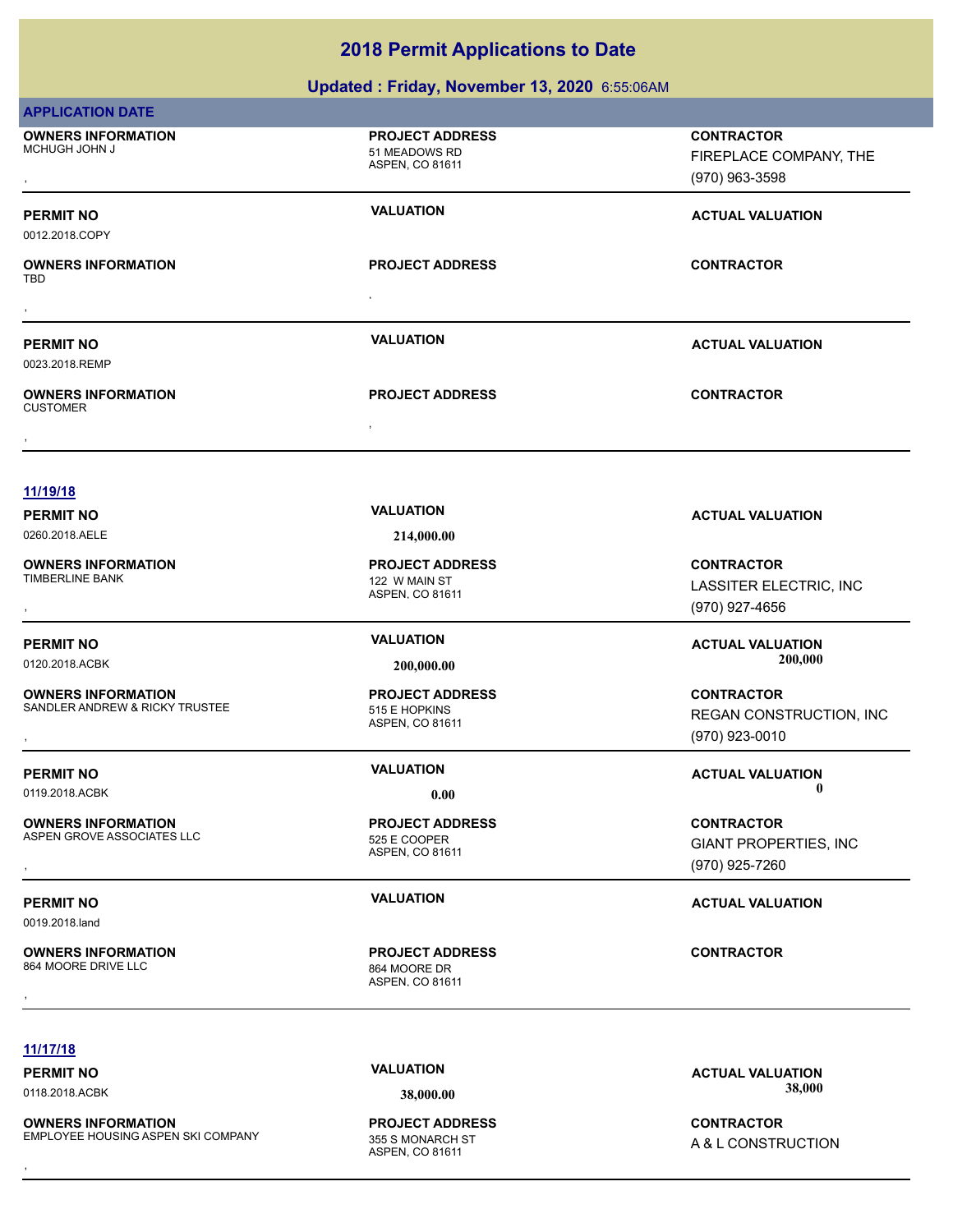### **Updated : Friday, November 13, 2020** 6:55:06AM

| <b>APPLICATION DATE</b>                                     |                                                            |                                                                     |
|-------------------------------------------------------------|------------------------------------------------------------|---------------------------------------------------------------------|
| <b>OWNERS INFORMATION</b><br>MCHUGH JOHN J                  | <b>PROJECT ADDRESS</b><br>51 MEADOWS RD<br>ASPEN, CO 81611 | <b>CONTRACTOR</b><br>FIREPLACE COMPANY, THE<br>(970) 963-3598       |
| <b>PERMIT NO</b><br>0012.2018.COPY                          | <b>VALUATION</b>                                           | <b>ACTUAL VALUATION</b>                                             |
| <b>OWNERS INFORMATION</b><br>TBD                            | <b>PROJECT ADDRESS</b>                                     | <b>CONTRACTOR</b>                                                   |
|                                                             |                                                            |                                                                     |
| <b>PERMIT NO</b><br>0023.2018.REMP                          | <b>VALUATION</b>                                           | <b>ACTUAL VALUATION</b>                                             |
| <b>OWNERS INFORMATION</b><br><b>CUSTOMER</b>                | <b>PROJECT ADDRESS</b>                                     | <b>CONTRACTOR</b>                                                   |
|                                                             |                                                            |                                                                     |
| 11/19/18                                                    |                                                            |                                                                     |
| <b>PERMIT NO</b>                                            | <b>VALUATION</b>                                           | <b>ACTUAL VALUATION</b>                                             |
| 0260.2018.AELE                                              | 214,000.00                                                 |                                                                     |
| <b>OWNERS INFORMATION</b><br><b>TIMBERLINE BANK</b>         | <b>PROJECT ADDRESS</b><br>122 W MAIN ST<br>ASPEN, CO 81611 | <b>CONTRACTOR</b><br>LASSITER ELECTRIC, INC<br>(970) 927-4656       |
| <b>PERMIT NO</b><br>0120.2018.ACBK                          | <b>VALUATION</b><br>200,000.00                             | <b>ACTUAL VALUATION</b><br>200,000                                  |
| <b>OWNERS INFORMATION</b><br>SANDLER ANDREW & RICKY TRUSTEE | <b>PROJECT ADDRESS</b><br>515 E HOPKINS<br>ASPEN, CO 81611 | <b>CONTRACTOR</b><br>REGAN CONSTRUCTION, INC<br>(970) 923-0010      |
| <b>PERMIT NO</b>                                            | <b>VALUATION</b>                                           | <b>ACTUAL VALUATION</b>                                             |
| 0119.2018.ACBK                                              | 0.00                                                       | $\mathbf 0$                                                         |
| <b>OWNERS INFORMATION</b><br>ASPEN GROVE ASSOCIATES LLC     | <b>PROJECT ADDRESS</b><br>525 E COOPER<br>ASPEN, CO 81611  | <b>CONTRACTOR</b><br><b>GIANT PROPERTIES, INC</b><br>(970) 925-7260 |
| <b>PERMIT NO</b><br>0019.2018.land                          | <b>VALUATION</b>                                           | <b>ACTUAL VALUATION</b>                                             |
| <b>OWNERS INFORMATION</b><br>864 MOORE DRIVE LLC            | <b>PROJECT ADDRESS</b><br>864 MOORE DR<br>ASPEN, CO 81611  | <b>CONTRACTOR</b>                                                   |
|                                                             |                                                            |                                                                     |
| 11/17/18                                                    |                                                            |                                                                     |

**OWNERS INFORMATION** EMPLOYEE HOUSING ASPEN SKI COMPANY **OWNERS INFORMATION SALE COMPANY REPOLECT ADDRESS ARE:**<br>EMPLOYEE HOUSING ASPEN SKI COMPANY 355 S MONARCH ST A & L CONSTRUCTION A & L CONSTRUCTION A & L CONSTRUCTION ASPEN. CO 81611

ASPEN, CO 81611 **PROJECT ADDRESS**

**PERMIT NO**<br> **VALUATION**<br> **VALUATION**<br> **VALUATION**<br> **VALUATION**<br> **VALUATION**<br> **VALUATION**<br> **VALUATION**<br> **VALUATION** 0118.2018.ACBK **38,000.00 38,000.00**

A & L CONSTRUCTION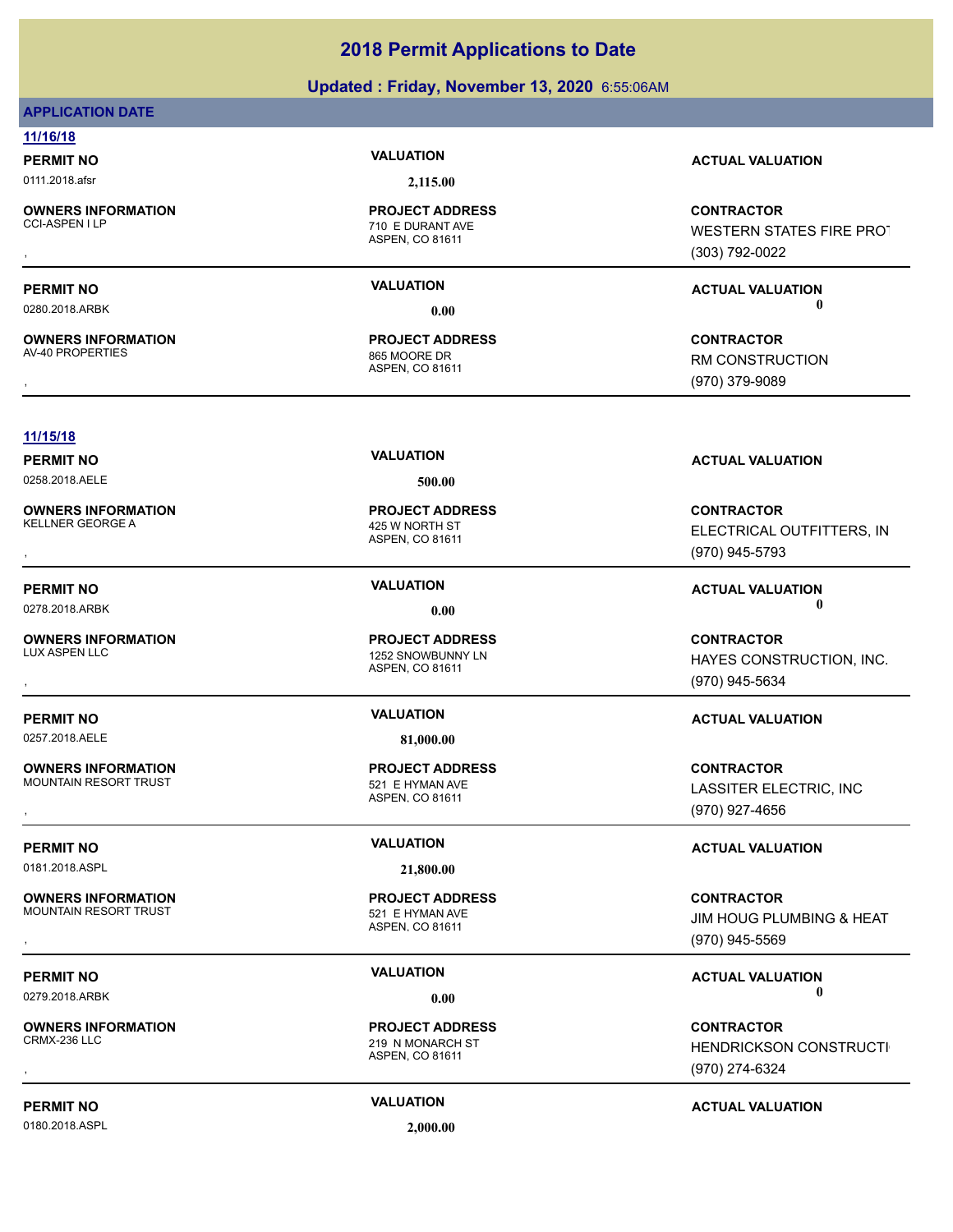### **Updated : Friday, November 13, 2020** 6:55:06AM

### **APPLICATION DATE**

**11/16/18**

0111.2018.afsr **2,115.00**

**OWNERS INFORMATION**

**OWNERS INFORMATION** AV-40 PROPERTIES 865 MOORE DR

ASPEN, CO 81611 CCI-ASPEN I LP 710 E DURANT AVE **PROJECT ADDRESS**

ASPEN, CO 81611 **PROJECT ADDRESS**

### **PERMIT NO VALUATION ACTUAL VALUATION**

, **CONTRACTOR** WESTERN STATES FIRE PROT (303) 792-0022

**PERMIT NO VALUATION VALUATION VALUATION** 0280.2018.ARBK **0.00 0.00**

, **CONTRACTOR** RM CONSTRUCTION (970) 379-9089

### **11/15/18**

0258.2018.AELE **500.00**

**OWNERS INFORMATION**<br>KELLNER GEORGE A

**OWNERS INFORMATION**

**OWNERS INFORMATION**<br>**MOUNTAIN RESORT TRUST** 

0181.2018.ASPL **21,800.00**

**OWNERS INFORMATION** MOUNTAIN RESORT TRUST **1200 FMS 100 FMS 100 FMS 100 FMS 100 FMS 100 FMS 100 FMS 100 FMS 100 FMS 100 FMS 100 FMS** 

**OWNERS INFORMATION**

0180.2018.ASPL **2,000.00**

ASPEN, CO 81611 425 W NORTH ST **PROJECT ADDRESS**

ASPEN, CO 81611 1252 SNOWBUNNY LN **PROJECT ADDRESS**

0257.2018.AELE **81,000.00**

ASPEN, CO 81611 521 E HYMAN AVE **PROJECT ADDRESS**

ASPEN, CO 81611 **PROJECT ADDRESS**

219 N MONARCH ST **PROJECT ADDRESS**

ASPEN, CO 81611

**PERMIT NO VALUATION ACTUAL VALUATION**

, **CONTRACTOR** ELECTRICAL OUTFITTERS, INC (970) 945-5793

**PERMIT NO VALUATION VALUATION VALUATION** 0278.2018.ARBK **0.00 0.00**

, **CONTRACTOR** HAYES CONSTRUCTION, INC. (970) 945-5634

### **PERMIT NO VALUATION VALUATION VALUATION**

, **CONTRACTOR** LASSITER ELECTRIC, INC (970) 927-4656

**PERMIT NO CONSUMITY OF A CONSUMITY OF A CONSUMITY OF A CONSUMITY OF A CTUAL VALUATION** 

, **CONTRACTOR** JIM HOUG PLUMBING & HEAT (970) 945-5569

**PERMIT NO VALUATION ACTUAL VALUATION** 0279.2018.ARBK **0.00 0.00**

, **CONTRACTOR HENDRICKSON CONSTRUCTI** (970) 274-6324

### **PERMIT NO VALUATION ACTUAL VALUATION**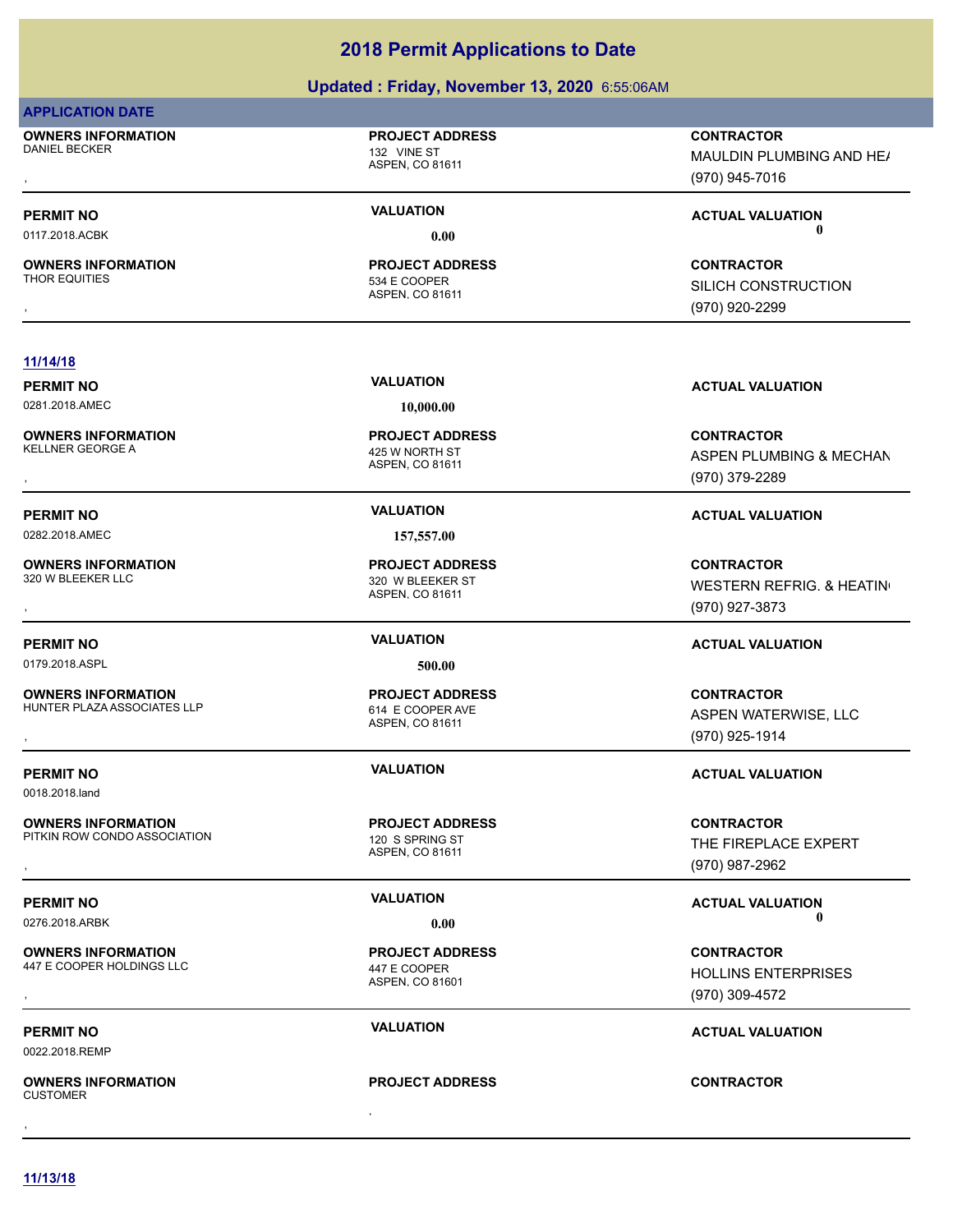### **Updated : Friday, November 13, 2020** 6:55:06AM

### **APPLICATION DATE**

**OWNERS INFORMATION** DANIEL BECKER 132 VINE ST

### **PROJECT ADDRESS**

ASPEN, CO 81611

**OWNERS INFORMATION**

### ASPEN, CO 81611 534 E COOPFR **PROJECT ADDRESS**

, **CONTRACTOR** MAULDIN PLUMBING AND HE/ (970) 945-7016

### **PERMIT NO VALUATION ACTUAL VALUATION** 0117.2018.ACBK **0.00 0.00**

, **CONTRACTOR** SILICH CONSTRUCTION (970) 920-2299

### **11/14/18**

0281.2018.AMEC **10,000.00**

**OWNERS INFORMATION** KELLNER GEORGE A 425 W NORTH ST

**OWNERS INFORMATION**

0179.2018.ASPL **500.00**

**OWNERS INFORMATION** HUNTER PLAZA ASSOCIATES LLP<br>614 E COOPER AVE

0018.2018.land

**OWNERS INFORMATION** PITKIN ROW CONDO ASSOCIATION 120 S SPRING ST

**OWNERS INFORMATION** 447 E COOPER HOLDINGS LLC 447 E COOPER

0022.2018.REMP

, **OWNERS INFORMATION CUSTOMER** , **CONTRACTOR**

ASPEN, CO 81611 **PROJECT ADDRESS**

0282.2018.AMEC **157,557.00**

ASPEN, CO 81611 320 W BLEEKER ST **PROJECT ADDRESS**

ASPEN, CO 81611 **PROJECT ADDRESS**

ASPEN, CO 81611 **PROJECT ADDRESS**

ASPEN, CO 81601 **PROJECT ADDRESS**

### **PROJECT ADDRESS**

**PERMIT NO VALUATION VALUATION VALUATION** 

, **CONTRACTOR** ASPEN PLUMBING & MECHAN (970) 379-2289

### **PERMIT NO VALUATION ACTUAL VALUATION**

, **CONTRACTOR** WESTERN REFRIG. & HEATING (970) 927-3873

### **PERMIT NO VALUATION ACTUAL VALUATION**

**OWNERS INFORMATION LETTLE SERVICE PROJECT ADDRESS ARE SERVICE CONTRACTOR CONTRACTOR**<br>HUNTER PLAZA ASSOCIATES LLP ASPEN ASPEN. CO 81611<br>, GTO) 925-1914 ASPEN WATERWISE, LLC (970) 925-1914

### **PERMIT NO VALUATION ACTUAL VALUATION**

, **CONTRACTOR** THE FIREPLACE EXPERT (970) 987-2962

### **PERMIT NO VALUATION ACTUAL VALUATION** 0276.2018.ARBK **0.00 0.00**

**OWNERS INFORMATION CONTRACTOR REPORT OF PROJECT ADDRESS CONTRACTOR CONTRACTOR**<br>447 E COOPER HOLDINGS LLC A ASPEN, CO 81601<br>ASPEN, CO 81601 (970) 309-4572 HOLLINS ENTERPRISES (970) 309-4572

### **PERMIT NO CONSUMITY OF A CONSUMITY OF A CONSUMITY OF A CONSUMITY OF A CTUAL VALUATION**

**11/13/18**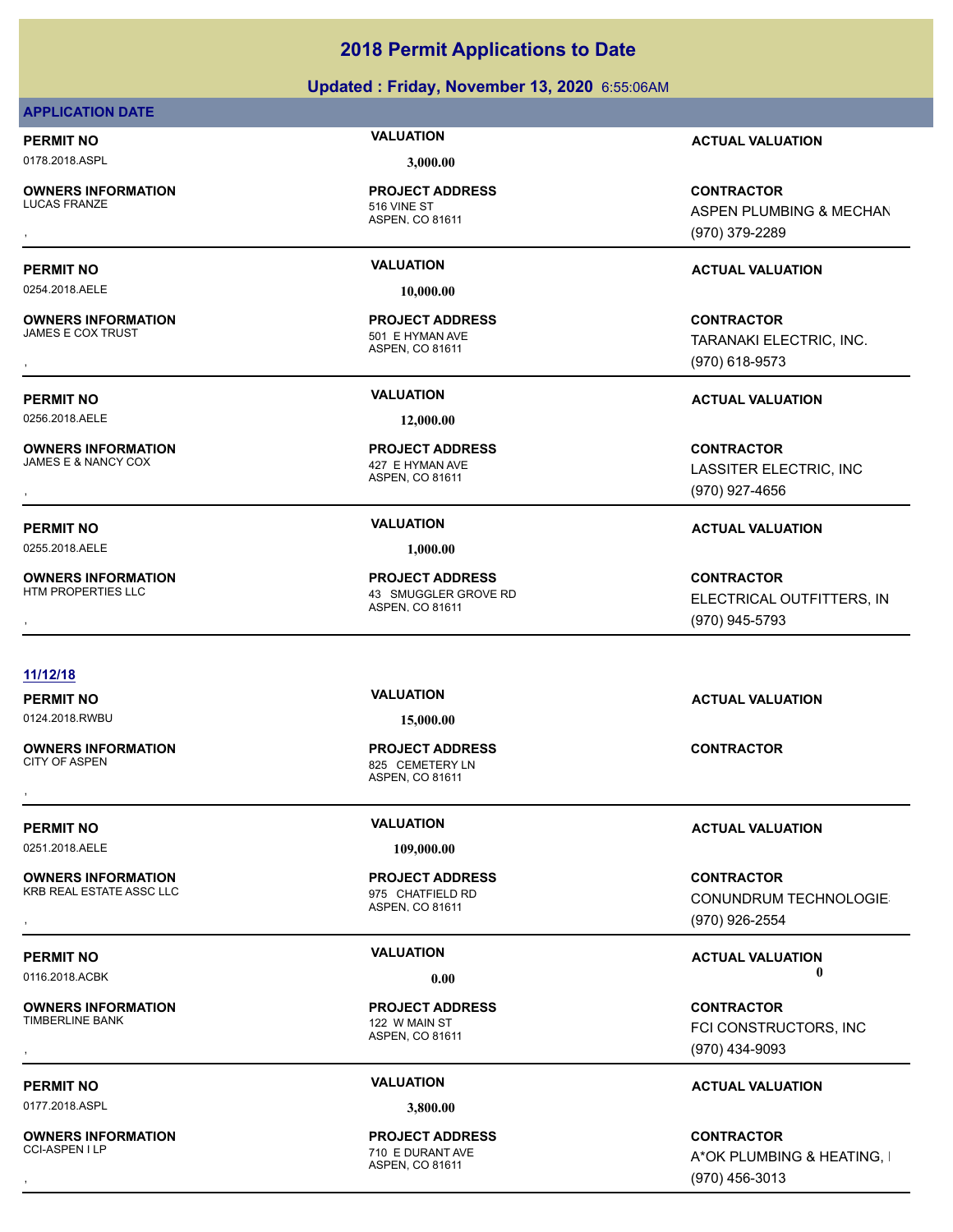### **Updated : Friday, November 13, 2020** 6:55:06AM

### **APPLICATION DATE**

0178.2018.ASPL **3,000.00**

**OWNERS INFORMATION** LUCAS FRANZE 2001 2002 12:00 12:00 13:00 15:00 15:00 15:00 15:00 15:00 15:00 15:00 15:00 15:00 15:00 15:00 15:0

### ASPEN, CO 81611 **PROJECT ADDRESS**

0254.2018.AELE **10,000.00**

**OWNERS INFORMATION**

0256.2018.AELE **12,000.00**

**OWNERS INFORMATION**

0255.2018.AELE **1,000.00**

**OWNERS INFORMATION**

ASPEN, CO 81611 501 E HYMAN AVE **PROJECT ADDRESS**

ASPEN, CO 81611 427 E HYMAN AVE **PROJECT ADDRESS**

ASPEN, CO 81611 43 SMUGGLER GROVE RD **PROJECT ADDRESS**

### **11/12/18**

0124.2018.RWBU **15,000.00**

**OWNERS INFORMATION**

0251.2018.AELE **109,000.00**

**OWNERS INFORMATION** KRB REAL ESTATE ASSC LLC **CONTRANTS AND REAL ESTATE ASSC LLC** 

**OWNERS INFORMATION**<br>TIMBERLINE BANK

0177.2018.ASPL **3,800.00**

**OWNERS INFORMATION**

ASPEN, CO 81611 825 CEMETERY LN **PROJECT ADDRESS** , **CONTRACTOR**

ASPEN, CO 81611 **PROJECT ADDRESS**

ASPEN, CO 81611 122 W MAIN ST **PROJECT ADDRESS**

ASPEN, CO 81611 710 E DURANT AVE **PROJECT ADDRESS**

**PERMIT NO VALUATION ACTUAL VALUATION**

, **CONTRACTOR** ASPEN PLUMBING & MECHAN (970) 379-2289

### **PERMIT NO VALUATION ACTUAL VALUATION**

, **CONTRACTOR** TARANAKI ELECTRIC, INC. (970) 618-9573

**PERMIT NO VALUATION ACTUAL VALUATION**

, **CONTRACTOR** LASSITER ELECTRIC, INC (970) 927-4656

### **PERMIT NO VALUATION ACTUAL VALUATION**

, **CONTRACTOR** ELECTRICAL OUTFITTERS, INC (970) 945-5793

**PERMIT NO VALUATION ACTUAL VALUATION**

### **PERMIT NO VALUATION ACTUAL VALUATION**

, **CONTRACTOR** CONUNDRUM TECHNOLOGIES (970) 926-2554

### **PERMIT NO VALUATION VALUATION VALUATION** 0116.2018.ACBK **0.00 0.00**

, **CONTRACTOR** FCI CONSTRUCTORS, INC (970) 434-9093

### **PERMIT NO VALUATION ACTUAL VALUATION**

, **CONTRACTOR** A\*OK PLUMBING & HEATING, I (970) 456-3013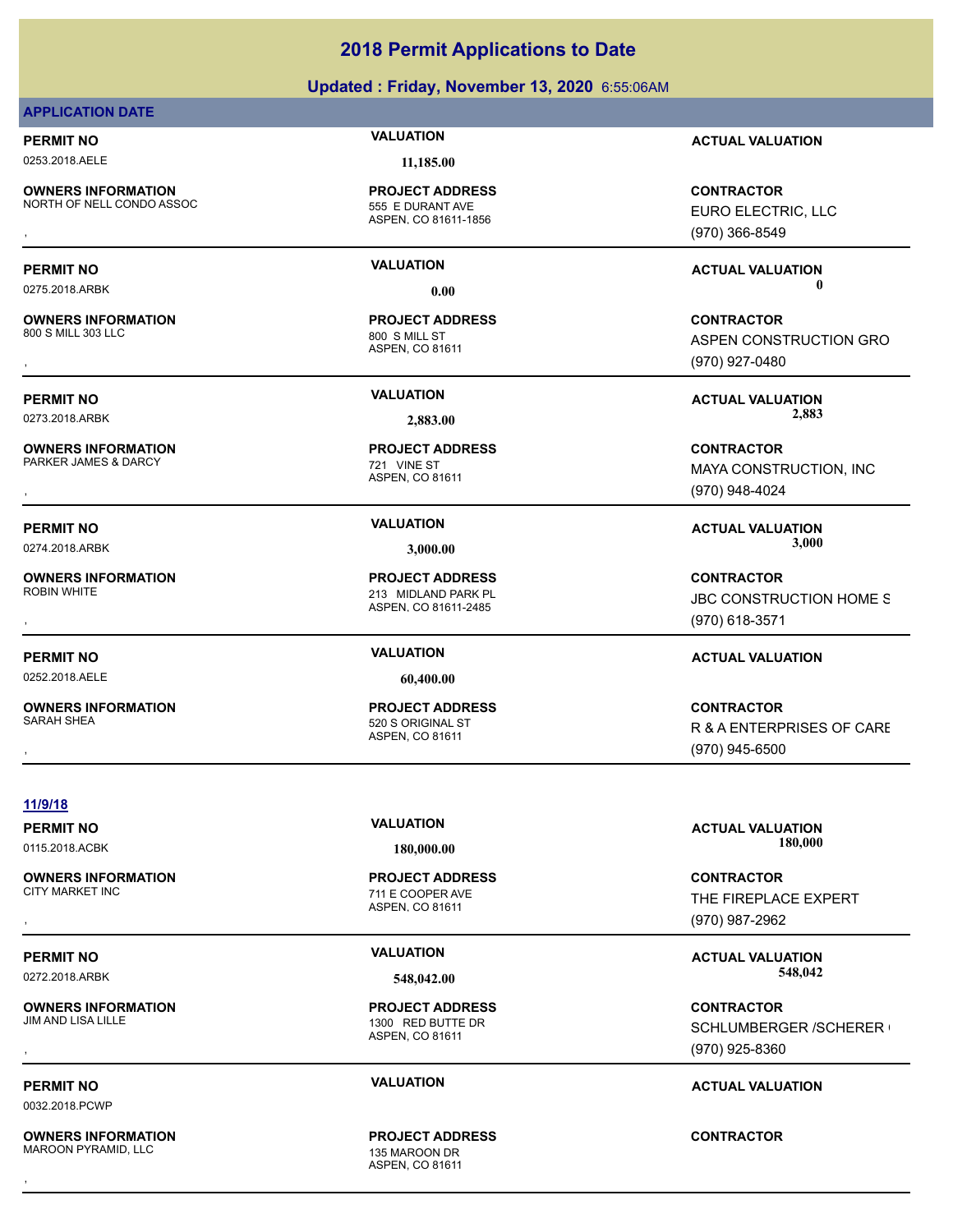### **Updated : Friday, November 13, 2020** 6:55:06AM

### **APPLICATION DATE**

0253.2018.AELE **11,185.00**

**OWNERS INFORMATION** NORTH OF NELL CONDO ASSOC 555 E DURANT AVE

ASPEN, CO 81611-1856 **PROJECT ADDRESS**

**OWNERS INFORMATION**

**OWNERS INFORMATION** PARKER JAMES & DARCY 721 VINE ST

**OWNERS INFORMATION**

0252.2018.AELE **60,400.00**

**OWNERS INFORMATION** SARAH SHEA 520 S ORIGINAL ST

**PERMIT NO VALUATION ACTUAL VALUATION** 0275.2018.ARBK **0.00 0.00**

> ASPEN, CO 81611 800 S MILL ST **PROJECT ADDRESS**

ASPEN, CO 81611 **PROJECT ADDRESS**

ASPEN, CO 81611-2485 213 MIDLAND PARK PL **PROJECT ADDRESS**

ASPEN, CO 81611 **PROJECT ADDRESS**

**PERMIT NO VALUATION ACTUAL VALUATION**

, **CONTRACTOR** EURO ELECTRIC, LLC (970) 366-8549

, **CONTRACTOR** ASPEN CONSTRUCTION GRO (970) 927-0480

**PERMIT NO VALUATION ACTUAL VALUATION** 0273.2018.ARBK **2,883.00 2,883.00**

, **CONTRACTOR** MAYA CONSTRUCTION, INC (970) 948-4024

PERMIT NO **SALUATION VALUATION CONSIDERENT ACTUAL VALUATION ACTUAL VALUATION** 0274.2018.ARBK **3,000.00 3,000.00**

, **CONTRACTOR** JBC CONSTRUCTION HOME S (970) 618-3571

### **PERMIT NO VALUATION ACTUAL VALUATION**

, **CONTRACTOR** R & A ENTERPRISES OF CARE (970) 945-6500

**11/9/18**

**OWNERS INFORMATION**

**OWNERS INFORMATION**

0032.2018.PCWP

**OWNERS INFORMATION** MAROON PYRAMID, LLC 135 MAROON DR

ASPEN, CO 81611 711 E COOPER AVE **PROJECT ADDRESS**

ASPEN, CO 81611 1300 RED BUTTE DR **PROJECT ADDRESS**

ASPEN, CO 81611 **PROJECT ADDRESS** , **CONTRACTOR**

**PERMIT NO VALUATION ACTUAL VALUATION** 0115.2018.ACBK **180,000.00 180,000.00**

, **CONTRACTOR** THE FIREPLACE EXPERT (970) 987-2962

**PERMIT NO VALUATION ACTUAL VALUATION** 0272.2018.ARBK **548,042.00 548,042.00**

, **CONTRACTOR** SCHLUMBERGER / SCHERER ( (970) 925-8360

### **PERMIT NO VALUATION ACTUAL VALUATION**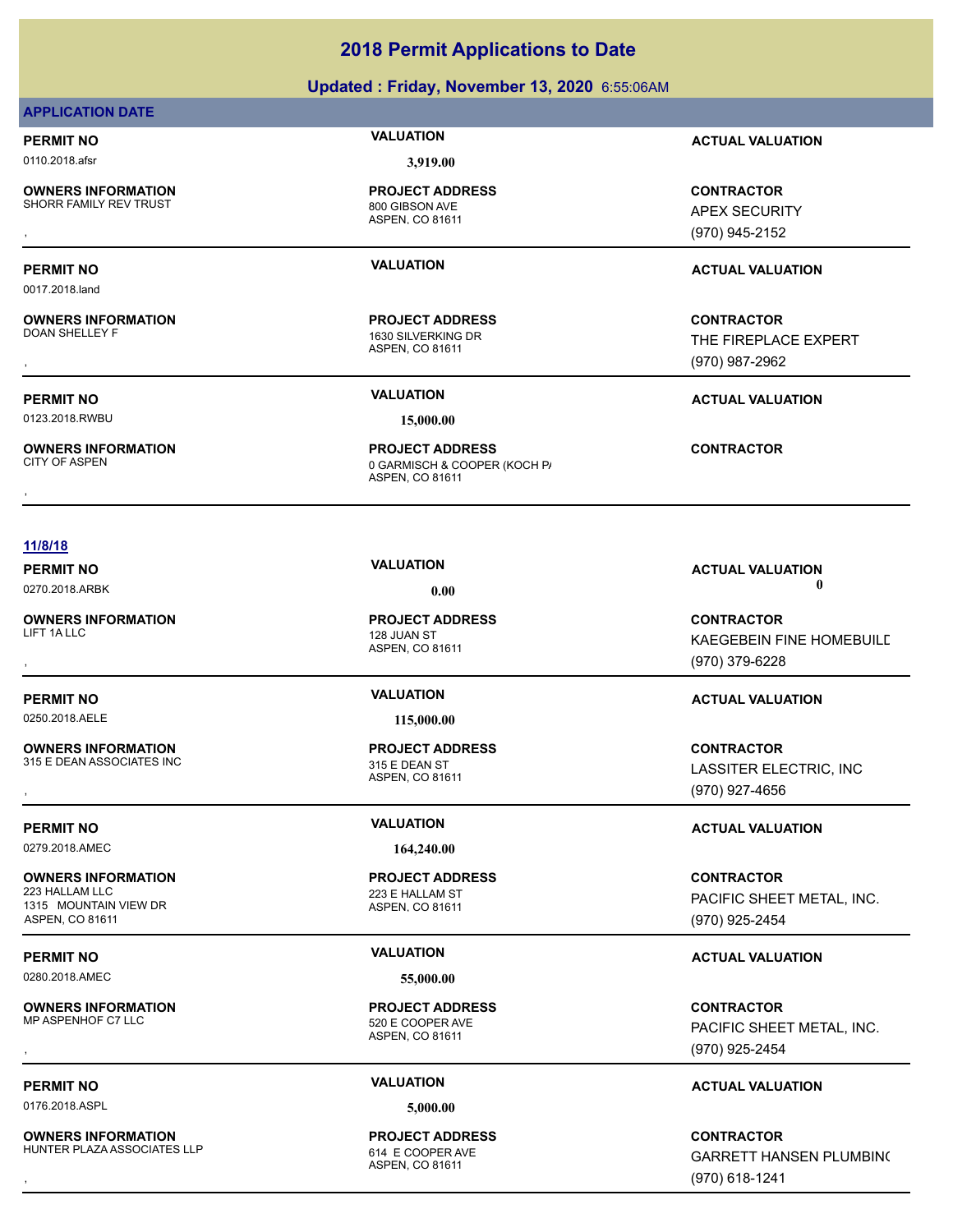### **Updated : Friday, November 13, 2020** 6:55:06AM

### **APPLICATION DATE**

0110.2018.afsr **3,919.00**

0017.2018.land

**OWNERS INFORMATION** SHORR FAMILY REV TRUST 800 GIBSON AVE

**OWNERS INFORMATION**

**OWNERS INFORMATION**

ASPEN, CO 81611 **PROJECT ADDRESS**

ASPEN, CO 81611 1630 SILVERKING DR **PROJECT ADDRESS**

0123.2018.RWBU **15,000.00**

ASPEN, CO 81611 0 GARMISCH & COOPER (KOCH P/ **PROJECT ADDRESS OWNERS INFORMATION FROJECT ADDRESS CONTRACTOR**<br>CITY OF ASPEN **CONTRACTOR** O GARMISCH & COOPER (KOCH P)<br>ASPEN, CO 81611

**PERMIT NO VALUATION ACTUAL VALUATION**

, **CONTRACTOR** APEX SECURITY (970) 945-2152

### **PERMIT NO VALUATION ACTUAL VALUATION**

, **CONTRACTOR** THE FIREPLACE EXPERT (970) 987-2962

**PERMIT NO VALUATION ACTUAL VALUATION**

**11/8/18**

# 0270.2018.ARBK **0.00 0.00**

**OWNERS INFORMATION**

0250.2018.AELE **115,000.00**

**OWNERS INFORMATION** 315 E DEAN ASSOCIATES INC<br>315 E DEAN ST

0279.2018.AMEC **164,240.00**

**OWNERS INFORMATION** 1315 MOUNTAIN VIEW DR ASPEN, CO 81611

0280.2018.AMEC **55,000.00**

**OWNERS INFORMATION**

0176.2018.ASPL **5,000.00**

**OWNERS INFORMATION** HUNTER PLAZA ASSOCIATES LLP 614 E COOPER AVE

ASPEN, CO 81611 LIFT 1A LLC 2008 THE RESERVE TO A 228 JUAN ST **PROJECT ADDRESS**

ASPEN, CO 81611 **PROJECT ADDRESS**

ASPEN, CO 81611 223 E HALLAM ST **PROJECT ADDRESS**

ASPEN, CO 81611 520 E COOPER AVE **PROJECT ADDRESS**

ASPEN, CO 81611 **PROJECT ADDRESS**

**PERMIT NO VALUATION ACTUAL VALUATION**

, **CONTRACTOR** KAEGEBEIN FINE HOMEBUILD (970) 379-6228

### **PERMIT NO VALUATION ACTUAL VALUATION**

**OWNERS INFORMATION GOVERNED BY A SET OF PROJECT ADDRESS CONTRACTOR CONTRACTOR**<br>315 E DEAN ASSOCIATES INC GOVERNED BY STAGE OF A SPEN, CO 81611<br>, GOVERNED BY STAGE ASPEN, CO 81611 GOVERNED BY STAGE (970) 927-4656 LASSITER ELECTRIC, INC (970) 927-4656

### **PERMIT NO VALUATION ACTUAL VALUATION**

**CONTRACTOR** PACIFIC SHEET METAL, INC. (970) 925-2454

### **PERMIT NO VALUATION ACTUAL VALUATION**

, **CONTRACTOR** PACIFIC SHEET METAL, INC. (970) 925-2454

### **PERMIT NO VALUATION ACTUAL VALUATION**

, **CONTRACTOR** GARRETT HANSEN PLUMBING (970) 618-1241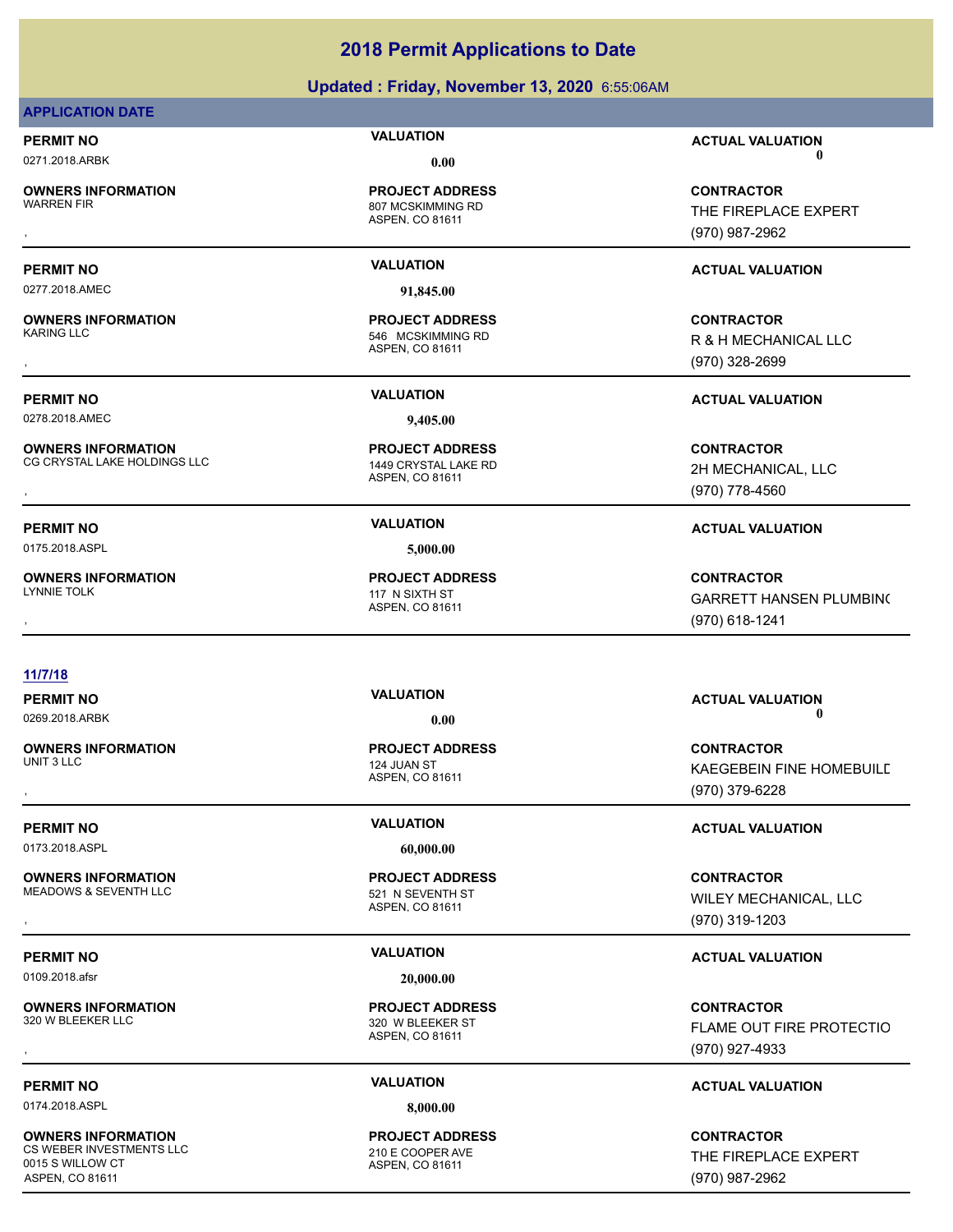### **Updated : Friday, November 13, 2020** 6:55:06AM

### **APPLICATION DATE**

**OWNERS INFORMATION**

### ASPEN, CO 81611 807 MCSKIMMING RD

0277.2018.AMEC **91,845.00**

**OWNERS INFORMATION**

0278.2018.AMEC **9,405.00**

**OWNERS INFORMATION** CG CRYSTAL LAKE HOLDINGS LLC 1449 CRYSTAL LAKE RD

0175.2018.ASPL **5,000.00**

**OWNERS INFORMATION**

# **PROJECT ADDRESS**

ASPEN, CO 81611 546 MCSKIMMING RD **PROJECT ADDRESS**

ASPEN, CO 81611

**11/7/18**

**OWNERS INFORMATION**<br>UNIT 3 LLC

0173.2018.ASPL **60,000.00**

**OWNERS INFORMATION** MEADOWS & SEVENTH LLC 521 N SEVENTH ST

0109.2018.afsr **20,000.00**

**OWNERS INFORMATION**

0174.2018.ASPL **8,000.00**

**OWNERS INFORMATION** CS WEBER INVESTMENTS LLC 210 E COOPER AVE 0015 S WILLOW CT ASPEN, CO 81611

ASPEN, CO 81611 124 JUAN ST **PROJECT ADDRESS**

ASPEN, CO 81611 **PROJECT ADDRESS**

ASPEN, CO 81611 320 W BLEEKER ST **PROJECT ADDRESS**

ASPEN, CO 81611 **PROJECT ADDRESS**

**PERMIT NO VALUATION ACTUAL VALUATION** 0271.2018.ARBK **0.00 0.00**

, **CONTRACTOR** THE FIREPLACE EXPERT (970) 987-2962

### **PERMIT NO VALUATION ACTUAL VALUATION**

, **CONTRACTOR** R & H MECHANICAL LLC (970) 328-2699

**PERMIT NO VALUATION ACTUAL VALUATION**

**OWNERS INFORMATION METALLY SERVICE TO A PROJECT ADDRESS ARE:**<br>CG CRYSTAL LAKE HOLDINGS LLC METALLY MERRIC ASPEN, CO 81611 MEGHANICAL, LLC MECHANICAL, LLC MEGHANICAL, LLC ME<br>REPEN, CO 81611 METALLY MEGHANICAL, LLC METALLY 2H MECHANICAL, LLC (970) 778-4560

### **PERMIT NO VALUATION ACTUAL VALUATION**

, **CONTRACTOR** GARRETT HANSEN PLUMBING (970) 618-1241

### **PERMIT NO VALUATION ACTUAL VALUATION** 0269.2018.ARBK **0.00 0.00**

, **CONTRACTOR** KAEGEBEIN FINE HOMEBUILD (970) 379-6228

### **PERMIT NO VALUATION ACTUAL VALUATION**

**OWNERS INFORMATION PROJECT ADDRESS CONTRACTOR**<br>MEADOWS & SEVENTH LLC 521 N SEVENTH ST WILEY MECHANICAL, LLC<br>, ASPEN. CO 81611 WILEY MECHANICAL, LLC (970) 319-1203

### **PERMIT NO VALUATION ACTUAL VALUATION**

, **CONTRACTOR FLAME OUT FIRE PROTECTIO** (970) 927-4933

### **PERMIT NO VALUATION ACTUAL VALUATION**

**CONTRACTOR** THE FIREPLACE EXPERT (970) 987-2962

# **PROJECT ADDRESS**

ASPEN, CO 81611 117 N SIXTH ST **PROJECT ADDRESS**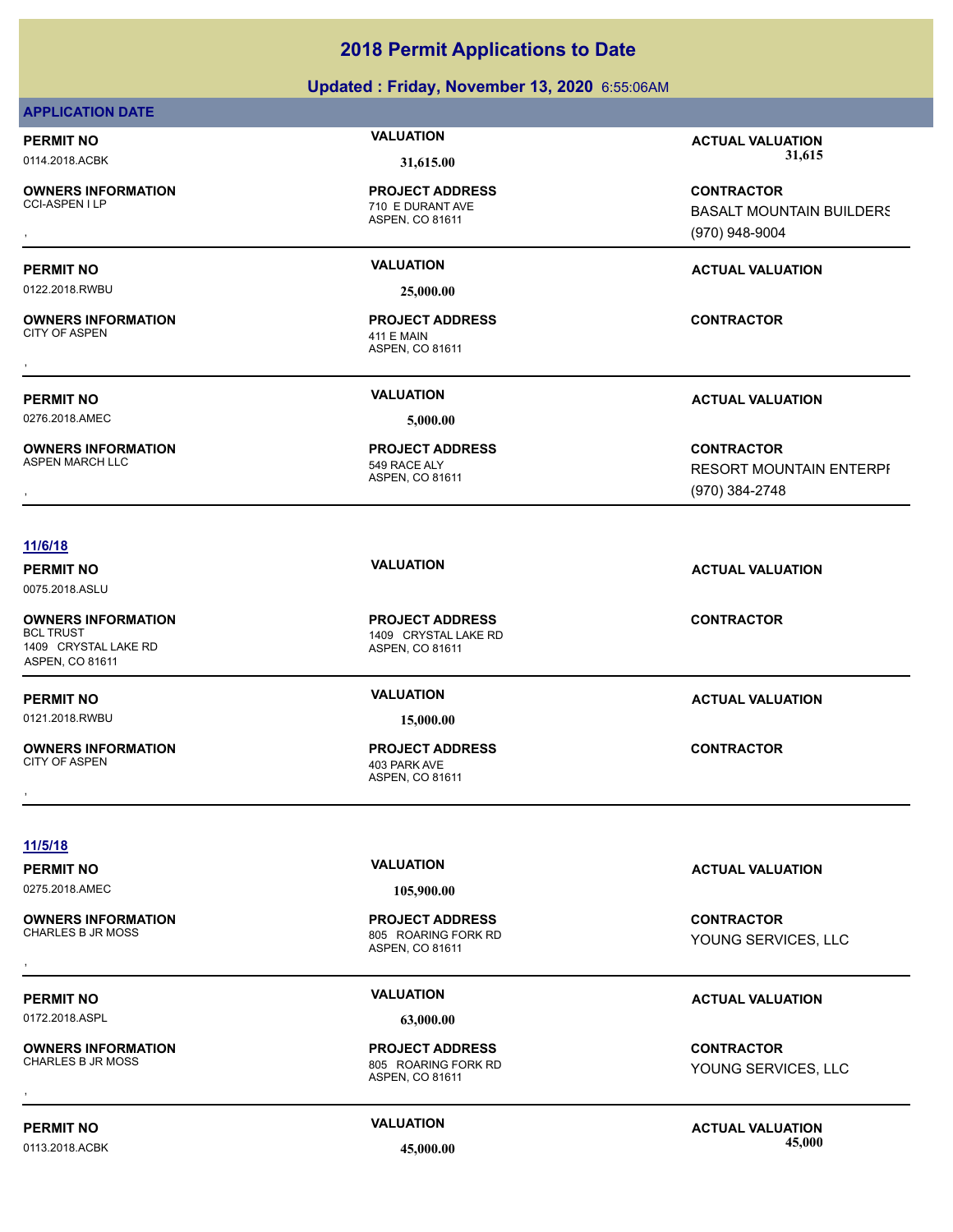### **Updated : Friday, November 13, 2020** 6:55:06AM

### **APPLICATION DATE**

**OWNERS INFORMATION**

**PROJECT ADDRESS**

0122.2018.RWBU **25,000.00**

**OWNERS INFORMATION** CITY OF ASPEN 411 E MAIN

0276.2018.AMEC **5,000.00**

**OWNERS INFORMATION**

ASPEN, CO 81611 710 E DURANT AVE

ASPEN, CO 81611 **PROJECT ADDRESS** , **CONTRACTOR**

ASPEN, CO 81611 549 RACE ALY **PROJECT ADDRESS**

**PERMIT NO VALUATION ACTUAL VALUATION** 0114.2018.ACBK **31,615.00 31,615.00**

, **CONTRACTOR** BASALT MOUNTAIN BUILDERS (970) 948-9004

### **PERMIT NO VALUATION ACTUAL VALUATION**

**PERMIT NO VALUATION ACTUAL VALUATION**

**OWNERS INFORMATION PROJECT ADDRESS CONTRACTOR**<br>ASPEN MARCH LLC 549 RACE ALY RESORT MOUNTAIN ENTERPF<br>, ASPEN, CO 81611 RESORT MOUNTAIN ENTERPI (970) 384-2748

### **11/6/18**

0075.2018.ASLU

**OWNERS INFORMATION** 1409 CRYSTAL LAKE RD ASPEN, CO 81611

0121.2018.RWBU **15,000.00**

**OWNERS INFORMATION**

ASPEN, CO 81611 1409 CRYSTAL LAKE RD **PROJECT ADDRESS**

, **CONTRACTOR**

**PERMIT NO VALUATION ACTUAL VALUATION**

**CONTRACTOR**

**11/5/18**

**PERMIT NO VALUATION VALUATION VALUATION** 

**OWNERS INFORMATION**

0172.2018.ASPL **63,000.00**

**OWNERS INFORMATION**

0113.2018.ACBK **45,000.00 45,000.00**

0275.2018.AMEC **105,900.00**

ASPEN, CO 81611 805 ROARING FORK RD **PROJECT ADDRESS** , **CONTRACTOR**

YOUNG SERVICES, LLC

### **PERMIT NO VALUATION VALUATION VALUATION**

, **CONTRACTOR** YOUNG SERVICES, LLC

ASPEN, CO 81611

805 ROARING FORK RD **PROJECT ADDRESS**

**PERMIT NO VALUATION ACTUAL VALUATION**

**PERMIT NO VALUATION ACTUAL VALUATION**

ASPEN, CO 81611 403 PARK AVE **PROJECT ADDRESS**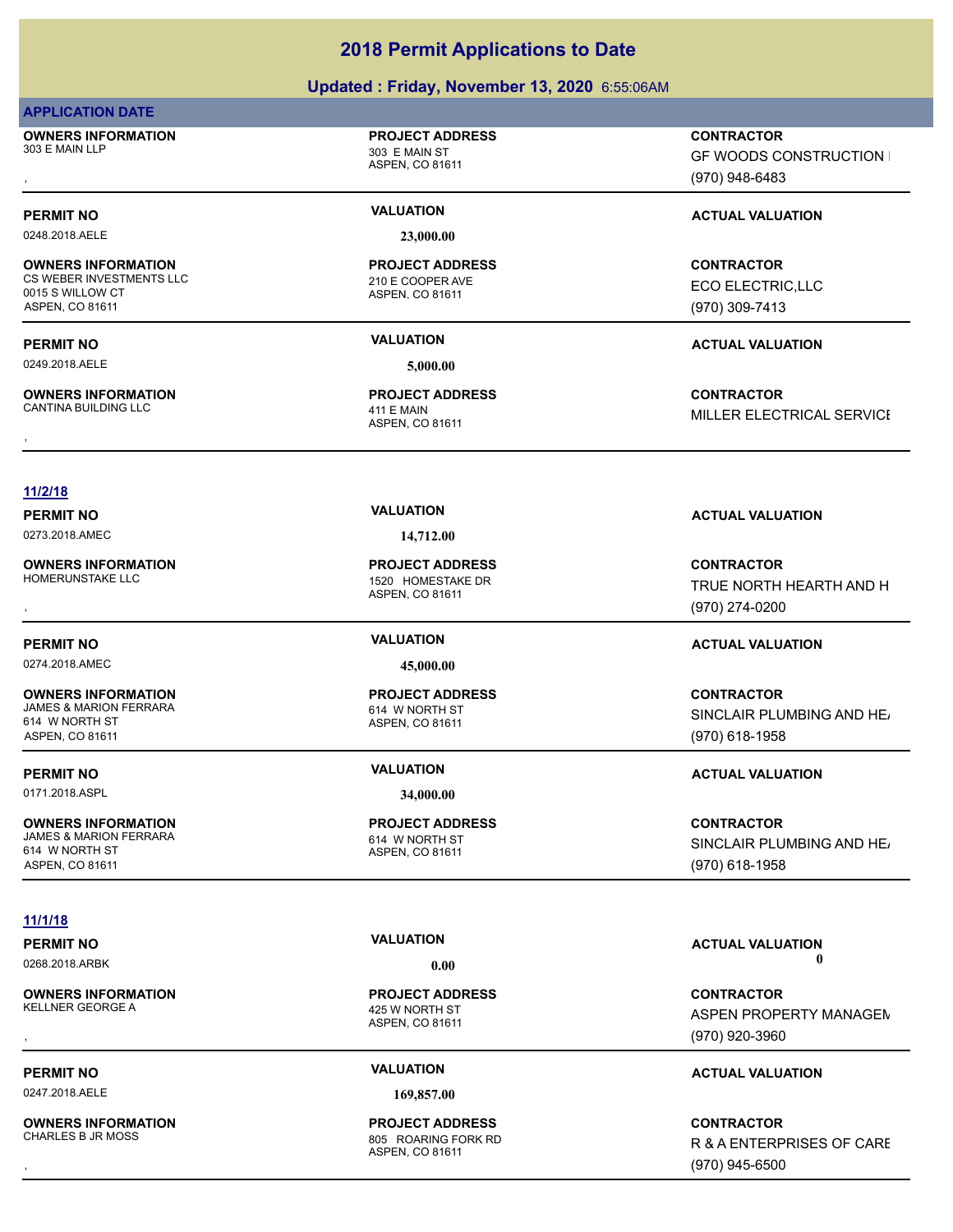### **Updated : Friday, November 13, 2020** 6:55:06AM

### **APPLICATION DATE**

**OWNERS INFORMATION** 303 E MAIN LLP 303 E MAIN ST

0248.2018.AELE **23,000.00**

### **OWNERS INFORMATION** CS WEBER INVESTMENTS LLC<br>
210 E COOPER AVE 0015 S WILLOW CT

ASPEN, CO 81611

0249.2018.AELE **5,000.00**

**OWNERS INFORMATION** CANTINA BUILDING LLC 411 E MAIN

ASPEN, CO 81611

**PROJECT ADDRESS**

### ASPEN, CO 81611 **PROJECT ADDRESS**

### ASPEN, CO 81611 **PROJECT ADDRESS**

### **11/2/18**

**OWNERS INFORMATION**

0274.2018.AMEC **45,000.00**

### **OWNERS INFORMATION** 614 W NORTH ST

ASPEN, CO 81611

0171.2018.ASPL **34,000.00**

### **OWNERS INFORMATION**

614 W NORTH ST ASPEN, CO 81611

### **11/1/18**

# 0268.2018.ARBK **0.00 0.00**

**OWNERS INFORMATION**<br>KELLNER GEORGE A

0247.2018.AELE **169,857.00**

**OWNERS INFORMATION**

0273.2018.AMEC **14,712.00**

### ASPEN, CO 81611 1520 HOMESTAKE DR **PROJECT ADDRESS**

### ASPEN, CO 81611 614 W NORTH ST **PROJECT ADDRESS**

ASPEN, CO 81611 JAMES & MARION FERRARA 614 W NORTH ST **PROJECT ADDRESS**

ASPEN, CO 81611 425 W NORTH ST **PROJECT ADDRESS**

ASPEN, CO 81611 805 ROARING FORK RD **PROJECT ADDRESS**

, **CONTRACTOR** GF WOODS CONSTRUCTION I (970) 948-6483

### **PERMIT NO VALUATION ACTUAL VALUATION**

**CONTRACTOR** ECO ELECTRIC,LLC (970) 309-7413

### **PERMIT NO VALUATION ACTUAL VALUATION**

, **CONTRACTOR** MILLER ELECTRICAL SERVICE

### **PERMIT NO VALUATION VALUATION VALUATION**

**OWNERS INFORMATION PROJECT ADDRESS CONTRACTOR**<br>HOMERUNSTAKE LLC 1520 HOMESTAKE DR TRUE NORTH HEARTH AND H<br>, ASPEN, CO 81611 TRUE NORTH HEARTH AND H (970) 274-0200

### **PERMIT NO VALUATION ACTUAL VALUATION**

**CONTRACTOR** SINCLAIR PLUMBING AND HE (970) 618-1958

### **PERMIT NO VALUATION ACTUAL VALUATION**

**CONTRACTOR** SINCLAIR PLUMBING AND HEAT (970) 618-1958

# **PERMIT NO VALUATION ACTUAL VALUATION**

**OWNERS INFORMATION PROJECT ADDRESS CONTRACTOR**<br>KELLNER GEORGE A 425 W NORTH ST ASPEN PROPERTY MANAGEN<br>, ASPEN. CO 81611 ASPEN PROPERTY MANAGEM (970) 920-3960

### **PERMIT NO VALUATION ACTUAL VALUATION**

, **CONTRACTOR** R & A ENTERPRISES OF CARE (970) 945-6500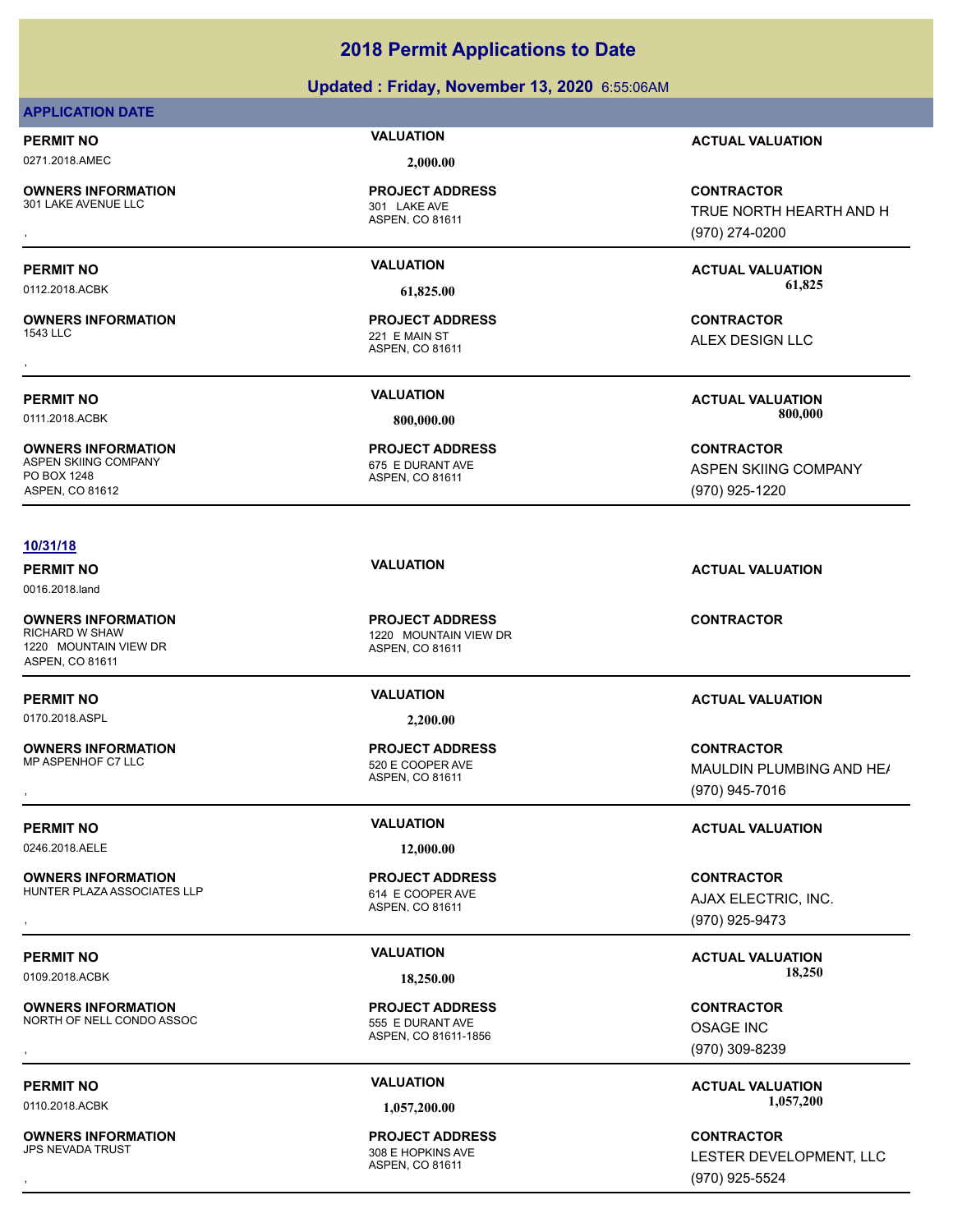### **Updated : Friday, November 13, 2020** 6:55:06AM

### **APPLICATION DATE**

0271.2018.AMEC **2,000.00**

**OWNERS INFORMATION** 301 LAKE AVENUE LLC 301 LAKE AVE

**OWNERS INFORMATION**

**OWNERS INFORMATION** ASPEN SKIING COMPANY 675 E DURANT AVE PO BOX 1248 ASPEN, CO 81612

### **10/31/18**

0016.2018.land

**OWNERS INFORMATION** 1220 MOUNTAIN VIEW DR ASPEN, CO 81611

**OWNERS INFORMATION**

0246.2018.AELE **12,000.00**

**OWNERS INFORMATION** HUNTER PLAZA ASSOCIATES LLP<br>
614 E COOPER AVE

**OWNERS INFORMATION** NORTH OF NELL CONDO ASSOC 555 E DURANT AVE

**OWNERS INFORMATION**

ASPEN, CO 81611 **PROJECT ADDRESS**

ASPEN, CO 81611 221 E MAIN ST **PROJECT ADDRESS** , **CONTRACTOR**

ASPEN, CO 81611 **PROJECT ADDRESS**

ASPEN, CO 81611 1220 MOUNTAIN VIEW DR **PROJECT ADDRESS**

0170.2018.ASPL **2,200.00**

ASPEN, CO 81611 520 E COOPER AVE **PROJECT ADDRESS**

ASPEN, CO 81611 **PROJECT ADDRESS**

ASPEN, CO 81611-1856 **PROJECT ADDRESS OWNERS INFORMATION CONTRACTOR REGULAR PROJECT ADDRESS CONTRACTOR CONTRACTOR**<br>MORTH OF NELL CONDO ASSOC CONTRACTOR 555 E DURANT AVE CONTROL CONTROL CONTRACTOR<br>ASPEN. CO 81611-1856 (970) 309-8239

ASPEN, CO 81611 308 E HOPKINS AVE **PROJECT ADDRESS**

**PERMIT NO VALUATION ACTUAL VALUATION**

**OWNERS INFORMATION PROJECT ADDRESS CONTRACTOR**<br>301 LAKE AVENUE LLC 301 LAKE AVE TRUE NORTH HEARTH AND H<br>, ASPEN, CO 81611 TRUE NORTH HEARTH AND H (970) 274-0200

**PERMIT NO VALUATION ACTUAL VALUATION** 0112.2018.ACBK **61,825.00 61,825.00**

ALEX DESIGN LLC

**PERMIT NO VALUATION ACTUAL VALUATION** 0111.2018.ACBK **800,000.00 800,000.00**

> **CONTRACTOR** ASPEN SKIING COMPANY (970) 925-1220

### **PERMIT NO VALUATION ACTUAL VALUATION**

**CONTRACTOR**

### **PERMIT NO VALUATION ACTUAL VALUATION**

**OWNERS INFORMATION PROJECT ADDRESS CONTRACTOR**<br>MP ASPENHOF C7 LLC 520 E COOPER AVE MAULDIN PLUMBING AND HE*I*<br>, ASPEN, CO 81611 MAULDIN PLUMBING AND HE/ (970) 945-7016

### **PERMIT NO VALUATION ACTUAL VALUATION**

**OWNERS INFORMATION LETTLE SERVICE TO A PROJECT ADDRESS LETTLE SERVICE CONTRACTOR CONTRACTOR**<br>HUNTER PLAZA ASSOCIATES LLP A SPEN, CO 81611 ASPEN, CO 81611 **A SPEN A SPEN (970)** 925-9473 AJAX ELECTRIC, INC. (970) 925-9473

PERMIT NO **SALUATION VALUATION VALUATION ACTUAL VALUATION ACTUAL VALUATION** 0109.2018.ACBK **18,250.00 18,250.00**

> OSAGE INC (970) 309-8239

**PERMIT NO CONSUMITY OF A CONSUMITY OF A CONSUMITY OF A CONSUMITY OF A CTUAL VALUATION** 0110.2018.ACBK **1,057,200.00 1,057,200.00**

, **CONTRACTOR** LESTER DEVELOPMENT, LLC (970) 925-5524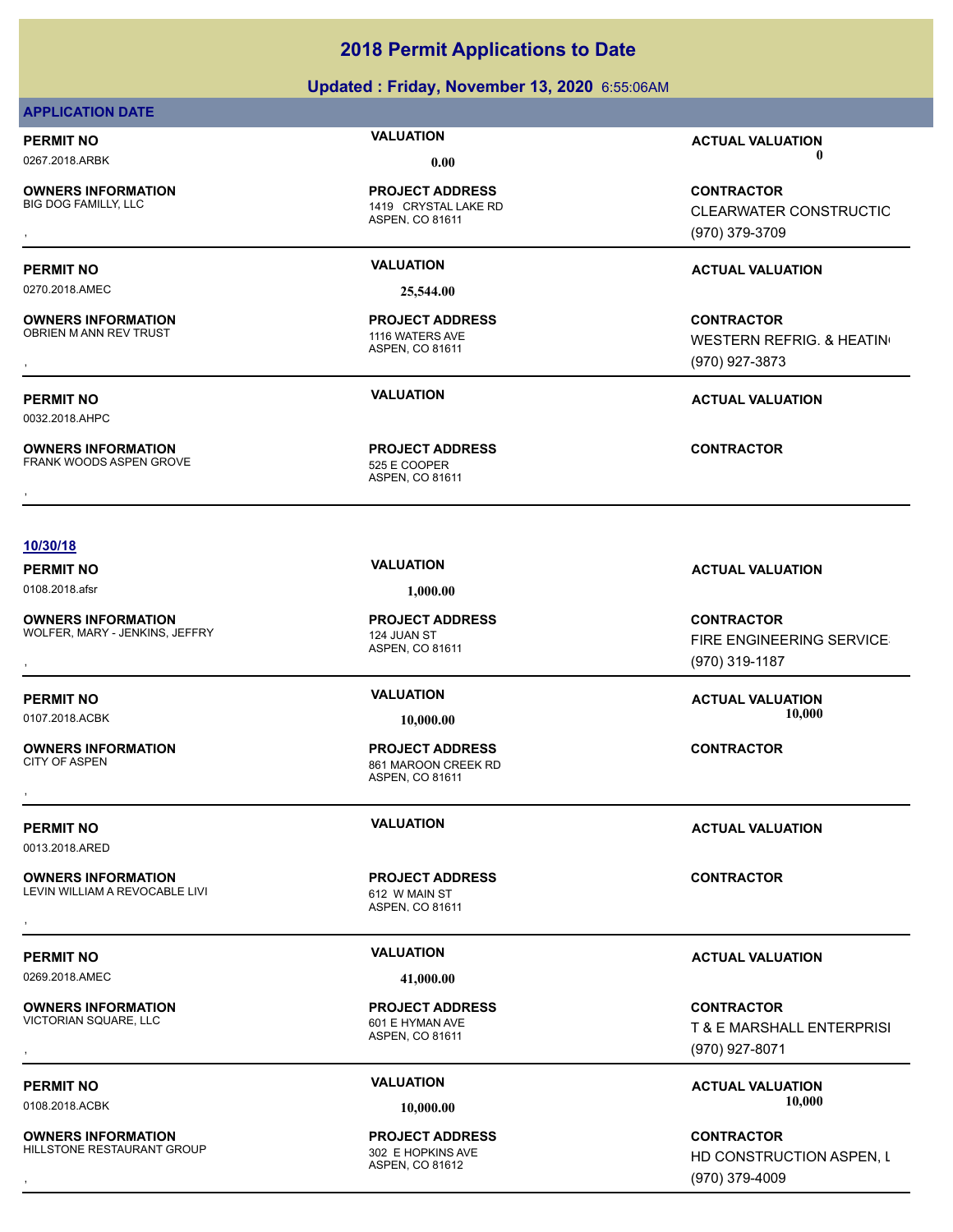### **Updated : Friday, November 13, 2020** 6:55:06AM

### **APPLICATION DATE**

**OWNERS INFORMATION**

0270.2018.AMEC **25,544.00**

**OWNERS INFORMATION** OBRIEN M ANN REV TRUST 1116 WATERS AVE

0032.2018.AHPC

**OWNERS INFORMATION** FRANK WOODS ASPEN GROVE 525 E COOPER

ASPEN, CO 81611 1419 CRYSTAL LAKE RD **PROJECT ADDRESS**

ASPEN, CO 81611 **PROJECT ADDRESS**

ASPEN, CO 81611 **PROJECT ADDRESS**

**PERMIT NO VALUATION ACTUAL VALUATION** 0267.2018.ARBK **0.00 0.00**

, **CONTRACTOR** CLEARWATER CONSTRUCTIO (970) 379-3709

### **PERMIT NO VALUATION ACTUAL VALUATION**

**OWNERS INFORMATION PROJECT ADDRESS CONTRACTOR**<br>OBRIEN M ANN REV TRUST 1116 WATERS AVE WESTERN REFRIG. & HEATIN<sup>(</sup><br>, ASPEN. CO 81611 WESTERN REFRIG. & HEATING (970) 927-3873

### **PERMIT NO VALUATION ACTUAL VALUATION**

### **10/30/18**

0108.2018.afsr **1,000.00**

**OWNERS INFORMATION** WOLFER, MARY - JENKINS, JEFFRY 124 JUAN ST

**OWNERS INFORMATION**

0013.2018.ARED

**OWNERS INFORMATION** LEVIN WILLIAM A REVOCABLE LIVI 612 W MAIN ST

0269.2018.AMEC **41,000.00**

**OWNERS INFORMATION** VICTORIAN SQUARE, LLC 601 E HYMAN AVE

**OWNERS INFORMATION** HILLSTONE RESTAURANT GROUP 302 E HOPKINS AVE

ASPEN, CO 81611 **PROJECT ADDRESS**

ASPEN, CO 81611 861 MAROON CREEK RD **PROJECT ADDRESS** , **CONTRACTOR**

ASPEN, CO 81611 **PROJECT ADDRESS OWNERS INFORMATION CONTRACTOR REGIST OF PROJECT ADDRESS CONTRACTOR CONTRACTOR**<br>LEVIN WILLIAM A REVOCABLE LIVI FOR THE REGIST OF A SPEN, CO 81611<br>,

ASPEN, CO 81611 **PROJECT ADDRESS**

ASPEN, CO 81612 **PROJECT ADDRESS**

**PERMIT NO VALUATION VALUATION VALUATION** 

, **CONTRACTOR** FIRE ENGINEERING SERVICE (970) 319-1187

**PERMIT NO VALUATION ACTUAL VALUATION** 0107.2018.ACBK **10,000.00 10,000.00**

**PERMIT NO VALUATION ACTUAL VALUATION**

### **PERMIT NO VALUATION ACTUAL VALUATION**

, **CONTRACTOR** T & E MARSHALL ENTERPRISI (970) 927-8071

**PERMIT NO CONSUMITY OF A CONSUMITY OF A CONSUMITY OF A CONSUMITY OF A CTUAL VALUATION** 0108.2018.ACBK **10,000.00 10,000.00**

, **CONTRACTOR** HD CONSTRUCTION ASPEN, L (970) 379-4009

**OWNERS INFORMATION CONTRACTOR REGIST OF PROJECT ADDRESS CONTRACTOR CONTRACTOR**<br>FRANK WOODS ASPEN GROVE THE SERVICE SERVICE ASPEN, CO 81611<br>,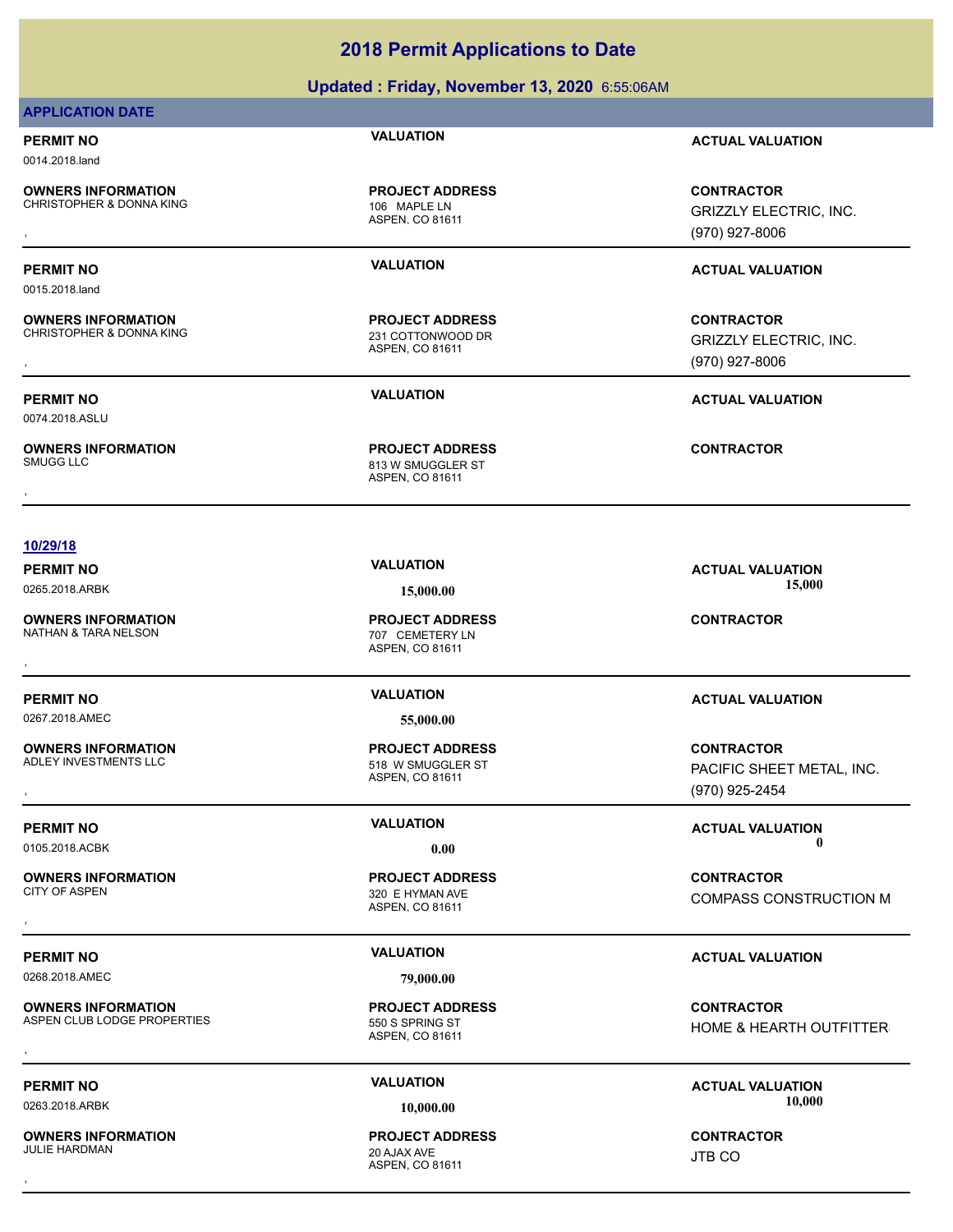### **Updated : Friday, November 13, 2020** 6:55:06AM

### **APPLICATION DATE**

0014.2018.land

0015.2018.land

0074.2018.ASLU

**OWNERS INFORMATION** CHRISTOPHER & DONNA KING<br>
106 MAPLE LN

**OWNERS INFORMATION**

**OWNERS INFORMATION**

ASPEN, CO 81611 **PROJECT ADDRESS**

ASPEN, CO 81611 CHRISTOPHER & DONNA KING 231 COTTONWOOD DR **PROJECT ADDRESS**

**PERMIT NO VALUATION ACTUAL VALUATION**

**OWNERS INFORMATION GOVERNED BY A SERVICE PROJECT ADDRESS ARE SERVICE CONTRACTOR**<br>CHRISTOPHER & DONNA KING GOVERNED ASPEN, CO 81611 GRIZZLY ELECTRIC, INC.<br>, GRIZZLY ELECTRIC, INC. ASPEN, CO 81611 GOVERNED ASPEN, CO 81611 ( GRIZZLY ELECTRIC, INC. (970) 927-8006

### **PERMIT NO VALUATION ACTUAL VALUATION**

**OWNERS INFORMATION GOVERNED BY A SERVICE PROJECT ADDRESS CONTRACTOR CONTRACTOR**<br>CHRISTOPHER & DONNA KING GOVERNED ASPEN. CO 81611<br>ASPEN. CO 81611 GOVERNED (970) 927-8006 GRIZZLY ELECTRIC, INC. (970) 927-8006

**PERMIT NO VALUATION ACTUAL VALUATION**

### **10/29/18**

**PERMIT NO VALUATION VALUATION VALUATION** 0265.2018.ARBK **15,000.00 15,000.00**

**OWNERS INFORMATION**

**PERMIT NO VALUATION ACTUAL VALUATION**

**OWNERS INFORMATION**

**OWNERS INFORMATION**

0268.2018.AMEC **79,000.00**

**OWNERS INFORMATION** ASPEN CLUB LODGE PROPERTIES 550 S SPRING ST

**OWNERS INFORMATION** JULIE HARDMAN 20 AJAX AVE

ASPEN, CO 81611 707 CEMETERY LN **PROJECT ADDRESS** , **CONTRACTOR**

0267.2018.AMEC **55,000.00**

ASPEN, CO 81611 518 W SMUGGLER ST **PROJECT ADDRESS**

ASPEN, CO 81611 320 E HYMAN AVE **PROJECT ADDRESS**

ASPEN, CO 81611 **PROJECT ADDRESS**

ASPEN, CO 81611 **PROJECT ADDRESS** , **CONTRACTOR**

**OWNERS INFORMATION PROJECT ADDRESS CONTRACTOR**<br>ADLEY INVESTMENTS LLC 518 W SMUGGLER ST PACIFIC SHEET METAL, INC.<br>, ASPEN, CO 81611 PACIFIC SHEET METAL, INC. (970) 925-2454

**PERMIT NO CONSUMITY OF A CONSUMITY OF A CONSUMITY OF A CONSUMITY OF A CTUAL VALUATION** 0105.2018.ACBK **0.00 0.00**

, **CONTRACTOR** COMPASS CONSTRUCTION M

### **PERMIT NO VALUATION ACTUAL VALUATION**

**OWNERS INFORMATION FROJECT ADDRESS ARE ASSESS AND MANUSICAL CONTRACTOR**<br>ASPEN CLUB LODGE PROPERTIES FOR THE ASPEN. CO 81611<br>, HOME & HEARTH OUTFITTER

**PERMIT NO CONSUMITY OF A CONSUMITY OF A CONSUMITY OF A CONSUMITY OF A CONSUMITY OF A CONSUMITY OF A CONSUMITY OF A CONSUMITY OF A CONSUMITY OF A CONSUMITY OF A CONSUMITY OF A CONSUMITY OF A CONSUMITY OF A CONSUMITY OF A** 0263.2018.ARBK **10,000.00 10,000.00**

JTB CO

ASPEN, CO 81611 813 W SMUGGLER ST **PROJECT ADDRESS** , **CONTRACTOR**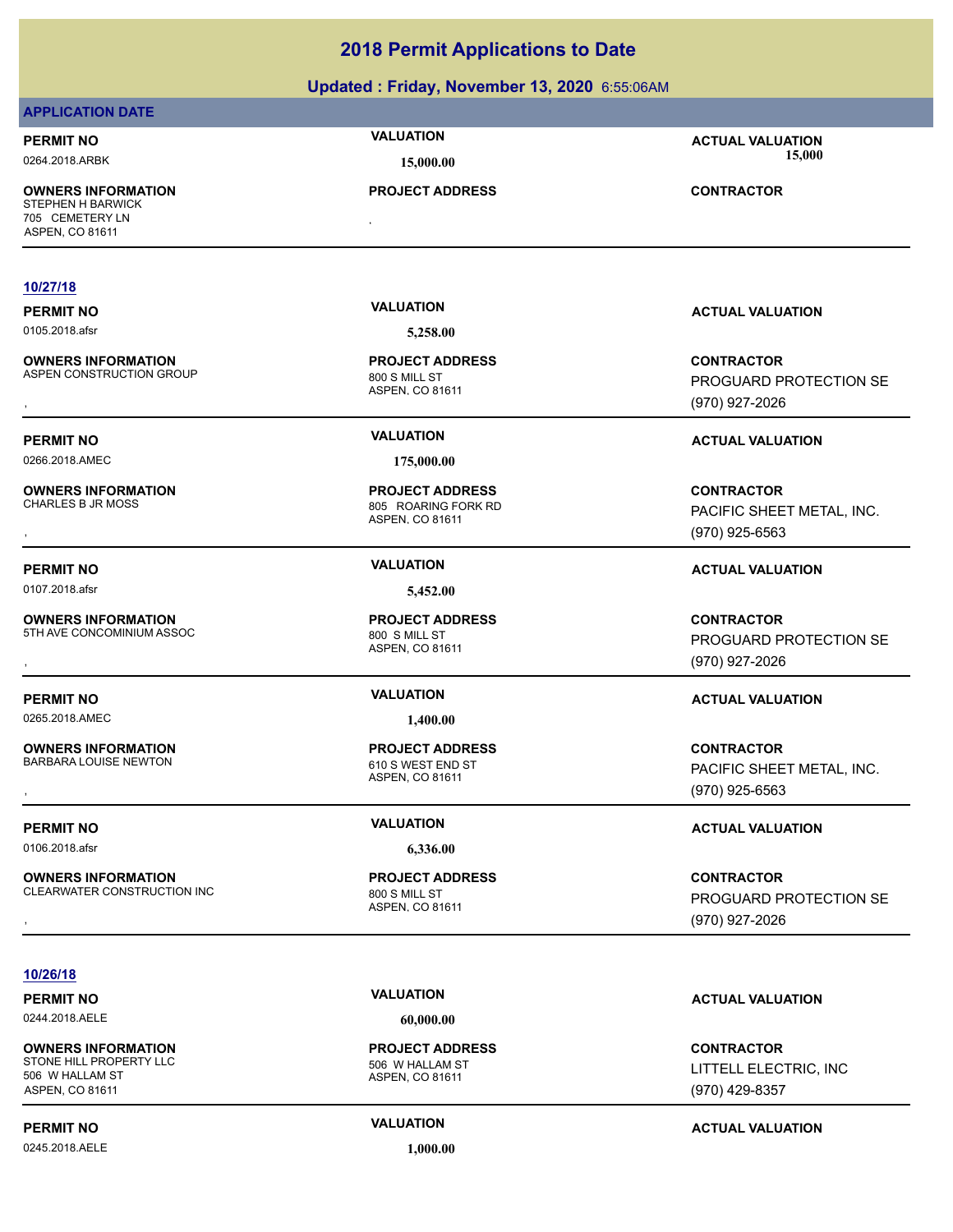### **Updated : Friday, November 13, 2020** 6:55:06AM

| <b>APPLICATION DATE</b>                                                                     |                                                                  |                                                                  |
|---------------------------------------------------------------------------------------------|------------------------------------------------------------------|------------------------------------------------------------------|
| <b>PERMIT NO</b><br>0264.2018.ARBK                                                          | <b>VALUATION</b><br>15,000.00                                    | <b>ACTUAL VALUATION</b><br>15,000                                |
| <b>OWNERS INFORMATION</b><br><b>STEPHEN H BARWICK</b><br>705 CEMETERY LN<br>ASPEN, CO 81611 | <b>PROJECT ADDRESS</b><br>$\bullet$                              | <b>CONTRACTOR</b>                                                |
|                                                                                             |                                                                  |                                                                  |
| 10/27/18                                                                                    |                                                                  |                                                                  |
| <b>PERMIT NO</b>                                                                            | <b>VALUATION</b>                                                 | <b>ACTUAL VALUATION</b>                                          |
| 0105.2018.afsr                                                                              | 5,258.00                                                         |                                                                  |
| <b>OWNERS INFORMATION</b><br>ASPEN CONSTRUCTION GROUP                                       | <b>PROJECT ADDRESS</b><br>800 S MILL ST<br>ASPEN, CO 81611       | <b>CONTRACTOR</b><br>PROGUARD PROTECTION SE<br>(970) 927-2026    |
| <b>PERMIT NO</b>                                                                            | <b>VALUATION</b>                                                 | <b>ACTUAL VALUATION</b>                                          |
| 0266.2018.AMEC                                                                              | 175,000.00                                                       |                                                                  |
| <b>OWNERS INFORMATION</b><br><b>CHARLES B JR MOSS</b>                                       | <b>PROJECT ADDRESS</b><br>805 ROARING FORK RD<br>ASPEN, CO 81611 | <b>CONTRACTOR</b><br>PACIFIC SHEET METAL, INC.<br>(970) 925-6563 |
| <b>PERMIT NO</b>                                                                            | <b>VALUATION</b>                                                 | <b>ACTUAL VALUATION</b>                                          |
| 0107.2018.afsr                                                                              | 5,452.00                                                         |                                                                  |
| <b>OWNERS INFORMATION</b><br>5TH AVE CONCOMINIUM ASSOC                                      | <b>PROJECT ADDRESS</b><br>800 S MILL ST<br>ASPEN, CO 81611       | <b>CONTRACTOR</b><br>PROGUARD PROTECTION SE<br>(970) 927-2026    |
| <b>PERMIT NO</b>                                                                            | <b>VALUATION</b>                                                 | <b>ACTUAL VALUATION</b>                                          |
| 0265.2018.AMEC                                                                              | 1,400.00                                                         |                                                                  |
| <b>OWNERS INFORMATION</b><br><b>BARBARA LOUISE NEWTON</b><br>$\overline{\phantom{a}}$       | <b>PROJECT ADDRESS</b><br>610 S WEST END ST<br>ASPEN, CO 81611   | <b>CONTRACTOR</b><br>PACIFIC SHEET METAL, INC.<br>(970) 925-6563 |
| <b>PERMIT NO</b>                                                                            | <b>VALUATION</b>                                                 | <b>ACTUAL VALUATION</b>                                          |
| 0106.2018.afsr                                                                              | 6,336.00                                                         |                                                                  |
| <b>OWNERS INFORMATION</b><br>CLEARWATER CONSTRUCTION INC                                    | <b>PROJECT ADDRESS</b><br>800 S MILL ST<br>ASPEN, CO 81611       | <b>CONTRACTOR</b><br>PROGUARD PROTECTION SE<br>(970) 927-2026    |

### **10/26/18**

0244.2018.AELE **60,000.00**

**OWNERS INFORMATION** STONE HILL PROPERTY LLC 506 W HALLAM ST 506 W HALLAM ST ASPEN, CO 81611

0245.2018.AELE **1,000.00**

ASPEN, CO 81611 **PROJECT ADDRESS**

### **PERMIT NO CONSUMITY ACTUAL VALUATION VALUATION**

**CONTRACTOR** LITTELL ELECTRIC, INC (970) 429-8357

### **PERMIT NO CONSUMITY ACTUAL VALUATION VALUATION ACTUAL VALUATION**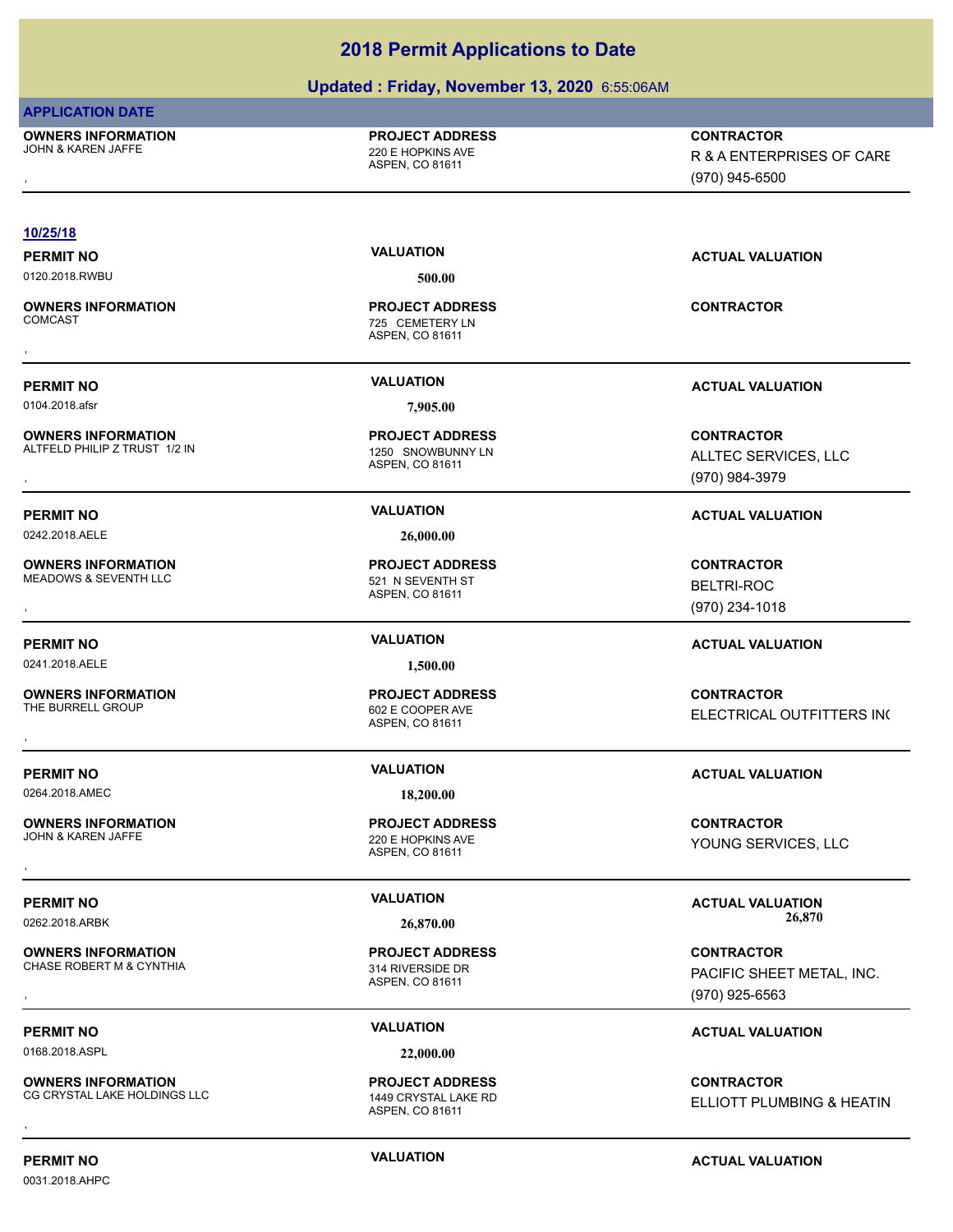### **Updated : Friday, November 13, 2020** 6:55:06AM

| <b>APPLICATION DATE</b>                     |                                                              |                           |
|---------------------------------------------|--------------------------------------------------------------|---------------------------|
| <b>OWNERS INFORMATION</b>                   | <b>PROJECT ADDRESS</b>                                       | <b>CONTRACTOR</b>         |
| <b>JOHN &amp; KAREN JAFFE</b>               | 220 E HOPKINS AVE<br>ASPEN, CO 81611                         | R & A ENTERPRISES OF CARE |
|                                             |                                                              | (970) 945-6500            |
|                                             |                                                              |                           |
| 10/25/18                                    |                                                              |                           |
| <b>PERMIT NO</b>                            | <b>VALUATION</b>                                             | <b>ACTUAL VALUATION</b>   |
| 0120.2018.RWBU                              | 500.00                                                       |                           |
| <b>OWNERS INFORMATION</b><br><b>COMCAST</b> | <b>PROJECT ADDRESS</b><br>725 CEMETERY LN<br>ASPEN, CO 81611 | <b>CONTRACTOR</b>         |
|                                             | <b>VALUATION</b>                                             |                           |
| <b>PERMIT NO</b>                            |                                                              | <b>ACTUAL VALUATION</b>   |
| 0104.2018.afsr                              | 7,905.00                                                     |                           |
| <b>OWNERS INFORMATION</b>                   | <b>PROJECT ADDRESS</b>                                       | <b>CONTRACTOR</b>         |
| ALTFELD PHILIP Z TRUST 1/2 IN               | 1250 SNOWBUNNY LN<br>ASPEN, CO 81611                         | ALLTEC SERVICES, LLC      |
|                                             |                                                              | (970) 984-3979            |
| <b>PERMIT NO</b>                            | <b>VALUATION</b>                                             | <b>ACTUAL VALUATION</b>   |
| 0242.2018.AELE                              | 26,000.00                                                    |                           |
| <b>OWNERS INFORMATION</b>                   | <b>PROJECT ADDRESS</b>                                       | <b>CONTRACTOR</b>         |
| <b>MEADOWS &amp; SEVENTH LLC</b>            | 521 N SEVENTH ST                                             | <b>BELTRI-ROC</b>         |
|                                             | ASPEN, CO 81611                                              | (970) 234-1018            |
| <b>PERMIT NO</b>                            | <b>VALUATION</b>                                             | <b>ACTUAL VALUATION</b>   |
| 0241.2018.AELE                              | 1,500.00                                                     |                           |
| <b>OWNERS INFORMATION</b>                   | <b>PROJECT ADDRESS</b>                                       | <b>CONTRACTOR</b>         |
| THE BURRELL GROUP                           | 602 E COOPER AVE                                             |                           |
|                                             | ASPEN, CO 81611                                              | ELECTRICAL OUTFITTERS INC |
|                                             |                                                              |                           |
| <b>PERMIT NO</b>                            | <b>VALUATION</b>                                             | <b>ACTUAL VALUATION</b>   |
| 0264.2018.AMEC                              | 18,200.00                                                    |                           |
| <b>OWNERS INFORMATION</b>                   | <b>PROJECT ADDRESS</b>                                       | <b>CONTRACTOR</b>         |
| JOHN & KAREN JAFFE                          | 220 E HOPKINS AVE                                            | YOUNG SERVICES, LLC       |
|                                             | ASPEN, CO 81611                                              |                           |
| <b>PERMIT NO</b>                            | <b>VALUATION</b>                                             | <b>ACTUAL VALUATION</b>   |
| 0262.2018.ARBK                              | 26,870.00                                                    | 26,870                    |
| <b>OWNERS INFORMATION</b>                   | <b>PROJECT ADDRESS</b>                                       | <b>CONTRACTOR</b>         |
| CHASE ROBERT M & CYNTHIA                    | 314 RIVERSIDE DR                                             |                           |
|                                             | ASPEN, CO 81611                                              | PACIFIC SHEET METAL, INC. |
|                                             |                                                              | (970) 925-6563            |
| <b>PERMIT NO</b>                            | <b>VALUATION</b>                                             | <b>ACTUAL VALUATION</b>   |
| 0168.2018.ASPL                              | 22,000.00                                                    |                           |
|                                             |                                                              |                           |

**OWNERS INFORMATION** CG CRYSTAL LAKE HOLDINGS LLC 1449 CRYSTAL LAKE RD **OWNERS INFORMATION GOVERNED BY A SERVICE PROJECT ADDRESS ARE:**<br>CG CRYSTAL LAKE HOLDINGS LLC GOVERNED ASPEN. CO 81611<br>,

1449 CRYSTAL LAKE RD<br>ASPEN, CO 81611

**PROJECT ADDRESS**

0031.2018.AHPC

### **PERMIT NO CONSUMITY ACTUAL VALUATION VALUATION** *ACTUAL VALUATION*

ELLIOTT PLUMBING & HEATIN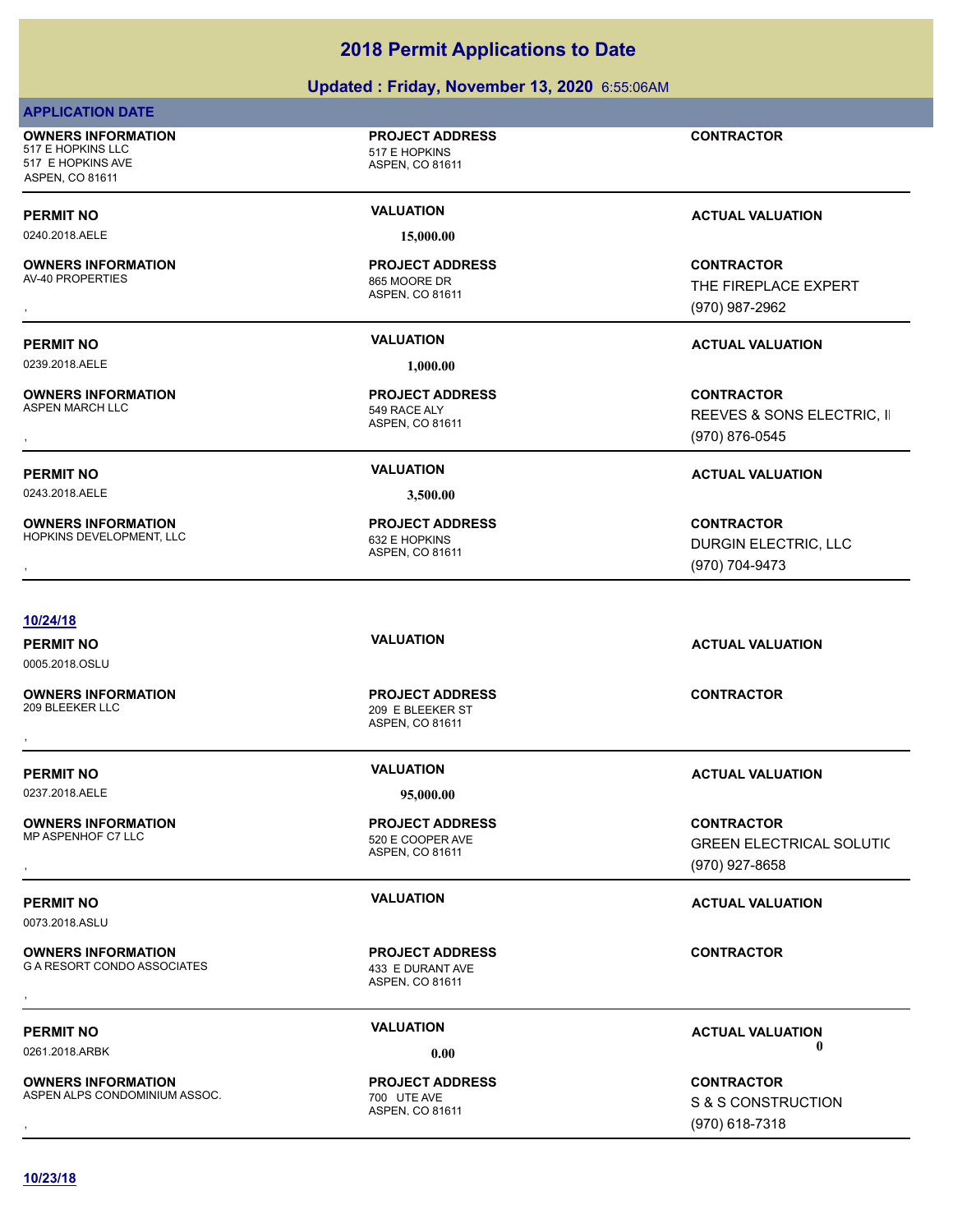| <b>OWNERS INFORMATION</b><br>AV-40 PROPERTIES              | <b>PROJECT ADDRESS</b><br>865 MOORE DR<br>ASPEN, CO 81611     | <b>CONTRACTOR</b><br>THE FIREPLACE EXPERT<br>(970) 987-2962            |
|------------------------------------------------------------|---------------------------------------------------------------|------------------------------------------------------------------------|
| <b>PERMIT NO</b>                                           | <b>VALUATION</b>                                              | <b>ACTUAL VALUATION</b>                                                |
| 0239.2018.AELE                                             | 1,000.00                                                      |                                                                        |
| <b>OWNERS INFORMATION</b><br><b>ASPEN MARCH LLC</b>        | <b>PROJECT ADDRESS</b><br>549 RACE ALY<br>ASPEN, CO 81611     | <b>CONTRACTOR</b><br>REEVES & SONS ELECTRIC, II<br>(970) 876-0545      |
| <b>PERMIT NO</b>                                           | <b>VALUATION</b>                                              | <b>ACTUAL VALUATION</b>                                                |
| 0243.2018.AELE                                             | 3,500.00                                                      |                                                                        |
| <b>OWNERS INFORMATION</b><br>HOPKINS DEVELOPMENT, LLC      | <b>PROJECT ADDRESS</b><br>632 E HOPKINS<br>ASPEN, CO 81611    | <b>CONTRACTOR</b><br>DURGIN ELECTRIC, LLC<br>(970) 704-9473            |
|                                                            |                                                               |                                                                        |
| 10/24/18<br><b>PERMIT NO</b><br>0005.2018.OSLU             | <b>VALUATION</b>                                              | <b>ACTUAL VALUATION</b>                                                |
| <b>OWNERS INFORMATION</b><br>209 BLEEKER LLC               | <b>PROJECT ADDRESS</b><br>209 E BLEEKER ST<br>ASPEN, CO 81611 | <b>CONTRACTOR</b>                                                      |
|                                                            |                                                               |                                                                        |
| <b>PERMIT NO</b><br>0237.2018.AELE                         | <b>VALUATION</b><br>95,000.00                                 | <b>ACTUAL VALUATION</b>                                                |
| <b>OWNERS INFORMATION</b><br>MP ASPENHOF C7 LLC            | <b>PROJECT ADDRESS</b><br>520 E COOPER AVE<br>ASPEN, CO 81611 | <b>CONTRACTOR</b><br><b>GREEN ELECTRICAL SOLUTIC</b><br>(970) 927-8658 |
| <b>PERMIT NO</b><br>0073.2018.ASLU                         | <b>VALUATION</b>                                              | <b>ACTUAL VALUATION</b>                                                |
| <b>OWNERS INFORMATION</b><br>G A RESORT CONDO ASSOCIATES   | <b>PROJECT ADDRESS</b><br>433 E DURANT AVE<br>ASPEN, CO 81611 | <b>CONTRACTOR</b>                                                      |
|                                                            |                                                               |                                                                        |
| <b>PERMIT NO</b><br>0261.2018.ARBK                         | <b>VALUATION</b><br>0.00                                      | <b>ACTUAL VALUATION</b><br>0                                           |
| <b>OWNERS INFORMATION</b><br>ASPEN ALPS CONDOMINIUM ASSOC. | <b>PROJECT ADDRESS</b><br>700 UTE AVE<br>ASPEN, CO 81611      | <b>CONTRACTOR</b><br>S & S CONSTRUCTION<br>(970) 618-7318              |

### **Updated : Friday, November 13, 2020** 6:55:06AM

**CONTRACTOR**

ASPEN, CO 81611

**PERMIT NO CONSUMITY ACTUAL VALUATION VALUATION VALUATION** 

**PROJECT ADDRESS**

**10/23/18**

**APPLICATION DATE**

517 E HOPKINS AVE ASPEN, CO 81611

**OWNERS INFORMATION**

517 E HOPKINS LLC 517 E HOPKINS

0240.2018.AELE **15,000.00**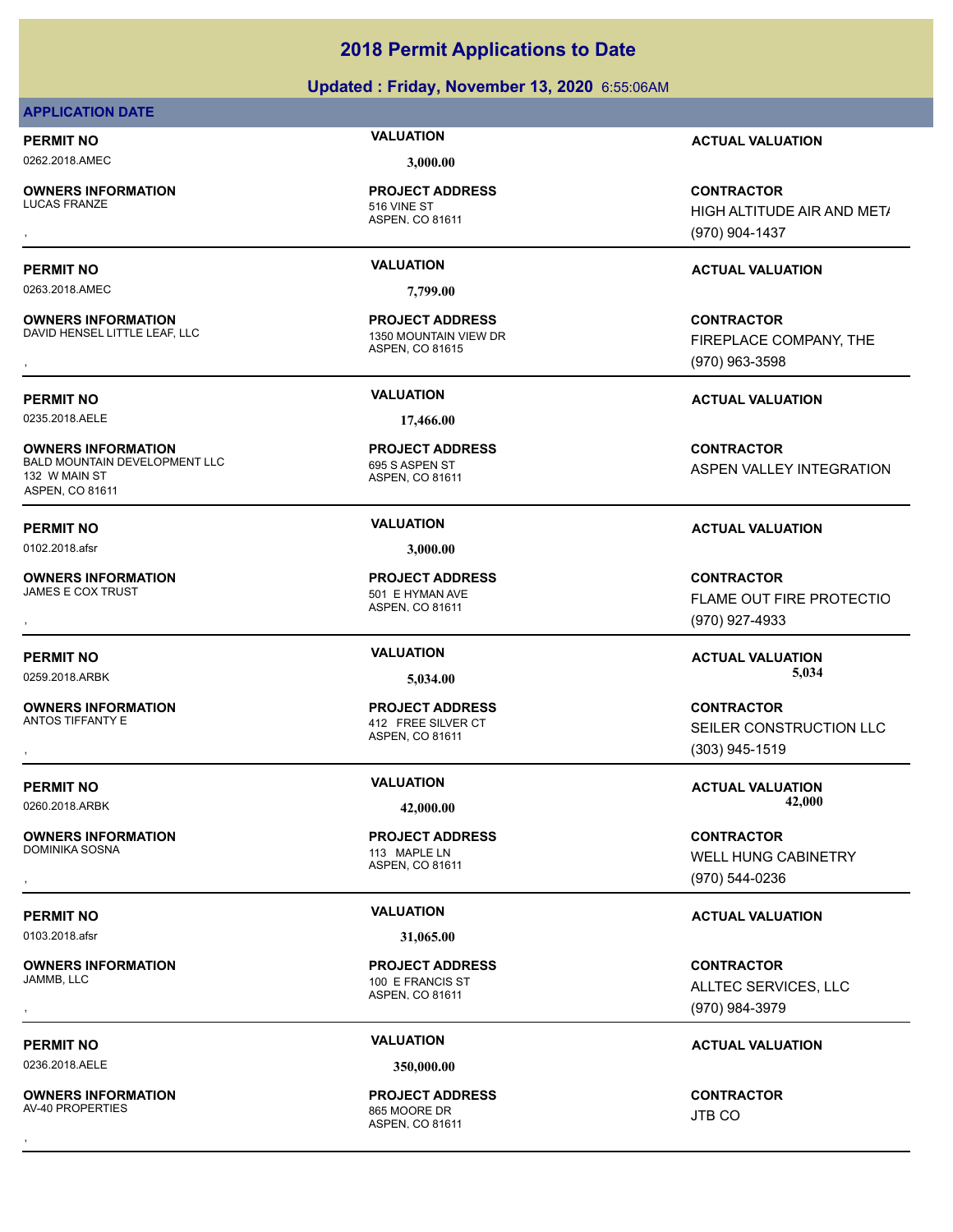### **Updated : Friday, November 13, 2020** 6:55:06AM

### **APPLICATION DATE**

0262.2018.AMEC **3,000.00**

**OWNERS INFORMATION**

0263.2018.AMEC **7,799.00**

**OWNERS INFORMATION** DAVID HENSEL LITTLE LEAF, LLC 1350 MOUNTAIN VIEW DR

0235.2018.AELE **17,466.00**

**OWNERS INFORMATION** BALD MOUNTAIN DEVELOPMENT LLC<br>695 S ASPEN ST 132 W MAIN ST ASPEN, CO 81611

0102.2018.afsr **3,000.00**

**OWNERS INFORMATION** JAMES E COX TRUST **1999 CONVERTS AND THE SET OF STATE SET ASSESS** 

**OWNERS INFORMATION** ANTOS TIFFANTY E AND THE SILVER CT AND THE SILVER CT

**OWNERS INFORMATION** DOMINIKA SOSNA 113 MAPLE LN

0103.2018.afsr **31,065.00**

**OWNERS INFORMATION**

0236.2018.AELE **350,000.00**

**OWNERS INFORMATION** AV-40 PROPERTIES 865 MOORE DR

ASPEN, CO 81611 516 VINE ST **PROJECT ADDRESS**

ASPEN, CO 81615 **PROJECT ADDRESS**

ASPEN, CO 81611 **PROJECT ADDRESS**

ASPEN, CO 81611 **PROJECT ADDRESS**

ASPEN, CO 81611 **PROJECT ADDRESS**

ASPEN, CO 81611 100 E FRANCIS ST **PROJECT ADDRESS**

ASPEN, CO 81611 **PROJECT ADDRESS OWNERS INFORMATION FROJECT ADDRESS CONTRACTOR**<br>AV-40 PROPERTIES<br>, AV-40 PROPERTIES<br>,

**PERMIT NO VALUATION ACTUAL VALUATION**

, **CONTRACTOR** HIGH ALTITUDE AIR AND MET/ (970) 904-1437

### **PERMIT NO VALUATION ACTUAL VALUATION**

**OWNERS INFORMATION LEGAL CONOR DESCRIPTION BY A SERVICE CONOR BY A SUBMINITY OF PROJECT ADDRESS LITTLE LEAF, LLC<br>DAVID HENSEL LITTLE LEAF, LLC LEGAL CONOR THE ASPEN. CO 81615<br>, Legal Conoration Conoration Control ASPEN. C** FIREPLACE COMPANY, THE (970) 963-3598

**PERMIT NO VALUATION ACTUAL VALUATION**

**CONTRACTOR** ASPEN VALLEY INTEGRATION

### **PERMIT NO VALUATION ACTUAL VALUATION**

, **CONTRACTOR** FLAME OUT FIRE PROTECTIO (970) 927-4933

0259.2018.ARBK **5,034.00 5,034.00**

, **CONTRACTOR** SEILER CONSTRUCTION LLC (303) 945-1519

**PERMIT NO CONSUMITY OF A CONSUMITY OF A CONSUMITY OF A CONSUMITY OF A CTUAL VALUATION** 0260.2018.ARBK **42,000.00 42,000.00**

, **CONTRACTOR** WELL HUNG CABINETRY (970) 544-0236

### **PERMIT NO VALUATION VALUATION VALUATION**

, **CONTRACTOR** ALLTEC SERVICES, LLC (970) 984-3979

### **PERMIT NO CONSUMITY OF A CONSUMITY OF A CONSUMITY OF A CONSUMITY OF A CTUAL VALUATION**

JTB CO

ASPEN, CO 81611 **PROJECT ADDRESS**

**PERMIT NO VALUATION VALUATION VALUATION**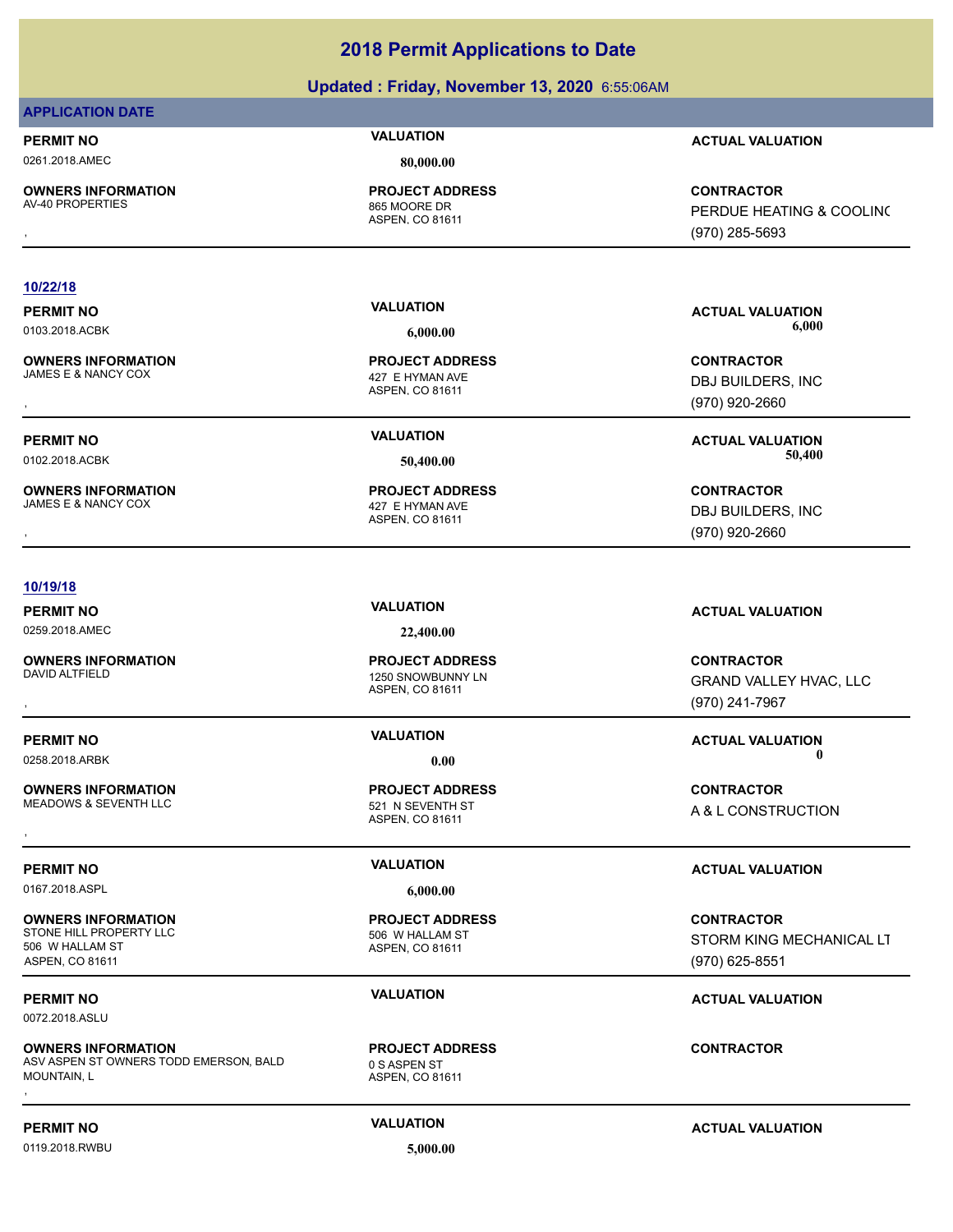### **Updated : Friday, November 13, 2020** 6:55:06AM

### **APPLICATION DATE**

0261.2018.AMEC **80,000.00**

**OWNERS INFORMATION**<br>AV-40 PROPERTIES

ASPEN, CO 81611 865 MOORE DR **PROJECT ADDRESS**

ASPEN, CO 81611

ASPEN, CO 81611

427 E HYMAN AVE **PROJECT ADDRESS**

**PROJECT ADDRESS**

### **PERMIT NO VALUATION ACTUAL VALUATION**

, **CONTRACTOR** PERDUE HEATING & COOLING (970) 285-5693

### **10/22/18**

**OWNERS INFORMATION** JAMES E & NANCY COX 427 E HYMAN AVE

**OWNERS INFORMATION**

### **10/19/18**

0259.2018.AMEC **22,400.00**

**OWNERS INFORMATION**

**OWNERS INFORMATION** MEADOWS & SEVENTH LLC 521 N SEVENTH ST

0167.2018.ASPL **6,000.00**

**OWNERS INFORMATION** STONE HILL PROPERTY LLC 506 W HALLAM ST 506 W HALLAM ST ASPEN, CO 81611

0072.2018.ASLU

**OWNERS INFORMATION** ASV ASPEN ST OWNERS TODD EMERSON, BALD MOUNTAIN, L **OWNERS INFORMATION DEMERSON, BALD ROJECT ADDRESS ARE SERVING TO CONTRACTOR CONTRACTOR**<br>ASV ASPEN ST OWNERS TODD EMERSON, BALD DEMERS OF A SPEN ST<br>MOUNTAIN, L<br>,

ASPEN, CO 81611 0 S ASPEN ST **PROJECT ADDRESS**

**PERMIT NO VALUATION ACTUAL VALUATION** 0103.2018.ACBK **6,000.00 6,000.00**

, **CONTRACTOR** DBJ BUILDERS, INC (970) 920-2660

**PERMIT NO VALUATION ACTUAL VALUATION** 0102.2018.ACBK **50,400.00 50,400.00**

, **CONTRACTOR** DBJ BUILDERS, INC (970) 920-2660

### **PERMIT NO VALUATION ACTUAL VALUATION**

, **CONTRACTOR** GRAND VALLEY HVAC, LLC (970) 241-7967

**PERMIT NO VALUATION ACTUAL VALUATION** 0258.2018.ARBK **0.00 0.00**

A & L CONSTRUCTION

### **PERMIT NO CONSUMITY ACTUAL VALUATION VALUATION VALUATION**

**CONTRACTOR** STORM KING MECHANICAL LT (970) 625-8551

### **PERMIT NO VALUATION VALUATION VALUATION**

### 0119.2018.RWBU **5,000.00**

### **PERMIT NO CONSUMITY OF A CONSUMITY OF A CONSUMITY OF A CONSUMITY OF A CTUAL VALUATION**

### ASPEN, CO 81611 1250 SNOWBUNNY LN

**PROJECT ADDRESS**

ASPEN, CO 81611 **PROJECT ADDRESS** , **CONTRACTOR**

ASPEN, CO 81611 **PROJECT ADDRESS**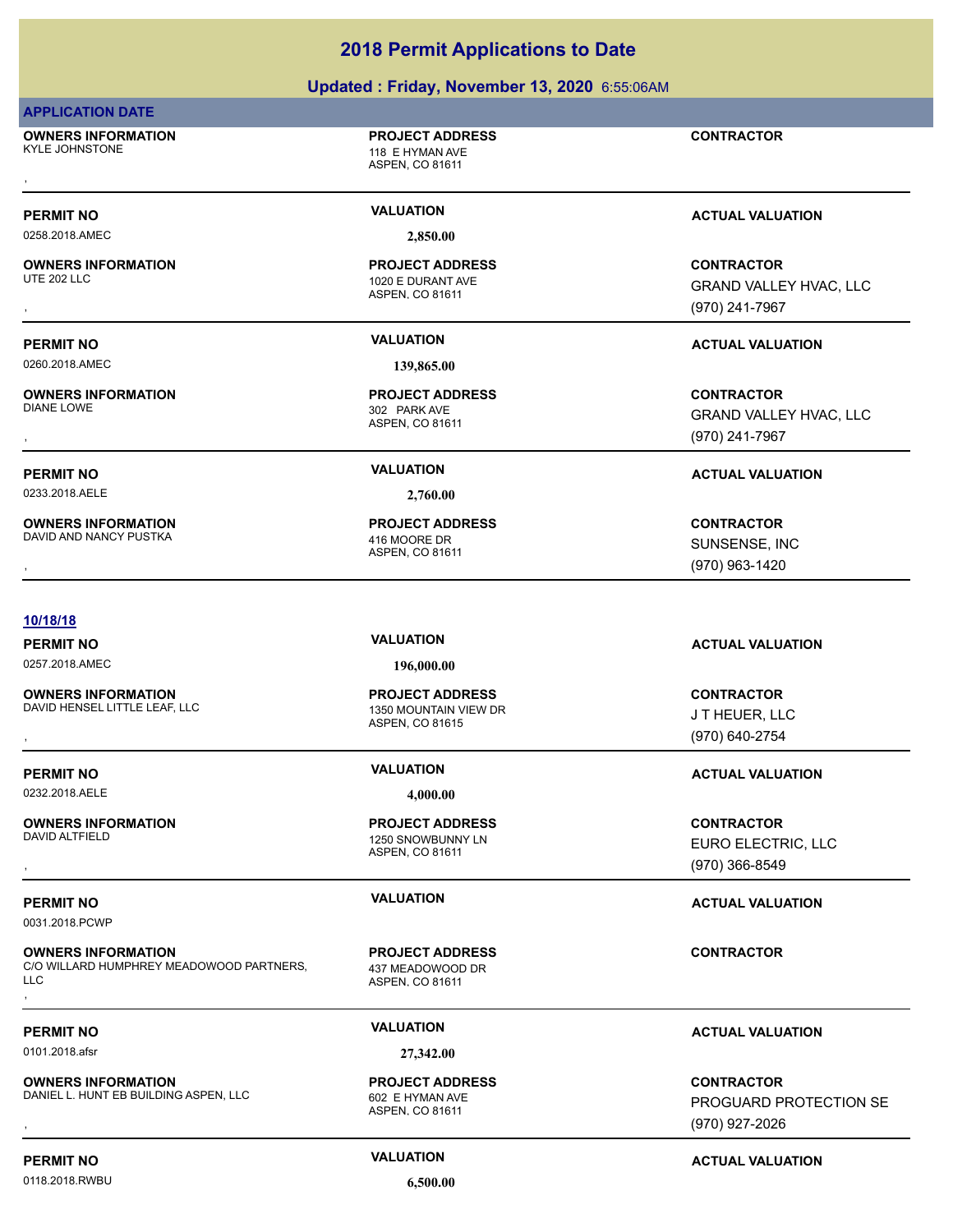### **Updated : Friday, November 13, 2020** 6:55:06AM

### **APPLICATION DATE**

**OWNERS INFORMATION** KYLE JOHNSTONE 118 E HYMAN AVE , **CONTRACTOR**

### **PROJECT ADDRESS**

ASPEN, CO 81611

ASPEN, CO 81611

ASPEN, CO 81611

ASPEN, CO 81611

**PROJECT ADDRESS**

302 PARK AVE **PROJECT ADDRESS**

1020 E DURANT AVE **PROJECT ADDRESS**

0258.2018.AMEC **2,850.00**

**OWNERS INFORMATION**<br>UTE 202 LLC

0260.2018.AMEC **139,865.00**

**OWNERS INFORMATION**

0233.2018.AELE **2,760.00**

**OWNERS INFORMATION** DAVID AND NANCY PUSTKA 416 MOORE DR

### **10/18/18**

0257.2018.AMEC **196,000.00**

**OWNERS INFORMATION**<br>DAVID HENSEL LITTLE LEAF. LLC

0232.2018.AELE **4,000.00**

**OWNERS INFORMATION**

0031.2018.PCWP

**OWNERS INFORMATION** C/O WILLARD HUMPHREY MEADOWOOD PARTNERS, LLC **OWNERS INFORMATION ADDERED BY A SECULAR PROJECT ADDRESS CONTRACTOR CONTRACTOR**<br>C/O WILLARD HUMPHREY MEADOWOOD PARTNERS, A A37 MEADOWOOD DR<br>LLC<br>,

0101.2018.afsr **27,342.00**

**OWNERS INFORMATION** DANIEL L. HUNT EB BUILDING ASPEN, LLC 602 E HYMAN AVE

ASPEN, CO 81615 1350 MOUNTAIN VIEW DR **PROJECT ADDRESS**

ASPEN, CO 81611 1250 SNOWBUNNY LN **PROJECT ADDRESS**

ASPEN, CO 81611 437 MEADOWOOD DR **PROJECT ADDRESS**

ASPEN, CO 81611 **PROJECT ADDRESS**

### **PERMIT NO VALUATION VALUATION VALUATION**

**OWNERS INFORMATION PROJECT ADDRESS CONTRACTOR**<br>UTE 202 LLC 1020 E DURANT AVE GRAND VALLEY HVAC, LLC<br>, ASPEN, CO 81611 GRAND VALLEY HVAC, LLC (970) 241-7967

### **PERMIT NO VALUATION ACTUAL VALUATION**

, **CONTRACTOR** GRAND VALLEY HVAC, LLC (970) 241-7967

### **PERMIT NO VALUATION ACTUAL VALUATION**

, **CONTRACTOR** SUNSENSE, INC (970) 963-1420

**PERMIT NO VALUATION ACTUAL VALUATION**

**OWNERS INFORMATION LEADURED BY A SERVICE TO A SERVICE ADDRESS AND RESOURCE TO A SERVICE TO A SERVICE TO A SERV**<br>DAVID HENSEL LITTLE LEAF, LLC **A SERVICE A SERVICE ADDRED A SPEN. CO 81615**<br>ASPEN. CO 81615 (970) 640-2754 J T HEUER, LLC (970) 640-2754

### **PERMIT NO VALUATION ACTUAL VALUATION**

, **CONTRACTOR** EURO ELECTRIC, LLC (970) 366-8549

### **PERMIT NO VALUATION ACTUAL VALUATION**

### **PERMIT NO VALUATION ACTUAL VALUATION**

**OWNERS INFORMATION ASPEN, LLC ASPEN, LCC ASPEN, CORRESS CONTRACTOR CONTRACTOR**<br>DANIEL L. HUNT EB BUILDING ASPEN, LLC ASPEN, CO 81611<br>ASPEN, CO 81611 (970) 927-2026 PROGUARD PROTECTION SE (970) 927-2026

0118.2018.RWBU **6,500.00**

**PERMIT NO CONSUMITY ACTUAL VALUATION VALUATION VALUATION**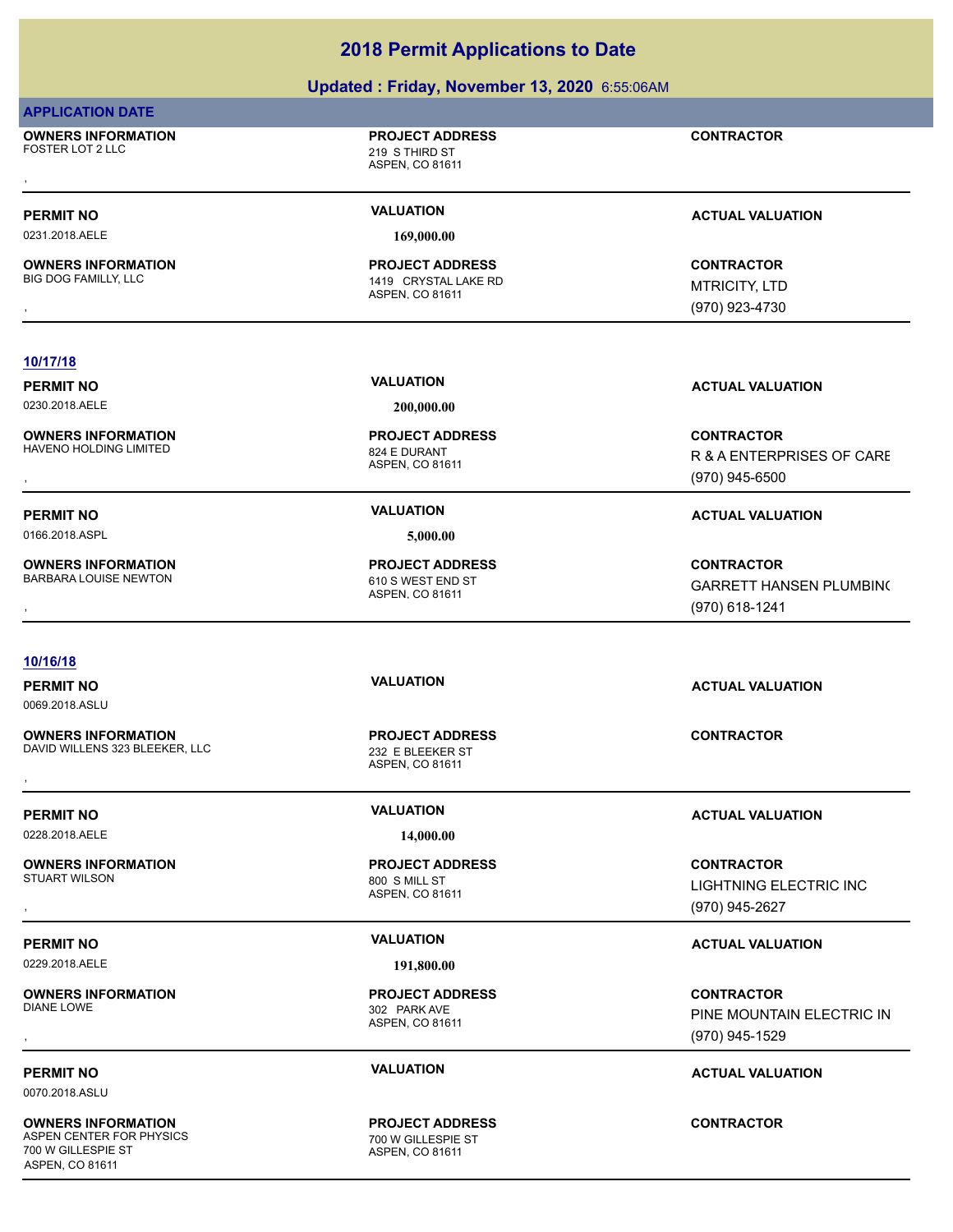### **Updated : Friday, November 13, 2020** 6:55:06AM

|                                               | <b>Opualeu. Friuay, NOVERIDER 19, ZUZU</b> 0.00.00AM        |                                |
|-----------------------------------------------|-------------------------------------------------------------|--------------------------------|
| <b>APPLICATION DATE</b>                       |                                                             |                                |
| <b>OWNERS INFORMATION</b><br>FOSTER LOT 2 LLC | <b>PROJECT ADDRESS</b><br>219 S THIRD ST<br>ASPEN, CO 81611 | <b>CONTRACTOR</b>              |
|                                               |                                                             |                                |
| <b>PERMIT NO</b>                              | <b>VALUATION</b>                                            | <b>ACTUAL VALUATION</b>        |
| 0231.2018.AELE                                | 169,000.00                                                  |                                |
| <b>OWNERS INFORMATION</b>                     | <b>PROJECT ADDRESS</b>                                      | <b>CONTRACTOR</b>              |
| <b>BIG DOG FAMILLY, LLC</b>                   | 1419 CRYSTAL LAKE RD<br>ASPEN, CO 81611                     | <b>MTRICITY, LTD</b>           |
|                                               |                                                             | (970) 923-4730                 |
| 10/17/18                                      |                                                             |                                |
| <b>PERMIT NO</b>                              | <b>VALUATION</b>                                            | <b>ACTUAL VALUATION</b>        |
| 0230.2018.AELE                                | 200,000.00                                                  |                                |
| <b>OWNERS INFORMATION</b>                     | <b>PROJECT ADDRESS</b>                                      | <b>CONTRACTOR</b>              |
| <b>HAVENO HOLDING LIMITED</b>                 | 824 E DURANT<br>ASPEN, CO 81611                             | R & A ENTERPRISES OF CARE      |
|                                               |                                                             | (970) 945-6500                 |
| <b>PERMIT NO</b>                              | <b>VALUATION</b>                                            | <b>ACTUAL VALUATION</b>        |
| 0166.2018.ASPL                                | 5,000.00                                                    |                                |
| <b>OWNERS INFORMATION</b>                     | <b>PROJECT ADDRESS</b>                                      | <b>CONTRACTOR</b>              |
| <b>BARBARA LOUISE NEWTON</b>                  | 610 S WEST END ST<br>ASPEN, CO 81611                        | <b>GARRETT HANSEN PLUMBING</b> |
|                                               |                                                             | (970) 618-1241                 |
|                                               |                                                             |                                |
| 10/16/18                                      | <b>VALUATION</b>                                            |                                |
| <b>PERMIT NO</b><br>0069.2018.ASLU            |                                                             | <b>ACTUAL VALUATION</b>        |
| <b>OWNERS INFORMATION</b>                     | <b>PROJECT ADDRESS</b>                                      | <b>CONTRACTOR</b>              |
| DAVID WILLENS 323 BLEEKER, LLC                | 232 E BLEEKER ST                                            |                                |
|                                               | ASPEN, CO 81611                                             |                                |
| <b>PERMIT NO</b>                              | <b>VALUATION</b>                                            | <b>ACTUAL VALUATION</b>        |
| 0228.2018.AELE                                | 14,000.00                                                   |                                |
| <b>OWNERS INFORMATION</b>                     | <b>PROJECT ADDRESS</b>                                      | <b>CONTRACTOR</b>              |
| <b>STUART WILSON</b>                          | 800 S MILL ST<br>ASPEN, CO 81611                            | LIGHTNING ELECTRIC INC         |
|                                               |                                                             | (970) 945-2627                 |
| <b>PERMIT NO</b>                              | <b>VALUATION</b>                                            | <b>ACTUAL VALUATION</b>        |
| 0229.2018.AELE                                | 191,800.00                                                  |                                |
| <b>OWNERS INFORMATION</b>                     | <b>PROJECT ADDRESS</b>                                      | <b>CONTRACTOR</b>              |
| <b>DIANE LOWE</b>                             | 302 PARK AVE<br>ASPEN, CO 81611                             | PINE MOUNTAIN ELECTRIC IN      |
|                                               |                                                             | (970) 945-1529                 |
|                                               |                                                             |                                |

0070.2018.ASLU

**OWNERS INFORMATION** ASPEN CENTER FOR PHYSICS 700 W GILLESPIE ST ASPEN, CO 81611

THE CONDITIONS<br>TOO W GILLESPIE ST<br>ASPEN, CO 81611 **PROJECT ADDRESS**

**PERMIT NO CONSUMITY ACTUAL VALUATION VALUATION** *ACTUAL VALUATION* 

**CONTRACTOR**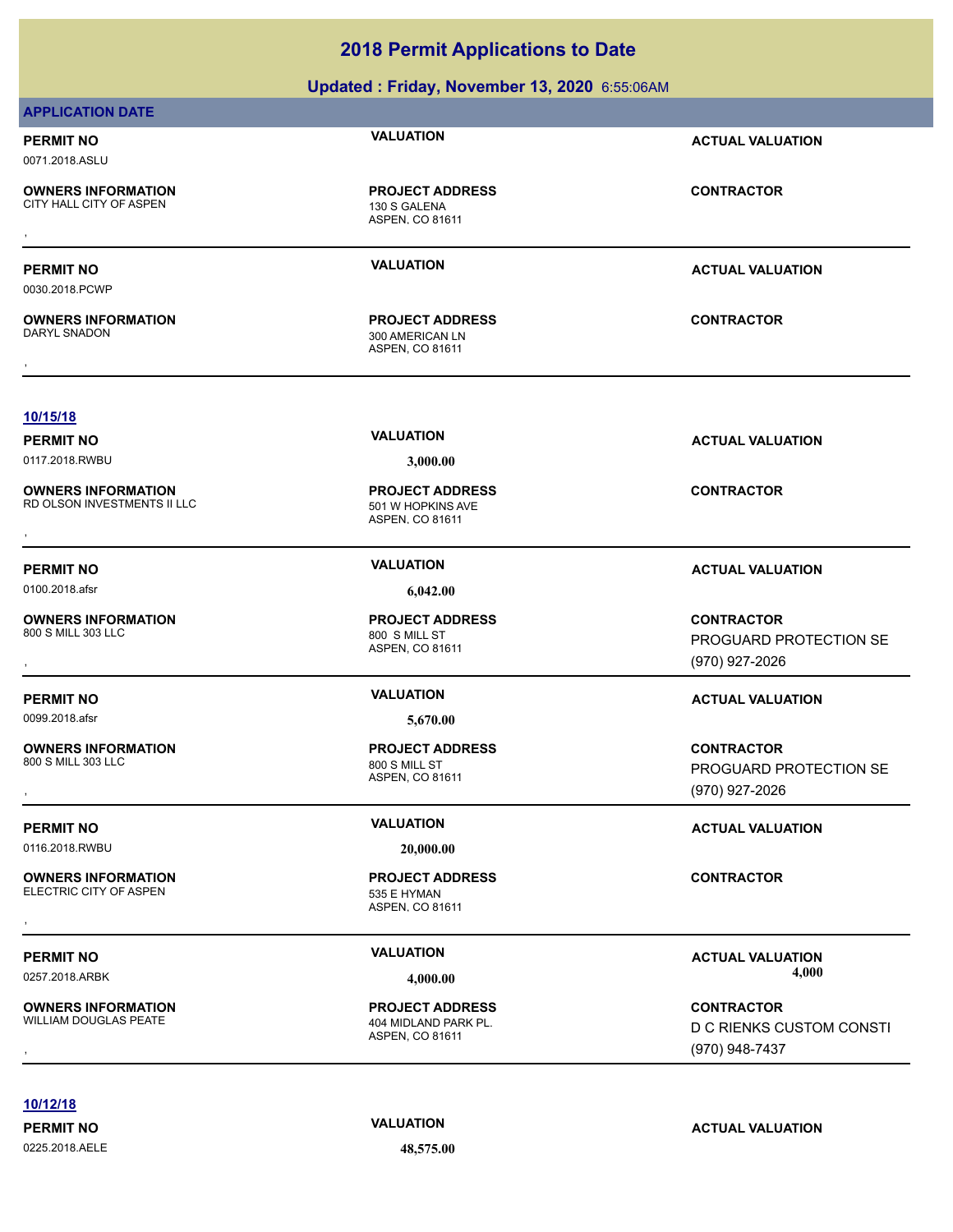|                                                                            | Updated: Friday, November 13, 2020 6:55:06AM                               |                                                                 |
|----------------------------------------------------------------------------|----------------------------------------------------------------------------|-----------------------------------------------------------------|
| <b>APPLICATION DATE</b>                                                    |                                                                            |                                                                 |
| <b>PERMIT NO</b><br>0071.2018.ASLU                                         | <b>VALUATION</b>                                                           | <b>ACTUAL VALUATION</b>                                         |
| <b>OWNERS INFORMATION</b><br>CITY HALL CITY OF ASPEN                       | <b>PROJECT ADDRESS</b><br>130 S GALENA<br>ASPEN, CO 81611                  | <b>CONTRACTOR</b>                                               |
| <b>PERMIT NO</b><br>0030.2018.PCWP                                         | <b>VALUATION</b>                                                           | <b>ACTUAL VALUATION</b>                                         |
| <b>OWNERS INFORMATION</b><br>DARYL SNADON                                  | <b>PROJECT ADDRESS</b><br>300 AMERICAN LN<br>ASPEN, CO 81611               | <b>CONTRACTOR</b>                                               |
| 10/15/18                                                                   |                                                                            |                                                                 |
| <b>PERMIT NO</b>                                                           | <b>VALUATION</b>                                                           | <b>ACTUAL VALUATION</b>                                         |
| 0117.2018.RWBU<br><b>OWNERS INFORMATION</b><br>RD OLSON INVESTMENTS II LLC | 3,000.00<br><b>PROJECT ADDRESS</b><br>501 W HOPKINS AVE<br>ASPEN, CO 81611 | <b>CONTRACTOR</b>                                               |
| <b>PERMIT NO</b>                                                           | <b>VALUATION</b>                                                           | <b>ACTUAL VALUATION</b>                                         |
| 0100.2018.afsr                                                             | 6,042.00                                                                   |                                                                 |
| <b>OWNERS INFORMATION</b><br>800 S MILL 303 LLC                            | <b>PROJECT ADDRESS</b><br>800 S MILL ST<br>ASPEN, CO 81611                 | <b>CONTRACTOR</b><br>PROGUARD PROTECTION SE<br>(970) 927-2026   |
| <b>PERMIT NO</b>                                                           | <b>VALUATION</b>                                                           | <b>ACTUAL VALUATION</b>                                         |
| 0099.2018.afsr                                                             | 5,670.00                                                                   |                                                                 |
| <b>OWNERS INFORMATION</b><br>800 S MILL 303 LLC                            | <b>PROJECT ADDRESS</b><br>800 S MILL ST<br>ASPEN, CO 81611                 | <b>CONTRACTOR</b><br>PROGUARD PROTECTION SE<br>(970) 927-2026   |
| <b>PERMIT NO</b><br>0116.2018.RWBU                                         | <b>VALUATION</b><br>20,000.00                                              | <b>ACTUAL VALUATION</b>                                         |
| <b>OWNERS INFORMATION</b><br>ELECTRIC CITY OF ASPEN                        | <b>PROJECT ADDRESS</b><br>535 E HYMAN<br>ASPEN, CO 81611                   | <b>CONTRACTOR</b>                                               |
| <b>PERMIT NO</b>                                                           | <b>VALUATION</b>                                                           | <b>ACTUAL VALUATION</b>                                         |
| 0257.2018.ARBK                                                             | 4,000.00                                                                   | 4,000                                                           |
| <b>OWNERS INFORMATION</b><br>WILLIAM DOUGLAS PEATE                         | <b>PROJECT ADDRESS</b><br>404 MIDLAND PARK PL.<br>ASPEN, CO 81611          | <b>CONTRACTOR</b><br>D C RIENKS CUSTOM CONSTI<br>(970) 948-7437 |

**10/12/18**

0225.2018.AELE **48,575.00**

### **PERMIT NO CONSUMITY ACTUAL VALUATION VALUATION ACTUAL VALUATION**

(970) 948-7437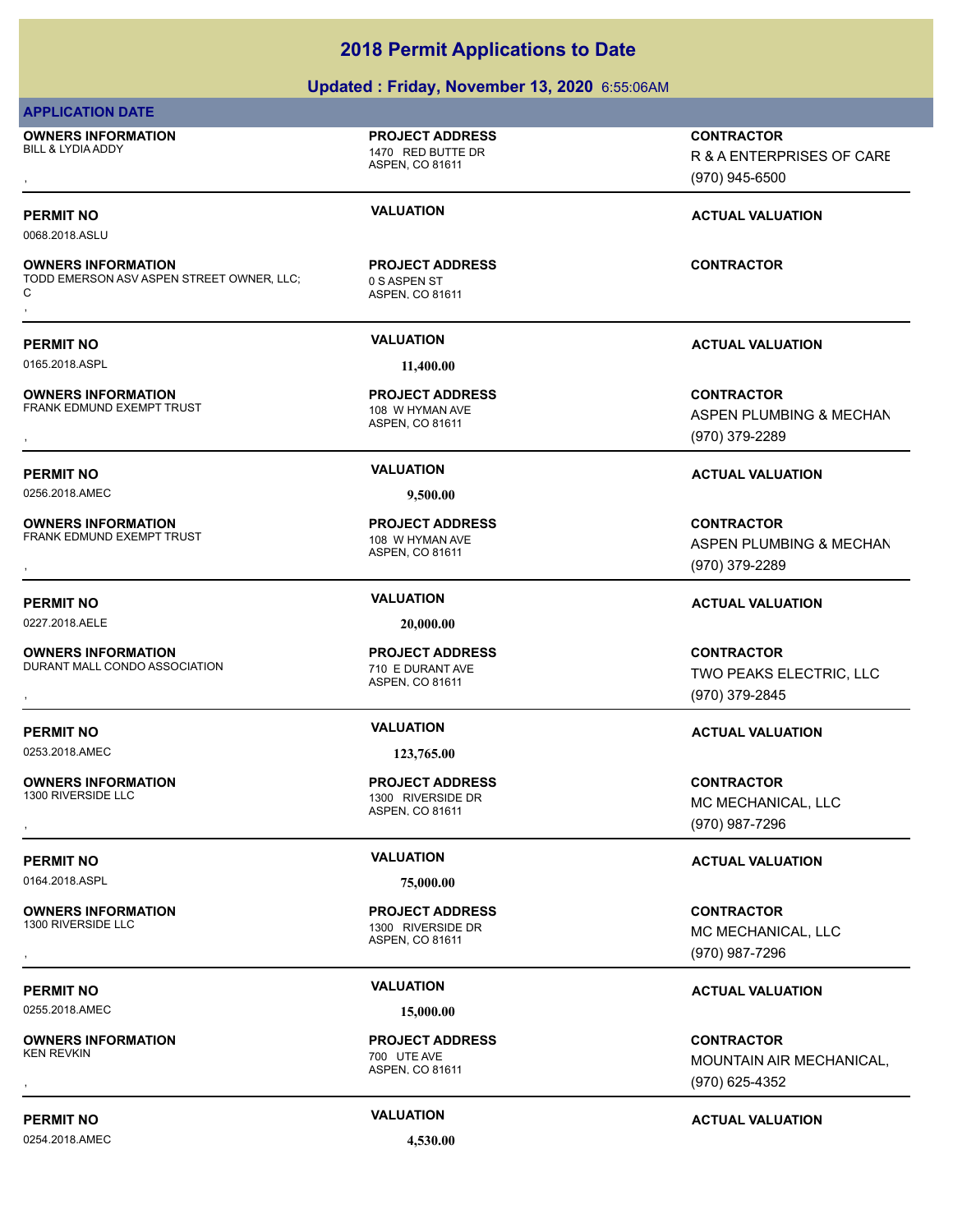### **Updated : Friday, November 13, 2020** 6:55:06AM

### **APPLICATION DATE**

**OWNERS INFORMATION** BILL & LYDIA ADDY 1470 RED BUTTE DR , **CONTRACTOR**

**OWNERS INFORMATION**

C

**OWNERS INFORMATION**

**OWNERS INFORMATION**

**OWNERS INFORMATION**

**OWNERS INFORMATION**

**OWNERS INFORMATION**

ASPEN, CO 81611

**PROJECT ADDRESS**

### **PERMIT NO CONSUMITY OF A CONSUMITY OF A CONSUMITY OF A CONSUMITY OF A CTUAL VALUATION**

0068.2018.ASLU

### ASPEN, CO 81611 TODD EMERSON ASV ASPEN STREET OWNER, LLC; 0 S ASPEN ST **PROJECT ADDRESS OWNERS INFORMATION SEXUAL CONTRACTOR REGIST PROJECT ADDRESS ARE:**<br>TODD EMERSON ASV ASPEN STREET OWNER, LLC; ASPEN ST<br>C ASPEN, CO 81611<br>,

0165.2018.ASPL **11,400.00**

ASPEN, CO 81611 FRANK EDMUND EXEMPT TRUST 108 W HYMAN AVE **PROJECT ADDRESS**

0256.2018.AMEC **9,500.00**

ASPEN, CO 81611 FRANK EDMUND EXEMPT TRUST 108 W HYMAN AVE **PROJECT ADDRESS**

0227.2018.AELE **20,000.00**

ASPEN, CO 81611 DURANT MALL CONDO ASSOCIATION 710 E DURANT AVE **PROJECT ADDRESS**

0253.2018.AMEC **123,765.00**

1300 RIVERSIDE DR

**PROJECT ADDRESS**

0255.2018.AMEC **15,000.00**

**OWNERS INFORMATION**

0254.2018.AMEC **4,530.00**

(970) 945-6500

### **PERMIT NO VALUATION ACTUAL VALUATION**

, **CONTRACTOR** ASPEN PLUMBING & MECHAN (970) 379-2289

R & A ENTERPRISES OF CARE

### **PERMIT NO VALUATION ACTUAL VALUATION**

, **CONTRACTOR** ASPEN PLUMBING & MECHAN

### **PERMIT NO VALUATION ACTUAL VALUATION**

, **CONTRACTOR** TWO PEAKS ELECTRIC, LLC (970) 379-2845

### **PERMIT NO VALUATION ACTUAL VALUATION**

**OWNERS INFORMATION PROJECT ADDRESS CONTRACTOR**<br>1300 RIVERSIDE LLC 1300 RIVERSIDE DR MC MECHANICAL, LLC<br>, ASPEN, CO 81611 MC MECHANICAL, LLC (970) 987-7296

### **PERMIT NO VALUATION VALUATION VALUATION**

**OWNERS INFORMATION PROJECT ADDRESS CONTRACTOR**<br>1300 RIVERSIDE LLC 1300 RIVERSIDE DR MC MECHANICAL, LLC<br>, ASPEN. CO 81611 MC MECHANICAL, LLC (970) 987-7296

### **PERMIT NO VALUATION ACTUAL VALUATION**

, **CONTRACTOR** MOUNTAIN AIR MECHANICAL, (970) 625-4352

### **PERMIT NO VALUATION ACTUAL VALUATION**

# (970) 379-2289

ASPEN, CO 81611 **PROJECT ADDRESS**

### 0164.2018.ASPL **75,000.00**

ASPEN, CO 81611 1300 RIVERSIDE DR

ASPEN, CO 81611 700 UTE AVE **PROJECT ADDRESS**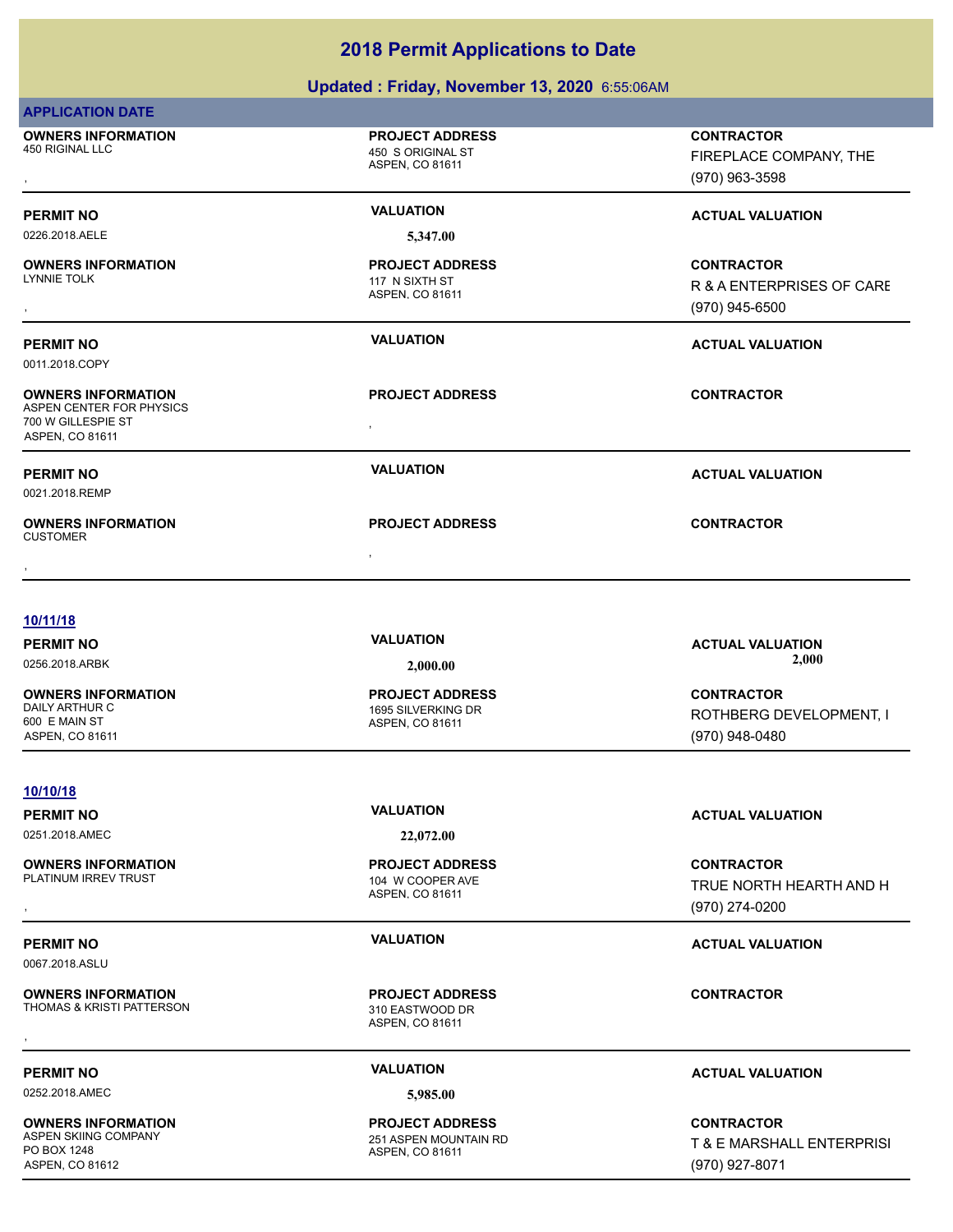|                                                                                                                  | Updated: Friday, November 13, 2020 6:55:06AM                               |                                                                  |
|------------------------------------------------------------------------------------------------------------------|----------------------------------------------------------------------------|------------------------------------------------------------------|
| <b>APPLICATION DATE</b>                                                                                          |                                                                            |                                                                  |
| <b>OWNERS INFORMATION</b><br>450 RIGINAL LLC                                                                     | <b>PROJECT ADDRESS</b><br>450 S ORIGINAL ST<br>ASPEN, CO 81611             | <b>CONTRACTOR</b><br>FIREPLACE COMPANY, THE<br>(970) 963-3598    |
| <b>PERMIT NO</b>                                                                                                 | <b>VALUATION</b>                                                           | <b>ACTUAL VALUATION</b>                                          |
| 0226.2018.AELE                                                                                                   | 5,347.00                                                                   |                                                                  |
| <b>OWNERS INFORMATION</b><br>LYNNIE TOLK                                                                         | <b>PROJECT ADDRESS</b><br>117 N SIXTH ST<br>ASPEN, CO 81611                | <b>CONTRACTOR</b><br>R & A ENTERPRISES OF CARE<br>(970) 945-6500 |
| <b>PERMIT NO</b>                                                                                                 | <b>VALUATION</b>                                                           | <b>ACTUAL VALUATION</b>                                          |
| 0011.2018.COPY<br><b>OWNERS INFORMATION</b><br>ASPEN CENTER FOR PHYSICS<br>700 W GILLESPIE ST<br>ASPEN, CO 81611 | <b>PROJECT ADDRESS</b>                                                     | <b>CONTRACTOR</b>                                                |
| <b>PERMIT NO</b><br>0021.2018.REMP                                                                               | <b>VALUATION</b>                                                           | <b>ACTUAL VALUATION</b>                                          |
| <b>OWNERS INFORMATION</b><br><b>CUSTOMER</b>                                                                     | <b>PROJECT ADDRESS</b>                                                     | <b>CONTRACTOR</b>                                                |
| 10/11/18<br><b>PERMIT NO</b><br>0256.2018.ARBK                                                                   | <b>VALUATION</b><br>2,000.00                                               | <b>ACTUAL VALUATION</b><br>2,000                                 |
| <b>OWNERS INFORMATION</b><br>DAILY ARTHUR C<br>600 E MAIN ST<br>ASPEN, CO 81611                                  | <b>PROJECT ADDRESS</b><br>1695 SILVERKING DR<br>ASPEN, CO 81611            | <b>CONTRACTOR</b><br>ROTHBERG DEVELOPMENT, I<br>(970) 948-0480   |
| 10/10/18                                                                                                         |                                                                            |                                                                  |
| <b>PERMIT NO</b>                                                                                                 | <b>VALUATION</b>                                                           | <b>ACTUAL VALUATION</b>                                          |
| 0251.2018.AMEC<br><b>OWNERS INFORMATION</b><br>PLATINUM IRREV TRUST                                              | 22,072.00<br><b>PROJECT ADDRESS</b><br>104 W COOPER AVE<br>ASPEN, CO 81611 | <b>CONTRACTOR</b><br>TRUE NORTH HEARTH AND H<br>(970) 274-0200   |
| <b>PERMIT NO</b><br>0067.2018.ASLU                                                                               | <b>VALUATION</b>                                                           | <b>ACTUAL VALUATION</b>                                          |
| <b>OWNERS INFORMATION</b><br>THOMAS & KRISTI PATTERSON                                                           | <b>PROJECT ADDRESS</b><br>310 EASTWOOD DR<br>ASPEN, CO 81611               | <b>CONTRACTOR</b>                                                |
| <b>PERMIT NO</b>                                                                                                 | <b>VALUATION</b>                                                           | <b>ACTUAL VALUATION</b>                                          |
| 0252.2018.AMEC                                                                                                   | 5,985.00                                                                   |                                                                  |
| <b>OWNERS INFORMATION</b>                                                                                        | <b>PROJECT ADDRESS</b>                                                     | <b>CONTRACTOR</b>                                                |

PO BOX 1248 ASPEN, CO 81612

251 ASPEN MOUNTAIN RD<br>ASPEN, CO 81611 ASPEN SKIING COMPANY 251 ASPEN MOUNTAIN RD **PROJECT ADDRESS**

T & E MARSHALL ENTERPRISI (970) 927-8071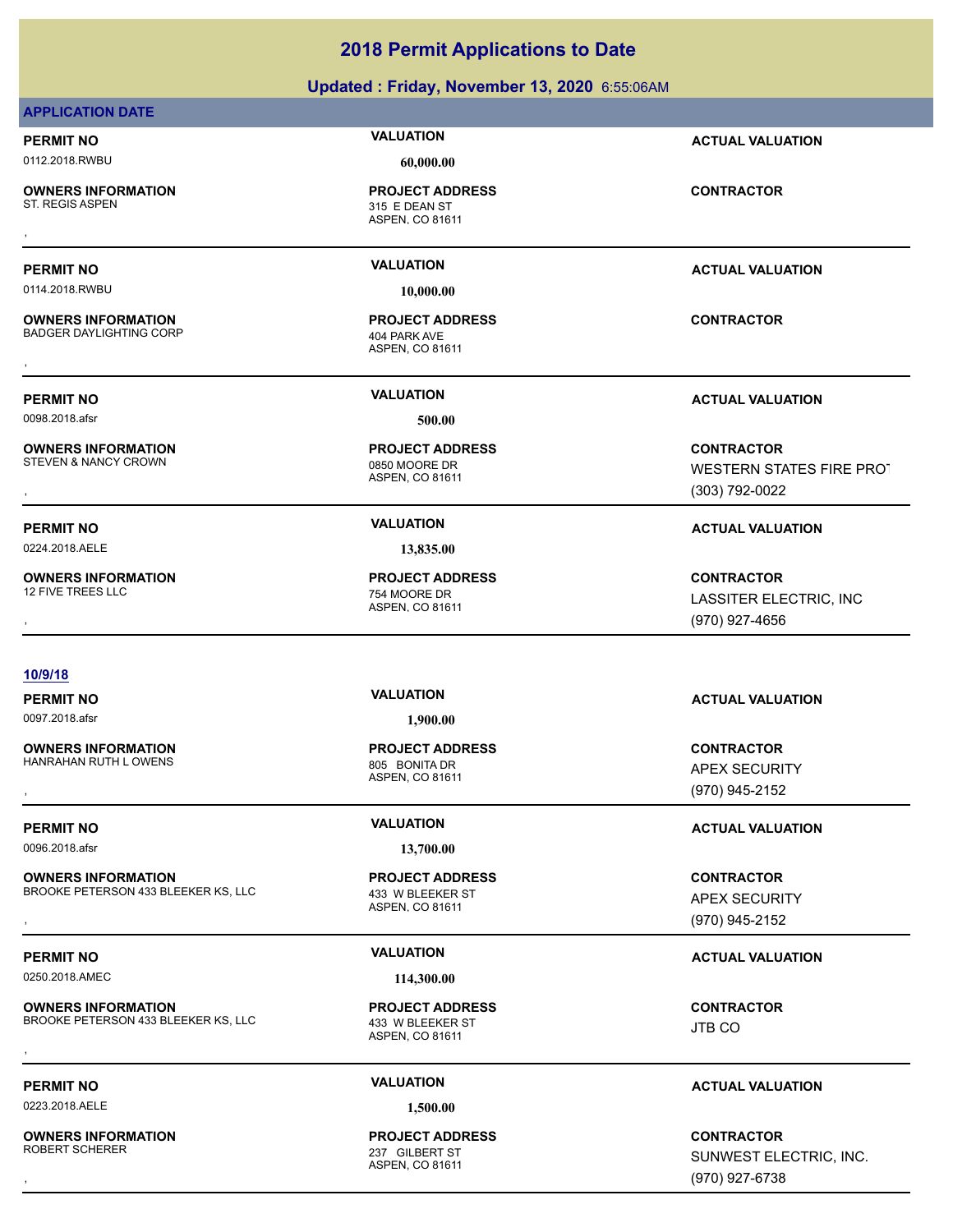| <b>OWNERS INFORMATION</b><br>ST. REGIS ASPEN                 | <b>PROJECT ADDRESS</b><br>315 E DEAN ST<br>ASPEN, CO 81611 | <b>CONTRACTOR</b>                                                      |
|--------------------------------------------------------------|------------------------------------------------------------|------------------------------------------------------------------------|
|                                                              |                                                            |                                                                        |
| <b>PERMIT NO</b>                                             | <b>VALUATION</b>                                           | <b>ACTUAL VALUATION</b>                                                |
| 0114.2018.RWBU                                               | 10,000.00                                                  |                                                                        |
| <b>OWNERS INFORMATION</b><br>BADGER DAYLIGHTING CORP         | <b>PROJECT ADDRESS</b><br>404 PARK AVE<br>ASPEN, CO 81611  | <b>CONTRACTOR</b>                                                      |
|                                                              |                                                            |                                                                        |
| PERMIT NO                                                    | <b>VALUATION</b>                                           | <b>ACTUAL VALUATION</b>                                                |
| 0098.2018.afsr                                               | 500.00                                                     |                                                                        |
| <b>OWNERS INFORMATION</b><br><b>STEVEN &amp; NANCY CROWN</b> | <b>PROJECT ADDRESS</b><br>0850 MOORE DR<br>ASPEN, CO 81611 | <b>CONTRACTOR</b><br><b>WESTERN STATES FIRE PROT</b><br>(303) 792-0022 |
| <b>PERMIT NO</b>                                             | <b>VALUATION</b>                                           | <b>ACTUAL VALUATION</b>                                                |
| 0224.2018.AELE                                               | 13,835.00                                                  |                                                                        |
| <b>OWNERS INFORMATION</b><br><b>12 FIVE TREES LLC</b>        | <b>PROJECT ADDRESS</b><br>754 MOORE DR<br>ASPEN, CO 81611  | <b>CONTRACTOR</b><br>LASSITER ELECTRIC, INC<br>(970) 927-4656          |
| $\sim$                                                       |                                                            |                                                                        |

**Updated : Friday, November 13, 2020** 6:55:06AM

### **APPLICATION DATE**

### 0112.2018.RWBU **60,000.00**

**OWNERS INFORMATION** ST. REGIS ASPEN

**PROJECT ADDRESS**

### **10/9/18**

0097.2018.afsr **1,900.00**

**OWNERS INFORMATION** HANRAHAN RUTH LOWENS 805 BONITA DR

0096.2018.afsr **13,700.00**

**OWNERS INFORMATION** BROOKE PETERSON 433 BLEEKER KS, LLC 433 W BLEEKER ST

0250.2018.AMEC **114,300.00**

**OWNERS INFORMATION** BROOKE PETERSON 433 BLEEKER KS, LLC 433 W BLEEKER ST **OWNERS INFORMATION EXECUTE:**<br>BROOKE PETERSON 433 BLEEKER KS, LLC ASSOCIATION ASSPEN, CO 81611<br>ASPEN, CO 81611

0223.2018.AELE **1,500.00**

**OWNERS INFORMATION**

ASPEN, CO 81611 **PROJECT ADDRESS**

ASPEN, CO 81611 **PROJECT ADDRESS**

ASPEN, CO 81611 **PROJECT ADDRESS**

ASPEN, CO 81611 237 GILBERT ST **PROJECT ADDRESS**

### **PERMIT NO VALUATION ACTUAL VALUATION**

### **PERMIT NO VALUATION ACTUAL VALUATION**

, **CONTRACTOR** APEX SECURITY (970) 945-2152

### **PERMIT NO CONSUMITY OF A CONSUMITY OF A CONSUMITY OF A CONSUMITY OF A CTUAL VALUATION**

, **CONTRACTOR** APEX SECURITY (970) 945-2152

### **PERMIT NO VALUATION ACTUAL VALUATION**

JTB CO

### **PERMIT NO VALUATION ACTUAL VALUATION**

, **CONTRACTOR** SUNWEST ELECTRIC, INC. (970) 927-6738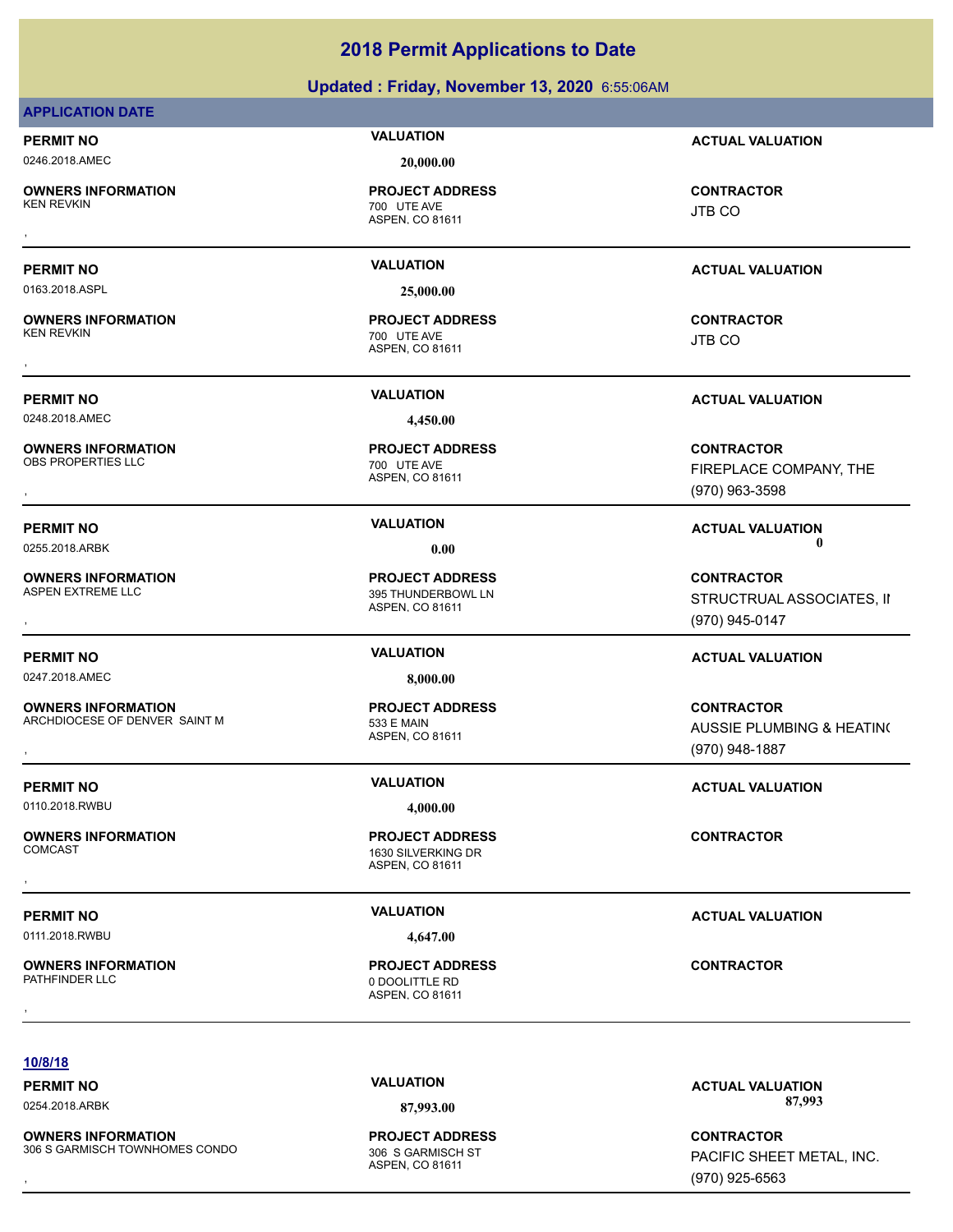### **Updated : Friday, November 13, 2020** 6:55:06AM

### **APPLICATION DATE**

**OWNERS INFORMATION**

0163.2018.ASPL **25,000.00**

**OWNERS INFORMATION**

0248.2018.AMEC **4,450.00**

**OWNERS INFORMATION** OBS PROPERTIES LLC<br>
700 UTE AVE

**OWNERS INFORMATION**

0247.2018.AMEC **8,000.00**

**OWNERS INFORMATION** ARCHDIOCESE OF DENVER SAINT M<br>533 E MAIN

0110.2018.RWBU **4,000.00**

**OWNERS INFORMATION**

0111.2018.RWBU **4,647.00**

**OWNERS INFORMATION**

### 0246.2018.AMEC **20,000.00**

ASPEN, CO 81611 700 UTE AVE **PROJECT ADDRESS** , **CONTRACTOR**

ASPEN, CO 81611 700 UTE AVE **PROJECT ADDRESS** , **CONTRACTOR**

ASPEN, CO 81611 **PROJECT ADDRESS**

ASPEN, CO 81611 395 THUNDERBOWL LN **PROJECT ADDRESS**

ASPEN, CO 81611 **PROJECT ADDRESS**

ASPEN, CO 81611 1630 SILVERKING DR **PROJECT ADDRESS** , **CONTRACTOR**

ASPEN, CO 81611 0 DOOLITTLE RD **PROJECT ADDRESS OWNERS INFORMATION FROJECT ADDRESS ARE:**<br>PATHFINDER LLC **CONTRACTOR**<br>ASPEN, CO 81611<br>,

**PERMIT NO VALUATION ACTUAL VALUATION**

JTB CO

### **PERMIT NO VALUATION ACTUAL VALUATION**

JTB CO

**PERMIT NO VALUATION ACTUAL VALUATION**

**OWNERS INFORMATION PROJECT ADDRESS CONTRACTOR**<br>OBS PROPERTIES LLC 700 UTE AVE FIREPLACE COMPANY, THE<br>, ASPEN, CO 81611 FIREPLACE COMPANY, THE (970) 963-3598

**PERMIT NO CONSUMITY OF A CONSUMITY OF A CONSUMITY OF A CONSUMITY OF A CTUAL VALUATION** 0255.2018.ARBK **0.00 0.00**

**OWNERS INFORMATION PROJECT ADDRESS CONTRACTOR**<br>ASPEN EXTREME LLC 395 THUNDERBOWL LN STRUCTRUAL ASSOCIATES, II<br>, ASPEN. CO 81611 STRUCTRUAL ASSOCIATES, II (970) 945-0147

### **PERMIT NO VALUATION ACTUAL VALUATION**

**OWNERS INFORMATION Material contract in the set of the PROJECT ADDRESS (CONTRACTOR CONTRACTOR SEARCHDIOCESE OF DENVER SAINT M<br>ARCHDIOCESE OF DENVER SAINT M ASPEN ASPEN, CO 81611 Material Contract Contract of the Search Co** AUSSIE PLUMBING & HEATING (970) 948-1887

### **PERMIT NO VALUATION VALUATION VALUATION**

**PERMIT NO VALUATION VALUATION VALUATION** 

### **10/8/18**

**OWNERS INFORMATION** 306 S GARMISCH TOWNHOMES CONDO 306 S GARMISCH ST

ASPEN, CO 81611 **PROJECT ADDRESS**

**PERMIT NO CONSUMITY OF A CONSUMITY OF A CONSUMITY OF A CONSUMITY OF A CTUAL VALUATION** 0254.2018.ARBK **87,993.00 87,993.00**

**OWNERS INFORMATION EXECUTE: ADDRESS ARE:**<br>106 S GARMISCH TOWNHOMES CONDO THE SECTION OF STARMISCH ST THE STARMISCH ST PACIFIC SHEET METAL, INC.<br>1970) 925-6563 PACIFIC SHEET METAL, INC. (970) 925-6563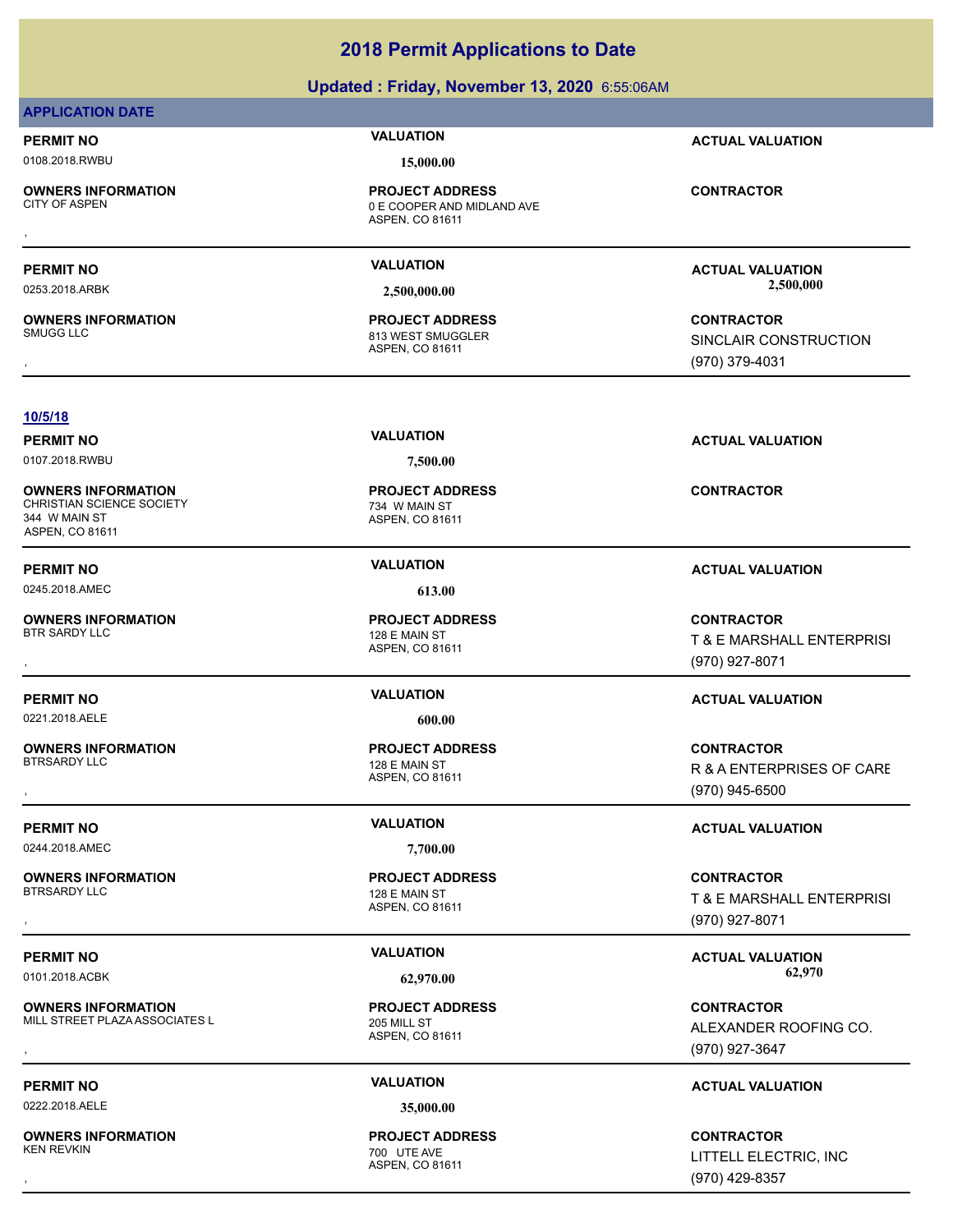### **Updated : Friday, November 13, 2020** 6:55:06AM

### **APPLICATION DATE**

0108.2018.RWBU **15,000.00**

**OWNERS INFORMATION**

**OWNERS INFORMATION**

ASPEN, CO 81611 0 E COOPER AND MIDLAND AVE **PROJECT ADDRESS OWNERS INFORMATION FROJECT ADDRESS CONTRACTOR**<br>CITY OF ASPEN **OE COOPER AND MIDLAND AVE**<br>ASPEN, CO 81611

ASPEN, CO 81611 813 WEST SMUGGLER **PROJECT ADDRESS**

**PERMIT NO VALUATION ACTUAL VALUATION**

**PERMIT NO VALUATION ACTUAL VALUATION** 0253.2018.ARBK **2,500,000.00 2,500,000.00**

, **CONTRACTOR** SINCLAIR CONSTRUCTION (970) 379-4031

### **10/5/18**

**OWNERS INFORMATION** CHRISTIAN SCIENCE SOCIETY 734 W MAIN ST 344 W MAIN ST ASPEN, CO 81611

**OWNERS INFORMATION** BTR SARDY LLC 128 E MAIN ST

0221.2018.AELE **600.00**

**OWNERS INFORMATION**

0244.2018.AMEC **7,700.00**

**OWNERS INFORMATION**

**OWNERS INFORMATION** MILL STREET PLAZA ASSOCIATES L<br>205 MILL ST

0222.2018.AELE **35,000.00**

**OWNERS INFORMATION** KEN REVKIN 700 UTE AVE

0107.2018.RWBU **7,500.00**

ASPEN, CO 81611 **PROJECT ADDRESS**

0245.2018.AMEC **613.00**

ASPEN, CO 81611 **PROJECT ADDRESS**

ASPEN, CO 81611 128 E MAIN ST **PROJECT ADDRESS**

ASPEN, CO 81611 128 E MAIN ST **PROJECT ADDRESS**

ASPEN, CO 81611 **PROJECT ADDRESS**

ASPEN, CO 81611 **PROJECT ADDRESS**

**PERMIT NO VALUATION ACTUAL VALUATION**

**CONTRACTOR**

### **PERMIT NO VALUATION ACTUAL VALUATION**

**OWNERS INFORMATION PROJECT ADDRESS CONTRACTOR**<br>BTR SARDY LLC 128 E MAIN ST T & E MARSHALL ENTERPRISI<br>, ASPEN. CO 81611 T & E MARSHALL ENTERPRISI (970) 927-8071

### **PERMIT NO VALUATION ACTUAL VALUATION**

, **CONTRACTOR** R & A ENTERPRISES OF CARE (970) 945-6500

### **PERMIT NO VALUATION ACTUAL VALUATION**

, **CONTRACTOR** T & E MARSHALL ENTERPRISI (970) 927-8071

PERMIT NO **SALUATION VALUATION CALUATION ACTUAL VALUATION ACTUAL VALUATION** 0101.2018.ACBK **62,970.00 62,970.00**

**OWNERS INFORMATION FROJECT ADDRESS ARE SERVICE ONTRACTOR CONTRACTOR**<br>MILL STREET PLAZA ASSOCIATES LY ASPEN, CO 81611 ALEXANDER ROOFING CO.<br>ASPEN, CO 81611 ASPEN (970) 927-3647 ALEXANDER ROOFING CO. (970) 927-3647

### **PERMIT NO VALUATION ACTUAL VALUATION**

, **CONTRACTOR** LITTELL ELECTRIC, INC (970) 429-8357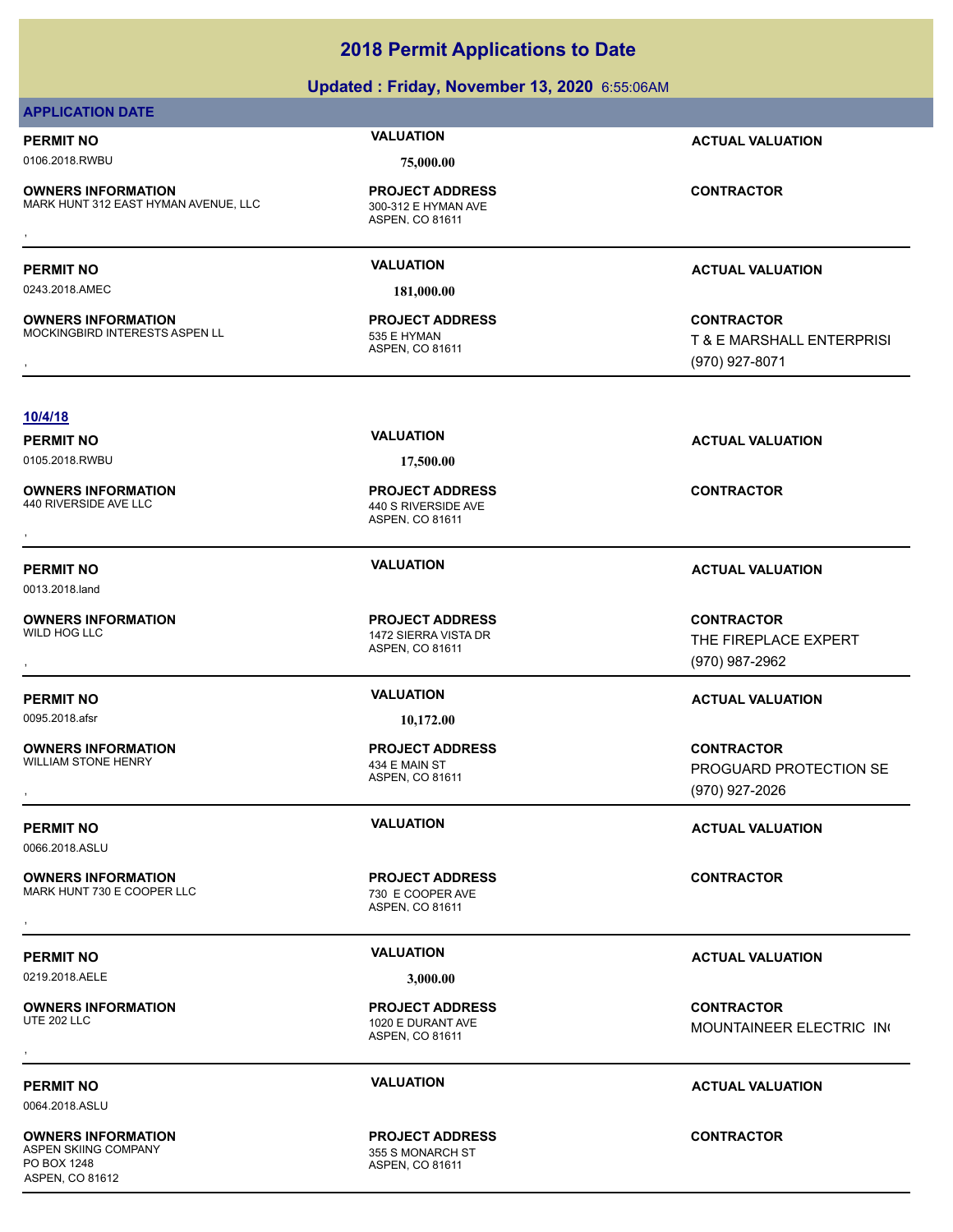| 0106.2018.RWBU                                                    | 75,000.00                                                         |                                                                  |
|-------------------------------------------------------------------|-------------------------------------------------------------------|------------------------------------------------------------------|
| <b>OWNERS INFORMATION</b><br>MARK HUNT 312 EAST HYMAN AVENUE, LLC | <b>PROJECT ADDRESS</b><br>300-312 E HYMAN AVE<br>ASPEN, CO 81611  | <b>CONTRACTOR</b>                                                |
| <b>PERMIT NO</b>                                                  | <b>VALUATION</b>                                                  | <b>ACTUAL VALUATION</b>                                          |
| 0243.2018.AMEC                                                    | 181,000.00                                                        |                                                                  |
| <b>OWNERS INFORMATION</b><br>MOCKINGBIRD INTERESTS ASPEN LL       | <b>PROJECT ADDRESS</b><br>535 E HYMAN<br>ASPEN, CO 81611          | <b>CONTRACTOR</b><br>T & E MARSHALL ENTERPRISI<br>(970) 927-8071 |
| 10/4/18                                                           |                                                                   |                                                                  |
| <b>PERMIT NO</b><br>0105.2018.RWBU                                | <b>VALUATION</b><br>17,500.00                                     | <b>ACTUAL VALUATION</b>                                          |
| <b>OWNERS INFORMATION</b><br>440 RIVERSIDE AVE LLC                | <b>PROJECT ADDRESS</b><br>440 S RIVERSIDE AVE<br>ASPEN, CO 81611  | <b>CONTRACTOR</b>                                                |
| <b>PERMIT NO</b><br>0013.2018.land                                | <b>VALUATION</b>                                                  | <b>ACTUAL VALUATION</b>                                          |
| <b>OWNERS INFORMATION</b><br>WILD HOG LLC                         | <b>PROJECT ADDRESS</b><br>1472 SIERRA VISTA DR<br>ASPEN, CO 81611 | <b>CONTRACTOR</b><br>THE FIREPLACE EXPERT<br>(970) 987-2962      |
| <b>PERMIT NO</b><br>0095.2018.afsr                                | <b>VALUATION</b><br>10,172.00                                     | <b>ACTUAL VALUATION</b>                                          |
| <b>OWNERS INFORMATION</b><br><b>WILLIAM STONE HENRY</b>           | <b>PROJECT ADDRESS</b><br>434 E MAIN ST<br>ASPEN, CO 81611        | <b>CONTRACTOR</b><br>PROGUARD PROTECTION SE<br>(970) 927-2026    |
| <b>PERMIT NO</b><br>0066.2018.ASLU                                | <b>VALUATION</b>                                                  | <b>ACTUAL VALUATION</b>                                          |
| <b>OWNERS INFORMATION</b><br>MARK HUNT 730 E COOPER LLC           | <b>PROJECT ADDRESS</b><br>730 E COOPER AVE<br>ASPEN, CO 81611     | <b>CONTRACTOR</b>                                                |
| <b>PERMIT NO</b>                                                  | <b>VALUATION</b>                                                  | <b>ACTUAL VALUATION</b>                                          |
| 0219.2018.AELE                                                    | 3,000.00                                                          |                                                                  |
| <b>OWNERS INFORMATION</b><br><b>UTE 202 LLC</b>                   | <b>PROJECT ADDRESS</b><br>1020 E DURANT AVE<br>ASPEN, CO 81611    | <b>CONTRACTOR</b><br><b>MOUNTAINEER ELECTRIC IN</b>              |
|                                                                   |                                                                   |                                                                  |
| <b>PERMIT NO</b><br>0064.2018.ASLU                                | <b>VALUATION</b>                                                  | <b>ACTUAL VALUATION</b>                                          |

### **OWNERS INFORMATION** PO BOX 1248 ASPEN, CO 81612

ASPEN, CO 81611 355 S MONARCH ST **PROJECT ADDRESS**

**CONTRACTOR**

### **2018 Permit Applications to Date**

**Updated : Friday, November 13, 2020** 6:55:06AM

### **APPLICATION DATE**

# **PERMIT NO CONSUMITY ACTUAL VALUATION VALUATION ACTUAL VALUATION**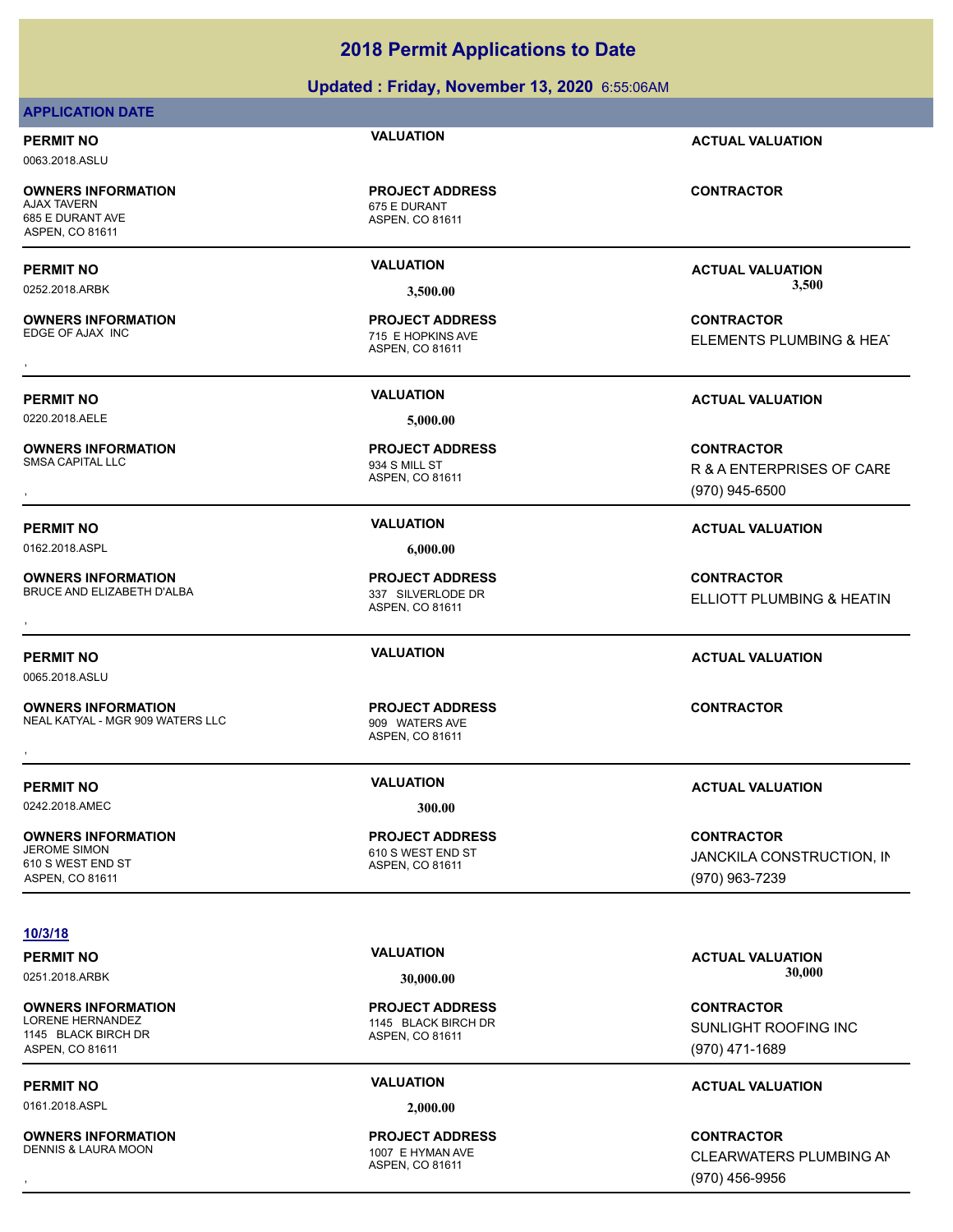### **Updated : Friday, November 13, 2020** 6:55:06AM

### **APPLICATION DATE**

0063.2018.ASLU

**OWNERS INFORMATION** 685 E DURANT AVE ASPEN, CO 81611

**OWNERS INFORMATION**

0220.2018.AELE **5,000.00**

**OWNERS INFORMATION**

**OWNERS INFORMATION** BRUCE AND ELIZABETH D'ALBA 337 SILVERLODE DR

0065.2018.ASLU

**OWNERS INFORMATION** NEAL KATYAL - MGR 909 WATERS LLC<br>909 WATERS AVE

0242.2018.AMEC **300.00**

**OWNERS INFORMATION** 610 S WEST END ST ASPEN, CO 81611

### **10/3/18**

**OWNERS INFORMATION** LORENE HERNANDEZ 1145 BLACK BIRCH DR 1145 BLACK BIRCH DR ASPEN, CO 81611

0161.2018.ASPL **2,000.00**

**OWNERS INFORMATION** DENNIS & LAURA MOON 1007 F HYMAN AVE

**PERMIT NO VALUATION ACTUAL VALUATION**

ASPEN, CO 81611 675 E DURANT **PROJECT ADDRESS**

ASPEN, CO 81611 715 E HOPKINS AVE **PROJECT ADDRESS**

ASPEN, CO 81611 934 S MILL ST **PROJECT ADDRESS**

ASPEN, CO 81611

ASPEN, CO 81611 **OWNERS INFORMATION EXAMPLE ASSES FOR A PROJECT ADDRESS FOR A CONTRACTOR CONTRACTOR**<br>NEAL KATYAL - MGR 909 WATERS LLC TO BOOD WATERS AVE<br>ASPEN, CO 81611

ASPEN, CO 81611 610 S WEST END ST **PROJECT ADDRESS**

**PERMIT NO VALUATION ACTUAL VALUATION** 0252.2018.ARBK **3,500.00 3,500.00**

, **CONTRACTOR** ELEMENTS PLUMBING & HEAT

### **PERMIT NO VALUATION ACTUAL VALUATION**

, **CONTRACTOR** R & A ENTERPRISES OF CARE (970) 945-6500

, **CONTRACTOR ELLIOTT PLUMBING & HEATIN** 

### **PERMIT NO VALUATION ACTUAL VALUATION**

### **PERMIT NO VALUATION ACTUAL VALUATION**

**CONTRACTOR** JANCKILA CONSTRUCTION, IN (970) 963-7239

ASPEN, CO 81611 **PROJECT ADDRESS**

ASPEN, CO 81611 **PROJECT ADDRESS**

PERMIT NO **MALUATION VALUATION CONSUMPTION ACTUAL VALUATION** 0251.2018.ARBK **30,000.00 30,000.00**

> **CONTRACTOR** SUNLIGHT ROOFING INC (970) 471-1689

### **PERMIT NO VALUATION ACTUAL VALUATION**

, **CONTRACTOR** CLEARWATERS PLUMBING AN (970) 456-9956

### **CONTRACTOR**

**PROJECT ADDRESS**

**PROJECT ADDRESS**

**PERMIT NO VALUATION ACTUAL VALUATION**

0162.2018.ASPL **6,000.00**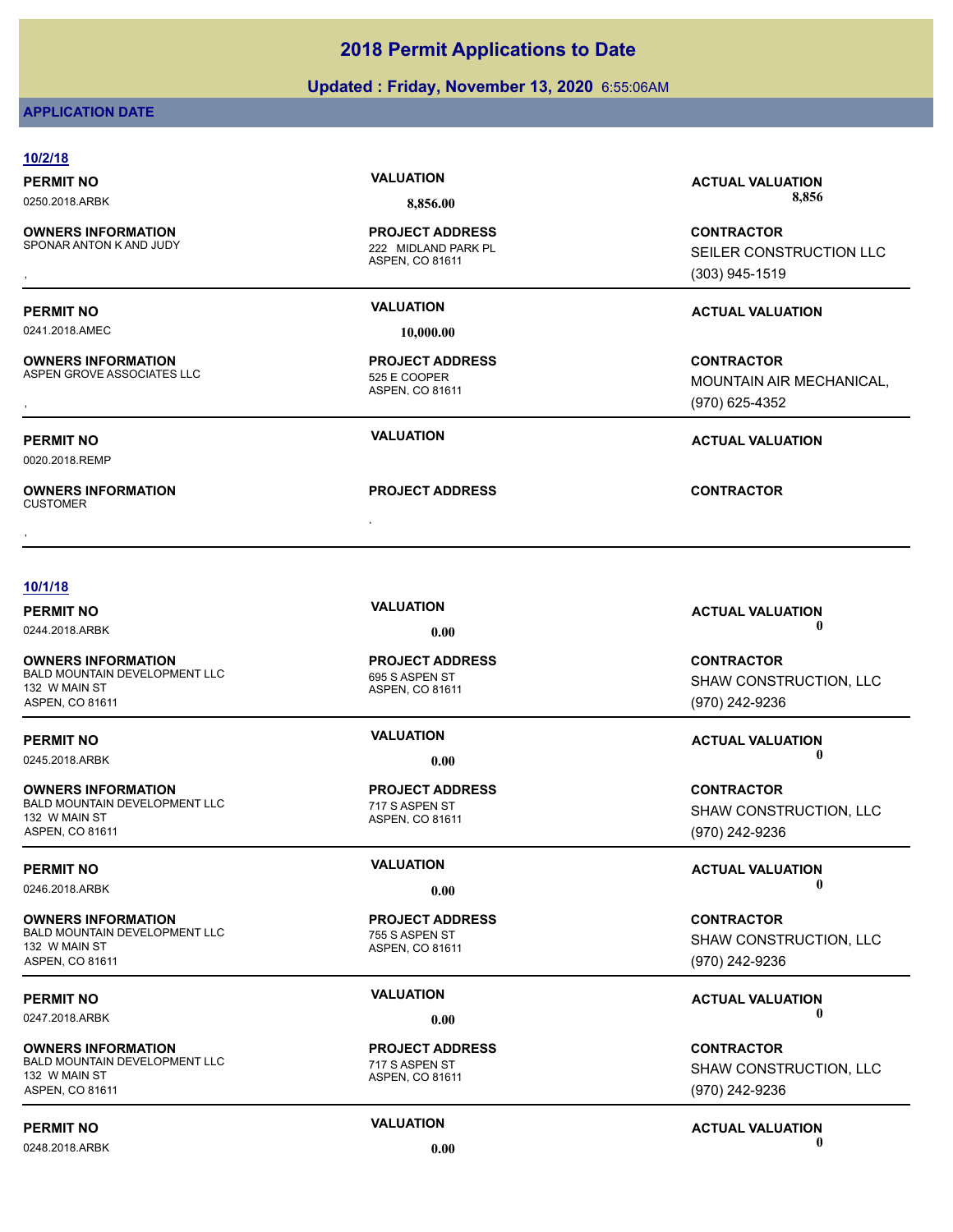### **Updated : Friday, November 13, 2020** 6:55:06AM

### **APPLICATION DATE**

| 10/2/18                                              |                                        |                                        |
|------------------------------------------------------|----------------------------------------|----------------------------------------|
| <b>PERMIT NO</b>                                     | <b>VALUATION</b>                       | <b>ACTUAL VALUATION</b>                |
| 0250.2018.ARBK                                       | 8,856.00                               | 8,856                                  |
| <b>OWNERS INFORMATION</b><br>SPONAR ANTON K AND JUDY | <b>PROJECT ADDRESS</b>                 | <b>CONTRACTOR</b>                      |
|                                                      | 222 MIDLAND PARK PL<br>ASPEN, CO 81611 | SEILER CONSTRUCTION LLC                |
|                                                      |                                        | $(303)$ 945-1519                       |
| <b>PERMIT NO</b>                                     | <b>VALUATION</b>                       | <b>ACTUAL VALUATION</b>                |
| 0241.2018.AMEC                                       | 10,000.00                              |                                        |
| <b>OWNERS INFORMATION</b>                            | <b>PROJECT ADDRESS</b>                 | <b>CONTRACTOR</b>                      |
| ASPEN GROVE ASSOCIATES LLC                           | 525 E COOPER                           | MOUNTAIN AIR MECHANICAL,               |
|                                                      | ASPEN, CO 81611                        | (970) 625-4352                         |
| <b>PERMIT NO</b>                                     | <b>VALUATION</b>                       | <b>ACTUAL VALUATION</b>                |
| 0020.2018.REMP                                       |                                        |                                        |
| <b>OWNERS INFORMATION</b><br><b>CUSTOMER</b>         | <b>PROJECT ADDRESS</b>                 | <b>CONTRACTOR</b>                      |
|                                                      |                                        |                                        |
| 10/1/18                                              |                                        |                                        |
| <b>PERMIT NO</b>                                     | <b>VALUATION</b>                       | <b>ACTUAL VALUATION</b><br>$\mathbf 0$ |
| 0244.2018.ARBK                                       | 0.00                                   |                                        |
| <b>OWNERS INFORMATION</b>                            | <b>PROJECT ADDRESS</b>                 | <b>CONTRACTOR</b>                      |
| BALD MOUNTAIN DEVELOPMENT LLC<br>132 W MAIN ST       | 695 S ASPEN ST<br>ASPEN, CO 81611      | SHAW CONSTRUCTION, LLC                 |
| ASPEN, CO 81611                                      |                                        | (970) 242-9236                         |
| <b>PERMIT NO</b>                                     | <b>VALUATION</b>                       | <b>ACTUAL VALUATION</b>                |
| 0245.2018.ARBK                                       | 0.00                                   | A                                      |
| <b>OWNERS INFORMATION</b>                            | <b>PROJECT ADDRESS</b>                 | <b>CONTRACTOR</b>                      |
| BALD MOUNTAIN DEVELOPMENT LLC                        | 717 S ASPEN ST                         | SHAW CONSTRUCTION, LLC                 |
| 132 W MAIN ST<br>ASPEN, CO 81611                     | ASPEN, CO 81611                        | (970) 242-9236                         |
|                                                      | <b>VALUATION</b>                       |                                        |
| <b>PERMIT NO</b>                                     |                                        | <b>ACTUAL VALUATION</b>                |

**OWNERS INFORMATION** BALD MOUNTAIN DEVELOPMENT LLC<br>
755 S ASPEN ST 132 W MAIN ST ASPEN, CO 81611

**OWNERS INFORMATION** BALD MOUNTAIN DEVELOPMENT LLC 717 S ASPEN ST 132 W MAIN ST ASPEN, CO 81611

0248.2018.ARBK **0.00 0.00**

# **PROJECT ADDRESS**

ASPEN, CO 81611

### ASPEN, CO 81611 **PROJECT ADDRESS**

0246.2018.ARBK **0.00 0.00**

### **CONTRACTOR** SHAW CONSTRUCTION, LLC (970) 242-9236

### **PERMIT NO CONSUMPTER ACTUAL VALUATION VALUATION** 0247.2018.ARBK **0.00 0.00**

**CONTRACTOR** SHAW CONSTRUCTION, LLC (970) 242-9236

## **PERMIT NO VALUATION ACTUAL VALUATION**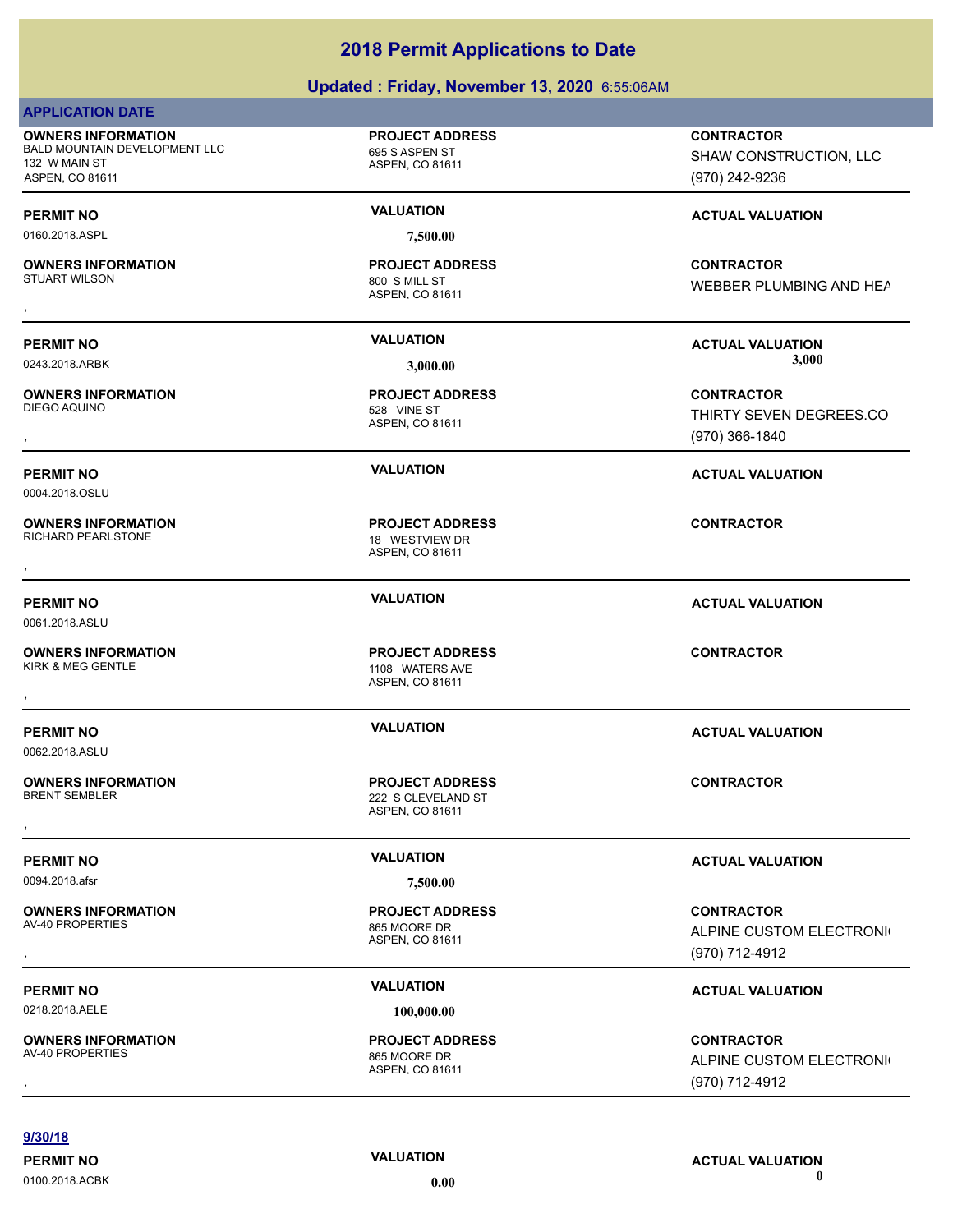### **Updated : Friday, November 13, 2020** 6:55:06AM

| <b>APPLICATION DATE</b>                                                                        |                                                                 |                                                                |
|------------------------------------------------------------------------------------------------|-----------------------------------------------------------------|----------------------------------------------------------------|
| <b>OWNERS INFORMATION</b><br>BALD MOUNTAIN DEVELOPMENT LLC<br>132 W MAIN ST<br>ASPEN, CO 81611 | <b>PROJECT ADDRESS</b><br>695 S ASPEN ST<br>ASPEN, CO 81611     | <b>CONTRACTOR</b><br>SHAW CONSTRUCTION, LLC<br>(970) 242-9236  |
| <b>PERMIT NO</b>                                                                               | <b>VALUATION</b>                                                | <b>ACTUAL VALUATION</b>                                        |
| 0160.2018.ASPL                                                                                 | 7,500.00                                                        |                                                                |
| <b>OWNERS INFORMATION</b><br><b>STUART WILSON</b>                                              | <b>PROJECT ADDRESS</b><br>800 S MILL ST<br>ASPEN, CO 81611      | <b>CONTRACTOR</b><br>WEBBER PLUMBING AND HEA                   |
| <b>PERMIT NO</b><br>0243.2018.ARBK                                                             | <b>VALUATION</b><br>3,000.00                                    | <b>ACTUAL VALUATION</b><br>3,000                               |
| <b>OWNERS INFORMATION</b><br>DIEGO AQUINO                                                      | <b>PROJECT ADDRESS</b><br>528 VINE ST<br>ASPEN, CO 81611        | <b>CONTRACTOR</b><br>THIRTY SEVEN DEGREES.CO<br>(970) 366-1840 |
| <b>PERMIT NO</b><br>0004.2018.OSLU                                                             | <b>VALUATION</b>                                                | <b>ACTUAL VALUATION</b>                                        |
| <b>OWNERS INFORMATION</b><br><b>RICHARD PEARLSTONE</b>                                         | <b>PROJECT ADDRESS</b><br>18 WESTVIEW DR<br>ASPEN, CO 81611     | <b>CONTRACTOR</b>                                              |
|                                                                                                |                                                                 |                                                                |
| <b>PERMIT NO</b><br>0061.2018.ASLU                                                             | <b>VALUATION</b>                                                | <b>ACTUAL VALUATION</b>                                        |
| <b>OWNERS INFORMATION</b><br>KIRK & MEG GENTLE                                                 | <b>PROJECT ADDRESS</b><br>1108 WATERS AVE<br>ASPEN, CO 81611    | <b>CONTRACTOR</b>                                              |
| <b>PERMIT NO</b><br>0062.2018.ASLU                                                             | <b>VALUATION</b>                                                | <b>ACTUAL VALUATION</b>                                        |
| <b>OWNERS INFORMATION</b><br><b>BRENT SEMBLER</b>                                              | <b>PROJECT ADDRESS</b><br>222 S CLEVELAND ST<br>ASPEN, CO 81611 | <b>CONTRACTOR</b>                                              |
| <b>PERMIT NO</b><br>0094.2018.afsr                                                             | <b>VALUATION</b><br>7,500.00                                    | <b>ACTUAL VALUATION</b>                                        |
| <b>OWNERS INFORMATION</b><br>AV-40 PROPERTIES                                                  | <b>PROJECT ADDRESS</b><br>865 MOORE DR<br>ASPEN, CO 81611       | <b>CONTRACTOR</b><br>ALPINE CUSTOM ELECTRONI<br>(970) 712-4912 |
| <b>PERMIT NO</b>                                                                               | <b>VALUATION</b>                                                | <b>ACTUAL VALUATION</b>                                        |
| 0218.2018.AELE                                                                                 | 100,000.00                                                      |                                                                |
| <b>OWNERS INFORMATION</b><br>AV-40 PROPERTIES                                                  | <b>PROJECT ADDRESS</b><br>865 MOORE DR<br>ASPEN, CO 81611       | <b>CONTRACTOR</b><br>ALPINE CUSTOM ELECTRONI<br>(970) 712-4912 |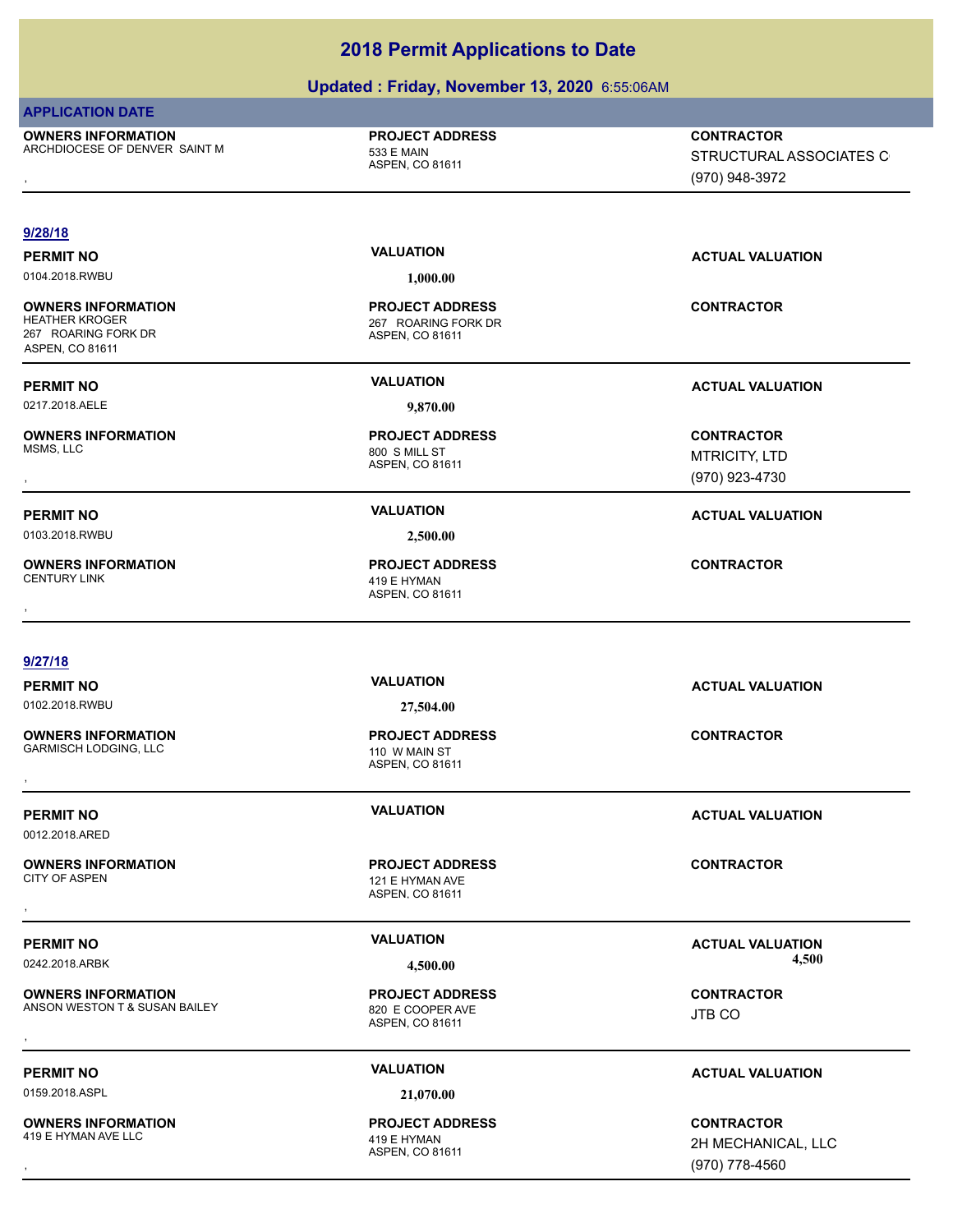### **Updated : Friday, November 13, 2020** 6:55:06AM

| <b>APPLICATION DATE</b>                                                                      |                                                                  |                                                                |
|----------------------------------------------------------------------------------------------|------------------------------------------------------------------|----------------------------------------------------------------|
| <b>OWNERS INFORMATION</b><br>ARCHDIOCESE OF DENVER SAINT M                                   | <b>PROJECT ADDRESS</b><br>533 E MAIN<br>ASPEN, CO 81611          | <b>CONTRACTOR</b><br>STRUCTURAL ASSOCIATES C<br>(970) 948-3972 |
| 9/28/18                                                                                      |                                                                  |                                                                |
|                                                                                              | <b>VALUATION</b>                                                 |                                                                |
| <b>PERMIT NO</b><br>0104.2018.RWBU                                                           | 1,000.00                                                         | <b>ACTUAL VALUATION</b>                                        |
| <b>OWNERS INFORMATION</b><br><b>HEATHER KROGER</b><br>267 ROARING FORK DR<br>ASPEN, CO 81611 | <b>PROJECT ADDRESS</b><br>267 ROARING FORK DR<br>ASPEN, CO 81611 | <b>CONTRACTOR</b>                                              |
| <b>PERMIT NO</b>                                                                             | <b>VALUATION</b>                                                 | <b>ACTUAL VALUATION</b>                                        |
| 0217.2018.AELE                                                                               | 9,870.00                                                         |                                                                |
| <b>OWNERS INFORMATION</b><br>MSMS, LLC                                                       | <b>PROJECT ADDRESS</b><br>800 S MILL ST<br>ASPEN, CO 81611       | <b>CONTRACTOR</b><br><b>MTRICITY, LTD</b><br>(970) 923-4730    |
| <b>PERMIT NO</b>                                                                             | <b>VALUATION</b>                                                 | <b>ACTUAL VALUATION</b>                                        |
| 0103.2018.RWBU                                                                               | 2,500.00                                                         |                                                                |
| <b>OWNERS INFORMATION</b><br><b>CENTURY LINK</b>                                             | <b>PROJECT ADDRESS</b><br>419 E HYMAN<br>ASPEN, CO 81611         | <b>CONTRACTOR</b>                                              |
|                                                                                              |                                                                  |                                                                |
| 9/27/18                                                                                      |                                                                  |                                                                |
| <b>PERMIT NO</b>                                                                             | <b>VALUATION</b>                                                 | <b>ACTUAL VALUATION</b>                                        |
| 0102.2018.RWBU                                                                               | 27,504.00                                                        |                                                                |
| <b>OWNERS INFORMATION</b><br><b>GARMISCH LODGING, LLC</b>                                    | <b>PROJECT ADDRESS</b><br>110 W MAIN ST<br>ASPEN, CO 81611       | <b>CONTRACTOR</b>                                              |
| <b>PERMIT NO</b><br>0012.2018.ARED                                                           | <b>VALUATION</b>                                                 | <b>ACTUAL VALUATION</b>                                        |
| <b>OWNERS INFORMATION</b><br><b>CITY OF ASPEN</b>                                            | <b>PROJECT ADDRESS</b><br>121 E HYMAN AVE<br>ASPEN, CO 81611     | <b>CONTRACTOR</b>                                              |
| <b>PERMIT NO</b>                                                                             | <b>VALUATION</b>                                                 | <b>ACTUAL VALUATION</b>                                        |
| 0242.2018.ARBK                                                                               | 4,500.00                                                         | 4,500                                                          |
| <b>OWNERS INFORMATION</b><br>ANSON WESTON T & SUSAN BAILEY                                   | <b>PROJECT ADDRESS</b><br>820 E COOPER AVE<br>ASPEN, CO 81611    | <b>CONTRACTOR</b><br>JTB CO                                    |
|                                                                                              | <b>VALUATION</b>                                                 |                                                                |
| <b>PERMIT NO</b>                                                                             |                                                                  | <b>ACTUAL VALUATION</b>                                        |
| 0159.2018.ASPL                                                                               | 21,070.00                                                        |                                                                |
| <b>OWNERS INFORMATION</b><br>419 E HYMAN AVE LLC                                             | <b>PROJECT ADDRESS</b>                                           | <b>CONTRACTOR</b>                                              |
|                                                                                              | 419 E HYMAN<br>ASPEN, CO 81611                                   | 2H MECHANICAL, LLC                                             |
|                                                                                              |                                                                  | (970) 778-4560                                                 |

2H MECHANICAL, LLC (970) 778-4560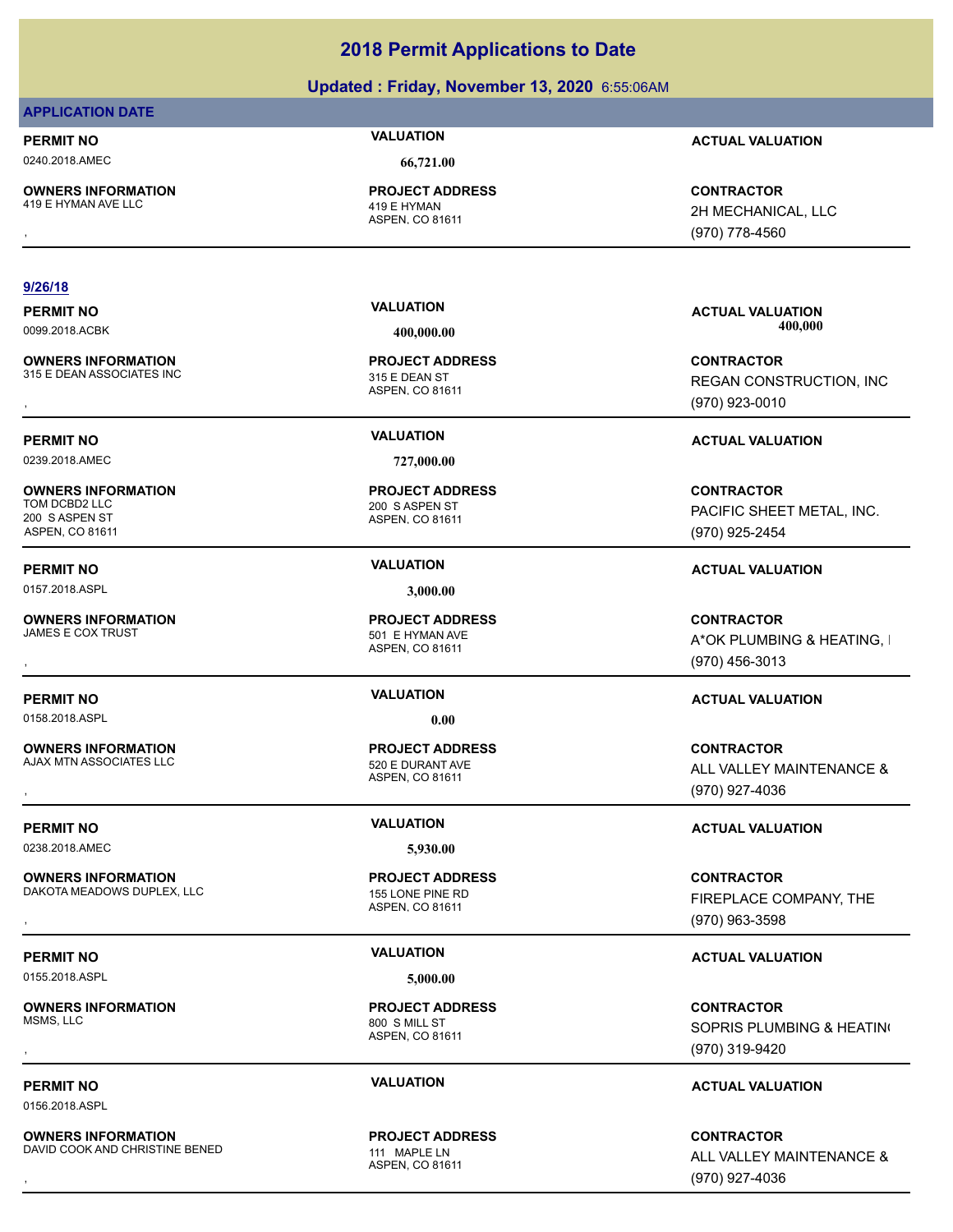### **Updated : Friday, November 13, 2020** 6:55:06AM

### **APPLICATION DATE**

0240.2018.AMEC **66,721.00**

**OWNERS INFORMATION** 419 E HYMAN AVE LLC 419 E HYMAN

ASPEN, CO 81611 **PROJECT ADDRESS**

### **9/26/18**

**OWNERS INFORMATION** 315 E DEAN ASSOCIATES INC 315 E DEAN ST

0239.2018.AMEC **727,000.00**

**OWNERS INFORMATION** 200 S ASPEN ST ASPEN, CO 81611

**OWNERS INFORMATION**

0158.2018.ASPL **0.00**

**OWNERS INFORMATION** AJAX MTN ASSOCIATES LLC 520 E DURANT AVE

0238.2018.AMEC **5,930.00**

**OWNERS INFORMATION** DAKOTA MEADOWS DUPLEX, LLC<br>155 LONE PINE RD

0155.2018.ASPL **5,000.00**

**OWNERS INFORMATION** MSMS, LLC 800 S MILL ST

0156.2018.ASPL

**OWNERS INFORMATION** DAVID COOK AND CHRISTINE BENED 111 MAPLE IN

ASPEN, CO 81611 **PROJECT ADDRESS**

ASPEN, CO 81611 200 S ASPEN ST **PROJECT ADDRESS**

0157.2018.ASPL **3,000.00**

ASPEN, CO 81611 501 E HYMAN AVE **PROJECT ADDRESS**

ASPEN, CO 81611 **PROJECT ADDRESS**

ASPEN, CO 81611 **PROJECT ADDRESS**

ASPEN, CO 81611 **PROJECT ADDRESS**

ASPEN, CO 81611 **PROJECT ADDRESS**

**PERMIT NO VALUATION ACTUAL VALUATION**

**OWNERS INFORMATION PROJECT ADDRESS CONTRACTOR**<br>419 E HYMAN AVE LLC 419 E HYMAN 2H MECHANICAL, LLC<br>, ASPEN, CO 81611 2H MECHANICAL, LLC (970) 778-4560

**PERMIT NO VALUATION ACTUAL VALUATION** 0099.2018.ACBK **400,000.00 400,000.00**

**OWNERS INFORMATION GOVERNED BY A SET OF PROJECT ADDRESS CONTRACTOR CONTRACTOR**<br>315 E DEAN ASSOCIATES INC GOVERNED BY STAGE OF A SPEN, CO 81611<br>, GOVERNED BY STAGE ASPEN, CO 81611 GOVERNED BY STAGE (970) 923-0010 REGAN CONSTRUCTION, INC (970) 923-0010

### **PERMIT NO VALUATION ACTUAL VALUATION**

**CONTRACTOR** PACIFIC SHEET METAL, INC. (970) 925-2454

### **PERMIT NO VALUATION ACTUAL VALUATION**

, **CONTRACTOR** A\*OK PLUMBING & HEATING, I (970) 456-3013

### **PERMIT NO VALUATION ACTUAL VALUATION**

**OWNERS INFORMATION PROJECT ADDRESS CONTRACTOR**<br>AJAX MTN ASSOCIATES LLC 520 E DURANT AVE ALL VALLEY MAINTENANCE &<br>, ASPEN, CO 81611 ALL VALLEY MAINTENANCE & (970) 927-4036

### **PERMIT NO VALUATION ACTUAL VALUATION**

**OWNERS INFORMATION LETTLE SERVICE TO A PROJECT ADDRESS ARE SERVICE CONTRACTOR CONTRACTOR**<br>DAKOTA MEADOWS DUPLEX, LLC LETTLE SERVICE AS A SPEN. CO 81611<br>, The Control of the Service Control ASPEN. CO 81611 Letter Service C FIREPLACE COMPANY, THE (970) 963-3598

### **PERMIT NO VALUATION ACTUAL VALUATION**

, **CONTRACTOR** SOPRIS PLUMBING & HEATING (970) 319-9420

### **PERMIT NO VALUATION ACTUAL VALUATION**

**OWNERS INFORMATION DENSITY OF A SERVICE PROJECT ADDRESS ARE:**<br>DAVID COOK AND CHRISTINE BENED THAT MAPLE LIN ASPEN. CO 81611 **A LEAD RESERVE SERVICE A** ALL VALLEY MAINTENANCE &<br>, That Maple Maspen. Co 81611 Maple Service C ALL VALLEY MAINTENANCE & (970) 927-4036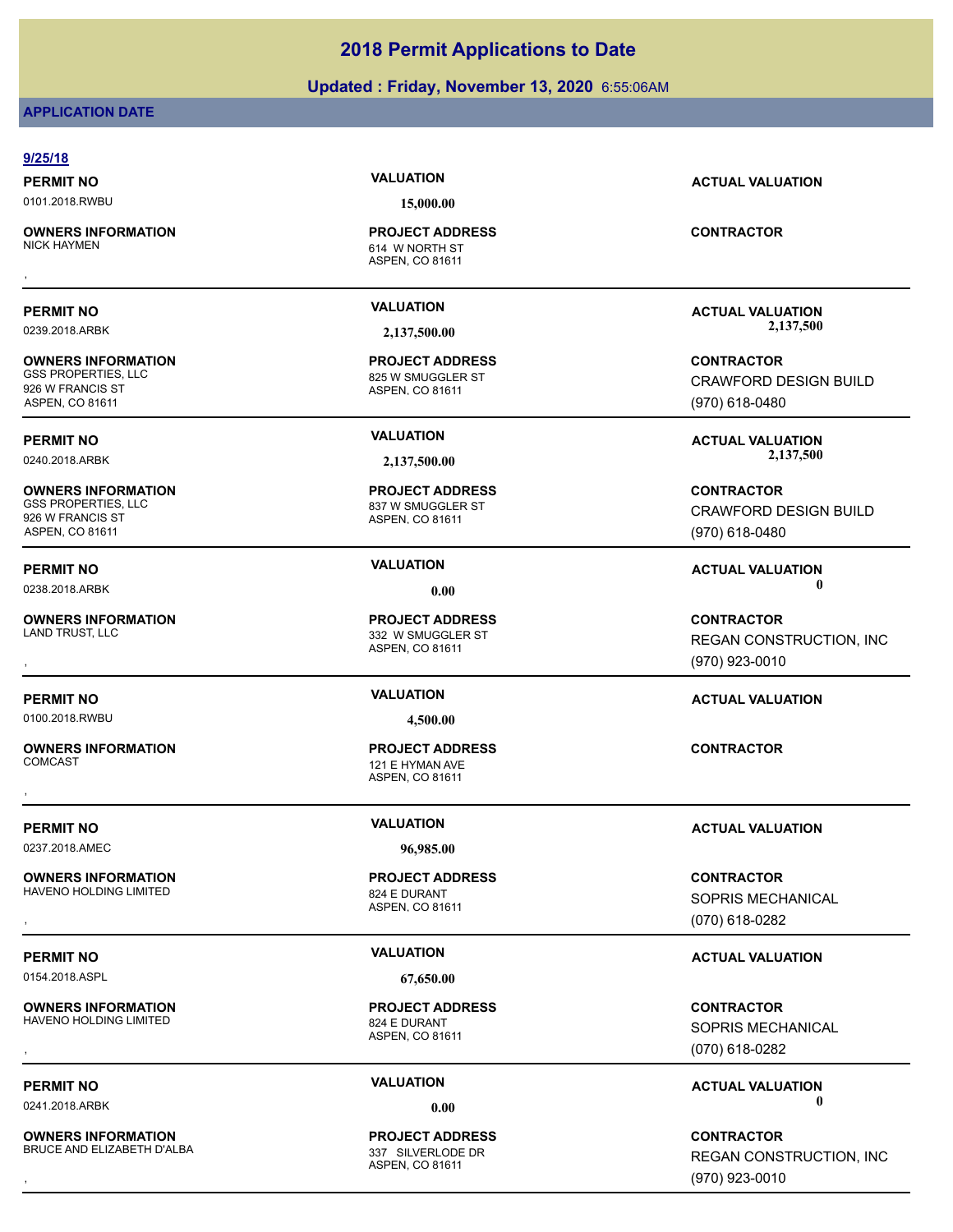### **Updated : Friday, November 13, 2020** 6:55:06AM

### **APPLICATION DATE**

### **9/25/18 PERMIT NO VALUATION ACTUAL VALUATION** 0101.2018.RWBU **15,000.00** ASPEN, CO 81611 **OWNERS INFORMATION** 614 W NORTH ST **PROJECT ADDRESS OWNERS INFORMATION FROJECT ADDRESS ARE:**<br>NICK HAYMEN<br>, ASPEN, CO 81611<br>, **PERMIT NO VALUATION ACTUAL VALUATION** 0239.2018.ARBK **2,137,500.00 2,137,500.00** ASPEN, CO 81611 **OWNERS INFORMATION** 825 W SMUGGLER ST **PROJECT ADDRESS** 926 W FRANCIS ST ASPEN, CO 81611 **CONTRACTOR** CRAWFORD DESIGN BUILD (970) 618-0480 **PERMIT NO VALUATION ACTUAL VALUATION** 0240.2018.ARBK **2,137,500.00 2,137,500.00** ASPEN, CO 81611 **OWNERS INFORMATION** 837 W SMUGGLER ST **PROJECT ADDRESS** 926 W FRANCIS ST ASPEN, CO 81611 **CONTRACTOR** CRAWFORD DESIGN BUILD (970) 618-0480 **PERMIT NO VALUATION ACTUAL VALUATION** 0238.2018.ARBK **0.00 0.00** ASPEN, CO 81611 **OWNERS INFORMATION** 332 W SMUGGLER ST **PROJECT ADDRESS** , **CONTRACTOR** (970) 923-0010 **PERMIT NO VALUATION ACTUAL VALUATION** 0100.2018.RWBU **4,500.00** ASPEN, CO 81611 **OWNERS INFORMATION** 121 E HYMAN AVE **PROJECT ADDRESS** , **CONTRACTOR PERMIT NO VALUATION ACTUAL VALUATION** 0237.2018.AMEC **96,985.00** ASPEN, CO 81611 **OWNERS INFORMATION** HAVENO HOLDING LIMITED 824 E DURANT **PROJECT ADDRESS** , **CONTRACTOR** SOPRIS MECHANICAL (070) 618-0282 **PERMIT NO VALUATION ACTUAL VALUATION** 0154.2018.ASPL **67,650.00** ASPEN, CO 81611 **OWNERS INFORMATION** HAVENO HOLDING LIMITED 824 E DURANT **PROJECT ADDRESS** , **CONTRACTOR** SOPRIS MECHANICAL

**OWNERS INFORMATION** BRUCE AND ELIZABETH D'ALBA 337 SILVERI ODE DR

ASPEN, CO 81611 **PROJECT ADDRESS**

REGAN CONSTRUCTION, INC

(070) 618-0282

**PERMIT NO CONSUMITY OF A CONSUMITY OF A CONSUMITY OF A CONSUMITY OF A CTUAL VALUATION** 0241.2018.ARBK **0.00 0.00**

, **CONTRACTOR** REGAN CONSTRUCTION, INC (970) 923-0010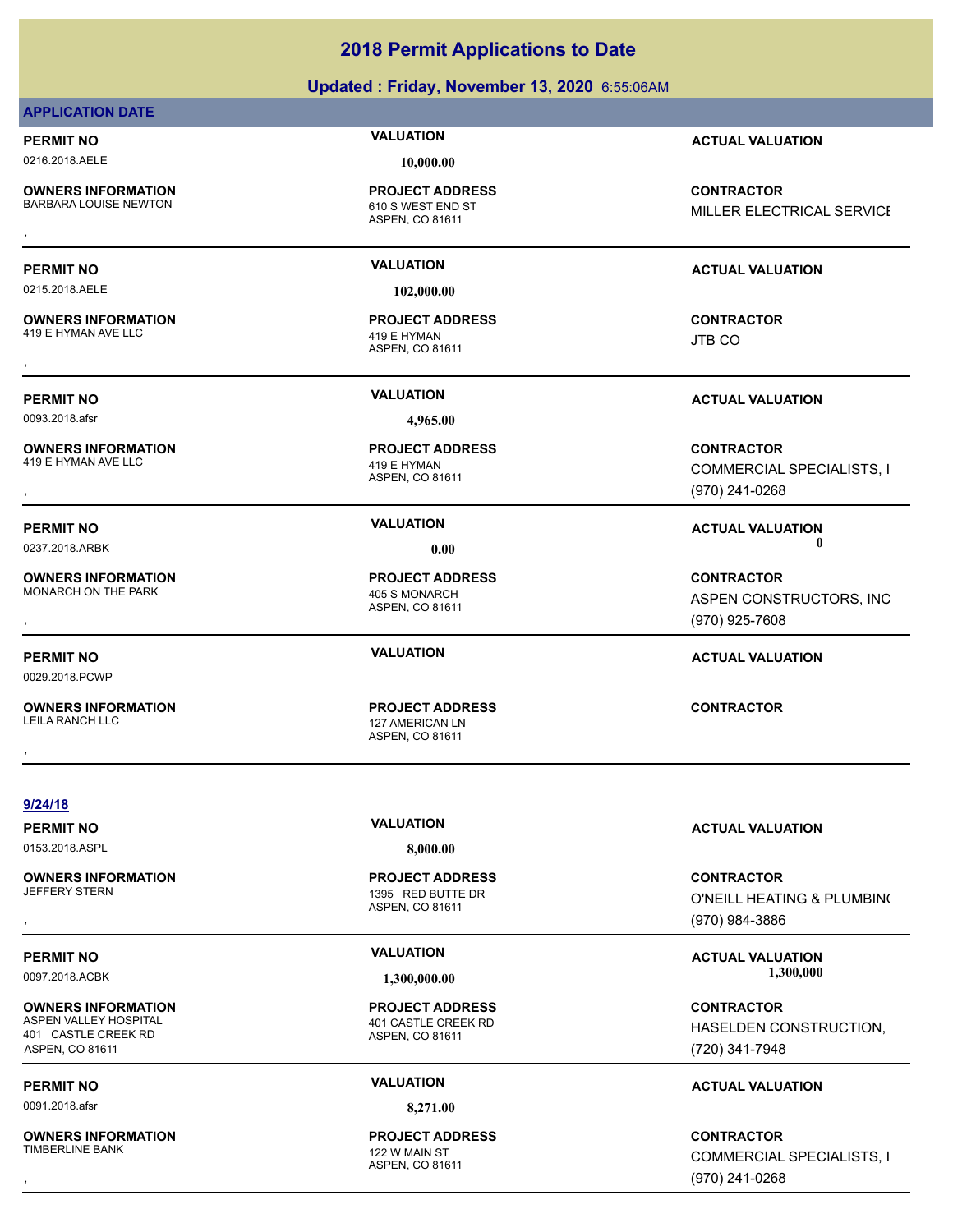**Updated : Friday, November 13, 2020** 6:55:06AM

### **APPLICATION DATE**

0216.2018.AELE **10,000.00**

**OWNERS INFORMATION**

610 S WEST END ST **PROJECT ADDRESS**

0215.2018.AELE **102,000.00**

**OWNERS INFORMATION** 419 E HYMAN AVE LLC 419 E HYMAN

**OWNERS INFORMATION** 419 E HYMAN AVE LLC 419 E HYMAN

**OWNERS INFORMATION** MONARCH ON THE PARK 405 S MONARCH

0029.2018.PCWP

**OWNERS INFORMATION**

ASPEN, CO 81611

ASPEN, CO 81611 **PROJECT ADDRESS** , **CONTRACTOR**

ASPEN, CO 81611 **PROJECT ADDRESS**

ASPEN, CO 81611

ASPEN, CO 81611 127 AMERICAN LN , **CONTRACTOR**

**PERMIT NO VALUATION ACTUAL VALUATION**

**OWNERS INFORMATION FROJECT ADDRESS CONTRACTOR CONTRACTOR**<br>BARBARA LOUISE NEWTON FIND TO STUDIES OF THE ASPEN, CO 81611<br>, MILLER ELECTRICAL SERVICE

### **PERMIT NO VALUATION ACTUAL VALUATION**

JTB CO

**PERMIT NO VALUATION ACTUAL VALUATION**

**OWNERS INFORMATION PROJECT ADDRESS CONTRACTOR**<br>419 E HYMAN AVE LLC 419 E HYMAN COMMERCIAL SPECIALISTS, I<br>, ASPEN, CO 81611 COMMERCIAL SPECIALISTS, I (970) 241-0268

**PERMIT NO CONSUMITY OF A CONSUMITY OF A CONSUMITY OF A CONSUMITY OF A CTUAL VALUATION** 0237.2018.ARBK **0.00 0.00**

, **CONTRACTOR** ASPEN CONSTRUCTORS, INC (970) 925-7608

**PERMIT NO VALUATION ACTUAL VALUATION**

**9/24/18**

0153.2018.ASPL **8,000.00**

**OWNERS INFORMATION**

**OWNERS INFORMATION**<br>ASPEN VALLEY HOSPITAL 401 CASTLE CREEK RD ASPEN, CO 81611

0091.2018.afsr **8,271.00**

**OWNERS INFORMATION** TIMBERLINE BANK 122 W MAIN ST

ASPEN, CO 81611 1395 RED BUTTE DR **PROJECT ADDRESS**

ASPEN, CO 81611 401 CASTLE CREEK RD **PROJECT ADDRESS**

ASPEN, CO 81611 **PROJECT ADDRESS**

**PERMIT NO VALUATION ACTUAL VALUATION**

, **CONTRACTOR** O'NEILL HEATING & PLUMBING (970) 984-3886

### PERMIT NO **SALUATION VALUATION CONSISTENT INCLUSION CONSISTENT IN ACTUAL VALUATION** 0097.2018.ACBK **1,300,000.00 1,300,000.00**

**CONTRACTOR** HASELDEN CONSTRUCTION, (720) 341-7948

### **PERMIT NO VALUATION ACTUAL VALUATION**

, **CONTRACTOR** COMMERCIAL SPECIALISTS, I (970) 241-0268

# 0093.2018.afsr **4,965.00**

**PROJECT ADDRESS**

**PROJECT ADDRESS**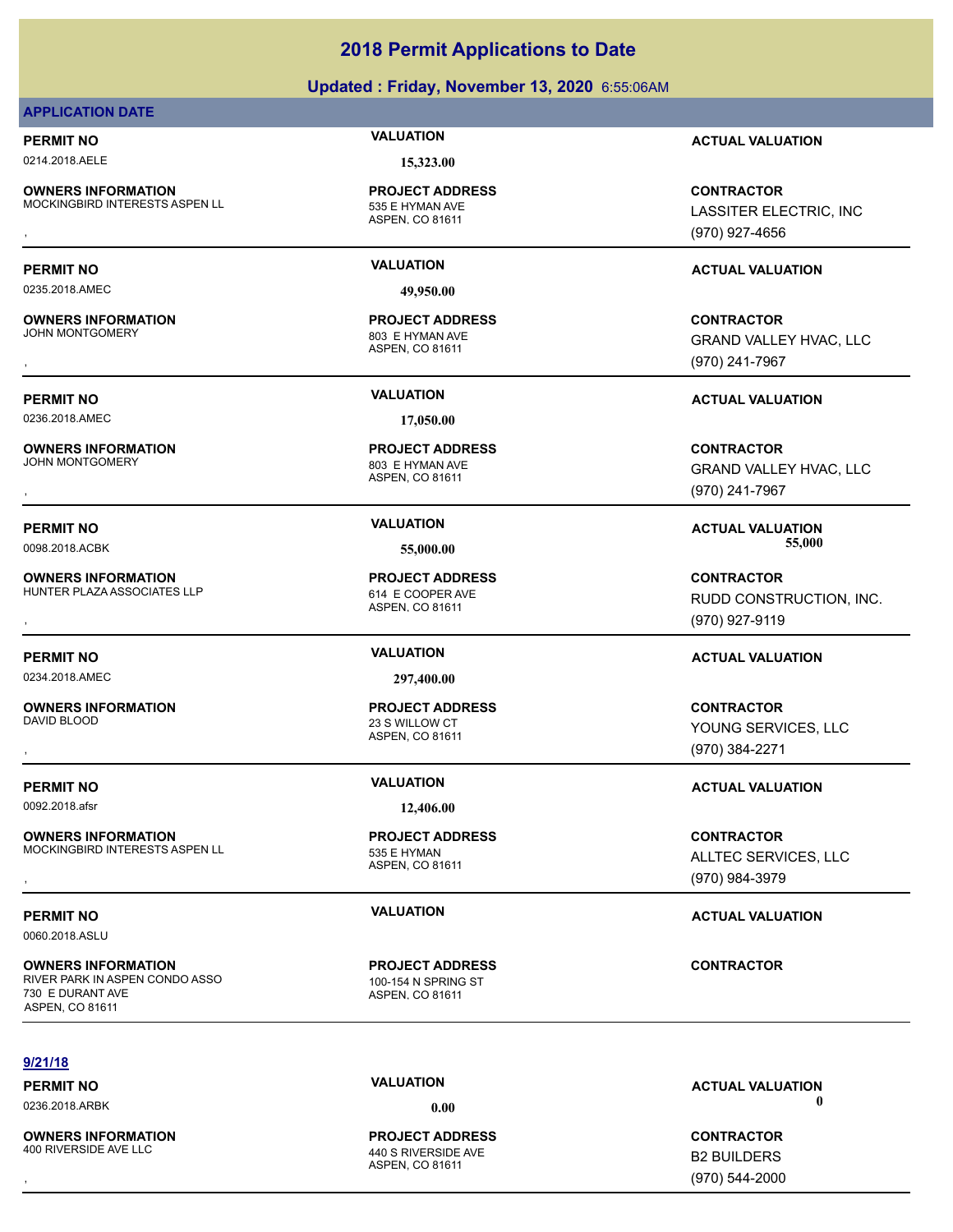### **Updated : Friday, November 13, 2020** 6:55:06AM

### **APPLICATION DATE**

0214.2018.AELE **15,323.00**

**OWNERS INFORMATION** MOCKINGBIRD INTERESTS ASPEN LL 535 E HYMAN AVE

**OWNERS INFORMATION**<br>JOHN MONTGOMERY

**OWNERS INFORMATION**<br>JOHN MONTGOMERY

**OWNERS INFORMATION**

**OWNERS INFORMATION**

**OWNERS INFORMATION**

**OWNERS INFORMATION**

ASPEN, CO 81611 **PROJECT ADDRESS**

0235.2018.AMEC **49,950.00**

ASPEN, CO 81611 803 E HYMAN AVE **PROJECT ADDRESS**

0236.2018.AMEC **17,050.00**

ASPEN, CO 81611 803 E HYMAN AVE **PROJECT ADDRESS**

ASPEN, CO 81611 HUNTER PLAZA ASSOCIATES LLP<br>614 E COOPER AVE **PROJECT ADDRESS**

0234.2018.AMEC **297,400.00**

ASPEN, CO 81611 DAVID BLOOD 23 S WILLOW CT **PROJECT ADDRESS**

### 0092.2018.afsr **12,406.00**

ASPEN, CO 81611 MOCKINGBIRD INTERESTS ASPEN LL 535 E HYMAN **PROJECT ADDRESS**

ASPEN, CO 81611 RIVER PARK IN ASPEN CONDO ASSO 100-154 N SPRING ST **PROJECT ADDRESS**

**PERMIT NO VALUATION ACTUAL VALUATION**

**OWNERS INFORMATION MODEL SERVICE PROJECT ADDRESS ARE SERVICE CONTRACTOR CONTRACTOR**<br>MOCKINGBIRD INTERESTS ASPEN LL ASPEN, CO 81611 MODEL ASPEN, CO 81611 MODEL (970) 927-4656 LASSITER ELECTRIC, INC (970) 927-4656

### **PERMIT NO VALUATION ACTUAL VALUATION**

**OWNERS INFORMATION PROJECT ADDRESS CONTRACTOR**<br>JOHN MONTGOMERY 803 E HYMAN AVE GRAND VALLEY HVAC, LLC<br>, ASPEN. CO 81611 GRAND VALLEY HVAC, LLC (970) 241-7967

**PERMIT NO VALUATION ACTUAL VALUATION**

**OWNERS INFORMATION PROJECT ADDRESS CONTRACTOR**<br>JOHN MONTGOMERY 803 E HYMAN AVE GRAND VALLEY HVAC, LLC<br>, ASPEN, CO 81611 GRAND VALLEY HVAC, LLC (970) 241-7967

**PERMIT NO VALUATION ACTUAL VALUATION** 0098.2018.ACBK **55,000.00 55,000.00**

**OWNERS INFORMATION LETTLE SERVICE PROJECT ADDRESS ARE SERVICE CONTRACTOR CONTRACTOR**<br>HUNTER PLAZA ASSOCIATES LLP ASPEN CO 81611 ASPEN. CO 81611 **ASPEN CO 81611**<br>, RUDD CONSTRUCTION, INC. (970) 927-9119

### **PERMIT NO VALUATION ACTUAL VALUATION**

, **CONTRACTOR** YOUNG SERVICES, LLC (970) 384-2271

### **PERMIT NO VALUATION VALUATION VALUATION**

**OWNERS INFORMATION MODEL SERVICE PROJECT ADDRESS ARE SONTRACTOR CONTRACTOR**<br>MOCKINGBIRD INTERESTS ASPEN LL ASPEN, CO 81611 ASPEN, CO 81611 (970) 984-3979 ALLTEC SERVICES, LLC (970) 984-3979

### **PERMIT NO VALUATION VALUATION VALUATION**

**CONTRACTOR**

**9/21/18**

0060.2018.ASLU

730 E DURANT AVE ASPEN, CO 81611

**OWNERS INFORMATION** 400 RIVERSIDE AVE LLC 440 S RIVERSIDE AVE

ASPEN, CO 81611 **PROJECT ADDRESS**

0236.2018.ARBK **0.00 0.00**

**OWNERS INFORMATION CONTRACTOR REGULAR PROJECT ADDRESS CONTRACTOR CONTRACTOR**<br>400 RIVERSIDE AVE LLC 440 S RIVERSIDE AVE **B2 BUILDERS**<br>ASPEN. CO 81611 (970) 544-2000 B2 BUILDERS (970) 544-2000

# **PERMIT NO CONSUMITY OF A CONSUMITY OF A CONSUMITY OF A CONSUMITY OF A CTUAL VALUATION**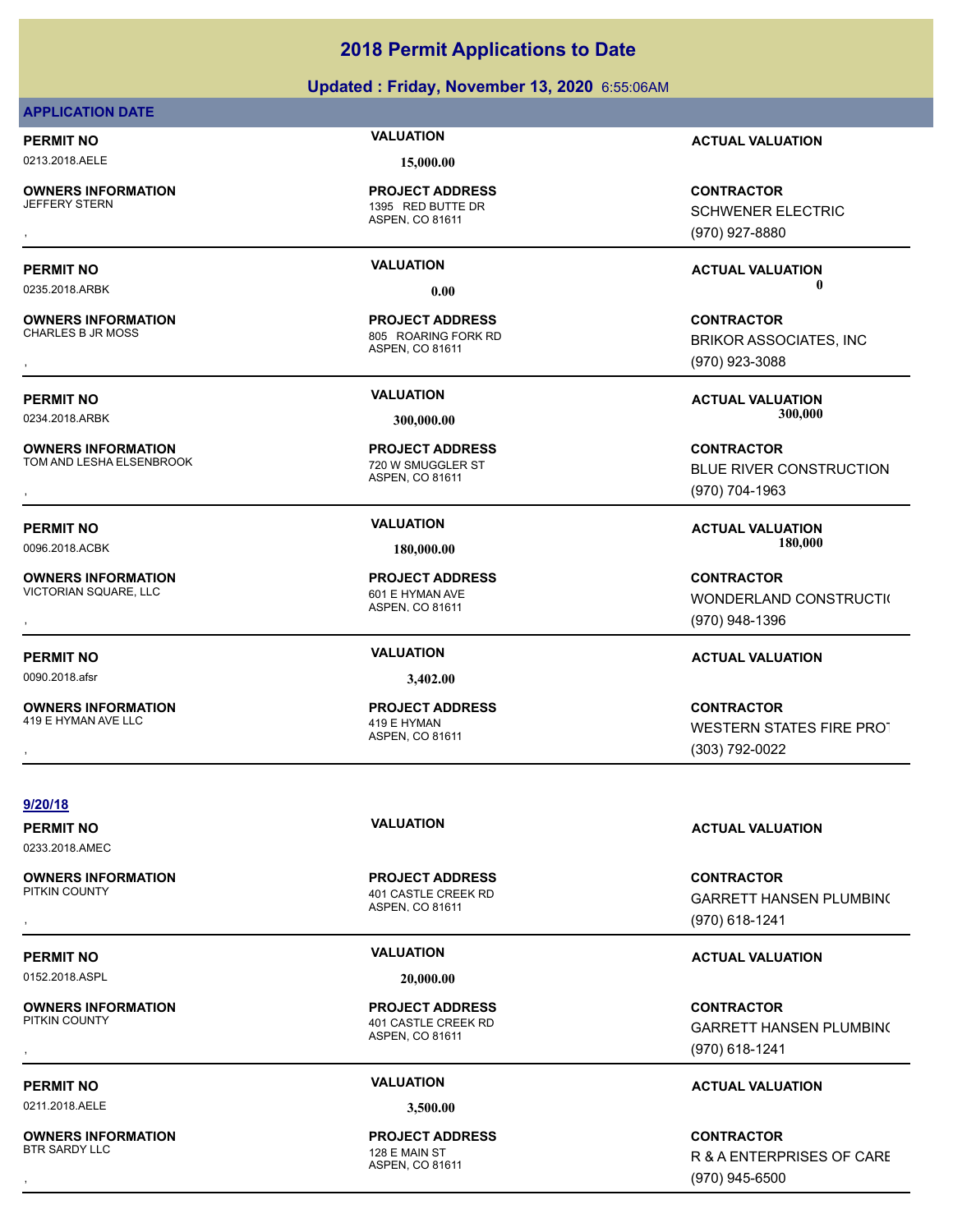### **Updated : Friday, November 13, 2020** 6:55:06AM

### **APPLICATION DATE**

0213.2018.AELE **15,000.00**

**OWNERS INFORMATION**

1395 RED BUTTE DR **PROJECT ADDRESS**

**OWNERS INFORMATION**

**OWNERS INFORMATION** TOM AND LESHA ELSENBROOK 720 W SMUGGLER ST

**OWNERS INFORMATION** VICTORIAN SQUARE, LLC<br>
601 E HYMAN AVE

0090.2018.afsr **3,402.00**

**OWNERS INFORMATION** 419 E HYMAN AVE LLC 419 E HYMAN

ASPEN, CO 81611

ASPEN, CO 81611 805 ROARING FORK RD **PROJECT ADDRESS**

ASPEN, CO 81611 **PROJECT ADDRESS**

ASPEN, CO 81611 **PROJECT ADDRESS**

ASPEN, CO 81611 **PROJECT ADDRESS**

**PERMIT NO VALUATION ACTUAL VALUATION**

, **CONTRACTOR** SCHWENER ELECTRIC (970) 927-8880

**PERMIT NO VALUATION ACTUAL VALUATION** 0235.2018.ARBK **0.00 0.00**

, **CONTRACTOR** BRIKOR ASSOCIATES, INC (970) 923-3088

**PERMIT NO VALUATION ACTUAL VALUATION** 0234.2018.ARBK **300,000.00 300,000.00**

, **CONTRACTOR** BLUE RIVER CONSTRUCTION (970) 704-1963

**PERMIT NO VALUATION ACTUAL VALUATION** 0096.2018.ACBK **180,000.00 180,000.00**

**OWNERS INFORMATION PROJECT ADDRESS CONTRACTOR**<br>VICTORIAN SQUARE, LLC 601 E HYMAN AVE WONDERLAND CONSTRUCTI(<br>, ASPEN. CO 81611 WONDERLAND CONSTRUCTION (970) 948-1396

### **PERMIT NO VALUATION ACTUAL VALUATION**

**OWNERS INFORMATION PROJECT ADDRESS CONTRACTOR**<br>419 E HYMAN AVE LLC 419 E HYMAN<br>, ASPEN, CO 81611 (303) 792-0022 WESTERN STATES FIRE PROT (303) 792-0022

**9/20/18**

0233.2018.AMEC

**OWNERS INFORMATION**

0152.2018.ASPL **20,000.00**

**OWNERS INFORMATION**<br>PITKIN COUNTY

0211.2018.AELE **3,500.00**

**OWNERS INFORMATION** BTR SARDY LLC 128 E MAIN ST

ASPEN, CO 81611 401 CASTLE CREEK RD **PROJECT ADDRESS**

ASPEN, CO 81611 401 CASTLE CREEK RD **PROJECT ADDRESS**

ASPEN, CO 81611 **PROJECT ADDRESS**

**PERMIT NO VALUATION ACTUAL VALUATION**

, **CONTRACTOR** GARRETT HANSEN PLUMBING (970) 618-1241

### **PERMIT NO VALUATION ACTUAL VALUATION**

**OWNERS INFORMATION PROJECT ADDRESS CONTRACTOR**<br>PITKIN COUNTY 401 CASTLE CREEK RD GARRETT HANSEN PLUMBIN(<br>, ASPEN. CO 81611 GARRETT HANSEN PLUMBING (970) 618-1241

### **PERMIT NO VALUATION ACTUAL VALUATION**

, **CONTRACTOR** R & A ENTERPRISES OF CARE (970) 945-6500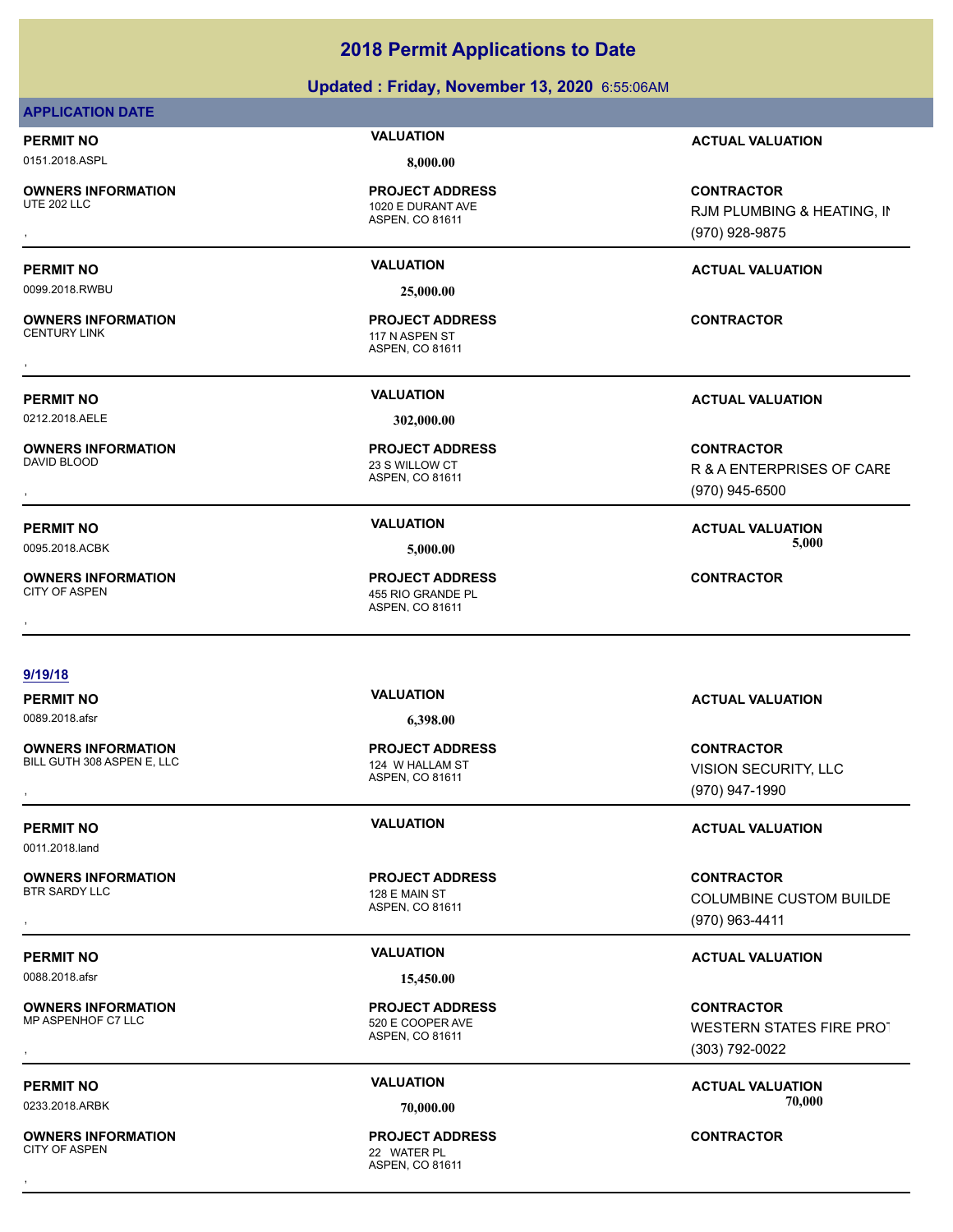### **Updated : Friday, November 13, 2020** 6:55:06AM

### **APPLICATION DATE**

0151.2018.ASPL **8,000.00**

**OWNERS INFORMATION**

0099.2018.RWBU **25,000.00**

**OWNERS INFORMATION**

0212.2018.AELE **302,000.00**

**OWNERS INFORMATION** 

**OWNERS INFORMATION**

ASPEN, CO 81611 1020 E DURANT AVE **PROJECT ADDRESS**

ASPEN, CO 81611 117 N ASPEN ST **PROJECT ADDRESS** , **CONTRACTOR**

ASPEN, CO 81611 23 S WILLOW CT **PROJECT ADDRESS**

ASPEN, CO 81611 455 RIO GRANDE PL **PROJECT ADDRESS OWNERS INFORMATION CONTRACTOR PROJECT ADDRESS CONTRACTOR**<br>CITY OF ASPEN ASPEN ASPEN. CO 81611<br>,

### **PERMIT NO VALUATION ACTUAL VALUATION**

**OWNERS INFORMATION PROJECT ADDRESS CONTRACTOR**<br>UTE 202 LLC 1020 E DURANT AVE RJM PLUMBING & HEATING, II<br>, ASPEN, CO 81611 RJM PLUMBING & HEATING, IN (970) 928-9875

### **PERMIT NO VALUATION ACTUAL VALUATION**

### **PERMIT NO VALUATION ACTUAL VALUATION**

, **CONTRACTOR** R & A ENTERPRISES OF CARE (970) 945-6500

### **PERMIT NO VALUATION ACTUAL VALUATION** 0095.2018.ACBK **5,000.00 5,000.00**

### **9/19/18**

**OWNERS INFORMATION** BILL GUTH 308 ASPEN E, LLC 124 W HALLAM ST

0011.2018.land

### **OWNERS INFORMATION**

0088.2018.afsr **15,450.00**

**OWNERS INFORMATION**

**OWNERS INFORMATION** CITY OF ASPEN 22 WATER PL

# ASPEN, CO 81611

ASPEN, CO 81611 128 E MAIN ST

### ASPEN, CO 81611 **PROJECT ADDRESS** , **CONTRACTOR**

, **CONTRACTOR** VISION SECURITY, LLC (970) 947-1990

### **PERMIT NO VALUATION ACTUAL VALUATION**

, **CONTRACTOR** COLUMBINE CUSTOM BUILDE (970) 963-4411

### **PERMIT NO VALUATION ACTUAL VALUATION**

, **CONTRACTOR** WESTERN STATES FIRE PROT (303) 792-0022

**PERMIT NO VALUATION ACTUAL VALUATION** 0233.2018.ARBK **70,000.00 70,000.00**

# **PERMIT NO VALUATION ACTUAL VALUATION** 0089.2018.afsr **6,398.00**

**PROJECT ADDRESS**

**PROJECT ADDRESS**

ASPEN, CO 81611 520 E COOPER AVE **PROJECT ADDRESS**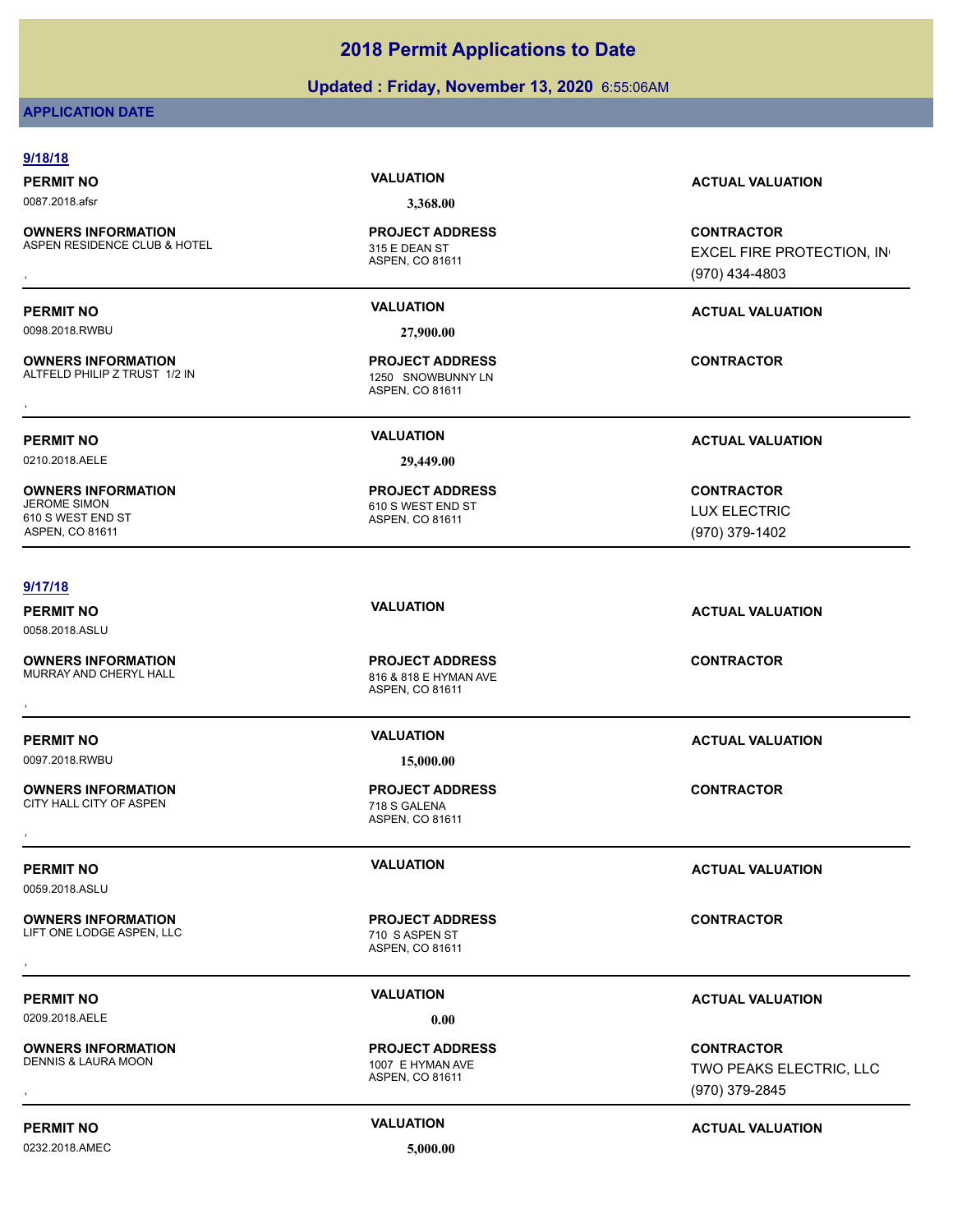### **Updated : Friday, November 13, 2020** 6:55:06AM

### **APPLICATION DATE**

| 9/18/18                                                    |                                                                    |                                                                |
|------------------------------------------------------------|--------------------------------------------------------------------|----------------------------------------------------------------|
| <b>PERMIT NO</b>                                           | <b>VALUATION</b>                                                   | <b>ACTUAL VALUATION</b>                                        |
| 0087.2018.afsr                                             | 3,368.00                                                           |                                                                |
| <b>OWNERS INFORMATION</b><br>ASPEN RESIDENCE CLUB & HOTEL  | <b>PROJECT ADDRESS</b><br>315 E DEAN ST<br>ASPEN, CO 81611         | <b>CONTRACTOR</b><br>EXCEL FIRE PROTECTION, IN                 |
|                                                            |                                                                    | (970) 434-4803                                                 |
| <b>PERMIT NO</b>                                           | <b>VALUATION</b>                                                   | <b>ACTUAL VALUATION</b>                                        |
| 0098.2018.RWBU                                             | 27,900.00                                                          |                                                                |
| <b>OWNERS INFORMATION</b><br>ALTFELD PHILIP Z TRUST 1/2 IN | <b>PROJECT ADDRESS</b><br>1250 SNOWBUNNY LN<br>ASPEN, CO 81611     | <b>CONTRACTOR</b>                                              |
| <b>PERMIT NO</b>                                           | <b>VALUATION</b>                                                   | <b>ACTUAL VALUATION</b>                                        |
| 0210.2018.AELE                                             | 29,449.00                                                          |                                                                |
| <b>OWNERS INFORMATION</b>                                  | <b>PROJECT ADDRESS</b>                                             | <b>CONTRACTOR</b>                                              |
| <b>JEROME SIMON</b><br>610 S WEST END ST                   | 610 S WEST END ST                                                  | <b>LUX ELECTRIC</b>                                            |
| ASPEN, CO 81611                                            | ASPEN, CO 81611                                                    | (970) 379-1402                                                 |
|                                                            |                                                                    |                                                                |
| 9/17/18                                                    |                                                                    |                                                                |
| <b>PERMIT NO</b>                                           | <b>VALUATION</b>                                                   | <b>ACTUAL VALUATION</b>                                        |
| 0058.2018.ASLU                                             |                                                                    |                                                                |
| <b>OWNERS INFORMATION</b><br>MURRAY AND CHERYL HALL        | <b>PROJECT ADDRESS</b><br>816 & 818 E HYMAN AVE<br>ASPEN, CO 81611 | <b>CONTRACTOR</b>                                              |
| <b>PERMIT NO</b>                                           | <b>VALUATION</b>                                                   | <b>ACTUAL VALUATION</b>                                        |
| 0097.2018.RWBU                                             | 15,000.00                                                          |                                                                |
| <b>OWNERS INFORMATION</b><br>CITY HALL CITY OF ASPEN       | <b>PROJECT ADDRESS</b><br>718 S GALENA<br>ASPEN, CO 81611          | <b>CONTRACTOR</b>                                              |
| <b>PERMIT NO</b>                                           | <b>VALUATION</b>                                                   | <b>ACTUAL VALUATION</b>                                        |
| 0059.2018.ASLU                                             |                                                                    |                                                                |
| <b>OWNERS INFORMATION</b><br>LIFT ONE LODGE ASPEN, LLC     | <b>PROJECT ADDRESS</b><br>710 SASPEN ST<br>ASPEN, CO 81611         | <b>CONTRACTOR</b>                                              |
|                                                            |                                                                    |                                                                |
| <b>PERMIT NO</b>                                           | <b>VALUATION</b>                                                   | <b>ACTUAL VALUATION</b>                                        |
| 0209.2018.AELE                                             | 0.00                                                               |                                                                |
| <b>OWNERS INFORMATION</b><br>DENNIS & LAURA MOON           | <b>PROJECT ADDRESS</b><br>1007 E HYMAN AVE<br>ASPEN, CO 81611      | <b>CONTRACTOR</b><br>TWO PEAKS ELECTRIC, LLC<br>(970) 379-2845 |

0232.2018.AMEC **5,000.00**

### **PERMIT NO CONSUMITY ACTUAL VALUATION VALUATION** *ACTUAL VALUATION*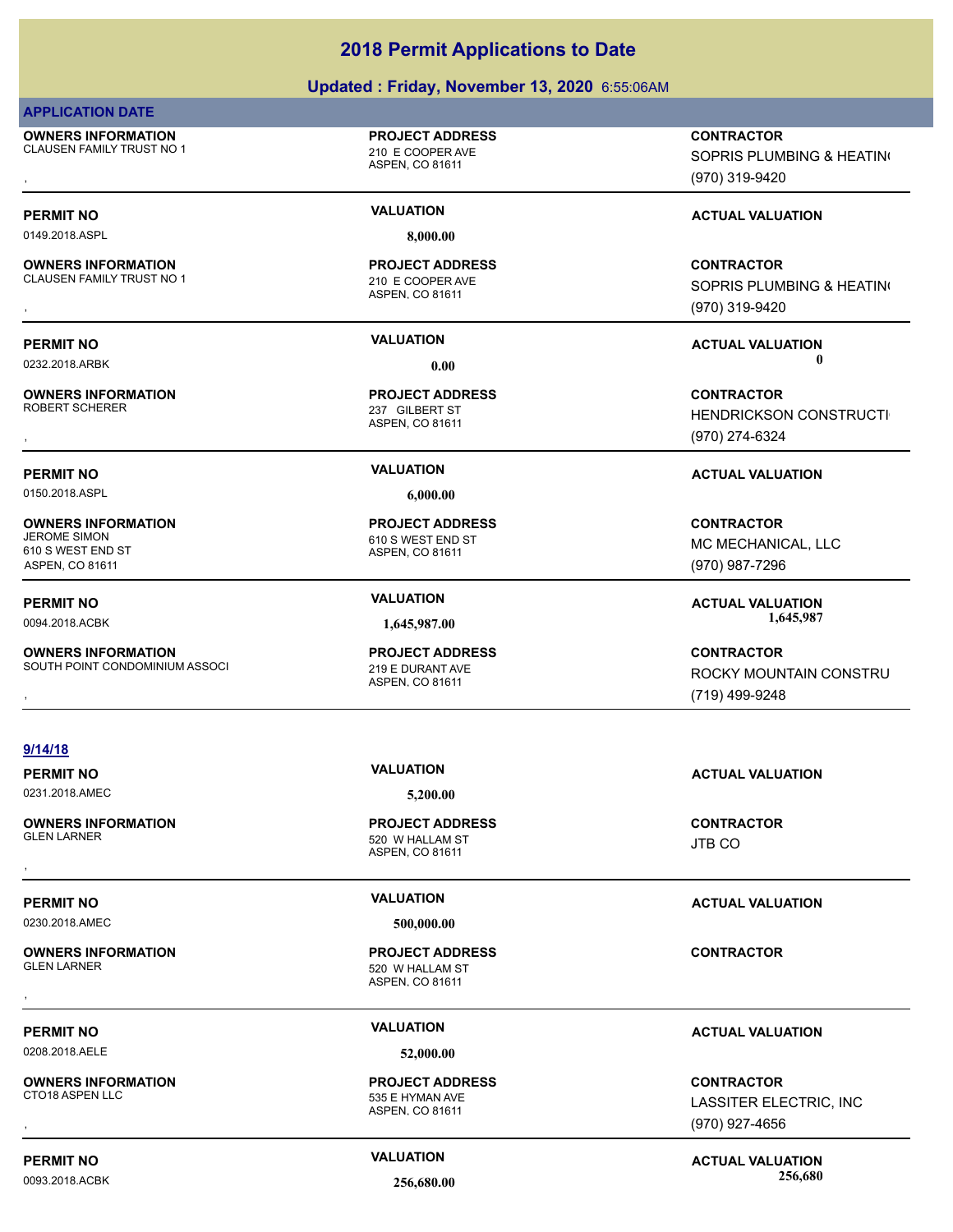### **Updated : Friday, November 13, 2020** 6:55:06AM

### **APPLICATION DATE**

**OWNERS INFORMATION** CLAUSEN FAMILY TRUST NO 1 210 E COOPER AVE

### **PROJECT ADDRESS**

ASPEN, CO 81611

0149.2018.ASPL **8,000.00**

### **OWNERS INFORMATION**

CLAUSEN FAMILY TRUST NO 1 210 E COOPER AVE

**OWNERS INFORMATION**

**OWNERS INFORMATION**

**OWNERS INFORMATION**

610 S WEST END ST ASPEN, CO 81611

ASPEN, CO 81611

**PROJECT ADDRESS**

ASPEN, CO 81611 237 GILBERT ST **PROJECT ADDRESS**

0150.2018.ASPL **6,000.00**

ASPEN, CO 81611 610 S WEST END ST **PROJECT ADDRESS**

### ASPEN, CO 81611 SOUTH POINT CONDOMINIUM ASSOCI 219 E DURANT AVE **PROJECT ADDRESS**

**OWNERS INFORMATION PROJECT ADDRESS CONTRACTOR**<br>CLAUSEN FAMILY TRUST NO 1 210 E COOPER AVE SOPRIS PLUMBING & HEATIN(<br>, ASPEN. CO 81611 SOPRIS PLUMBING & HEATING (970) 319-9420

### **PERMIT NO VALUATION VALUATION VALUATION**

**OWNERS INFORMATION PROJECT ADDRESS CONTRACTOR**<br>CLAUSEN FAMILY TRUST NO 1 210 E COOPER AVE SOPRIS PLUMBING & HEATIN(<br>, ASPEN, CO 81611 SOPRIS PLUMBING & HEATING (970) 319-9420

**PERMIT NO VALUATION ACTUAL VALUATION** 0232.2018.ARBK **0.00 0.00**

, **CONTRACTOR HENDRICKSON CONSTRUCTI** (970) 274-6324

### **PERMIT NO VALUATION ACTUAL VALUATION**

**CONTRACTOR** MC MECHANICAL, LLC (970) 987-7296

**PERMIT NO VALUATION ACTUAL VALUATION** 0094.2018.ACBK **1,645,987.00 1,645,987.00**

### **OWNERS INFORMATION MASS OCLUS DESCRIPED BY A SPEN. CODE CONTRACTOR CONTRACTOR**<br>SOUTH POINT CONDOMINIUM ASSOCI ASPEN. CO 81611 ASPEN. CO 81611 MASPEN CO 81611 MASPEN CONSTRUMENT MASPEN. CO 81611 ROCKY MOUNTAIN CONSTRU (719) 499-9248

|  | 9/14/18 |
|--|---------|
|--|---------|

## 0231.2018.AMEC **5,200.00**

**OWNERS INFORMATION**

0230.2018.AMEC **500,000.00**

**OWNERS INFORMATION**

0208.2018.AELE **52,000.00**

**OWNERS INFORMATION**

ASPEN, CO 81611 520 W HALLAM ST **PROJECT ADDRESS** , **CONTRACTOR**

ASPEN, CO 81611 520 W HALLAM ST **PROJECT ADDRESS** , **CONTRACTOR**

### ASPEN, CO 81611 535 E HYMAN AVE **PROJECT ADDRESS**

### **PERMIT NO VALUATION ACTUAL VALUATION**

JTB CO

### **PERMIT NO VALUATION ACTUAL VALUATION**

### **PERMIT NO VALUATION ACTUAL VALUATION**

, **CONTRACTOR** LASSITER ELECTRIC, INC (970) 927-4656

### **PERMIT NO CONSUMITY ACTUAL VALUATION VALUATION VALUATION** 0093.2018.ACBK **256,680.00 256,680.00**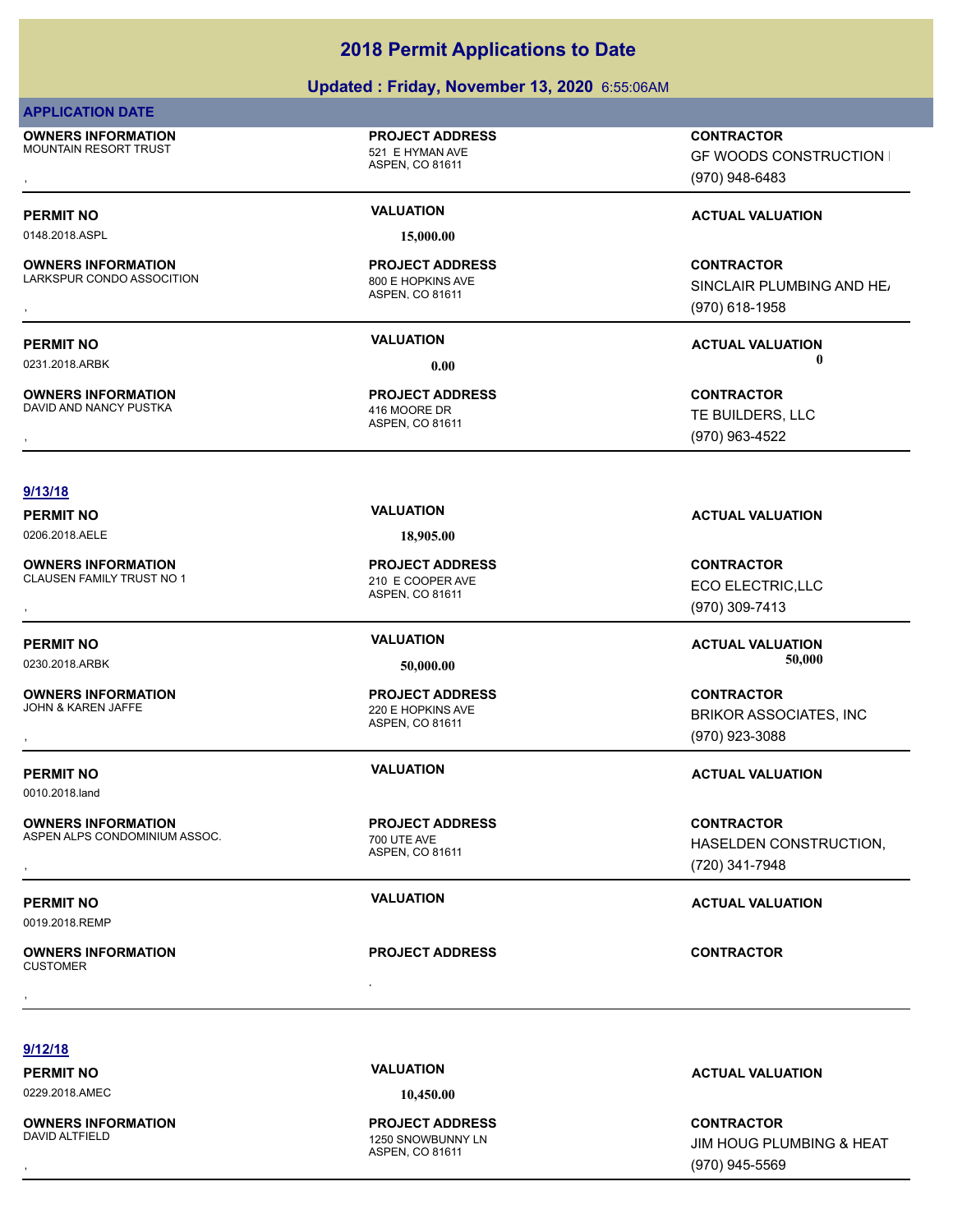### **Updated : Friday, November 13, 2020** 6:55:06AM

### **APPLICATION DATE**

**OWNERS INFORMATION** MOUNTAIN RESORT TRUST **120 AU 2018 12:30 THE SET AND INCREDIT SET ALCOHOLY AT AU 521 E HYMAN AVE** 

**OWNERS INFORMATION**

**OWNERS INFORMATION**

# ASPEN, CO 81611

0148.2018.ASPL **15,000.00**

**PROJECT ADDRESS**

ASPEN, CO 81611 LARKSPUR CONDO ASSOCITION 800 E HOPKINS AVE **PROJECT ADDRESS**

ASPEN, CO 81611 DAVID AND NANCY PUSTKA 416 MOORE DR **PROJECT ADDRESS**

, **CONTRACTOR GF WOODS CONSTRUCTION I** (970) 948-6483

### **PERMIT NO VALUATION VALUATION VALUATION**

, **CONTRACTOR** SINCLAIR PLUMBING AND HEAT (970) 618-1958

**PERMIT NO VALUATION ACTUAL VALUATION** 0231.2018.ARBK **0.00 0.00**

, **CONTRACTOR** TE BUILDERS, LLC (970) 963-4522

### **9/13/18**

**OWNERS INFORMATION** CLAUSEN FAMILY TRUST NO 1 210 E COOPER AVE

**OWNERS INFORMATION**<br>JOHN & KAREN JAFFE

0010.2018.land

**OWNERS INFORMATION**

### ASPEN ALPS CONDOMINIUM ASSOC. THE ROLL OF THE AVE

0019.2018.REMP

, **OWNERS INFORMATION CUSTOMER** , **CONTRACTOR**

### 0206.2018.AELE **18,905.00**

ASPEN, CO 81611 **PROJECT ADDRESS**

### ASPEN, CO 81611 220 E HOPKINS AVE **PROJECT ADDRESS**

ASPEN, CO 81611 **PROJECT ADDRESS**

**PROJECT ADDRESS**

**PERMIT NO VALUATION VALUATION VALUATION** 

, **CONTRACTOR** ECO ELECTRIC,LLC (970) 309-7413

, **CONTRACTOR** BRIKOR ASSOCIATES, INC

### **PERMIT NO VALUATION ACTUAL VALUATION**

**OWNERS INFORMATION ASSOC.** The project address the contractor contractor contractor contractor construction,<br>ASPEN ALPS CONDOMINIUM ASSOC. The state of the state of the state of the state of the state of the state of th<br>A HASELDEN CONSTRUCTION, (720) 341-7948

**9/12/18**

0229.2018.AMEC **10,450.00**

**OWNERS INFORMATION**

ASPEN, CO 81611 1250 SNOWBUNNY LN **PROJECT ADDRESS**

**PERMIT NO VALUATION ACTUAL VALUATION**

, **CONTRACTOR** JIM HOUG PLUMBING & HEAT (970) 945-5569

# **PERMIT NO VALUATION ACTUAL VALUATION** 0230.2018.ARBK **50,000.00 50,000.00**

(970) 923-3088

**PERMIT NO VALUATION ACTUAL VALUATION**

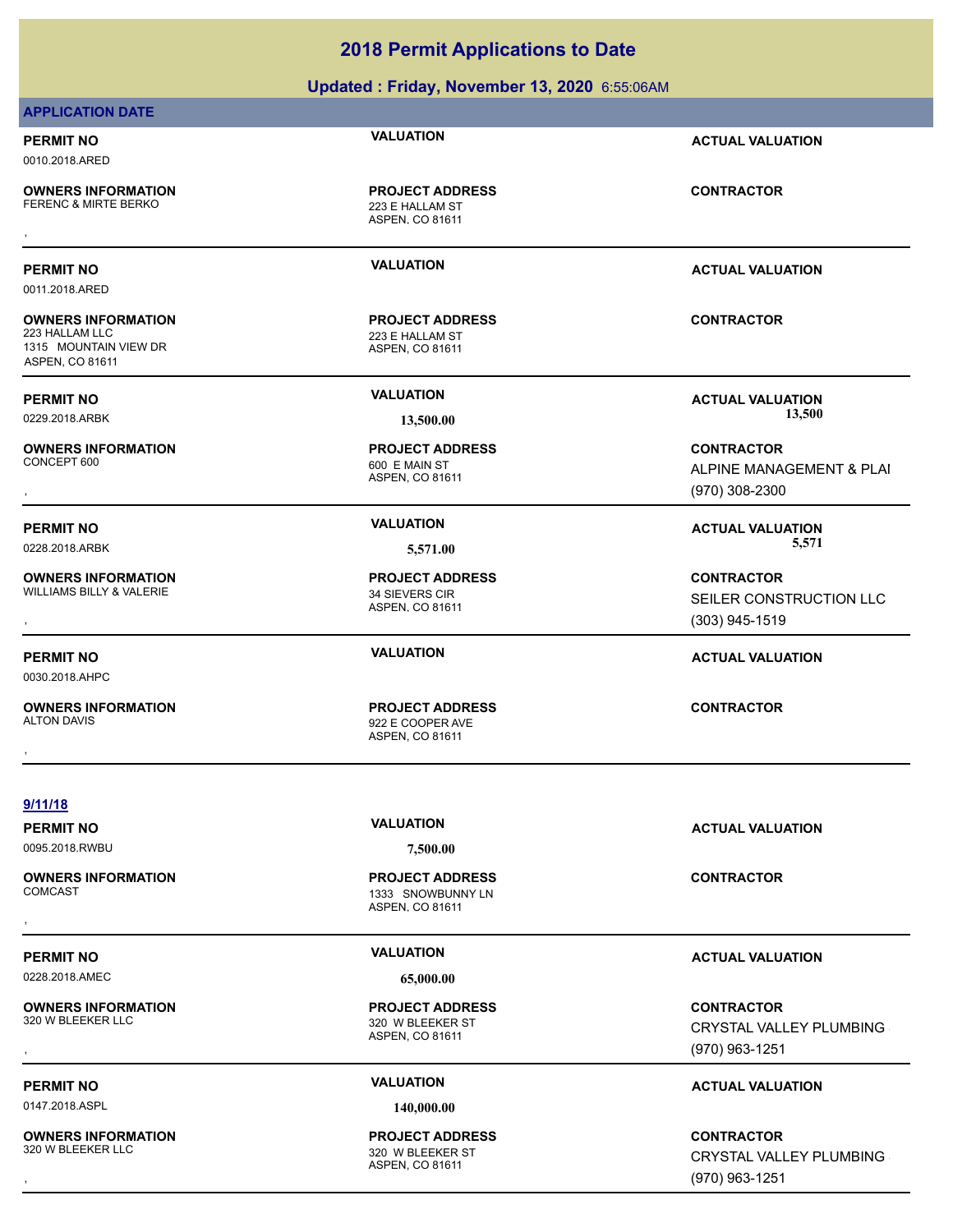**Updated : Friday, November 13, 2020** 6:55:06AM

### **APPLICATION DATE**

**PERMIT NO VALUATION ACTUAL VALUATION** 0010.2018.ARED

0011.2018.ARED

**OWNERS INFORMATION**

**OWNERS INFORMATION**

1315 MOUNTAIN VIEW DR ASPEN, CO 81611

**OWNERS INFORMATION**

**OWNERS INFORMATION**

**OWNERS INFORMATION**

**OWNERS INFORMATION**

**OWNERS INFORMATION**<br>320 W BLEEKER LLC

ASPEN, CO 81611 223 E HALLAM ST **PROJECT ADDRESS** , **CONTRACTOR**

ASPEN, CO 81611 223 E HALLAM ST **PROJECT ADDRESS**

ASPEN, CO 81611 600 E MAIN ST **PROJECT ADDRESS**

ASPEN, CO 81611 WILLIAMS BILLY & VALERIE 34 SIEVERS CIR **PROJECT ADDRESS**

ASPEN, CO 81611 ALTON DAVIS AND RESERVE THE SERVE OF STATE SERVE AND STATE STATES OF STATES AND STATES AND STATES AND STATES AND STATES AND STATES AND RESERVE THE STATES OF STATES AND STATES AND RESERVE THE STATES OF STATES AND STATES AND **PROJECT ADDRESS** , **CONTRACTOR**

**PERMIT NO VALUATION ACTUAL VALUATION**

**CONTRACTOR**

**PERMIT NO VALUATION ACTUAL VALUATION** 0229.2018.ARBK **13,500.00 13,500.00**

**OWNERS INFORMATION PROJECT ADDRESS CONTRACTOR**<br>CONCEPT 600 600 E MAIN ST ALPINE MANAGEMENT & PLAI<br>, ASPEN, CO 81611 ALPINE MANAGEMENT & PLAI (970) 308-2300

PERMIT NO *VALUATION* **VALUATION** *CELLS* **(CONSUMITION ACTUAL VALUATION** 0228.2018.ARBK **5,571.00 5,571.00**

, **CONTRACTOR** SEILER CONSTRUCTION LLC (303) 945-1519

### **PERMIT NO VALUATION ACTUAL VALUATION**

**9/11/18**

0030.2018.AHPC

0095.2018.RWBU **7,500.00**

ASPEN, CO 81611 1333 SNOWBUNNY LN **PROJECT ADDRESS** , **CONTRACTOR**

0228.2018.AMEC **65,000.00**

ASPEN, CO 81611 320 W BLEEKER ST **PROJECT ADDRESS**

ASPEN, CO 81611 **PROJECT ADDRESS**

**PERMIT NO VALUATION ACTUAL VALUATION**

### **PERMIT NO VALUATION ACTUAL VALUATION**

**OWNERS INFORMATION PROJECT ADDRESS CONTRACTOR**<br>320 W BLEEKER LLC 320 W BLEEKER ST CRYSTAL VALLEY PLUMBING<br>, ASPEN. CO 81611 CRYSTAL VALLEY PLUMBING (970) 963-1251

### **PERMIT NO VALUATION ACTUAL VALUATION**

**OWNERS INFORMATION PROJECT ADDRESS CONTRACTOR**<br>320 W BLEEKER LLC 320 W BLEEKER ST CRYSTAL VALLEY PLUMBING<br>, ASPEN. CO 81611 CRYSTAL VALLEY PLUMBING (970) 963-1251

0147.2018.ASPL **140,000.00**

**OWNERS INFORMATION** 320 W BLEEKER LLC 320 W BI FEKER ST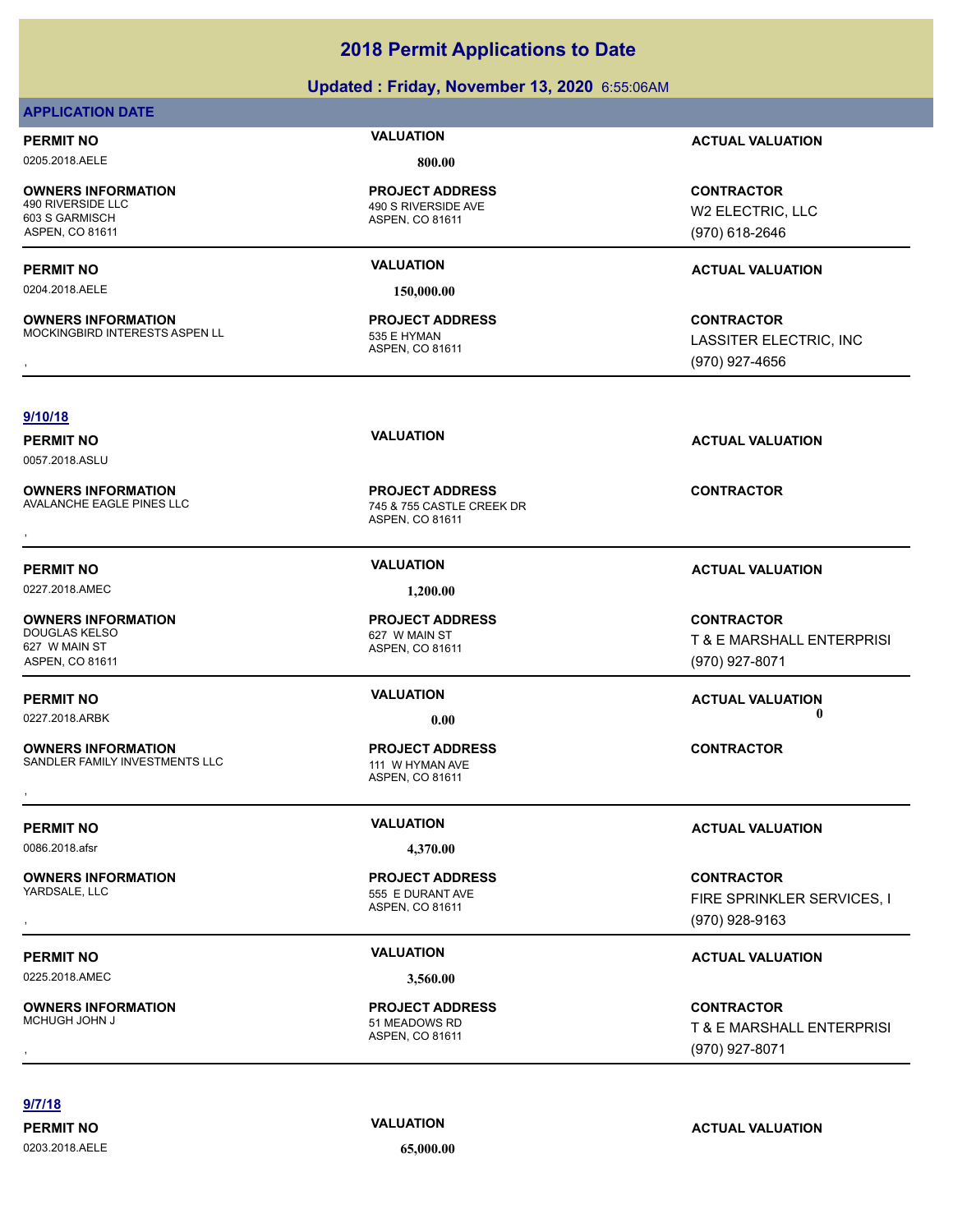### **Updated : Friday, November 13, 2020** 6:55:06AM

### **APPLICATION DATE**

0205.2018.AELE **800.00**

**OWNERS INFORMATION** 603 S GARMISCH ASPEN, CO 81611

0204.2018.AELE **150,000.00**

**OWNERS INFORMATION** MOCKINGBIRD INTERESTS ASPEN LL 535 E HYMAN

ASPEN, CO 81611 490 S RIVERSIDE AVE **PROJECT ADDRESS**

ASPEN, CO 81611 **PROJECT ADDRESS**

**PERMIT NO VALUATION ACTUAL VALUATION**

**CONTRACTOR** W2 ELECTRIC, LLC (970) 618-2646

### **PERMIT NO VALUATION ACTUAL VALUATION**

**OWNERS INFORMATION MODEL SERVICE PROJECT ADDRESS ARE SONTRACTOR CONTRACTOR**<br>MOCKINGBIRD INTERESTS ASPEN LL ASPEN, CO 81611 ASPEN, CO 81611 MODEL ASSITER ELECTRIC, INC<br>ASPEN, CO 81611 (970) 927-4656 LASSITER ELECTRIC, INC (970) 927-4656

### **9/10/18**

0057.2018.ASLU

**OWNERS INFORMATION**

### 0227.2018.AMEC **1,200.00**

**OWNERS INFORMATION** DOUGLAS KELSO 627 W MAIN ST 627 W MAIN ST ASPEN, CO 81611

**OWNERS INFORMATION** SANDLER FAMILY INVESTMENTS LLC 111 W HYMAN AVE **OWNERS INFORMATION CONTRACTOR RESOURCE PROJECT ADDRESS CONTRACTOR CONTRACTOR**<br>SANDLER FAMILY INVESTMENTS LLC THE MAN HOT MAN AVE ASPEN, CO 81611<br>,

0086.2018.afsr **4,370.00**

**OWNERS INFORMATION**

0225.2018.AMEC **3,560.00**

**OWNERS INFORMATION**

ASPEN, CO 81611 745 & 755 CASTLE CREEK DR **PROJECT ADDRESS OWNERS INFORMATION CONTRACTOR RESOURCE PROJECT ADDRESS CONTRACTOR CONTRACTOR**<br>AVALANCHE EAGLE PINES LLC CONTRACTOR 745 & 755 CASTLE CREEK DR<br>ASPEN, CO 81611

ASPEN, CO 81611 **PROJECT ADDRESS**

### ASPEN, CO 81611 **PROJECT ADDRESS**

### ASPEN, CO 81611 555 E DURANT AVE **PROJECT ADDRESS**

### ASPEN, CO 81611 51 MEADOWS RD **PROJECT ADDRESS**

**PERMIT NO VALUATION ACTUAL VALUATION**

### **PERMIT NO VALUATION VALUATION VALUATION**

**CONTRACTOR** T & E MARSHALL ENTERPRISI (970) 927-8071

### **PERMIT NO VALUATION ACTUAL VALUATION** 0227.2018.ARBK **0.00 0.00**

### **PERMIT NO VALUATION ACTUAL VALUATION**

, **CONTRACTOR** FIRE SPRINKLER SERVICES, I (970) 928-9163

### **PERMIT NO VALUATION ACTUAL VALUATION**

, **CONTRACTOR** T & E MARSHALL ENTERPRISI (970) 927-8071

**9/7/18**

0203.2018.AELE **65,000.00**

**PERMIT NO VALUATION ACTUAL VALUATION**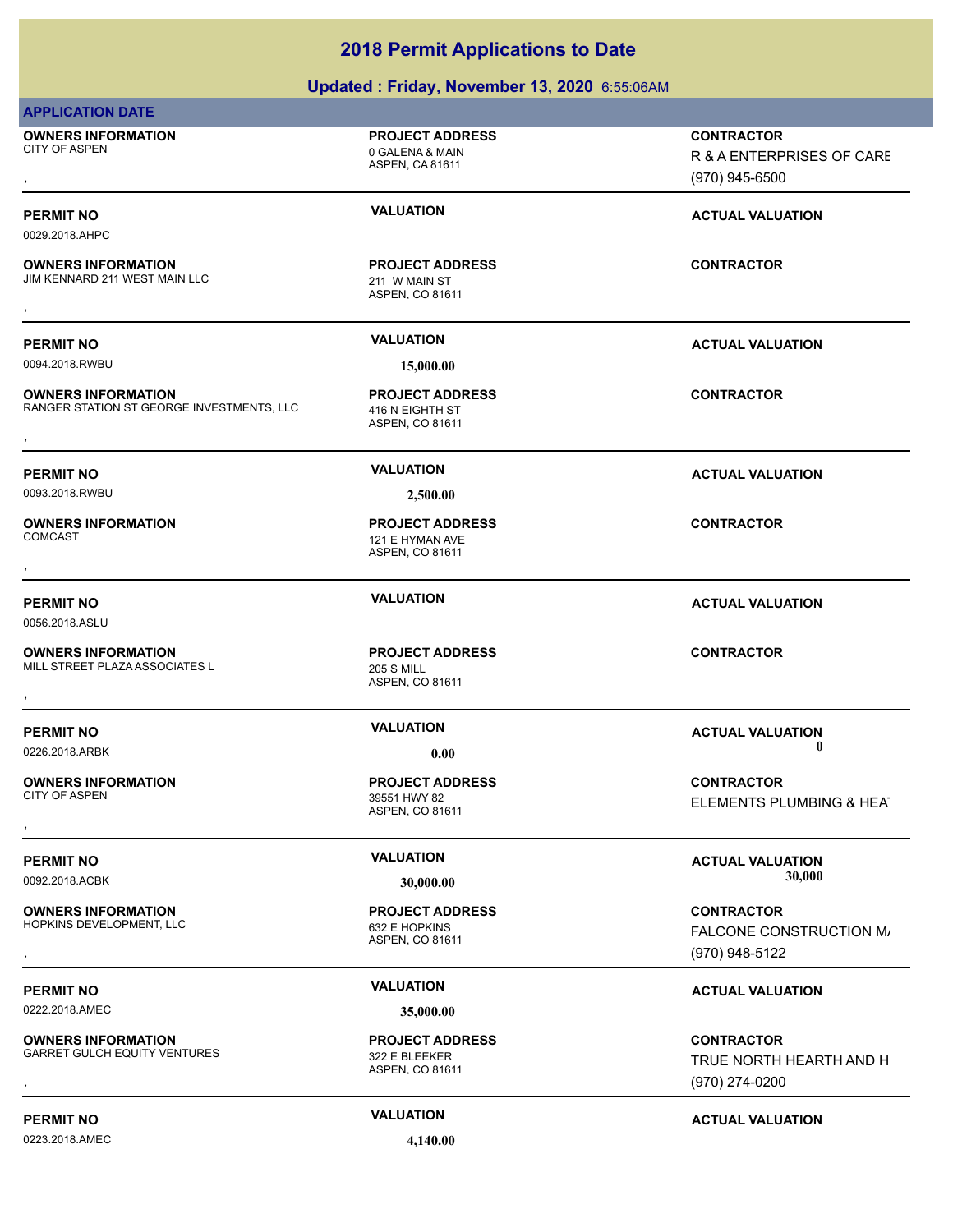### **Updated : Friday, November 13, 2020** 6:55:06AM

| <b>APPLICATION DATE</b>                                                |                                                                     |                                                                  |
|------------------------------------------------------------------------|---------------------------------------------------------------------|------------------------------------------------------------------|
| <b>OWNERS INFORMATION</b><br><b>CITY OF ASPEN</b>                      | <b>PROJECT ADDRESS</b><br>0 GALENA & MAIN<br><b>ASPEN, CA 81611</b> | <b>CONTRACTOR</b><br>R & A ENTERPRISES OF CARE<br>(970) 945-6500 |
| <b>PERMIT NO</b><br>0029.2018.AHPC                                     | <b>VALUATION</b>                                                    | <b>ACTUAL VALUATION</b>                                          |
| <b>OWNERS INFORMATION</b><br>JIM KENNARD 211 WEST MAIN LLC             | <b>PROJECT ADDRESS</b><br>211 W MAIN ST<br>ASPEN, CO 81611          | <b>CONTRACTOR</b>                                                |
|                                                                        |                                                                     |                                                                  |
| <b>PERMIT NO</b><br>0094.2018.RWBU                                     | <b>VALUATION</b><br>15,000.00                                       | <b>ACTUAL VALUATION</b>                                          |
| <b>OWNERS INFORMATION</b><br>RANGER STATION ST GEORGE INVESTMENTS, LLC | <b>PROJECT ADDRESS</b><br>416 N EIGHTH ST<br>ASPEN, CO 81611        | <b>CONTRACTOR</b>                                                |
| <b>PERMIT NO</b>                                                       | <b>VALUATION</b>                                                    | <b>ACTUAL VALUATION</b>                                          |
| 0093.2018.RWBU                                                         | 2,500.00                                                            |                                                                  |
| <b>OWNERS INFORMATION</b><br><b>COMCAST</b>                            | <b>PROJECT ADDRESS</b><br>121 E HYMAN AVE<br>ASPEN, CO 81611        | <b>CONTRACTOR</b>                                                |
| <b>PERMIT NO</b><br>0056.2018.ASLU                                     | <b>VALUATION</b>                                                    | <b>ACTUAL VALUATION</b>                                          |
| <b>OWNERS INFORMATION</b><br>MILL STREET PLAZA ASSOCIATES L            | <b>PROJECT ADDRESS</b><br><b>205 S MILL</b><br>ASPEN, CO 81611      | <b>CONTRACTOR</b>                                                |
| <b>PERMIT NO</b><br>0226.2018.ARBK                                     | <b>VALUATION</b><br>0.00                                            | <b>ACTUAL VALUATION</b><br>0                                     |
| <b>OWNERS INFORMATION</b><br><b>CITY OF ASPEN</b>                      | <b>PROJECT ADDRESS</b><br>39551 HWY 82<br>ASPEN, CO 81611           | <b>CONTRACTOR</b><br>ELEMENTS PLUMBING & HEAT                    |
| <b>PERMIT NO</b>                                                       | <b>VALUATION</b>                                                    | <b>ACTUAL VALUATION</b>                                          |
| 0092.2018.ACBK                                                         | 30,000.00                                                           | 30,000                                                           |
| <b>OWNERS INFORMATION</b><br>HOPKINS DEVELOPMENT, LLC                  | <b>PROJECT ADDRESS</b><br>632 E HOPKINS<br>ASPEN, CO 81611          | <b>CONTRACTOR</b><br>FALCONE CONSTRUCTION M/<br>(970) 948-5122   |
| <b>PERMIT NO</b>                                                       | <b>VALUATION</b>                                                    | <b>ACTUAL VALUATION</b>                                          |
| 0222.2018.AMEC                                                         | 35,000.00                                                           |                                                                  |
| <b>OWNERS INFORMATION</b><br><b>GARRET GULCH EQUITY VENTURES</b>       | <b>PROJECT ADDRESS</b><br>322 E BLEEKER<br>ASPEN, CO 81611          | <b>CONTRACTOR</b><br>TRUE NORTH HEARTH AND H<br>(970) 274-0200   |
| <b>PERMIT NO</b>                                                       | <b>VALUATION</b>                                                    | <b>ACTUAL VALUATION</b>                                          |

0223.2018.AMEC **4,140.00**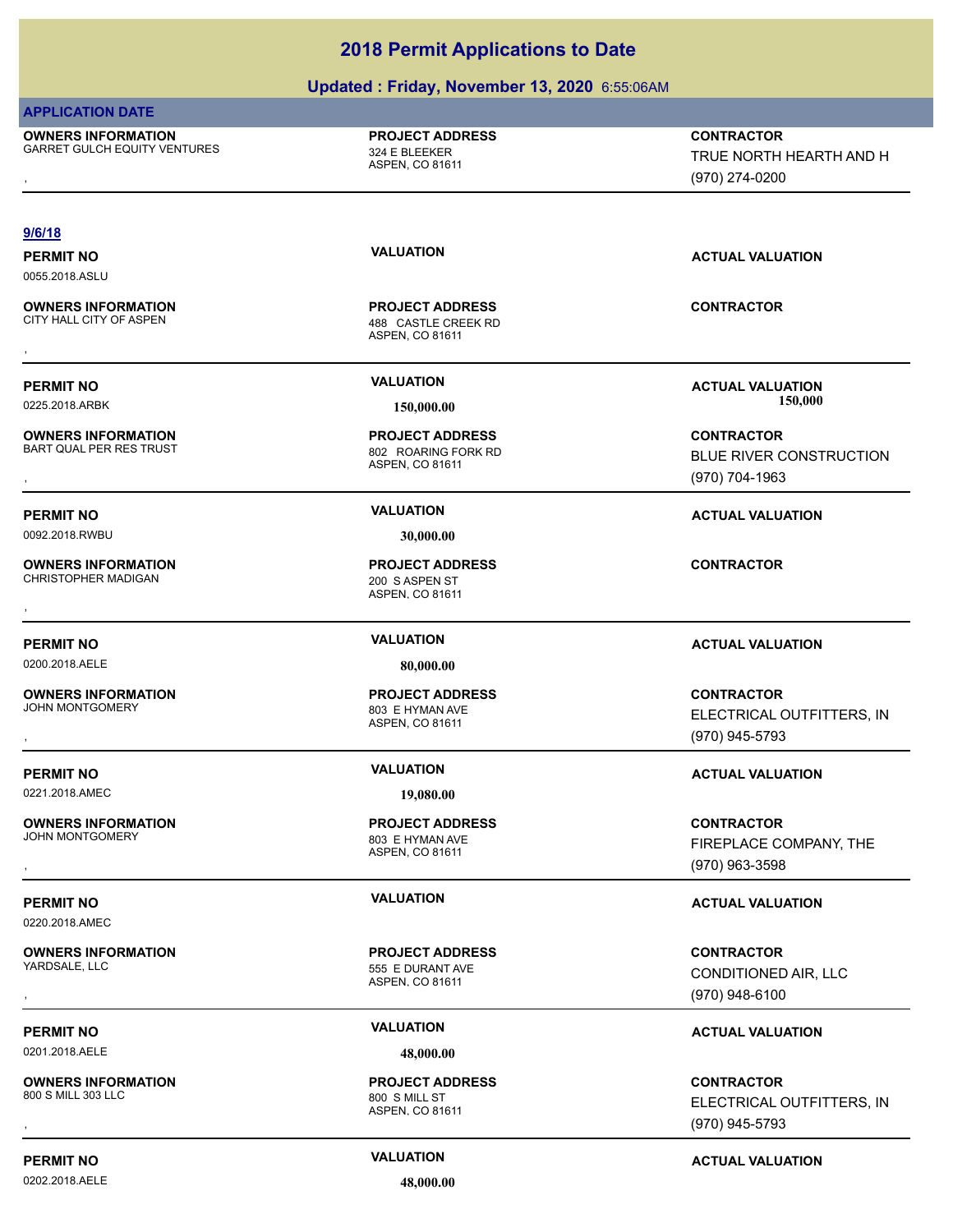### **Updated : Friday, November 13, 2020** 6:55:06AM

### **APPLICATION DATE**

**OWNERS INFORMATION** GARRET GULCH EQUITY VENTURES 324 E BLEEKER

ASPEN, CO 81611 **PROJECT ADDRESS**

**OWNERS INFORMATION METALLY CONTRACTOR DESCRIPTION ON MERGINE PROJECT ADDRESS ARRET GULCH EQUITY VENTURES ARRET<br>GARRET GULCH EQUITY VENTURES ASPEN ASPEN. CO 81611 ASPEN ASPEN. CO 81611 A CONTRACTOR MEARTH AND H<br>TRUE NORTH** TRUE NORTH HEARTH AND H (970) 274-0200

### **9/6/18**

0055.2018.ASLU

**OWNERS INFORMATION** CITY HALL CITY OF ASPEN 488 CASTLE CREEK RD

**OWNERS INFORMATION** BART QUAL PER RES TRUST 802 ROARING FORK RD

0092.2018.RWBU **30,000.00**

**OWNERS INFORMATION** CHRISTOPHER MADIGAN 200 S ASPEN ST

0200.2018.AELE **80,000.00**

**OWNERS INFORMATION**<br>JOHN MONTGOMERY

0221.2018.AMEC **19,080.00**

**OWNERS INFORMATION** JOHN MONTGOMERY 803 E HYMAN AVE

0220.2018.AMEC

**OWNERS INFORMATION**

0201.2018.AELE **48,000.00**

**OWNERS INFORMATION** 800 S MILL 303 LLC 800 S MILL ST

ASPEN, CO 81611 **PROJECT ADDRESS OWNERS INFORMATION CONTRACTOR RESOURDED BY A SERVE PROJECT ADDRESS CONTRACTOR CONTRACTOR**<br>CITY HALL CITY OF ASPEN **A SPEN ASPEN**, CO 81611<br>,

ASPEN, CO 81611 **PROJECT ADDRESS**

ASPEN, CO 81611 **PROJECT ADDRESS** , **CONTRACTOR**

ASPEN, CO 81611 803 E HYMAN AVE

ASPEN, CO 81611 **PROJECT ADDRESS**

ASPEN, CO 81611 555 E DURANT AVE **PROJECT ADDRESS**

ASPEN, CO 81611 **PROJECT ADDRESS**

**PERMIT NO VALUATION ACTUAL VALUATION**

**PERMIT NO VALUATION VALUATION VALUATION** 0225.2018.ARBK **150,000.00 150,000.00**

, **CONTRACTOR** BLUE RIVER CONSTRUCTION (970) 704-1963

**PERMIT NO VALUATION ACTUAL VALUATION**

### **PERMIT NO VALUATION ACTUAL VALUATION**

, **CONTRACTOR** ELECTRICAL OUTFITTERS, INC (970) 945-5793

### **PERMIT NO VALUATION ACTUAL VALUATION**

, **CONTRACTOR** FIREPLACE COMPANY, THE (970) 963-3598

### **PERMIT NO VALUATION ACTUAL VALUATION**

, **CONTRACTOR** CONDITIONED AIR, LLC (970) 948-6100

### **PERMIT NO CONSUMITY OF A CONSUMITY OF A CONSUMITY OF A CONSUMITY OF A CTUAL VALUATION**

, **CONTRACTOR** ELECTRICAL OUTFITTERS, INC (970) 945-5793

### **PERMIT NO CONSUMITY ACTUAL VALUATION VALUATION VALUATION**

0202.2018.AELE **48,000.00**

**PROJECT ADDRESS**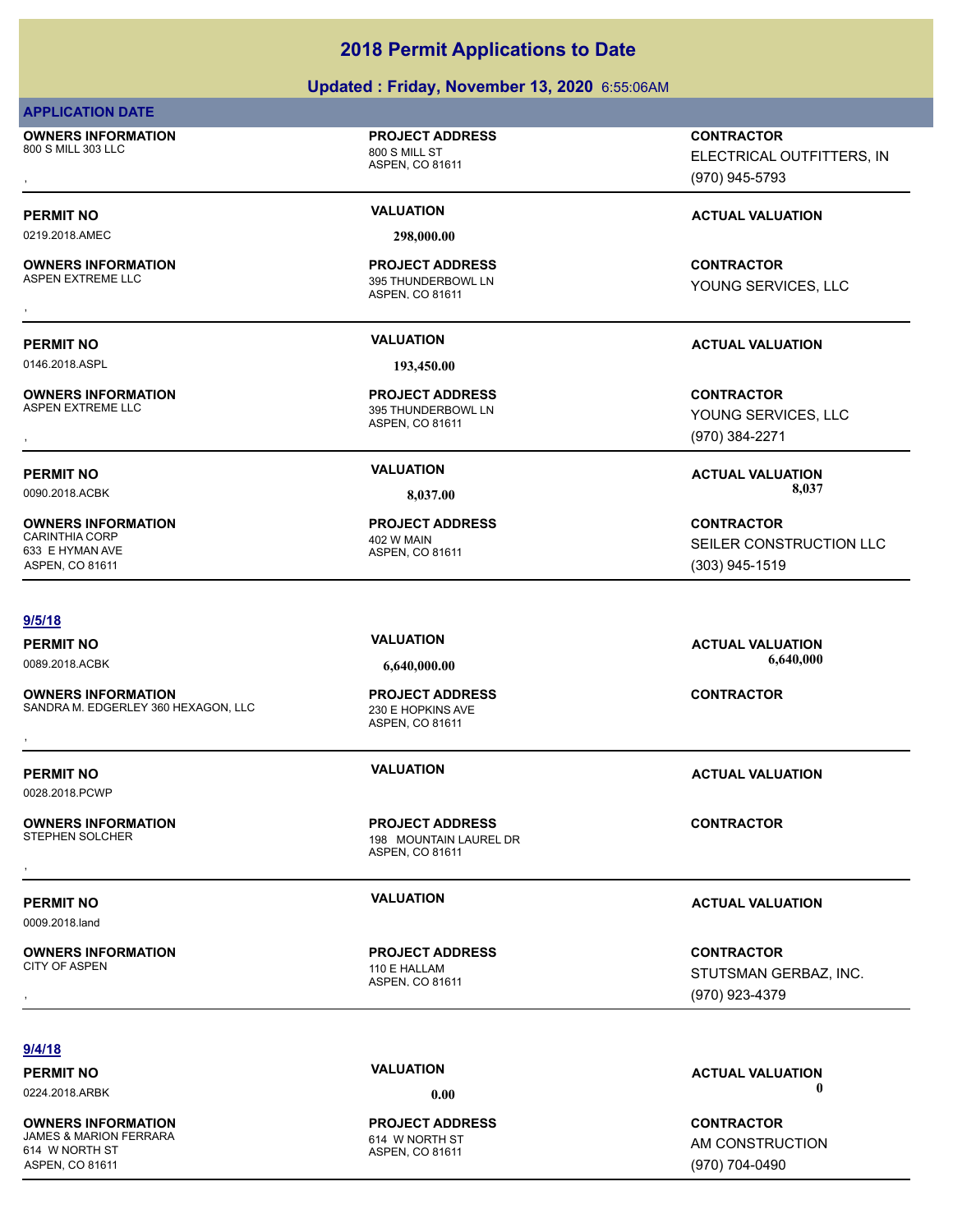### **Updated : Friday, November 13, 2020** 6:55:06AM

### **APPLICATION DATE**

**OWNERS INFORMATION** 800 S MILL 303 LLC 800 S MILL ST

**PROJECT ADDRESS**

ASPEN, CO 81611

ASPEN, CO 81611

ASPEN, CO 81611

ASPEN, CO 81611

**PROJECT ADDRESS**

395 THUNDERBOWL LN **PROJECT ADDRESS**

395 THUNDERBOWL LN **PROJECT ADDRESS**

0219.2018.AMEC **298,000.00**

**OWNERS INFORMATION**

0146.2018.ASPL **193,450.00**

**OWNERS INFORMATION**

**OWNERS INFORMATION** CARINTHIA CORP 402 W MAIN 633 E HYMAN AVE ASPEN, CO 81611

### **9/5/18**

**OWNERS INFORMATION** SANDRA M. EDGERLEY 360 HEXAGON, LLC 230 E HOPKINS AVE **OWNERS INFORMATION EXAGON, LLC EXAGONE DE PROJECT ADDRESS AND FORMACTOR CONTRACTOR**<br>SANDRA M. EDGERLEY 360 HEXAGON, LLC 230 E HOPKINS AVE ASPEN. CO 81611<br>ASPEN. CO 81611

0028.2018.PCWP

**OWNERS INFORMATION** , **CONTRACTOR**

0009.2018.land

**OWNERS INFORMATION**

ASPEN, CO 81611

198 MOUNTAIN LAUREL DR **PROJECT ADDRESS**

ASPEN, CO 81611

**PROJECT ADDRESS**

ASPEN, CO 81611 110 E HALLAM **PROJECT ADDRESS**

, **CONTRACTOR** ELECTRICAL OUTFITTERS, INC (970) 945-5793

### **PERMIT NO VALUATION VALUATION VALUATION**

, **CONTRACTOR** YOUNG SERVICES, LLC

### **PERMIT NO VALUATION ACTUAL VALUATION**

, **CONTRACTOR** YOUNG SERVICES, LLC (970) 384-2271

**PERMIT NO VALUATION ACTUAL VALUATION** 0090.2018.ACBK **8,037.00 8,037.00**

> **CONTRACTOR** SEILER CONSTRUCTION LLC (303) 945-1519

### **PERMIT NO VALUATION ACTUAL VALUATION** 0089.2018.ACBK **6,640,000.00 6,640,000.00**

**PERMIT NO VALUATION ACTUAL VALUATION**

**PERMIT NO VALUATION ACTUAL VALUATION**

, **CONTRACTOR** STUTSMAN GERBAZ, INC. (970) 923-4379

**9/4/18**

**OWNERS INFORMATION** JAMES & MARION FERRARA 614 W NORTH ST 614 W NORTH ST ASPEN, CO 81611

ASPEN, CO 81611 **PROJECT ADDRESS**

**PERMIT NO VALUATION ACTUAL VALUATION** 0224.2018.ARBK **0.00 0.00**

> **CONTRACTOR** AM CONSTRUCTION (970) 704-0490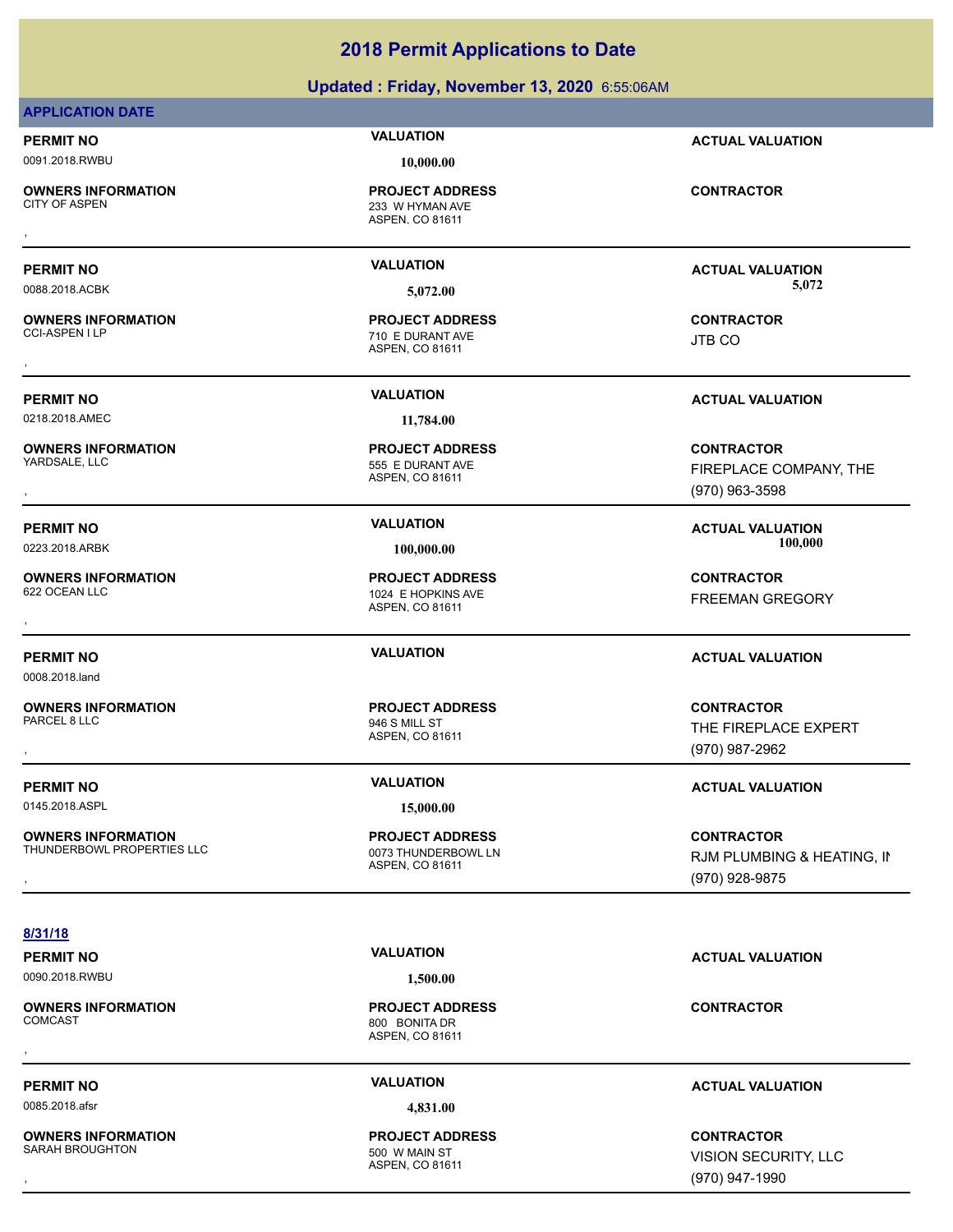### **Updated : Friday, November 13, 2020** 6:55:06AM

### **APPLICATION DATE**

### 0091.2018.RWBU **10,000.00**

**OWNERS INFORMATION**

**OWNERS INFORMATION**

0218.2018.AMEC **11,784.00**

**OWNERS INFORMATION**

**OWNERS INFORMATION**

0008.2018.land

**OWNERS INFORMATION** PARCEL 8 LLC 946 S MILL ST

0145.2018.ASPL **15,000.00**

**OWNERS INFORMATION** THUNDERBOWL PROPERTIES LLC 0073 THUNDERBOWL LN

**PERMIT NO VALUATION ACTUAL VALUATION**

ASPEN, CO 81611 233 W HYMAN AVE **PROJECT ADDRESS** , **CONTRACTOR**

ASPEN, CO 81611 710 E DURANT AVE **PROJECT ADDRESS** , **CONTRACTOR**

ASPEN, CO 81611 555 E DURANT AVE

ASPEN, CO 81611 1024 E HOPKINS AVE

ASPEN, CO 81611

ASPEN, CO 81611 **PROJECT ADDRESS**

**PERMIT NO VALUATION ACTUAL VALUATION** 0088.2018.ACBK **5,072.00 5,072.00**

JTB CO

**PERMIT NO VALUATION ACTUAL VALUATION**

**OWNERS INFORMATION PROJECT ADDRESS CONTRACTOR**<br>YARDSALE, LLC 555 E DURANT AVE FIREPLACE COMPANY, THE<br>, ASPEN, CO 81611 FIREPLACE COMPANY, THE (970) 963-3598

FREEMAN GREGORY

### **PERMIT NO VALUATION ACTUAL VALUATION**

, **CONTRACTOR** THE FIREPLACE EXPERT (970) 987-2962

### **PERMIT NO VALUATION VALUATION VALUATION**

, **CONTRACTOR** RJM PLUMBING & HEATING, IN (970) 928-9875

### **8/31/18**

0090.2018.RWBU **1,500.00**

**OWNERS INFORMATION**

0085.2018.afsr **4,831.00**

**OWNERS INFORMATION** SARAH BROUGHTON 500 W MAIN ST

ASPEN, CO 81611 800 BONITA DR **PROJECT ADDRESS** , **CONTRACTOR**

ASPEN, CO 81611 **PROJECT ADDRESS**

**PERMIT NO VALUATION ACTUAL VALUATION**

### **PERMIT NO VALUATION ACTUAL VALUATION**

, **CONTRACTOR** VISION SECURITY, LLC (970) 947-1990

**PROJECT ADDRESS**

**PROJECT ADDRESS** , **CONTRACTOR**

**PROJECT ADDRESS**

0223.2018.ARBK **100,000.00 100,000.00**

**PERMIT NO VALUATION ACTUAL VALUATION**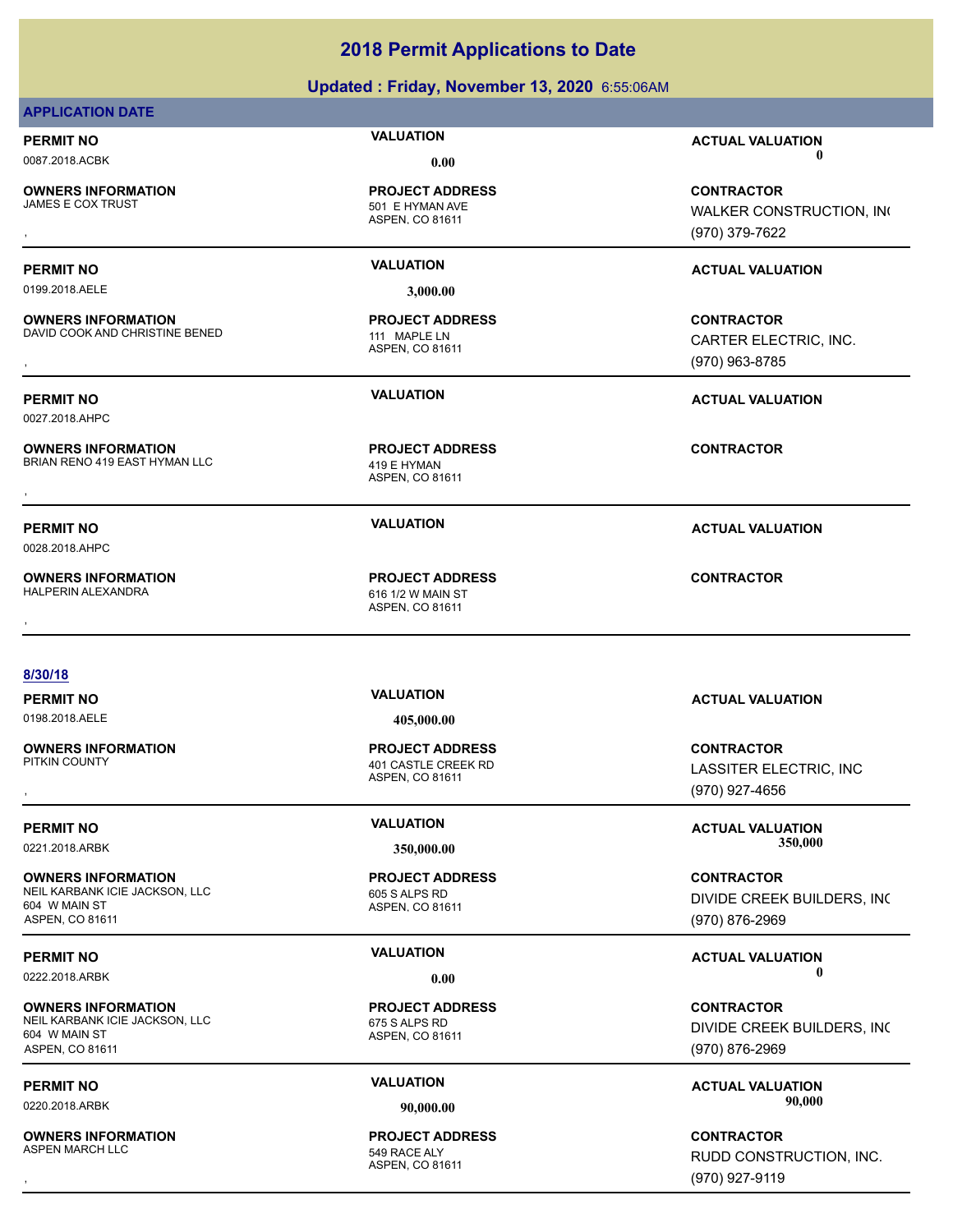### **Updated : Friday, November 13, 2020** 6:55:06AM

### **APPLICATION DATE**

**OWNERS INFORMATION**

501 E HYMAN AVE **PROJECT ADDRESS**

0199.2018.AELE **3,000.00**

**OWNERS INFORMATION** DAVID COOK AND CHRISTINE BENED 111 MAPLE LN

0027.2018.AHPC

**OWNERS INFORMATION** BRIAN RENO 419 EAST HYMAN LLC 419 E HYMAN

0028.2018.AHPC

**OWNERS INFORMATION** HALPERIN ALEXANDRA 616 1/2 W MAIN ST

ASPEN, CO 81611

ASPEN, CO 81611 **PROJECT ADDRESS**

ASPEN, CO 81611 **PROJECT ADDRESS OWNERS INFORMATION METALLY SERVICE PROJECT ADDRESS ARE:** CONTRACTOR CONTRACTOR<br>BRIAN RENO 419 EAST HYMAN LLC ASPEN, CO 81611<br>,

ASPEN, CO 81611 **PROJECT ADDRESS** , **CONTRACTOR**

### **PERMIT NO VALUATION ACTUAL VALUATION** 0087.2018.ACBK **0.00 0.00**

, **CONTRACTOR** WALKER CONSTRUCTION, INC (970) 379-7622

### **PERMIT NO VALUATION ACTUAL VALUATION**

**OWNERS INFORMATION DENSITY OF A SERVICE PROJECT ADDRESS ARE:**<br>DAVID COOK AND CHRISTINE BENED **A SPEN, CO 81611** ASPEN, CO 81611 **11 MAPLE LN**<br>, GARTER ELECTRIC, INC. CARTER ELECTRIC, INC. (970) 963-8785

### **PERMIT NO VALUATION ACTUAL VALUATION**

**PERMIT NO VALUATION ACTUAL VALUATION**

### **8/30/18**

**OWNERS INFORMATION**

**OWNERS INFORMATION** NEIL KARBANK ICIE JACKSON, LLC<br>605 S ALPS RD 604 W MAIN ST ASPEN, CO 81611

**OWNERS INFORMATION** NEIL KARBANK ICIE JACKSON, LLC<br>675 S ALPS RD 604 W MAIN ST ASPEN, CO 81611

**OWNERS INFORMATION** ASPEN MARCH LLC 549 RACE ALY

**PROJECT ADDRESS**

ASPEN, CO 81611 **PROJECT ADDRESS**

LASSITER ELECTRIC, INC (970) 927-4656

**PERMIT NO VALUATION ACTUAL VALUATION** 0221.2018.ARBK **350,000.00 350,000.00**

> **CONTRACTOR** DIVIDE CREEK BUILDERS, INC. (970) 876-2969

### **PERMIT NO VALUATION VALUATION VALUATION** 0222.2018.ARBK **0.00 0.00**

**CONTRACTOR** DIVIDE CREEK BUILDERS, INC. (970) 876-2969

**PERMIT NO CONSUMITY OF A CONSUMITY OF A CONSUMITY OF A CONSUMITY OF A CTUAL VALUATION** 0220.2018.ARBK **90,000.00 90,000.00**

, **CONTRACTOR** RUDD CONSTRUCTION, INC. (970) 927-9119

**PERMIT NO VALUATION ACTUAL VALUATION** 0198.2018.AELE **405,000.00** ASPEN, CO 81611 **401 CASTLE CREEK RD PROJECT ADDRESS** , **CONTRACTOR**

ASPEN, CO 81611

ASPEN, CO 81611 **PROJECT ADDRESS**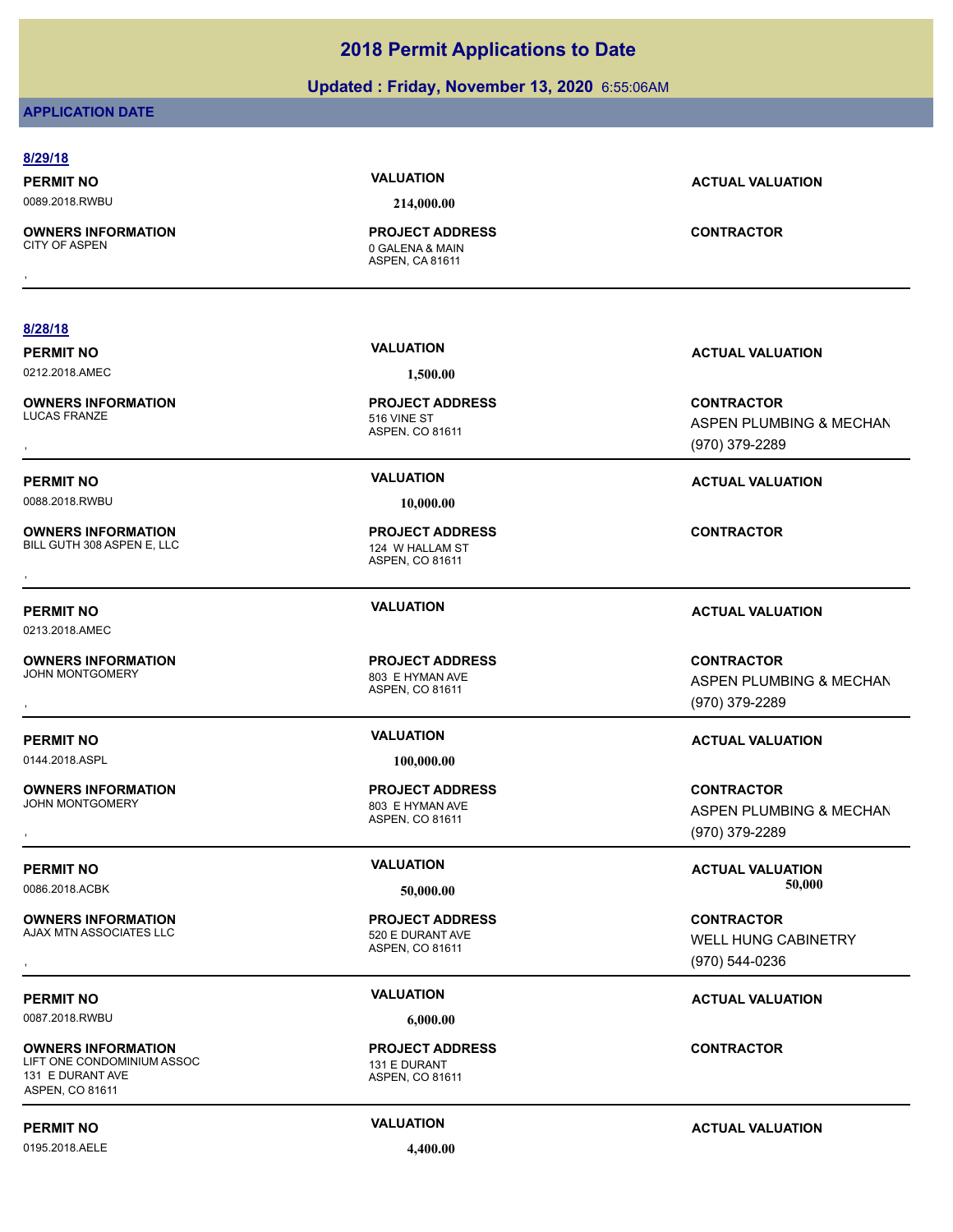### **Updated : Friday, November 13, 2020** 6:55:06AM

### **APPLICATION DATE**

| 8/29/18                                                 |                                                                     |                                                                |
|---------------------------------------------------------|---------------------------------------------------------------------|----------------------------------------------------------------|
| <b>PERMIT NO</b>                                        | <b>VALUATION</b>                                                    | <b>ACTUAL VALUATION</b>                                        |
| 0089.2018.RWBU                                          | 214,000.00                                                          |                                                                |
| <b>OWNERS INFORMATION</b><br><b>CITY OF ASPEN</b>       | <b>PROJECT ADDRESS</b><br>0 GALENA & MAIN<br><b>ASPEN, CA 81611</b> | <b>CONTRACTOR</b>                                              |
|                                                         |                                                                     |                                                                |
| 8/28/18                                                 |                                                                     |                                                                |
| <b>PERMIT NO</b>                                        | <b>VALUATION</b>                                                    | <b>ACTUAL VALUATION</b>                                        |
| 0212.2018.AMEC                                          | 1,500.00                                                            |                                                                |
| <b>OWNERS INFORMATION</b><br><b>LUCAS FRANZE</b>        | <b>PROJECT ADDRESS</b><br>516 VINE ST<br>ASPEN, CO 81611            | <b>CONTRACTOR</b><br>ASPEN PLUMBING & MECHAN<br>(970) 379-2289 |
|                                                         |                                                                     |                                                                |
| <b>PERMIT NO</b>                                        | <b>VALUATION</b>                                                    | <b>ACTUAL VALUATION</b>                                        |
| 0088.2018.RWBU                                          | 10,000.00                                                           |                                                                |
| <b>OWNERS INFORMATION</b><br>BILL GUTH 308 ASPEN E, LLC | <b>PROJECT ADDRESS</b><br>124 W HALLAM ST<br>ASPEN, CO 81611        | <b>CONTRACTOR</b>                                              |
| <b>PERMIT NO</b><br>0213.2018.AMEC                      | <b>VALUATION</b>                                                    | <b>ACTUAL VALUATION</b>                                        |
| <b>OWNERS INFORMATION</b>                               | <b>PROJECT ADDRESS</b>                                              | <b>CONTRACTOR</b>                                              |
| <b>JOHN MONTGOMERY</b>                                  | 803 E HYMAN AVE                                                     | ASPEN PLUMBING & MECHAN                                        |
|                                                         | ASPEN, CO 81611                                                     | (970) 379-2289                                                 |
| <b>PERMIT NO</b>                                        | <b>VALUATION</b>                                                    | <b>ACTUAL VALUATION</b>                                        |
| 0144.2018.ASPL                                          | 100,000.00                                                          |                                                                |
| <b>OWNERS INFORMATION</b>                               | <b>PROJECT ADDRESS</b>                                              | <b>CONTRACTOR</b>                                              |
| <b>JOHN MONTGOMERY</b>                                  | 803 E HYMAN AVE                                                     | ASPEN PLUMBING & MECHAN                                        |
|                                                         | ASPEN, CO 81611                                                     | (970) 379-2289                                                 |
| <b>PERMIT NO</b>                                        | <b>VALUATION</b>                                                    | <b>ACTUAL VALUATION</b>                                        |
| 0086.2018.ACBK                                          | 50,000.00                                                           | 50,000                                                         |
| <b>OWNERS INFORMATION</b>                               | <b>PROJECT ADDRESS</b>                                              | <b>CONTRACTOR</b>                                              |
| AJAX MTN ASSOCIATES LLC                                 | 520 E DURANT AVE                                                    | WELL HUNG CABINETRY                                            |
|                                                         | ASPEN, CO 81611                                                     | (970) 544-0236                                                 |
|                                                         |                                                                     |                                                                |
| <b>PERMIT NO</b>                                        | <b>VALUATION</b>                                                    | <b>ACTUAL VALUATION</b>                                        |
| 0087.2018.RWBU                                          | 6,000.00                                                            |                                                                |

**OWNERS INFORMATION** LIFT ONE CONDOMINIUM ASSOC 131 E DURANT 131 E DURANT AVE ASPEN, CO 81611

0195.2018.AELE **4,400.00**

### **PERMIT NO CONSUMITY ACTUAL VALUATION VALUATION** *ACTUAL VALUATION*

**CONTRACTOR**

ASPEN, CO 81611 **PROJECT ADDRESS**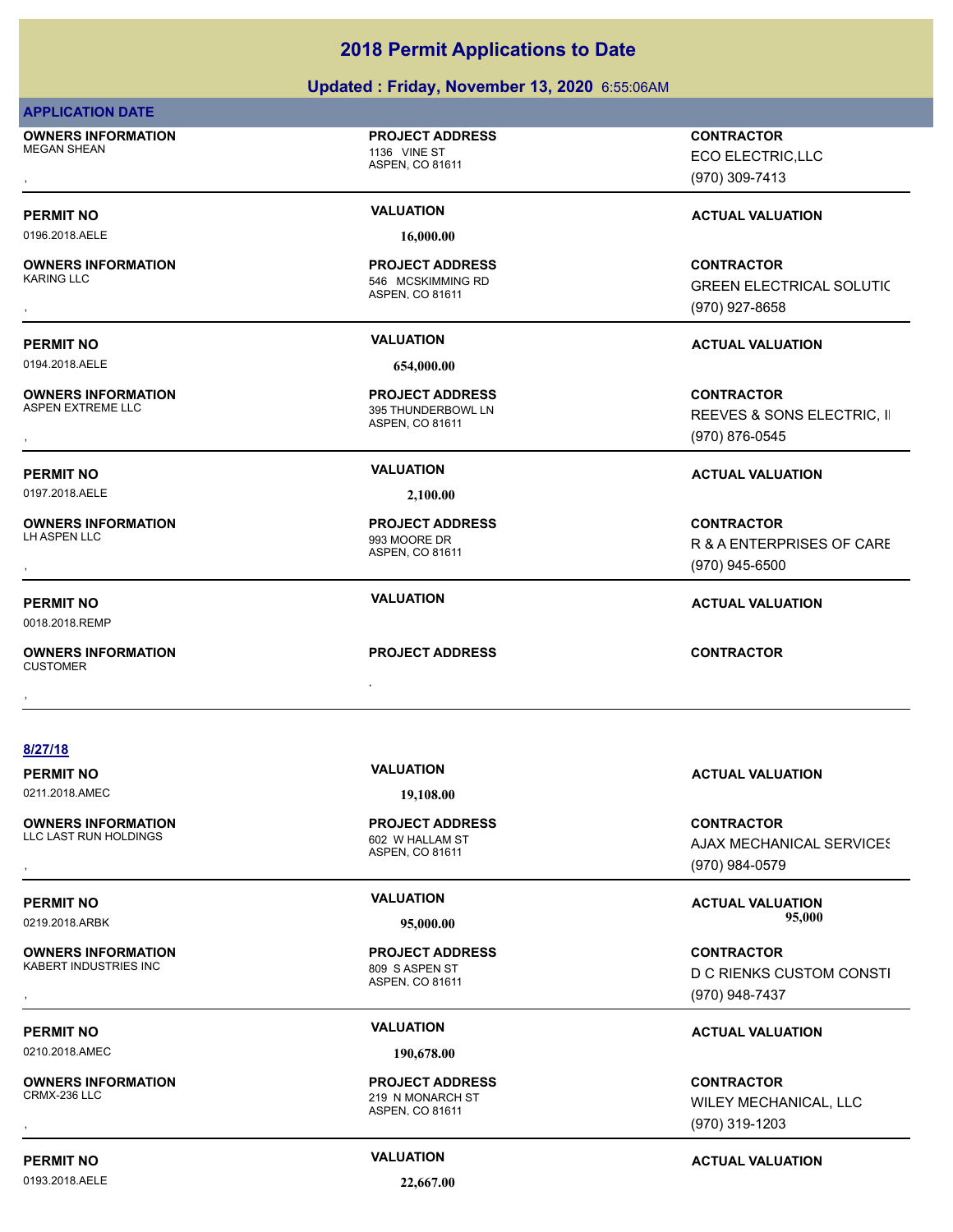### **Updated : Friday, November 13, 2020** 6:55:06AM

|--|

**OWNERS INFORMATION** MEGAN SHEAN 1136 VINE ST

ASPEN, CO 81611

**PROJECT ADDRESS**

0196.2018.AELE **16,000.00**

**OWNERS INFORMATION**

0194.2018.AELE **654,000.00**

**OWNERS INFORMATION**

0197.2018.AELE **2,100.00**

**OWNERS INFORMATION**

0018.2018.REMP

, **OWNERS INFORMATION CUSTOMER** , **CONTRACTOR**

**8/27/18**

| <b>PERMIT NO</b>          | <b>VALUATION</b>       | <b>ACTUAL VALUATION</b>   |
|---------------------------|------------------------|---------------------------|
| 0211.2018.AMEC            | 19,108.00              |                           |
| <b>OWNERS INFORMATION</b> | <b>PROJECT ADDRESS</b> | <b>CONTRACTOR</b>         |
| LLC LAST RUN HOLDINGS     | 602 W HALLAM ST        | A IAV MECHANICAL SEDVICES |

**OWNERS INFORMATION** KABERT INDUSTRIES INC<br>
809 S ASPEN ST

0210.2018.AMEC **190,678.00**

**OWNERS INFORMATION**

**PERMIT NO CONSUMITY ACTUAL VALUATION VALUATION VALUATION** 

0193.2018.AELE **22,667.00**

ASPEN, CO 81611 546 MCSKIMMING RD **PROJECT ADDRESS**

ASPEN, CO 81611 395 THUNDERBOWL LN **PROJECT ADDRESS**

ASPEN, CO 81611 993 MOORE DR **PROJECT ADDRESS**

ASPEN, CO 81611

ASPEN, CO 81611

**PROJECT ADDRESS**

**PROJECT ADDRESS**

, **CONTRACTOR** ECO ELECTRIC,LLC (970) 309-7413

### **PERMIT NO VALUATION VALUATION VALUATION**

, **CONTRACTOR** GREEN ELECTRICAL SOLUTIC (970) 927-8658

### **PERMIT NO VALUATION ACTUAL VALUATION**

**OWNERS INFORMATION PROJECT ADDRESS CONTRACTOR**<br>ASPEN EXTREME LLC 395 THUNDERBOWL LN REEVES & SONS ELECTRIC, II<br>, ASPEN. CO 81611 REEVES & SONS ELECTRIC, II (970) 876-0545

### **PERMIT NO VALUATION ACTUAL VALUATION**

, **CONTRACTOR** R & A ENTERPRISES OF CARE (970) 945-6500

### **PERMIT NO VALUATION ACTUAL VALUATION**

**OWNERS INFORMATION PROJECT ADDRESS CONTRACTOR**<br>LLC LAST RUN HOLDINGS 602 W HALLAM ST AJAX MECHANICAL SERVICES<br>, ASPEN, CO 81611 AJAX MECHANICAL SERVICES (970) 984-0579

**PERMIT NO VALUATION ACTUAL VALUATION** 0219.2018.ARBK **95,000.00 95,000.00**

, **CONTRACTOR** D C RIENKS CUSTOM CONSTI (970) 948-7437

### **PERMIT NO VALUATION ACTUAL VALUATION**

, **CONTRACTOR** WILEY MECHANICAL, LLC (970) 319-1203

ASPEN, CO 81611

219 N MONARCH ST **PROJECT ADDRESS**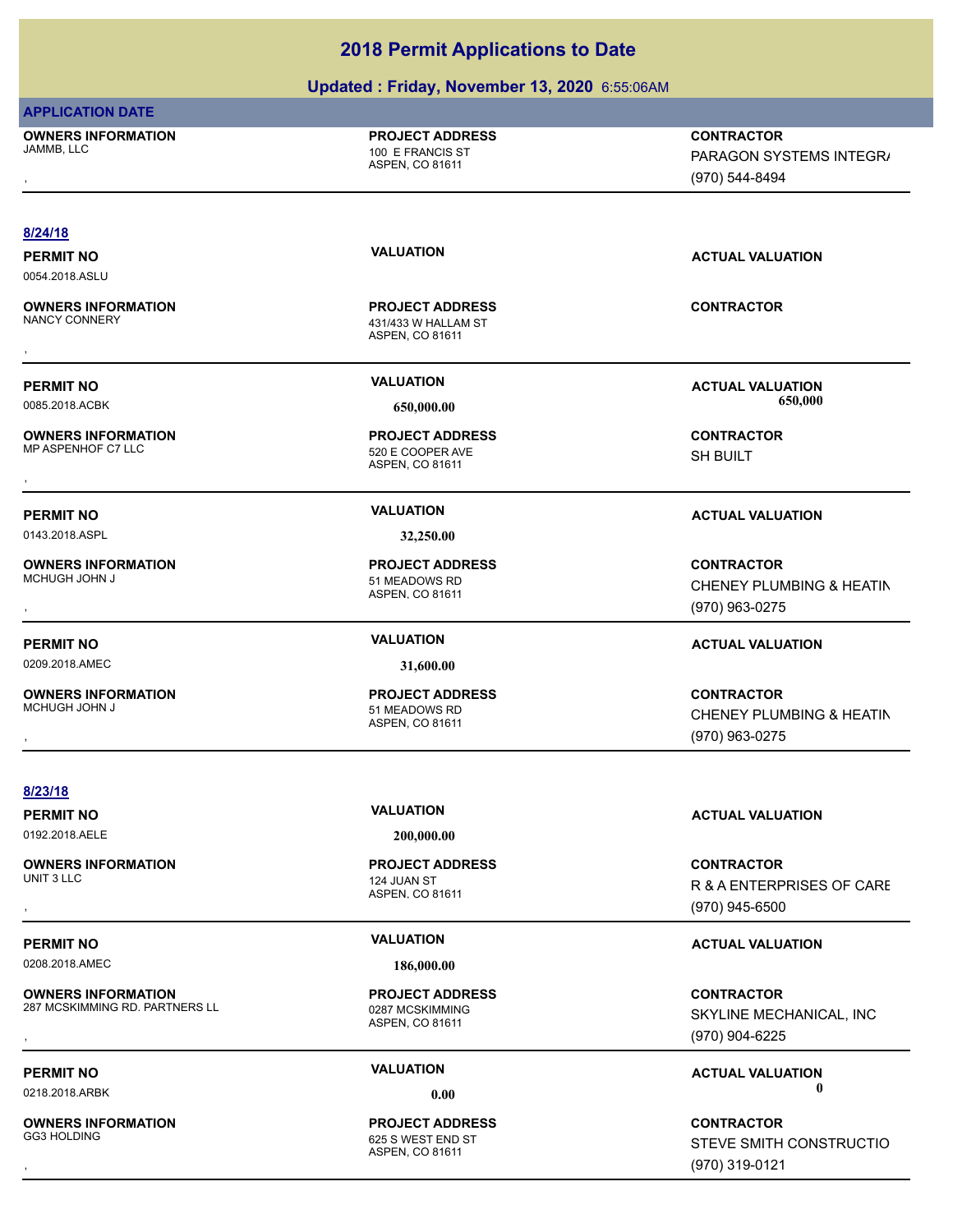### **Updated : Friday, November 13, 2020** 6:55:06AM

| <b>APPLICATION DATE</b> |  |
|-------------------------|--|
|-------------------------|--|

**OWNERS INFORMATION**

ASPEN, CO 81611 100 E FRANCIS ST **PROJECT ADDRESS**

, **CONTRACTOR** PARAGON SYSTEMS INTEGR/ (970) 544-8494

### **8/24/18**

0054.2018.ASLU

**OWNERS INFORMATION**

**OWNERS INFORMATION** MP ASPENHOF C7 LLC 620 E COOPER AVE

0143.2018.ASPL **32,250.00**

**OWNERS INFORMATION**

**OWNERS INFORMATION**

ASPEN, CO 81611 431/433 W HALLAM ST **PROJECT ADDRESS OWNERS INFORMATION FROJECT ADDRESS ARE:**<br>NANCY CONNERY<br>ASPEN, CO 81611<br>,

ASPEN, CO 81611 **PROJECT ADDRESS** , **CONTRACTOR**

ASPEN, CO 81611 51 MEADOWS RD **PROJECT ADDRESS**

0209.2018.AMEC **31,600.00**

ASPEN, CO 81611 51 MEADOWS RD **PROJECT ADDRESS**

**PERMIT NO VALUATION ACTUAL VALUATION**

**PERMIT NO VALUATION VALUATION VALUATION** 0085.2018.ACBK **650,000.00 650,000.00**

SH BUILT

### **PERMIT NO VALUATION ACTUAL VALUATION**

, **CONTRACTOR** CHENEY PLUMBING & HEATIN (970) 963-0275

### **PERMIT NO VALUATION ACTUAL VALUATION**

, **CONTRACTOR** CHENEY PLUMBING & HEATIN (970) 963-0275

**8/23/18 PERMIT NO VALUATION ACTUAL VALUATION** 0192.2018.AELE **200,000.00 OWNERS INFORMATION**<br>UNIT 3 LLC UNIT 3 LLC 2008 THE RESEARCH CONTROL 224 JUAN ST , **CONTRACTOR PERMIT NO VALUATION ACTUAL VALUATION** 0208.2018.AMEC **186,000.00 OWNERS INFORMATION**

287 MCSKIMMING RD. PARTNERS LL<br>0287 MCSKIMMING

**OWNERS INFORMATION**

ASPEN, CO 81611 **PROJECT ADDRESS**

ASPEN, CO 81611 **PROJECT ADDRESS**

ASPEN, CO 81611 625 S WEST END ST **PROJECT ADDRESS**

R & A ENTERPRISES OF CARE (970) 945-6500

, **CONTRACTOR** SKYLINE MECHANICAL, INC (970) 904-6225

**PERMIT NO VALUATION ACTUAL VALUATION** 0218.2018.ARBK **0.00 0.00**

, **CONTRACTOR** STEVE SMITH CONSTRUCTIO (970) 319-0121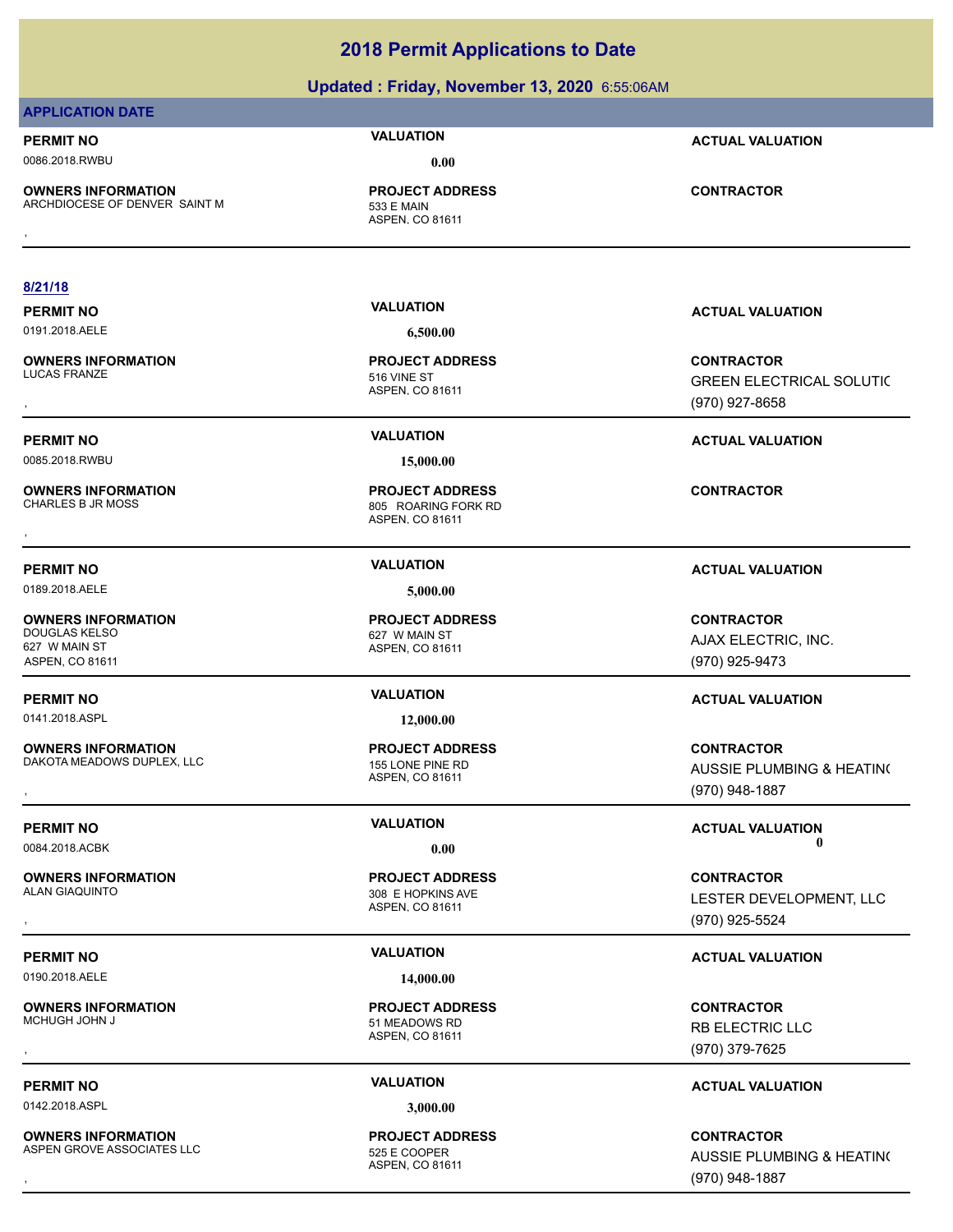### **Updated : Friday, November 13, 2020** 6:55:06AM

### **APPLICATION DATE**

**PERMIT NO VALUATION ACTUAL VALUATION** 0086.2018.RWBU **0.00**

**OWNERS INFORMATION** ARCHDIOCESE OF DENVER SAINT M<br>533 E MAIN

ASPEN, CO 81611 **PROJECT ADDRESS OWNERS INFORMATION Material contractor of the PROJECT ADDRESS CONTRACTOR CONTRACTOR**<br>ARCHDIOCESE OF DENVER SAINT M<br>, ASPEN, CO 81611

### **8/21/18**

**OWNERS INFORMATION**

0085.2018.RWBU **15,000.00**

**OWNERS INFORMATION**

0189.2018.AELE **5,000.00**

**OWNERS INFORMATION** DOUGLAS KELSO 627 W MAIN ST 627 W MAIN ST ASPEN, CO 81611

0141.2018.ASPL **12,000.00**

**OWNERS INFORMATION** DAKOTA MEADOWS DUPLEX, LLC<br>155 LONE PINE RD

**OWNERS INFORMATION**

0190.2018.AELE **14,000.00**

**OWNERS INFORMATION**

0142.2018.ASPL **3,000.00**

**OWNERS INFORMATION** ASPEN GROVE ASSOCIATES LLC<br>525 E COOPER

0191.2018.AELE **6,500.00**

ASPEN, CO 81611 516 VINE ST **PROJECT ADDRESS**

ASPEN, CO 81611 805 ROARING FORK RD **PROJECT ADDRESS** , **CONTRACTOR**

ASPEN, CO 81611 **PROJECT ADDRESS**

ASPEN, CO 81611 **PROJECT ADDRESS**

ASPEN, CO 81611 308 E HOPKINS AVE **PROJECT ADDRESS**

ASPEN, CO 81611 51 MEADOWS RD **PROJECT ADDRESS**

ASPEN, CO 81611 **PROJECT ADDRESS**

GREEN ELECTRICAL SOLUTIC (970) 927-8658

### **PERMIT NO VALUATION ACTUAL VALUATION**

### **PERMIT NO VALUATION ACTUAL VALUATION**

**CONTRACTOR** AJAX ELECTRIC, INC. (970) 925-9473

### **PERMIT NO VALUATION ACTUAL VALUATION**

**OWNERS INFORMATION LETTLE SERVICE PROJECT ADDRESS ARE SERVICE CONTRACTOR CONTRACTOR**<br>DAKOTA MEADOWS DUPLEX, LLC LETTLE ASPEN, COMBING AND SPEN, COMBING AND SOME PLUMBING A HEATIN(<br>ASPEN, COMBINE AND LETTLE ASPEN (970) 948 AUSSIE PLUMBING & HEATING (970) 948-1887

**PERMIT NO CONSUMITY OF A CONSUMITY OF A CONSUMITY OF A CONSUMITY OF A CTUAL VALUATION** 0084.2018.ACBK **0.00 0.00**

, **CONTRACTOR** LESTER DEVELOPMENT, LLC (970) 925-5524

### **PERMIT NO VALUATION ACTUAL VALUATION**

, **CONTRACTOR** RB ELECTRIC LLC (970) 379-7625

### **PERMIT NO VALUATION ACTUAL VALUATION**

**OWNERS INFORMATION Lines and SECURE ARE SECURE ASSESS ASSESS ASSESS AND RESOURD A SECURE ASSESS AND RESOURD ASSES<br>ASPEN GROVE ASSOCIATES LLC Lines ASPEN ASPEN. CO 81611 Lines and Manufacture of the ASPEN CO 81611**<br>ASPEN. AUSSIE PLUMBING & HEATING (970) 948-1887

**PERMIT NO VALUATION ACTUAL VALUATION** , **CONTRACTOR**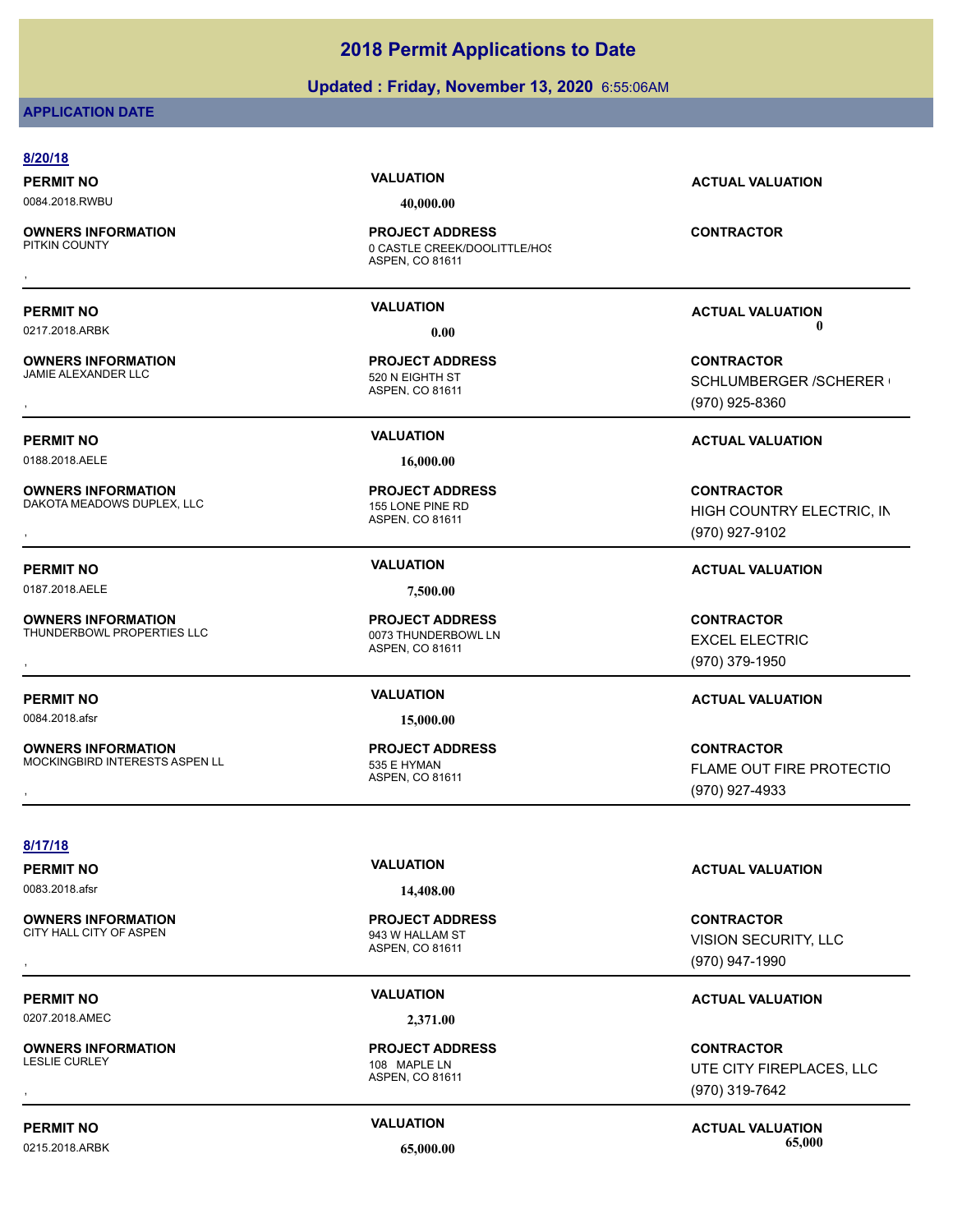### **Updated : Friday, November 13, 2020** 6:55:06AM

### **APPLICATION DATE**

| 8/20/18                                                     |                                                                           |                                                                       |
|-------------------------------------------------------------|---------------------------------------------------------------------------|-----------------------------------------------------------------------|
| <b>PERMIT NO</b>                                            | <b>VALUATION</b>                                                          | <b>ACTUAL VALUATION</b>                                               |
| 0084.2018.RWBU                                              | 40,000.00                                                                 |                                                                       |
| <b>OWNERS INFORMATION</b><br>PITKIN COUNTY                  | <b>PROJECT ADDRESS</b><br>0 CASTLE CREEK/DOOLITTLE/HOS<br>ASPEN, CO 81611 | <b>CONTRACTOR</b>                                                     |
|                                                             |                                                                           |                                                                       |
| <b>PERMIT NO</b>                                            | <b>VALUATION</b>                                                          | <b>ACTUAL VALUATION</b>                                               |
| 0217.2018.ARBK                                              | 0.00                                                                      | 0                                                                     |
| <b>OWNERS INFORMATION</b><br>JAMIE ALEXANDER LLC            | <b>PROJECT ADDRESS</b><br>520 N EIGHTH ST<br>ASPEN, CO 81611              | <b>CONTRACTOR</b><br><b>SCHLUMBERGER /SCHERER (</b><br>(970) 925-8360 |
| <b>PERMIT NO</b>                                            | <b>VALUATION</b>                                                          | <b>ACTUAL VALUATION</b>                                               |
| 0188.2018.AELE                                              | 16,000.00                                                                 |                                                                       |
| <b>OWNERS INFORMATION</b><br>DAKOTA MEADOWS DUPLEX, LLC     | <b>PROJECT ADDRESS</b><br>155 LONE PINE RD<br>ASPEN, CO 81611             | <b>CONTRACTOR</b><br>HIGH COUNTRY ELECTRIC, IN<br>(970) 927-9102      |
| <b>PERMIT NO</b>                                            | <b>VALUATION</b>                                                          | <b>ACTUAL VALUATION</b>                                               |
| 0187.2018.AELE                                              | 7,500.00                                                                  |                                                                       |
| <b>OWNERS INFORMATION</b><br>THUNDERBOWL PROPERTIES LLC     | <b>PROJECT ADDRESS</b><br>0073 THUNDERBOWL LN<br>ASPEN, CO 81611          | <b>CONTRACTOR</b><br><b>EXCEL ELECTRIC</b><br>(970) 379-1950          |
| <b>PERMIT NO</b>                                            | <b>VALUATION</b>                                                          | <b>ACTUAL VALUATION</b>                                               |
| 0084.2018.afsr                                              | 15,000.00                                                                 |                                                                       |
| <b>OWNERS INFORMATION</b><br>MOCKINGBIRD INTERESTS ASPEN LL | <b>PROJECT ADDRESS</b><br>535 E HYMAN<br>ASPEN, CO 81611                  | <b>CONTRACTOR</b><br>FLAME OUT FIRE PROTECTIO<br>(970) 927-4933       |
|                                                             |                                                                           |                                                                       |
| 8/17/18                                                     | <b>VALUATION</b>                                                          |                                                                       |
| <b>PERMIT NO</b><br>0083.2018.afsr                          | 14,408.00                                                                 | <b>ACTUAL VALUATION</b>                                               |
| <b>OWNERS INFORMATION</b><br>CITY HALL CITY OF ASPEN        | <b>PROJECT ADDRESS</b><br>943 W HALLAM ST<br>ASPEN, CO 81611              | <b>CONTRACTOR</b><br>VISION SECURITY, LLC<br>(970) 947-1990           |
| <b>PERMIT NO</b>                                            | <b>VALUATION</b>                                                          | <b>ACTUAL VALUATION</b>                                               |
| 0207.2018.AMEC                                              | 2,371.00                                                                  |                                                                       |
| <b>OWNERS INFORMATION</b><br><b>LESLIE CURLEY</b>           | <b>PROJECT ADDRESS</b><br>108 MAPLE LN<br>ASPEN, CO 81611                 | <b>CONTRACTOR</b><br>UTE CITY FIREPLACES, LLC<br>(970) 319-7642       |

### PERMIT NO<br> **VALUATION**<br>  $\begin{array}{ccc}\n 0.215 & 2018 & \text{APRK}\n\end{array}$  **CE 000.00**<br> **CE 000.00** 0215.2018.ARBK **65,000.00 65,000.00**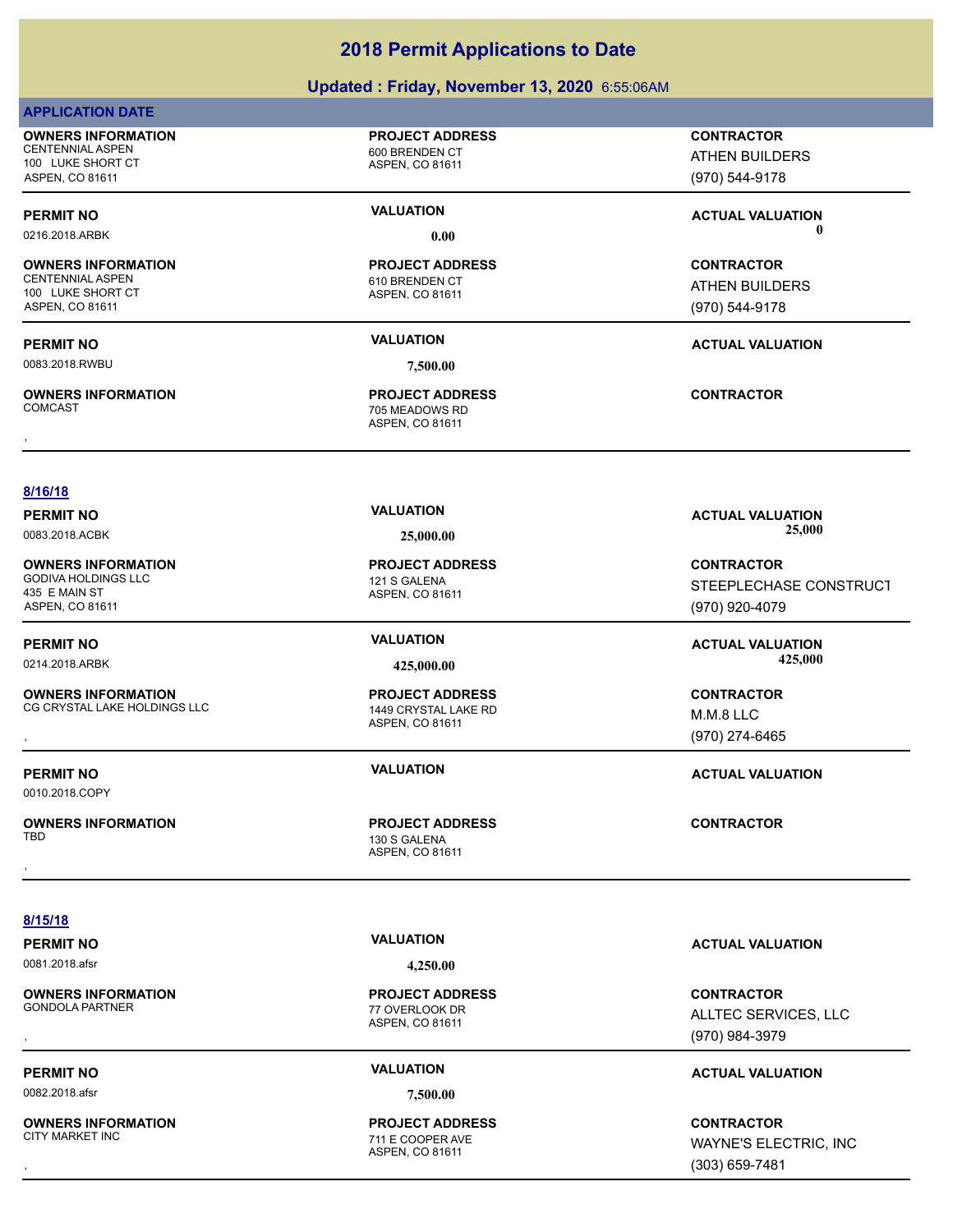### **Updated : Friday, November 13, 2020** 6:55:06AM

### **APPLICATION DATE**

**OWNERS INFORMATION** CENTENNIAL ASPEN 600 BRENDEN CT

100 LUKE SHORT CT ASPEN, CO 81611

0216.2018.ARBK **0.00 0.00**

### **OWNERS INFORMATION**

CENTENNIAL ASPEN 610 BRENDEN CT 100 LUKE SHORT CT ASPEN, CO 81611

0083.2018.RWBU **7,500.00**

**OWNERS INFORMATION**

ASPEN, CO 81611

**PROJECT ADDRESS**

### ASPEN, CO 81611 **PROJECT ADDRESS**

### ASPEN, CO 81611 705 MEADOWS RD **PROJECT ADDRESS** , **CONTRACTOR**

**CONTRACTOR** ATHEN BUILDERS

(970) 544-9178

### **PERMIT NO VALUATION ACTUAL VALUATION**

**CONTRACTOR** ATHEN BUILDERS (970) 544-9178

### **PERMIT NO VALUATION ACTUAL VALUATION**

**CONTRACTOR**

(970) 920-4079

M.M.8 LLC (970) 274-6465

STEEPLECHASE CONSTRUCT

**8/16/18**

0083.2018.ACBK **25,000.00 25,000.00**

**OWNERS INFORMATION** GODIVA HOLDINGS LLC 121 S GALENA 435 E MAIN ST ASPEN, CO 81611

### **PERMIT NO VALUATION ACTUAL VALUATION**

0214.2018.ARBK **425,000.00 425,000.00**

### **OWNERS INFORMATION** CG CRYSTAL LAKE HOLDINGS LLC 1449 CRYSTAL LAKE RD

**PERMIT NO VALUATION ACTUAL VALUATION**

0010.2018.COPY

**OWNERS INFORMATION**

**8/15/18**

## 0081.2018.afsr **4,250.00**

**OWNERS INFORMATION**

0082.2018.afsr **7,500.00**

**OWNERS INFORMATION**

### ASPEN, CO 81611 77 OVERLOOK DR **PROJECT ADDRESS**

### ASPEN, CO 81611 711 E COOPER AVE **PROJECT ADDRESS**

**PERMIT NO VALUATION ACTUAL VALUATION**

, **CONTRACTOR** ALLTEC SERVICES, LLC (970) 984-3979

### **PERMIT NO VALUATION ACTUAL VALUATION**

, **CONTRACTOR** WAYNE'S ELECTRIC, INC (303) 659-7481

### **PERMIT NO VALUATION ACTUAL VALUATION**

ASPEN, CO 81611 **PROJECT ADDRESS**

### ASPEN, CO 81611 **PROJECT ADDRESS OWNERS INFORMATION METALLY SERVICE TO A PROJECT ADDRESS CONTRACTOR CONTRACTOR**<br>CG CRYSTAL LAKE HOLDINGS LLC A ASPEN, CO 81611 ASPEN, CO 81611 M.M.2 LLC A ASPEN, CO 81611 (970) 274-6465

ASPEN, CO 81611 130 S GALENA **PROJECT ADDRESS** , **CONTRACTOR**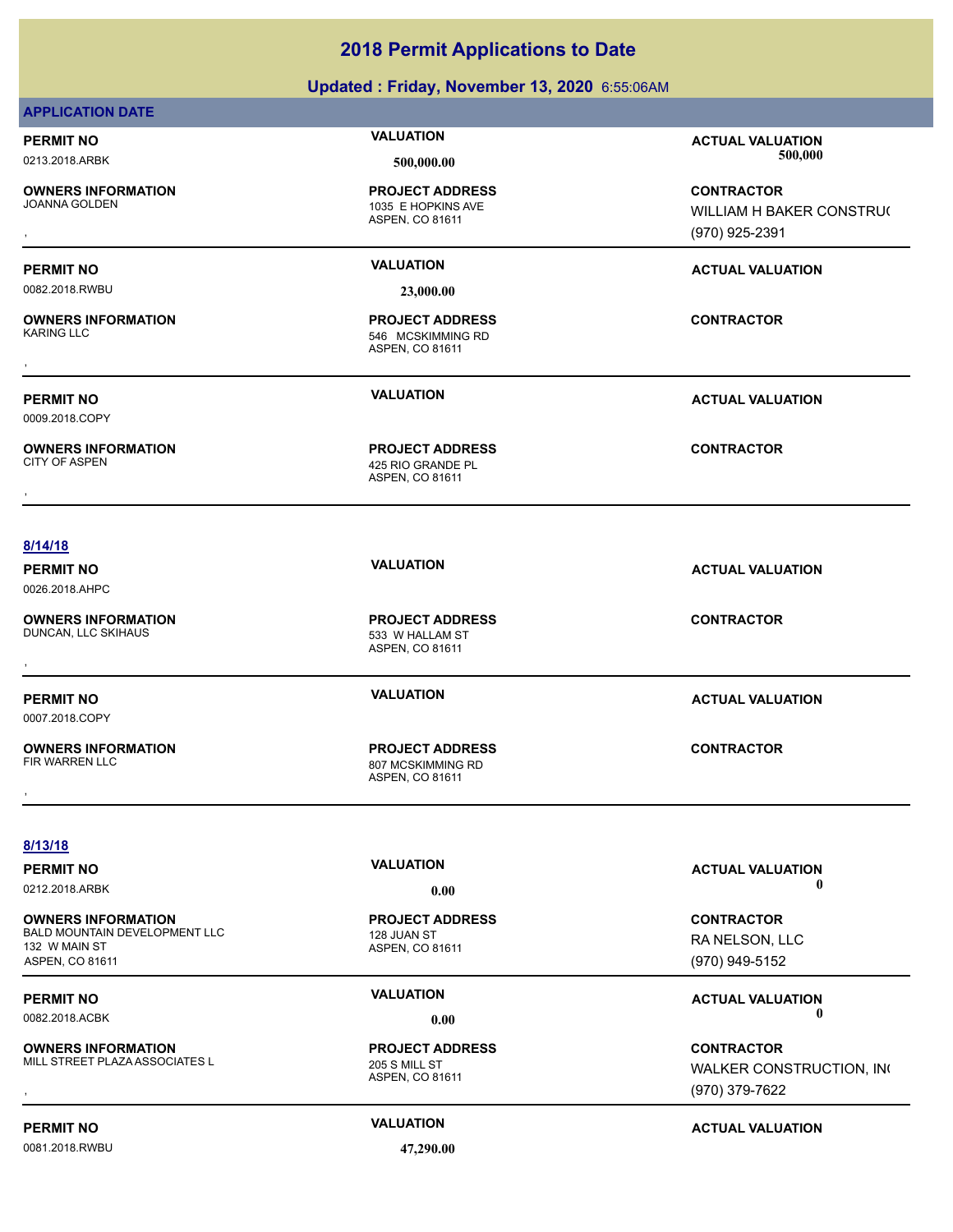### **Updated : Friday, November 13, 2020** 6:55:06AM

### **APPLICATION DATE**

**OWNERS INFORMATION**

### ASPEN, CO 81611 1035 E HOPKINS AVE **PROJECT ADDRESS**

0082.2018.RWBU **23,000.00**

**OWNERS INFORMATION** , **CONTRACTOR**

0009.2018.COPY

**OWNERS INFORMATION**

ASPEN, CO 81611 425 RIO GRANDE PL **PROJECT ADDRESS OWNERS INFORMATION CONTRACTOR PROJECT ADDRESS CONTRACTOR**<br>CITY OF ASPEN **ADDRESS AREADS AND ASPEN, CO 81611**<br>,

ASPEN, CO 81611

546 MCSKIMMING RD **PROJECT ADDRESS**

**PERMIT NO VALUATION ACTUAL VALUATION** 0213.2018.ARBK **500,000.00 500,000.00**

, **CONTRACTOR** WILLIAM H BAKER CONSTRUC (970) 925-2391

### **PERMIT NO VALUATION ACTUAL VALUATION**

**PERMIT NO VALUATION ACTUAL VALUATION**

### **8/14/18**

0026.2018.AHPC

**OWNERS INFORMATION**

0007.2018.COPY

**OWNERS INFORMATION**

ASPEN, CO 81611 533 W HALLAM ST

ASPEN, CO 81611 807 MCSKIMMING RD **PROJECT ADDRESS** , **CONTRACTOR**

**PERMIT NO VALUATION ACTUAL VALUATION**

**8/13/18**

**OWNERS INFORMATION** BALD MOUNTAIN DEVELOPMENT LLC 128 JUAN ST 132 W MAIN ST ASPEN, CO 81611

**OWNERS INFORMATION** MILL STREET PLAZA ASSOCIATES L<br>205 S MILL ST

0081.2018.RWBU **47,290.00**

ASPEN, CO 81611

**PROJECT ADDRESS**

ASPEN, CO 81611

**PROJECT ADDRESS**

### **PERMIT NO CONSUMITY ACTUAL VALUATION VALUATION VALUATION** 0212.2018.ARBK **0.00 0.00**

**CONTRACTOR** RA NELSON, LLC (970) 949-5152

**PERMIT NO VALUATION VALUATION VALUATION** 0082.2018.ACBK **0.00 0.00**

**OWNERS INFORMATION METALLY CONTRACTOR DESCRIPTION ON METALLY CONTRACTOR**<br>MILL STREET PLAZAASSOCIATES LYNE WALKER CONSTRUCTION, INC<br>, http://www.com/witch/20031611/http://witch/20031611/http://witch/2003/00/000000000000000 WALKER CONSTRUCTION, INC (970) 379-7622

**PERMIT NO CONSUMITY OF A CONSUMITY OF A CONSUMITY OF A CONSUMITY OF A CTUAL VALUATION** 

# **PERMIT NO VALUATION ACTUAL VALUATION PROJECT ADDRESS** , **CONTRACTOR**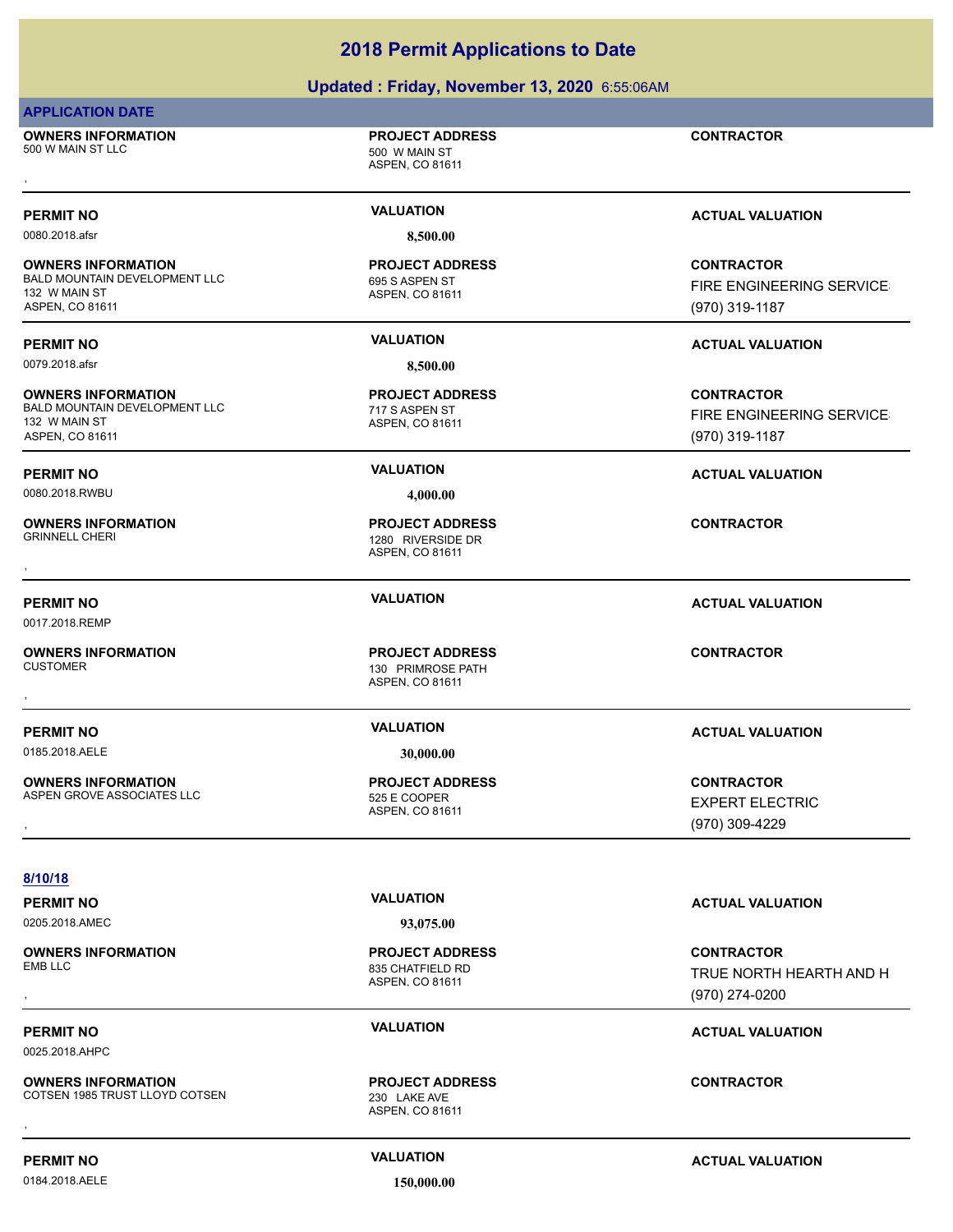### **Updated : Friday, November 13, 2020** 6:55:06AM

### **APPLICATION DATE**

**OWNERS INFORMATION** 500 W MAIN ST LLC 500 W MAIN ST **OWNERS INFORMATION FROJECT ADDRESS CONTRACTOR**<br>500 W MAIN ST LLC<br>ASPEN. CO 81611<br>,

### ASPEN, CO 81611

**PROJECT ADDRESS**

**OWNERS INFORMATION** BALD MOUNTAIN DEVELOPMENT LLC 695 S ASPEN ST 132 W MAIN ST ASPEN, CO 81611

**OWNERS INFORMATION** BALD MOUNTAIN DEVELOPMENT LLC<br>
717 S ASPEN ST 132 W MAIN ST ASPEN, CO 81611

0080.2018.RWBU **4,000.00**

**OWNERS INFORMATION**

0017.2018.REMP

**OWNERS INFORMATION**

0185.2018.AELE **30,000.00**

**OWNERS INFORMATION** ASPEN GROVE ASSOCIATES LLC<br>525 E COOPER

### **8/10/18**

0205.2018.AMEC **93,075.00**

**OWNERS INFORMATION**

0025.2018.AHPC

**OWNERS INFORMATION** COTSEN 1985 TRUST LLOYD COTSEN 230 LAKE AVE **OWNERS INFORMATION CONTRACTOR REGULAR PROJECT ADDRESS CONTRACTOR CONTRACTOR**<br>COTSEN 1985 TRUST LLOYD COTSEN 230 LAKE AVE ASPEN. CO 81611<br>,

0080.2018.afsr **8,500.00**

### ASPEN, CO 81611 **PROJECT ADDRESS**

ASPEN, CO 81611 1280 RIVERSIDE DR **PROJECT ADDRESS** , **CONTRACTOR**

ASPEN, CO 81611 130 PRIMROSE PATH **PROJECT ADDRESS** , **CONTRACTOR**

ASPEN, CO 81611 **PROJECT ADDRESS**

### **PERMIT NO VALUATION VALUATION VALUATION**

**CONTRACTOR** FIRE ENGINEERING SERVICES (970) 319-1187

**CONTRACTOR FIRE ENGINEERING SERVICE** (970) 319-1187

### **PERMIT NO VALUATION VALUATION VALUATION**

### **PERMIT NO VALUATION ACTUAL VALUATION**

### **PERMIT NO VALUATION ACTUAL VALUATION**

**OWNERS INFORMATION LEarning Science of PROJECT ADDRESS ASSESS ASSESS ASSESS ASSESS AND RESPOND TO A SEXPERT ELECTRIC<br>ASPEN GROVE ASSOCIATES LLC LEARNING ASPEN, CO 81611<br>ASPEN, CO 81611 LEARNING ASPEN, CO 81611 LEARNING (9** EXPERT ELECTRIC (970) 309-4229

, **CONTRACTOR** TRUE NORTH HEARTH AND H (970) 274-0200

### **PERMIT NO CONSUMITY OF A CONSUMITY OF A CONSUMITY OF A CONSUMITY OF A CTUAL VALUATION**

0184.2018.AELE **150,000.00**

**PERMIT NO CONSUMITY ACTUAL VALUATION VALUATION VALUATION** 

**PERMIT NO VALUATION ACTUAL VALUATION**

ASPEN, CO 81611 835 CHATFIELD RD **PROJECT ADDRESS**

ASPEN, CO 81611 **PROJECT ADDRESS**

**PERMIT NO VALUATION ACTUAL VALUATION** 0079.2018.afsr **8,500.00**

> ASPEN, CO 81611 **PROJECT ADDRESS**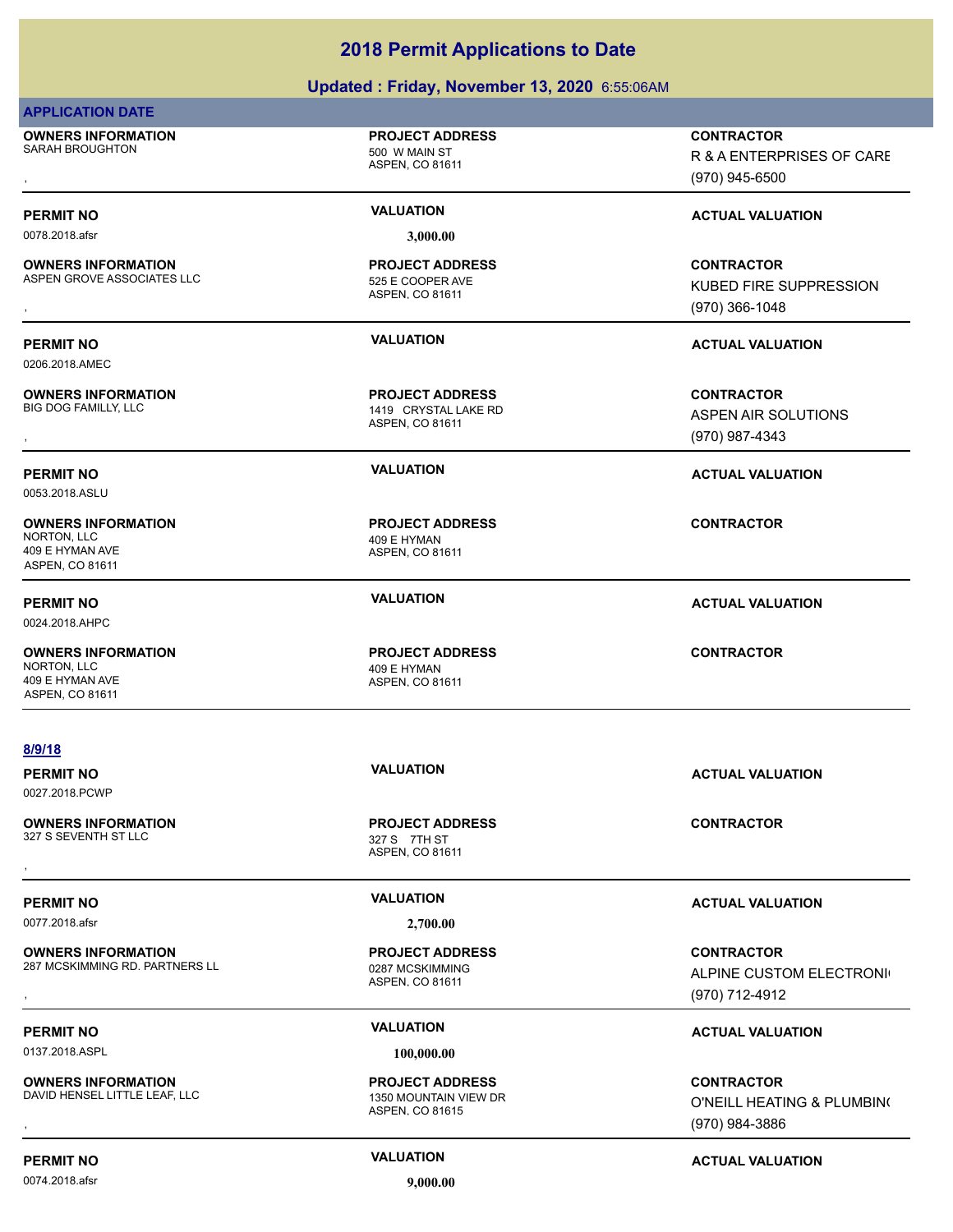### **Updated : Friday, November 13, 2020** 6:55:06AM

| <b>APPLICATION DATE</b>                                                        |                                                                    |                                                                        |  |
|--------------------------------------------------------------------------------|--------------------------------------------------------------------|------------------------------------------------------------------------|--|
| <b>OWNERS INFORMATION</b><br>SARAH BROUGHTON                                   | <b>PROJECT ADDRESS</b><br>500 W MAIN ST<br>ASPEN, CO 81611         | <b>CONTRACTOR</b><br>R & A ENTERPRISES OF CARE<br>(970) 945-6500       |  |
| <b>PERMIT NO</b>                                                               | <b>VALUATION</b>                                                   | <b>ACTUAL VALUATION</b>                                                |  |
| 0078.2018.afsr                                                                 | 3,000.00                                                           |                                                                        |  |
| <b>OWNERS INFORMATION</b><br>ASPEN GROVE ASSOCIATES LLC                        | <b>PROJECT ADDRESS</b><br>525 E COOPER AVE<br>ASPEN, CO 81611      | <b>CONTRACTOR</b><br><b>KUBED FIRE SUPPRESSION</b><br>$(970)$ 366-1048 |  |
| <b>PERMIT NO</b><br>0206.2018.AMEC                                             | <b>VALUATION</b>                                                   | <b>ACTUAL VALUATION</b>                                                |  |
| <b>OWNERS INFORMATION</b><br>BIG DOG FAMILLY, LLC                              | <b>PROJECT ADDRESS</b><br>1419 CRYSTAL LAKE RD<br>ASPEN, CO 81611  | <b>CONTRACTOR</b><br>ASPEN AIR SOLUTIONS<br>(970) 987-4343             |  |
| <b>PERMIT NO</b><br>0053.2018.ASLU                                             | <b>VALUATION</b>                                                   | <b>ACTUAL VALUATION</b>                                                |  |
| <b>OWNERS INFORMATION</b><br>NORTON, LLC<br>409 E HYMAN AVE<br>ASPEN, CO 81611 | <b>PROJECT ADDRESS</b><br>409 E HYMAN<br>ASPEN, CO 81611           | <b>CONTRACTOR</b>                                                      |  |
| <b>PERMIT NO</b><br>0024.2018.AHPC                                             | <b>VALUATION</b>                                                   | <b>ACTUAL VALUATION</b>                                                |  |
| <b>OWNERS INFORMATION</b><br>NORTON, LLC<br>409 E HYMAN AVE<br>ASPEN, CO 81611 | <b>PROJECT ADDRESS</b><br>409 E HYMAN<br>ASPEN, CO 81611           | <b>CONTRACTOR</b>                                                      |  |
| 8/9/18<br><b>PERMIT NO</b><br>0027.2018.PCWP                                   | <b>VALUATION</b>                                                   | <b>ACTUAL VALUATION</b>                                                |  |
| <b>OWNERS INFORMATION</b><br>327 S SEVENTH ST LLC                              | <b>PROJECT ADDRESS</b><br>327 S 7TH ST<br>ASPEN, CO 81611          | <b>CONTRACTOR</b>                                                      |  |
| <b>PERMIT NO</b>                                                               | <b>VALUATION</b>                                                   | <b>ACTUAL VALUATION</b>                                                |  |
| 0077.2018.afsr                                                                 | 2,700.00                                                           |                                                                        |  |
| <b>OWNERS INFORMATION</b><br>287 MCSKIMMING RD. PARTNERS LL                    | <b>PROJECT ADDRESS</b><br>0287 MCSKIMMING<br>ASPEN, CO 81611       | <b>CONTRACTOR</b><br>ALPINE CUSTOM ELECTRONI<br>(970) 712-4912         |  |
| <b>PERMIT NO</b>                                                               | <b>VALUATION</b>                                                   |                                                                        |  |
| 0137.2018.ASPL                                                                 | 100,000.00                                                         | <b>ACTUAL VALUATION</b>                                                |  |
| <b>OWNERS INFORMATION</b><br>DAVID HENSEL LITTLE LEAF, LLC                     | <b>PROJECT ADDRESS</b><br>1350 MOUNTAIN VIEW DR<br>ASPEN, CO 81615 | <b>CONTRACTOR</b><br>O'NEILL HEATING & PLUMBIN(<br>(970) 984-3886      |  |

### 0074.2018.afsr **9,000.00**

**PERMIT NO CONSUMITY ACTUAL VALUATION VALUATION** *ACTUAL VALUATION*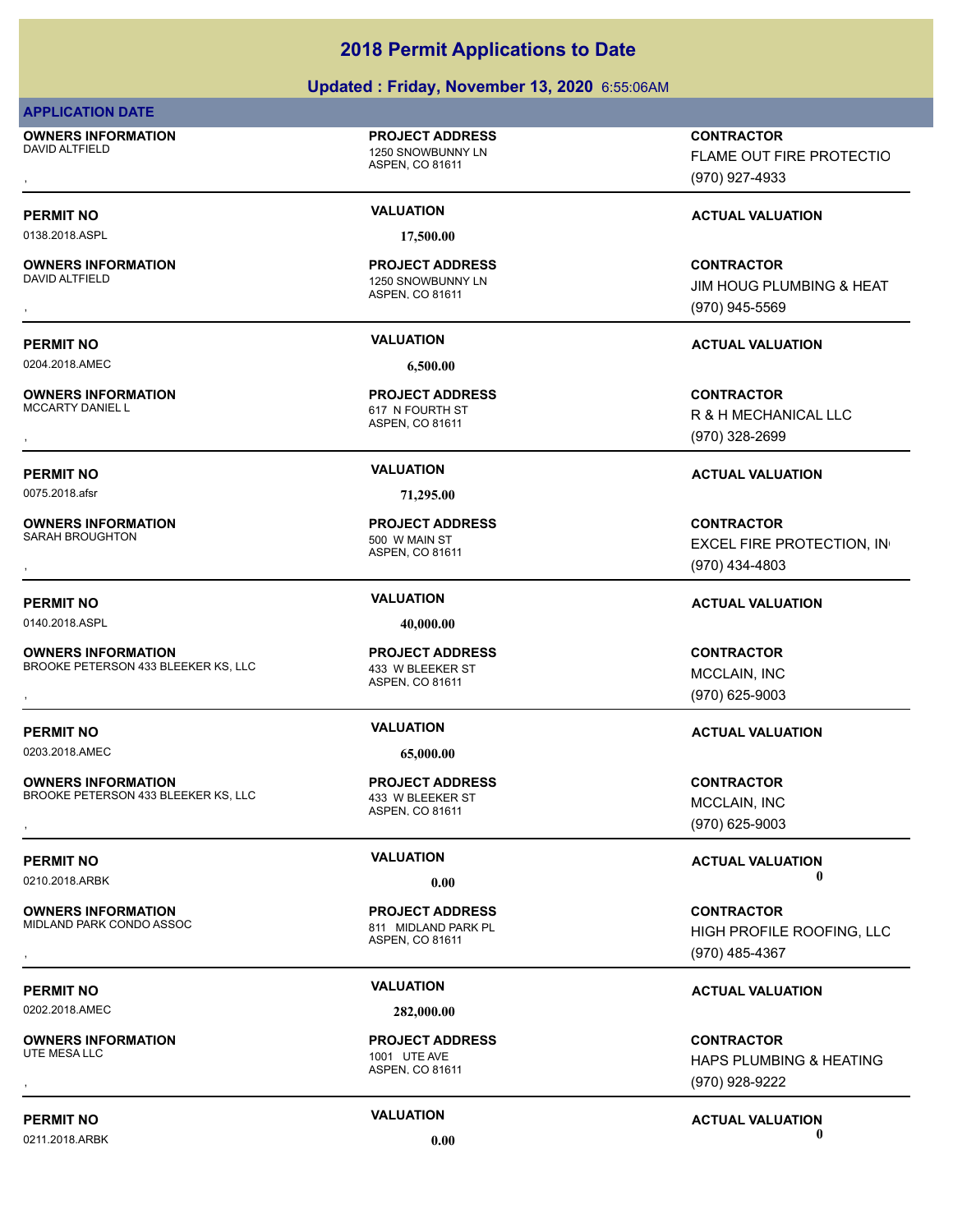### **Updated : Friday, November 13, 2020** 6:55:06AM

### **APPLICATION DATE**

**OWNERS INFORMATION** DAVID ALTFIELD 1250 SNOWBUNNY LN

### **PROJECT ADDRESS**

ASPEN, CO 81611

0138.2018.ASPL **17,500.00**

**OWNERS INFORMATION**

**OWNERS INFORMATION**<br>MCCARTY DANIEL L

**OWNERS INFORMATION** SARAH BROUGHTON 500 W MAIN ST

0140.2018.ASPL **40,000.00**

**OWNERS INFORMATION** BROOKE PETERSON 433 BLEEKER KS, LLC 433 W BLEEKER ST , **CONTRACTOR**

0203.2018.AMEC **65,000.00**

**OWNERS INFORMATION** BROOKE PETERSON 433 BLEEKER KS, LLC 433 W BLEEKER ST , **CONTRACTOR**

**OWNERS INFORMATION** MIDLAND PARK CONDO ASSOC 811 MIDLAND PARK PL

0202.2018.AMEC **282,000.00**

**OWNERS INFORMATION**

ASPEN, CO 81611 1250 SNOWBUNNY LN **PROJECT ADDRESS**

0204.2018.AMEC **6,500.00**

ASPEN, CO 81611 617 N FOURTH ST **PROJECT ADDRESS**

0075.2018.afsr **71,295.00**

ASPEN, CO 81611 **PROJECT ADDRESS**

ASPEN, CO 81611 **PROJECT ADDRESS**

ASPEN, CO 81611 **PROJECT ADDRESS**

ASPEN, CO 81611 **PROJECT ADDRESS**

ASPEN, CO 81611 1001 UTE AVE **PROJECT ADDRESS**

, **CONTRACTOR** FLAME OUT FIRE PROTECTIO (970) 927-4933

### **PERMIT NO VALUATION VALUATION VALUATION**

, **CONTRACTOR** JIM HOUG PLUMBING & HEAT (970) 945-5569

### **PERMIT NO VALUATION ACTUAL VALUATION**

**OWNERS INFORMATION PROJECT ADDRESS CONTRACTOR**<br>MCCARTY DANIEL L 617 N FOURTH ST R & H MECHANICAL LLC<br>, ASPEN. CO 81611 R & H MECHANICAL LLC (970) 328-2699

### **PERMIT NO VALUATION ACTUAL VALUATION**

, **CONTRACTOR** EXCEL FIRE PROTECTION, IN (970) 434-4803

### **PERMIT NO VALUATION ACTUAL VALUATION**

MCCLAIN, INC (970) 625-9003

### **PERMIT NO VALUATION ACTUAL VALUATION**

MCCLAIN, INC (970) 625-9003

**PERMIT NO VALUATION VALUATION VALUATION** 0210.2018.ARBK **0.00 0.00**

, **CONTRACTOR** HIGH PROFILE ROOFING, LLC (970) 485-4367

### **PERMIT NO VALUATION ACTUAL VALUATION**

, **CONTRACTOR** HAPS PLUMBING & HEATING (970) 928-9222

### **PERMIT NO VALUATION VALUATION VALUATION** 0211.2018.ARBK **0.00 0.00**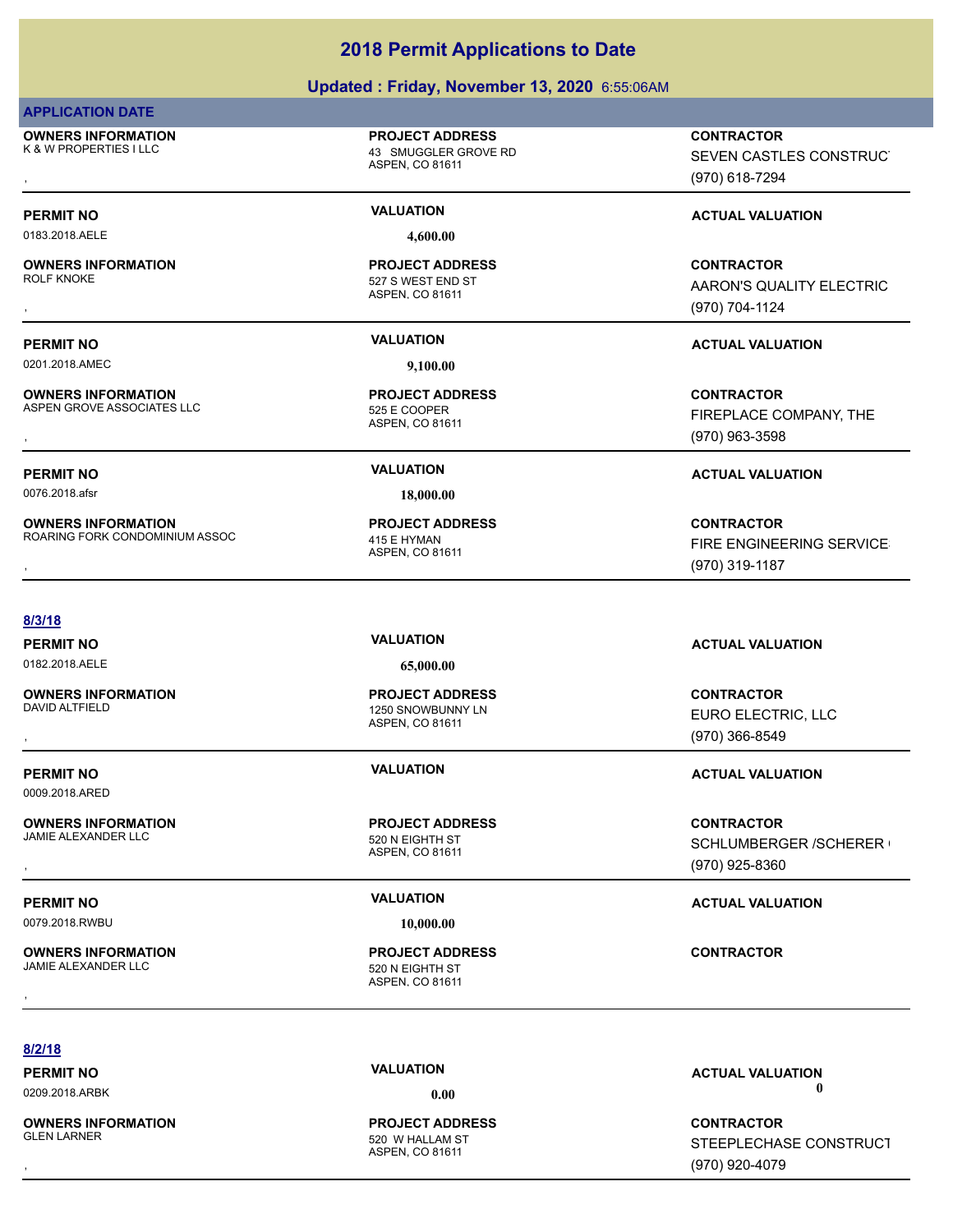### **Updated : Friday, November 13, 2020** 6:55:06AM

### **APPLICATION DATE**

**OWNERS INFORMATION** K & W PROPERTIES I LLC **AND A SET A CONSIDER GROVE RD** 

**PROJECT ADDRESS**

ASPEN, CO 81611

, **CONTRACTOR** SEVEN CASTLES CONSTRUCT (970) 618-7294

AARON'S QUALITY ELECTRIC

FIREPLACE COMPANY, THE

(970) 704-1124

(970) 963-3598

### **PERMIT NO VALUATION VALUATION VALUATION**

0183.2018.AELE **4,600.00**

**OWNERS INFORMATION** , **CONTRACTOR**

**PERMIT NO VALUATION ACTUAL VALUATION**

0201.2018.AMEC **9,100.00**

**OWNERS INFORMATION** ASPEN GROVE ASSOCIATES LLC<br>525 E COOPER **OWNERS INFORMATION LEarning Service CONTRACTOR REPORTS ASPEN GROW CONTRACTOR**<br>ASPEN GROVE ASSOCIATES LLC LEARNING SERVICE COOPER ASPEN, CO 81611<br>ASPEN, CO 81611 ASPEN, CO 81611 (970) 963-3598

ASPEN, CO 81611 **PROJECT ADDRESS**

ASPEN, CO 81611

527 S WEST END ST **PROJECT ADDRESS**

0076.2018.afsr **18,000.00**

ASPEN, CO 81611 ROARING FORK CONDOMINIUM ASSOC 415 E HYMAN **PROJECT ADDRESS**

**PERMIT NO VALUATION ACTUAL VALUATION**

**OWNERS INFORMATION MASSOC REGIST ADDRESS CONTRACTOR CONTRACTOR**<br>ROARING FORK CONDOMINIUM ASSOC ASPEN, CO 81611 ASPEN, CO 81611 Mass of the CONTROL MASPEN, CO 81611 Mass of the CONTROL MASS ASPEN, CO 81611 Mass of the CONT FIRE ENGINEERING SERVICE (970) 319-1187

**8/3/18**

0182.2018.AELE **65,000.00**

**OWNERS INFORMATION**

**OWNERS INFORMATION**

0009.2018.ARED

**OWNERS INFORMATION** JAMIE ALEXANDER LLC<br>520 N EIGHTH ST

**OWNERS INFORMATION** JAMIE ALEXANDER LLC 520 N EIGHTH ST

ASPEN, CO 81611 1250 SNOWBUNNY LN **PROJECT ADDRESS**

ASPEN, CO 81611

ASPEN, CO 81611 **PROJECT ADDRESS** , **CONTRACTOR**

**PERMIT NO VALUATION ACTUAL VALUATION**

, **CONTRACTOR** EURO ELECTRIC, LLC (970) 366-8549

### **PERMIT NO VALUATION ACTUAL VALUATION**

, **CONTRACTOR** SCHLUMBERGER /SCHERER ( (970) 925-8360

**8/2/18**

**OWNERS INFORMATION**

ASPEN, CO 81611 520 W HALLAM ST **PROJECT ADDRESS**

**PERMIT NO VALUATION ACTUAL VALUATION** 0209.2018.ARBK **0.00 0.00**

, **CONTRACTOR** STEEPLECHASE CONSTRUCT (970) 920-4079

# **PERMIT NO VALUATION ACTUAL VALUATION** 0079.2018.RWBU **10,000.00**

# **PROJECT ADDRESS**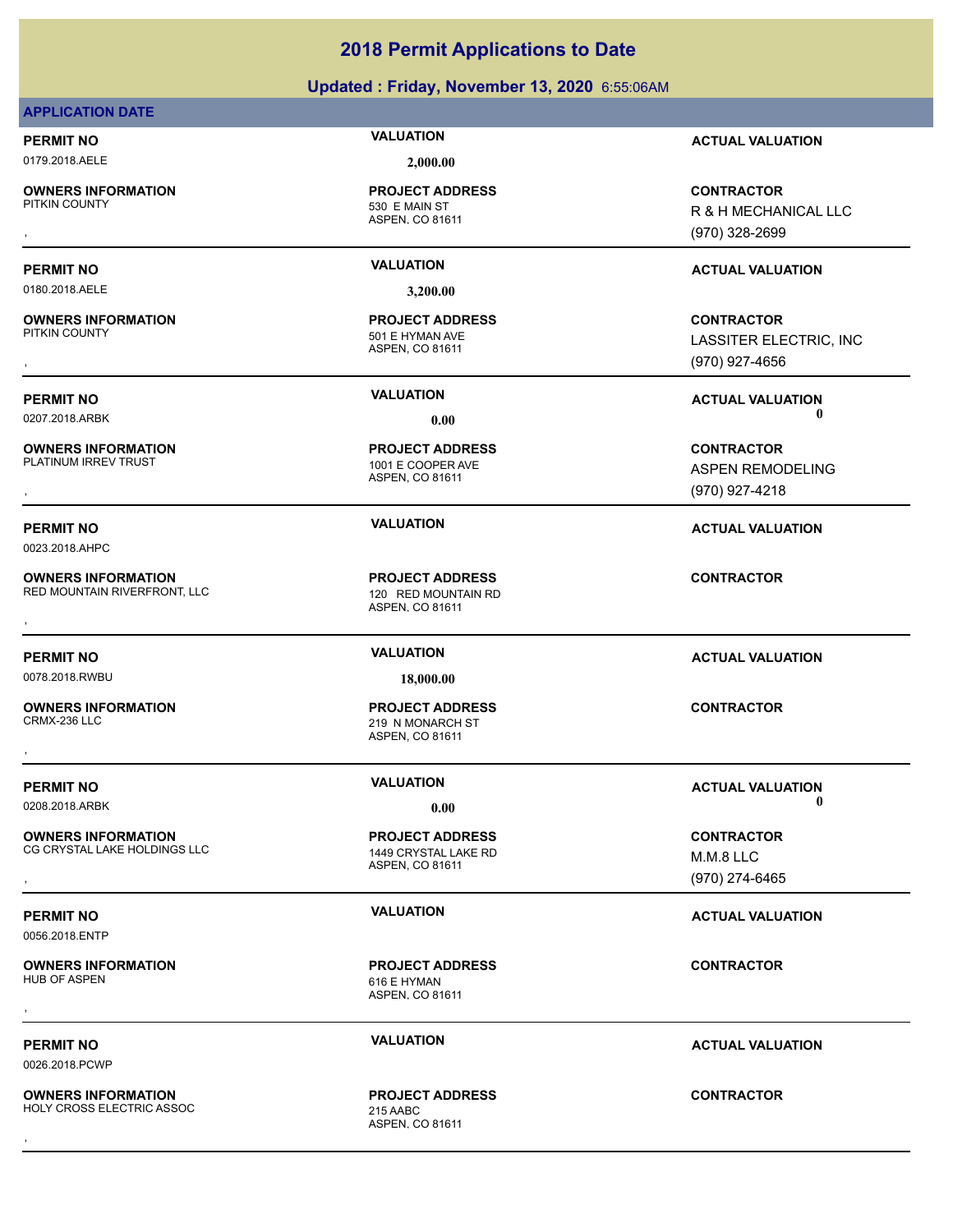### **Updated : Friday, November 13, 2020** 6:55:06AM

### **APPLICATION DATE**

0179.2018.AELE **2,000.00**

**OWNERS INFORMATION**

**PROJECT ADDRESS**

0180.2018.AELE **3,200.00**

**OWNERS INFORMATION**

**OWNERS INFORMATION**<br>PLATINUM IRREV TRUST

**PERMIT NO VALUATION ACTUAL VALUATION**

0023.2018.AHPC

**OWNERS INFORMATION** RED MOUNTAIN RIVERFRONT, LLC<br>
120 RED MOUNTAIN RD

0078.2018.RWBU **18,000.00**

**OWNERS INFORMATION** CRMX-236 LLC 219 N MONARCH ST

**OWNERS INFORMATION** CG CRYSTAL LAKE HOLDINGS LLC 1449 CRYSTAL LAKE RD

0056.2018.ENTP

0026.2018.PCWP

**OWNERS INFORMATION**

ASPEN, CO 81611 530 E MAIN ST

ASPEN, CO 81611 501 E HYMAN AVE **PROJECT ADDRESS**

ASPEN, CO 81611 1001 E COOPER AVE **PROJECT ADDRESS**

ASPEN, CO 81611 **PROJECT ADDRESS OWNERS INFORMATION FROJECT ADDRESS AREA CONTRACTOR**<br>RED MOUNTAIN RIVERFRONT, LLC ASPEN ON THE MOUNTAIN RD<br>ASPEN. CO 81611

ASPEN, CO 81611 **PROJECT ADDRESS** , **CONTRACTOR**

ASPEN, CO 81611 **PROJECT ADDRESS OWNERS INFORMATION METALLY SERVICE TO A PROJECT ADDRESS CONTRACTOR CONTRACTOR**<br>CG CRYSTAL LAKE HOLDINGS LLC A ASPEN, CO 81611 ASPEN, CO 81611 M.M.2 LLC A ASPEN, CO 81611 (970) 274-6465

ASPEN, CO 81611 616 E HYMAN **PROJECT ADDRESS** , **CONTRACTOR**

ASPEN, CO 81611 **PROJECT ADDRESS** , **CONTRACTOR**

**PERMIT NO VALUATION ACTUAL VALUATION**

, **CONTRACTOR** R & H MECHANICAL LLC (970) 328-2699

### **PERMIT NO VALUATION ACTUAL VALUATION**

, **CONTRACTOR** LASSITER ELECTRIC, INC (970) 927-4656

**PERMIT NO VALUATION ACTUAL VALUATION** 0207.2018.ARBK **0.00 0.00**

**OWNERS INFORMATION PROJECT ADDRESS CONTRACTOR**<br>PLATINUM IRREV TRUST 1001 E COOPER AVE ASPEN REMODELING<br>, ASPEN, CO 81611 ASPEN REMODELING (970) 927-4218

**PERMIT NO VALUATION ACTUAL VALUATION**

**PERMIT NO VALUATION VALUATION VALUATION** 0208.2018.ARBK **0.00 0.00**

> M.M.8 LLC (970) 274-6465

**PERMIT NO VALUATION VALUATION VALUATION** 

**PERMIT NO VALUATION ACTUAL VALUATION**

**OWNERS INFORMATION** HOLY CROSS ELECTRIC ASSOC 215 AABC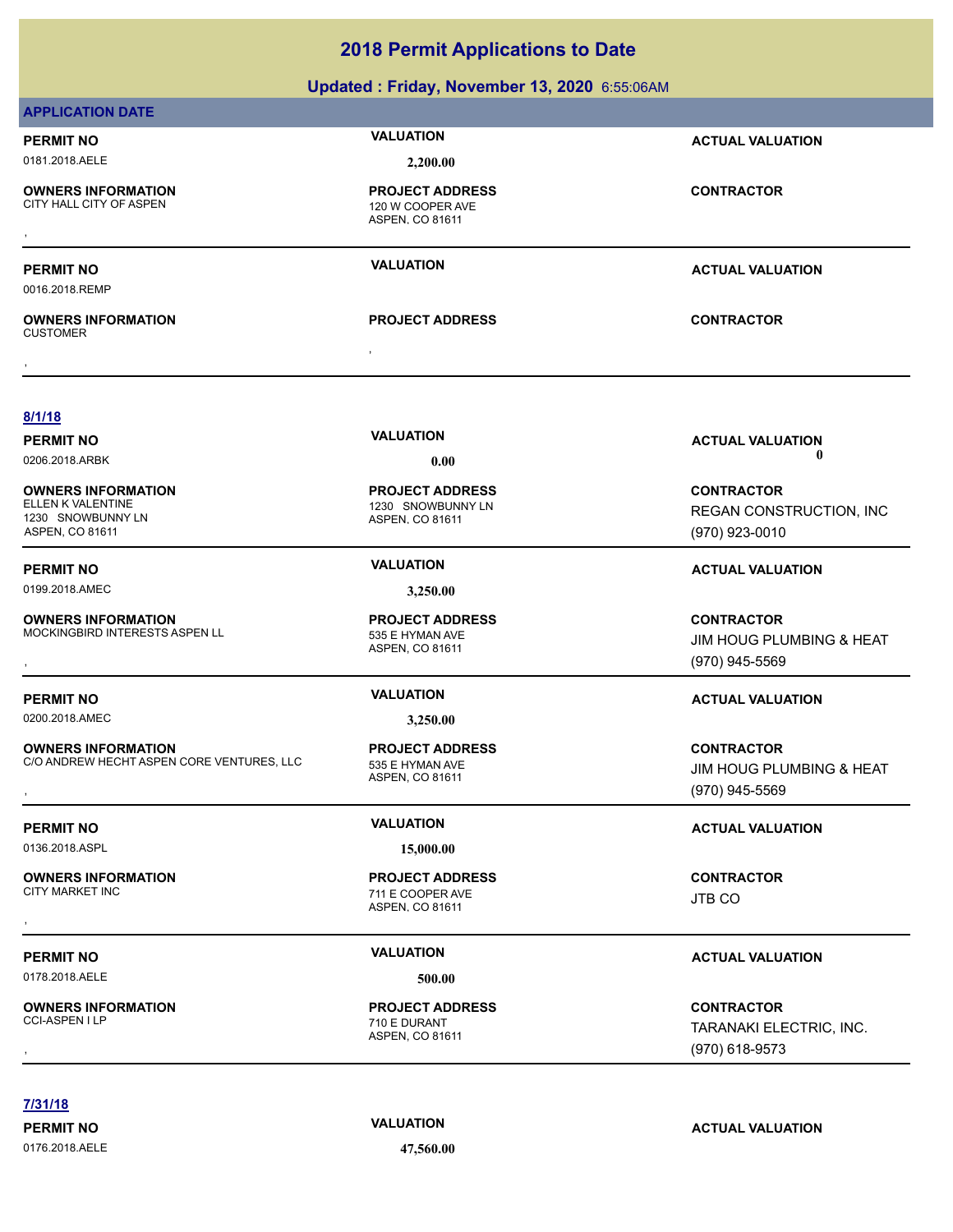|                                                                        | $\frac{1}{2}$ . $\frac{1}{2}$ . $\frac{1}{2}$ . $\frac{1}{2}$ . $\frac{1}{2}$ . $\frac{1}{2}$ . $\frac{1}{2}$ . $\frac{1}{2}$ . $\frac{1}{2}$ . $\frac{1}{2}$ . $\frac{1}{2}$ . $\frac{1}{2}$ . $\frac{1}{2}$ . $\frac{1}{2}$ . $\frac{1}{2}$ . $\frac{1}{2}$ . $\frac{1}{2}$ . $\frac{1}{2}$ . $\frac{1$ |                                                                 |  |  |
|------------------------------------------------------------------------|-----------------------------------------------------------------------------------------------------------------------------------------------------------------------------------------------------------------------------------------------------------------------------------------------------------|-----------------------------------------------------------------|--|--|
| Updated: Friday, November 13, 2020 6:55:06AM                           |                                                                                                                                                                                                                                                                                                           |                                                                 |  |  |
| <b>APPLICATION DATE</b>                                                |                                                                                                                                                                                                                                                                                                           |                                                                 |  |  |
| <b>PERMIT NO</b>                                                       | <b>VALUATION</b>                                                                                                                                                                                                                                                                                          | <b>ACTUAL VALUATION</b>                                         |  |  |
| 0181.2018.AELE                                                         | 2,200.00                                                                                                                                                                                                                                                                                                  |                                                                 |  |  |
| <b>OWNERS INFORMATION</b><br>CITY HALL CITY OF ASPEN                   | <b>PROJECT ADDRESS</b><br>120 W COOPER AVE<br>ASPEN, CO 81611                                                                                                                                                                                                                                             | <b>CONTRACTOR</b>                                               |  |  |
| <b>PERMIT NO</b><br>0016.2018.REMP                                     | <b>VALUATION</b>                                                                                                                                                                                                                                                                                          | <b>ACTUAL VALUATION</b>                                         |  |  |
| <b>OWNERS INFORMATION</b><br><b>CUSTOMER</b>                           | <b>PROJECT ADDRESS</b>                                                                                                                                                                                                                                                                                    | <b>CONTRACTOR</b>                                               |  |  |
|                                                                        |                                                                                                                                                                                                                                                                                                           |                                                                 |  |  |
| 8/1/18                                                                 | <b>VALUATION</b>                                                                                                                                                                                                                                                                                          |                                                                 |  |  |
| <b>PERMIT NO</b><br>0206.2018.ARBK                                     |                                                                                                                                                                                                                                                                                                           | <b>ACTUAL VALUATION</b><br>O                                    |  |  |
|                                                                        | 0.00                                                                                                                                                                                                                                                                                                      |                                                                 |  |  |
| <b>OWNERS INFORMATION</b><br>ELLEN K VALENTINE                         | <b>PROJECT ADDRESS</b><br>1230 SNOWBUNNY LN                                                                                                                                                                                                                                                               | <b>CONTRACTOR</b><br>REGAN CONSTRUCTION, INC                    |  |  |
| 1230 SNOWBUNNY LN<br>ASPEN, CO 81611                                   | ASPEN, CO 81611                                                                                                                                                                                                                                                                                           | (970) 923-0010                                                  |  |  |
| <b>PERMIT NO</b>                                                       | <b>VALUATION</b>                                                                                                                                                                                                                                                                                          | <b>ACTUAL VALUATION</b>                                         |  |  |
| 0199.2018.AMEC                                                         | 3,250.00                                                                                                                                                                                                                                                                                                  |                                                                 |  |  |
| <b>OWNERS INFORMATION</b><br>MOCKINGBIRD INTERESTS ASPEN LL            | <b>PROJECT ADDRESS</b><br>535 E HYMAN AVE<br>ASPEN, CO 81611                                                                                                                                                                                                                                              | <b>CONTRACTOR</b><br>JIM HOUG PLUMBING & HEAT<br>(970) 945-5569 |  |  |
| <b>PERMIT NO</b>                                                       | <b>VALUATION</b>                                                                                                                                                                                                                                                                                          | <b>ACTUAL VALUATION</b>                                         |  |  |
| 0200.2018.AMEC                                                         | 3,250.00                                                                                                                                                                                                                                                                                                  |                                                                 |  |  |
| <b>OWNERS INFORMATION</b><br>C/O ANDREW HECHT ASPEN CORE VENTURES, LLC | <b>PROJECT ADDRESS</b><br>535 E HYMAN AVE<br>ASPEN, CO 81611                                                                                                                                                                                                                                              | <b>CONTRACTOR</b><br>JIM HOUG PLUMBING & HEAT<br>(970) 945-5569 |  |  |
| <b>PERMIT NO</b>                                                       | <b>VALUATION</b>                                                                                                                                                                                                                                                                                          | <b>ACTUAL VALUATION</b>                                         |  |  |
| 0136.2018.ASPL                                                         | 15,000.00                                                                                                                                                                                                                                                                                                 |                                                                 |  |  |
| <b>OWNERS INFORMATION</b><br><b>CITY MARKET INC</b>                    | <b>PROJECT ADDRESS</b><br>711 E COOPER AVE<br>ASPEN, CO 81611                                                                                                                                                                                                                                             | <b>CONTRACTOR</b><br><b>JTB CO</b>                              |  |  |
| <b>PERMIT NO</b>                                                       | <b>VALUATION</b>                                                                                                                                                                                                                                                                                          | <b>ACTUAL VALUATION</b>                                         |  |  |
| 0178.2018.AELE                                                         | 500.00                                                                                                                                                                                                                                                                                                    |                                                                 |  |  |
| <b>OWNERS INFORMATION</b><br>CCI-ASPEN I LP                            | <b>PROJECT ADDRESS</b><br>710 E DURANT<br>ASPEN, CO 81611                                                                                                                                                                                                                                                 | <b>CONTRACTOR</b><br>TARANAKI ELECTRIC, INC.<br>(970) 618-9573  |  |  |

**7/31/18**

0176.2018.AELE **47,560.00**

# **PERMIT NO CONSUMITY ACTUAL VALUATION VALUATION ACTUAL VALUATION**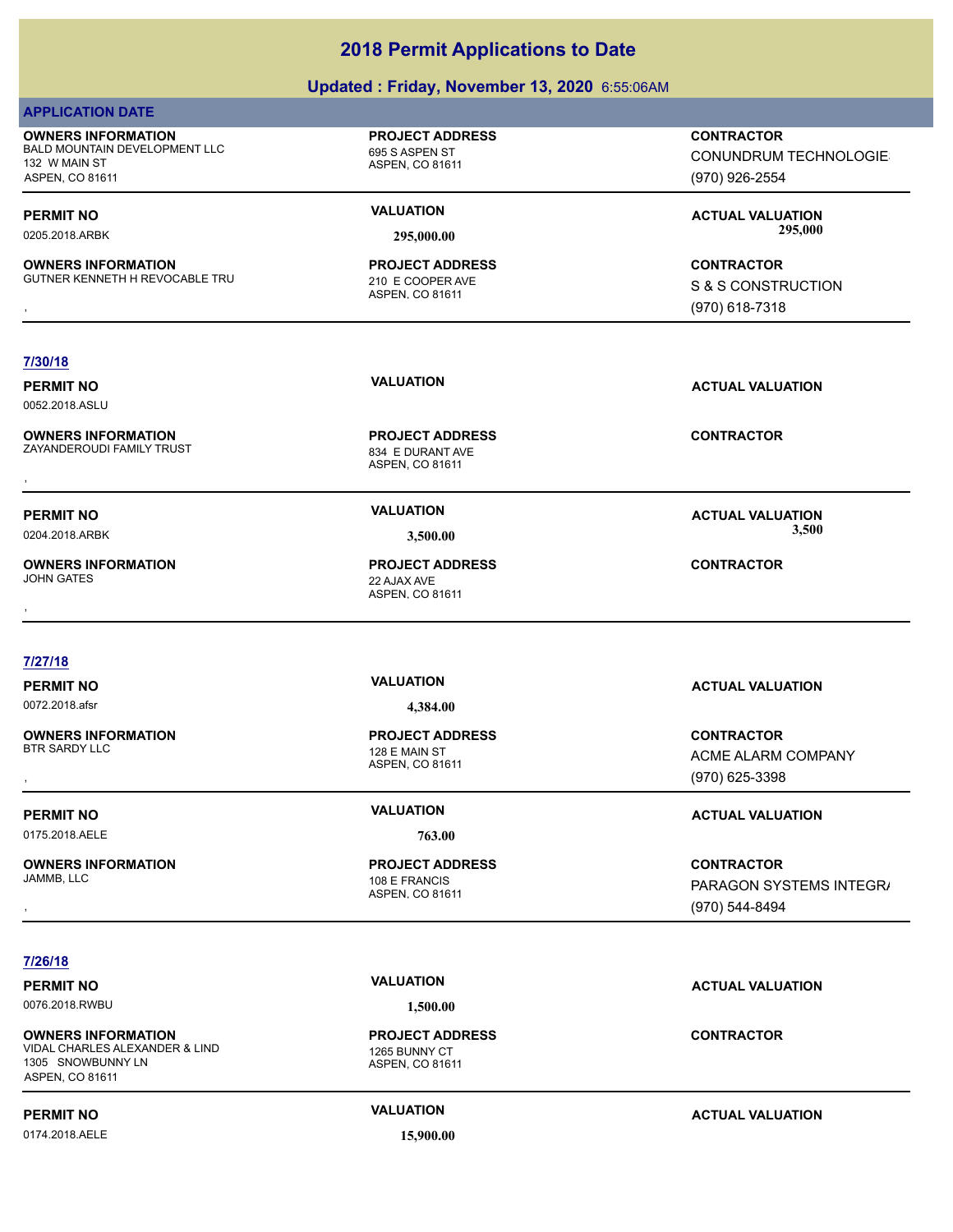| Updated: Friday, November 13, 2020 6:55:06AM                                                   |                                                               |                                                                     |
|------------------------------------------------------------------------------------------------|---------------------------------------------------------------|---------------------------------------------------------------------|
| <b>APPLICATION DATE</b>                                                                        |                                                               |                                                                     |
| <b>OWNERS INFORMATION</b><br>BALD MOUNTAIN DEVELOPMENT LLC<br>132 W MAIN ST<br>ASPEN, CO 81611 | <b>PROJECT ADDRESS</b><br>695 S ASPEN ST<br>ASPEN, CO 81611   | <b>CONTRACTOR</b><br><b>CONUNDRUM TECHNOLOGIE</b><br>(970) 926-2554 |
| <b>PERMIT NO</b><br>0205.2018.ARBK                                                             | <b>VALUATION</b><br>295,000.00                                | <b>ACTUAL VALUATION</b><br>295,000                                  |
| <b>OWNERS INFORMATION</b><br>GUTNER KENNETH H REVOCABLE TRU                                    | <b>PROJECT ADDRESS</b><br>210 E COOPER AVE<br>ASPEN, CO 81611 | <b>CONTRACTOR</b><br>S & S CONSTRUCTION<br>(970) 618-7318           |
| 7/30/18<br><b>PERMIT NO</b><br>0052.2018.ASLU                                                  | <b>VALUATION</b>                                              | <b>ACTUAL VALUATION</b>                                             |
| <b>OWNERS INFORMATION</b><br>ZAYANDEROUDI FAMILY TRUST                                         | <b>PROJECT ADDRESS</b><br>834 E DURANT AVE<br>ASPEN, CO 81611 | <b>CONTRACTOR</b>                                                   |
| <b>PERMIT NO</b><br>0204.2018.ARBK                                                             | <b>VALUATION</b><br>3,500.00                                  | <b>ACTUAL VALUATION</b><br>3,500                                    |
| <b>OWNERS INFORMATION</b><br><b>JOHN GATES</b>                                                 | <b>PROJECT ADDRESS</b><br>22 AJAX AVE<br>ASPEN, CO 81611      | <b>CONTRACTOR</b>                                                   |
|                                                                                                |                                                               |                                                                     |
| 7/27/18<br><b>PERMIT NO</b><br>0072.2018.afsr                                                  | <b>VALUATION</b><br>4,384.00                                  | <b>ACTUAL VALUATION</b>                                             |
| <b>OWNERS INFORMATION</b><br><b>BTR SARDY LLC</b>                                              | <b>PROJECT ADDRESS</b><br>128 E MAIN ST<br>ASPEN, CO 81611    | <b>CONTRACTOR</b><br>ACME ALARM COMPANY<br>(970) 625-3398           |
| <b>PERMIT NO</b>                                                                               | <b>VALUATION</b>                                              | <b>ACTUAL VALUATION</b>                                             |
| 0175.2018.AELE                                                                                 | 763.00                                                        |                                                                     |
| <b>OWNERS INFORMATION</b><br>JAMMB, LLC                                                        | <b>PROJECT ADDRESS</b><br>108 E FRANCIS<br>ASPEN, CO 81611    | <b>CONTRACTOR</b><br>PARAGON SYSTEMS INTEGR/<br>(970) 544-8494      |
| 7/26/18                                                                                        |                                                               |                                                                     |
| <b>PERMIT NO</b>                                                                               | <b>VALUATION</b>                                              | <b>ACTUAL VALUATION</b>                                             |
| 0076.2018.RWBU                                                                                 | 1,500.00                                                      |                                                                     |
|                                                                                                |                                                               |                                                                     |

**OWNERS INFORMATION** VIDAL CHARLES ALEXANDER & LIND 1265 BUNNY CT 1305 SNOWBUNNY LN ASPEN, CO 81611

0174.2018.AELE **15,900.00**

ASPEN, CO 81611

**PROJECT ADDRESS**

**PERMIT NO CONSUMPTER ACTUAL VALUATION VALUATION ACTUAL VALUATION** 

**CONTRACTOR**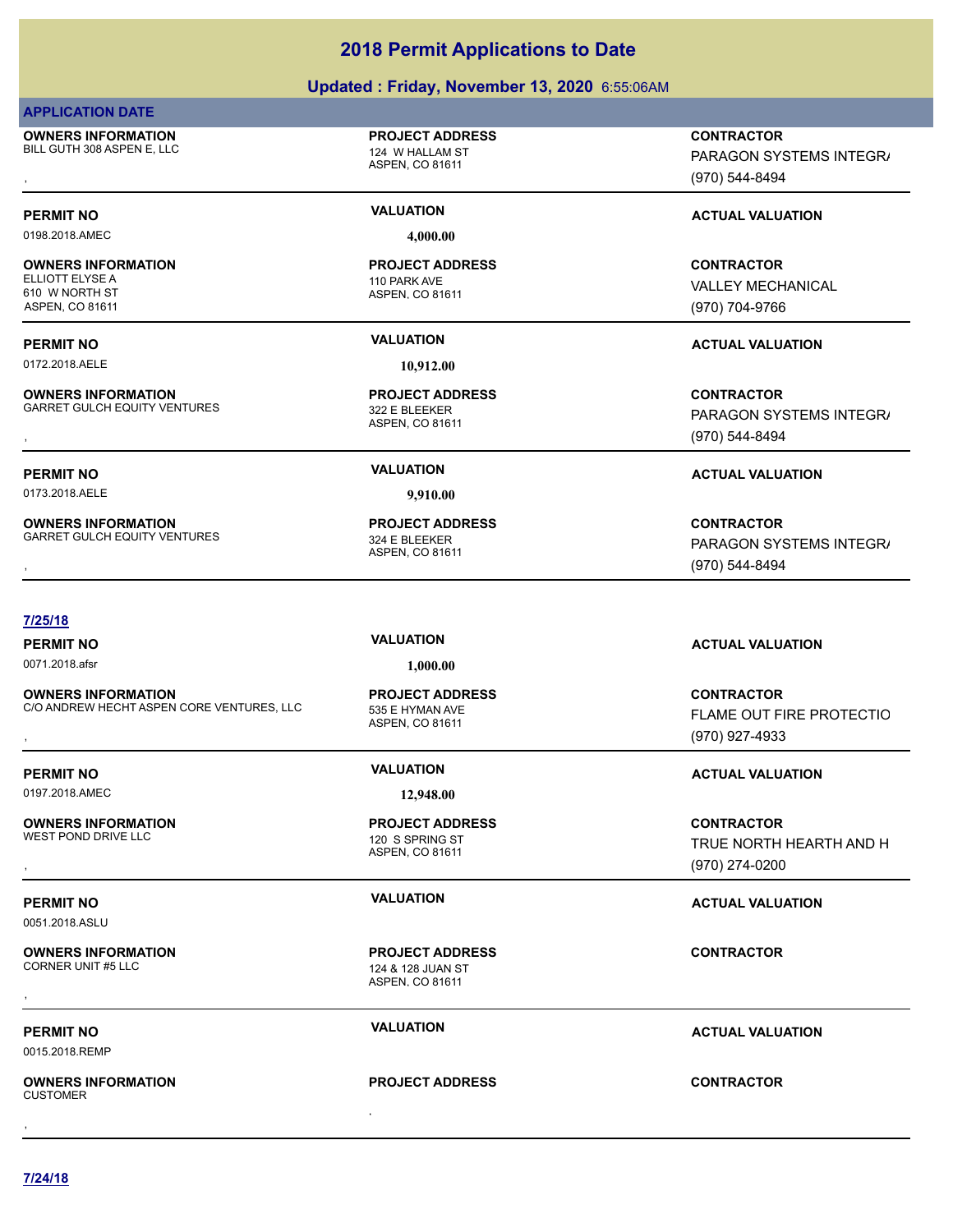**7/24/18**

# **2018 Permit Applications to Date**

# **Updated : Friday, November 13, 2020** 6:55:06AM

## **APPLICATION DATE**

**OWNERS INFORMATION** BILL GUTH 308 ASPEN E, LLC 124 W HALLAM ST

# **PROJECT ADDRESS**

ASPEN, CO 81611

0198.2018.AMEC **4,000.00**

**OWNERS INFORMATION** ELLIOTT ELYSE A 110 PARK AVE 610 W NORTH ST ASPEN, CO 81611

0172.2018.AELE **10,912.00**

**OWNERS INFORMATION** GARRET GULCH EQUITY VENTURES<br>322 E BLEEKER

**OWNERS INFORMATION**

ASPEN, CO 81611 **PROJECT ADDRESS**

ASPEN, CO 81611 **PROJECT ADDRESS**

0173.2018.AELE **9,910.00**

ASPEN, CO 81611 GARRET GULCH EQUITY VENTURES 324 E BLEEKER **PROJECT ADDRESS**

, **CONTRACTOR** PARAGON SYSTEMS INTEGR/ (970) 544-8494

# **PERMIT NO VALUATION VALUATION VALUATION**

**CONTRACTOR** VALLEY MECHANICAL (970) 704-9766

# **PERMIT NO VALUATION ACTUAL VALUATION**

**OWNERS INFORMATION METALLY SERVICE PROJECT ADDRESS ARE:**<br>GARRET GULCH EQUITY VENTURES THE SAME ASPEN, CO 81611 METAL METAL METAL METAL METAL METAL ASPEN, CO 81611 META<br>ASPEN, CO 81611 METAL METAL METAL (970) 544-8494, MET PARAGON SYSTEMS INTEGR/ (970) 544-8494

### **PERMIT NO VALUATION ACTUAL VALUATION**

**OWNERS INFORMATION METALLY CONTRACTOR SERVICES FOR A SERVICE OF PROJECT ADDRESS ARRET GULCH EQUITY VENTURES AN<br>GARRET GULCH EQUITY VENTURES ASPEN ASPEN, CO 81611 METAL METAL METAL METAL METAL ASPEN, CO 81611 METAL METAL M** PARAGON SYSTEMS INTEGR/ (970) 544-8494

### **7/25/18**

0071.2018.afsr **1,000.00**

**OWNERS INFORMATION** C/O ANDREW HECHT ASPEN CORE VENTURES, LLC 535 E HYMAN AVE

0197.2018.AMEC **12,948.00**

**OWNERS INFORMATION** WEST POND DRIVE LLC 120 S SPRING ST

0051.2018.ASLU

# **OWNERS INFORMATION**

0015.2018.REMP

, **OWNERS INFORMATION CUSTOMER** , **CONTRACTOR**

# ASPEN, CO 81611 **PROJECT ADDRESS**

# ASPEN, CO 81611 **PROJECT ADDRESS**

ASPEN, CO 81611 124 & 128 JUAN ST **PROJECT ADDRESS OWNERS INFORMATION CONTRACTOR**<br>CORNER UNIT #5 LLC<br>CORNER UNIT #5 LLC<br>,<br>,

### **PERMIT NO VALUATION ACTUAL VALUATION**

### **PROJECT ADDRESS**

# **PERMIT NO VALUATION ACTUAL VALUATION**

**OWNERS INFORMATION CORE VENTURES, LLC FROJECT ADDRESS FROM THE SECONTRACTOR**<br>C/O ANDREW HECHT ASPEN CORE VENTURES, LLC FOR STRING ASPEN. CO 81611<br>ASPEN. CO 81611 FINE 270) 927-4933 **FLAME OUT FIRE PROTECTIO** (970) 927-4933

### **PERMIT NO VALUATION ACTUAL VALUATION**

, **CONTRACTOR** TRUE NORTH HEARTH AND H (970) 274-0200

### **PERMIT NO VALUATION ACTUAL VALUATION**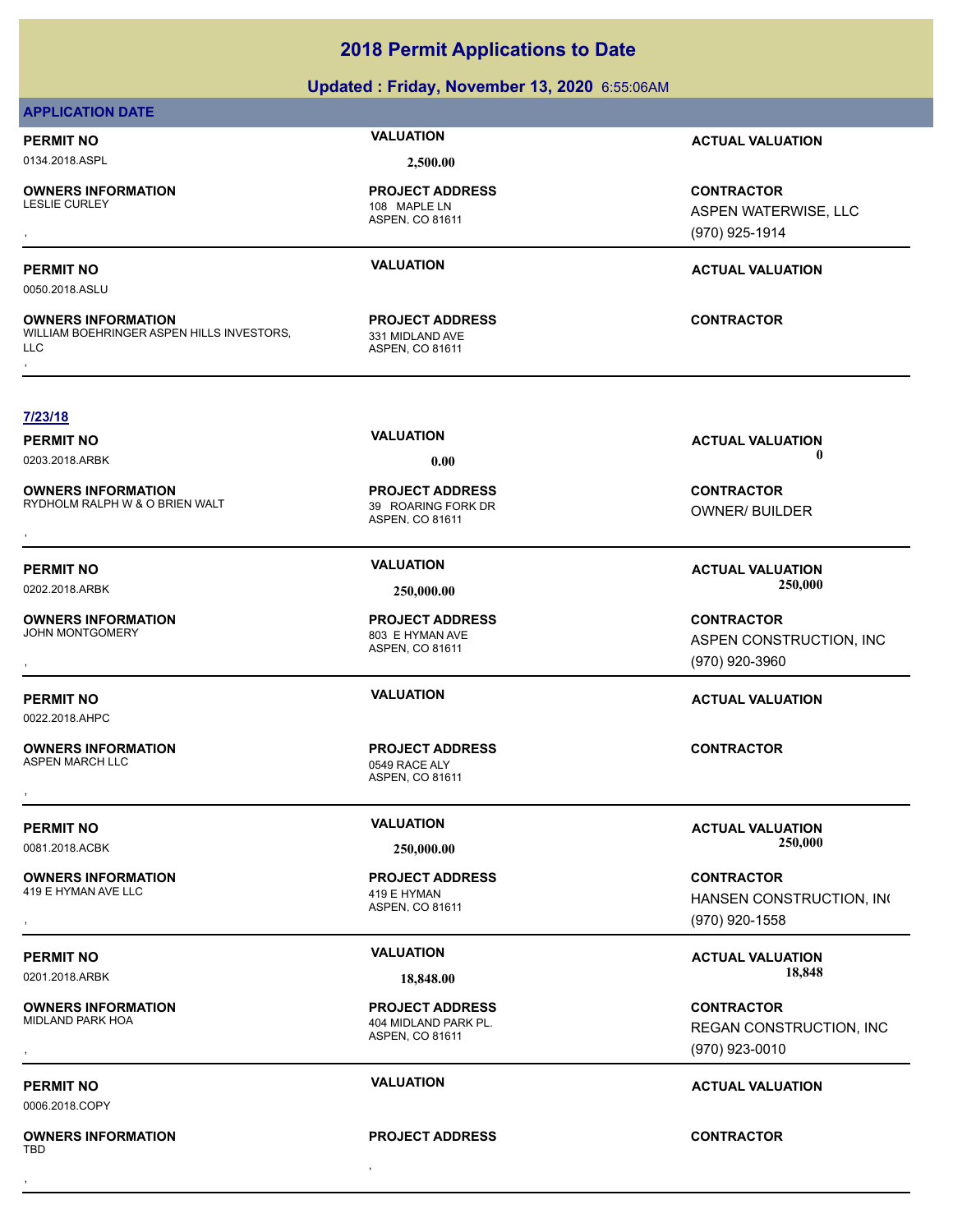### **Updated : Friday, November 13, 2020** 6:55:06AM

### **APPLICATION DATE**

0134.2018.ASPL **2,500.00**

**OWNERS INFORMATION**

**OWNERS INFORMATION**

ASPEN, CO 81611 108 MAPLE LN **PROJECT ADDRESS**

ASPEN, CO 81611 331 MIDLAND AVE **PROJECT ADDRESS**

**PERMIT NO VALUATION ACTUAL VALUATION**

**OWNERS INFORMATION PROJECT ADDRESS CONTRACTOR**<br>LESLIE CURLEY 108 MAPLE LN ASPEN WATERWISE, LLC<br>, ASPEN, CO 81611 (9 ASPEN WATERWISE, LLC (970) 925-1914

### **PERMIT NO VALUATION ACTUAL VALUATION**

0050.2018.ASLU

**7/23/18**

**OWNERS INFORMATION** WILLIAM BOEHRINGER ASPEN HILLS INVESTORS,<br>LLC **OWNERS INFORMATION METALLY SERVICE PROJECT ADDRESS ARE:**<br>WILLIAM BOEHRINGER ASPEN HILLS INVESTORS, A MIDLAND AVE ASPEN. CO 81611<br>LLC<br>,

ASPEN, CO 81611 RYDHOLM RALPH W & O BRIEN WALT 39 ROARING FORK DR **PROJECT ADDRESS**

ASPEN, CO 81611 404 MIDLAND PARK PL. **PROJECT ADDRESS**

**PROJECT ADDRESS**

**PERMIT NO CONSUMITY OF A CONSUMITY OF A CONSUMITY OF A CONSUMITY OF A CTUAL VALUATION** 0203.2018.ARBK **0.00 0.00**

OWNER/ BUILDER

ASPEN CONSTRUCTION, INC (970) 920-3960

HANSEN CONSTRUCTION, INC (970) 920-1558

0201.2018.ARBK **18,848.00 18,848.00**

, **CONTRACTOR** REGAN CONSTRUCTION, INC (970) 923-0010

## **PERMIT NO VALUATION ACTUAL VALUATION**

**OWNERS INFORMATION MALL THE ROJECT ADDRESS ARE:** CONTRACTOR CONTRACTOR<br>RYDHOLM RALPH W & O BRIEN WALT 45PEN, CO 81611 ASPEN, CO 81611 ASPEN, CO 81611 **PERMIT NO VALUATION ACTUAL VALUATION** 0202.2018.ARBK **250,000.00 250,000.00** ASPEN, CO 81611 **OWNERS INFORMATION**<br>JOHN MONTGOMERY 803 E HYMAN AVE **PROJECT ADDRESS** , **CONTRACTOR PERMIT NO VALUATION ACTUAL VALUATION** 0022.2018.AHPC ASPEN, CO 81611 **OWNERS INFORMATION** 0549 RACE ALY **PROJECT ADDRESS** , **CONTRACTOR PERMIT NO VALUATION ACTUAL VALUATION** 0081.2018.ACBK **250,000.00 250,000.00** ASPEN, CO 81611 **OWNERS INFORMATION** 419 E HYMAN AVE LLC 419 E HYMAN **PROJECT ADDRESS** , **CONTRACTOR PERMIT NO VALUATION ACTUAL VALUATION**

**OWNERS INFORMATION**

0006.2018.COPY

, **OWNERS INFORMATION** TBD , **CONTRACTOR**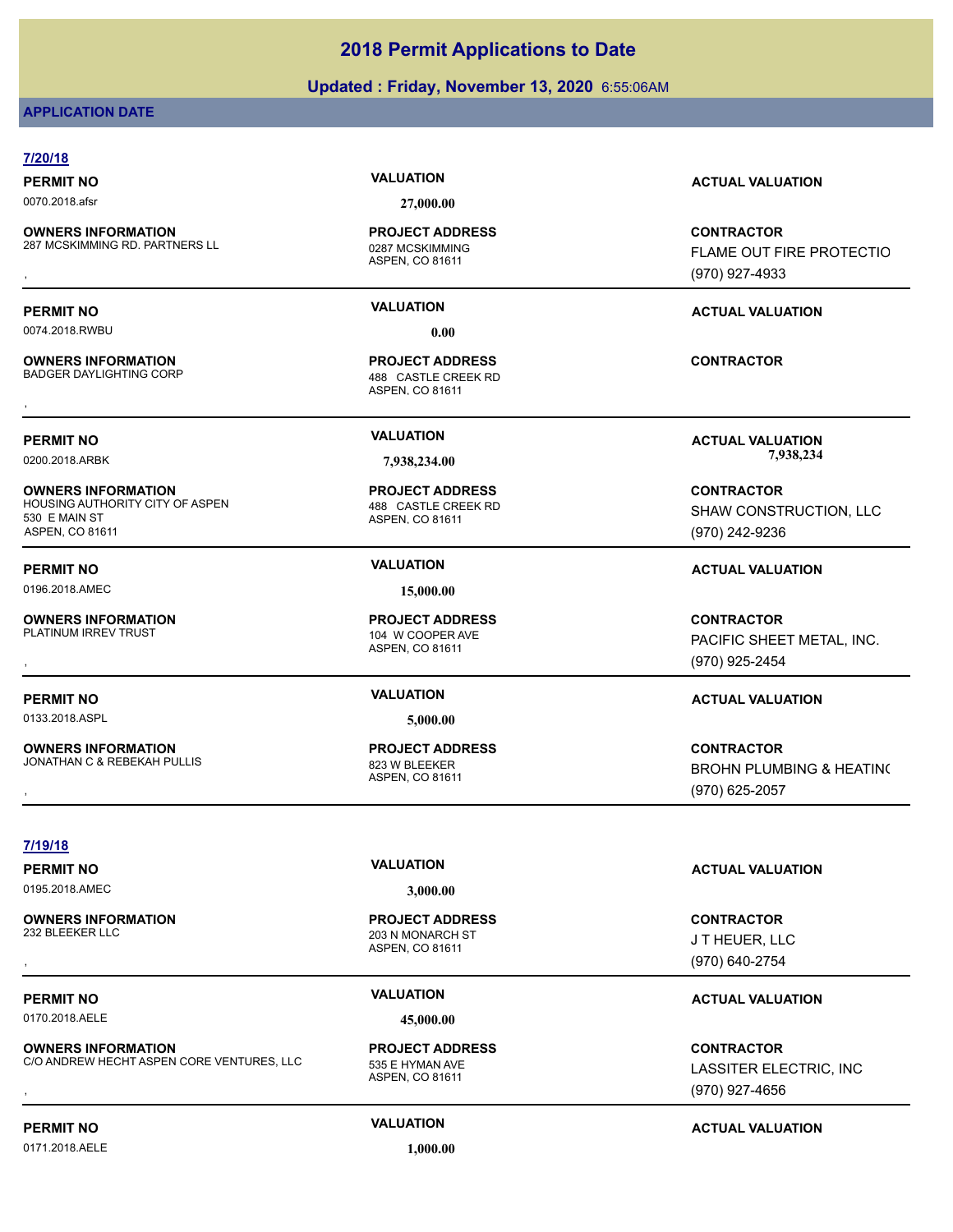### **Updated : Friday, November 13, 2020** 6:55:06AM

### **APPLICATION DATE**

### **7/20/18**

0070.2018.afsr **27,000.00**

**OWNERS INFORMATION** 287 MCSKIMMING RD. PARTNERS LL<br>0287 MCSKIMMING

0074.2018.RWBU **0.00**

**OWNERS INFORMATION**

**OWNERS INFORMATION** HOUSING AUTHORITY CITY OF ASPEN 488 CASTLE CREEK RD 530 E MAIN ST ASPEN, CO 81611

0196.2018.AMEC **15,000.00**

**OWNERS INFORMATION**<br>PLATINUM IRREV TRUST

0133.2018.ASPL **5,000.00**

**OWNERS INFORMATION** JONATHAN C & REBEKAH PULLIS 823 W BLEEKER

ASPEN, CO 81611 **PROJECT ADDRESS**

ASPEN, CO 81611 488 CASTLE CREEK RD **PROJECT ADDRESS OWNERS INFORMATION GOVERNED BY A SERVICE PROJECT ADDRESS ARE:**<br>BADGER DAYLIGHTING CORP **CORP A SERVICE AS A SPEN. CO 81611**<br>,

ASPEN, CO 81611 **PROJECT ADDRESS**

ASPEN, CO 81611 104 W COOPER AVE **PROJECT ADDRESS**

ASPEN, CO 81611 **PROJECT ADDRESS**

### **PERMIT NO VALUATION ACTUAL VALUATION**

**OWNERS INFORMATION EXAMPLE ASS ARE DESCRIPS TO A PROJECT ADDRESS ARE SERVICES CONTRACTOR CONTROUT FIRE PROTECTIO<br>287 MCSKIMMING RD. PARTNERS LL EXAMPLE ASSAN ASPEN, CO 81611<br>, Example a Control of the Assan Assam and Aspe** FLAME OUT FIRE PROTECTIO (970) 927-4933

**PERMIT NO VALUATION ACTUAL VALUATION**

**PERMIT NO VALUATION ACTUAL VALUATION** 0200.2018.ARBK **7,938,234.00 7,938,234.00**

> **CONTRACTOR** SHAW CONSTRUCTION, LLC (970) 242-9236

# **PERMIT NO VALUATION ACTUAL VALUATION**

**OWNERS INFORMATION PROJECT ADDRESS CONTRACTOR**<br>PLATINUM IRREV TRUST 104 W COOPER AVE PACIFIC SHEET METAL, INC.<br>, ASPEN. CO 81611 PACIFIC SHEET METAL, INC. (970) 925-2454

### **PERMIT NO VALUATION ACTUAL VALUATION**

, **CONTRACTOR** BROHN PLUMBING & HEATING (970) 625-2057

**7/19/18**

0195.2018.AMEC **3,000.00**

**OWNERS INFORMATION**

0170.2018.AELE **45,000.00**

**OWNERS INFORMATION** C/O ANDREW HECHT ASPEN CORE VENTURES, LLC 535 E HYMAN AVE

ASPEN, CO 81611 203 N MONARCH ST **PROJECT ADDRESS** , **CONTRACTOR**

ASPEN, CO 81611 **PROJECT ADDRESS**

# **PERMIT NO VALUATION VALUATION VALUATION**

J T HEUER, LLC (970) 640-2754

## **PERMIT NO VALUATION VALUATION VALUATION**

**OWNERS INFORMATION CORE VENTURES, LLC FROJECT ADDRESS FROM THE CONTRACTOR**<br>C/O ANDREW HECHT ASPEN CORE VENTURES, LLC FROM THE HYMAN AVE FROM THE MASSITER ELECTRIC, INC<br>ASPEN. CO 81611 FROM THE MASSITER ELECTRIC, INC.<br>GTO) LASSITER ELECTRIC, INC (970) 927-4656

# **PERMIT NO CONSUMITY OF A CONSUMITY OF A CONSUMITY OF A CONSUMITY OF A CTUAL VALUATION**

0171.2018.AELE **1,000.00**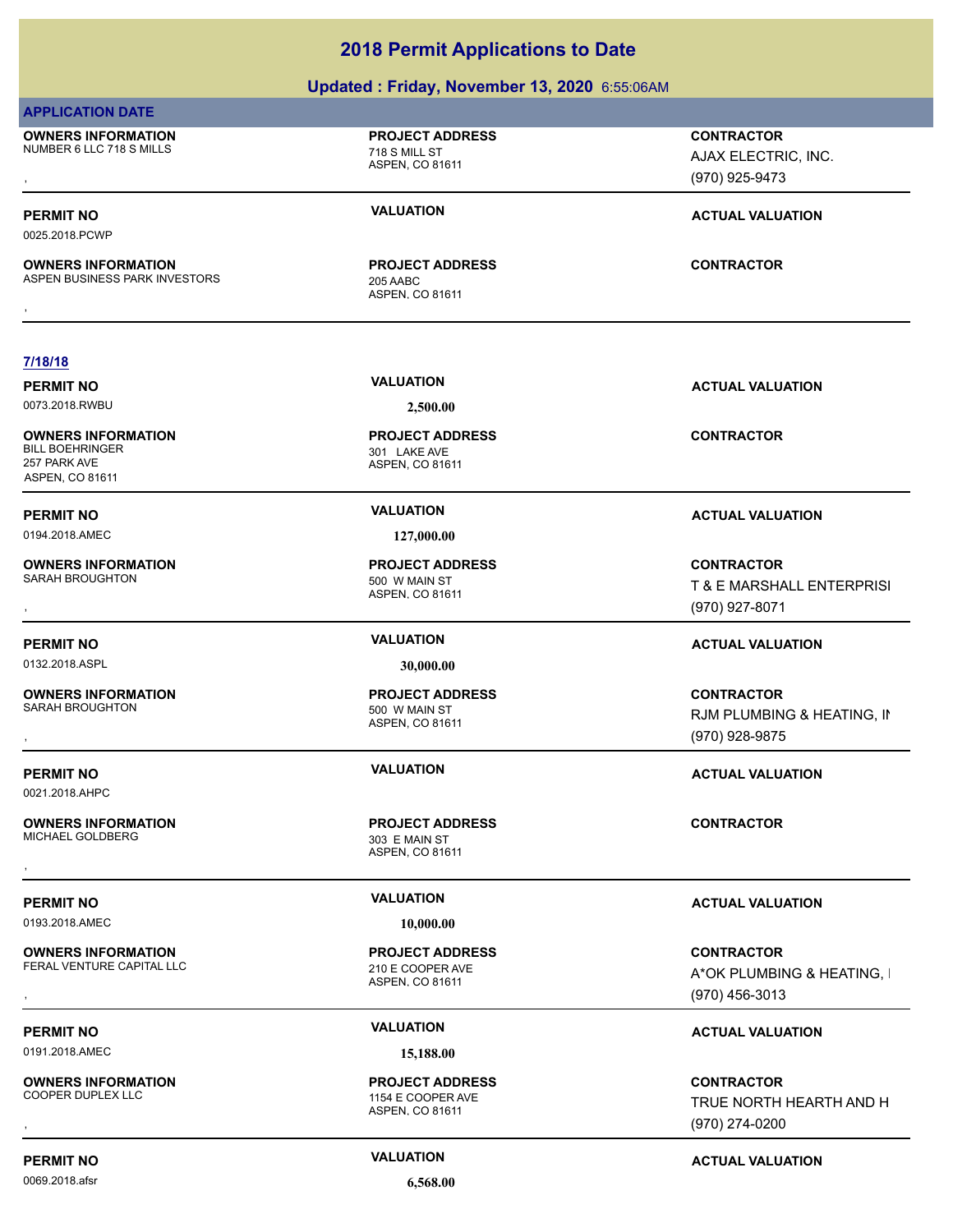### **Updated : Friday, November 13, 2020** 6:55:06AM

### **APPLICATION DATE**

**OWNERS INFORMATION** NUMBER 6 LLC 718 S MILLS 718 S MILL ST

**OWNERS INFORMATION**

ASPEN, CO 81611

**PROJECT ADDRESS**

ASPEN, CO 81611 ASPEN BUSINESS PARK INVESTORS 205 AABC **PROJECT ADDRESS OWNERS INFORMATION CONTRACTOR REGIST OF PROJECT ADDRESS CONTRACTOR CONTRACTOR**<br>ASPEN BUSINESS PARK INVESTORS 205 AABC<br>,

, **CONTRACTOR** AJAX ELECTRIC, INC. (970) 925-9473

## **PERMIT NO VALUATION VALUATION VALUATION**

**7/18/18**

**PERMIT NO VALUATION VALUATION VALUATION** 0073.2018.RWBU **2,500.00**

0025.2018.PCWP

**OWNERS INFORMATION** BILL BOEHRINGER 301 LAKE AVE 257 PARK AVE ASPEN, CO 81611

**OWNERS INFORMATION**

0132.2018.ASPL **30,000.00**

**OWNERS INFORMATION**

0021.2018.AHPC

**OWNERS INFORMATION** MICHAEL GOLDBERG 303 E MAIN ST

0193.2018.AMEC **10,000.00**

**OWNERS INFORMATION** FERAL VENTURE CAPITAL LLC 210 E COOPER AVE

0191.2018.AMEC **15,188.00**

**OWNERS INFORMATION**

0069.2018.afsr **6,568.00**

ASPEN, CO 81611 **PROJECT ADDRESS**

0194.2018.AMEC **127,000.00**

ASPEN, CO 81611 SARAH BROUGHTON 500 W MAIN ST **PROJECT ADDRESS**

ASPEN, CO 81611 500 W MAIN ST **PROJECT ADDRESS**

ASPEN, CO 81611

ASPEN, CO 81611 **PROJECT ADDRESS**

ASPEN, CO 81611 1154 E COOPER AVE **PROJECT ADDRESS** **CONTRACTOR**

**PERMIT NO VALUATION ACTUAL VALUATION**

**OWNERS INFORMATION PROJECT ADDRESS CONTRACTOR**<br>SARAH BROUGHTON 500\_W MAIN ST T\_& E\_MARSHALL ENTERPRISI<br>, ASPEN, CO 81611 T & E MARSHALL ENTERPRISI (970) 927-8071

### **PERMIT NO VALUATION ACTUAL VALUATION**

, **CONTRACTOR** RJM PLUMBING & HEATING, IN (970) 928-9875

### **PERMIT NO VALUATION ACTUAL VALUATION**

, **CONTRACTOR** A\*OK PLUMBING & HEATING, I (970) 456-3013

# **PERMIT NO CONSUMITY OF A CONSUMITY OF A CONSUMITY OF A CONSUMITY OF A CTUAL VALUATION**

**OWNERS INFORMATION PROJECT ADDRESS CONTRACTOR**<br>COOPER DUPLEX LLC 1154 E COOPER AVE TRUE NORTH HEARTH AND H<br>, ASPEN. CO 81611 TRUE NORTH HEARTH AND H (970) 274-0200

**PERMIT NO CONSUMITY ACTUAL VALUATION VALUATION VALUATION** 

**PERMIT NO VALUATION ACTUAL VALUATION PROJECT ADDRESS** , **CONTRACTOR**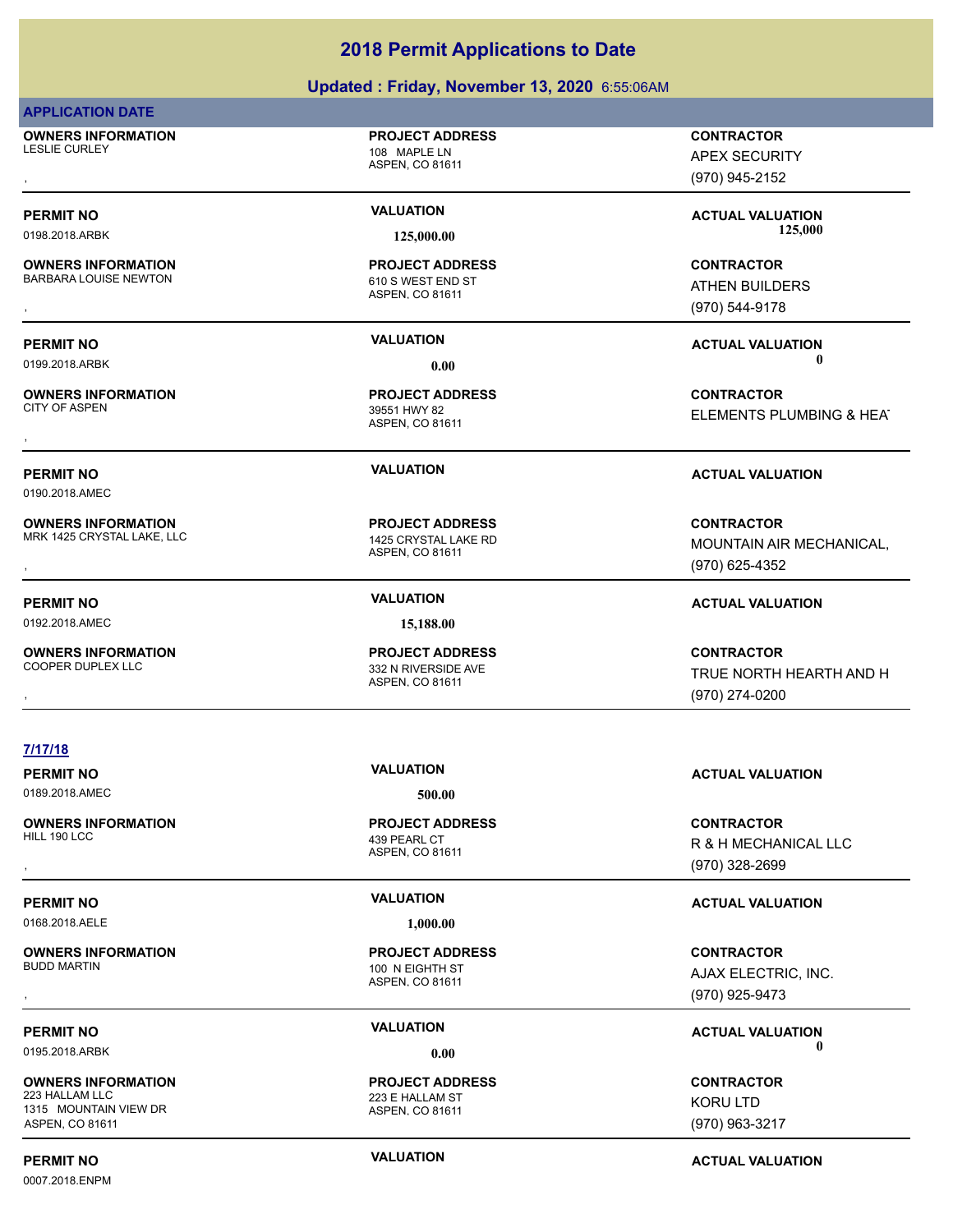### **Updated : Friday, November 13, 2020** 6:55:06AM

### **APPLICATION DATE**

**OWNERS INFORMATION** LESLIE CURLEY 108 MAPLE LN

ASPEN, CO 81611

**PROJECT ADDRESS**

**OWNERS INFORMATION** BARBARA LOUISE NEWTON 610 S WEST END ST

**OWNERS INFORMATION**

0190.2018.AMEC

**OWNERS INFORMATION** MRK 1425 CRYSTAL LAKE, LLC<br>1425 CRYSTAL LAKE RD

**7/17/18**

0192.2018.AMEC **15,188.00**

**OWNERS INFORMATION**

**OWNERS INFORMATION**

**OWNERS INFORMATION**

**OWNERS INFORMATION**

1315 MOUNTAIN VIEW DR ASPEN, CO 81611

ASPEN, CO 81611 **PROJECT ADDRESS**

ASPEN, CO 81611 39551 HWY 82 **PROJECT ADDRESS**

ASPEN, CO 81611 **PROJECT ADDRESS**

ASPEN, CO 81611 332 N RIVERSIDE AVE **PROJECT ADDRESS**

, **CONTRACTOR** APEX SECURITY (970) 945-2152

PERMIT NO **SALUATION VALUATION VALUATION ACTUAL VALUATION ACTUAL VALUATION** 0198.2018.ARBK **125,000.00 125,000.00**

, **CONTRACTOR** ATHEN BUILDERS (970) 544-9178

**PERMIT NO VALUATION ACTUAL VALUATION** 0199.2018.ARBK  $\hspace{1.6cm} 0.00$ 

, **CONTRACTOR ELEMENTS PLUMBING & HEAT** 

### **PERMIT NO VALUATION ACTUAL VALUATION**

**OWNERS INFORMATION PROJECT ADDRESS CONTRACTOR**<br>MRK 1425 CRYSTAL LAKE, LLC 1425 CRYSTAL LAKE RD MOUNTAIN AIR MECHANICAL,<br>, ASPEN, CO 81611 MOUNTAIN AIR MECHANICAL, (970) 625-4352

### **PERMIT NO VALUATION ACTUAL VALUATION**

**OWNERS INFORMATION PROJECT ADDRESS CONTRACTOR**<br>COOPER DUPLEX LLC 332 N RIVERSIDE AVE TRUE NORTH HEARTH AND H<br>, ASPEN. CO 81611 TRUE NORTH HEARTH AND H (970) 274-0200

### **PERMIT NO VALUATION ACTUAL VALUATION**

, **CONTRACTOR** R & H MECHANICAL LLC (970) 328-2699

### **PERMIT NO VALUATION ACTUAL VALUATION**

, **CONTRACTOR** AJAX ELECTRIC, INC. (970) 925-9473

**PERMIT NO CONSUMITY OF A CONSUMITY OF A CONSUMITY OF A CONSUMITY OF A CTUAL VALUATION** 0195.2018.ARBK  $\hspace{1.6cm} 0.00$ 

> **CONTRACTOR** KORU LTD (970) 963-3217

0007.2018.ENPM

**PERMIT NO CONSUMITY ACTUAL VALUATION VALUATION VALUATION** 

ASPEN, CO 81611 **PROJECT ADDRESS**

0168.2018.AELE **1,000.00**

ASPEN, CO 81611 223 E HALLAM ST

439 PEARL CT

0189.2018.AMEC 500.00

ASPEN, CO 81611 100 N EIGHTH ST **PROJECT ADDRESS**

**PROJECT ADDRESS**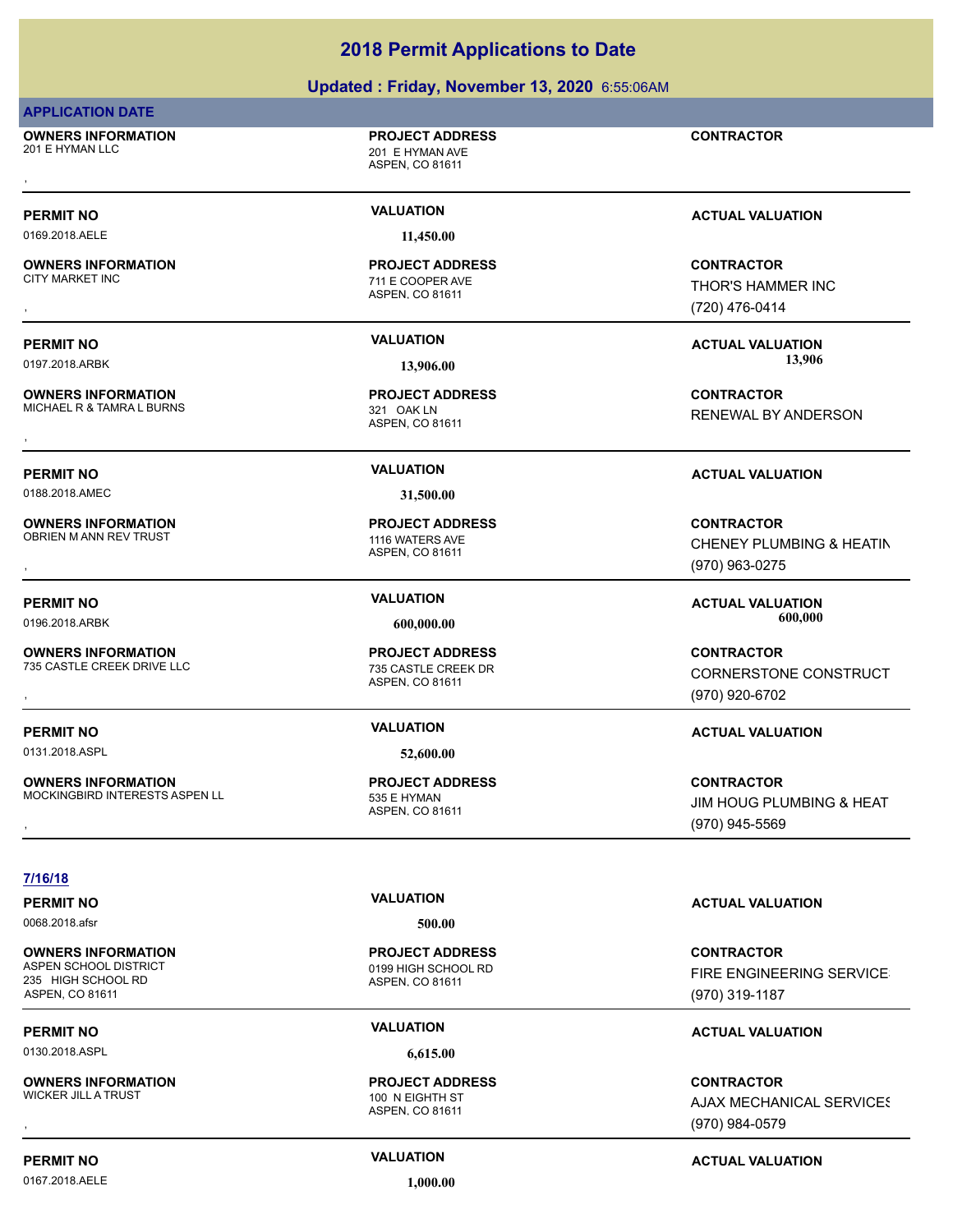### **Updated : Friday, November 13, 2020** 6:55:06AM

### **APPLICATION DATE**

**OWNERS INFORMATION** 201 E HYMAN LLC 201 E HYMAN AVE , **CONTRACTOR**

**PROJECT ADDRESS**

ASPEN, CO 81611

ASPEN, CO 81611

711 E COOPER AVE **PROJECT ADDRESS**

0169.2018.AELE **11,450.00**

**OWNERS INFORMATION**

**OWNERS INFORMATION** MICHAEL R & TAMRA L BURNS 321 OAK LN

**OWNERS INFORMATION**

**OWNERS INFORMATION**

**OWNERS INFORMATION**

**PROJECT ADDRESS**

ASPEN, CO 81611

0188.2018.AMEC **31,500.00**

ASPEN, CO 81611 OBRIEN M ANN REV TRUST **1116 WATERS AVE PROJECT ADDRESS**

ASPEN, CO 81611 735 CASTLE CREEK DRIVE LLC 735 CASTLE CREEK DR **PROJECT ADDRESS**

0131.2018.ASPL **52,600.00**

ASPEN, CO 81611 MOCKINGBIRD INTERESTS ASPEN LL 535 E HYMAN **PROJECT ADDRESS**

**PERMIT NO VALUATION VALUATION VALUATION** 

, **CONTRACTOR** THOR'S HAMMER INC (720) 476-0414

**PERMIT NO VALUATION ACTUAL VALUATION** 0197.2018.ARBK **13,906.00 13,906.00**

**OWNERS INFORMATION GOVERNED BY A SERVICE PROJECT ADDRESS ARE SOUT A CONTRACTOR CONTRACTOR**<br>MICHAEL R & TAMRA L BURNS<br>, ASPEN, CO 81611<br>, RENEWAL BY ANDERSON

### **PERMIT NO VALUATION ACTUAL VALUATION**

**OWNERS INFORMATION PROJECT ADDRESS CONTRACTOR**<br>OBRIEN M ANN REV TRUST 1116 WATERS AVE CHENEY PLUMBING & HEATIN<br>, ASPEN, CO 81611 CHENEY PLUMBING & HEATIN (970) 963-0275

**PERMIT NO VALUATION ACTUAL VALUATION** 0196.2018.ARBK **600,000.00 600,000.00**

**OWNERS INFORMATION GOVERNED BY A SERVICE PROJECT ADDRESS ARE:**<br>T35 CASTLE CREEK DRIVE LLC FOR THE STATE CREEK DR<br>ASPEN. CO 81611 ASPEN AND THE STATE (970) 920-6702 CORNERSTONE CONSTRUCT (970) 920-6702

### **PERMIT NO VALUATION ACTUAL VALUATION**

, **CONTRACTOR** JIM HOUG PLUMBING & HEAT (970) 945-5569

### **7/16/18**

0068.2018.afsr **500.00**

**OWNERS INFORMATION** 235 HIGH SCHOOL RD ASPEN, CO 81611

0130.2018.ASPL **6,615.00**

**OWNERS INFORMATION** WICKER JILL A TRUST 100 N EIGHTH ST

### 0167.2018.AELE **1,000.00**

ASPEN, CO 81611 0199 HIGH SCHOOL RD **PROJECT ADDRESS**

ASPEN, CO 81611

**PROJECT ADDRESS**

**PERMIT NO VALUATION ACTUAL VALUATION**

**CONTRACTOR** FIRE ENGINEERING SERVICES (970) 319-1187

# **PERMIT NO CONSUMITY OF A CONSUMITY OF A CONSUMITY OF A CONSUMITY OF A CTUAL VALUATION**

, **CONTRACTOR AJAX MECHANICAL SERVICES** (970) 984-0579

# **PERMIT NO CONSUMITY ACTUAL VALUATION VALUATION VALUATION**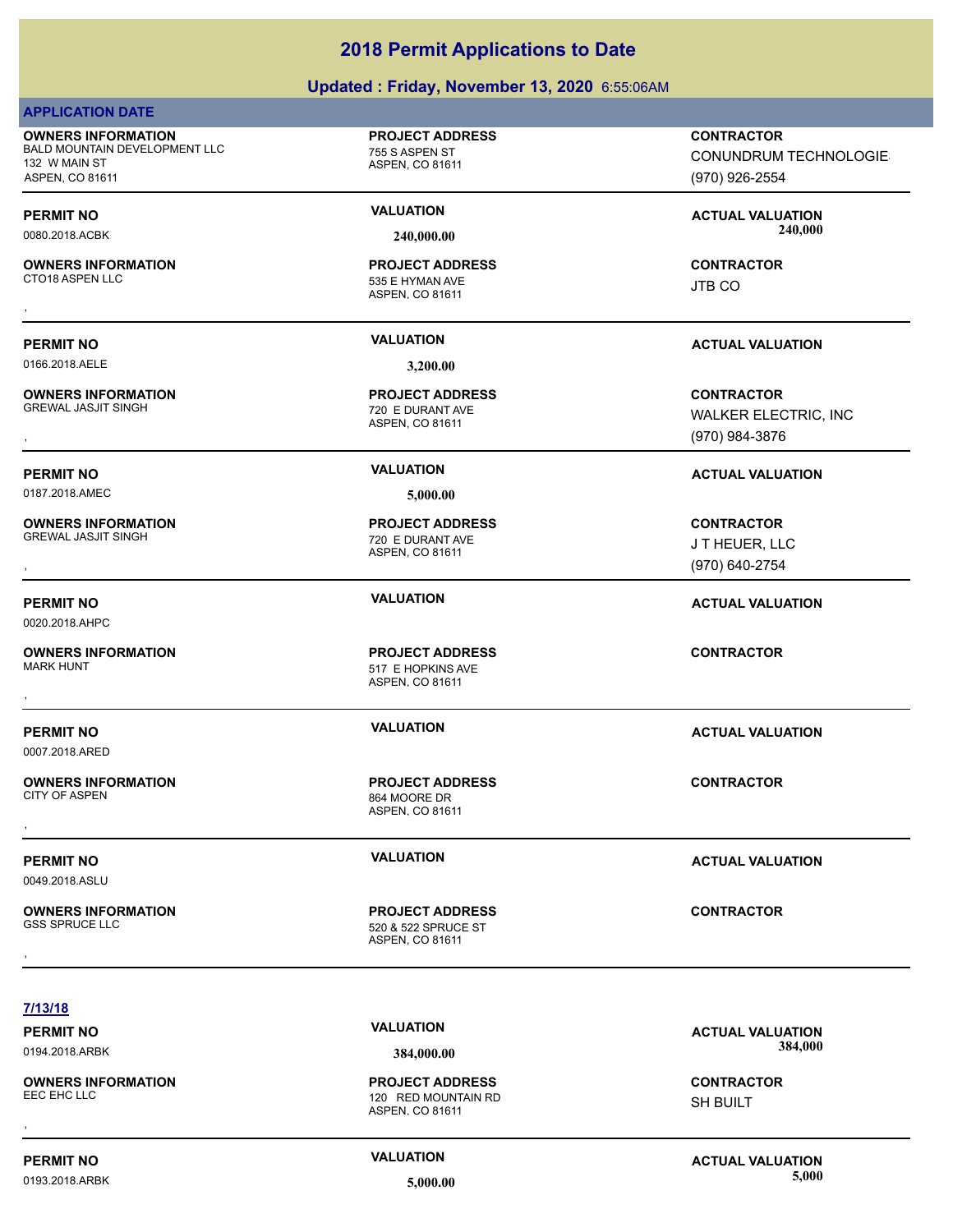# **Updated : Friday, November 13, 2020** 6:55:06AM

|                                                                                                | $\sigma$ paarca . Thaay, november 10, 2020 0.00.00 AM            |                                                                     |
|------------------------------------------------------------------------------------------------|------------------------------------------------------------------|---------------------------------------------------------------------|
| <b>APPLICATION DATE</b>                                                                        |                                                                  |                                                                     |
| <b>OWNERS INFORMATION</b><br>BALD MOUNTAIN DEVELOPMENT LLC<br>132 W MAIN ST<br>ASPEN, CO 81611 | <b>PROJECT ADDRESS</b><br>755 S ASPEN ST<br>ASPEN, CO 81611      | <b>CONTRACTOR</b><br><b>CONUNDRUM TECHNOLOGIE</b><br>(970) 926-2554 |
| <b>PERMIT NO</b><br>0080.2018.ACBK                                                             | <b>VALUATION</b><br>240,000.00                                   | <b>ACTUAL VALUATION</b><br>240,000                                  |
| <b>OWNERS INFORMATION</b><br>CTO18 ASPEN LLC                                                   | <b>PROJECT ADDRESS</b><br>535 E HYMAN AVE<br>ASPEN, CO 81611     | <b>CONTRACTOR</b><br><b>JTB CO</b>                                  |
| <b>PERMIT NO</b><br>0166.2018.AELE                                                             | <b>VALUATION</b><br>3,200.00                                     | <b>ACTUAL VALUATION</b>                                             |
| <b>OWNERS INFORMATION</b><br><b>GREWAL JASJIT SINGH</b>                                        | <b>PROJECT ADDRESS</b><br>720 E DURANT AVE<br>ASPEN, CO 81611    | <b>CONTRACTOR</b><br><b>WALKER ELECTRIC, INC</b><br>(970) 984-3876  |
| <b>PERMIT NO</b><br>0187.2018.AMEC                                                             | <b>VALUATION</b><br>5,000.00                                     | <b>ACTUAL VALUATION</b>                                             |
| <b>OWNERS INFORMATION</b><br><b>GREWAL JASJIT SINGH</b>                                        | <b>PROJECT ADDRESS</b><br>720 E DURANT AVE<br>ASPEN, CO 81611    | <b>CONTRACTOR</b><br>JT HEUER, LLC<br>(970) 640-2754                |
| <b>PERMIT NO</b><br>0020.2018.AHPC                                                             | <b>VALUATION</b>                                                 | <b>ACTUAL VALUATION</b>                                             |
| <b>OWNERS INFORMATION</b><br><b>MARK HUNT</b>                                                  | <b>PROJECT ADDRESS</b><br>517 E HOPKINS AVE<br>ASPEN, CO 81611   | <b>CONTRACTOR</b>                                                   |
| <b>PERMIT NO</b><br>0007.2018.ARED                                                             | <b>VALUATION</b>                                                 | <b>ACTUAL VALUATION</b>                                             |
| <b>OWNERS INFORMATION</b><br><b>CITY OF ASPEN</b>                                              | <b>PROJECT ADDRESS</b><br>864 MOORE DR<br>ASPEN, CO 81611        | <b>CONTRACTOR</b>                                                   |
| <b>PERMIT NO</b><br>0049.2018.ASLU                                                             | <b>VALUATION</b>                                                 | <b>ACTUAL VALUATION</b>                                             |
| <b>OWNERS INFORMATION</b><br><b>GSS SPRUCE LLC</b>                                             | <b>PROJECT ADDRESS</b><br>520 & 522 SPRUCE ST<br>ASPEN, CO 81611 | <b>CONTRACTOR</b>                                                   |
| 7/13/18                                                                                        |                                                                  |                                                                     |
| <b>PERMIT NO</b><br>0194.2018.ARBK                                                             | <b>VALUATION</b><br>384,000.00                                   | <b>ACTUAL VALUATION</b><br>384,000                                  |

**OWNERS INFORMATION** EEC EHC LLC **ERGION COMPUTER SECURE 120 RED MOUNTAIN RD** 

120 RED MOUNTAIN RD<br>ASPEN, CO 81611 **PROJECT ADDRESS** , **CONTRACTOR**

# SH BUILT

**PERMIT NO**<br> **VALUATION**<br> **VALUATION**<br> **VALUATION**<br> **S** 000 00 0193.2018.ARBK **5,000.00 5,000.00**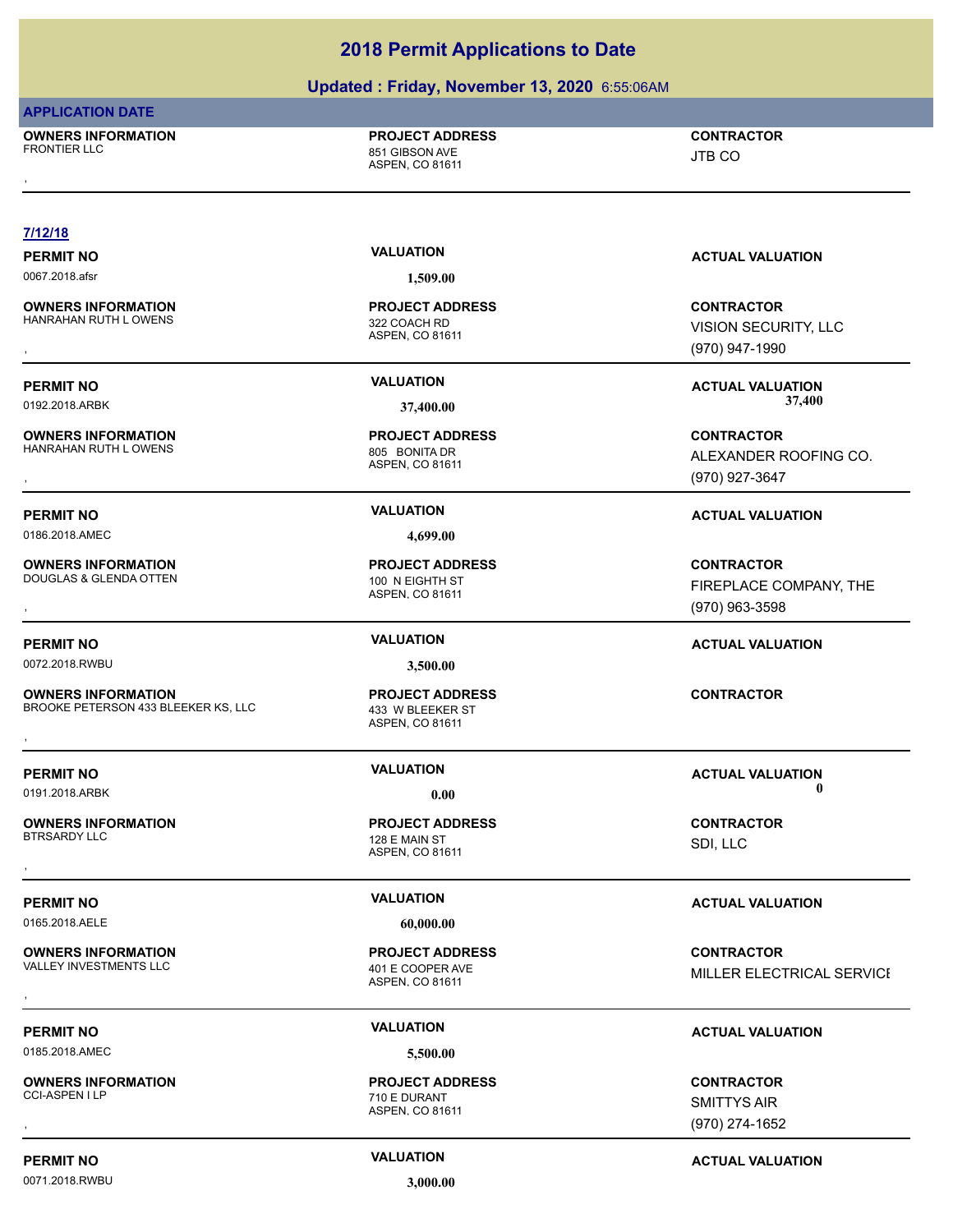### **Updated : Friday, November 13, 2020** 6:55:06AM

### **APPLICATION DATE**

**OWNERS INFORMATION** FRONTIER LLC 851 GIBSON AVE , **CONTRACTOR**

# **PROJECT ADDRESS**

ASPEN, CO 81611

# JTB CO

### **7/12/18**

**OWNERS INFORMATION** HANRAHAN RUTH LOWENS 322 COACH RD

**OWNERS INFORMATION** HANRAHAN RUTH LOWENS 805 BONITA DR

# 0186.2018.AMEC **4,699.00**

**OWNERS INFORMATION**

DOUGLAS & GLENDA OTTEN 100 N EIGHTH ST

0072.2018.RWBU **3,500.00**

### **OWNERS INFORMATION** BROOKE PETERSON 433 BLEEKER KS, LLC 433 W BLEEKER ST **OWNERS INFORMATION EXECUTE:**<br>BROOKE PETERSON 433 BLEEKER KS, LLC ASSOCIATION ASSPEN, CO 81611<br>ASPEN, CO 81611

**OWNERS INFORMATION**

0165.2018.AELE **60,000.00**

# **OWNERS INFORMATION**<br>VALLEY INVESTMENTS LLC

0185.2018.AMEC **5,500.00**

# **OWNERS INFORMATION**

**PERMIT NO CONSUMITY ACTUAL VALUATION VALUATION VALUATION** 

0071.2018.RWBU **3,000.00**

0067.2018.afsr **1,509.00**

ASPEN, CO 81611 **PROJECT ADDRESS**

# ASPEN, CO 81611 **PROJECT ADDRESS**

ASPEN, CO 81611 **PROJECT ADDRESS**

ASPEN, CO 81611 **PROJECT ADDRESS**

ASPEN, CO 81611 128 E MAIN ST **PROJECT ADDRESS** , **CONTRACTOR**

ASPEN, CO 81611 401 E COOPER AVE **PROJECT ADDRESS**

### ASPEN, CO 81611 710 E DURANT **PROJECT ADDRESS**

**PERMIT NO VALUATION VALUATION VALUATION** 

, **CONTRACTOR** VISION SECURITY, LLC (970) 947-1990

**PERMIT NO VALUATION ACTUAL VALUATION** 0192.2018.ARBK **37,400.00 37,400.00**

### , **CONTRACTOR** ALEXANDER ROOFING CO. (970) 927-3647

# **PERMIT NO VALUATION ACTUAL VALUATION**

, **CONTRACTOR** FIREPLACE COMPANY, THE (970) 963-3598

### **PERMIT NO VALUATION ACTUAL VALUATION**

**PERMIT NO VALUATION VALUATION VALUATION** 0191.2018.ARBK **0.00 0.00**

SDI, LLC

### **PERMIT NO VALUATION ACTUAL VALUATION**

**OWNERS INFORMATION LEGAL CONCRET PROJECT ADDRESS ARE:**<br>VALLEY INVESTMENTS LLC LEGAL CONTRACTOR 401 E COOPER AVE LEGAL CONTRACTOR MILLER ELECTRICAL SERVICE<br>, MILLER ELECTRICAL SERVICE

## **PERMIT NO VALUATION ACTUAL VALUATION**

, **CONTRACTOR** SMITTYS AIR (970) 274-1652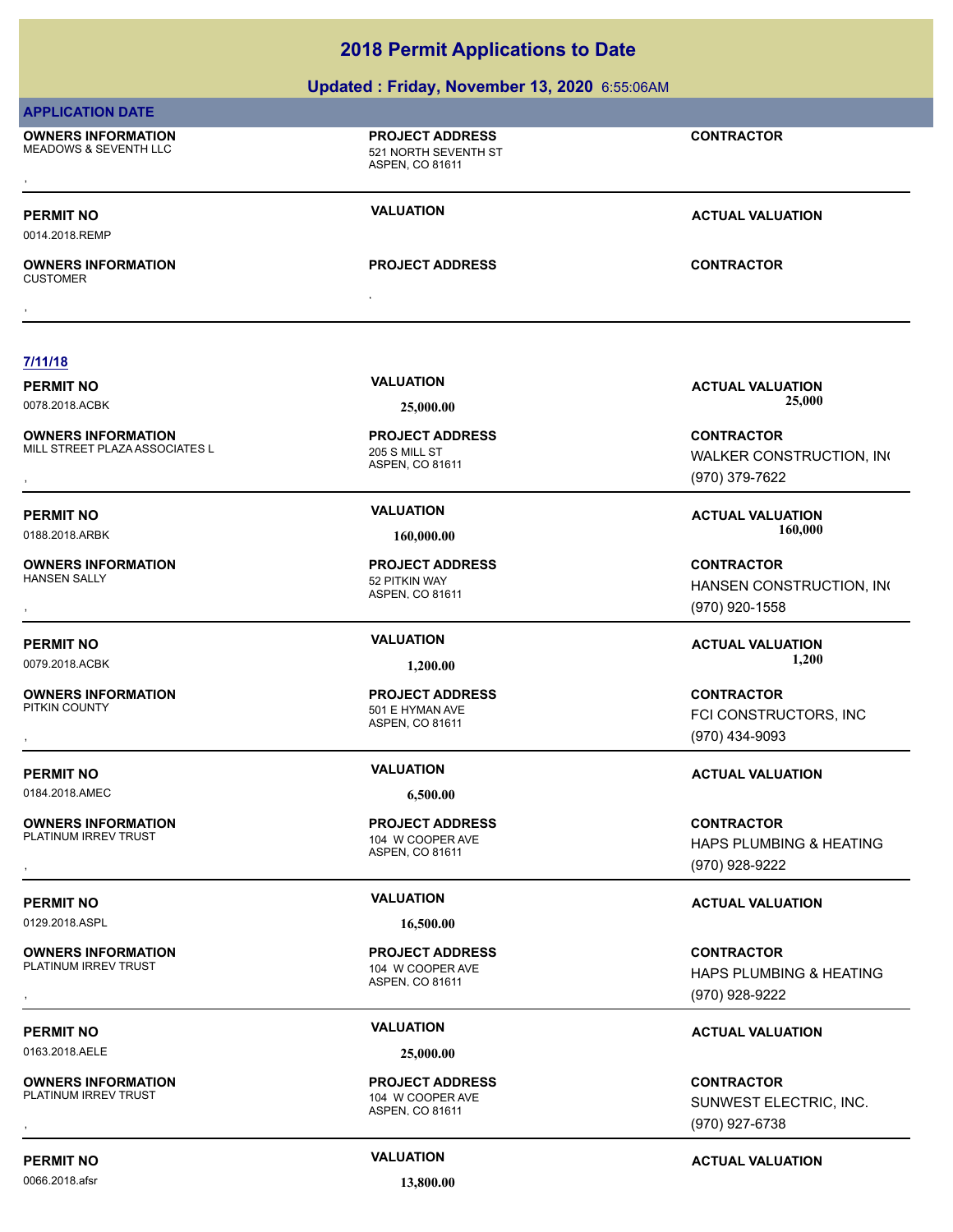### **Updated : Friday, November 13, 2020** 6:55:06AM

### **APPLICATION DATE**

**OWNERS INFORMATION** MEADOWS & SEVENTH LLC 60 NORTH SEVENTH ST **OWNERS INFORMATION CONTRACTOR RESOURCE PROJECT ADDRESS CONTRACTOR CONTRACTOR**<br>MEADOWS & SEVENTH LLC CONTRACTOR SEVENTH SEVENTH ST<br>ASPEN. CO 81611

ASPEN, CO 81611

**PROJECT ADDRESS**

**PERMIT NO VALUATION VALUATION VALUATION** 

0014.2018.REMP

, **OWNERS INFORMATION** CUSTOMER , **CONTRACTOR**

**PROJECT ADDRESS**

**7/11/18**

**OWNERS INFORMATION** MILL STREET PLAZA ASSOCIATES L<br>205 S MILL ST

**OWNERS INFORMATION**

**OWNERS INFORMATION**<br>PITKIN COUNTY

0184.2018.AMEC **6,500.00**

**OWNERS INFORMATION** PLATINUM IRREV TRUST 104 W COOPER AVE

0129.2018.ASPL **16,500.00**

**OWNERS INFORMATION**<br>PLATINUM IRREV TRUST

0163.2018.AELE **25,000.00**

**OWNERS INFORMATION**<br>PLATINUM IRREV TRUST

0066.2018.afsr **13,800.00**

ASPEN, CO 81611 **PROJECT ADDRESS**

ASPEN, CO 81611 52 PITKIN WAY **PROJECT ADDRESS**

ASPEN, CO 81611 501 E HYMAN AVE **PROJECT ADDRESS**

ASPEN, CO 81611 **PROJECT ADDRESS**

ASPEN, CO 81611 104 W COOPER AVE **PROJECT ADDRESS**

ASPEN, CO 81611 104 W COOPER AVE **PROJECT ADDRESS**

**PERMIT NO VALUATION VALUATION VALUATION** 0078.2018.ACBK **25,000.00 25,000.00**

**OWNERS INFORMATION METALLY CONTRACTOR DESCRIPTION ON METALLY CONTRACTOR**<br>MILL STREET PLAZAASSOCIATES LYNE WALKER CONSTRUCTION, INC<br>, http://www.com/witch/20031611/http://witch/20031611/http://witch/2003/00/000000000000000 WALKER CONSTRUCTION, INC (970) 379-7622

**PERMIT NO VALUATION ACTUAL VALUATION** 0188.2018.ARBK **160,000.00 160,000.00**

, **CONTRACTOR** HANSEN CONSTRUCTION, INC (970) 920-1558

**PERMIT NO VALUATION ACTUAL VALUATION** 0079.2018.ACBK **1,200.00 1,200.00**

, **CONTRACTOR** FCI CONSTRUCTORS, INC (970) 434-9093

### **PERMIT NO VALUATION ACTUAL VALUATION**

, **CONTRACTOR** HAPS PLUMBING & HEATING (970) 928-9222

### **PERMIT NO VALUATION ACTUAL VALUATION**

**OWNERS INFORMATION PROJECT ADDRESS CONTRACTOR**<br>PLATINUM IRREV TRUST 104 W COOPER AVE HAPS PLUMBING & HEATING<br>, ASPEN. CO 81611 HAPS PLUMBING & HEATING (970) 928-9222

## **PERMIT NO VALUATION ACTUAL VALUATION**

, **CONTRACTOR** SUNWEST ELECTRIC, INC. (970) 927-6738

**PERMIT NO CONSUMITY ACTUAL VALUATION VALUATION VALUATION**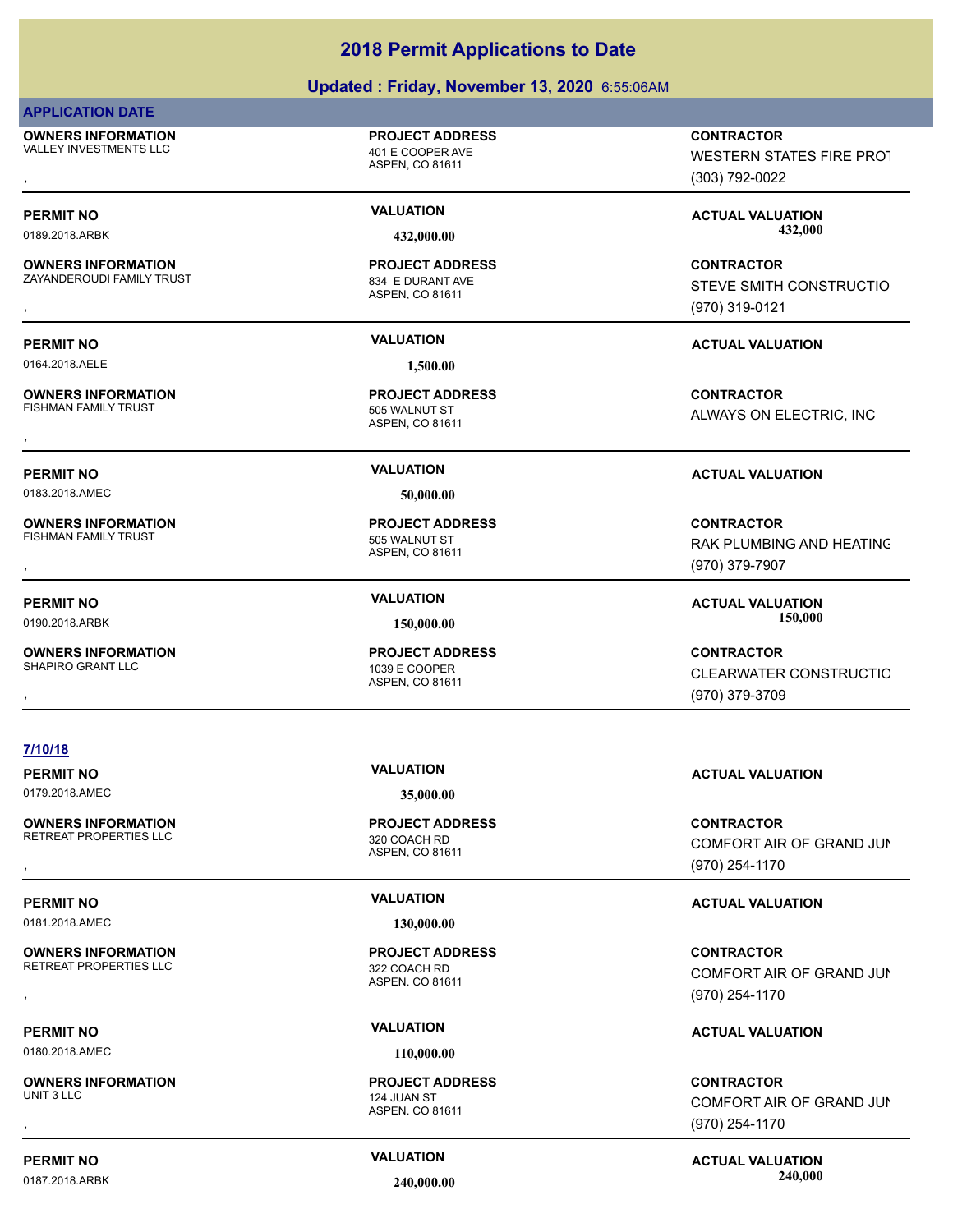### **Updated : Friday, November 13, 2020** 6:55:06AM

### **APPLICATION DATE**

**OWNERS INFORMATION** VALLEY INVESTMENTS LLC 401 E COOPER AVE

**OWNERS INFORMATION**

ZAYANDEROUDI FAMILY TRUST **834 E DURANT AVE** 

**PERMIT NO VALUATION ACTUAL VALUATION**

0164.2018.AELE **1,500.00**

**OWNERS INFORMATION** FISHMAN FAMILY TRUST **1988** SOS WALNUT ST

**OWNERS INFORMATION**

**OWNERS INFORMATION**

ASPEN, CO 81611

**PROJECT ADDRESS**

ASPEN, CO 81611 **PROJECT ADDRESS**

ASPEN, CO 81611 **PROJECT ADDRESS**

0183.2018.AMEC **50,000.00**

ASPEN, CO 81611 1039 E COOPER

**OWNERS INFORMATION PROJECT ADDRESS CONTRACTOR**<br>VALLEY INVESTMENTS LLC 401 E COOPER AVE WESTERN STATES FIRE PROT<br>, ASPEN. CO 81611 WESTERN STATES FIRE PROT (303) 792-0022

PERMIT NO **SALUATION VALUATION CONSUMITY ACTUAL VALUATION ACTUAL VALUATION** 0189.2018.ARBK **432,000.00 432,000.00**

, **CONTRACTOR** STEVE SMITH CONSTRUCTIO (970) 319-0121

, **CONTRACTOR** ALWAYS ON ELECTRIC, INC

### **PERMIT NO VALUATION ACTUAL VALUATION**

, **CONTRACTOR** RAK PLUMBING AND HEATING (970) 379-7907

**PERMIT NO VALUATION ACTUAL VALUATION** 0190.2018.ARBK **150,000.00 150,000.00**

, **CONTRACTOR CLEARWATER CONSTRUCTIO** (970) 379-3709

### **7/10/18**

**OWNERS INFORMATION** RETREAT PROPERTIES LLC<br>320 COACH RD

0181.2018.AMEC **130,000.00**

**OWNERS INFORMATION** RETREAT PROPERTIES LLC 322 COACH RD

**PERMIT NO CONSUMITY OF A CONSUMITY OF A CONSUMITY OF A CONSUMITY OF A CTUAL VALUATION** 

0180.2018.AMEC **110,000.00**

**OWNERS INFORMATION** UNIT 3 LLC 2008 THE RESEARCH CONTROL 224 JUAN ST

ASPEN, CO 81611 **PROJECT ADDRESS**

ASPEN, CO 81611 **PROJECT ADDRESS**

ASPEN, CO 81611 **PROJECT ADDRESS**

**PERMIT NO VALUATION ACTUAL VALUATION**

**OWNERS INFORMATION GOVERNED BY A SERVICE OF A SERVICE OF SERVICE OF SERVICE OF SERVICE OF SERVICE OF SERVICE O<br>RETREAT PROPERTIES LLC GOVERNED ASPEN, CO 81611 COME OF SERVICE OF GRAND JUNITY OF GRAND JUNITY OF SERVICE ASP** COMFORT AIR OF GRAND JUN (970) 254-1170

### **PERMIT NO VALUATION ACTUAL VALUATION**

, **CONTRACTOR** COMFORT AIR OF GRAND JUN (970) 254-1170

, **CONTRACTOR** COMFORT AIR OF GRAND JUN (970) 254-1170

# **PERMIT NO CONSUMITY ACTUAL VALUATION VALUATION VALUATION** 0187.2018.ARBK **240,000.00 240,000.00**

ASPEN, CO 81611 FISHMAN FAMILY TRUST **12000 FISHMAN FAMILY TRUST PROJECT ADDRESS**

**PROJECT ADDRESS**

0179.2018.AMEC **35,000.00**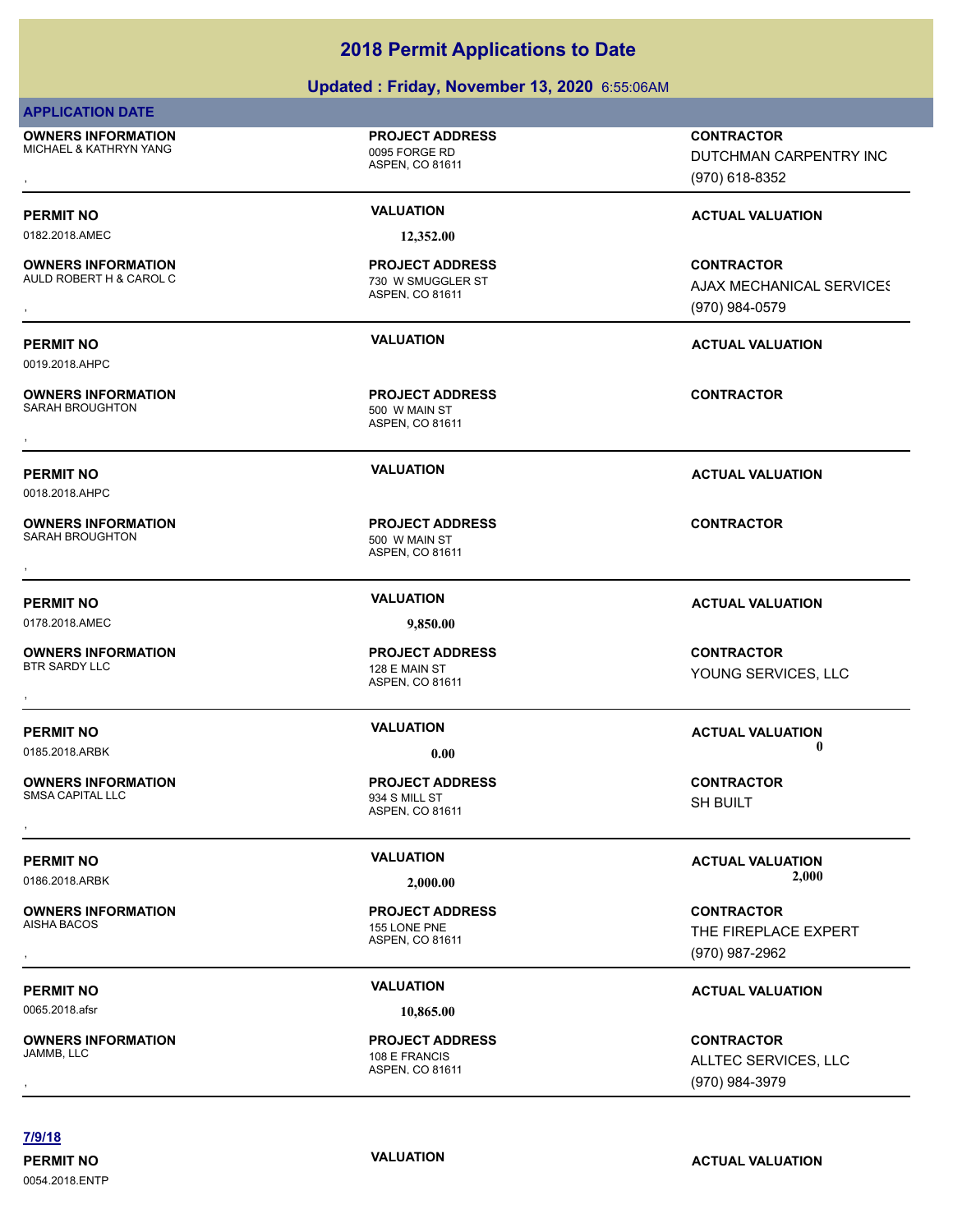# **Updated : Friday, November 13, 2020** 6:55:06AM

| <b>APPLICATION DATE</b>                              |                                                                |                                                                 |
|------------------------------------------------------|----------------------------------------------------------------|-----------------------------------------------------------------|
| <b>OWNERS INFORMATION</b><br>MICHAEL & KATHRYN YANG  | <b>PROJECT ADDRESS</b><br>0095 FORGE RD<br>ASPEN, CO 81611     | <b>CONTRACTOR</b><br>DUTCHMAN CARPENTRY INC<br>(970) 618-8352   |
| <b>PERMIT NO</b>                                     | <b>VALUATION</b>                                               | <b>ACTUAL VALUATION</b>                                         |
| 0182.2018.AMEC                                       | 12,352.00                                                      |                                                                 |
| <b>OWNERS INFORMATION</b><br>AULD ROBERT H & CAROL C | <b>PROJECT ADDRESS</b><br>730 W SMUGGLER ST<br>ASPEN, CO 81611 | <b>CONTRACTOR</b><br>AJAX MECHANICAL SERVICES<br>(970) 984-0579 |
| <b>PERMIT NO</b><br>0019.2018.AHPC                   | <b>VALUATION</b>                                               | <b>ACTUAL VALUATION</b>                                         |
| <b>OWNERS INFORMATION</b><br><b>SARAH BROUGHTON</b>  | <b>PROJECT ADDRESS</b><br>500 W MAIN ST<br>ASPEN, CO 81611     | <b>CONTRACTOR</b>                                               |
| <b>PERMIT NO</b><br>0018.2018.AHPC                   | <b>VALUATION</b>                                               | <b>ACTUAL VALUATION</b>                                         |
| <b>OWNERS INFORMATION</b><br>SARAH BROUGHTON         | <b>PROJECT ADDRESS</b><br>500 W MAIN ST<br>ASPEN, CO 81611     | <b>CONTRACTOR</b>                                               |
| <b>PERMIT NO</b>                                     | <b>VALUATION</b>                                               | <b>ACTUAL VALUATION</b>                                         |
| 0178.2018.AMEC                                       | 9,850.00                                                       |                                                                 |
| <b>OWNERS INFORMATION</b><br><b>BTR SARDY LLC</b>    | <b>PROJECT ADDRESS</b><br>128 E MAIN ST<br>ASPEN, CO 81611     | <b>CONTRACTOR</b><br>YOUNG SERVICES, LLC                        |
| <b>PERMIT NO</b><br>0185.2018.ARBK                   | <b>VALUATION</b><br>0.00                                       | <b>ACTUAL VALUATION</b><br>0                                    |
| <b>OWNERS INFORMATION</b><br><b>SMSA CAPITAL LLC</b> | <b>PROJECT ADDRESS</b><br>934 S MILL ST<br>ASPEN, CO 81611     | <b>CONTRACTOR</b><br>SH BUILT                                   |
| <b>PERMIT NO</b>                                     | <b>VALUATION</b>                                               | <b>ACTUAL VALUATION</b>                                         |
| 0186.2018.ARBK                                       | 2,000.00                                                       | 2,000                                                           |
| <b>OWNERS INFORMATION</b><br>AISHA BACOS             | <b>PROJECT ADDRESS</b><br>155 LONE PNE<br>ASPEN, CO 81611      | <b>CONTRACTOR</b><br>THE FIREPLACE EXPERT<br>(970) 987-2962     |
| <b>PERMIT NO</b>                                     | <b>VALUATION</b>                                               | <b>ACTUAL VALUATION</b>                                         |
| 0065.2018.afsr                                       | 10,865.00                                                      |                                                                 |
| <b>OWNERS INFORMATION</b><br>JAMMB, LLC              | <b>PROJECT ADDRESS</b><br>108 E FRANCIS<br>ASPEN, CO 81611     | <b>CONTRACTOR</b><br>ALLTEC SERVICES, LLC<br>(970) 984-3979     |

**7/9/18**

0054.2018.ENTP

**PERMIT NO CONSUMITY ACTUAL VALUATION VALUATION** *ACTUAL VALUATION*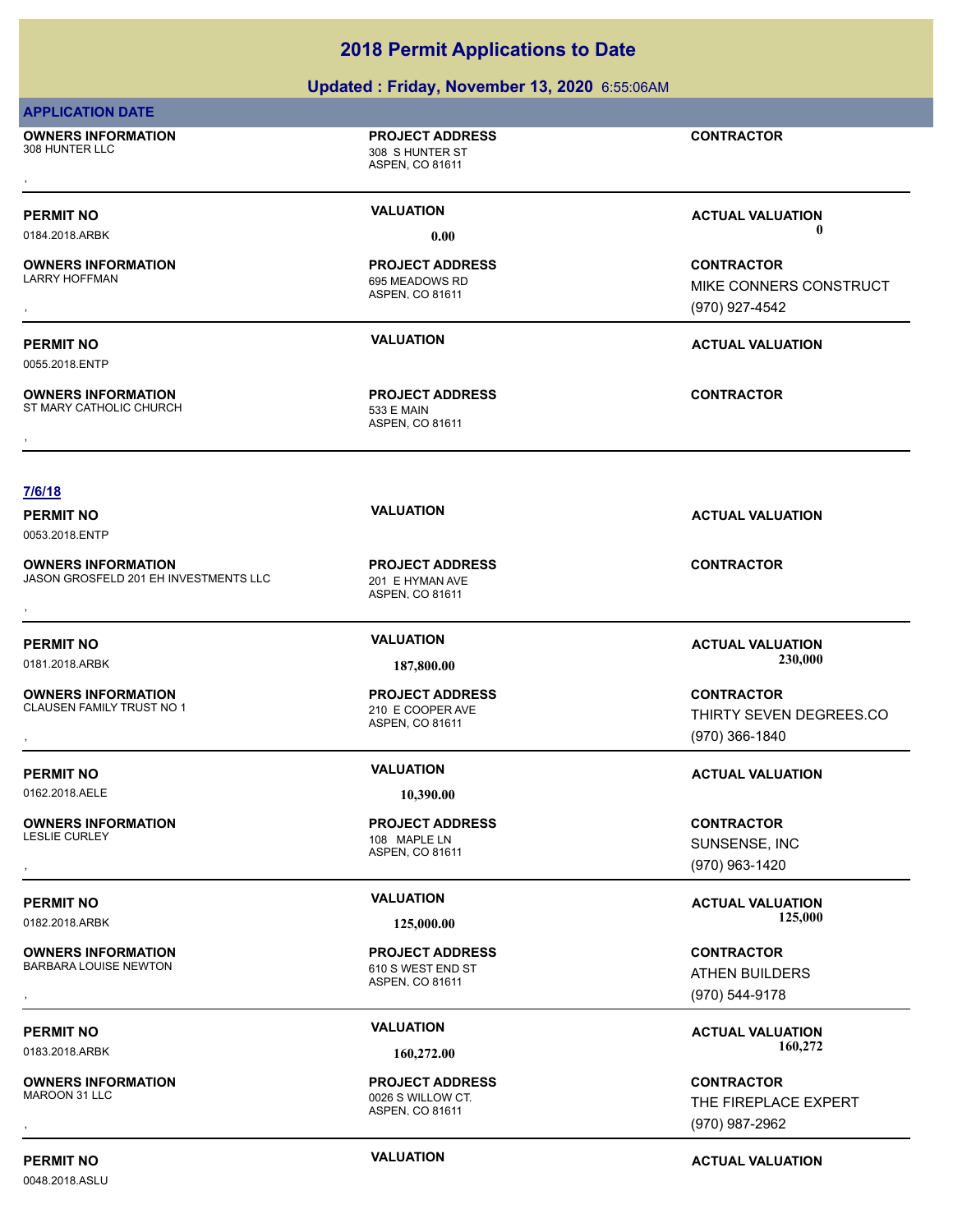| <b>2018 Permit Applications to Date</b>                            |                                                                |                                                                |
|--------------------------------------------------------------------|----------------------------------------------------------------|----------------------------------------------------------------|
|                                                                    | Updated: Friday, November 13, 2020 6:55:06AM                   |                                                                |
| <b>APPLICATION DATE</b>                                            |                                                                |                                                                |
| <b>OWNERS INFORMATION</b><br>308 HUNTER LLC                        | <b>PROJECT ADDRESS</b><br>308 S HUNTER ST<br>ASPEN, CO 81611   | <b>CONTRACTOR</b>                                              |
| <b>PERMIT NO</b><br>0184.2018.ARBK                                 | <b>VALUATION</b><br>0.00                                       | <b>ACTUAL VALUATION</b><br>0                                   |
| <b>OWNERS INFORMATION</b><br><b>LARRY HOFFMAN</b>                  | <b>PROJECT ADDRESS</b><br>695 MEADOWS RD<br>ASPEN, CO 81611    | <b>CONTRACTOR</b><br>MIKE CONNERS CONSTRUCT<br>(970) 927-4542  |
| <b>PERMIT NO</b><br>0055.2018.ENTP                                 | <b>VALUATION</b>                                               | <b>ACTUAL VALUATION</b>                                        |
| <b>OWNERS INFORMATION</b><br>ST MARY CATHOLIC CHURCH               | <b>PROJECT ADDRESS</b><br><b>533 E MAIN</b><br>ASPEN, CO 81611 | <b>CONTRACTOR</b>                                              |
|                                                                    |                                                                |                                                                |
| 7/6/18                                                             |                                                                |                                                                |
| <b>PERMIT NO</b><br>0053.2018.ENTP                                 | <b>VALUATION</b>                                               | <b>ACTUAL VALUATION</b>                                        |
| <b>OWNERS INFORMATION</b><br>JASON GROSFELD 201 EH INVESTMENTS LLC | <b>PROJECT ADDRESS</b><br>201 E HYMAN AVE<br>ASPEN, CO 81611   | <b>CONTRACTOR</b>                                              |
| <b>PERMIT NO</b>                                                   | <b>VALUATION</b>                                               | <b>ACTUAL VALUATION</b>                                        |
| 0181.2018.ARBK                                                     | 187,800.00                                                     | 230,000                                                        |
| <b>OWNERS INFORMATION</b><br>CLAUSEN FAMILY TRUST NO 1             | <b>PROJECT ADDRESS</b><br>210 E COOPER AVE<br>ASPEN, CO 81611  | <b>CONTRACTOR</b><br>THIRTY SEVEN DEGREES.CO<br>(970) 366-1840 |
| <b>PERMIT NO</b>                                                   | <b>VALUATION</b>                                               | <b>ACTUAL VALUATION</b>                                        |
| 0162.2018.AELE                                                     | 10,390.00                                                      |                                                                |
| <b>OWNERS INFORMATION</b><br><b>LESLIE CURLEY</b>                  | <b>PROJECT ADDRESS</b><br>108 MAPLE LN<br>ASPEN, CO 81611      | <b>CONTRACTOR</b><br>SUNSENSE, INC<br>(970) 963-1420           |
| <b>PERMIT NO</b><br>0182.2018.ARBK                                 | <b>VALUATION</b><br>125,000.00                                 | <b>ACTUAL VALUATION</b><br>125,000                             |
| <b>OWNERS INFORMATION</b><br>BARBARA LOUISE NEWTON                 | <b>PROJECT ADDRESS</b><br>610 S WEST END ST<br>ASPEN, CO 81611 | <b>CONTRACTOR</b><br><b>ATHEN BUILDERS</b><br>(970) 544-9178   |
| <b>PERMIT NO</b><br>0183.2018.ARBK                                 | <b>VALUATION</b><br>160,272.00                                 | <b>ACTUAL VALUATION</b><br>160,272                             |
| <b>OWNERS INFORMATION</b><br>MAROON 31 LLC                         | <b>PROJECT ADDRESS</b><br>0026 S WILLOW CT.<br>ASPEN, CO 81611 | <b>CONTRACTOR</b><br>THE FIREPLACE EXPERT                      |
|                                                                    |                                                                | (970) 987-2962                                                 |

0048.2018.ASLU

**PERMIT NO CONSUMITY ACTUAL VALUATION VALUATION** *ACTUAL VALUATION* 

(970) 987-2962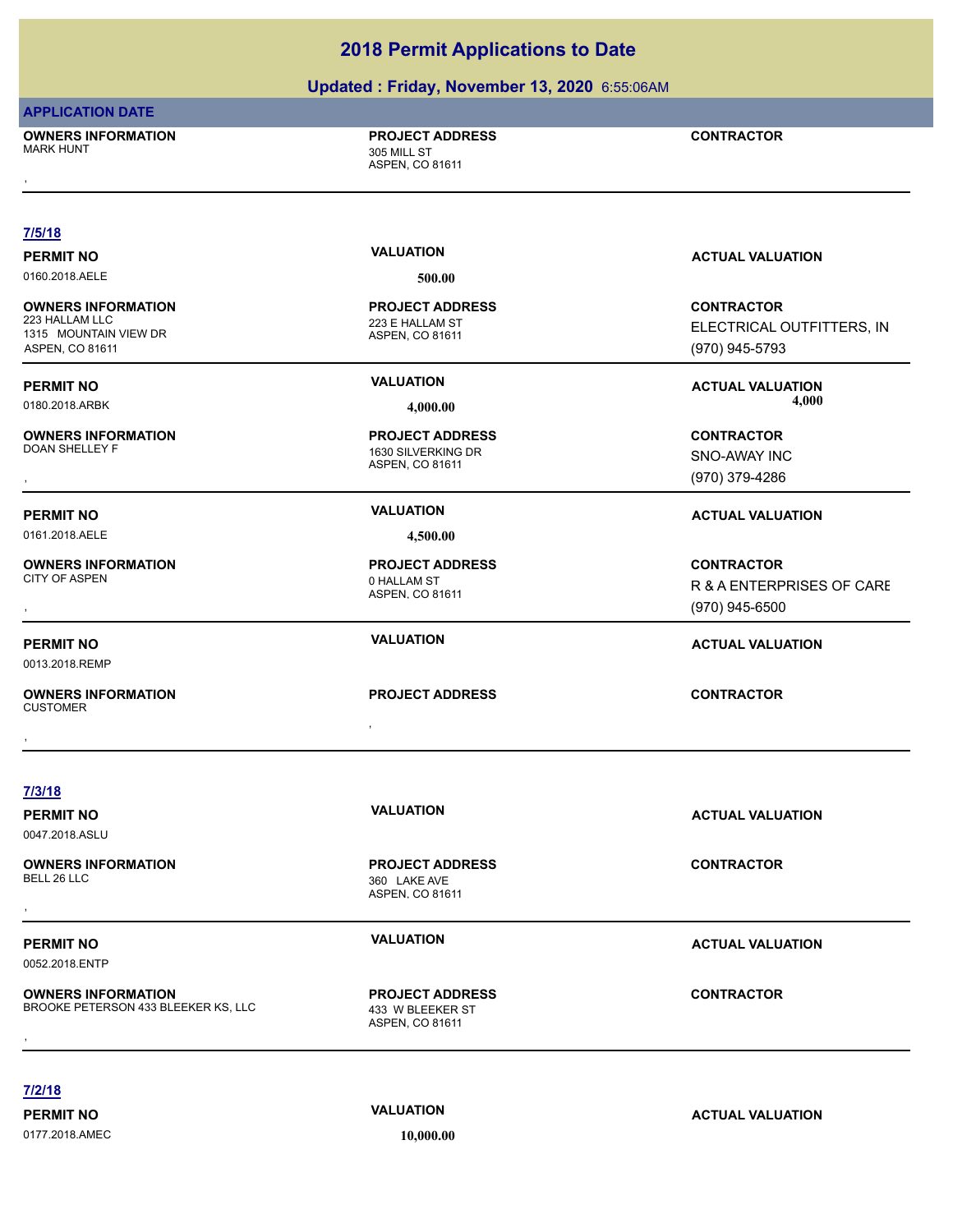# **Updated : Friday, November 13, 2020** 6:55:06AM

### **APPLICATION DATE**

**OWNERS INFORMATION**

### **PROJECT ADDRESS**

| <b>OWNERS INFORMATION</b><br><b>MARK HUNT</b> | <b>PROJECT ADDRESS</b><br>305 MILL ST<br>ASPEN, CO 81611 | <b>CONTRACTOR</b>         |
|-----------------------------------------------|----------------------------------------------------------|---------------------------|
|                                               |                                                          |                           |
| 7/5/18                                        | <b>VALUATION</b>                                         |                           |
| <b>PERMIT NO</b>                              |                                                          | <b>ACTUAL VALUATION</b>   |
| 0160.2018.AELE                                | 500.00                                                   |                           |
| <b>OWNERS INFORMATION</b>                     | <b>PROJECT ADDRESS</b>                                   | <b>CONTRACTOR</b>         |
| 223 HALLAM LLC<br>1315 MOUNTAIN VIEW DR       | 223 E HALLAM ST<br>ASPEN, CO 81611                       | ELECTRICAL OUTFITTERS, IN |
| ASPEN, CO 81611                               |                                                          | (970) 945-5793            |
| <b>PERMIT NO</b>                              | <b>VALUATION</b>                                         | <b>ACTUAL VALUATION</b>   |
| 0180.2018.ARBK                                | 4,000.00                                                 | 4,000                     |
|                                               |                                                          |                           |
| <b>OWNERS INFORMATION</b><br>DOAN SHELLEY F   | <b>PROJECT ADDRESS</b><br>1630 SILVERKING DR             | <b>CONTRACTOR</b>         |
|                                               | ASPEN, CO 81611                                          | SNO-AWAY INC              |
|                                               |                                                          | (970) 379-4286            |
| <b>PERMIT NO</b>                              | <b>VALUATION</b>                                         | <b>ACTUAL VALUATION</b>   |
| 0161.2018.AELE                                | 4,500.00                                                 |                           |
| <b>OWNERS INFORMATION</b>                     | <b>PROJECT ADDRESS</b>                                   | <b>CONTRACTOR</b>         |
| CITY OF ASPEN                                 | 0 HALLAM ST                                              | R & A ENTERPRISES OF CARE |
|                                               | ASPEN, CO 81611                                          | $(970)$ 945-6500          |
|                                               | <b>VALUATION</b>                                         |                           |
| <b>PERMIT NO</b>                              |                                                          | <b>ACTUAL VALUATION</b>   |
| 0013.2018.REMP                                |                                                          |                           |
| <b>OWNERS INFORMATION</b>                     | <b>PROJECT ADDRESS</b>                                   | <b>CONTRACTOR</b>         |
| <b>CUSTOMER</b>                               |                                                          |                           |
|                                               |                                                          |                           |
|                                               |                                                          |                           |
| 7/3/18                                        |                                                          |                           |
| <b>PERMIT NO</b>                              | <b>VALUATION</b>                                         | <b>ACTUAL VALUATION</b>   |
| 0047.2018.ASLU                                |                                                          |                           |
| <b>OWNERS INFORMATION</b>                     | <b>PROJECT ADDRESS</b>                                   | <b>CONTRACTOR</b>         |
| BELL 26 LLC                                   | 360 LAKE AVE                                             |                           |
|                                               | ASPEN, CO 81611                                          |                           |
|                                               |                                                          |                           |
| <b>PERMIT NO</b>                              | <b>VALUATION</b>                                         | <b>ACTUAL VALUATION</b>   |
| 0052.2018.ENTP                                |                                                          |                           |
| <b>OWNERS INFORMATION</b>                     | <b>PROJECT ADDRESS</b>                                   | <b>CONTRACTOR</b>         |
| BROOKE PETERSON 433 BLEEKER KS, LLC           | 433 W BLEEKER ST<br>ASPEN, CO 81611                      |                           |
|                                               |                                                          |                           |

## **7/2/18**

0177.2018.AMEC **10,000.00**

**PERMIT NO VALUATION VALUATION ACTUAL VALUATION**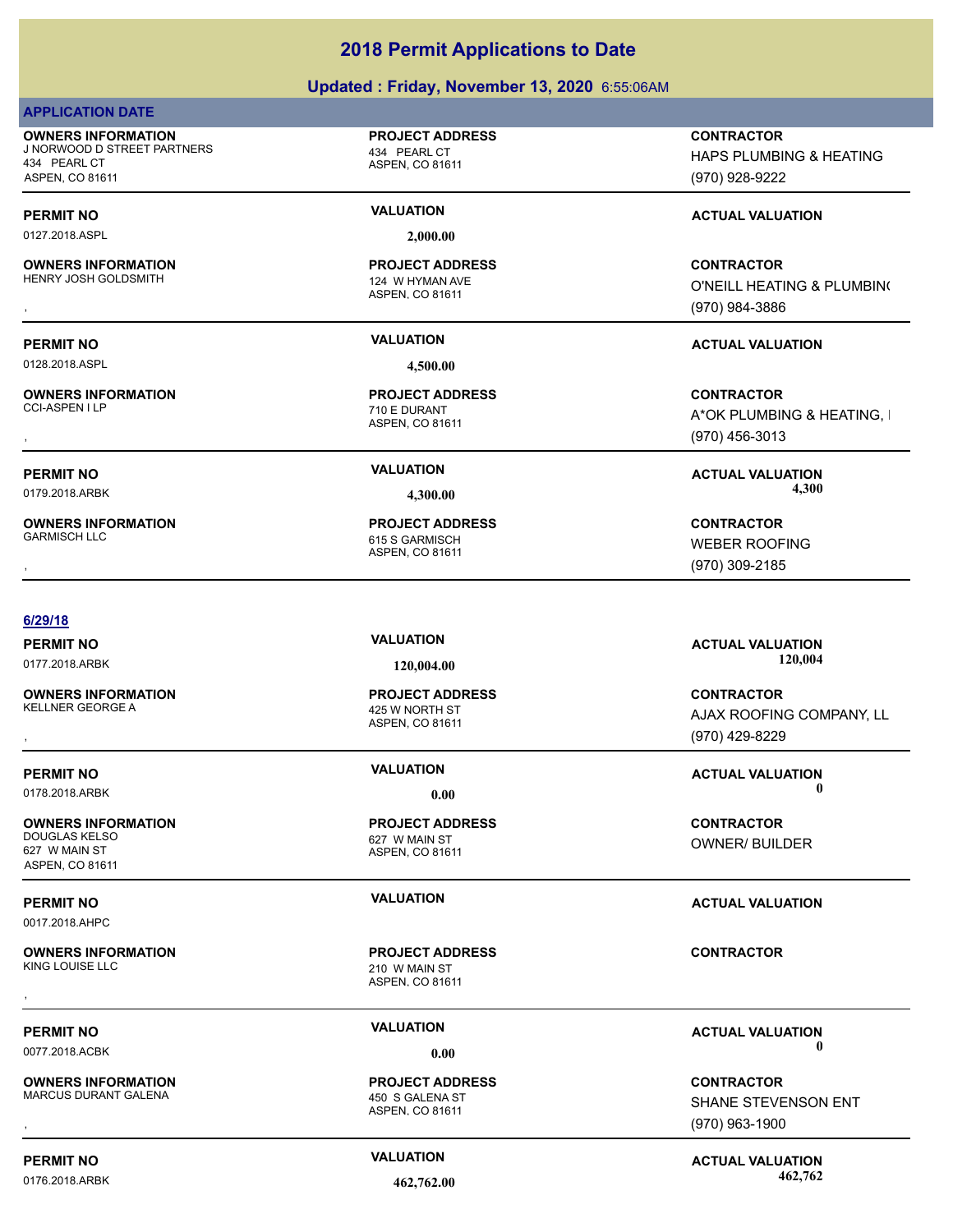### **Updated : Friday, November 13, 2020** 6:55:06AM

|--|--|--|

**OWNERS INFORMATION** J NORWOOD D STREET PARTNERS 434 PEARL CT 434 PEARL CT ASPEN, CO 81611

0127.2018.ASPL **2,000.00**

**OWNERS INFORMATION** HENRY JOSH GOLDSMITH 124 W HYMAN AVE

0128.2018.ASPL **4,500.00**

**OWNERS INFORMATION**

**OWNERS INFORMATION**

### **6/29/18**

**OWNERS INFORMATION**

**OWNERS INFORMATION** 627 W MAIN ST ASPEN, CO 81611

0017.2018.AHPC

**OWNERS INFORMATION**

**OWNERS INFORMATION** MARCUS DURANT GALENA 450 S GALENA ST

ASPEN, CO 81611

**PROJECT ADDRESS**

ASPEN, CO 81611 **PROJECT ADDRESS**

ASPEN, CO 81611 710 E DURANT **PROJECT ADDRESS**

ASPEN, CO 81611 615 S GARMISCH **PROJECT ADDRESS** **CONTRACTOR**

HAPS PLUMBING & HEATING (970) 928-9222

# **PERMIT NO VALUATION VALUATION VALUATION**

, **CONTRACTOR** O'NEILL HEATING & PLUMBING (970) 984-3886

## **PERMIT NO VALUATION ACTUAL VALUATION**

, **CONTRACTOR** A\*OK PLUMBING & HEATING, I (970) 456-3013

**PERMIT NO VALUATION ACTUAL VALUATION** 0179.2018.ARBK **4,300.00 4,300.00**

, **CONTRACTOR** WEBER ROOFING (970) 309-2185

ASPEN, CO 81611 425 W NORTH ST **PROJECT ADDRESS**

ASPEN, CO 81611 627 W MAIN ST **PROJECT ADDRESS**

ASPEN, CO 81611 210 W MAIN ST **PROJECT ADDRESS** , **CONTRACTOR**

ASPEN, CO 81611 **PROJECT ADDRESS**

**PERMIT NO VALUATION ACTUAL VALUATION** 0177.2018.ARBK **120,004.00 120,004.00**

, **CONTRACTOR** AJAX ROOFING COMPANY, LL (970) 429-8229

**CONTRACTOR** OWNER/ BUILDER

### **PERMIT NO VALUATION ACTUAL VALUATION**

**PERMIT NO CONSUMITY OF A CONSUMITY OF A CONSUMITY OF A CONSUMITY OF A CTUAL VALUATION** 

, **CONTRACTOR** SHANE STEVENSON ENT (970) 963-1900

**PERMIT NO CONSUMITY ACTUAL VALUATION VALUATION VALUATION** 0176.2018.ARBK **462,762.00 462,762.00**

**PERMIT NO VALUATION ACTUAL VALUATION** 0178.2018.ARBK **0.00 0.00**

0077.2018.ACBK **0.00 0.00**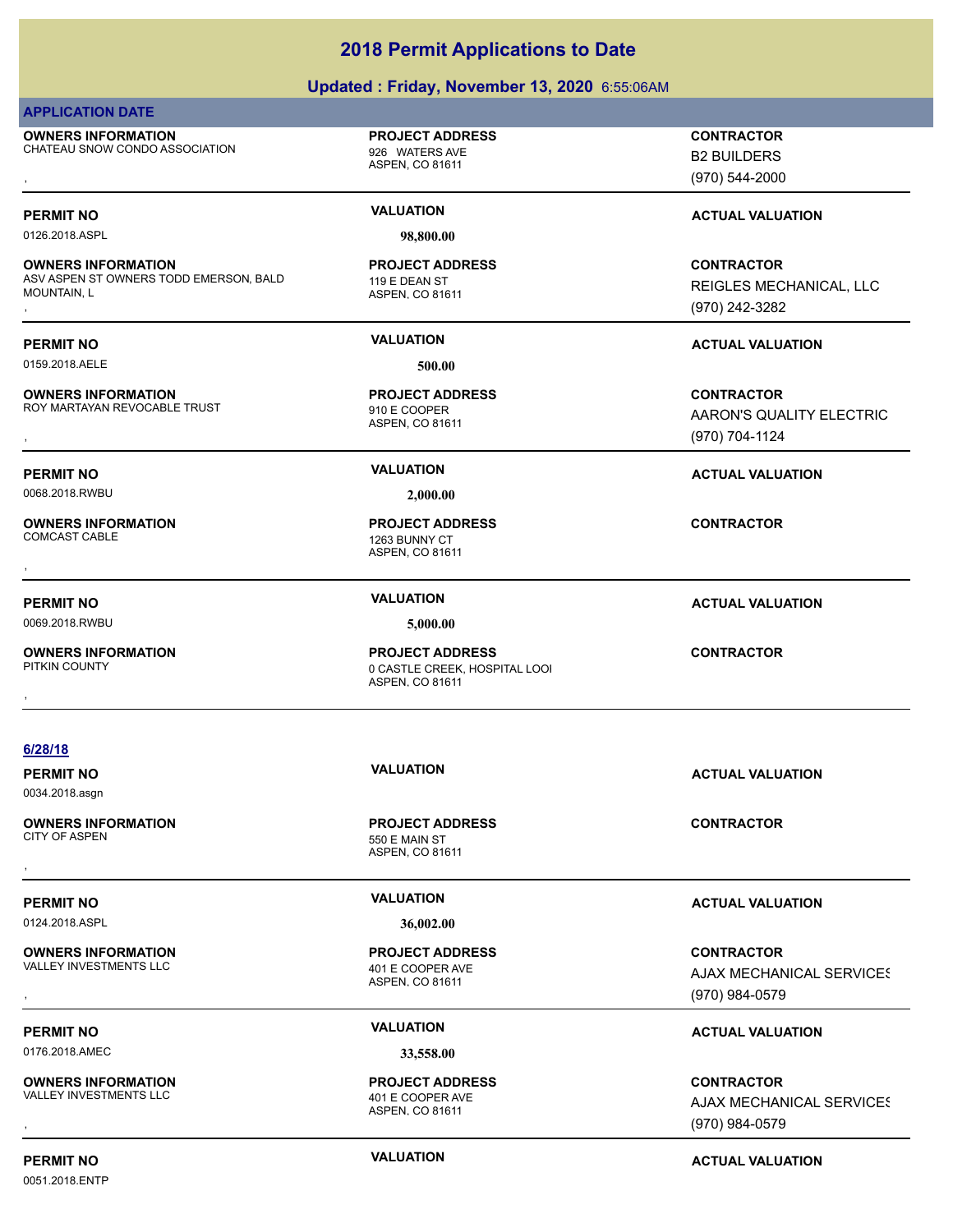|                                                                                           | Updated: Friday, November 13, 2020 6:55:06AM                               |                                                                 |
|-------------------------------------------------------------------------------------------|----------------------------------------------------------------------------|-----------------------------------------------------------------|
| <b>APPLICATION DATE</b>                                                                   |                                                                            |                                                                 |
| <b>OWNERS INFORMATION</b><br>CHATEAU SNOW CONDO ASSOCIATION                               | <b>PROJECT ADDRESS</b><br>926 WATERS AVE<br>ASPEN, CO 81611                | <b>CONTRACTOR</b><br><b>B2 BUILDERS</b><br>(970) 544-2000       |
| <b>PERMIT NO</b>                                                                          | <b>VALUATION</b>                                                           | <b>ACTUAL VALUATION</b>                                         |
| 0126.2018.ASPL                                                                            | 98,800.00                                                                  |                                                                 |
| <b>OWNERS INFORMATION</b><br>ASV ASPEN ST OWNERS TODD EMERSON, BALD<br><b>MOUNTAIN, L</b> | <b>PROJECT ADDRESS</b><br>119 E DEAN ST<br>ASPEN, CO 81611                 | <b>CONTRACTOR</b><br>REIGLES MECHANICAL, LLC<br>(970) 242-3282  |
| <b>PERMIT NO</b>                                                                          | <b>VALUATION</b>                                                           | <b>ACTUAL VALUATION</b>                                         |
| 0159.2018.AELE                                                                            | 500.00                                                                     |                                                                 |
| <b>OWNERS INFORMATION</b><br>ROY MARTAYAN REVOCABLE TRUST                                 | <b>PROJECT ADDRESS</b><br>910 E COOPER<br>ASPEN, CO 81611                  | <b>CONTRACTOR</b><br>AARON'S QUALITY ELECTRIC<br>(970) 704-1124 |
| <b>PERMIT NO</b><br>0068.2018.RWBU                                                        | <b>VALUATION</b><br>2,000.00                                               | <b>ACTUAL VALUATION</b>                                         |
| <b>OWNERS INFORMATION</b><br><b>COMCAST CABLE</b>                                         | <b>PROJECT ADDRESS</b><br>1263 BUNNY CT<br>ASPEN, CO 81611                 | <b>CONTRACTOR</b>                                               |
| <b>PERMIT NO</b><br>0069.2018.RWBU                                                        | <b>VALUATION</b><br>5,000.00                                               | <b>ACTUAL VALUATION</b>                                         |
| <b>OWNERS INFORMATION</b><br>PITKIN COUNTY                                                | <b>PROJECT ADDRESS</b><br>0 CASTLE CREEK, HOSPITAL LOOI<br>ASPEN, CO 81611 | <b>CONTRACTOR</b>                                               |
| 6/28/18                                                                                   |                                                                            |                                                                 |
| <b>PERMIT NO</b><br>0034.2018.asgn                                                        | <b>VALUATION</b>                                                           | <b>ACTUAL VALUATION</b>                                         |
| <b>OWNERS INFORMATION</b><br><b>CITY OF ASPEN</b>                                         | <b>PROJECT ADDRESS</b><br>550 E MAIN ST<br>ASPEN, CO 81611                 | <b>CONTRACTOR</b>                                               |
| <b>PERMIT NO</b>                                                                          | <b>VALUATION</b>                                                           | <b>ACTUAL VALUATION</b>                                         |
| 0124.2018.ASPL                                                                            | 36,002.00                                                                  |                                                                 |
| <b>OWNERS INFORMATION</b><br>VALLEY INVESTMENTS LLC                                       | <b>PROJECT ADDRESS</b><br>401 E COOPER AVE<br>ASPEN, CO 81611              | <b>CONTRACTOR</b><br>AJAX MECHANICAL SERVICES<br>(970) 984-0579 |
| <b>PERMIT NO</b>                                                                          | <b>VALUATION</b>                                                           | <b>ACTUAL VALUATION</b>                                         |
| 0176.2018.AMEC                                                                            | 33,558.00                                                                  |                                                                 |
| <b>OWNERS INFORMATION</b><br>VALLEY INVESTMENTS LLC                                       | <b>PROJECT ADDRESS</b><br>401 E COOPER AVE<br>ASPEN, CO 81611              | <b>CONTRACTOR</b><br>AJAX MECHANICAL SERVICES<br>(970) 984-0579 |

0051.2018.ENTP

**PERMIT NO CONSUMITY ACTUAL VALUATION VALUATION ACTUAL VALUATION** 

(970) 984-0579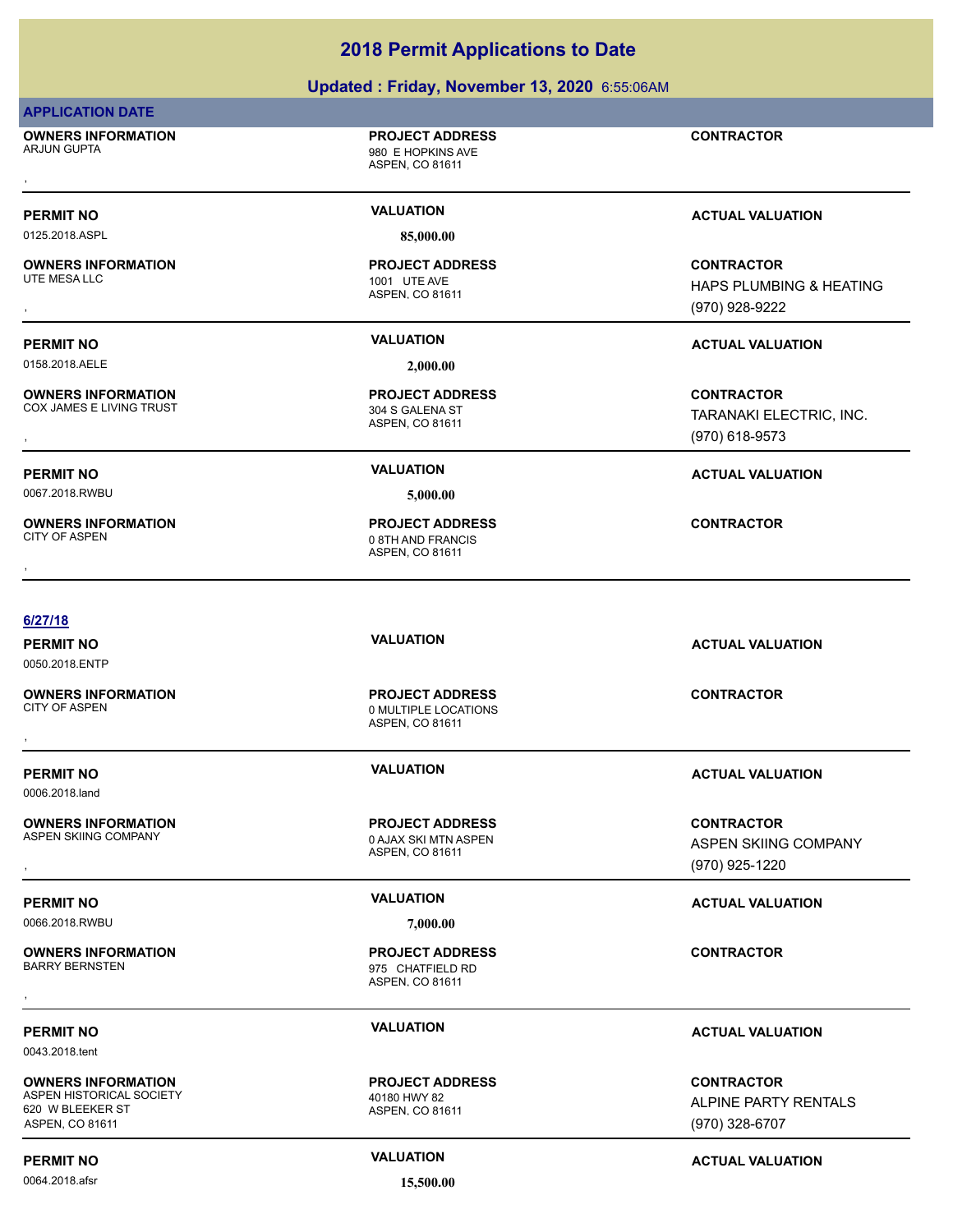| <b>2018 Permit Applications to Date</b><br>Updated: Friday, November 13, 2020 6:55:06AM |                                                                   |                                                                |
|-----------------------------------------------------------------------------------------|-------------------------------------------------------------------|----------------------------------------------------------------|
|                                                                                         |                                                                   |                                                                |
| <b>OWNERS INFORMATION</b><br>ARJUN GUPTA                                                | <b>PROJECT ADDRESS</b><br>980 E HOPKINS AVE<br>ASPEN, CO 81611    | <b>CONTRACTOR</b>                                              |
|                                                                                         |                                                                   |                                                                |
| <b>PERMIT NO</b>                                                                        | <b>VALUATION</b>                                                  | <b>ACTUAL VALUATION</b>                                        |
| 0125.2018.ASPL                                                                          | 85,000.00                                                         |                                                                |
| <b>OWNERS INFORMATION</b><br>UTE MESA LLC                                               | <b>PROJECT ADDRESS</b><br>1001 UTE AVE<br>ASPEN, CO 81611         | <b>CONTRACTOR</b><br>HAPS PLUMBING & HEATING<br>(970) 928-9222 |
| <b>PERMIT NO</b>                                                                        | <b>VALUATION</b>                                                  | <b>ACTUAL VALUATION</b>                                        |
| 0158.2018.AELE                                                                          | 2,000.00                                                          |                                                                |
| <b>OWNERS INFORMATION</b><br>COX JAMES E LIVING TRUST                                   | <b>PROJECT ADDRESS</b><br>304 S GALENA ST<br>ASPEN, CO 81611      | <b>CONTRACTOR</b><br>TARANAKI ELECTRIC, INC.<br>(970) 618-9573 |
| <b>PERMIT NO</b>                                                                        | <b>VALUATION</b>                                                  | <b>ACTUAL VALUATION</b>                                        |
| 0067.2018.RWBU                                                                          | 5,000.00                                                          |                                                                |
| <b>OWNERS INFORMATION</b><br><b>CITY OF ASPEN</b>                                       | <b>PROJECT ADDRESS</b><br>0 8TH AND FRANCIS<br>ASPEN, CO 81611    | <b>CONTRACTOR</b>                                              |
| 6/27/18                                                                                 |                                                                   |                                                                |
| <b>PERMIT NO</b><br>0050.2018.ENTP                                                      | <b>VALUATION</b>                                                  | <b>ACTUAL VALUATION</b>                                        |
| <b>OWNERS INFORMATION</b><br><b>CITY OF ASPEN</b>                                       | <b>PROJECT ADDRESS</b><br>0 MULTIPLE LOCATIONS<br>ASPEN, CO 81611 | <b>CONTRACTOR</b>                                              |
| <b>PERMIT NO</b><br>0006.2018.land                                                      | <b>VALUATION</b>                                                  | <b>ACTUAL VALUATION</b>                                        |
| <b>OWNERS INFORMATION</b><br>ASPEN SKIING COMPANY                                       | <b>PROJECT ADDRESS</b><br>0 AJAX SKI MTN ASPEN<br>ASPEN, CO 81611 | <b>CONTRACTOR</b><br>ASPEN SKIING COMPANY                      |
|                                                                                         |                                                                   | (970) 925-1220                                                 |
| <b>PERMIT NO</b>                                                                        | <b>VALUATION</b>                                                  | <b>ACTUAL VALUATION</b>                                        |
| 0066.2018.RWBU                                                                          | 7,000.00                                                          |                                                                |
| <b>OWNERS INFORMATION</b><br><b>BARRY BERNSTEN</b>                                      | <b>PROJECT ADDRESS</b><br>975 CHATFIELD RD<br>ASPEN, CO 81611     | <b>CONTRACTOR</b>                                              |
| <b>PERMIT NO</b>                                                                        | <b>VALUATION</b>                                                  | <b>ACTUAL VALUATION</b>                                        |

0043.2018.tent

**OWNERS INFORMATION** ASPEN HISTORICAL SOCIETY 620 W BLEEKER ST ASPEN, CO 81611

0064.2018.afsr **15,500.00**

40180 HWY 82<br>ASPEN, CO 81611

**PERMIT NO CONSUMITY ACTUAL VALUATION VALUATION ACTUAL VALUATION** 

ALPINE PARTY RENTALS

**CONTRACTOR**

(970) 328-6707

**PROJECT ADDRESS**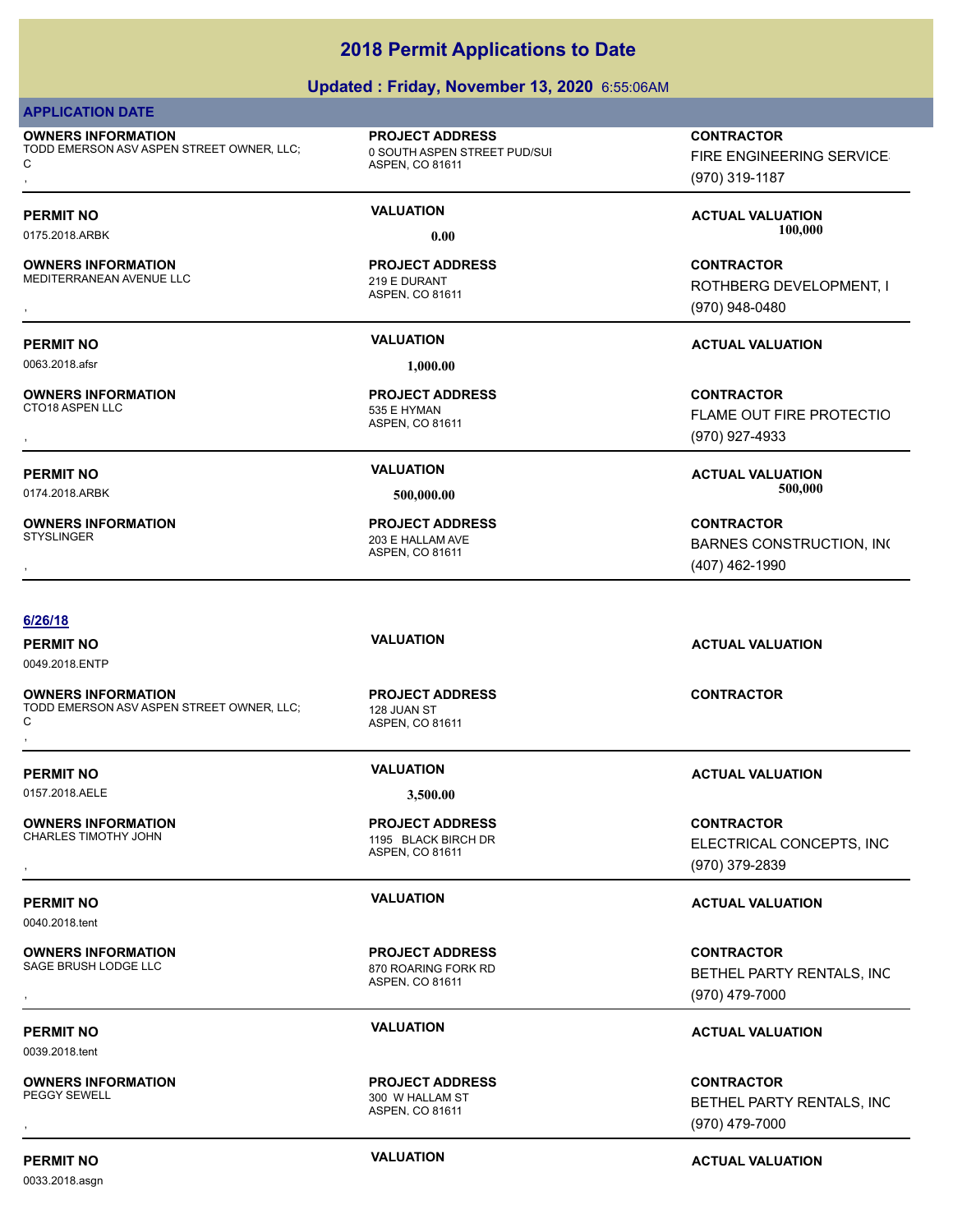### **Updated : Friday, November 13, 2020** 6:55:06AM

### **APPLICATION DATE**

**OWNERS INFORMATION** TODD EMERSON ASV ASPEN STREET OWNER, LLC; C **OWNERS INFORMATION SERVICE:** The SOLITH ASPEN CONSINUITY OF THE ENGINEERING SERVICE:<br>TODD EMERSON ASV ASPEN STREET OWNER, LLC; The SOLITH ASPEN STREET PUD/SUI THE SOLITH ASPEN CO 81611<br>C the Service of ASPEN. CO 81611 (19

**OWNERS INFORMATION** MEDITERRANEAN AVENUE LLC 219 E DURANT

0063.2018.afsr **1,000.00**

**OWNERS INFORMATION**

**OWNERS INFORMATION**

### **6/26/18**

0049.2018.ENTP

**OWNERS INFORMATION** TODD EMERSON ASV ASPEN STREET OWNER, LLC; C **OWNERS INFORMATION SERVICE ON THE SERVICE OF A DURESS AND RESERVICE SERVICE ON TRACTOR STATES ON TRACTOR STATES<br>TODD EMERSON ASV ASPEN STREET OWNER, LLC; ASPEN, CO 81611<br>,** 

0157.2018.AELE **3,500.00**

**OWNERS INFORMATION**

0040.2018.tent

**OWNERS INFORMATION**

0039.2018.tent

**OWNERS INFORMATION**

0033.2018.asgn

ASPEN, CO 81611 0 SOUTH ASPEN STREET PUD/SUI **PROJECT ADDRESS**

ASPEN, CO 81611 **PROJECT ADDRESS**

ASPEN, CO 81611 535 E HYMAN **PROJECT ADDRESS**

ASPEN, CO 81611 203 E HALLAM AVE **PROJECT ADDRESS**

FIRE ENGINEERING SERVICES (970) 319-1187

**PERMIT NO VALUATION ACTUAL VALUATION** 0175.2018.ARBK **0.00 100,000.00**

, **CONTRACTOR** ROTHBERG DEVELOPMENT, I (970) 948-0480

## **PERMIT NO VALUATION ACTUAL VALUATION**

, **CONTRACTOR FLAME OUT FIRE PROTECTIO** (970) 927-4933

**PERMIT NO VALUATION ACTUAL VALUATION** 0174.2018.ARBK **500,000.00 500,000.00**

, **CONTRACTOR** BARNES CONSTRUCTION, INC (407) 462-1990

ASPEN, CO 81611 128 JUAN ST **PROJECT ADDRESS**

ASPEN, CO 81611 1195 BLACK BIRCH DR **PROJECT ADDRESS**

ASPEN, CO 81611 870 ROARING FORK RD **PROJECT ADDRESS**

ASPEN, CO 81611 300 W HALLAM ST **PROJECT ADDRESS**

**PERMIT NO VALUATION ACTUAL VALUATION**

**PERMIT NO VALUATION ACTUAL VALUATION**

, **CONTRACTOR** ELECTRICAL CONCEPTS, INC (970) 379-2839

### **PERMIT NO VALUATION ACTUAL VALUATION**

**OWNERS INFORMATION PROJECT ADDRESS CONTRACTOR**<br>SAGE BRUSH LODGE LLC 870 ROARING FORK RD BETHEL PARTY RENTALS, INC<br>, ASPEN. CO 81611 BETHEL PARTY RENTALS, INC (970) 479-7000

## **PERMIT NO VALUATION ACTUAL VALUATION**

, **CONTRACTOR** BETHEL PARTY RENTALS, INC (970) 479-7000

**PERMIT NO CONSUMITY ACTUAL VALUATION VALUATION VALUATION**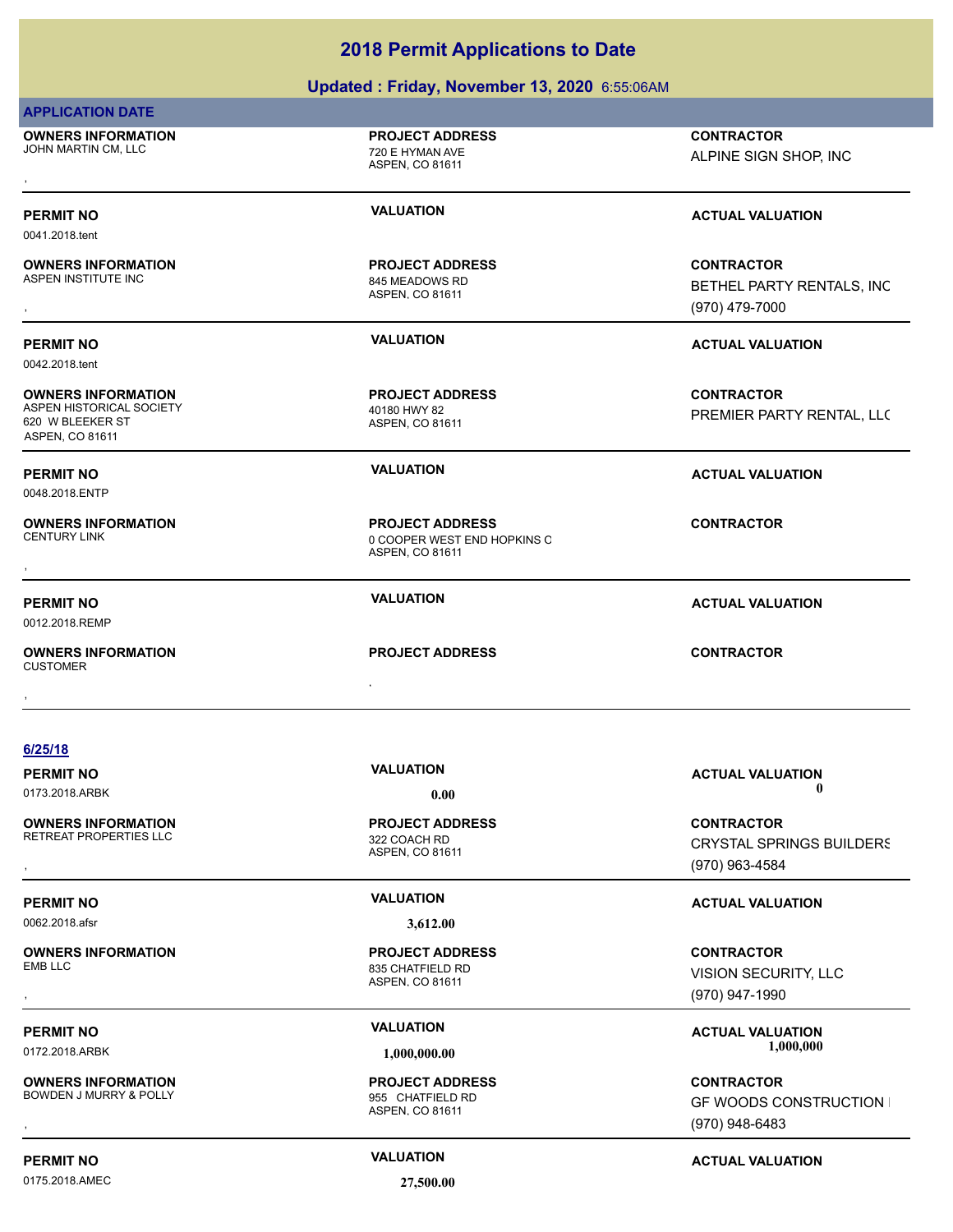|                                                                                              | Updated: Friday, November 13, 2020 6:55:06AM                             |                                                                        |  |  |
|----------------------------------------------------------------------------------------------|--------------------------------------------------------------------------|------------------------------------------------------------------------|--|--|
| <b>APPLICATION DATE</b>                                                                      |                                                                          |                                                                        |  |  |
| <b>OWNERS INFORMATION</b><br>JOHN MARTIN CM, LLC                                             | <b>PROJECT ADDRESS</b><br>720 E HYMAN AVE<br>ASPEN, CO 81611             | <b>CONTRACTOR</b><br>ALPINE SIGN SHOP, INC                             |  |  |
| <b>PERMIT NO</b><br>0041.2018.tent                                                           | <b>VALUATION</b>                                                         | <b>ACTUAL VALUATION</b>                                                |  |  |
| <b>OWNERS INFORMATION</b><br>ASPEN INSTITUTE INC                                             | <b>PROJECT ADDRESS</b><br>845 MEADOWS RD<br>ASPEN, CO 81611              | <b>CONTRACTOR</b><br>BETHEL PARTY RENTALS, INC<br>(970) 479-7000       |  |  |
| <b>PERMIT NO</b><br>0042.2018.tent                                                           | <b>VALUATION</b>                                                         | <b>ACTUAL VALUATION</b>                                                |  |  |
| <b>OWNERS INFORMATION</b><br>ASPEN HISTORICAL SOCIETY<br>620 W BLEEKER ST<br>ASPEN, CO 81611 | <b>PROJECT ADDRESS</b><br>40180 HWY 82<br>ASPEN, CO 81611                | <b>CONTRACTOR</b><br>PREMIER PARTY RENTAL, LLC                         |  |  |
| <b>PERMIT NO</b><br>0048.2018.ENTP                                                           | <b>VALUATION</b>                                                         | <b>ACTUAL VALUATION</b>                                                |  |  |
| <b>OWNERS INFORMATION</b><br><b>CENTURY LINK</b>                                             | <b>PROJECT ADDRESS</b><br>0 COOPER WEST END HOPKINS C<br>ASPEN, CO 81611 | <b>CONTRACTOR</b>                                                      |  |  |
| <b>PERMIT NO</b><br>0012.2018.REMP                                                           | <b>VALUATION</b>                                                         | <b>ACTUAL VALUATION</b>                                                |  |  |
| <b>OWNERS INFORMATION</b><br><b>CUSTOMER</b>                                                 | <b>PROJECT ADDRESS</b>                                                   | <b>CONTRACTOR</b>                                                      |  |  |
| 6/25/18                                                                                      |                                                                          |                                                                        |  |  |
| <b>PERMIT NO</b><br>0173.2018.ARBK                                                           | <b>VALUATION</b><br>0.00                                                 | <b>ACTUAL VALUATION</b><br>$\mathbf 0$                                 |  |  |
| <b>OWNERS INFORMATION</b><br>RETREAT PROPERTIES LLC                                          | <b>PROJECT ADDRESS</b><br>322 COACH RD<br>ASPEN, CO 81611                | <b>CONTRACTOR</b><br><b>CRYSTAL SPRINGS BUILDERS</b><br>(970) 963-4584 |  |  |
| <b>PERMIT NO</b>                                                                             | <b>VALUATION</b>                                                         | <b>ACTUAL VALUATION</b>                                                |  |  |
| 0062.2018.afsr                                                                               | 3,612.00                                                                 |                                                                        |  |  |
| <b>OWNERS INFORMATION</b><br><b>EMB LLC</b>                                                  | <b>PROJECT ADDRESS</b><br>835 CHATFIELD RD<br>ASPEN, CO 81611            | <b>CONTRACTOR</b><br>VISION SECURITY, LLC<br>(970) 947-1990            |  |  |
| <b>PERMIT NO</b>                                                                             | <b>VALUATION</b>                                                         | <b>ACTUAL VALUATION</b><br>1,000,000                                   |  |  |
| 0172.2018.ARBK                                                                               | 1,000,000.00                                                             |                                                                        |  |  |
| <b>OWNERS INFORMATION</b><br>BOWDEN J MURRY & POLLY                                          | <b>PROJECT ADDRESS</b><br>955 CHATFIELD RD<br>ASPEN, CO 81611            | <b>CONTRACTOR</b><br><b>GF WOODS CONSTRUCTION I</b><br>(970) 948-6483  |  |  |

0175.2018.AMEC **27,500.00**

**PERMIT NO CONSUMITY ACTUAL VALUATION VALUATION ACTUAL VALUATION**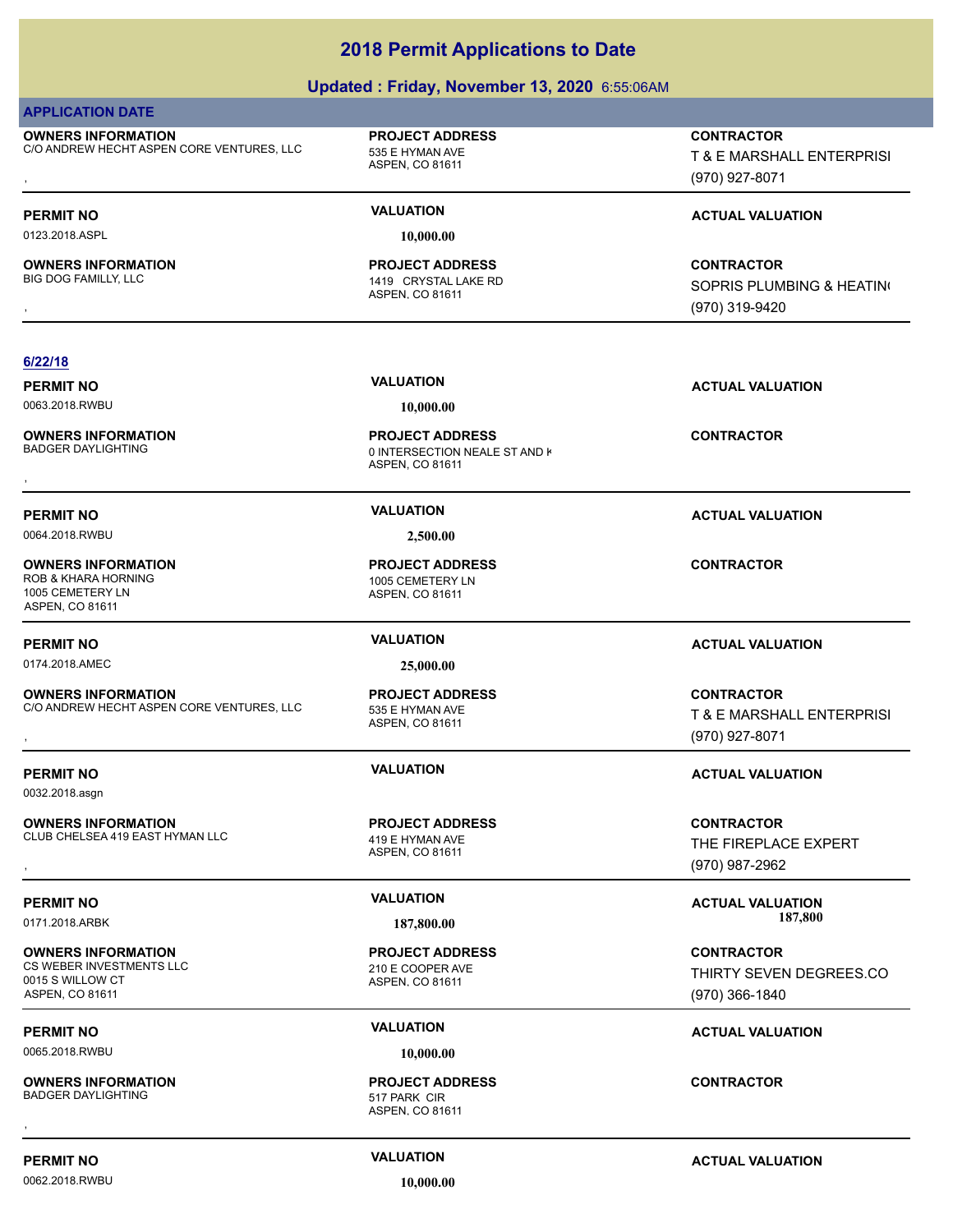# **Updated : Friday, November 13, 2020** 6:55:06AM

| <b>APPLICATION DATE</b>                                                                      |                                                                            |                                                                  |
|----------------------------------------------------------------------------------------------|----------------------------------------------------------------------------|------------------------------------------------------------------|
| <b>OWNERS INFORMATION</b><br>C/O ANDREW HECHT ASPEN CORE VENTURES, LLC                       | <b>PROJECT ADDRESS</b><br>535 E HYMAN AVE<br>ASPEN, CO 81611               | <b>CONTRACTOR</b><br>T & E MARSHALL ENTERPRISI<br>(970) 927-8071 |
| <b>PERMIT NO</b>                                                                             | <b>VALUATION</b>                                                           | <b>ACTUAL VALUATION</b>                                          |
| 0123.2018.ASPL                                                                               | 10,000.00                                                                  |                                                                  |
| <b>OWNERS INFORMATION</b><br>BIG DOG FAMILLY, LLC                                            | <b>PROJECT ADDRESS</b><br>1419 CRYSTAL LAKE RD<br>ASPEN, CO 81611          | <b>CONTRACTOR</b><br>SOPRIS PLUMBING & HEATING<br>(970) 319-9420 |
|                                                                                              |                                                                            |                                                                  |
| 6/22/18<br><b>PERMIT NO</b>                                                                  | <b>VALUATION</b>                                                           | <b>ACTUAL VALUATION</b>                                          |
| 0063.2018.RWBU                                                                               | 10,000.00                                                                  |                                                                  |
| <b>OWNERS INFORMATION</b><br><b>BADGER DAYLIGHTING</b>                                       | <b>PROJECT ADDRESS</b><br>0 INTERSECTION NEALE ST AND K<br>ASPEN, CO 81611 | <b>CONTRACTOR</b>                                                |
| <b>PERMIT NO</b>                                                                             | <b>VALUATION</b>                                                           | <b>ACTUAL VALUATION</b>                                          |
| 0064.2018.RWBU                                                                               | 2,500.00                                                                   |                                                                  |
| <b>OWNERS INFORMATION</b><br>ROB & KHARA HORNING<br>1005 CEMETERY LN<br>ASPEN, CO 81611      | <b>PROJECT ADDRESS</b><br>1005 CEMETERY LN<br>ASPEN, CO 81611              | <b>CONTRACTOR</b>                                                |
| <b>PERMIT NO</b>                                                                             | <b>VALUATION</b>                                                           | <b>ACTUAL VALUATION</b>                                          |
| 0174.2018.AMEC                                                                               | 25,000.00                                                                  |                                                                  |
| <b>OWNERS INFORMATION</b><br>C/O ANDREW HECHT ASPEN CORE VENTURES, LLC                       | <b>PROJECT ADDRESS</b><br>535 E HYMAN AVE<br>ASPEN, CO 81611               | <b>CONTRACTOR</b><br>T & E MARSHALL ENTERPRISI<br>(970) 927-8071 |
| <b>PERMIT NO</b>                                                                             | <b>VALUATION</b>                                                           | <b>ACTUAL VALUATION</b>                                          |
| 0032.2018.asgn                                                                               |                                                                            |                                                                  |
| <b>OWNERS INFORMATION</b><br>CLUB CHELSEA 419 EAST HYMAN LLC                                 | <b>PROJECT ADDRESS</b><br>419 E HYMAN AVE<br>ASPEN, CO 81611               | <b>CONTRACTOR</b><br>THE FIREPLACE EXPERT<br>(970) 987-2962      |
| <b>PERMIT NO</b>                                                                             | <b>VALUATION</b>                                                           | <b>ACTUAL VALUATION</b>                                          |
| 0171.2018.ARBK                                                                               | 187,800.00                                                                 | 187,800                                                          |
| <b>OWNERS INFORMATION</b><br>CS WEBER INVESTMENTS LLC<br>0015 S WILLOW CT<br>ASPEN, CO 81611 | <b>PROJECT ADDRESS</b><br>210 E COOPER AVE<br>ASPEN, CO 81611              | <b>CONTRACTOR</b><br>THIRTY SEVEN DEGREES.CO<br>(970) 366-1840   |
| <b>PERMIT NO</b>                                                                             | <b>VALUATION</b>                                                           | <b>ACTUAL VALUATION</b>                                          |
| 0065.2018.RWBU                                                                               | 10,000.00                                                                  |                                                                  |
| <b>OWNERS INFORMATION</b><br><b>BADGER DAYLIGHTING</b>                                       | <b>PROJECT ADDRESS</b><br>517 PARK CIR<br>ASPEN, CO 81611                  | <b>CONTRACTOR</b>                                                |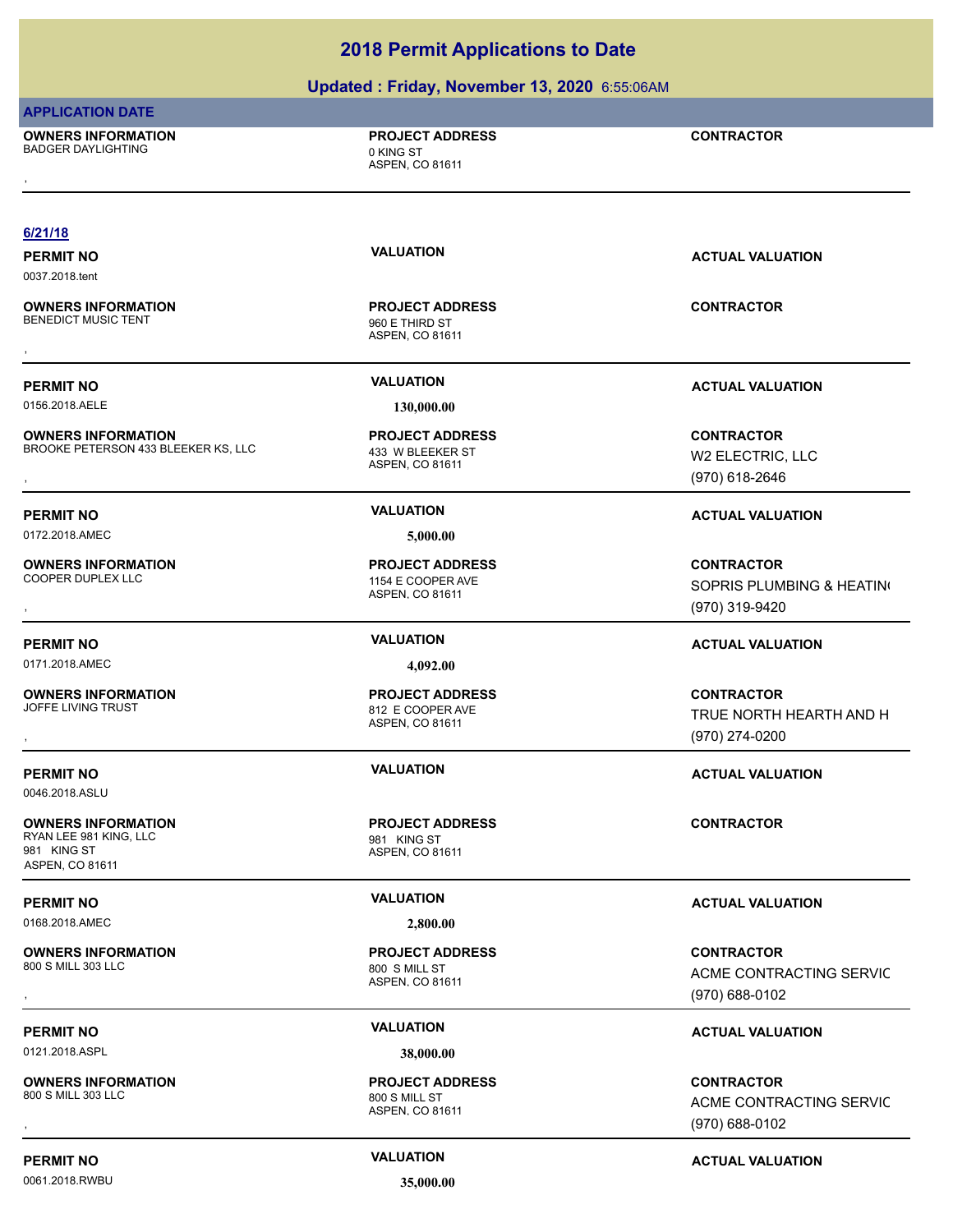# **Updated : Friday, November 13, 2020** 6:55:06AM

| <b>APPLICATION DATE</b>                                                               |                                                                      |                                                                  |
|---------------------------------------------------------------------------------------|----------------------------------------------------------------------|------------------------------------------------------------------|
| <b>OWNERS INFORMATION</b><br><b>BADGER DAYLIGHTING</b>                                | <b>PROJECT ADDRESS</b><br>0 KING ST<br>ASPEN, CO 81611               | <b>CONTRACTOR</b>                                                |
| 6/21/18                                                                               |                                                                      |                                                                  |
| <b>PERMIT NO</b><br>0037.2018.tent                                                    | <b>VALUATION</b>                                                     | <b>ACTUAL VALUATION</b>                                          |
| <b>OWNERS INFORMATION</b><br><b>BENEDICT MUSIC TENT</b>                               | <b>PROJECT ADDRESS</b><br>960 E THIRD ST<br>ASPEN, CO 81611          | <b>CONTRACTOR</b>                                                |
| <b>PERMIT NO</b>                                                                      | <b>VALUATION</b>                                                     | <b>ACTUAL VALUATION</b>                                          |
| 0156.2018.AELE                                                                        | 130,000.00                                                           |                                                                  |
| <b>OWNERS INFORMATION</b><br>BROOKE PETERSON 433 BLEEKER KS, LLC                      | <b>PROJECT ADDRESS</b><br>433 W BLEEKER ST<br><b>ASPEN, CO 81611</b> | <b>CONTRACTOR</b><br>W2 ELECTRIC, LLC                            |
|                                                                                       |                                                                      | (970) 618-2646                                                   |
| <b>PERMIT NO</b>                                                                      | <b>VALUATION</b>                                                     | <b>ACTUAL VALUATION</b>                                          |
| 0172.2018.AMEC                                                                        | 5,000.00                                                             |                                                                  |
| <b>OWNERS INFORMATION</b><br>COOPER DUPLEX LLC                                        | <b>PROJECT ADDRESS</b><br>1154 E COOPER AVE<br>ASPEN, CO 81611       | <b>CONTRACTOR</b><br>SOPRIS PLUMBING & HEATING<br>(970) 319-9420 |
| <b>PERMIT NO</b>                                                                      | <b>VALUATION</b>                                                     | <b>ACTUAL VALUATION</b>                                          |
| 0171.2018.AMEC                                                                        | 4,092.00                                                             |                                                                  |
| <b>OWNERS INFORMATION</b><br>JOFFE LIVING TRUST                                       | <b>PROJECT ADDRESS</b><br>812 E COOPER AVE<br>ASPEN, CO 81611        | <b>CONTRACTOR</b><br>TRUE NORTH HEARTH AND H<br>(970) 274-0200   |
| <b>PERMIT NO</b><br>0046.2018.ASLU                                                    | <b>VALUATION</b>                                                     | <b>ACTUAL VALUATION</b>                                          |
| <b>OWNERS INFORMATION</b><br>RYAN LEE 981 KING, LLC<br>981 KING ST<br>ASPEN, CO 81611 | <b>PROJECT ADDRESS</b><br>981 KING ST<br>ASPEN, CO 81611             | <b>CONTRACTOR</b>                                                |
| <b>PERMIT NO</b>                                                                      | <b>VALUATION</b>                                                     | <b>ACTUAL VALUATION</b>                                          |
| 0168.2018.AMEC                                                                        | 2,800.00                                                             |                                                                  |
| <b>OWNERS INFORMATION</b><br>800 S MILL 303 LLC                                       | <b>PROJECT ADDRESS</b><br>800 S MILL ST<br>ASPEN, CO 81611           | <b>CONTRACTOR</b><br>ACME CONTRACTING SERVIC                     |
|                                                                                       |                                                                      | (970) 688-0102                                                   |
| <b>PERMIT NO</b>                                                                      | <b>VALUATION</b>                                                     | <b>ACTUAL VALUATION</b>                                          |
| 0121.2018.ASPL                                                                        | 38,000.00                                                            |                                                                  |
| <b>OWNERS INFORMATION</b><br>800 S MILL 303 LLC                                       | <b>PROJECT ADDRESS</b><br>800 S MILL ST<br>ASPEN, CO 81611           | <b>CONTRACTOR</b><br>ACME CONTRACTING SERVIC                     |
|                                                                                       |                                                                      | (970) 688-0102                                                   |

(970) 688-0102

# 0061.2018.RWBU **35,000.00**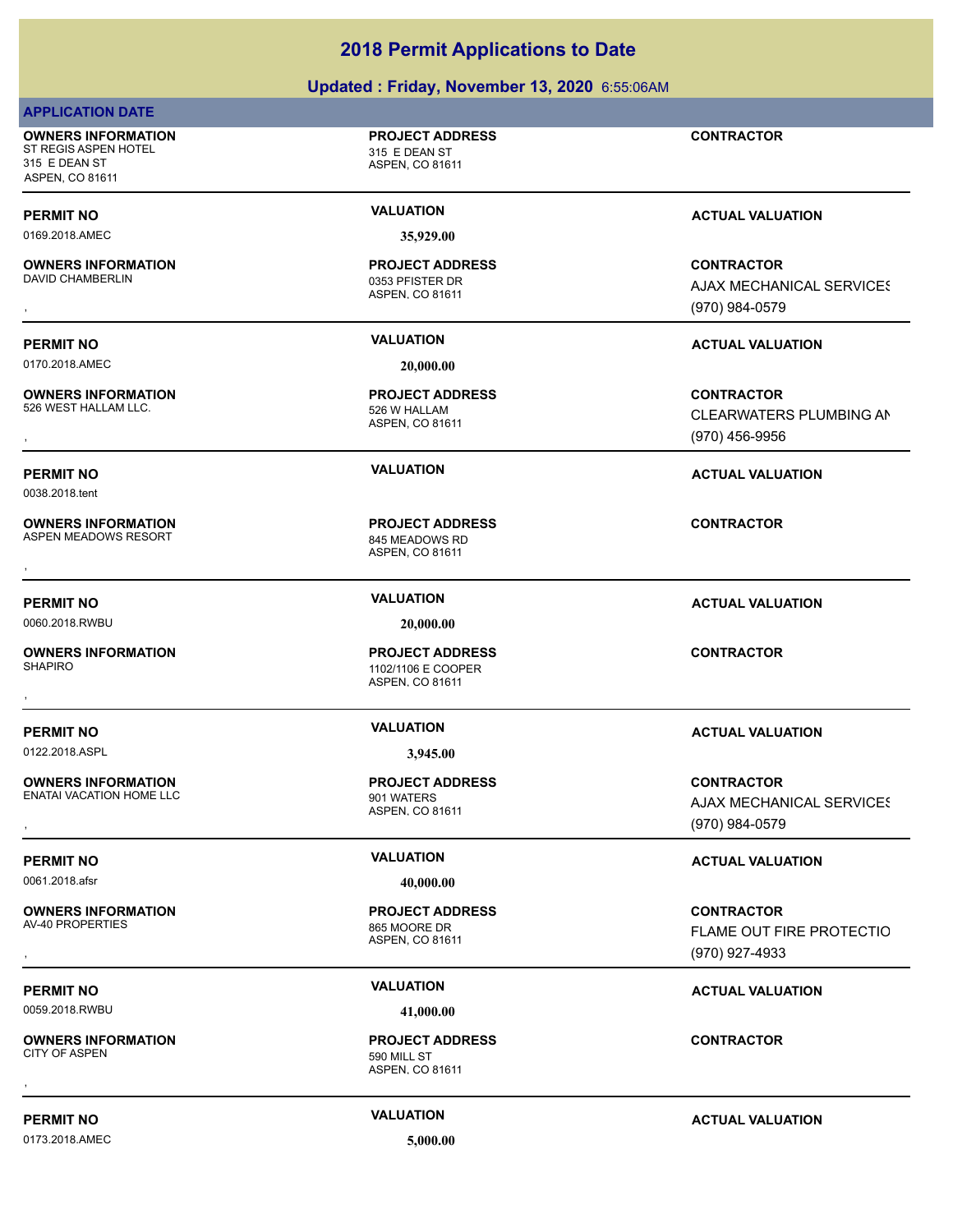|                                                                                       | <b>2018 Permit Applications to Date</b>                         |                                                                 |
|---------------------------------------------------------------------------------------|-----------------------------------------------------------------|-----------------------------------------------------------------|
|                                                                                       | Updated: Friday, November 13, 2020 6:55:06AM                    |                                                                 |
| <b>APPLICATION DATE</b>                                                               |                                                                 |                                                                 |
| <b>OWNERS INFORMATION</b><br>ST REGIS ASPEN HOTEL<br>315 E DEAN ST<br>ASPEN, CO 81611 | <b>PROJECT ADDRESS</b><br>315 E DEAN ST<br>ASPEN, CO 81611      | <b>CONTRACTOR</b>                                               |
| <b>PERMIT NO</b>                                                                      | <b>VALUATION</b>                                                | <b>ACTUAL VALUATION</b>                                         |
| 0169.2018.AMEC                                                                        | 35,929.00                                                       |                                                                 |
| <b>OWNERS INFORMATION</b><br>DAVID CHAMBERLIN                                         | <b>PROJECT ADDRESS</b><br>0353 PFISTER DR<br>ASPEN, CO 81611    | <b>CONTRACTOR</b><br>AJAX MECHANICAL SERVICES<br>(970) 984-0579 |
| <b>PERMIT NO</b>                                                                      | <b>VALUATION</b>                                                | <b>ACTUAL VALUATION</b>                                         |
| 0170.2018.AMEC                                                                        | 20,000.00                                                       |                                                                 |
| <b>OWNERS INFORMATION</b><br>526 WEST HALLAM LLC.                                     | <b>PROJECT ADDRESS</b><br>526 W HALLAM<br>ASPEN, CO 81611       | <b>CONTRACTOR</b><br>CLEARWATERS PLUMBING AN<br>(970) 456-9956  |
| <b>PERMIT NO</b><br>0038.2018.tent                                                    | <b>VALUATION</b>                                                | <b>ACTUAL VALUATION</b>                                         |
| <b>OWNERS INFORMATION</b><br>ASPEN MEADOWS RESORT                                     | <b>PROJECT ADDRESS</b><br>845 MEADOWS RD<br>ASPEN, CO 81611     | <b>CONTRACTOR</b>                                               |
| <b>PERMIT NO</b>                                                                      | <b>VALUATION</b>                                                | <b>ACTUAL VALUATION</b>                                         |
| 0060.2018.RWBU                                                                        | 20,000.00                                                       |                                                                 |
| <b>OWNERS INFORMATION</b><br><b>SHAPIRO</b>                                           | <b>PROJECT ADDRESS</b><br>1102/1106 E COOPER<br>ASPEN, CO 81611 | <b>CONTRACTOR</b>                                               |
| <b>PERMIT NO</b>                                                                      | <b>VALUATION</b>                                                | <b>ACTUAL VALUATION</b>                                         |
| 0122.2018.ASPL                                                                        | 3,945.00                                                        |                                                                 |
| <b>OWNERS INFORMATION</b>                                                             | <b>PROJECT ADDRESS</b>                                          | <b>CONTRACTOR</b>                                               |
| <b>ENATAI VACATION HOME LLC</b>                                                       | 901 WATERS<br>ASPEN, CO 81611                                   | AJAX MECHANICAL SERVICES                                        |
|                                                                                       |                                                                 | (970) 984-0579                                                  |
| <b>PERMIT NO</b>                                                                      | <b>VALUATION</b>                                                | <b>ACTUAL VALUATION</b>                                         |
| 0061.2018.afsr                                                                        | 40,000.00                                                       |                                                                 |
| <b>OWNERS INFORMATION</b><br><b>AV-40 PROPERTIES</b>                                  | <b>PROJECT ADDRESS</b><br>865 MOORE DR<br>ASPEN, CO 81611       | <b>CONTRACTOR</b><br>FLAME OUT FIRE PROTECTIO                   |
|                                                                                       |                                                                 | (970) 927-4933                                                  |
| <b>PERMIT NO</b>                                                                      | <b>VALUATION</b>                                                | <b>ACTUAL VALUATION</b>                                         |
| 0059.2018.RWBU                                                                        | 41,000.00                                                       |                                                                 |

**OWNERS INFORMATION** CITY OF ASPEN 590 MILL ST , **CONTRACTOR**

0173.2018.AMEC **5,000.00**

**PERMIT NO CONSUMITY ACTUAL VALUATION VALUATION ACTUAL VALUATION** 

ASPEN, CO 81611

**PROJECT ADDRESS**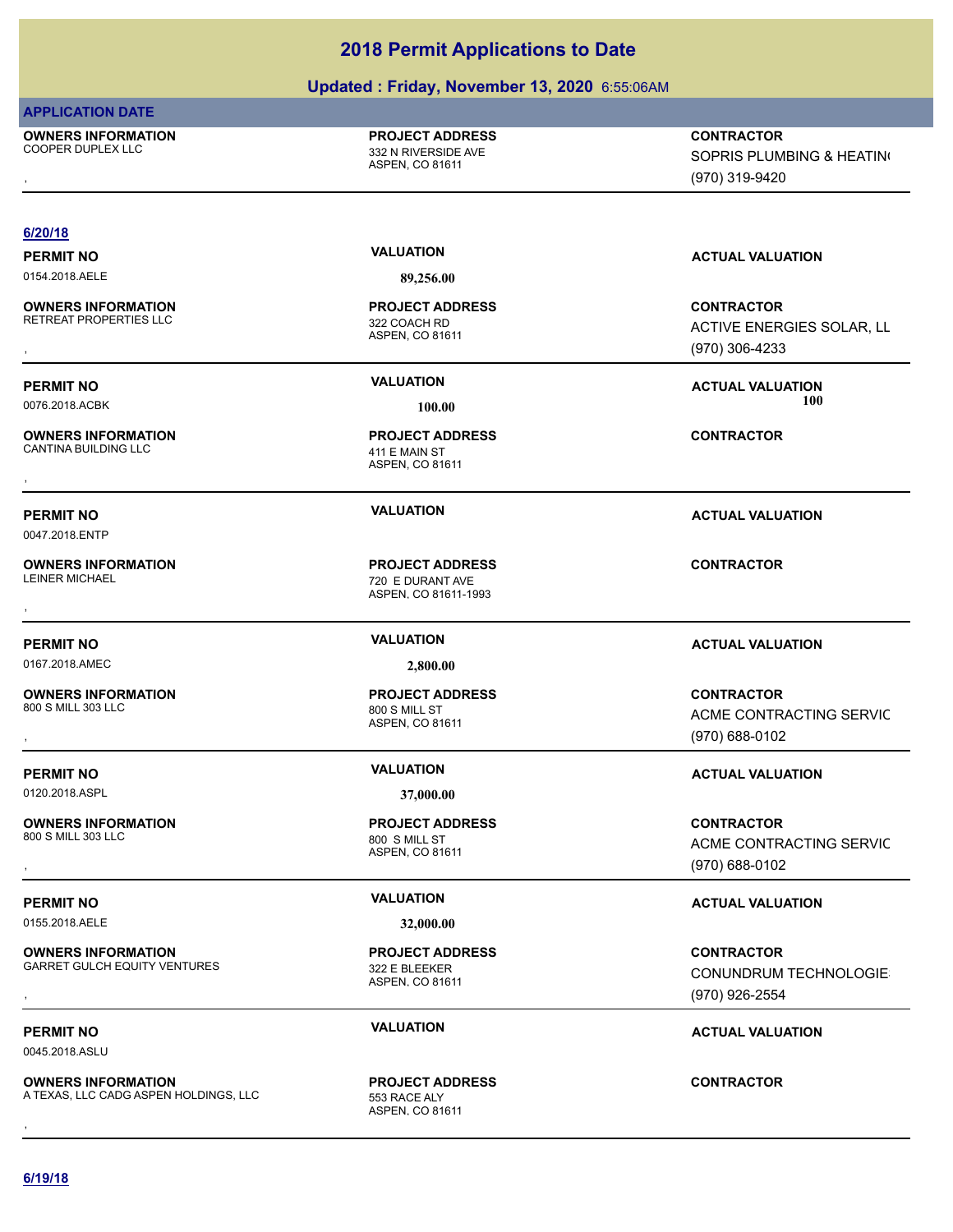### **Updated : Friday, November 13, 2020** 6:55:06AM

### **APPLICATION DATE**

**OWNERS INFORMATION**

ASPEN, CO 81611 COOPER DUPLEX LLC **COOPER DUPLEX LLC PROJECT ADDRESS OWNERS INFORMATION PROJECT ADDRESS CONTRACTOR**<br>COOPER DUPLEX LLC 332 N RIVERSIDE AVE SOPRIS PLUMBING & HEATIN(<br>, ASPEN. CO 81611

SOPRIS PLUMBING & HEATING

(970) 319-9420

### **6/20/18**

0154.2018.AELE **89,256.00**

**OWNERS INFORMATION** RETREAT PROPERTIES LLC<br>322 COACH RD

**OWNERS INFORMATION** CANTINA BUILDING LLC 411 E MAIN ST

# 0047.2018.ENTP

**OWNERS INFORMATION**

0167.2018.AMEC **2,800.00**

**OWNERS INFORMATION**

0120.2018.ASPL **37,000.00**

**OWNERS INFORMATION** 800 S MILL 303 LLC 800 S MILL ST

0155.2018.AELE **32,000.00**

### **OWNERS INFORMATION** GARRET GULCH EQUITY VENTURES 322 E BLEEKER

0045.2018.ASLU

**OWNERS INFORMATION** A TEXAS, LLC CADG ASPEN HOLDINGS, LLC 553 RACE ALY **OWNERS INFORMATION CONTRACTOR REGIST PROJECT ADDRESS CONTRACTOR CONTRACTOR**<br>A TEXAS, LLC CADG ASPEN HOLDINGS, LLC CONTRACTOR ASPEN. CO 81611<br>,

ASPEN, CO 81611 **PROJECT ADDRESS**

ASPEN, CO 81611 **PROJECT ADDRESS** , **CONTRACTOR**

ASPEN, CO 81611-1993 720 E DURANT AVE **PROJECT ADDRESS** , **CONTRACTOR**

ASPEN, CO 81611 800 S MILL ST **PROJECT ADDRESS**

ASPEN, CO 81611 **PROJECT ADDRESS**

ASPEN, CO 81611 **PROJECT ADDRESS**

ASPEN, CO 81611 **PROJECT ADDRESS**

**PERMIT NO VALUATION ACTUAL VALUATION**

**OWNERS INFORMATION GOVERNED BY A SERVICE OF A DURESS CONTRACTOR CONTRACTOR**<br>RETREAT PROPERTIES LLC GOVERNED ASPEN, CO 81611 GOVERNED A SAN MORE ACTIVE ENERGIES SOLAR, LL<br>RETREAT PROPERTIES LLC GOVERNED ASPEN, CO 81611 GOV ACTIVE ENERGIES SOLAR, LL (970) 306-4233

**PERMIT NO VALUATION VALUATION VALUATION** 0076.2018.ACBK **100.00 100.00**

**PERMIT NO VALUATION VALUATION VALUATION** 

### **PERMIT NO VALUATION ACTUAL VALUATION**

, **CONTRACTOR** ACME CONTRACTING SERVIC (970) 688-0102

### **PERMIT NO VALUATION ACTUAL VALUATION**

, **CONTRACTOR** ACME CONTRACTING SERVIC (970) 688-0102

### **PERMIT NO VALUATION ACTUAL VALUATION**

**OWNERS INFORMATION METALLY CONTRACTOR DESCRIPTION ON MERSUARY PROJECT ADDRESS ARRET GULCH EQUITY VENTURES ARRET<br>GARRET GULCH EQUITY VENTURES ASPEN ASPEN. CO 81611 ASPEN ASPEN. CO 81611 METALLY MERSUARY ASPEN. CO 81611 MER** CONUNDRUM TECHNOLOGIES (970) 926-2554

# **PERMIT NO VALUATION VALUATION VALUATION**

**6/19/18**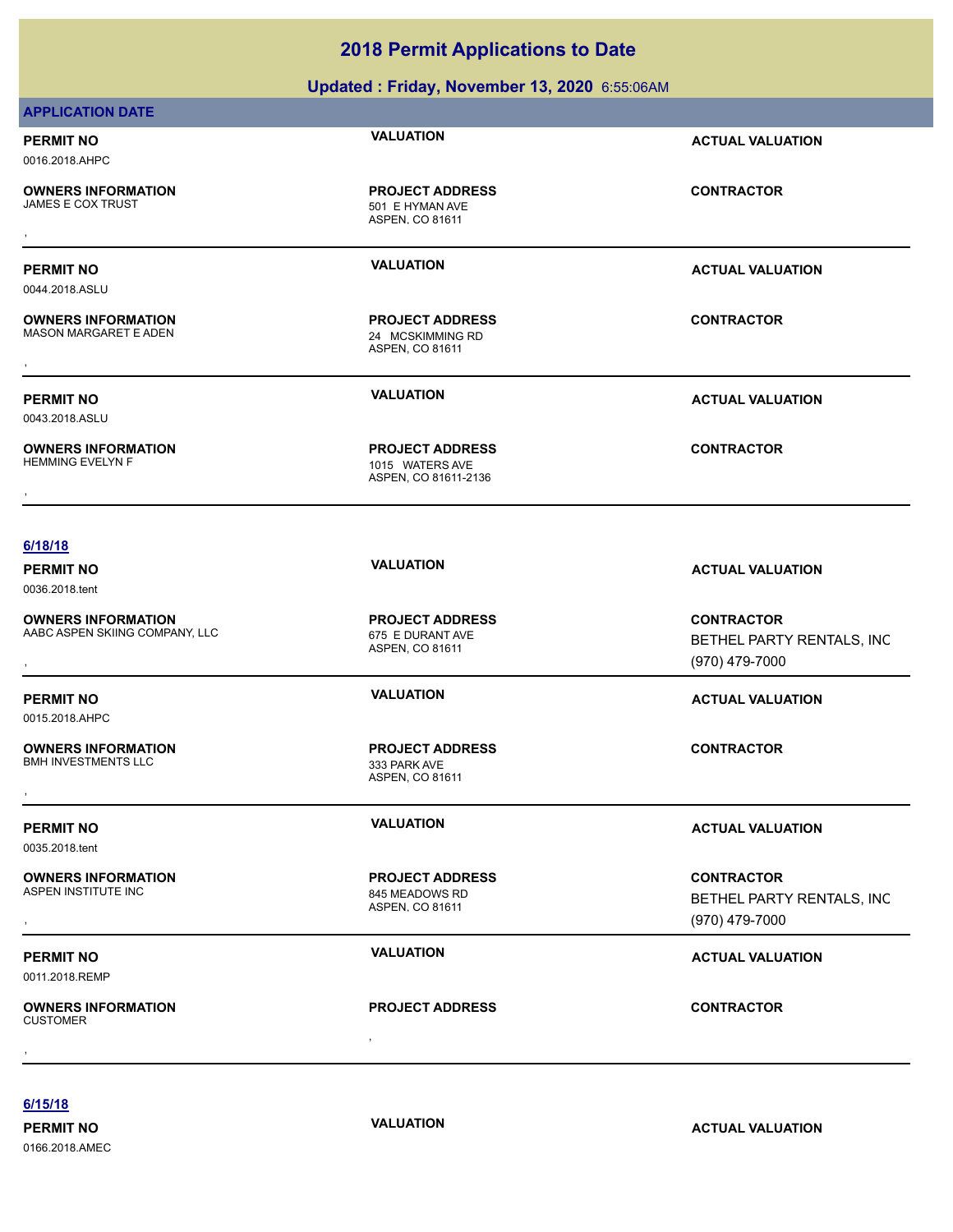**Updated : Friday, November 13, 2020** 6:55:06AM

| PERMIT NO<br>0016.2018.AHPC                               | <b>VALUATION</b>                                              | <b>ACTUAL VALUATION</b> |
|-----------------------------------------------------------|---------------------------------------------------------------|-------------------------|
| <b>OWNERS INFORMATION</b><br>JAMES E COX TRUST            | <b>PROJECT ADDRESS</b><br>501 E HYMAN AVE<br>ASPEN, CO 81611  | <b>CONTRACTOR</b>       |
| PERMIT NO<br>0044.2018.ASLU                               | <b>VALUATION</b>                                              | <b>ACTUAL VALUATION</b> |
| <b>OWNERS INFORMATION</b><br><b>MASON MARGARET E ADEN</b> | <b>PROJECT ADDRESS</b><br>24 MCSKIMMING RD<br>ASPEN, CO 81611 | <b>CONTRACTOR</b>       |
| PERMIT NO<br>0043.2018.ASLU                               | <b>VALUATION</b>                                              | <b>ACTUAL VALUATION</b> |
| <b>OWNERS INFORMATION</b><br><b>HEMMING EVELYN F</b>      | <b>PROJECT ADDRESS</b><br>1015 WATERS AVE                     | <b>CONTRACTOR</b>       |
| $\overline{\phantom{a}}$                                  | ASPEN, CO 81611-2136                                          |                         |

0036.2018.tent

**APPLICATION DATE**

**OWNERS INFORMATION** AABC ASPEN SKIING COMPANY, LLC 675 E DURANT AVE

0015.2018.AHPC

**OWNERS INFORMATION**

BMH INVESTMENTS LLC 333 PARK AVE , **CONTRACTOR**

0035.2018.tent

**OWNERS INFORMATION** ASPEN INSTITUTE INC<br>
845 MEADOWS RD

0011.2018.REMP

, **OWNERS INFORMATION** CUSTOMER , **CONTRACTOR**

**PERMIT NO VALUATION ACTUAL VALUATION**

, **CONTRACTOR** BETHEL PARTY RENTALS, INC (970) 479-7000

### **PERMIT NO VALUATION ACTUAL VALUATION**

**PERMIT NO CONSUMITY OF A CONSUMITY OF A CONSUMITY OF A CONSUMITY OF A CTUAL VALUATION** 

, **CONTRACTOR** BETHEL PARTY RENTALS, INC (970) 479-7000

# **PERMIT NO VALUATION VALUATION VALUATION**

**6/15/18**

0166.2018.AMEC

**PERMIT NO CONSUMITY ACTUAL VALUATION VALUATION VALUATION** 

**PROJECT ADDRESS**

**PROJECT ADDRESS**

ASPEN, CO 81611

ASPEN, CO 81611

ASPEN, CO 81611

**PROJECT ADDRESS**

**PROJECT ADDRESS**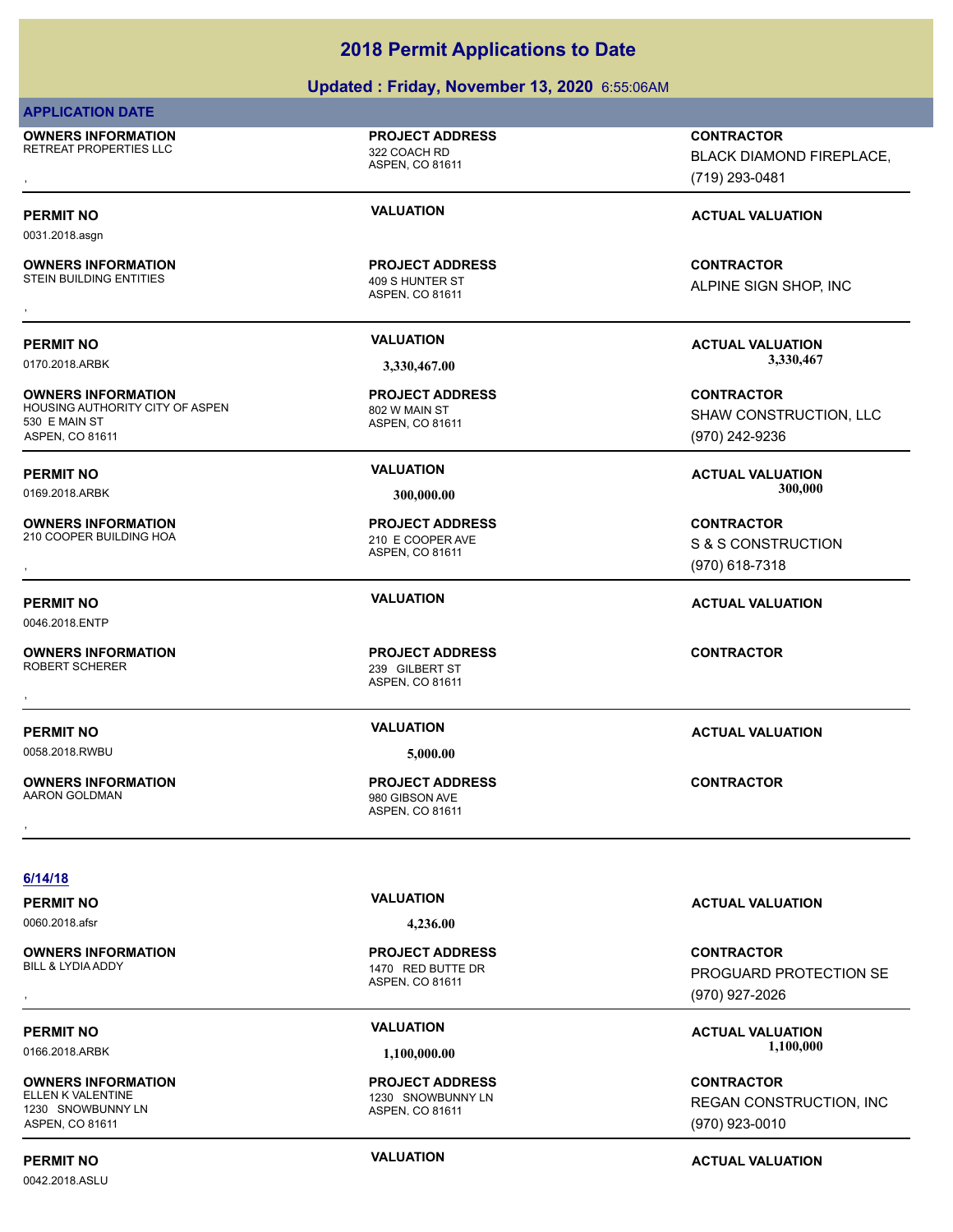### **Updated : Friday, November 13, 2020** 6:55:06AM

### **APPLICATION DATE**

0031.2018.asgn

530 E MAIN ST ASPEN, CO 81611

0046.2018.ENTP

**OWNERS INFORMATION** RETREAT PROPERTIES LLC<br>322 COACH RD

**OWNERS INFORMATION**

**OWNERS INFORMATION**

**OWNERS INFORMATION**

**OWNERS INFORMATION**

**PROJECT ADDRESS**

ASPEN, CO 81611

ASPEN, CO 81611 STEIN BUILDING ENTITIES 409 S HUNTER ST **PROJECT ADDRESS OWNERS INFORMATION CONTRACTOR REGIST PROJECT ADDRESS CONTRACTOR CONTRACTOR**<br>STEIN BUILDING ENTITIES THE REGIST ASPEN, CO 81611<br>,

ASPEN, CO 81611 HOUSING AUTHORITY CITY OF ASPEN 802 W MAIN ST **PROJECT ADDRESS**

ASPEN, CO 81611 210 COOPER BUILDING HOA 210 E COOPER AVE **PROJECT ADDRESS**

239 GILBERT ST , **CONTRACTOR**

ASPEN, CO 81611 980 GIBSON AVE **PROJECT ADDRESS** BLACK DIAMOND FIREPLACE,

**OWNERS INFORMATION GOVERNED BY A SERVICE PROJECT ADDRESS ARE THE CONTRACTOR CONTRACTOR**<br>RETREAT PROPERTIES LLC ASPEN ASPEN. CO 81611<br>ASPEN. CO 81611 GOVERNED (719) 293-0481, GOVERNED (719) 293-0481 (719) 293-0481

### **PERMIT NO VALUATION VALUATION VALUATION**

ALPINE SIGN SHOP, INC

**PERMIT NO VALUATION ACTUAL VALUATION** 0170.2018.ARBK **3,330,467.00 3,330,467.00**

> **CONTRACTOR** SHAW CONSTRUCTION, LLC (970) 242-9236

**PERMIT NO VALUATION ACTUAL VALUATION** 0169.2018.ARBK **300,000.00 300,000.00**

, **CONTRACTOR** S & S CONSTRUCTION (970) 618-7318

### **6/14/18**

0060.2018.afsr **4,236.00**

**OWNERS INFORMATION**

**OWNERS INFORMATION** 1230 SNOWBUNNY LN ASPEN, CO 81611

ASPEN, CO 81611

1230 SNOWBUNNY LN **PROJECT ADDRESS**

ASPEN, CO 81611

1470 RED BUTTE DR **PROJECT ADDRESS**

**PERMIT NO VALUATION ACTUAL VALUATION**

, **CONTRACTOR** PROGUARD PROTECTION SE (970) 927-2026

PERMIT NO **SALUATION VALUATION**<br>1,100,000 **MBC 2018 ACTUAL VALUATION** 0166.2018.ARBK **1,100,000.00 1,100,000.00**

> **CONTRACTOR** REGAN CONSTRUCTION, INC (970) 923-0010

# **PERMIT NO CONSUMITY ACTUAL VALUATION VALUATION VALUATION**

0042.2018.ASLU

**PERMIT NO VALUATION ACTUAL VALUATION** 0058.2018.RWBU **5,000.00 OWNERS INFORMATION** , **CONTRACTOR**

**PERMIT NO VALUATION ACTUAL VALUATION**

ASPEN, CO 81611

**PROJECT ADDRESS**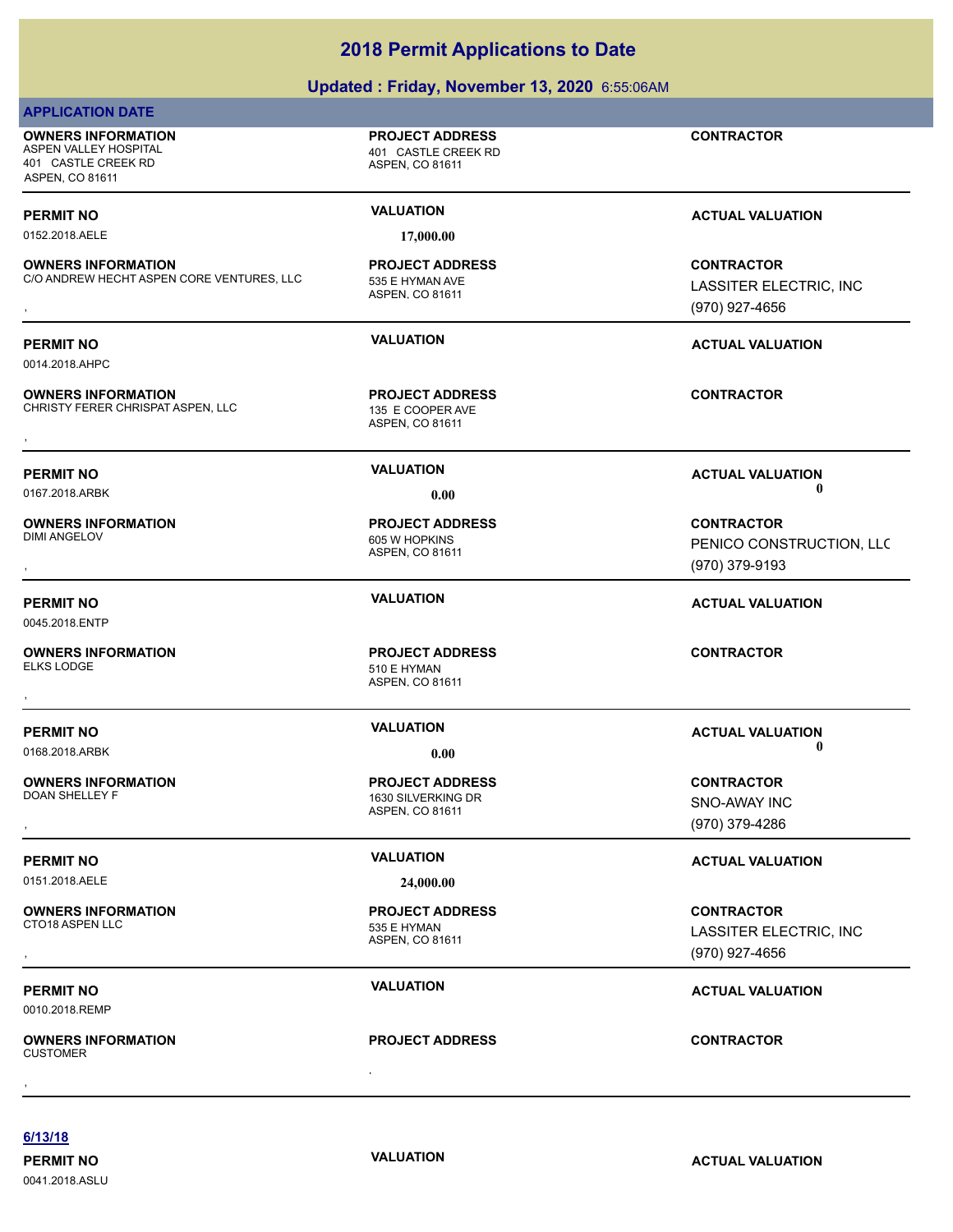|                                                                                              | <b>2018 Permit Applications to Date</b>                          |                                                                 |
|----------------------------------------------------------------------------------------------|------------------------------------------------------------------|-----------------------------------------------------------------|
|                                                                                              | Updated: Friday, November 13, 2020 6:55:06AM                     |                                                                 |
| <b>APPLICATION DATE</b>                                                                      |                                                                  |                                                                 |
| <b>OWNERS INFORMATION</b><br>ASPEN VALLEY HOSPITAL<br>401 CASTLE CREEK RD<br>ASPEN, CO 81611 | <b>PROJECT ADDRESS</b><br>401 CASTLE CREEK RD<br>ASPEN, CO 81611 | <b>CONTRACTOR</b>                                               |
| <b>PERMIT NO</b><br>0152.2018.AELE                                                           | <b>VALUATION</b><br>17,000.00                                    | <b>ACTUAL VALUATION</b>                                         |
| <b>OWNERS INFORMATION</b><br>C/O ANDREW HECHT ASPEN CORE VENTURES, LLC                       | <b>PROJECT ADDRESS</b><br>535 E HYMAN AVE<br>ASPEN, CO 81611     | <b>CONTRACTOR</b><br>LASSITER ELECTRIC, INC<br>(970) 927-4656   |
| <b>PERMIT NO</b><br>0014.2018.AHPC                                                           | <b>VALUATION</b>                                                 | <b>ACTUAL VALUATION</b>                                         |
| <b>OWNERS INFORMATION</b><br>CHRISTY FERER CHRISPAT ASPEN, LLC                               | <b>PROJECT ADDRESS</b><br>135 E COOPER AVE<br>ASPEN, CO 81611    | <b>CONTRACTOR</b>                                               |
| <b>PERMIT NO</b><br>0167.2018.ARBK                                                           | <b>VALUATION</b><br>0.00                                         | <b>ACTUAL VALUATION</b><br>Ð                                    |
| <b>OWNERS INFORMATION</b><br><b>DIMI ANGELOV</b>                                             | <b>PROJECT ADDRESS</b><br>605 W HOPKINS<br>ASPEN, CO 81611       | <b>CONTRACTOR</b><br>PENICO CONSTRUCTION, LLC<br>(970) 379-9193 |
| <b>PERMIT NO</b><br>0045.2018.ENTP                                                           | <b>VALUATION</b>                                                 | <b>ACTUAL VALUATION</b>                                         |

**OWNERS INFORMATION** , **CONTRACTOR**

**OWNERS INFORMATION**

0151.2018.AELE **24,000.00**

**OWNERS INFORMATION**

0010.2018.REMP

, **OWNERS INFORMATION** CUSTOMER , **CONTRACTOR**

ASPEN, CO 81611

510 E HYMAN

**PROJECT ADDRESS**

ASPEN, CO 81611 1630 SILVERKING DR **PROJECT ADDRESS**

ASPEN, CO 81611 535 E HYMAN **PROJECT ADDRESS**

### **PROJECT ADDRESS**

**PERMIT NO**<br>0 **VALUATION**<br>0 **VALUATION** 0168.2018.ARBK **0.00 0.00**

, **CONTRACTOR** SNO-AWAY INC (970) 379-4286

# **PERMIT NO VALUATION VALUATION VALUATION**

, **CONTRACTOR** LASSITER ELECTRIC, INC (970) 927-4656

# **PERMIT NO VALUATION VALUATION ACTUAL VALUATION**

**6/13/18**

0041.2018.ASLU

**PERMIT NO CONSUMITY ACTUAL VALUATION VALUATION VALUATION**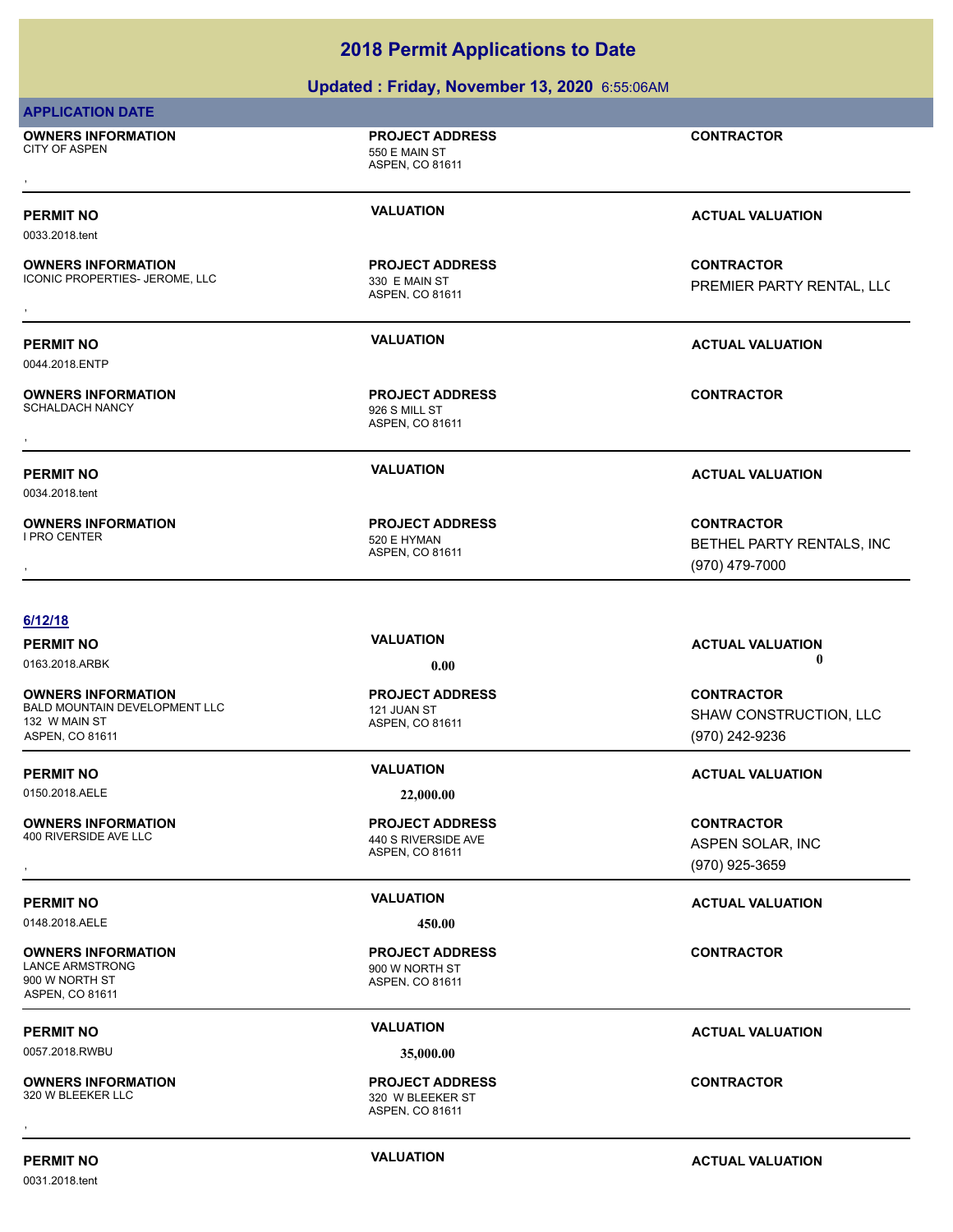|                                                                                                | Updated: Friday, November 13, 2020 6:55:06AM                                  |                                                                  |
|------------------------------------------------------------------------------------------------|-------------------------------------------------------------------------------|------------------------------------------------------------------|
| <b>APPLICATION DATE</b>                                                                        |                                                                               |                                                                  |
| <b>OWNERS INFORMATION</b><br><b>CITY OF ASPEN</b>                                              | <b>PROJECT ADDRESS</b><br>550 E MAIN ST<br>ASPEN, CO 81611                    | <b>CONTRACTOR</b>                                                |
| <b>PERMIT NO</b><br>0033.2018.tent                                                             | <b>VALUATION</b>                                                              | <b>ACTUAL VALUATION</b>                                          |
| <b>OWNERS INFORMATION</b><br>ICONIC PROPERTIES- JEROME, LLC                                    | <b>PROJECT ADDRESS</b><br>330 E MAIN ST<br>ASPEN, CO 81611                    | <b>CONTRACTOR</b><br>PREMIER PARTY RENTAL, LLC                   |
| <b>PERMIT NO</b><br>0044.2018.ENTP                                                             | <b>VALUATION</b>                                                              | <b>ACTUAL VALUATION</b>                                          |
| <b>OWNERS INFORMATION</b><br><b>SCHALDACH NANCY</b>                                            | <b>PROJECT ADDRESS</b><br>926 S MILL ST<br>ASPEN, CO 81611                    | <b>CONTRACTOR</b>                                                |
| <b>PERMIT NO</b><br>0034.2018.tent                                                             | <b>VALUATION</b>                                                              | <b>ACTUAL VALUATION</b>                                          |
| <b>OWNERS INFORMATION</b><br>I PRO CENTER                                                      | <b>PROJECT ADDRESS</b><br>520 E HYMAN<br>ASPEN, CO 81611                      | <b>CONTRACTOR</b><br>BETHEL PARTY RENTALS, INC<br>(970) 479-7000 |
| 6/12/18                                                                                        |                                                                               |                                                                  |
| <b>PERMIT NO</b><br>0163.2018.ARBK                                                             | <b>VALUATION</b><br>0.00                                                      | <b>ACTUAL VALUATION</b><br>0                                     |
| <b>OWNERS INFORMATION</b><br>BALD MOUNTAIN DEVELOPMENT LLC<br>132 W MAIN ST<br>ASPEN, CO 81611 | <b>PROJECT ADDRESS</b><br>121 JUAN ST<br>ASPEN, CO 81611                      | <b>CONTRACTOR</b><br>SHAW CONSTRUCTION, LLC<br>(970) 242-9236    |
| <b>PERMIT NO</b>                                                                               | <b>VALUATION</b>                                                              | <b>ACTUAL VALUATION</b>                                          |
| 0150.2018.AELE<br><b>OWNERS INFORMATION</b><br>400 RIVERSIDE AVE LLC                           | 22,000.00<br><b>PROJECT ADDRESS</b><br>440 S RIVERSIDE AVE<br>ASPEN, CO 81611 | <b>CONTRACTOR</b><br>ASPEN SOLAR, INC<br>(970) 925-3659          |
| <b>PERMIT NO</b><br>0148.2018.AELE                                                             | <b>VALUATION</b><br>450.00                                                    | <b>ACTUAL VALUATION</b>                                          |
| <b>OWNERS INFORMATION</b><br><b>LANCE ARMSTRONG</b><br>900 W NORTH ST<br>ASPEN, CO 81611       | <b>PROJECT ADDRESS</b><br>900 W NORTH ST<br>ASPEN, CO 81611                   | <b>CONTRACTOR</b>                                                |
| <b>PERMIT NO</b><br>0057.2018.RWBU                                                             | <b>VALUATION</b><br>35,000.00                                                 | <b>ACTUAL VALUATION</b>                                          |
| <b>OWNERS INFORMATION</b><br>320 W BLEEKER LLC                                                 | <b>PROJECT ADDRESS</b><br>320 W BLEEKER ST<br>ASPEN, CO 81611                 | <b>CONTRACTOR</b>                                                |
|                                                                                                |                                                                               |                                                                  |

0031.2018.tent

**PERMIT NO CONSUMITY ACTUAL VALUATION VALUATION ACTUAL VALUATION**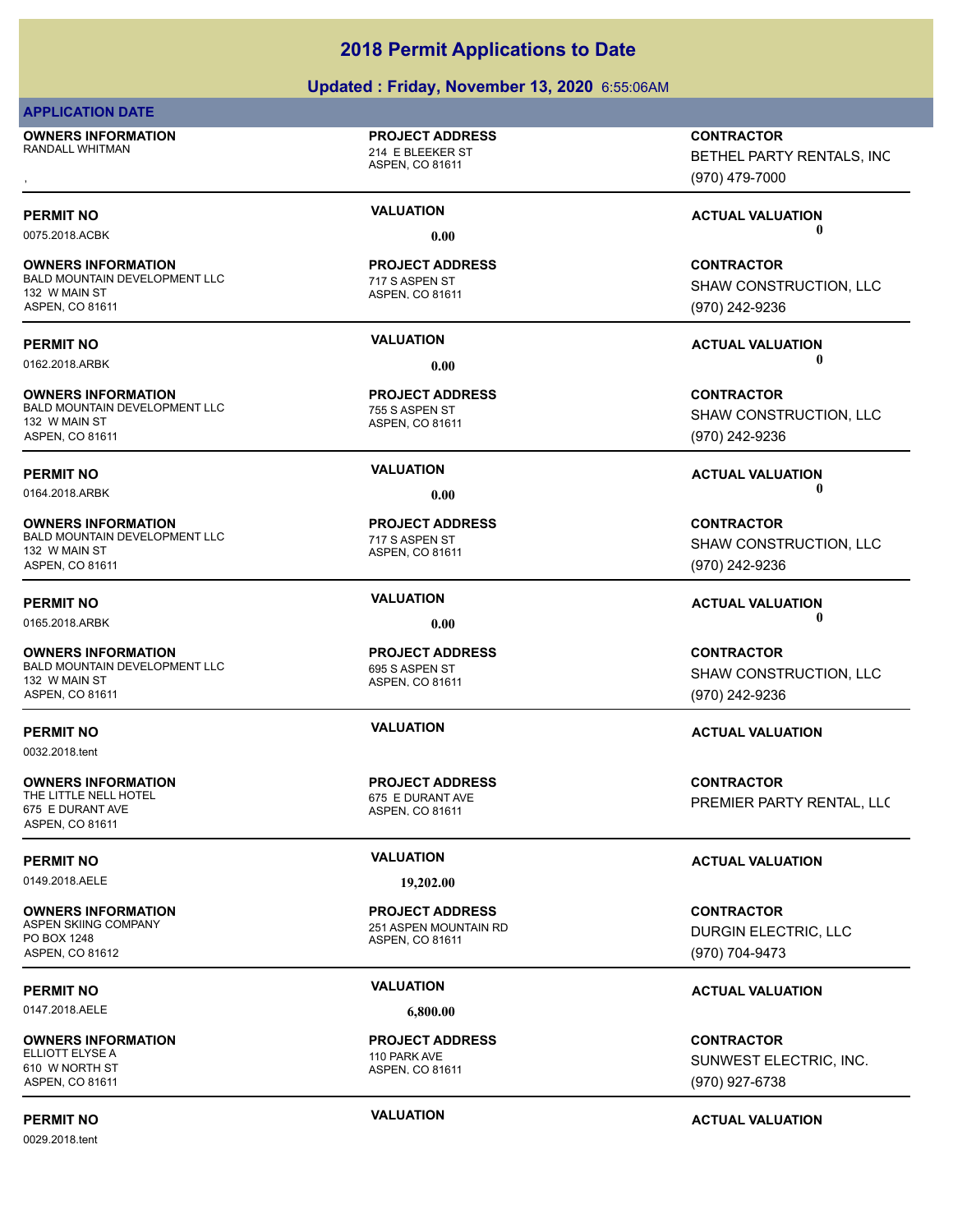### **Updated : Friday, November 13, 2020** 6:55:06AM

### **APPLICATION DATE**

**OWNERS INFORMATION** RANDALL WHITMAN 214 E BLEEKER ST **OWNERS INFORMATION PROJECT ADDRESS CONTRACTOR**<br>RANDALL WHITMAN 214 E BLEEKER ST BETHEL PARTY RENTALS, INC<br>, ASPEN. CO 81611

### **PROJECT ADDRESS**

ASPEN, CO 81611

### **OWNERS INFORMATION** BALD MOUNTAIN DEVELOPMENT LLC<br>
717 S ASPEN ST 132 W MAIN ST ASPEN, CO 81611

**OWNERS INFORMATION** BALD MOUNTAIN DEVELOPMENT LLC<br>
755 S ASPEN ST

132 W MAIN ST ASPEN, CO 81611

**OWNERS INFORMATION** BALD MOUNTAIN DEVELOPMENT LLC<br>
717 S ASPEN ST 132 W MAIN ST ASPEN, CO 81611

### **OWNERS INFORMATION** BALD MOUNTAIN DEVELOPMENT LLC<br>695 S ASPEN ST 132 W MAIN ST ASPEN, CO 81611

0032.2018.tent

**OWNERS INFORMATION** THE LITTLE NELL HOTEL **CONTRACT CONTRACT AND STATE OF A SET OF A STATE OF A STATE OF A STATE OF A STATE OF A ST** 675 E DURANT AVE ASPEN, CO 81611

0149.2018.AELE **19,202.00**

**OWNERS INFORMATION** PO BOX 1248 ASPEN, CO 81612

0147.2018.AELE **6,800.00**

**OWNERS INFORMATION** ELLIOTT ELYSE A 110 PARK AVE 610 W NORTH ST ASPEN, CO 81611

0029.2018.tent

**PERMIT NO VALUATION ACTUAL VALUATION** 0075.2018.ACBK **0.00 0.00**

# ASPEN, CO 81611 **PROJECT ADDRESS**

ASPEN, CO 81611 **PROJECT ADDRESS**

ASPEN, CO 81611 **PROJECT ADDRESS**

ASPEN, CO 81611

ASPEN, CO 81611 **PROJECT ADDRESS**

ASPEN, CO 81611 251 ASPEN MOUNTAIN RD **PROJECT ADDRESS**

(970) 479-7000

**CONTRACTOR** SHAW CONSTRUCTION, LLC (970) 242-9236

BETHEL PARTY RENTALS, INC

**PERMIT NO VALUATION ACTUAL VALUATION** 0162.2018.ARBK **0.00 0.00**

> **CONTRACTOR** SHAW CONSTRUCTION, LLC (970) 242-9236

## **PERMIT NO VALUATION ACTUAL VALUATION** 0164.2018.ARBK **0.00 0.00**

**CONTRACTOR** SHAW CONSTRUCTION, LLC (970) 242-9236

0165.2018.ARBK **0.00 0.00**

**CONTRACTOR** SHAW CONSTRUCTION, LLC (970) 242-9236

### **PERMIT NO VALUATION ACTUAL VALUATION**

**CONTRACTOR** PREMIER PARTY RENTAL, LLC

## **PERMIT NO VALUATION VALUATION VALUATION**

**CONTRACTOR** DURGIN ELECTRIC, LLC (970) 704-9473

### **PERMIT NO VALUATION ACTUAL VALUATION**

**CONTRACTOR** SUNWEST ELECTRIC, INC. (970) 927-6738

ASPEN, CO 81611

**PROJECT ADDRESS**

**PERMIT NO VALUATION ACTUAL VALUATION**

**PERMIT NO VALUATION ACTUAL VALUATION**

**PROJECT ADDRESS**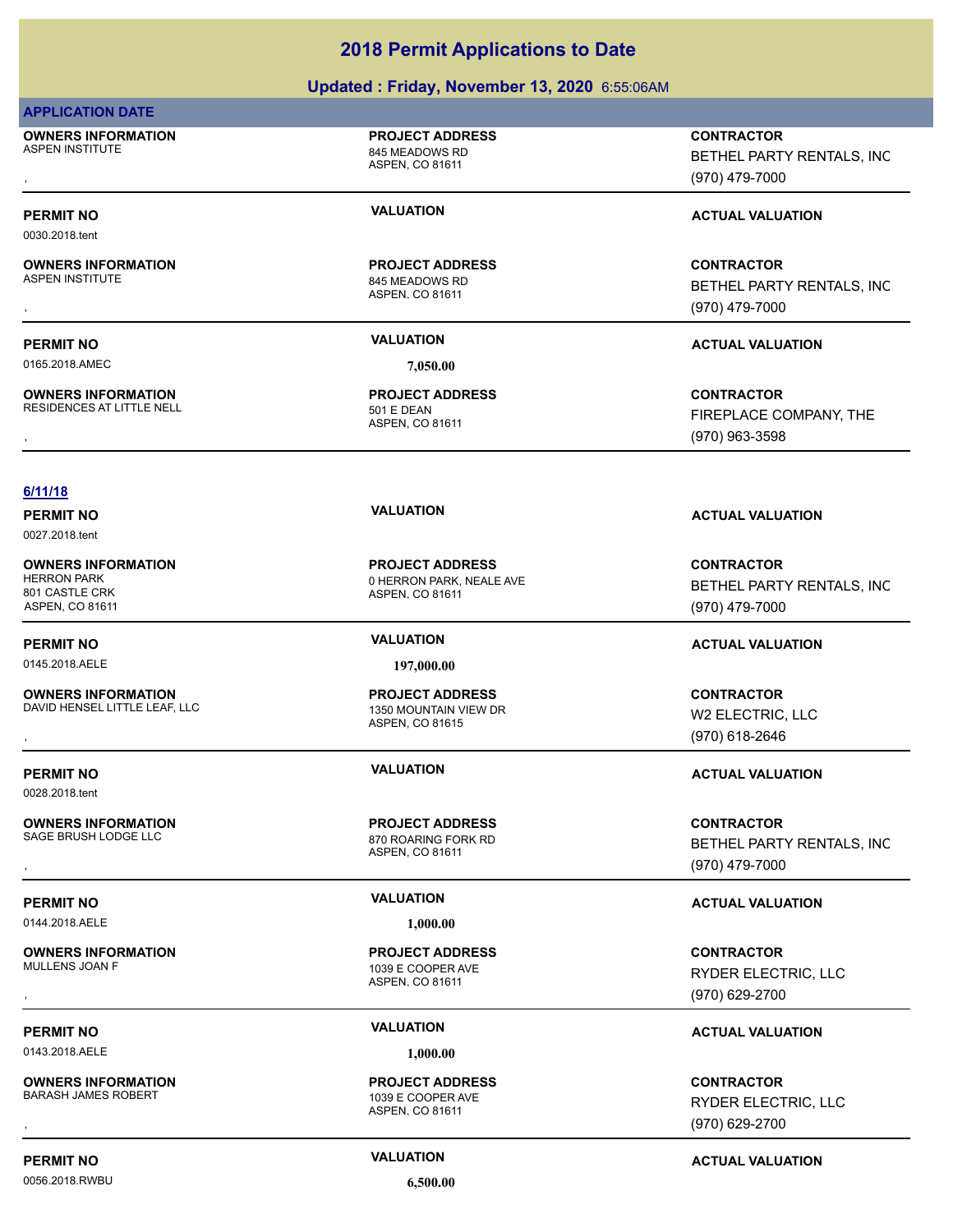### **Updated : Friday, November 13, 2020** 6:55:06AM

### **APPLICATION DATE**

0030.2018.tent

**OWNERS INFORMATION** ASPEN INSTITUTE ASPEN INSTITUTE

**OWNERS INFORMATION**<br>ASPEN INSTITUTE

**OWNERS INFORMATION**

ASPEN, CO 81611

**PROJECT ADDRESS**

ASPEN, CO 81611 845 MEADOWS RD **PROJECT ADDRESS**

0165.2018.AMEC **7,050.00**

ASPEN, CO 81611 RESIDENCES AT LITTLE NELL 501 E DEAN **PROJECT ADDRESS**

### **6/11/18**

0027.2018.tent

**OWNERS INFORMATION** 801 CASTLE CRK ASPEN, CO 81611

**OWNERS INFORMATION**<br>DAVID HENSEL LITTLE LEAF. LLC

0028.2018.tent

**OWNERS INFORMATION**

0144.2018.AELE **1,000.00**

**OWNERS INFORMATION**

0143.2018.AELE **1,000.00**

**OWNERS INFORMATION**

0056.2018.RWBU 6,500.00

ASPEN, CO 81611 0 HERRON PARK, NEALE AVE **PROJECT ADDRESS**

0145.2018.AELE **197,000.00**

ASPEN, CO 81615 1350 MOUNTAIN VIEW DR **PROJECT ADDRESS**

ASPEN, CO 81611 870 ROARING FORK RD **PROJECT ADDRESS**

ASPEN, CO 81611 1039 E COOPER AVE **PROJECT ADDRESS**

ASPEN, CO 81611 1039 E COOPER AVE **PROJECT ADDRESS**

, **CONTRACTOR** BETHEL PARTY RENTALS, INC (970) 479-7000

**PERMIT NO VALUATION VALUATION VALUATION** 

**OWNERS INFORMATION PROJECT ADDRESS CONTRACTOR**<br>ASPEN INSTITUTE 845 MEADOWS RD BETHEL PARTY RENTALS, INC<br>, ASPEN, CO 81611 BETHEL PARTY RENTALS, INC (970) 479-7000

### **PERMIT NO VALUATION ACTUAL VALUATION**

**OWNERS INFORMATION GOVERNED BY A SERVICE PROJECT ADDRESS ARE SIDENCES CONTRACTOR**<br>RESIDENCES AT LITTLE NELL **A SPEN A SPEN, CO 81611**<br>ASPEN, CO 81611 (970) 963-3598 FIREPLACE COMPANY, THE (970) 963-3598

# **PERMIT NO VALUATION VALUATION VALUATION**

**CONTRACTOR** BETHEL PARTY RENTALS, INC (970) 479-7000

### **PERMIT NO VALUATION ACTUAL VALUATION**

**OWNERS INFORMATION LEADURED BY A SERVICE TO A SERVICE ADDRESS AND RESOURCE TO A SERVICE TO A SERVICE TO A SERV**<br>DAVID HENSEL LITTLE LEAF, LLC **A SERVICE A SERVICE ADDRED A SPEN. CO 81615**<br>, Many 1970) 618-2646 W2 ELECTRIC, LLC (970) 618-2646

### **PERMIT NO VALUATION ACTUAL VALUATION**

**OWNERS INFORMATION PROJECT ADDRESS CONTRACTOR**<br>SAGE BRUSH LODGE LLC 870 ROARING FORK RD BETHEL PARTY RENTALS, INC<br>, ASPEN, CO 81611 BETHEL PARTY RENTALS, INC (970) 479-7000

### **PERMIT NO VALUATION ACTUAL VALUATION**

, **CONTRACTOR** RYDER ELECTRIC, LLC (970) 629-2700

## **PERMIT NO VALUATION ACTUAL VALUATION**

, **CONTRACTOR** RYDER ELECTRIC, LLC (970) 629-2700

**PERMIT NO CONSUMITY ACTUAL VALUATION VALUATION VALUATION**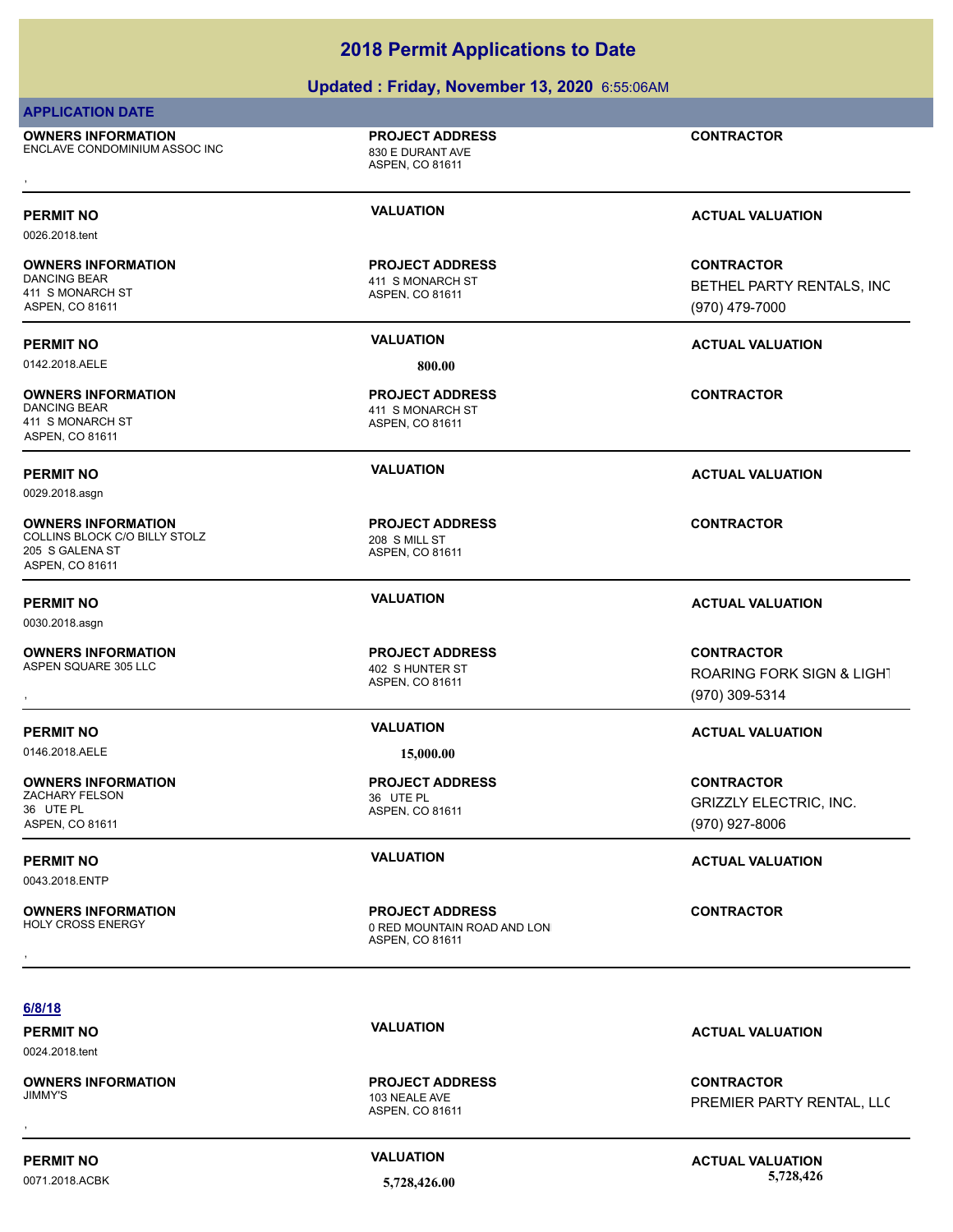## **Updated : Friday, November 13, 2020** 6:55:06AM

## **APPLICATION DATE**

**OWNERS INFORMATION** ENCLAVE CONDOMINIUM ASSOC INC 830 E DURANT AVE **OWNERS INFORMATION CONTRACTOR RESOURS AND PROJECT ADDRESS CONTRACTOR CONTRACTOR**<br>ENCLAVE CONDOMINIUM ASSOC INC ASPEN, CO 81611 ASPEN, CO 81611

ASPEN, CO 81611

**PROJECT ADDRESS**

0026.2018.tent

# **OWNERS INFORMATION**

411 S MONARCH ST ASPEN, CO 81611

0142.2018.AELE **800.00**

### **OWNERS INFORMATION** 411 S MONARCH ST ASPEN, CO 81611

0029.2018.asgn

**OWNERS INFORMATION** COLLINS BLOCK C/O BILLY STOLZ 208 S MILL ST 205 S GALENA ST ASPEN, CO 81611

0030.2018.asgn

### **OWNERS INFORMATION** ASPEN SQUARE 305 LLC 402 S HUNTER ST

0146.2018.AELE **15,000.00**

### **OWNERS INFORMATION** ZACHARY FELSON 36 UTE PL 36 UTE PL

ASPEN, CO 81611

0043.2018.ENTP

# **OWNERS INFORMATION**

**OWNERS INFORMATION**

ASPEN, CO 81611 411 S MONARCH ST **PROJECT ADDRESS**

### ASPEN, CO 81611 411 S MONARCH ST **PROJECT ADDRESS**

ASPEN, CO 81611 **PROJECT ADDRESS**

ASPEN, CO 81611 **PROJECT ADDRESS**

**PROJECT ADDRESS**

ASPEN, CO 81611 0 RED MOUNTAIN ROAD AND LON **PROJECT ADDRESS OWNERS INFORMATION GENERO BY A SET ADDRESS CONTRACTOR CONTRACTOR**<br>HOLY CROSS ENERGY **CONTRACTOR**<br>ASPEN. CO 81611

**PERMIT NO VALUATION VALUATION VALUATION** 

**CONTRACTOR** BETHEL PARTY RENTALS, INC (970) 479-7000

# **PERMIT NO VALUATION ACTUAL VALUATION**

**CONTRACTOR**

**PERMIT NO VALUATION ACTUAL VALUATION**

**CONTRACTOR**

### **PERMIT NO VALUATION ACTUAL VALUATION**

, **CONTRACTOR** ROARING FORK SIGN & LIGHT (970) 309-5314

### **PERMIT NO VALUATION ACTUAL VALUATION**

**CONTRACTOR** GRIZZLY ELECTRIC, INC. (970) 927-8006

## **PERMIT NO VALUATION VALUATION VALUATION**

**PERMIT NO VALUATION ACTUAL VALUATION**

, **CONTRACTOR** PREMIER PARTY RENTAL, LLC

ASPEN, CO 81611

103 NEALE AVE **PROJECT ADDRESS**

**PERMIT NO CONSUMITY ACTUAL VALUATION VALUATION VALUATION** 



0024.2018.tent

ASPEN, CO 81611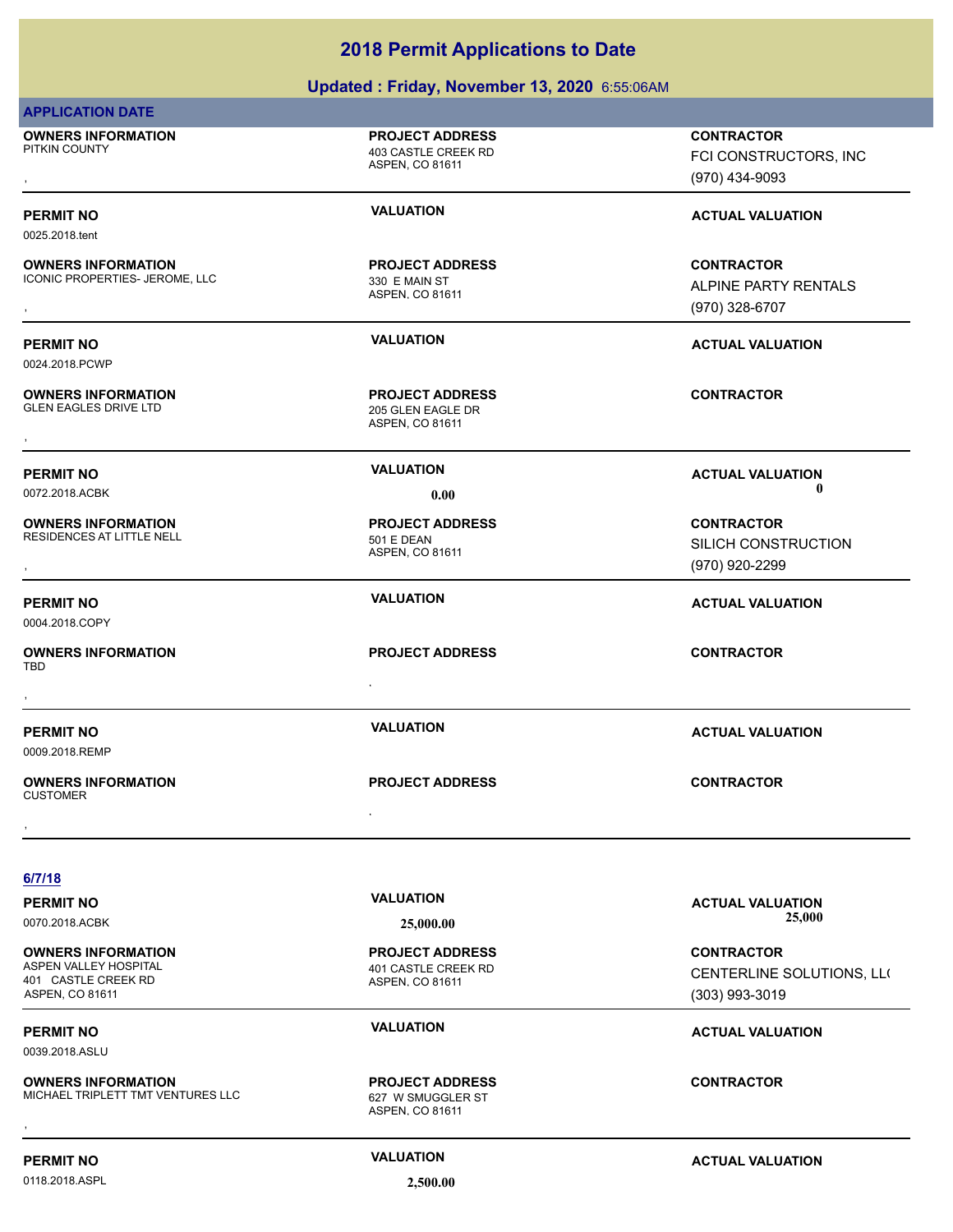# **Updated : Friday, November 13, 2020** 6:55:06AM

| <b>APPLICATION DATE</b>                                                                      |                                                                  |                                                                  |
|----------------------------------------------------------------------------------------------|------------------------------------------------------------------|------------------------------------------------------------------|
| <b>OWNERS INFORMATION</b><br>PITKIN COUNTY                                                   | <b>PROJECT ADDRESS</b><br>403 CASTLE CREEK RD<br>ASPEN, CO 81611 | <b>CONTRACTOR</b><br>FCI CONSTRUCTORS, INC<br>(970) 434-9093     |
| <b>PERMIT NO</b>                                                                             | <b>VALUATION</b>                                                 | <b>ACTUAL VALUATION</b>                                          |
| 0025.2018.tent<br><b>OWNERS INFORMATION</b><br>ICONIC PROPERTIES- JEROME, LLC                | <b>PROJECT ADDRESS</b><br>330 E MAIN ST<br>ASPEN, CO 81611       | <b>CONTRACTOR</b><br>ALPINE PARTY RENTALS<br>(970) 328-6707      |
| <b>PERMIT NO</b><br>0024.2018.PCWP                                                           | <b>VALUATION</b>                                                 | <b>ACTUAL VALUATION</b>                                          |
| <b>OWNERS INFORMATION</b><br><b>GLEN EAGLES DRIVE LTD</b>                                    | <b>PROJECT ADDRESS</b><br>205 GLEN EAGLE DR<br>ASPEN, CO 81611   | <b>CONTRACTOR</b>                                                |
| <b>PERMIT NO</b><br>0072.2018.ACBK                                                           | <b>VALUATION</b><br>0.00                                         | <b>ACTUAL VALUATION</b><br>0                                     |
| <b>OWNERS INFORMATION</b><br>RESIDENCES AT LITTLE NELL                                       | <b>PROJECT ADDRESS</b><br><b>501 E DEAN</b><br>ASPEN, CO 81611   | <b>CONTRACTOR</b><br>SILICH CONSTRUCTION<br>(970) 920-2299       |
| <b>PERMIT NO</b><br>0004.2018.COPY                                                           | <b>VALUATION</b>                                                 | <b>ACTUAL VALUATION</b>                                          |
| <b>OWNERS INFORMATION</b><br>TBD                                                             | <b>PROJECT ADDRESS</b>                                           | <b>CONTRACTOR</b>                                                |
| <b>PERMIT NO</b><br>0009.2018.REMP                                                           | <b>VALUATION</b>                                                 | <b>ACTUAL VALUATION</b>                                          |
| <b>OWNERS INFORMATION</b><br><b>CUSTOMER</b>                                                 | <b>PROJECT ADDRESS</b>                                           | <b>CONTRACTOR</b>                                                |
| 6/7/18                                                                                       |                                                                  |                                                                  |
| <b>PERMIT NO</b><br>0070.2018.ACBK                                                           | <b>VALUATION</b><br>25,000.00                                    | <b>ACTUAL VALUATION</b><br>25,000                                |
| <b>OWNERS INFORMATION</b><br>ASPEN VALLEY HOSPITAL<br>401 CASTLE CREEK RD<br>ASPEN, CO 81611 | <b>PROJECT ADDRESS</b><br>401 CASTLE CREEK RD<br>ASPEN, CO 81611 | <b>CONTRACTOR</b><br>CENTERLINE SOLUTIONS, LLO<br>(303) 993-3019 |
| <b>PERMIT NO</b><br>0039.2018.ASLU                                                           | <b>VALUATION</b>                                                 | <b>ACTUAL VALUATION</b>                                          |
| <b>OWNERS INFORMATION</b><br>MICHAEL TRIPLETT TMT VENTURES LLC                               | <b>PROJECT ADDRESS</b><br>627 W SMUGGLER ST<br>ASPEN, CO 81611   | <b>CONTRACTOR</b>                                                |
| <b>PERMIT NO</b>                                                                             | <b>VALUATION</b>                                                 | <b>ACTUAL VALUATION</b>                                          |
| 0118.2018.ASPL                                                                               | 2,500.00                                                         |                                                                  |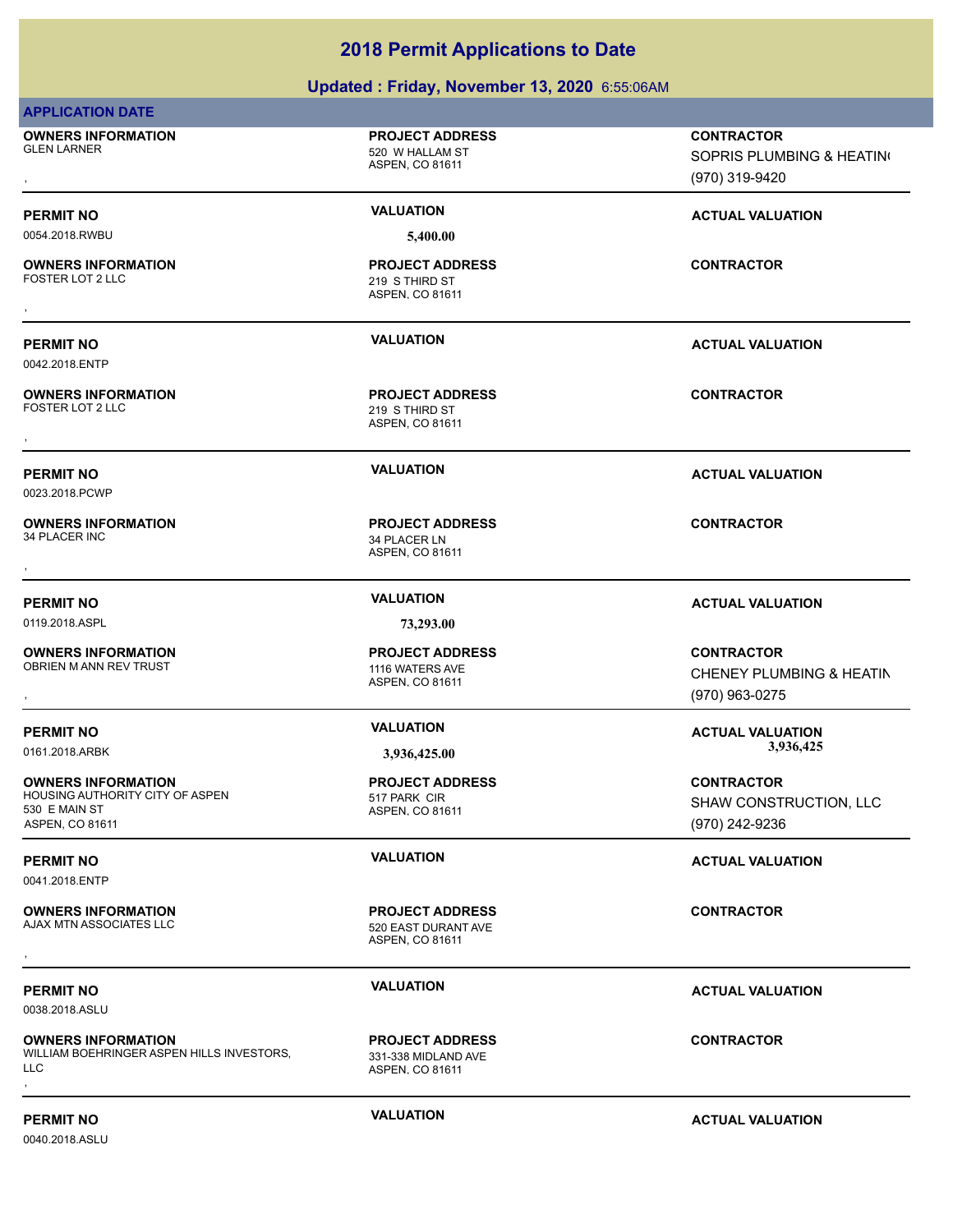# **Updated : Friday, November 13, 2020** 6:55:06AM

| <b>APPLICATION DATE</b>                                                                          |                                                                  |                                                                  |
|--------------------------------------------------------------------------------------------------|------------------------------------------------------------------|------------------------------------------------------------------|
| <b>OWNERS INFORMATION</b><br><b>GLEN LARNER</b>                                                  | <b>PROJECT ADDRESS</b><br>520 W HALLAM ST<br>ASPEN, CO 81611     | <b>CONTRACTOR</b><br>SOPRIS PLUMBING & HEATING<br>(970) 319-9420 |
| <b>PERMIT NO</b>                                                                                 | <b>VALUATION</b>                                                 | <b>ACTUAL VALUATION</b>                                          |
| 0054.2018.RWBU                                                                                   | 5,400.00                                                         |                                                                  |
| <b>OWNERS INFORMATION</b><br>FOSTER LOT 2 LLC                                                    | <b>PROJECT ADDRESS</b><br>219 S THIRD ST<br>ASPEN, CO 81611      | <b>CONTRACTOR</b>                                                |
| <b>PERMIT NO</b><br>0042.2018.ENTP                                                               | <b>VALUATION</b>                                                 | <b>ACTUAL VALUATION</b>                                          |
| <b>OWNERS INFORMATION</b><br>FOSTER LOT 2 LLC                                                    | <b>PROJECT ADDRESS</b><br>219 S THIRD ST<br>ASPEN, CO 81611      | <b>CONTRACTOR</b>                                                |
| <b>PERMIT NO</b><br>0023.2018.PCWP                                                               | <b>VALUATION</b>                                                 | <b>ACTUAL VALUATION</b>                                          |
| <b>OWNERS INFORMATION</b><br>34 PLACER INC                                                       | <b>PROJECT ADDRESS</b><br>34 PLACER LN<br>ASPEN, CO 81611        | <b>CONTRACTOR</b>                                                |
| <b>PERMIT NO</b>                                                                                 | <b>VALUATION</b>                                                 | <b>ACTUAL VALUATION</b>                                          |
| 0119.2018.ASPL                                                                                   | 73,293.00                                                        |                                                                  |
| <b>OWNERS INFORMATION</b><br>OBRIEN M ANN REV TRUST                                              | <b>PROJECT ADDRESS</b><br>1116 WATERS AVE<br>ASPEN, CO 81611     | <b>CONTRACTOR</b><br>CHENEY PLUMBING & HEATIN<br>(970) 963-0275  |
| <b>PERMIT NO</b>                                                                                 | <b>VALUATION</b>                                                 | <b>ACTUAL VALUATION</b>                                          |
| 0161.2018.ARBK                                                                                   | 3,936,425.00                                                     | 3,936,425                                                        |
| <b>OWNERS INFORMATION</b><br>HOUSING AUTHORITY CITY OF ASPEN<br>530 E MAIN ST<br>ASPEN, CO 81611 | <b>PROJECT ADDRESS</b><br>517 PARK CIR<br>ASPEN, CO 81611        | <b>CONTRACTOR</b><br>SHAW CONSTRUCTION, LLC<br>(970) 242-9236    |
| <b>PERMIT NO</b><br>0041.2018.ENTP                                                               | <b>VALUATION</b>                                                 | <b>ACTUAL VALUATION</b>                                          |
| <b>OWNERS INFORMATION</b><br>AJAX MTN ASSOCIATES LLC                                             | <b>PROJECT ADDRESS</b><br>520 EAST DURANT AVE<br>ASPEN, CO 81611 | <b>CONTRACTOR</b>                                                |
| <b>PERMIT NO</b><br>0038.2018.ASLU                                                               | <b>VALUATION</b>                                                 | <b>ACTUAL VALUATION</b>                                          |
| <b>OWNERS INFORMATION</b><br>WILLIAM BOEHRINGER ASPEN HILLS INVESTORS,<br><b>LLC</b>             | <b>PROJECT ADDRESS</b><br>331-338 MIDLAND AVE<br>ASPEN, CO 81611 | <b>CONTRACTOR</b>                                                |
| <b>PERMIT NO</b>                                                                                 | <b>VALUATION</b>                                                 | <b>ACTUAL VALUATION</b>                                          |

0040.2018.ASLU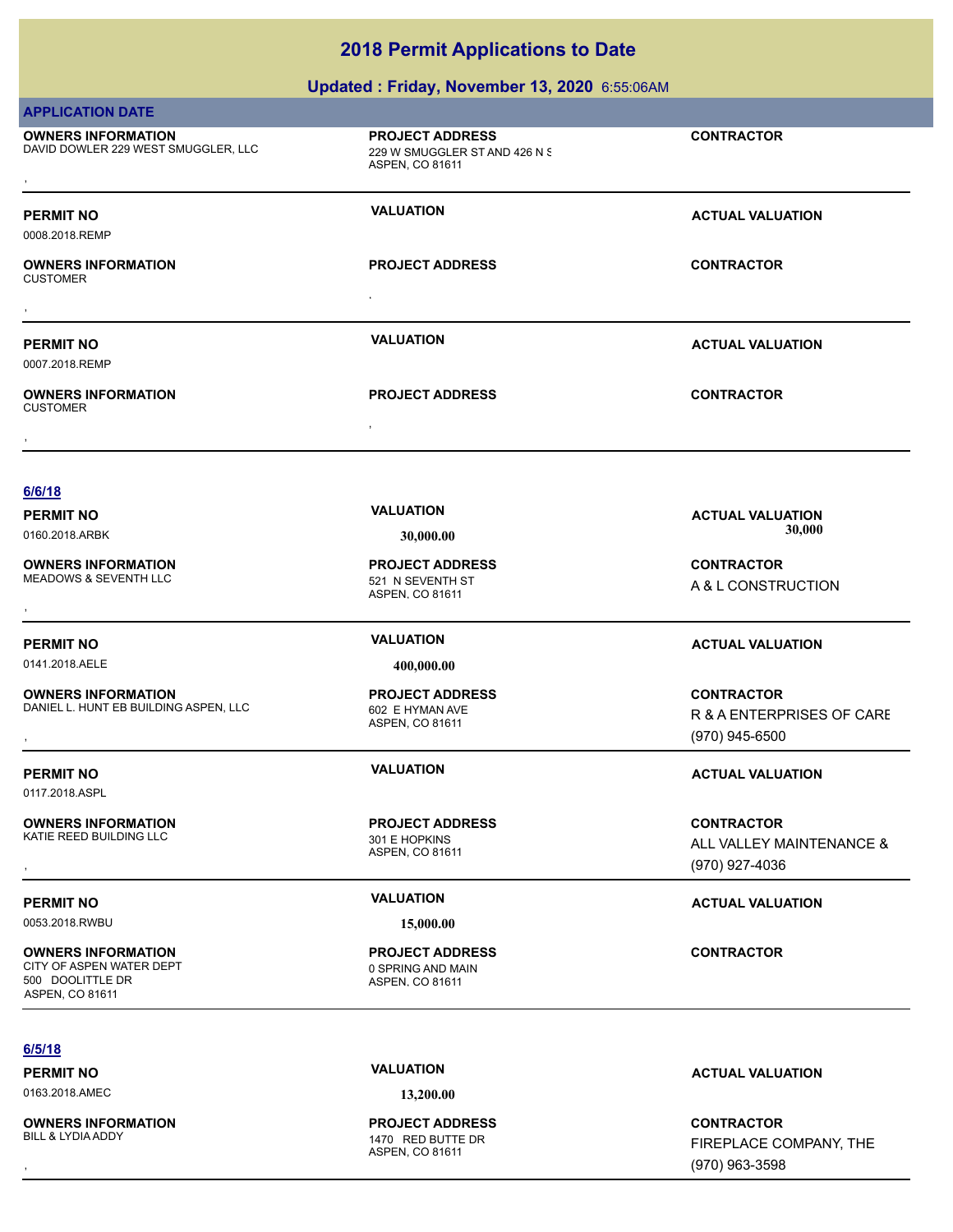# **Updated : Friday, November 13, 2020** 6:55:06AM

| <b>APPLICATION DATE</b>                                                                      |                                                                            |                                                |
|----------------------------------------------------------------------------------------------|----------------------------------------------------------------------------|------------------------------------------------|
| <b>OWNERS INFORMATION</b><br>DAVID DOWLER 229 WEST SMUGGLER, LLC                             | <b>PROJECT ADDRESS</b><br>229 W SMUGGLER ST AND 426 N S<br>ASPEN, CO 81611 | <b>CONTRACTOR</b>                              |
|                                                                                              |                                                                            |                                                |
| PERMIT NO<br>0008.2018.REMP                                                                  | <b>VALUATION</b>                                                           | <b>ACTUAL VALUATION</b>                        |
| <b>OWNERS INFORMATION</b><br>CUSTOMER                                                        | <b>PROJECT ADDRESS</b>                                                     | <b>CONTRACTOR</b>                              |
|                                                                                              |                                                                            |                                                |
| <b>PERMIT NO</b><br>0007.2018.REMP                                                           | <b>VALUATION</b>                                                           | <b>ACTUAL VALUATION</b>                        |
| <b>OWNERS INFORMATION</b><br><b>CUSTOMER</b>                                                 | <b>PROJECT ADDRESS</b>                                                     | <b>CONTRACTOR</b>                              |
|                                                                                              |                                                                            |                                                |
|                                                                                              |                                                                            |                                                |
| 6/6/18                                                                                       |                                                                            |                                                |
| PERMIT NO                                                                                    | <b>VALUATION</b>                                                           | <b>ACTUAL VALUATION</b>                        |
| 0160.2018.ARBK                                                                               | 30,000.00                                                                  | 30,000                                         |
| <b>OWNERS INFORMATION</b><br>MEADOWS & SEVENTH LLC                                           | <b>PROJECT ADDRESS</b>                                                     | <b>CONTRACTOR</b>                              |
|                                                                                              | 521 N SEVENTH ST<br>ASPEN, CO 81611                                        | A & L CONSTRUCTION                             |
|                                                                                              |                                                                            |                                                |
| PERMIT NO                                                                                    | <b>VALUATION</b>                                                           | <b>ACTUAL VALUATION</b>                        |
| 0141.2018.AELE                                                                               | 400,000.00                                                                 |                                                |
| <b>OWNERS INFORMATION</b><br>DANIEL L. HUNT EB BUILDING ASPEN, LLC                           | <b>PROJECT ADDRESS</b><br>602 E HYMAN AVE<br>ASPEN, CO 81611               | <b>CONTRACTOR</b><br>R & A ENTERPRISES OF CARE |
|                                                                                              |                                                                            | (970) 945-6500                                 |
| <b>PERMIT NO</b><br>0117.2018.ASPL                                                           | <b>VALUATION</b>                                                           | <b>ACTUAL VALUATION</b>                        |
| <b>OWNERS INFORMATION</b><br>KATIE REED BUILDING LLC                                         | <b>PROJECT ADDRESS</b><br>301 E HOPKINS                                    | <b>CONTRACTOR</b>                              |
|                                                                                              | ASPEN, CO 81611                                                            | ALL VALLEY MAINTENANCE &<br>(970) 927-4036     |
| PERMIT NO                                                                                    | <b>VALUATION</b>                                                           | <b>ACTUAL VALUATION</b>                        |
| 0053.2018.RWBU                                                                               | 15,000.00                                                                  |                                                |
| <b>OWNERS INFORMATION</b><br>CITY OF ASPEN WATER DEPT<br>500 DOOLITTLE DR<br>ASPEN, CO 81611 | <b>PROJECT ADDRESS</b><br>0 SPRING AND MAIN<br>ASPEN, CO 81611             | <b>CONTRACTOR</b>                              |
|                                                                                              |                                                                            |                                                |
| 6/5/18                                                                                       |                                                                            |                                                |
| <b>PERMIT NO</b>                                                                             | <b>VALUATION</b>                                                           | <b>ACTUAL VALUATION</b>                        |
| 0163.2018.AMEC                                                                               | 13,200.00                                                                  |                                                |
|                                                                                              |                                                                            |                                                |

**OWNERS INFORMATION** BILL & LYDIA ADDY 1470 RED BUTTE DR

ASPEN, CO 81611 **PROJECT ADDRESS**

, **CONTRACTOR** FIREPLACE COMPANY, THE (970) 963-3598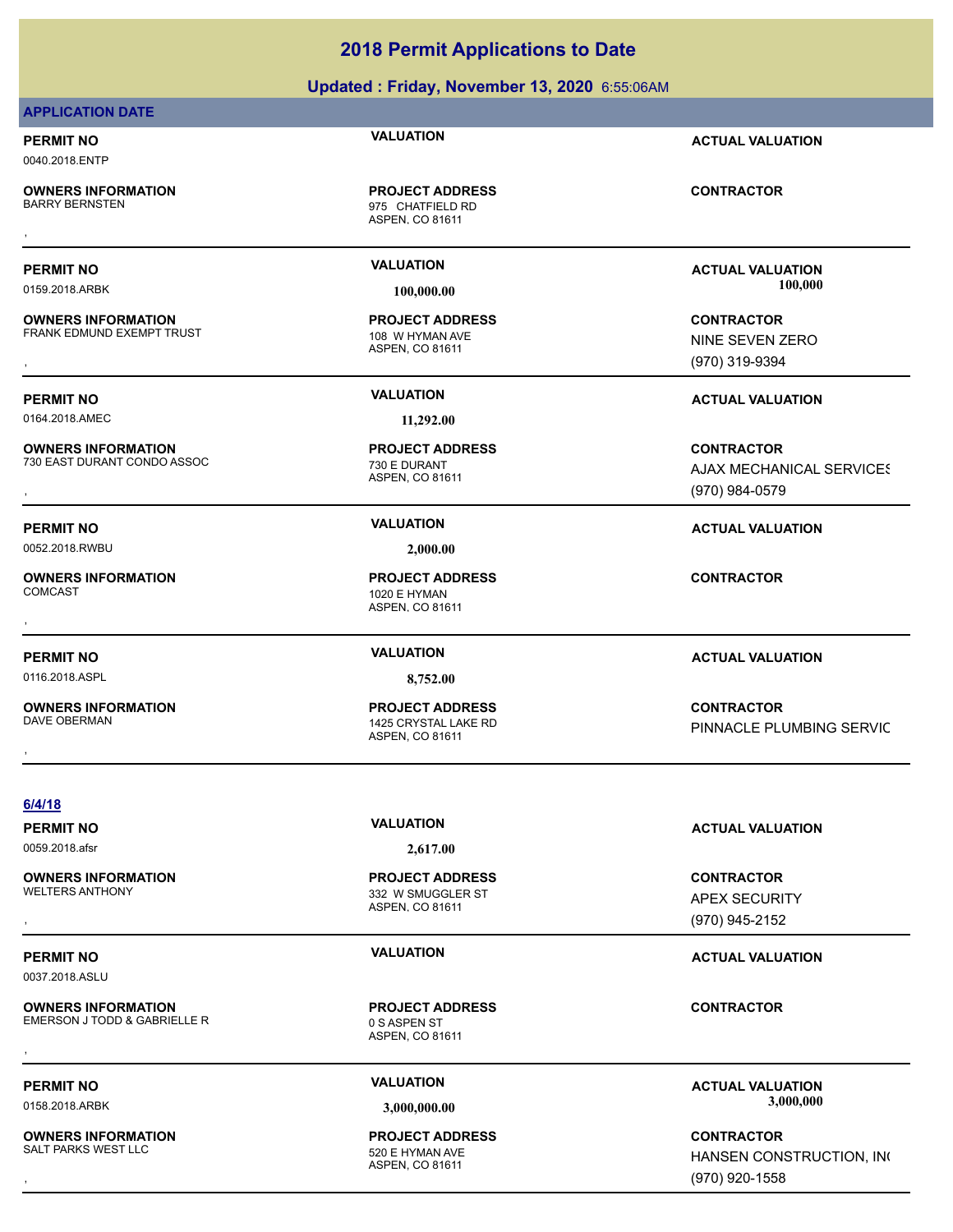### **Updated : Friday, November 13, 2020** 6:55:06AM

## **APPLICATION DATE**

### **PERMIT NO VALUATION ACTUAL VALUATION** 0040.2018.ENTP

**OWNERS INFORMATION**

**OWNERS INFORMATION** FRANK EDMUND EXEMPT TRUST 108 W HYMAN AVE

0164.2018.AMEC **11,292.00**

**OWNERS INFORMATION** 730 EAST DURANT CONDO ASSOC 730 E DURANT

0052.2018.RWBU **2,000.00**

**OWNERS INFORMATION**

0116.2018.ASPL **8,752.00**

**OWNERS INFORMATION** DAVE OBERMAN 1425 CRYSTAL LAKE RD

ASPEN, CO 81611 975 CHATFIELD RD **PROJECT ADDRESS** , **CONTRACTOR**

ASPEN, CO 81611 **PROJECT ADDRESS**

ASPEN, CO 81611 **PROJECT ADDRESS**

ASPEN, CO 81611 1020 E HYMAN **PROJECT ADDRESS** , **CONTRACTOR**

ASPEN, CO 81611 **PROJECT ADDRESS**

**PERMIT NO VALUATION ACTUAL VALUATION** 0159.2018.ARBK **100,000.00 100,000.00**

**OWNERS INFORMATION Material structure of the PROJECT ADDRESS (SONTRACTOR CONTRACTOR FRANK EDMUND EXEMPT TRUST<br>FRANK EDMUND EXEMPT TRUST TRUST ASPEN, CO 81611 MASPEN, CO 81611 MINE SEVEN ZERO MINE SEVEN ZERO MASPEN, CO 816** NINE SEVEN ZERO (970) 319-9394

**PERMIT NO VALUATION ACTUAL VALUATION**

**OWNERS INFORMATION Material contract in the server of the PROJECT ADDRESS (CONTRACTOR CONTRACTOR STATES) ASSUMI**<br>T30 EAST DURANT CONDO ASSOC TRACTOR ASPEN, CO 81611<br>Tract and the Server of ASPEN, CO 81611 (970) 984-0579 **AJAX MECHANICAL SERVICES** (970) 984-0579

**PERMIT NO VALUATION ACTUAL VALUATION**

**PERMIT NO VALUATION ACTUAL VALUATION**

, **CONTRACTOR** PINNACLE PLUMBING SERVIC

**6/4/18**

0059.2018.afsr **2,617.00**

ASPEN, CO 81611 332 W SMUGGLER ST **PROJECT ADDRESS**

ASPEN, CO 81611 **PROJECT ADDRESS OWNERS INFORMATION LETTLE REGISTED BY A SERVICE TO A SASPEN STRACTOR CONTRACTOR CONTRACTOR**<br>EMERSON J TODD & GABRIELLE R<br>, ASPEN. CO 81611

ASPEN, CO 81611 **PROJECT ADDRESS**

**PERMIT NO VALUATION ACTUAL VALUATION**

**OWNERS INFORMATION PROJECT ADDRESS CONTRACTOR**<br>WELTERS ANTHONY 332 W SMUGGLER ST APEX SECURITY<br>, ASPEN. CO 81611 (9 APEX SECURITY (970) 945-2152

### **PERMIT NO VALUATION ACTUAL VALUATION**

PERMIT NO **SALUATION VALUATION CONSUMPTION ACTUAL VALUATION**<br>  $\frac{2.000,000,000}{2.000,000,000}$ 0158.2018.ARBK **3,000,000.00 3,000,000.00**

**OWNERS INFORMATION PROJECT ADDRESS CONTRACTOR**<br>SALT PARKS WEST LLC 520 E HYMAN AVE HANSEN CONSTRUCTION, IN(<br>, ASPEN. CO 81611 HANSEN CONSTRUCTION, INC (970) 920-1558

**OWNERS INFORMATION** SALT PARKS WEST LLC SALT PARKS WEST LLC

**OWNERS INFORMATION**

0037.2018.ASLU

**OWNERS INFORMATION** EMERSON J TODD & GABRIELLE R<br>0 S ASPEN ST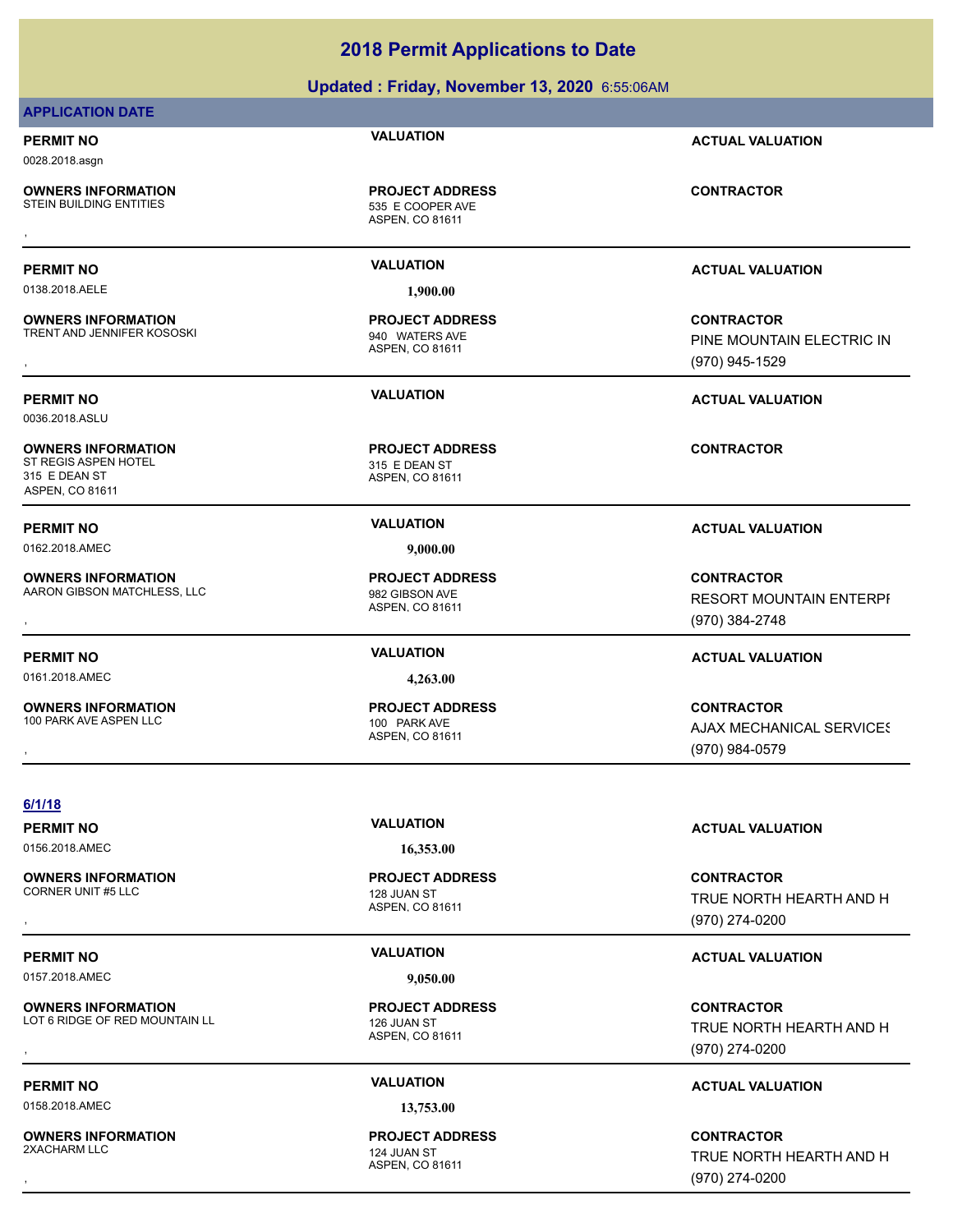### **Updated : Friday, November 13, 2020** 6:55:06AM

## **APPLICATION DATE**

0028.2018.asgn

**OWNERS INFORMATION**<br>STEIN BUILDING ENTITIES

0138.2018.AELE **1,900.00**

**OWNERS INFORMATION** TRENT AND JENNIFER KOSOSKI 940 WATERS AVE

0036.2018.ASLU

**OWNERS INFORMATION** ST REGIS ASPEN HOTEL 315 E DEAN ST 315 E DEAN ST ASPEN, CO 81611

0162.2018.AMEC **9,000.00**

**OWNERS INFORMATION** AARON GIBSON MATCHLESS, LLC<br>
982 GIBSON AVE

0161.2018.AMEC **4,263.00**

**OWNERS INFORMATION** 100 PARK AVE ASPEN LLC 100 PARK AVE

ASPEN, CO 81611 535 E COOPER AVE **PROJECT ADDRESS OWNERS INFORMATION CONTRACTOR REPORT OF PROJECT ADDRESS CONTRACTOR**<br>STEIN BUILDING ENTITIES **CONTRACTOR SECOOPER AVE**<br>ASPEN, CO 81611

ASPEN, CO 81611 **PROJECT ADDRESS**

ASPEN, CO 81611 **PROJECT ADDRESS**

ASPEN, CO 81611 **PROJECT ADDRESS**

ASPEN, CO 81611 **PROJECT ADDRESS**

**PERMIT NO VALUATION ACTUAL VALUATION**

**PERMIT NO VALUATION ACTUAL VALUATION**

**OWNERS INFORMATION METALLY SERVICE PROJECT ADDRESS ARE SERVICE CONTRACTOR CONTRACTOR**<br>TRENT AND JENNIFER KOSOSKI METALLY SAGO ASPEN, CO 81611 MEDITAL METALLY SAGONAL METALLY SAGONAL ASPEN, CO 81611<br>TRENT AND JENNIFER KOSO PINE MOUNTAIN ELECTRIC IN (970) 945-1529

**PERMIT NO VALUATION ACTUAL VALUATION**

**CONTRACTOR**

### **PERMIT NO VALUATION ACTUAL VALUATION**

**OWNERS INFORMATION MATCHLESS, LLC REG. ASSESS FOR THE PROJECT ADDRESS FOR THE CONTRACTOR**<br>AARON GIBSON MATCHLESS, LLC REG. ASPEN. COMINENT MATCHLESS, LLC ASPEN. COMINENT MOUNTAIN ENTERPF<br>ASPEN. COMINENT MATCHLESS, LLC ASP RESORT MOUNTAIN ENTERPI (970) 384-2748

### **PERMIT NO VALUATION ACTUAL VALUATION**

**OWNERS INFORMATION PROJECT ADDRESS CONTRACTOR**<br>100 PARK AVE ASPEN LLC 100 PARK AVE AJAX MECHANICAL SERVICES<br>, ASPEN, CO 81611 **AJAX MECHANICAL SERVICES** (970) 984-0579

**6/1/18**

0156.2018.AMEC **16,353.00**

**OWNERS INFORMATION** CORNER UNIT #5 LLC 128 JUAN ST

0157.2018.AMEC **9,050.00**

**OWNERS INFORMATION** LOT 6 RIDGE OF RED MOUNTAIN LL<br>126 JUAN ST

0158.2018.AMEC **13,753.00**

**OWNERS INFORMATION** 2XACHARM LLC 2XACHARM LLC

ASPEN, CO 81611 **PROJECT ADDRESS**

ASPEN, CO 81611 **PROJECT ADDRESS**

ASPEN, CO 81611 **PROJECT ADDRESS**

**PERMIT NO VALUATION ACTUAL VALUATION**

, **CONTRACTOR** TRUE NORTH HEARTH AND H (970) 274-0200

## **PERMIT NO VALUATION ACTUAL VALUATION**

**OWNERS INFORMATION METALLY CONTRACTOR DESCRIPTION ON PROJECT ADDRESS ARE CONTRACTOR CONTRACTOR CONTRACTOR**<br>LOT 6 RIDGE OF RED MOUNTAIN LL ASPEN ASPEN. CO 81611 **A CONTRACTOR CONTRACTOR CONTRACTOR**<br>, GTO) 274-0200 TRUE NORTH HEARTH AND H (970) 274-0200

### **PERMIT NO VALUATION ACTUAL VALUATION**

, **CONTRACTOR** TRUE NORTH HEARTH AND H (970) 274-0200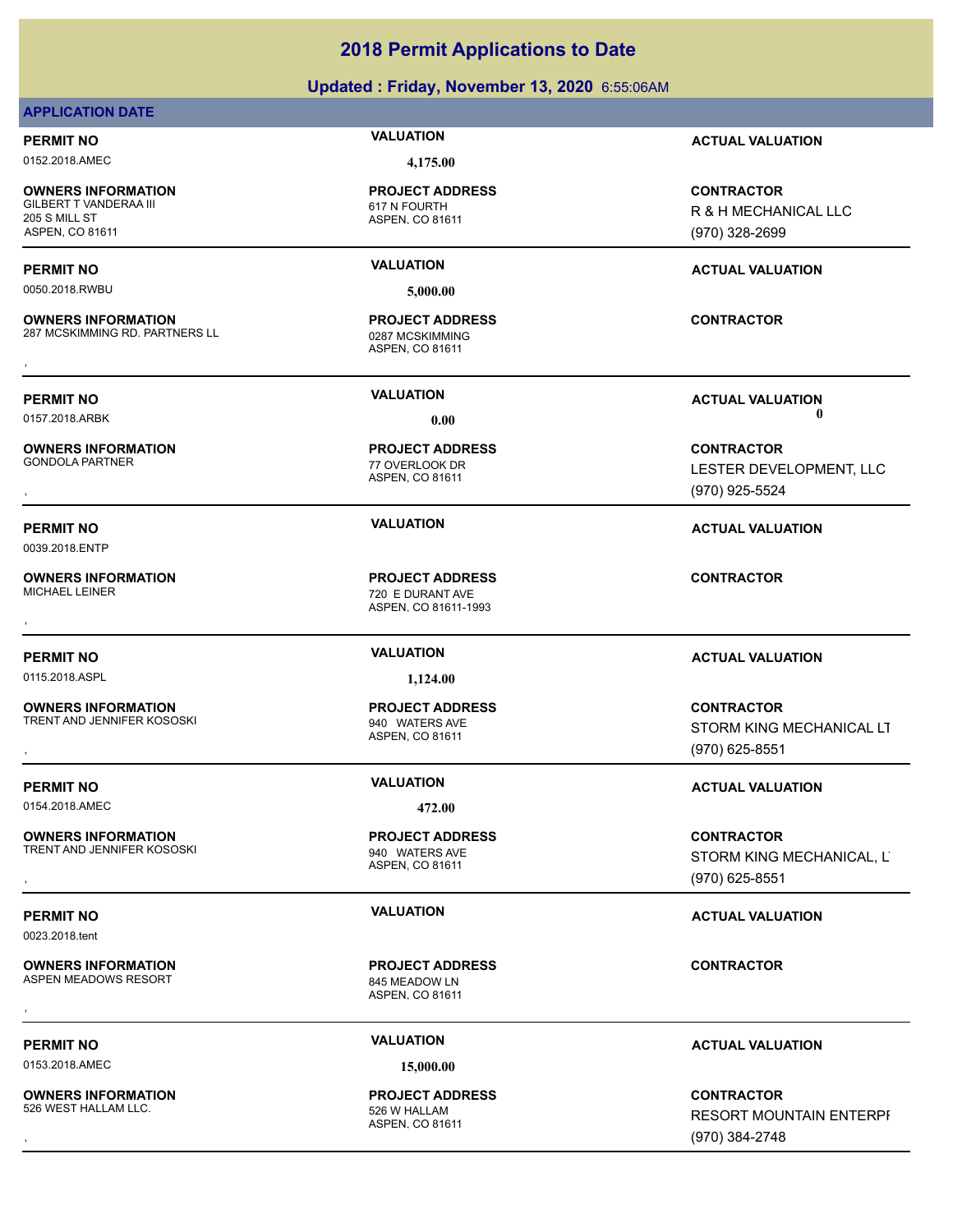### **Updated : Friday, November 13, 2020** 6:55:06AM

### **APPLICATION DATE**

0152.2018.AMEC **4,175.00**

**OWNERS INFORMATION** GILBERT T VANDERAA III 617 N FOURTH 205 S MILL ST ASPEN, CO 81611

0050.2018.RWBU **5,000.00**

**OWNERS INFORMATION** 287 MCSKIMMING RD. PARTNERS LL 0287 MCSKIMMING

**OWNERS INFORMATION**

0039.2018.ENTP

**OWNERS INFORMATION**

0115.2018.ASPL **1,124.00** 

**OWNERS INFORMATION** TRENT AND JENNIFER KOSOSKI SARA 1940 WATERS AVE

0154.2018.AMEC **472.00**

**OWNERS INFORMATION** TRENT AND JENNIFER KOSOSKI SAND TRENT AND SALL THE SAME SAME SAME SAME SAME.

0023.2018.tent

**OWNERS INFORMATION** ASPEN MEADOWS RESORT 845 MEADOW LN

0153.2018.AMEC **15,000.00**

**OWNERS INFORMATION** 526 WEST HALLAM LLC. **SAMILLAM LLC.** S26 W HALLAM

ASPEN, CO 81611 **PROJECT ADDRESS**

ASPEN, CO 81611 **PROJECT ADDRESS OWNERS INFORMATION EXAMPLE ASSES FOR A PROJECT ADDRESS FOR A CONTRACTOR CONTRACTOR**<br>287 MCSKIMMING RD. PARTNERS LL **EXAMPLE A LO SESSION DE ASPEN. CO 81611**<br>,

ASPEN, CO 81611 77 OVERLOOK DR **PROJECT ADDRESS**

ASPEN, CO 81611-1993 720 E DURANT AVE **PROJECT ADDRESS** , **CONTRACTOR**

ASPEN, CO 81611 **PROJECT ADDRESS**

ASPEN, CO 81611 **PROJECT ADDRESS** , **CONTRACTOR**

ASPEN, CO 81611 **PROJECT ADDRESS**

**PERMIT NO VALUATION ACTUAL VALUATION**

**CONTRACTOR** R & H MECHANICAL LLC (970) 328-2699

### **PERMIT NO VALUATION ACTUAL VALUATION**

**PERMIT NO VALUATION ACTUAL VALUATION** 0157.2018.ARBK **0.00 0.00**

, **CONTRACTOR** LESTER DEVELOPMENT, LLC (970) 925-5524

**PERMIT NO VALUATION ACTUAL VALUATION**

### **PERMIT NO VALUATION ACTUAL VALUATION**

, **CONTRACTOR** STORM KING MECHANICAL LT (970) 625-8551

### **PERMIT NO VALUATION VALUATION VALUATION**

**OWNERS INFORMATION GOVERNED BY A SERVICE PROJECT ADDRESS ARE SERVICE CONTRACTOR**<br>TRENT AND JENNIFER KOSOSKI GOVERNET ASPEN, CO 81611 GOVERNED BY A STORM KING MECHANICAL, LTTP AND ASPEN, CO 81611<br>GOVERNED BY A SPEN, CO 816 STORM KING MECHANICAL, LTD (970) 625-8551

### **PERMIT NO VALUATION VALUATION VALUATION**

### **PERMIT NO VALUATION ACTUAL VALUATION**

, **CONTRACTOR** RESORT MOUNTAIN ENTERPI (970) 384-2748

ASPEN, CO 81611 **PROJECT ADDRESS**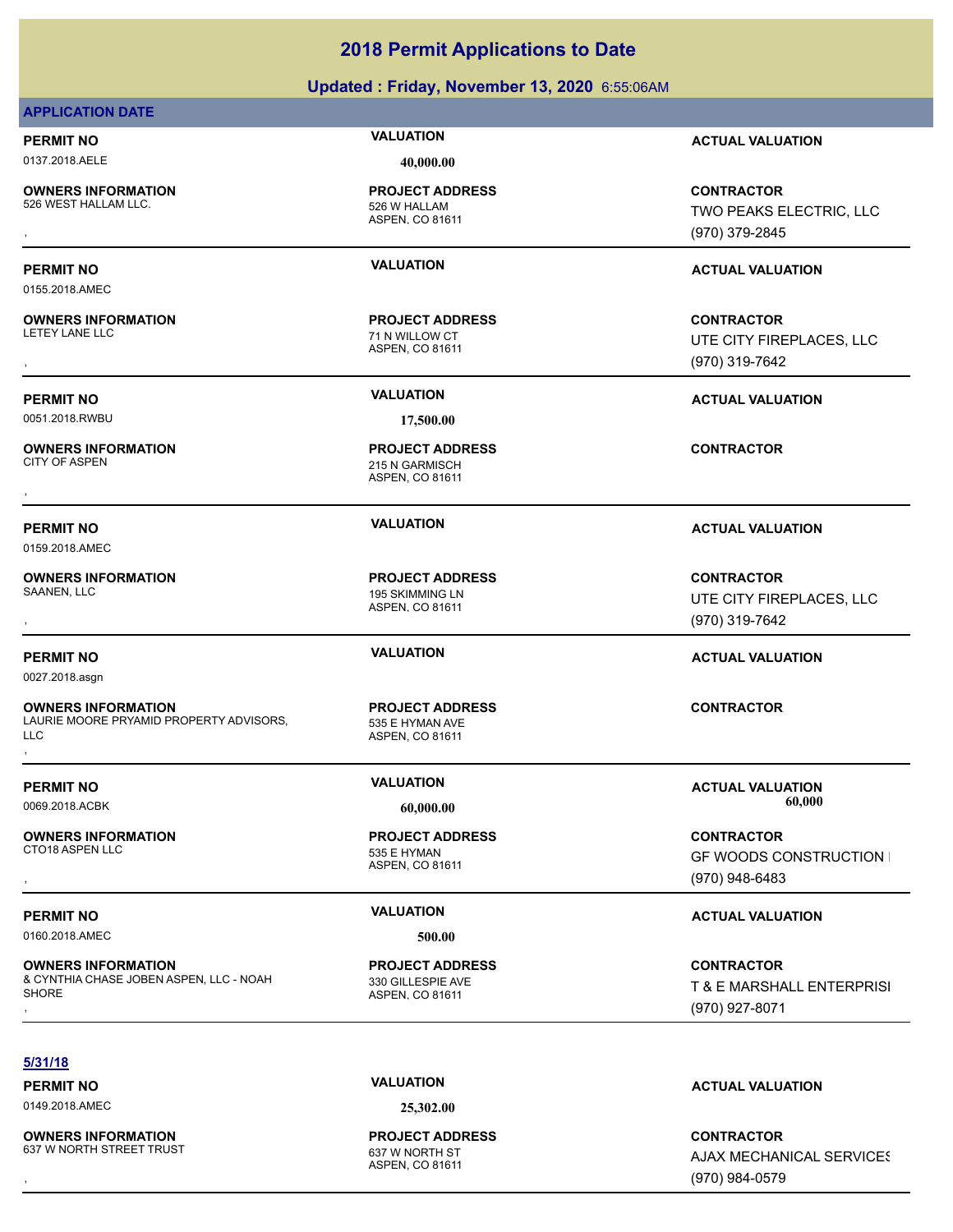### **Updated : Friday, November 13, 2020** 6:55:06AM

|                                                                      | Updated: Friday, November 13, 2020 6:55:06AM |                                |
|----------------------------------------------------------------------|----------------------------------------------|--------------------------------|
| <b>APPLICATION DATE</b>                                              |                                              |                                |
| <b>PERMIT NO</b>                                                     | <b>VALUATION</b>                             | <b>ACTUAL VALUATION</b>        |
| 0137.2018.AELE                                                       | 40,000.00                                    |                                |
| <b>OWNERS INFORMATION</b>                                            | <b>PROJECT ADDRESS</b>                       | <b>CONTRACTOR</b>              |
| 526 WEST HALLAM LLC.                                                 | 526 W HALLAM                                 | TWO PEAKS ELECTRIC, LLC        |
|                                                                      | ASPEN, CO 81611                              | (970) 379-2845                 |
| <b>PERMIT NO</b>                                                     | <b>VALUATION</b>                             | <b>ACTUAL VALUATION</b>        |
| 0155.2018.AMEC                                                       |                                              |                                |
| <b>OWNERS INFORMATION</b>                                            | <b>PROJECT ADDRESS</b>                       | <b>CONTRACTOR</b>              |
| <b>LETEY LANE LLC</b>                                                | 71 N WILLOW CT                               | UTE CITY FIREPLACES, LLC       |
|                                                                      | ASPEN, CO 81611                              | (970) 319-7642                 |
|                                                                      |                                              |                                |
| <b>PERMIT NO</b>                                                     | <b>VALUATION</b>                             | <b>ACTUAL VALUATION</b>        |
| 0051.2018.RWBU                                                       | 17,500.00                                    |                                |
| <b>OWNERS INFORMATION</b>                                            | <b>PROJECT ADDRESS</b>                       | <b>CONTRACTOR</b>              |
| <b>CITY OF ASPEN</b>                                                 | 215 N GARMISCH<br>ASPEN, CO 81611            |                                |
|                                                                      |                                              |                                |
| <b>PERMIT NO</b>                                                     | <b>VALUATION</b>                             | <b>ACTUAL VALUATION</b>        |
| 0159.2018.AMEC                                                       |                                              |                                |
| <b>OWNERS INFORMATION</b>                                            | <b>PROJECT ADDRESS</b>                       | <b>CONTRACTOR</b>              |
| SAANEN, LLC                                                          | 195 SKIMMING LN                              | UTE CITY FIREPLACES, LLC       |
|                                                                      | ASPEN, CO 81611                              | (970) 319-7642                 |
|                                                                      | <b>VALUATION</b>                             |                                |
| <b>PERMIT NO</b>                                                     |                                              | <b>ACTUAL VALUATION</b>        |
| 0027.2018.asgn                                                       |                                              |                                |
| <b>OWNERS INFORMATION</b>                                            | <b>PROJECT ADDRESS</b>                       | <b>CONTRACTOR</b>              |
| LAURIE MOORE PRYAMID PROPERTY ADVISORS,<br><b>LLC</b>                | 535 E HYMAN AVE<br>ASPEN, CO 81611           |                                |
|                                                                      |                                              |                                |
| <b>PERMIT NO</b>                                                     | <b>VALUATION</b>                             | <b>ACTUAL VALUATION</b>        |
| 0069.2018.ACBK                                                       | 60,000.00                                    | 60,000                         |
| <b>OWNERS INFORMATION</b>                                            | <b>PROJECT ADDRESS</b>                       | <b>CONTRACTOR</b>              |
| CTO18 ASPEN LLC                                                      | 535 E HYMAN                                  | <b>GF WOODS CONSTRUCTION I</b> |
|                                                                      | ASPEN, CO 81611                              | (970) 948-6483                 |
|                                                                      | <b>VALUATION</b>                             |                                |
| <b>PERMIT NO</b><br>0160.2018.AMEC                                   | 500.00                                       | <b>ACTUAL VALUATION</b>        |
|                                                                      |                                              |                                |
| <b>OWNERS INFORMATION</b><br>& CYNTHIA CHASE JOBEN ASPEN, LLC - NOAH | <b>PROJECT ADDRESS</b><br>330 GILLESPIE AVE  | <b>CONTRACTOR</b>              |
| <b>SHORE</b>                                                         | ASPEN, CO 81611                              | T & E MARSHALL ENTERPRISI      |
|                                                                      |                                              | (970) 927-8071                 |

### **PERMIT NO VALUATION ACTUAL VALUATION**

### **PERMIT NO VALUATION ACTUAL VALUATION**

# **PERMIT NO VALUATION ACTUAL VALUATION**

### **PERMIT NO VALUATION ACTUAL VALUATION**

### **5/31/18**

0149.2018.AMEC **25,302.00**

**OWNERS INFORMATION** 637 W NORTH STREET TRUST 637 W NORTH ST

### ASPEN, CO 81611 **PROJECT ADDRESS**

### **PERMIT NO CONSUMITY OF A CONSUMITY OF A CONSUMITY OF A CONSUMITY OF A CTUAL VALUATION**

**OWNERS INFORMATION GOVERNED BY A SERVICE PROJECT ADDRESS ARE SERVICE CONTRACTOR**<br>637 W NORTH STREET TRUST **CONTRACTOR**<br>ASPEN. CO 81611 ASPEN CO 81611 (970) 984-0579 **AJAX MECHANICAL SERVICES** (970) 984-0579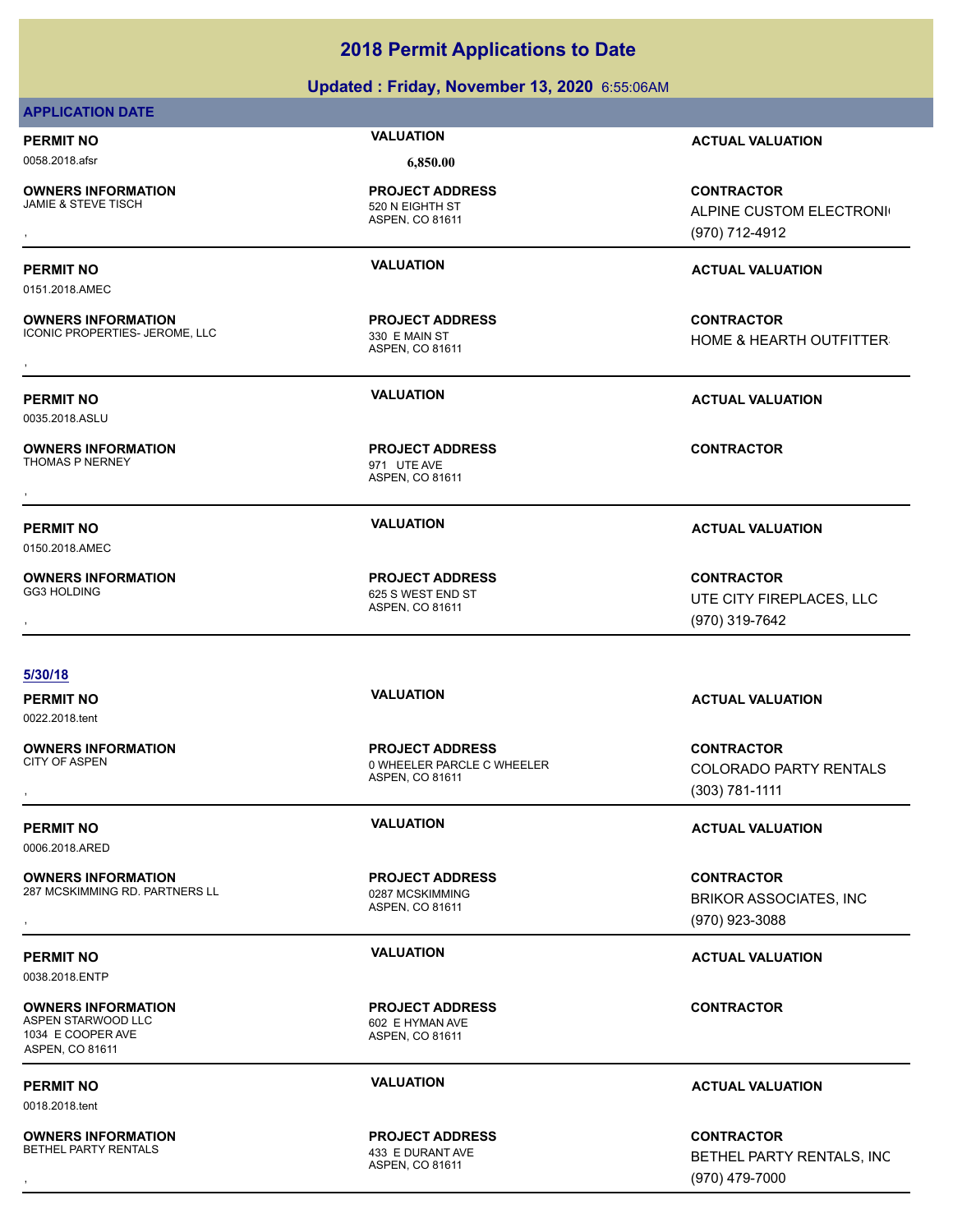| <b>APPLICATION DATE</b>                                     |                                                                         |                                                                   |
|-------------------------------------------------------------|-------------------------------------------------------------------------|-------------------------------------------------------------------|
| <b>PERMIT NO</b>                                            | <b>VALUATION</b>                                                        | <b>ACTUAL VALUATION</b>                                           |
| 0058.2018.afsr                                              | 6,850.00                                                                |                                                                   |
| <b>OWNERS INFORMATION</b><br><b>JAMIE &amp; STEVE TISCH</b> | <b>PROJECT ADDRESS</b><br>520 N EIGHTH ST<br>ASPEN, CO 81611            | <b>CONTRACTOR</b><br>ALPINE CUSTOM ELECTRONI<br>(970) 712-4912    |
|                                                             |                                                                         |                                                                   |
| <b>PERMIT NO</b>                                            | <b>VALUATION</b>                                                        | <b>ACTUAL VALUATION</b>                                           |
| 0151.2018.AMEC                                              |                                                                         |                                                                   |
| <b>OWNERS INFORMATION</b><br>ICONIC PROPERTIES- JEROME, LLC | <b>PROJECT ADDRESS</b><br>330 E MAIN ST<br>ASPEN, CO 81611              | <b>CONTRACTOR</b><br>HOME & HEARTH OUTFITTER                      |
| <b>PERMIT NO</b>                                            | <b>VALUATION</b>                                                        | <b>ACTUAL VALUATION</b>                                           |
| 0035.2018.ASLU                                              |                                                                         |                                                                   |
| <b>OWNERS INFORMATION</b><br>THOMAS P NERNEY                | <b>PROJECT ADDRESS</b><br>971 UTE AVE<br>ASPEN, CO 81611                | <b>CONTRACTOR</b>                                                 |
| <b>PERMIT NO</b>                                            | <b>VALUATION</b>                                                        | <b>ACTUAL VALUATION</b>                                           |
| 0150.2018.AMEC                                              |                                                                         |                                                                   |
| <b>OWNERS INFORMATION</b>                                   | <b>PROJECT ADDRESS</b>                                                  | <b>CONTRACTOR</b>                                                 |
| <b>GG3 HOLDING</b>                                          | 625 S WEST END ST                                                       | UTE CITY FIREPLACES, LLC                                          |
|                                                             | ASPEN, CO 81611                                                         | (970) 319-7642                                                    |
| 5/30/18                                                     |                                                                         |                                                                   |
| <b>PERMIT NO</b>                                            | <b>VALUATION</b>                                                        | <b>ACTUAL VALUATION</b>                                           |
| 0022.2018.tent                                              |                                                                         |                                                                   |
| <b>OWNERS INFORMATION</b><br><b>CITY OF ASPEN</b>           | <b>PROJECT ADDRESS</b><br>0 WHEELER PARCLE C WHEELER<br>ASPEN, CO 81611 | <b>CONTRACTOR</b><br>COLORADO PARTY RENTALS<br>$(303) 781 - 1111$ |
| <b>PERMIT NO</b><br>0006.2018.ARED                          | <b>VALUATION</b>                                                        | <b>ACTUAL VALUATION</b>                                           |

**OWNERS INFORMATION** 287 MCSKIMMING RD. PARTNERS LL 0287 MCSKIMMING

**PERMIT NO VALUATION VALUATION VALUATION** 0038.2018.ENTP

**OWNERS INFORMATION** ASPEN STARWOOD LLC 602 E HYMAN AVE 1034 E COOPER AVE ASPEN, CO 81611

0018.2018.tent

**OWNERS INFORMATION** BETHEL PARTY RENTALS 433 E DURANT AVE

ASPEN, CO 81611

**PROJECT ADDRESS**

ASPEN, CO 81611 **PROJECT ADDRESS**

ASPEN, CO 81611 **PROJECT ADDRESS**

### **PERMIT NO CONSUMPTER ACTUAL VALUATION VALUATION ACTUAL VALUATION**

, **CONTRACTOR** BETHEL PARTY RENTALS, INC (970) 479-7000

# **2018 Permit Applications to Date**

**Updated : Friday, November 13, 2020** 6:55:06AM

**OWNERS INFORMATION EXAMPLE ASS ARE DESCRIPS TO A PROJECT ADDRESS ARE SERVICES CONTRACTOR CONTROURS AND RESERVE<br>287 MCSKIMMING RD. PARTNERS LL EXAMPLE AS A ASPEN. CO 81611<br>, Example a Aspen. CO 81611 ASPEN (970) 923-3088** BRIKOR ASSOCIATES, INC (970) 923-3088

**CONTRACTOR**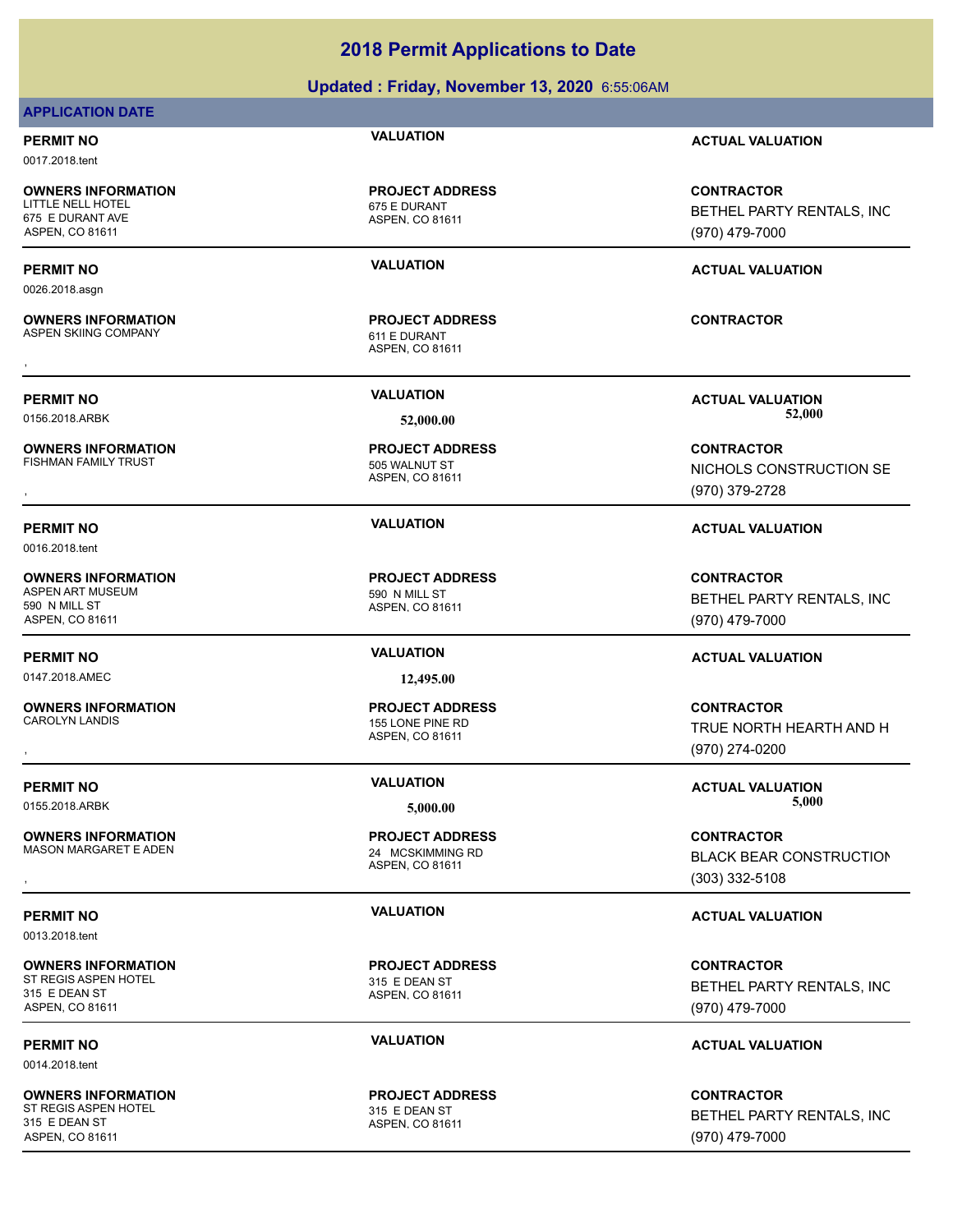### **Updated : Friday, November 13, 2020** 6:55:06AM

### **APPLICATION DATE**

0017.2018.tent

**OWNERS INFORMATION** LITTLE NELL HOTEL 675 E DURANT 675 E DURANT AVE ASPEN, CO 81611

0026.2018.asgn

**OWNERS INFORMATION** ASPEN SKIING COMPANY 611 E DURANT

**OWNERS INFORMATION** FISHMAN FAMILY TRUST **12000 FISHMAN FAMILY TRUST** 

0016.2018.tent

**OWNERS INFORMATION** ASPEN ART MUSEUM 690 N MILL ST 590 N MILL ST ASPEN, CO 81611

0147.2018.AMEC **12,495.00**

**OWNERS INFORMATION** CAROLYN LANDIS 155 LONE PINE RD

**OWNERS INFORMATION** MASON MARGARET E ADEN 24 MCSKIMMING RD

0013.2018.tent

**OWNERS INFORMATION** ST REGIS ASPEN HOTEL 315 E DEAN ST 315 E DEAN ST ASPEN, CO 81611

0014.2018.tent

**OWNERS INFORMATION** ST REGIS ASPEN HOTEL 315 E DEAN ST 315 E DEAN ST ASPEN, CO 81611

ASPEN, CO 81611 **PROJECT ADDRESS**

ASPEN, CO 81611 **PROJECT ADDRESS** , **CONTRACTOR**

ASPEN, CO 81611 **PROJECT ADDRESS**

ASPEN, CO 81611 **PROJECT ADDRESS**

ASPEN, CO 81611 **PROJECT ADDRESS**

ASPEN, CO 81611 **PROJECT ADDRESS**

ASPEN, CO 81611 **PROJECT ADDRESS**

ASPEN, CO 81611 **PROJECT ADDRESS**

**PERMIT NO VALUATION ACTUAL VALUATION**

**CONTRACTOR** BETHEL PARTY RENTALS, INC (970) 479-7000

### **PERMIT NO VALUATION ACTUAL VALUATION**

**PERMIT NO VALUATION ACTUAL VALUATION** 0156.2018.ARBK **52,000.00 52,000.00**

, **CONTRACTOR** NICHOLS CONSTRUCTION SE (970) 379-2728

### **PERMIT NO VALUATION ACTUAL VALUATION**

**CONTRACTOR** BETHEL PARTY RENTALS, INC (970) 479-7000

### **PERMIT NO VALUATION ACTUAL VALUATION**

, **CONTRACTOR** TRUE NORTH HEARTH AND H (970) 274-0200

**PERMIT NO VALUATION VALUATION VALUATION** 0155.2018.ARBK **5,000.00 5,000.00**

, **CONTRACTOR** BLACK BEAR CONSTRUCTION (303) 332-5108

### **PERMIT NO VALUATION VALUATION VALUATION**

**CONTRACTOR** BETHEL PARTY RENTALS, INC (970) 479-7000

### **PERMIT NO VALUATION VALUATION VALUATION**

**CONTRACTOR** BETHEL PARTY RENTALS, INC (970) 479-7000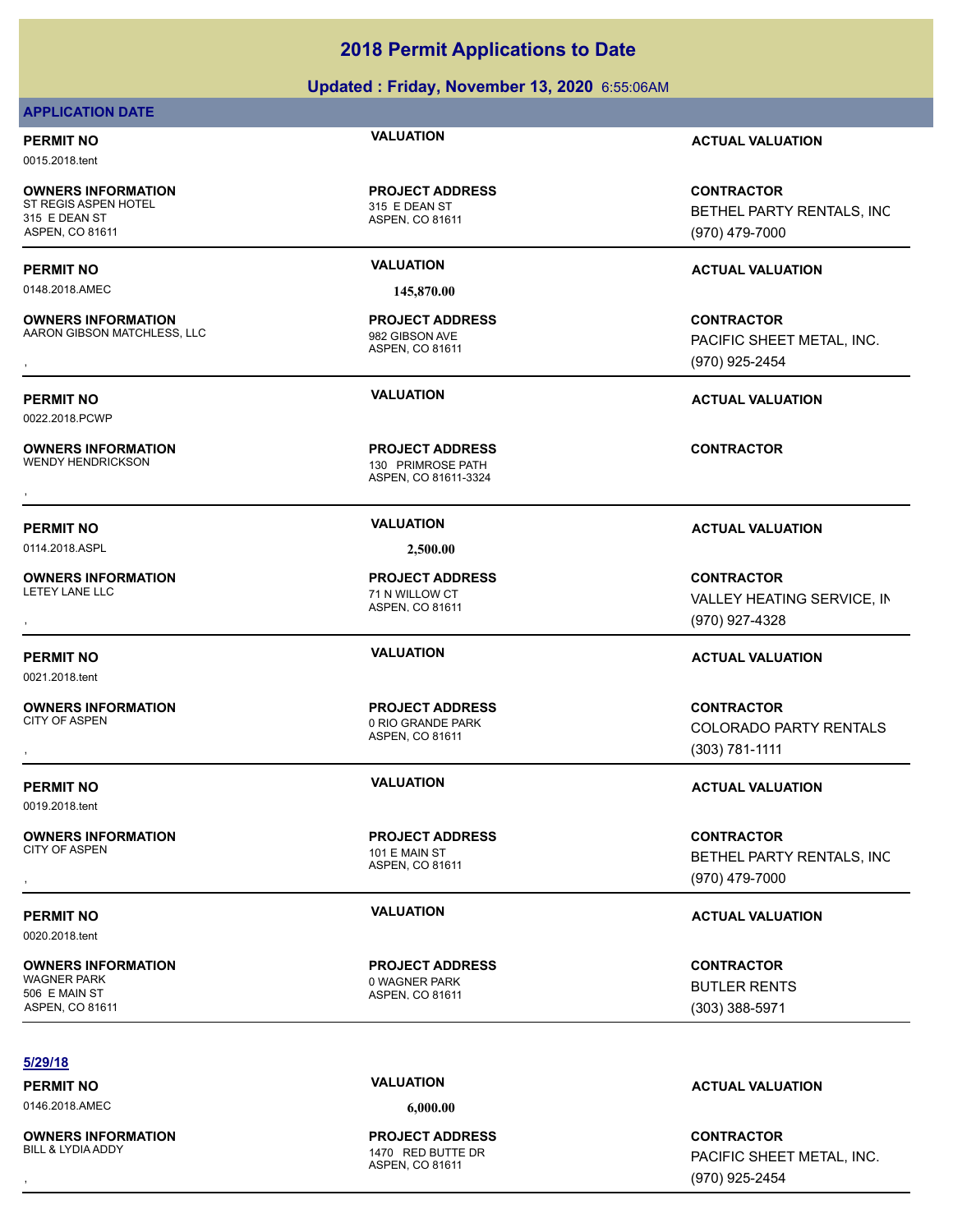### **Updated : Friday, November 13, 2020** 6:55:06AM

### **APPLICATION DATE**

0015.2018.tent

**OWNERS INFORMATION** ST REGIS ASPEN HOTEL 315 E DEAN ST 315 E DEAN ST ASPEN, CO 81611

0148.2018.AMEC **145,870.00**

**OWNERS INFORMATION** AARON GIBSON MATCHLESS, LLC 982 GIBSON AVE

0022.2018.PCWP

**OWNERS INFORMATION**<br>WENDY HENDRICKSON

**OWNERS INFORMATION**

**OWNERS INFORMATION**

**OWNERS INFORMATION**

ASPEN, CO 81611 **PROJECT ADDRESS**

ASPEN, CO 81611 **PROJECT ADDRESS**

ASPEN, CO 81611-3324 130 PRIMROSE PATH **PROJECT ADDRESS OWNERS INFORMATION FROJECT ADDRESS ARE:**<br>WENDY HENDRICKSON TENDING A SPEN, CO 81611-3324<br>,<br>,

ASPEN, CO 81611 **PROJECT ADDRESS**

ASPEN, CO 81611

ASPEN, CO 81611

ASPEN, CO 81611

**PERMIT NO VALUATION ACTUAL VALUATION**

**CONTRACTOR** BETHEL PARTY RENTALS, INC (970) 479-7000

### **PERMIT NO VALUATION ACTUAL VALUATION**

**OWNERS INFORMATION MATCHLESS, LLC REGIST OF A SERVICE ADDRESS ARE SERVICE ON TRACTOR CONTRACTOR ARRON GIBSON MATCHLESS, LLC REGIST OF A SPEN. CO 81611 ASPEN. CO 81611 AND A SPEN. CO 81611 ASPEN. CO 81611 ASPEN. 20081611 A** PACIFIC SHEET METAL, INC. (970) 925-2454

**PERMIT NO VALUATION ACTUAL VALUATION**

### **PERMIT NO VALUATION ACTUAL VALUATION**

**OWNERS INFORMATION PROJECT ADDRESS CONTRACTOR**<br>LETEY LANE LLC 71 N WILLOW CT VALLEY HEATING SERVICE, IN<br>, ASPEN. CO 81611 VALLEY HEATING SERVICE, IN (970) 927-4328

### **PERMIT NO VALUATION ACTUAL VALUATION**

, **CONTRACTOR** COLORADO PARTY RENTALS (303) 781-1111

### **PERMIT NO VALUATION VALUATION VALUATION**

, **CONTRACTOR** BETHEL PARTY RENTALS, INC (970) 479-7000

**CONTRACTOR** BUTLER RENTS (303) 388-5971

### **5/29/18**

0146.2018.AMEC **6,000.00**

**OWNERS INFORMATION**

ASPEN, CO 81611 1470 RED BUTTE DR **PROJECT ADDRESS**

### **PERMIT NO VALUATION ACTUAL VALUATION**

, **CONTRACTOR** PACIFIC SHEET METAL, INC. (970) 925-2454

0114.2018.ASPL **2,500.00** LETEY LANE LLC **THE SET OF STATE AND A CONTROL** 71 N WILLOW CT

**PROJECT ADDRESS**

CITY OF ASPEN 2008 CITY OF ASPEN

**PROJECT ADDRESS**

**PROJECT ADDRESS**

CITY OF ASPEN 101 E MAIN ST **PERMIT NO VALUATION VALUATION VALUATION** 

0020.2018.tent

0021.2018.tent

0019.2018.tent

**OWNERS INFORMATION** WAGNER PARK 0 WAGNER PARK 506 E MAIN ST ASPEN, CO 81611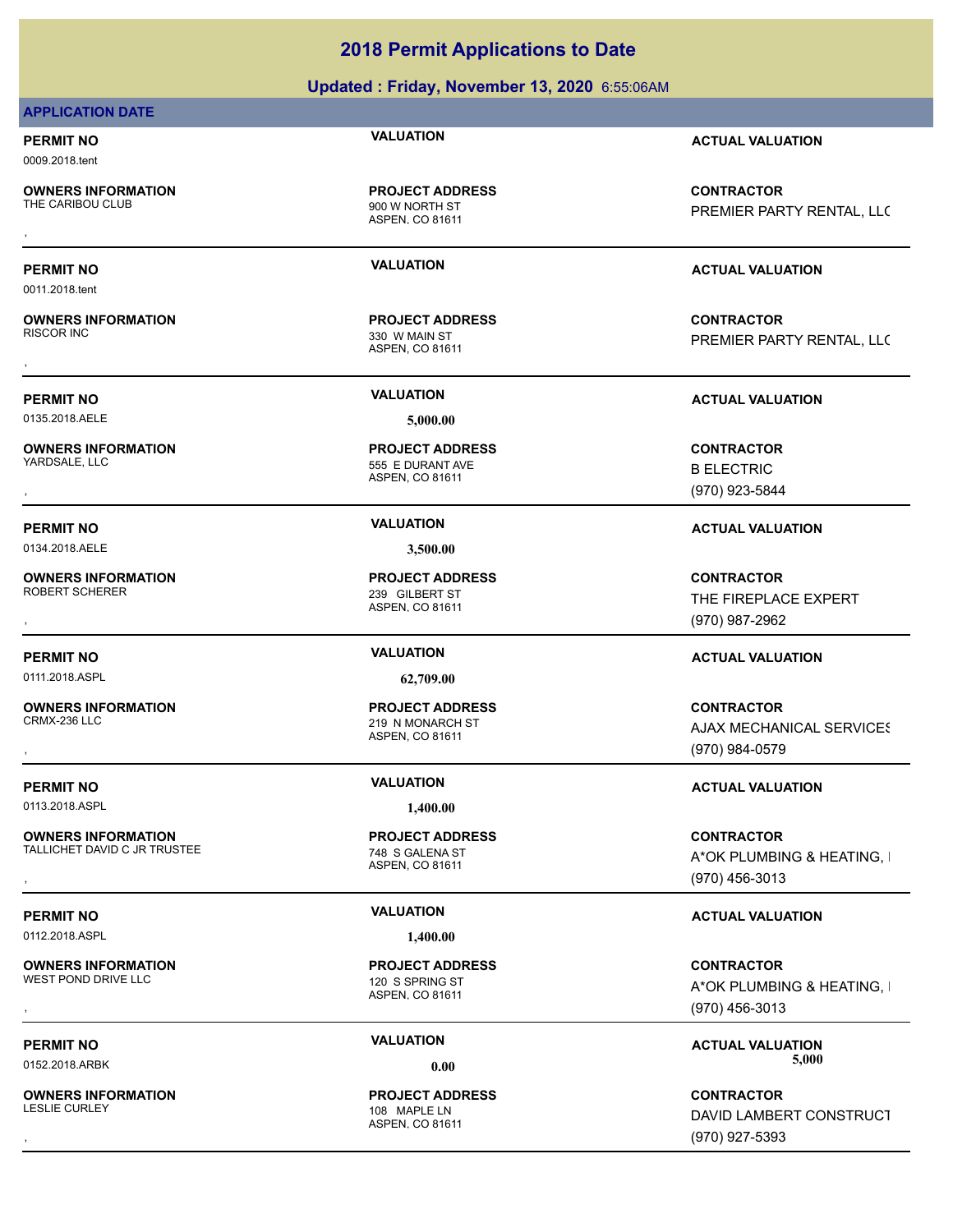**Updated : Friday, November 13, 2020** 6:55:06AM

### **APPLICATION DATE**

0009.2018.tent

0011.2018.tent

**OWNERS INFORMATION**<br>THE CARIBOU CLUB

**OWNERS INFORMATION**

ASPEN, CO 81611 900 W NORTH ST **PROJECT ADDRESS**

ASPEN, CO 81611 330 W MAIN ST **PROJECT ADDRESS**

**PERMIT NO VALUATION ACTUAL VALUATION**

**OWNERS INFORMATION FROJECT ADDRESS CONTRACTOR**<br>THE CARIBOU CLUB TO THE CARIBOU CLUB<br>, THE CARIBOU CLUB<br>, The CARIBOU CLUB TO MASPEN, CO 81611 PREMIER PARTY RENTAL, LLC

### **PERMIT NO VALUATION ACTUAL VALUATION**

, **CONTRACTOR** PREMIER PARTY RENTAL, LLC

0135.2018.AELE **5,000.00**

**OWNERS INFORMATION**

**OWNERS INFORMATION** ROBERT SCHERER 239 GILBERT ST

0111.2018.ASPL **62,709.00**

**OWNERS INFORMATION** CRMX-236 LLC 219 N MONARCH ST

0113.2018.ASPL **1,400.00**

**OWNERS INFORMATION** TALLICHET DAVID C JR TRUSTEE 748 S GALENA ST

0112.2018.ASPL **1,400.00** 

**OWNERS INFORMATION**<br>WEST POND DRIVE LLC

**OWNERS INFORMATION**

ASPEN, CO 81611 555 E DURANT AVE **PROJECT ADDRESS** , **CONTRACTOR**

0134.2018.AELE **3,500.00**

ASPEN, CO 81611 **PROJECT ADDRESS**

ASPEN, CO 81611 **PROJECT ADDRESS**

ASPEN, CO 81611

ASPEN, CO 81611 120 S SPRING ST **PROJECT ADDRESS**

ASPEN, CO 81611 108 MAPLE IN **PROJECT ADDRESS**

**PERMIT NO VALUATION ACTUAL VALUATION**

B ELECTRIC (970) 923-5844

**PERMIT NO VALUATION ACTUAL VALUATION**

, **CONTRACTOR** THE FIREPLACE EXPERT (970) 987-2962

### **PERMIT NO VALUATION ACTUAL VALUATION**

**OWNERS INFORMATION PROJECT ADDRESS CONTRACTOR**<br>CRMX-236 LLC 219 N MONARCH ST AJAX MECHANICAL SERVICES<br>, ASPEN, CO 81611 **AJAX MECHANICAL SERVICES** (970) 984-0579

### **PERMIT NO VALUATION VALUATION VALUATION**

**OWNERS INFORMATION EXAMPLE ASSES FOR A PROJECT ADDRESS FOR A CONTRACTOR CONTRACTOR FOR A PARTING, I<br>TALLICHET DAVID C JR TRUSTEE FOR A SOME ASPEN, CO 81611 FOR A SOME A PARTION FOR A PARTING, I<br>TALLICHET DAVID C JR TRUSTE** A\*OK PLUMBING & HEATING, I (970) 456-3013

### **PERMIT NO VALUATION VALUATION VALUATION**

, **CONTRACTOR** A\*OK PLUMBING & HEATING, I (970) 456-3013

**PERMIT NO VALUATION ACTUAL VALUATION** 0152.2018.ARBK **0.00 5,000.00**

, **CONTRACTOR** DAVID LAMBERT CONSTRUCT (970) 927-5393

**PROJECT ADDRESS**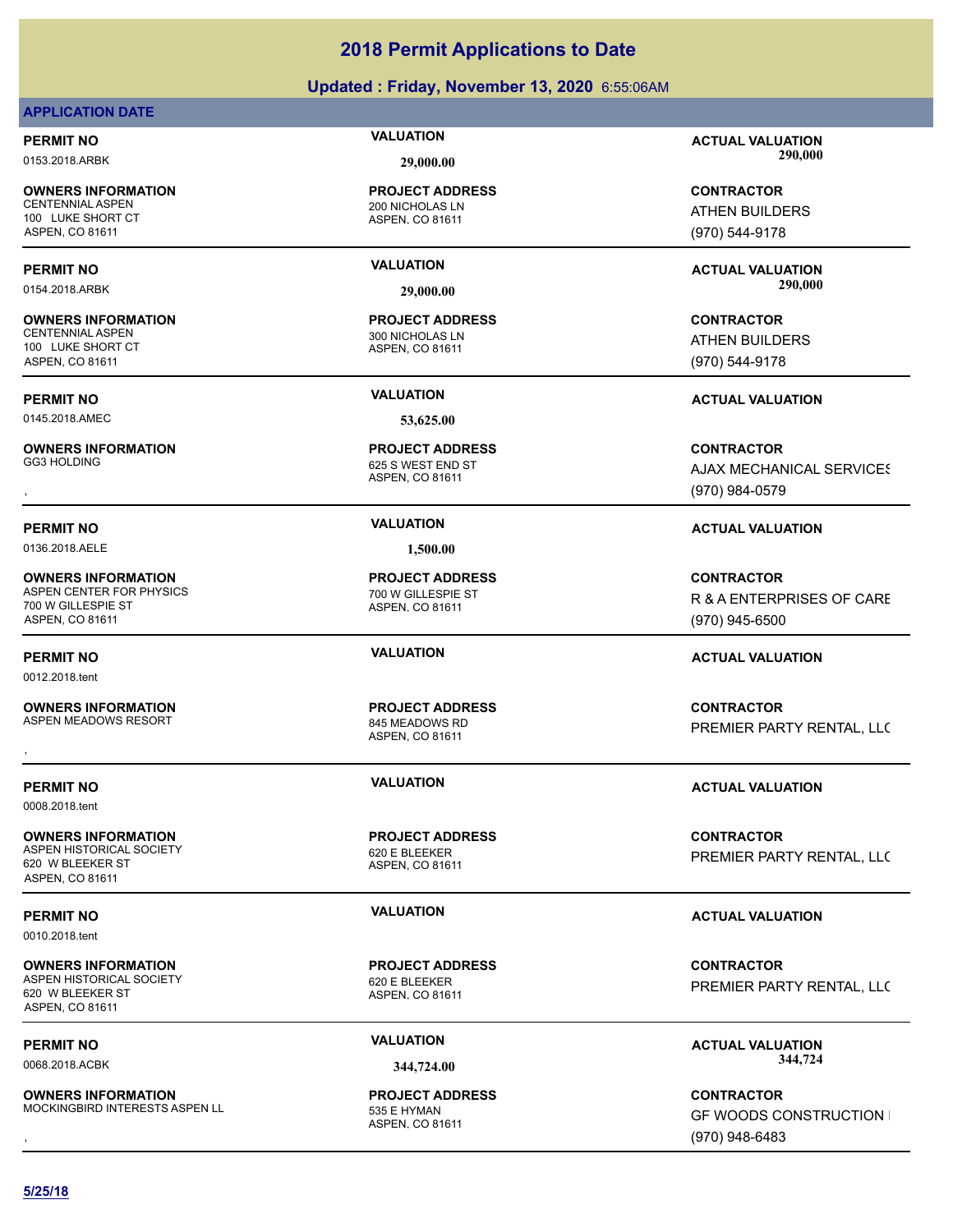### **Updated : Friday, November 13, 2020** 6:55:06AM

### **APPLICATION DATE**

**OWNERS INFORMATION** 100 LUKE SHORT CT ASPEN, CO 81611

**OWNERS INFORMATION** CENTENNIAL ASPEN 300 NICHOLAS LN 100 LUKE SHORT CT ASPEN, CO 81611

0145.2018.AMEC **53,625.00**

**OWNERS INFORMATION**<br>GG3 HOLDING

0136.2018.AELE **1,500.00**

**OWNERS INFORMATION** ASPEN CENTER FOR PHYSICS 700 W GILLESPIE ST 700 W GILLESPIE ST ASPEN, CO 81611

0012.2018.tent

**OWNERS INFORMATION**

0008.2018.tent

**OWNERS INFORMATION** ASPEN HISTORICAL SOCIETY 620 E BLEEKER 620 W BLEEKER ST ASPEN, CO 81611

0010.2018.tent

**OWNERS INFORMATION** ASPEN HISTORICAL SOCIETY 620 E BLEEKER 620 W BLEEKER ST ASPEN, CO 81611

**OWNERS INFORMATION** MOCKINGBIRD INTERESTS ASPEN LL<br>535 E HYMAN

ASPEN, CO 81611 **200 NICHOLAS LN PROJECT ADDRESS**

ASPEN, CO 81611 **PROJECT ADDRESS**

ASPEN, CO 81611 625 S WEST END ST **PROJECT ADDRESS**

ASPEN, CO 81611 **PROJECT ADDRESS**

ASPEN, CO 81611 845 MEADOWS RD **PROJECT ADDRESS**

ASPEN, CO 81611 **PROJECT ADDRESS**

ASPEN, CO 81611 **PROJECT ADDRESS**

ASPEN, CO 81611 **PROJECT ADDRESS**

**PERMIT NO VALUATION ACTUAL VALUATION** 0153.2018.ARBK **29,000.00 290,000.00**

> **CONTRACTOR** ATHEN BUILDERS (970) 544-9178

**PERMIT NO VALUATION ACTUAL VALUATION** 0154.2018.ARBK **29,000.00 290,000.00**

> **CONTRACTOR** ATHEN BUILDERS (970) 544-9178

**PERMIT NO VALUATION ACTUAL VALUATION**

, **CONTRACTOR AJAX MECHANICAL SERVICES** (970) 984-0579

### **PERMIT NO VALUATION ACTUAL VALUATION**

**CONTRACTOR** R & A ENTERPRISES OF CARE (970) 945-6500

### **PERMIT NO VALUATION ACTUAL VALUATION**

**OWNERS INFORMATION PROJECT ADDRESS CONTRACTOR**<br>ASPEN MEADOWS RESORT 845 MEADOWS RD<br>, ASPEN, CO 81611 PREMIER PARTY RENTAL, LLC

### **PERMIT NO VALUATION ACTUAL VALUATION**

**CONTRACTOR** PREMIER PARTY RENTAL, LLC

### **PERMIT NO VALUATION VALUATION VALUATION**

**CONTRACTOR** PREMIER PARTY RENTAL, LLC

PERMIT NO **SALUATION VALUATION VALUATION ACTUAL VALUATION ACTUAL VALUATION** 0068.2018.ACBK **344,724.00 344,724.00**

**OWNERS INFORMATION MODEL SERVICE PROJECT ADDRESS ARE SERVICE CONTRACTOR CONTRACTOR**<br>MOCKINGBIRD INTERESTS ASPEN LL ASPEN, CO 81611 MODEL SAND MODEL (970) 948-6483<br>ASPEN, CO 81611 MODEL (970) 948-6483 **GF WOODS CONSTRUCTION I** (970) 948-6483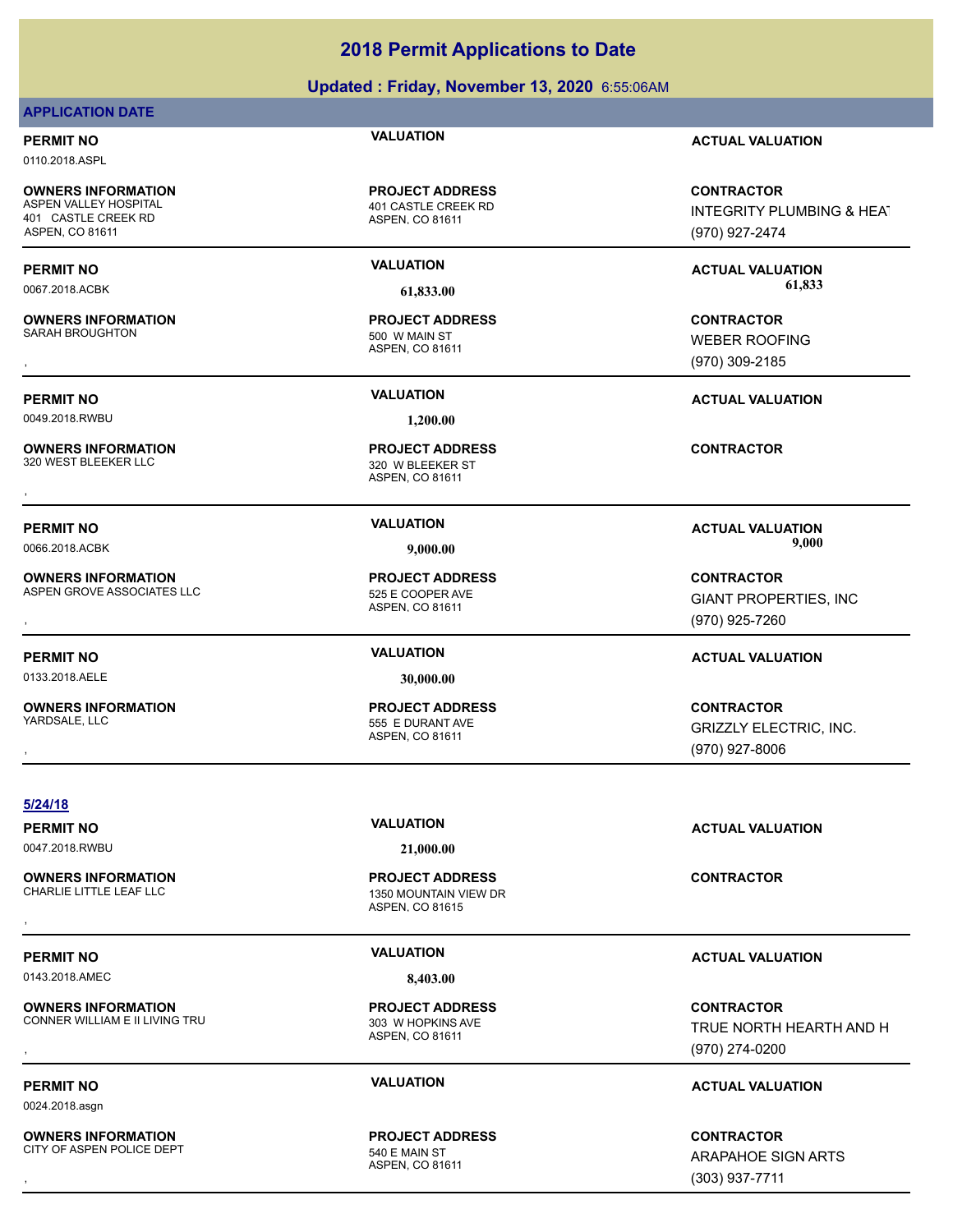### **Updated : Friday, November 13, 2020** 6:55:06AM

### **APPLICATION DATE**

0110.2018.ASPL

**OWNERS INFORMATION** 401 CASTLE CREEK RD ASPEN, CO 81611

**OWNERS INFORMATION** SARAH BROUGHTON 500 W MAIN ST

0049.2018.RWBU **1,200.00**

**OWNERS INFORMATION**

**OWNERS INFORMATION** ASPEN GROVE ASSOCIATES LLC<br>525 E COOPER AVE

0133.2018.AELE **30,000.00**

**OWNERS INFORMATION** YARDSALE, LLC 555 E DURANT AVE

ASPEN, CO 81611 401 CASTLE CREEK RD **PROJECT ADDRESS**

ASPEN, CO 81611 **PROJECT ADDRESS**

ASPEN, CO 81611 320 W BLEEKER ST **PROJECT ADDRESS OWNERS INFORMATION CONTRACTOR REPORT OF PROJECT ADDRESS CONTRACTOR**<br>320 WEST BLEEKER LLC **CONTRACTOR SEEKER STEEKER STEEKER STEEKER**<br>ASPEN, CO 81611

ASPEN, CO 81611 **PROJECT ADDRESS**

ASPEN, CO 81611 **PROJECT ADDRESS**

**PERMIT NO VALUATION ACTUAL VALUATION**

**CONTRACTOR** INTEGRITY PLUMBING & HEAT (970) 927-2474

**PERMIT NO VALUATION ACTUAL VALUATION** 0067.2018.ACBK **61,833.00 61,833.00**

, **CONTRACTOR** WEBER ROOFING (970) 309-2185

**PERMIT NO VALUATION ACTUAL VALUATION**

**PERMIT NO VALUATION ACTUAL VALUATION** 0066.2018.ACBK **9,000.00 9,000.00**

**OWNERS INFORMATION LEADURED SEXUAL SERVICE OF PROJECT ADDRESS ASSESS ASSESS AND MONORATOR CONTRACTOR SERVICES, INC<br>ASPEN GROVE ASSOCIATES LLC LEADURED ASPEN. CO 81611<br>ASPEN. CO 81611 LEADURED SERVICES (970) 925-7260** GIANT PROPERTIES, INC (970) 925-7260

### **PERMIT NO VALUATION ACTUAL VALUATION**

, **CONTRACTOR** GRIZZLY ELECTRIC, INC. (970) 927-8006

**5/24/18**

0047.2018.RWBU **21,000.00**

ASPEN, CO 81615 1350 MOUNTAIN VIEW DR **PROJECT ADDRESS OWNERS INFORMATION CONTRACTOR REGIST OF PROJECT ADDRESS CONTRACTOR CONTRACTOR**<br>CHARLIE LITTLE LEAF LLC CONTRACTOR ASPEN. CO 81615<br>,

ASPEN, CO 81611 **PROJECT ADDRESS**

ASPEN, CO 81611 **PROJECT ADDRESS**

**PERMIT NO VALUATION ACTUAL VALUATION**

, **CONTRACTOR** TRUE NORTH HEARTH AND H (970) 274-0200

### **PERMIT NO VALUATION ACTUAL VALUATION**

**OWNERS INFORMATION GOVERNED BY A SERVICE PROJECT ADDRESS ARE SERVICE CONTRACTOR**<br>CITY OF ASPEN POLICE DEPT **FOR A SPEN ASPEN. CO 81611**<br>, GOVERNED BY A SPEN. CO 81611 ARAPAHOE SIGN ARTS (303) 937-7711

**OWNERS INFORMATION** CITY OF ASPEN POLICE DEPT 540 E MAIN ST

**PERMIT NO VALUATION ACTUAL VALUATION**

0143.2018.AMEC **8,403.00**

**OWNERS INFORMATION** CONNER WILLIAM E II LIVING TRU<br>CONNER WILLIAM E II LIVING TRU

**OWNERS INFORMATION**

0024.2018.asgn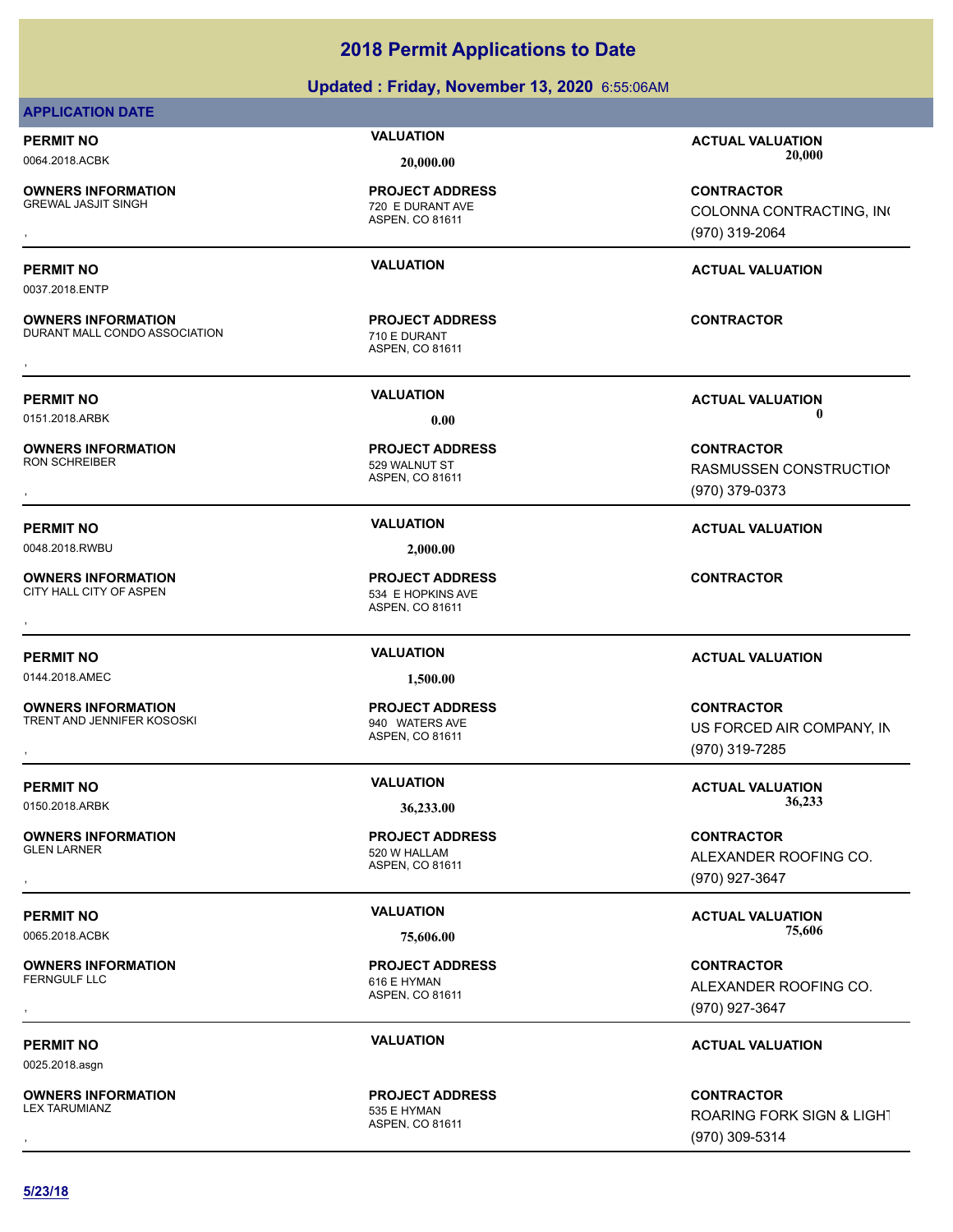### **Updated : Friday, November 13, 2020** 6:55:06AM

### **APPLICATION DATE**

0037.2018.ENTP

**OWNERS INFORMATION**

**OWNERS INFORMATION**

**OWNERS INFORMATION**

**OWNERS INFORMATION**

**OWNERS INFORMATION**

ASPEN, CO 81611 720 E DURANT AVE **PROJECT ADDRESS**

ASPEN, CO 81611 DURANT MALL CONDO ASSOCIATION 710 E DURANT **PROJECT ADDRESS** , **CONTRACTOR**

ASPEN, CO 81611 529 WALNUT ST **PROJECT ADDRESS**

0048.2018.RWBU **2,000.00**

ASPEN, CO 81611 CITY HALL CITY OF ASPEN 534 E HOPKINS AVE **PROJECT ADDRESS OWNERS INFORMATION GOVERNED BY A SET OF PROJECT ADDRESS CONTRACTOR CONTRACTOR**<br>CITY HALL CITY OF ASPEN **SAPEN ASPEN. CO 81611**<br>,

0144.2018.AMEC **1,500.00**

ASPEN, CO 81611 TRENT AND JENNIFER KOSOSKI SARA 1940 WATERS AVE **PROJECT ADDRESS**

ASPEN, CO 81611 **PROJECT ADDRESS**

ASPEN, CO 81611 616 E HYMAN **PROJECT ADDRESS**

ASPEN, CO 81611 535 E HYMAN **PROJECT ADDRESS**

**PERMIT NO VALUATION ACTUAL VALUATION** 0064.2018.ACBK **20,000.00 20,000.00**

, **CONTRACTOR** COLONNA CONTRACTING, INC (970) 319-2064

### **PERMIT NO VALUATION ACTUAL VALUATION**

**PERMIT NO VALUATION ACTUAL VALUATION** 0151.2018.ARBK **0.00 0.00**

, **CONTRACTOR** RASMUSSEN CONSTRUCTION (970) 379-0373

**PERMIT NO VALUATION ACTUAL VALUATION**

### **PERMIT NO VALUATION ACTUAL VALUATION**

**OWNERS INFORMATION GOVERNED BY A SERVICE PROJECT ADDRESS ARE SERVICE CONTRACTOR CONTRACTOR**<br>TRENT AND JENNIFER KOSOSKI GOVERNET ASPEN, CO 81611 GOVERNET MASS AND SERVICED AIR COMPANY, IN<br>GOVERNED ASPEN, CO 81611 GOVERNET US FORCED AIR COMPANY, IN (970) 319-7285

ALEXANDER ROOFING CO. (970) 927-3647

**PERMIT NO VALUATION VALUATION VALUATION** 

, **CONTRACTOR** ALEXANDER ROOFING CO. (970) 927-3647

### **PERMIT NO VALUATION VALUATION VALUATION**

, **CONTRACTOR** ROARING FORK SIGN & LIGHT (970) 309-5314

**PERMIT NO VALUATION VALUATION VALUATION** 0150.2018.ARBK **36,233.00 36,233.00 OWNERS INFORMATION** GLEN LARNER FOR THE SERIES OF THE SERIES AND SERIES AND SERIES OF THE SERIES OF THE SERIES OF THE SERIES OF THE SERIES OF THE SERIES OF THE SERIES OF THE SERIES OF THE SERIES OF THE SERIES OF THE SERIES OF THE SERIES OF TH , **CONTRACTOR**

**OWNERS INFORMATION**

0065.2018.ACBK **75,606.00 75,606.00 OWNERS INFORMATION**

0025.2018.asgn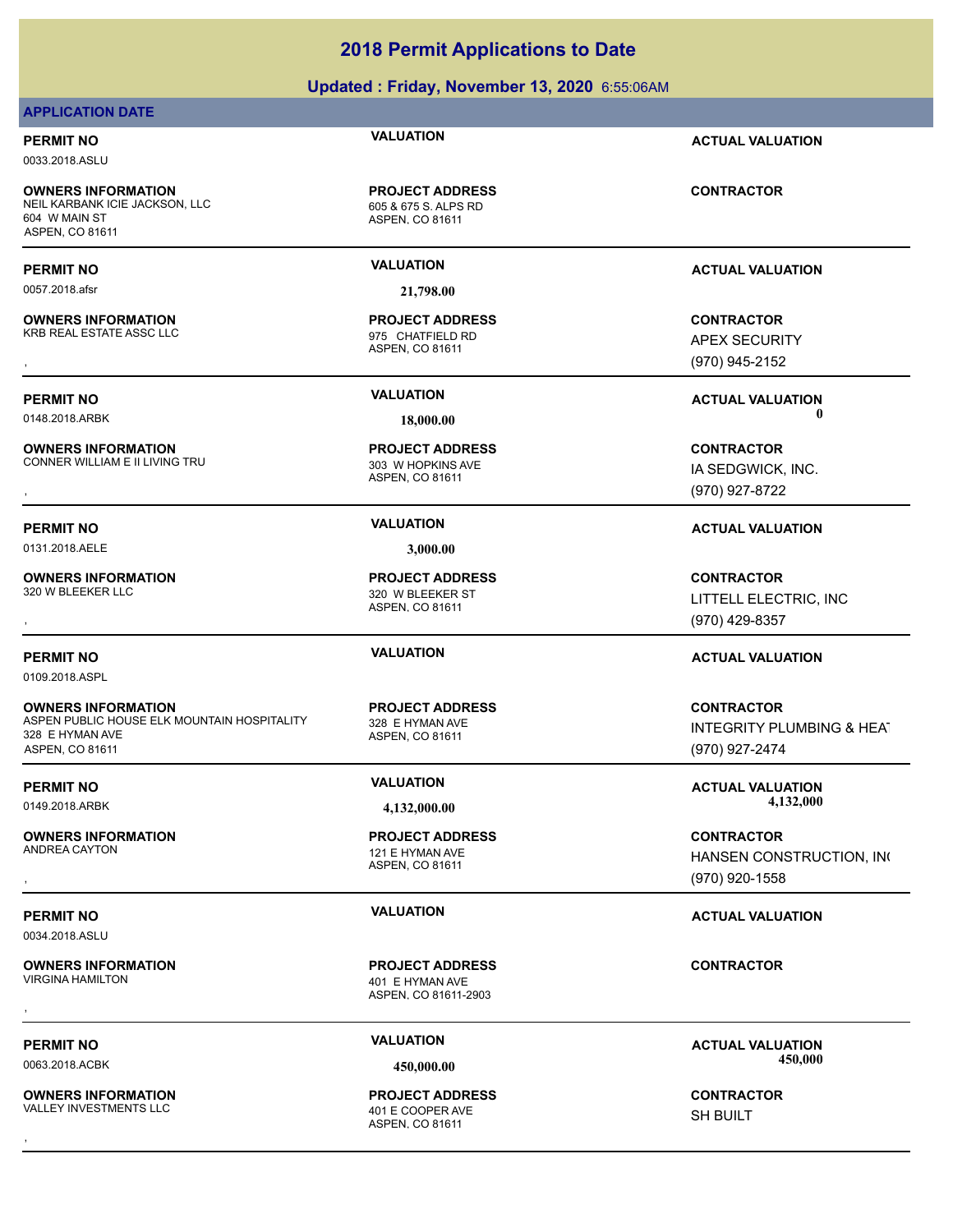### **Updated : Friday, November 13, 2020** 6:55:06AM

### **APPLICATION DATE**

0033.2018.ASLU

**OWNERS INFORMATION** NEIL KARBANK ICIE JACKSON, LLC<br>605 & 675 S. ALPS RD 604 W MAIN ST ASPEN, CO 81611

0057.2018.afsr **21,798.00**

**OWNERS INFORMATION** KRB REAL ESTATE ASSC LLC 6 and 1975 CHATFIELD RD

**OWNERS INFORMATION** CONNER WILLIAM E II LIVING TRU **1988 100 MHZ** 303 W HOPKINS AVE

0131.2018.AELE **3,000.00**

**OWNERS INFORMATION**

0109.2018.ASPL

**OWNERS INFORMATION** ASPEN PUBLIC HOUSE ELK MOUNTAIN HOSPITALITY 328 E HYMAN AVE 328 E HYMAN AVE ASPEN, CO 81611

**OWNERS INFORMATION**

0034.2018.ASLU

**OWNERS INFORMATION**<br>VIRGINA HAMILTON

**OWNERS INFORMATION** VALLEY INVESTMENTS LLC 401 E COOPER AVE

ASPEN, CO 81611 **PROJECT ADDRESS**

ASPEN, CO 81611 **PROJECT ADDRESS**

ASPEN, CO 81611 **PROJECT ADDRESS** , **CONTRACTOR**

ASPEN, CO 81611 320 W BLEEKER ST **PROJECT ADDRESS**

ASPEN, CO 81611 **PROJECT ADDRESS**

ASPEN, CO 81611 121 E HYMAN AVE **PROJECT ADDRESS**

ASPEN, CO 81611-2903 401 E HYMAN AVE **PROJECT ADDRESS** , **CONTRACTOR**

ASPEN, CO 81611 **PROJECT ADDRESS OWNERS INFORMATION CONTRACTOR REGISTED BY A PROJECT ADDRESS CONTRACTOR CONTRACTOR**<br>VALLEY INVESTMENTS LLC CONTRACTOR 401 E COOPER AVE SHOW SHOULT<br>ASPEN. CO 81611

**PERMIT NO VALUATION ACTUAL VALUATION**

**CONTRACTOR**

**PERMIT NO VALUATION ACTUAL VALUATION**

**OWNERS INFORMATION GOVERNEY ARE SERVED BY A SPEN. CONTROLLY A SPEN. CONTROLLY CONTRACTOR**<br>KRB REAL ESTATE ASSC LLC GOVERNEY ASPEN. CO 81611<br>ASPEN. CO 81611 GOVERNEY (970) 945-2152 APEX SECURITY (970) 945-2152

**PERMIT NO VALUATION ACTUAL VALUATION** 0148.2018.ARBK **18,000.00 0.00**

IA SEDGWICK, INC. (970) 927-8722

**PERMIT NO VALUATION ACTUAL VALUATION**

, **CONTRACTOR** LITTELL ELECTRIC, INC (970) 429-8357

### **PERMIT NO VALUATION ACTUAL VALUATION**

**CONTRACTOR** INTEGRITY PLUMBING & HEAT (970) 927-2474

**PERMIT NO VALUATION VALUATION VALUATION** 0149.2018.ARBK **4,132,000.00 4,132,000.00**

, **CONTRACTOR** HANSEN CONSTRUCTION, INC (970) 920-1558

### **PERMIT NO VALUATION VALUATION VALUATION**

PERMIT NO **SALUATION VALUATION VALUATION ACTUAL VALUATION ACTUAL VALUATION** 0063.2018.ACBK **450,000.00 450,000.00**

SH BUILT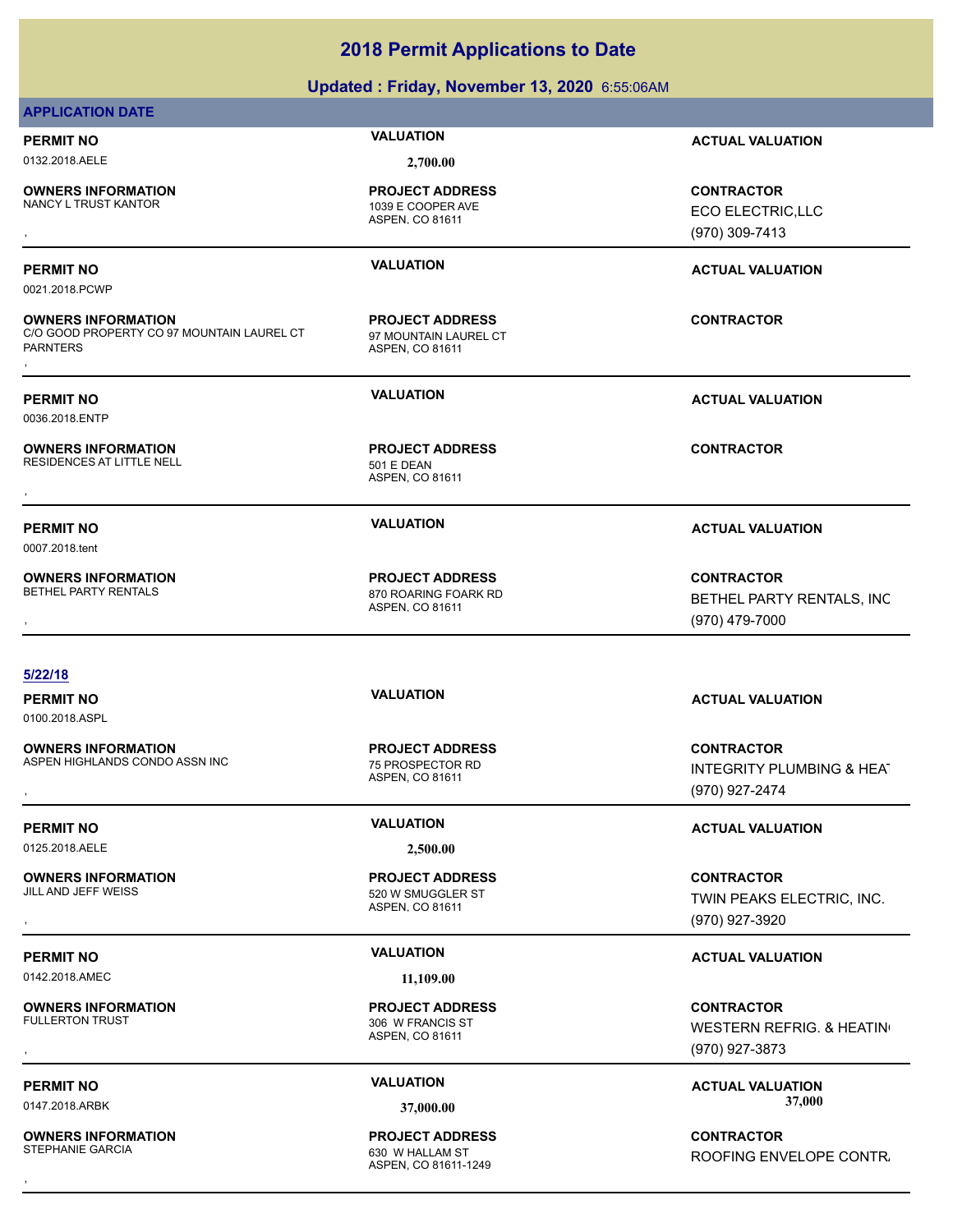### **Updated : Friday, November 13, 2020** 6:55:06AM

### **APPLICATION DATE**

# 0132.2018.AELE **2,700.00**

**OWNERS INFORMATION**

1039 E COOPER AVE **PROJECT ADDRESS**

ASPEN, CO 81611

0021.2018.PCWP

**OWNERS INFORMATION** C/O GOOD PROPERTY CO 97 MOUNTAIN LAUREL CT PARNTERS **OWNERS INFORMATION MODEL CONTRACTOR RESOURCE TO A PROJECT ADDRESS ARE:**<br>C/O GOOD PROPERTY CO 97 MOUNTAIN LAUREL CT g7 MOUNTAIN LAUREL CT<br>PARNTERS<br>,

0007.2018.tent

0036.2018.ENTP

**OWNERS INFORMATION** RESIDENCES AT LITTLE NELL 501 E DEAN

**OWNERS INFORMATION**

ASPEN, CO 81611 97 MOUNTAIN LAUREL CT **PROJECT ADDRESS**

ASPEN, CO 81611 **PROJECT ADDRESS OWNERS INFORMATION CONTRACTOR REGISTED PROJECT ADDRESS CONTRACTOR CONTRACTOR**<br>RESIDENCES AT LITTLE NELL **CONTRACTOR SEPSEAN**<br>ASPEN, CO 81611

ASPEN, CO 81611 870 ROARING FOARK RD **PROJECT ADDRESS**

### **5/22/18**

0100.2018.ASPL

**OWNERS INFORMATION** ASPEN HIGHLANDS CONDO ASSN INC<br>
75 PROSPECTOR RD

0125.2018.AELE **2,500.00**

**OWNERS INFORMATION**

0142.2018.AMEC **11,109.00**

**OWNERS INFORMATION**<br>FULLERTON TRUST

**OWNERS INFORMATION** STEPHANIE GARCIA **630 W HALLAM ST** 

ASPEN, CO 81611 **PROJECT ADDRESS**

ASPEN, CO 81611 520 W SMUGGLER ST **PROJECT ADDRESS**

ASPEN, CO 81611 306 W FRANCIS ST **PROJECT ADDRESS**

ASPEN, CO 81611-1249 **PROJECT ADDRESS**

**PERMIT NO VALUATION ACTUAL VALUATION**

, **CONTRACTOR** ECO ELECTRIC,LLC (970) 309-7413

### **PERMIT NO VALUATION ACTUAL VALUATION**

**PERMIT NO VALUATION ACTUAL VALUATION**

### **PERMIT NO VALUATION ACTUAL VALUATION**

**OWNERS INFORMATION PROJECT ADDRESS CONTRACTOR**<br>BETHEL PARTY RENTALS 870 ROARING FOARK RD BETHEL PARTY RENTALS, INC<br>, ASPEN. CO 81611 BETHEL PARTY RENTALS, INC (970) 479-7000

### **PERMIT NO VALUATION ACTUAL VALUATION**

**OWNERS INFORMATION MEXIC CONTRACTOR DESCRIPTION MERGEUS DESCRIPTION MEDIA DESCRIPTION MEDIA DESPROSPECTOR RD<br>ASPEN HIGHLANDS CONDO ASSN INC MEXIC RESPROSPECTOR RD TO S1611 MINITEGRITY PLUMBING & HEAT<br>RESPEN, CO 81611 MEXI** INTEGRITY PLUMBING & HEAT (970) 927-2474

### **PERMIT NO VALUATION ACTUAL VALUATION**

, **CONTRACTOR** TWIN PEAKS ELECTRIC, INC. (970) 927-3920

### **PERMIT NO VALUATION ACTUAL VALUATION**

, **CONTRACTOR** WESTERN REFRIG. & HEATING (970) 927-3873

**PERMIT NO VALUATION ACTUAL VALUATION** 0147.2018.ARBK **37,000.00 37,000.00**

, **CONTRACTOR** ROOFING ENVELOPE CONTR.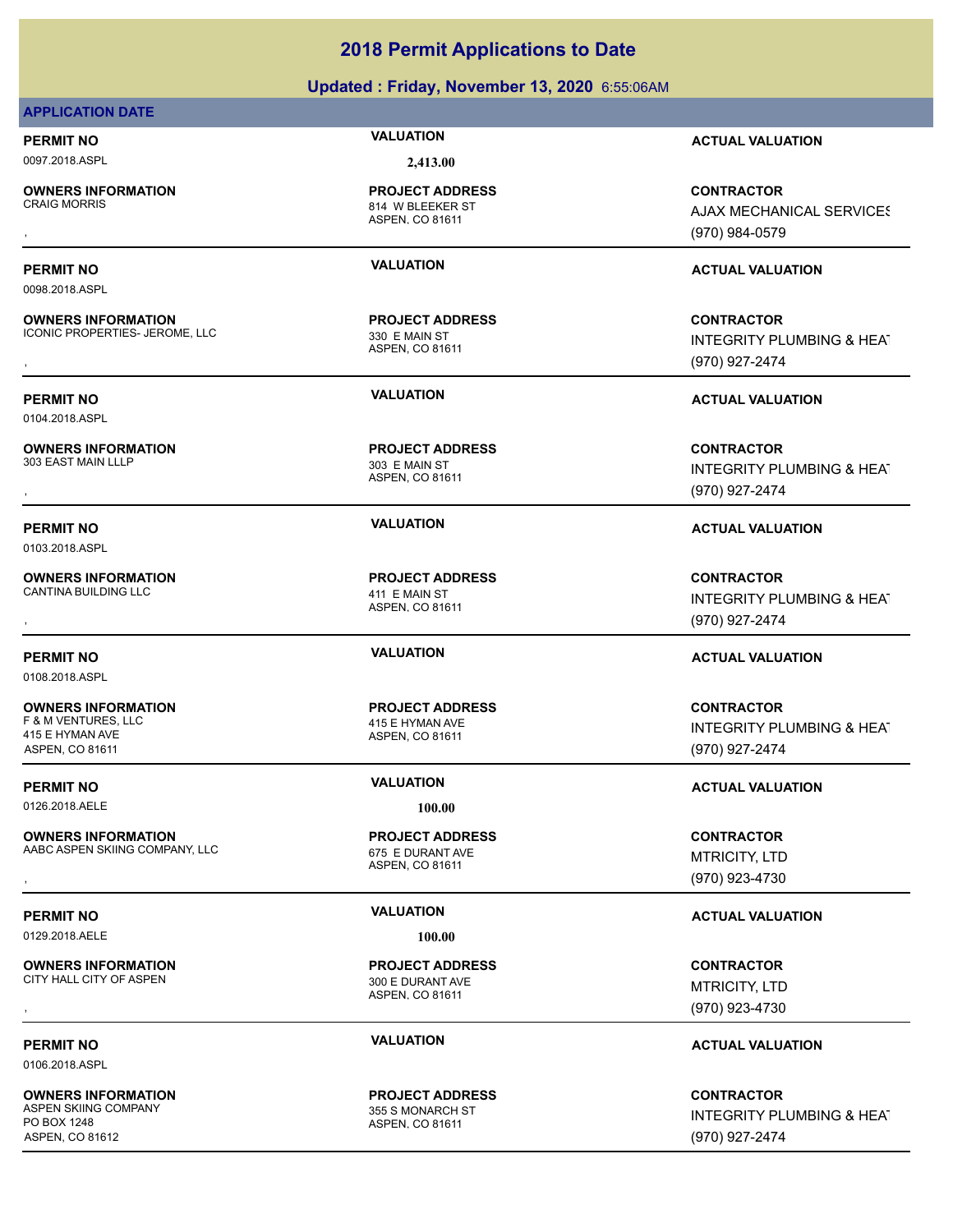### **Updated : Friday, November 13, 2020** 6:55:06AM

### **APPLICATION DATE**

0097.2018.ASPL **2,413.00**

0098.2018.ASPL

0104.2018.ASPL

**OWNERS INFORMATION**

**OWNERS INFORMATION**

**OWNERS INFORMATION**

ASPEN, CO 81611 814 W BLEEKER ST **PROJECT ADDRESS**

ASPEN, CO 81611 ICONIC PROPERTIES- JEROME, LLC 330 E MAIN ST **PROJECT ADDRESS**

ASPEN, CO 81611 303 E MAIN ST **PROJECT ADDRESS**

ASPEN, CO 81611 **PROJECT ADDRESS**

ASPEN, CO 81611 **PROJECT ADDRESS**

ASPEN, CO 81611 **PROJECT ADDRESS**

ASPEN, CO 81611 300 E DURANT AVE **PROJECT ADDRESS**

ASPEN, CO 81611 **PROJECT ADDRESS**

**PERMIT NO VALUATION ACTUAL VALUATION**

**OWNERS INFORMATION PROJECT ADDRESS CONTRACTOR**<br>CRAIG MORRIS 814 W BLEEKER ST AJAX MECHANICAL SERVICES<br>, ASPEN, CO 81611 **AJAX MECHANICAL SERVICES** (970) 984-0579

### **PERMIT NO VALUATION ACTUAL VALUATION**

, **CONTRACTOR** INTEGRITY PLUMBING & HEAT (970) 927-2474

**PERMIT NO VALUATION ACTUAL VALUATION**

, **CONTRACTOR** INTEGRITY PLUMBING & HEAT (970) 927-2474

### **PERMIT NO VALUATION ACTUAL VALUATION**

, **CONTRACTOR** INTEGRITY PLUMBING & HEAT (970) 927-2474

### **PERMIT NO VALUATION ACTUAL VALUATION**

**CONTRACTOR** INTEGRITY PLUMBING & HEAT (970) 927-2474

### **PERMIT NO VALUATION VALUATION VALUATION**

**OWNERS INFORMATION METALLY CONTRACTOR RESOURD PROJECT ADDRESS ARE CONTRACTOR CONTRACTOR**<br>AABC ASPEN SKIING COMPANY, LLC THE RESOURT OF SE DURANT AVE THE MORE TO A MANUSITY, LTD ASPEN. CO 81611<br>ASPEN. CO 81611 (970) 923-47 MTRICITY, LTD (970) 923-4730

### **PERMIT NO VALUATION VALUATION VALUATION**

, **CONTRACTOR** MTRICITY, LTD (970) 923-4730

### **PERMIT NO CONSUMITY OF A CONSUMITY OF A CONSUMITY OF A CONSUMITY OF A CTUAL VALUATION**

**CONTRACTOR** INTEGRITY PLUMBING & HEAT (970) 927-2474

0103.2018.ASPL

**OWNERS INFORMATION** CANTINA BUILDING LLC 411 E MAIN ST

0108.2018.ASPL

**OWNERS INFORMATION** F & M VENTURES, LLC 415 E HYMAN AVE 415 E HYMAN AVE ASPEN, CO 81611

0126.2018.AELE **100.00**

**OWNERS INFORMATION** AABC ASPEN SKIING COMPANY, LLC 675 E DURANT AVE

0129.2018.AELE **100.00**

**OWNERS INFORMATION**

0106.2018.ASPL

**OWNERS INFORMATION** ASPEN SKIING COMPANY **1998** 355 S MONARCH ST PO BOX 1248 ASPEN, CO 81612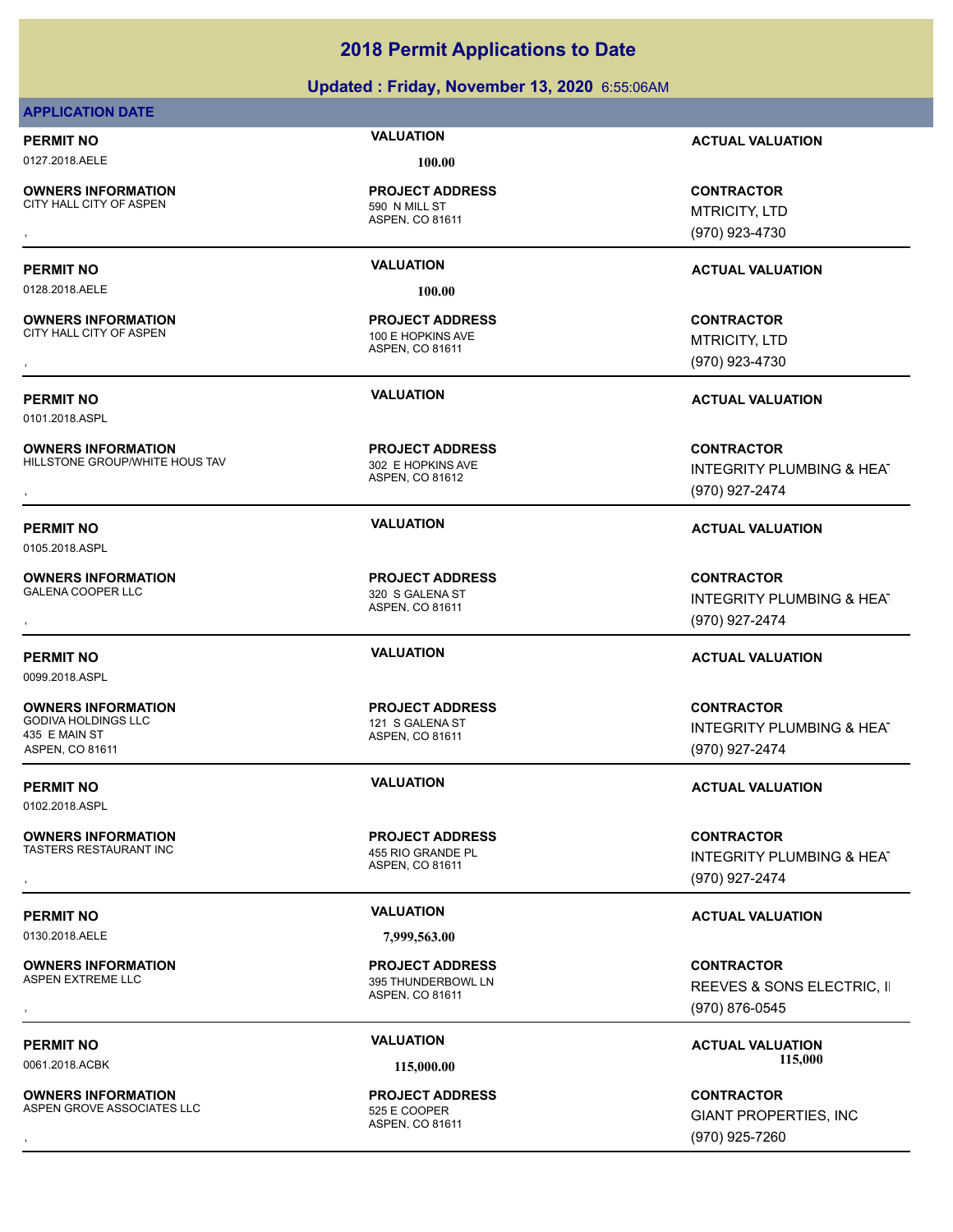### **Updated : Friday, November 13, 2020** 6:55:06AM

### **APPLICATION DATE**

**OWNERS INFORMATION**

0127.2018.AELE **100.00**

ASPEN, CO 81611 CITY HALL CITY OF ASPEN 590 N MILL ST **PROJECT ADDRESS**

0128.2018.AELE **100.00**

**OWNERS INFORMATION** CITY HALL CITY OF ASPEN 100 E HOPKINS AVE

0101.2018.ASPL

**OWNERS INFORMATION** HILLSTONE GROUP/WHITE HOUS TAV 302 E HOPKINS AVE

ASPEN, CO 81612 **PROJECT ADDRESS**

ASPEN, CO 81611

**PROJECT ADDRESS**

ASPEN, CO 81611 **PROJECT ADDRESS**

ASPEN, CO 81611 **PROJECT ADDRESS**

ASPEN, CO 81611 TASTERS RESTAURANT INC<br>
455 RIO GRANDE PL **PROJECT ADDRESS**

ASPEN, CO 81611 395 THUNDERBOWL LN **PROJECT ADDRESS**

ASPEN, CO 81611 **PROJECT ADDRESS**

**PERMIT NO VALUATION ACTUAL VALUATION**

, **CONTRACTOR** MTRICITY, LTD (970) 923-4730

### **PERMIT NO VALUATION ACTUAL VALUATION**

, **CONTRACTOR** MTRICITY, LTD (970) 923-4730

**PERMIT NO VALUATION ACTUAL VALUATION**

**OWNERS INFORMATION Material contract in the serve of the PROJECT ADDRESS (CONTRACTOR CONTRACTOR SEAT FILLSTONE GROUP/WHITE HOUS TAV and the serve of the server of the server of the server of the server of the server of th** INTEGRITY PLUMBING & HEAT (970) 927-2474

**PERMIT NO VALUATION ACTUAL VALUATION**

, **CONTRACTOR** INTEGRITY PLUMBING & HEAT (970) 927-2474

### **PERMIT NO VALUATION ACTUAL VALUATION**

**CONTRACTOR** INTEGRITY PLUMBING & HEAT (970) 927-2474

### **PERMIT NO VALUATION VALUATION VALUATION**

**OWNERS INFORMATION PROJECT ADDRESS CONTRACTOR**<br>TASTERS RESTAURANT INC 455 RIO GRANDE PL INTEGRITY PLUMBING & HEAT<br>, ASPEN. CO 81611 INTEGRITY PLUMBING & HEAT (970) 927-2474

### **PERMIT NO VALUATION VALUATION VALUATION**

, **CONTRACTOR** REEVES & SONS ELECTRIC, II (970) 876-0545

PERMIT NO **SALUATION VALUATION VALUATION ACTUAL VALUATION ACTUAL VALUATION** 0061.2018.ACBK **115,000.00 115,000.00**

**OWNERS INFORMATION LEarning Science of PROJECT ADDRESS ASSESS ASSESS ASSESS ASSESS AND RESOURD ASSESS AND RESOUR<br>ASPEN GROVE ASSOCIATES LLC LEARNING ASPEN ASPEN. CO 81611<br>ASPEN. CO 81611 LEARNING ASPEN ASPEN. CO 81611 (97** GIANT PROPERTIES, INC (970) 925-7260

0105.2018.ASPL

**OWNERS INFORMATION** GALENA COOPER LLC<br>320 S GALENA ST

0099.2018.ASPL

**OWNERS INFORMATION** GODIVA HOLDINGS LLC 121 S GALENA ST 435 E MAIN ST ASPEN, CO 81611

0102.2018.ASPL

**OWNERS INFORMATION**

**OWNERS INFORMATION**

ASPEN GROVE ASSOCIATES LLC<br>525 E COOPER

0130.2018.AELE **7,999,563.00**

**OWNERS INFORMATION**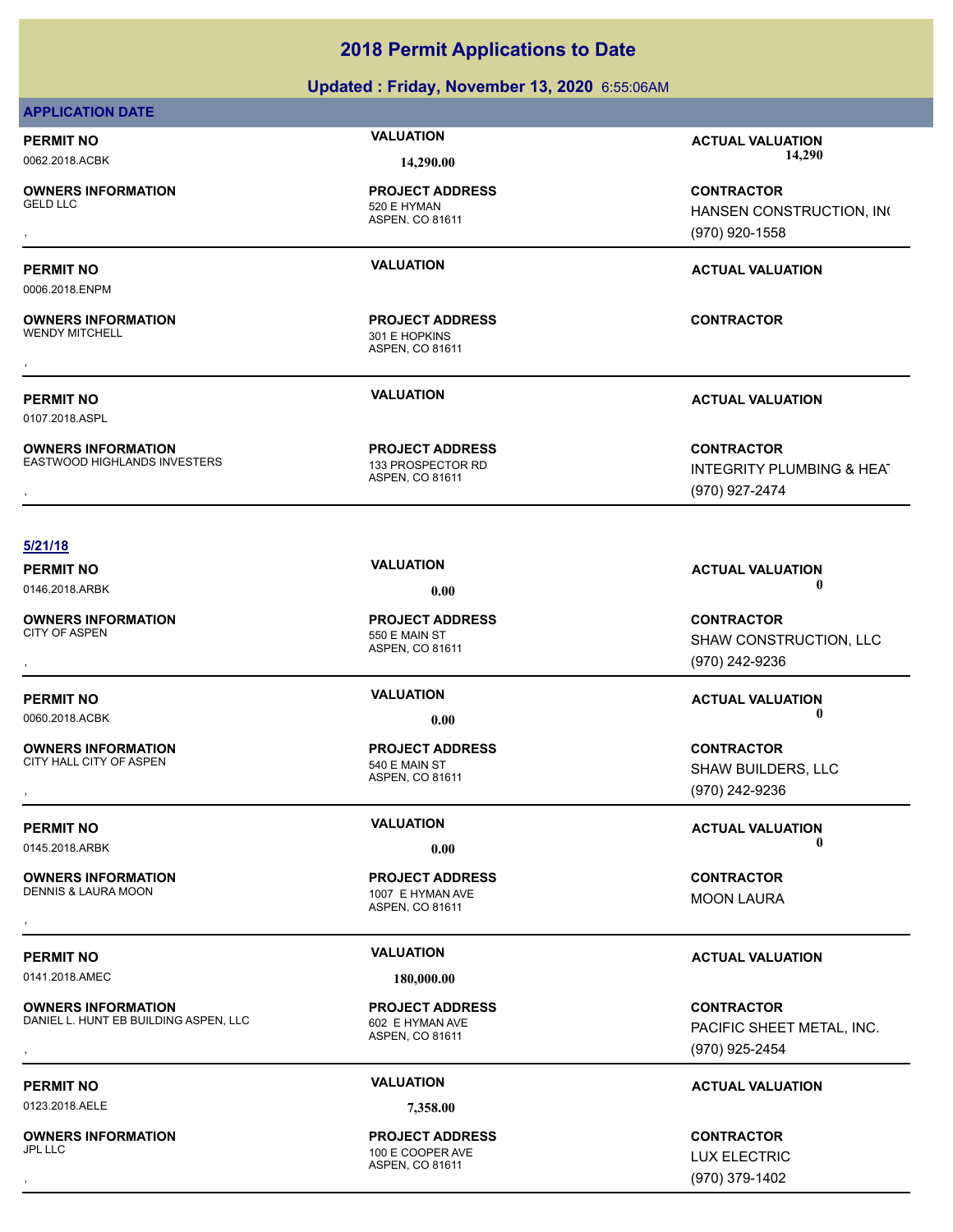### **Updated : Friday, November 13, 2020** 6:55:06AM

### **APPLICATION DATE**

**OWNERS INFORMATION**

0006.2018.ENPM

**OWNERS INFORMATION** WENDY MITCHELL 301 E HOPKINS

0107.2018.ASPL

**OWNERS INFORMATION** EASTWOOD HIGHLANDS INVESTERS 133 PROSPECTOR RD

ASPEN, CO 81611 520 E HYMAN **PROJECT ADDRESS**

ASPEN, CO 81611 **PROJECT ADDRESS** , **CONTRACTOR**

ASPEN, CO 81611 **PROJECT ADDRESS**

**PERMIT NO VALUATION ACTUAL VALUATION** 0062.2018.ACBK **14,290.00 14,290.00**

, **CONTRACTOR** HANSEN CONSTRUCTION, INC (970) 920-1558

### **PERMIT NO VALUATION ACTUAL VALUATION**

**PERMIT NO VALUATION ACTUAL VALUATION**

, **CONTRACTOR** INTEGRITY PLUMBING & HEAT (970) 927-2474

### **5/21/18**

0146.2018.ARBK **0.00 0.00**

**OWNERS INFORMATION** CITY OF ASPEN 550 E MAIN ST

**OWNERS INFORMATION** CITY HALL CITY OF ASPEN 540 E MAIN ST

**OWNERS INFORMATION**

DENNIS & LAURA MOON 1007 E HYMAN AVE

0141.2018.AMEC **180.000.00** 

**OWNERS INFORMATION** DANIEL L. HUNT EB BUILDING ASPEN, LLC 602 E HYMAN AVE

0123.2018.AELE **7,358.00**

**OWNERS INFORMATION**

ASPEN, CO 81611 **PROJECT ADDRESS**

ASPEN, CO 81611 **PROJECT ADDRESS**

ASPEN, CO 81611 **PROJECT ADDRESS** , **CONTRACTOR**

ASPEN, CO 81611 **PROJECT ADDRESS**

### ASPEN, CO 81611  $100$  E COOPER AVE **PROJECT ADDRESS** , **CONTRACTOR**

, **CONTRACTOR** SHAW CONSTRUCTION, LLC (970) 242-9236

**PERMIT NO VALUATION ACTUAL VALUATION** 0060.2018.ACBK **0.00 0.00**

**OWNERS INFORMATION GOVERNED BY A SERVICE PROJECT ADDRESS ARE:** CONTRACTOR CONTRACTOR<br>CITY HALL CITY OF ASPEN **A SPEN ASPEN, CO 81611** CONSTRANT CONTRACTOR SHAW BUILDERS, LLC<br>, GTO) 242-9236 SHAW BUILDERS, LLC (970) 242-9236

**PERMIT NO CONSUMITY OF A CONSUMITY OF A CONSUMITY OF A CONSUMITY OF A CTUAL VALUATION** 0145.2018.ARBK **0.00 0.00**

MOON LAURA

### **PERMIT NO VALUATION ACTUAL VALUATION**

**OWNERS INFORMATION ASPEN, LLC ASPEN, LCC ASPEN, CORRESS CONTRACTOR CONTRACTOR**<br>DANIEL L. HUNT EB BUILDING ASPEN, LLC ASPEN, CO 81611 ASPEN, CO 81611 **CONTRACTOR CONTROL ASPEN, CO 81611**<br>, GTO) 925-2454 PACIFIC SHEET METAL, INC. (970) 925-2454

### **PERMIT NO VALUATION ACTUAL VALUATION**

LUX ELECTRIC (970) 379-1402

**PERMIT NO VALUATION ACTUAL VALUATION**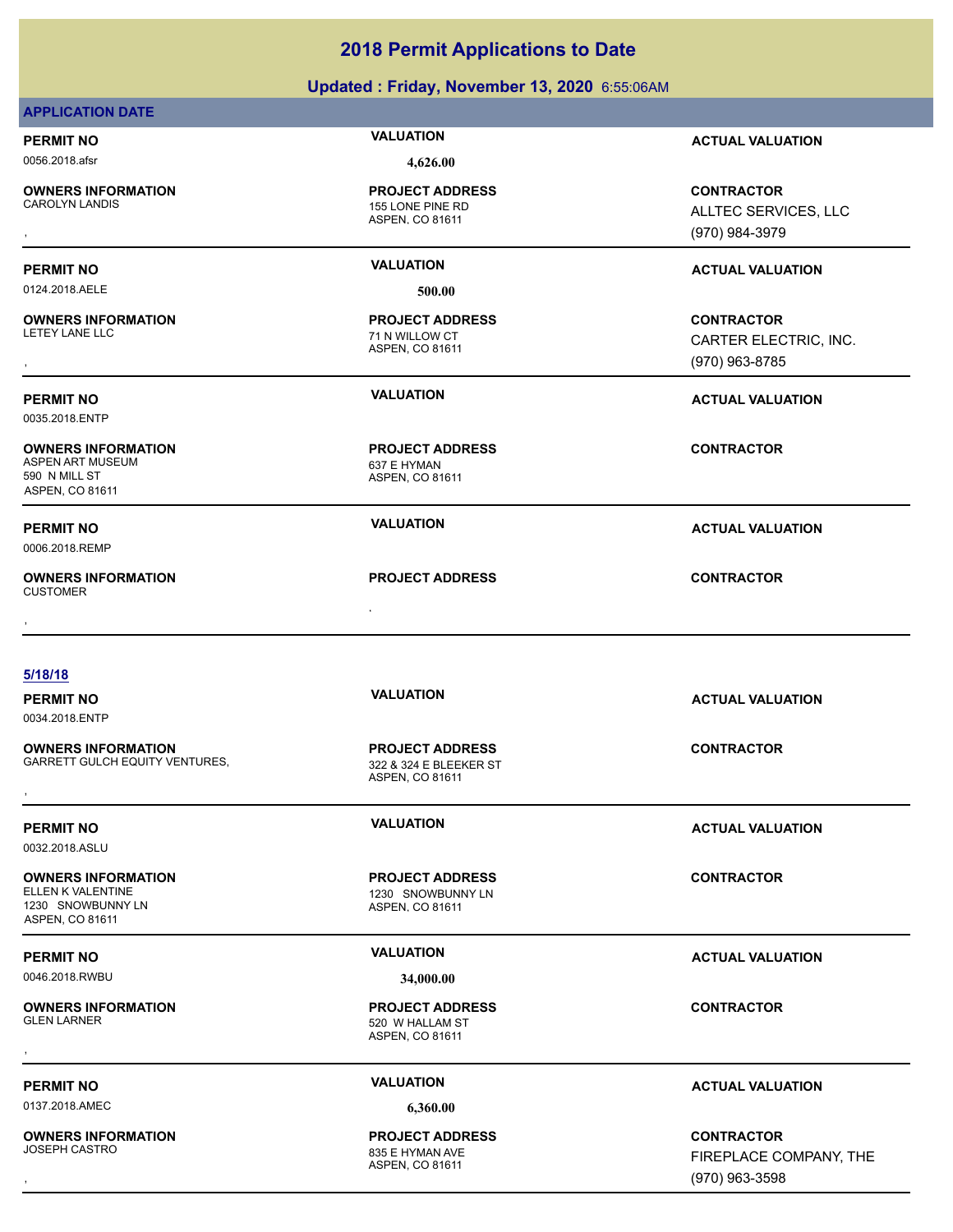### **Updated : Friday, November 13, 2020** 6:55:06AM

| <b>APPLICATION DATE</b>                                                                                                                                                            |  |
|------------------------------------------------------------------------------------------------------------------------------------------------------------------------------------|--|
|                                                                                                                                                                                    |  |
| <b>VALUATION</b><br><b>PERMIT NO</b><br><b>ACTUAL VALUATION</b>                                                                                                                    |  |
| 0056.2018.afsr<br>4,626.00                                                                                                                                                         |  |
| <b>OWNERS INFORMATION</b><br><b>PROJECT ADDRESS</b><br><b>CONTRACTOR</b><br><b>CAROLYN LANDIS</b><br>155 LONE PINE RD<br>ALLTEC SERVICES, LLC<br>ASPEN, CO 81611<br>(970) 984-3979 |  |
| <b>VALUATION</b><br><b>PERMIT NO</b><br><b>ACTUAL VALUATION</b>                                                                                                                    |  |
| 0124.2018.AELE<br>500.00                                                                                                                                                           |  |
| <b>OWNERS INFORMATION</b><br><b>PROJECT ADDRESS</b><br><b>CONTRACTOR</b><br>LETEY LANE LLC<br>71 N WILLOW CT<br>CARTER ELECTRIC, INC.<br>ASPEN, CO 81611<br>(970) 963-8785         |  |
| <b>VALUATION</b><br><b>PERMIT NO</b><br><b>ACTUAL VALUATION</b><br>0035.2018.ENTP                                                                                                  |  |
| <b>CONTRACTOR</b><br><b>OWNERS INFORMATION</b><br><b>PROJECT ADDRESS</b><br><b>ASPEN ART MUSEUM</b><br>637 E HYMAN<br>590 N MILL ST<br>ASPEN, CO 81611<br>ASPEN, CO 81611          |  |
| <b>VALUATION</b><br><b>PERMIT NO</b><br><b>ACTUAL VALUATION</b><br>0006.2018.REMP                                                                                                  |  |
| <b>OWNERS INFORMATION</b><br><b>PROJECT ADDRESS</b><br><b>CONTRACTOR</b><br><b>CUSTOMER</b>                                                                                        |  |
| 5/18/18                                                                                                                                                                            |  |
| <b>VALUATION</b><br><b>PERMIT NO</b><br><b>ACTUAL VALUATION</b><br>0034.2018.ENTP                                                                                                  |  |
| <b>PROJECT ADDRESS</b><br><b>CONTRACTOR</b><br><b>OWNERS INFORMATION</b><br><b>GARRETT GULCH EQUITY VENTURES,</b><br>322 & 324 E BLEEKER ST<br>ASPEN, CO 81611                     |  |
| <b>VALUATION</b><br><b>PERMIT NO</b><br><b>ACTUAL VALUATION</b><br>0032.2018.ASLU                                                                                                  |  |
| <b>OWNERS INFORMATION</b><br><b>PROJECT ADDRESS</b><br><b>CONTRACTOR</b><br>ELLEN K VALENTINE<br>1230 SNOWBUNNY LN<br>1230 SNOWBUNNY LN<br>ASPEN, CO 81611<br>ASPEN, CO 81611      |  |
| <b>VALUATION</b><br><b>PERMIT NO</b><br><b>ACTUAL VALUATION</b>                                                                                                                    |  |
| 0046.2018.RWBU<br>34,000.00                                                                                                                                                        |  |
| <b>OWNERS INFORMATION</b><br><b>PROJECT ADDRESS</b><br><b>CONTRACTOR</b><br><b>GLEN LARNER</b><br>520 W HALLAM ST<br>ASPEN, CO 81611                                               |  |
| <b>VALUATION</b><br><b>PERMIT NO</b><br><b>ACTUAL VALUATION</b>                                                                                                                    |  |
| 0137.2018.AMEC<br>6,360.00                                                                                                                                                         |  |
| <b>OWNERS INFORMATION</b><br><b>PROJECT ADDRESS</b><br><b>CONTRACTOR</b><br><b>JOSEPH CASTRO</b><br>835 E HYMAN AVE<br>FIREPLACE COMPANY, THE<br>ASPEN, CO 81611<br>(970) 963-3598 |  |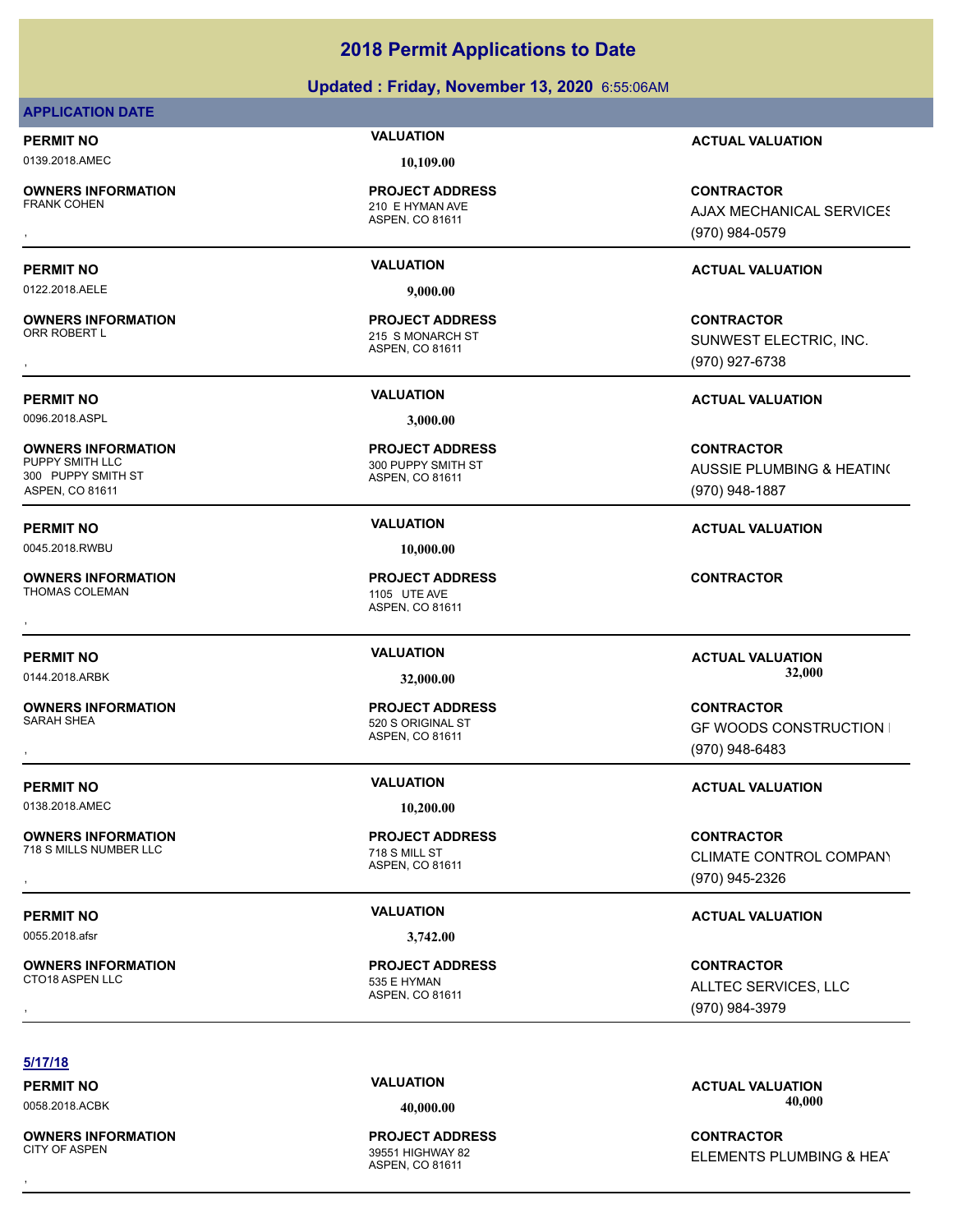### **Updated : Friday, November 13, 2020** 6:55:06AM

### **APPLICATION DATE**

0139.2018.AMEC **10,109.00**

**OWNERS INFORMATION**

**OWNERS INFORMATION**

**OWNERS INFORMATION**

300 PUPPY SMITH ST ASPEN, CO 81611

ASPEN, CO 81611 210 E HYMAN AVE **PROJECT ADDRESS**

0122.2018.AELE **9,000.00**

ASPEN, CO 81611 215 S MONARCH ST **PROJECT ADDRESS**

0096.2018.ASPL **3,000.00**

ASPEN, CO 81611 300 PUPPY SMITH ST **PROJECT ADDRESS**

0045.2018.RWBU **10,000.00**

ASPEN, CO 81611 **PROJECT ADDRESS** , **CONTRACTOR**

ASPEN, CO 81611 **PROJECT ADDRESS**

ASPEN, CO 81611 535 E HYMAN **PROJECT ADDRESS**

**PERMIT NO VALUATION ACTUAL VALUATION**

, **CONTRACTOR AJAX MECHANICAL SERVICES** (970) 984-0579

### **PERMIT NO VALUATION ACTUAL VALUATION**

, **CONTRACTOR** SUNWEST ELECTRIC, INC. (970) 927-6738

**PERMIT NO VALUATION ACTUAL VALUATION**

**CONTRACTOR** AUSSIE PLUMBING & HEATING (970) 948-1887

**PERMIT NO VALUATION ACTUAL VALUATION**

, **CONTRACTOR GF WOODS CONSTRUCTION I** (970) 948-6483

, **CONTRACTOR** CLIMATE CONTROL COMPANY (970) 945-2326

### **PERMIT NO VALUATION VALUATION VALUATION**

, **CONTRACTOR** ALLTEC SERVICES, LLC (970) 984-3979

### **5/17/18**

**OWNERS INFORMATION**

ASPEN, CO 81611 39551 HIGHWAY 82 **PROJECT ADDRESS**

**PERMIT NO CONSUMITY OF A CONSUMITY OF A CONSUMITY OF A CONSUMITY OF A CTUAL VALUATION** 0058.2018.ACBK **40,000.00 40,000.00**

, **CONTRACTOR** ELEMENTS PLUMBING & HEAT

**PERMIT NO VALUATION VALUATION VALUATION** 0144.2018.ARBK **32,000.00 32,000.00**

**PROJECT ADDRESS**

ASPEN, CO 81611

**OWNERS INFORMATION**

718 S MILLS NUMBER LLC 718 S MILL ST

**OWNERS INFORMATION**

**OWNERS INFORMATION** THOMAS COLEMAN 1105 UTE AVE

**OWNERS INFORMATION** SARAH SHEA 520 S ORIGINAL ST

**PERMIT NO VALUATION ACTUAL VALUATION**

0138.2018.AMEC **10,200.00**

0055.2018.afsr **3,742.00**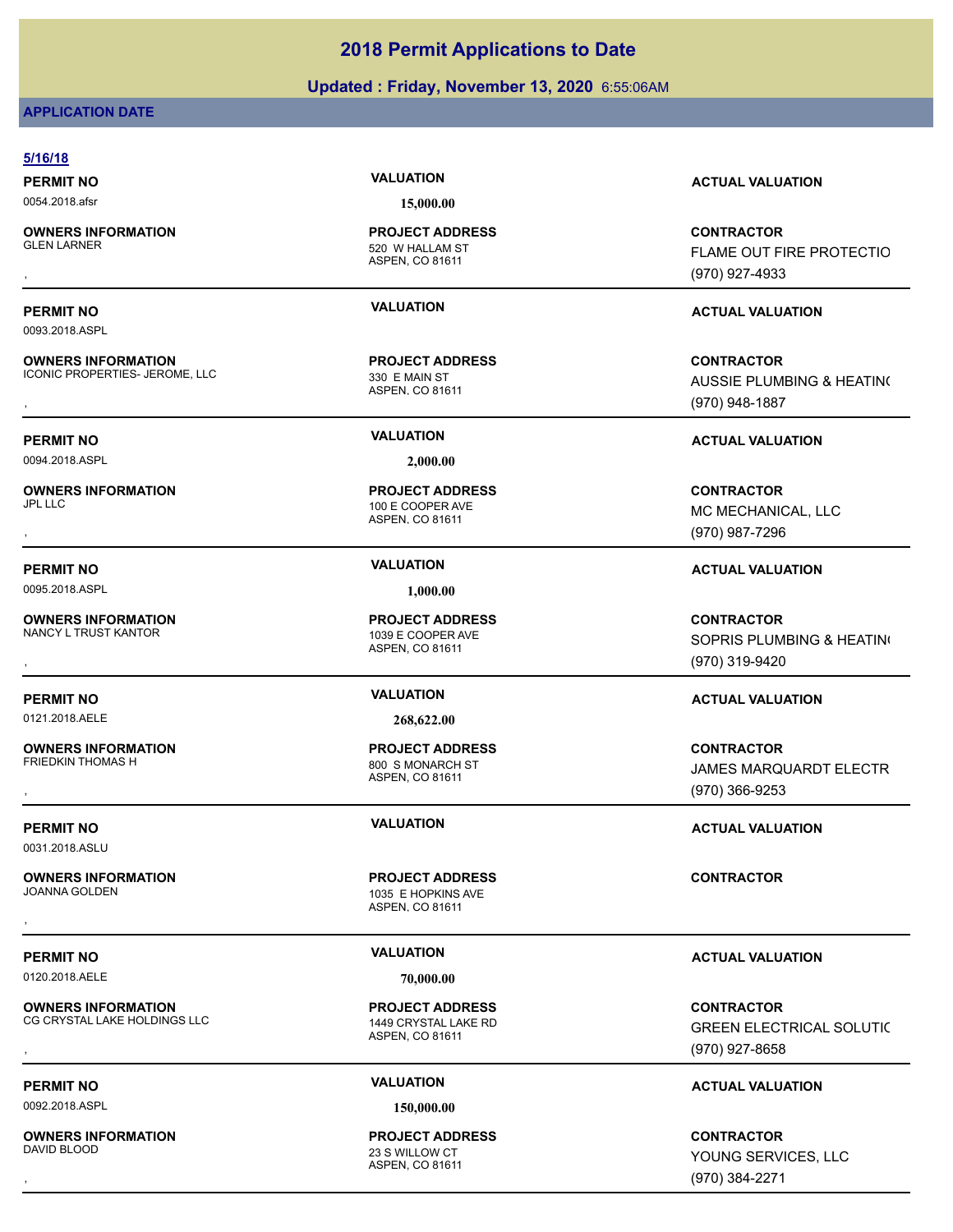### **Updated : Friday, November 13, 2020** 6:55:06AM

### **APPLICATION DATE**

| <b>PERMIT NO</b>                                            | <b>VALUATION</b>                                                  | <b>ACTUAL VALUATION</b>                                                     |
|-------------------------------------------------------------|-------------------------------------------------------------------|-----------------------------------------------------------------------------|
| 0054.2018.afsr                                              | 15,000.00                                                         |                                                                             |
| <b>OWNERS INFORMATION</b><br><b>GLEN LARNER</b>             | <b>PROJECT ADDRESS</b><br>520 W HALLAM ST<br>ASPEN, CO 81611      | <b>CONTRACTOR</b><br>FLAME OUT FIRE PROTECTIO                               |
|                                                             |                                                                   | (970) 927-4933                                                              |
| <b>PERMIT NO</b>                                            | <b>VALUATION</b>                                                  | <b>ACTUAL VALUATION</b>                                                     |
| 0093.2018.ASPL                                              |                                                                   |                                                                             |
| <b>OWNERS INFORMATION</b><br>ICONIC PROPERTIES- JEROME, LLC | <b>PROJECT ADDRESS</b><br>330 E MAIN ST<br>ASPEN, CO 81611        | <b>CONTRACTOR</b><br><b>AUSSIE PLUMBING &amp; HEATING</b><br>(970) 948-1887 |
| <b>PERMIT NO</b>                                            | <b>VALUATION</b>                                                  | <b>ACTUAL VALUATION</b>                                                     |
| 0094.2018.ASPL                                              | 2,000.00                                                          |                                                                             |
| <b>OWNERS INFORMATION</b><br><b>JPL LLC</b>                 | <b>PROJECT ADDRESS</b><br>100 E COOPER AVE<br>ASPEN, CO 81611     | <b>CONTRACTOR</b><br>MC MECHANICAL, LLC<br>(970) 987-7296                   |
| <b>PERMIT NO</b>                                            | <b>VALUATION</b>                                                  | <b>ACTUAL VALUATION</b>                                                     |
| 0095.2018.ASPL                                              | 1,000.00                                                          |                                                                             |
| <b>OWNERS INFORMATION</b><br>NANCY L TRUST KANTOR           | <b>PROJECT ADDRESS</b><br>1039 E COOPER AVE<br>ASPEN, CO 81611    | <b>CONTRACTOR</b><br>SOPRIS PLUMBING & HEATING<br>(970) 319-9420            |
| <b>PERMIT NO</b>                                            | <b>VALUATION</b>                                                  | <b>ACTUAL VALUATION</b>                                                     |
| 0121.2018.AELE                                              | 268,622.00                                                        |                                                                             |
| <b>OWNERS INFORMATION</b><br>FRIEDKIN THOMAS H              | <b>PROJECT ADDRESS</b><br>800 S MONARCH ST<br>ASPEN, CO 81611     | <b>CONTRACTOR</b><br>JAMES MARQUARDT ELECTR<br>$(970)$ 366-9253             |
| <b>PERMIT NO</b><br>0031.2018.ASLU                          | <b>VALUATION</b>                                                  | <b>ACTUAL VALUATION</b>                                                     |
| <b>OWNERS INFORMATION</b><br><b>JOANNA GOLDEN</b>           | <b>PROJECT ADDRESS</b><br>1035 E HOPKINS AVE<br>ASPEN, CO 81611   | <b>CONTRACTOR</b>                                                           |
| <b>PERMIT NO</b>                                            | <b>VALUATION</b>                                                  | <b>ACTUAL VALUATION</b>                                                     |
| 0120.2018.AELE                                              | 70,000.00                                                         |                                                                             |
| <b>OWNERS INFORMATION</b><br>CG CRYSTAL LAKE HOLDINGS LLC   | <b>PROJECT ADDRESS</b><br>1449 CRYSTAL LAKE RD<br>ASPEN, CO 81611 | <b>CONTRACTOR</b><br><b>GREEN ELECTRICAL SOLUTIC</b><br>(970) 927-8658      |
| <b>PERMIT NO</b>                                            | <b>VALUATION</b>                                                  | <b>ACTUAL VALUATION</b>                                                     |
|                                                             |                                                                   |                                                                             |

**OWNERS INFORMATION**

**PROJECT ADDRESS**

ASPEN, CO 81611 23 S WILLOW CT

FLAME OUT FIRE PROTECTIO (970) 927-4933

AUSSIE PLUMBING & HEATING (970) 948-1887

SOPRIS PLUMBING & HEATING (970) 319-9420

JAMES MARQUARDT ELECTR (970) 366-9253

GREEN ELECTRICAL SOLUTIC (970) 927-8658

, **CONTRACTOR** YOUNG SERVICES, LLC (970) 384-2271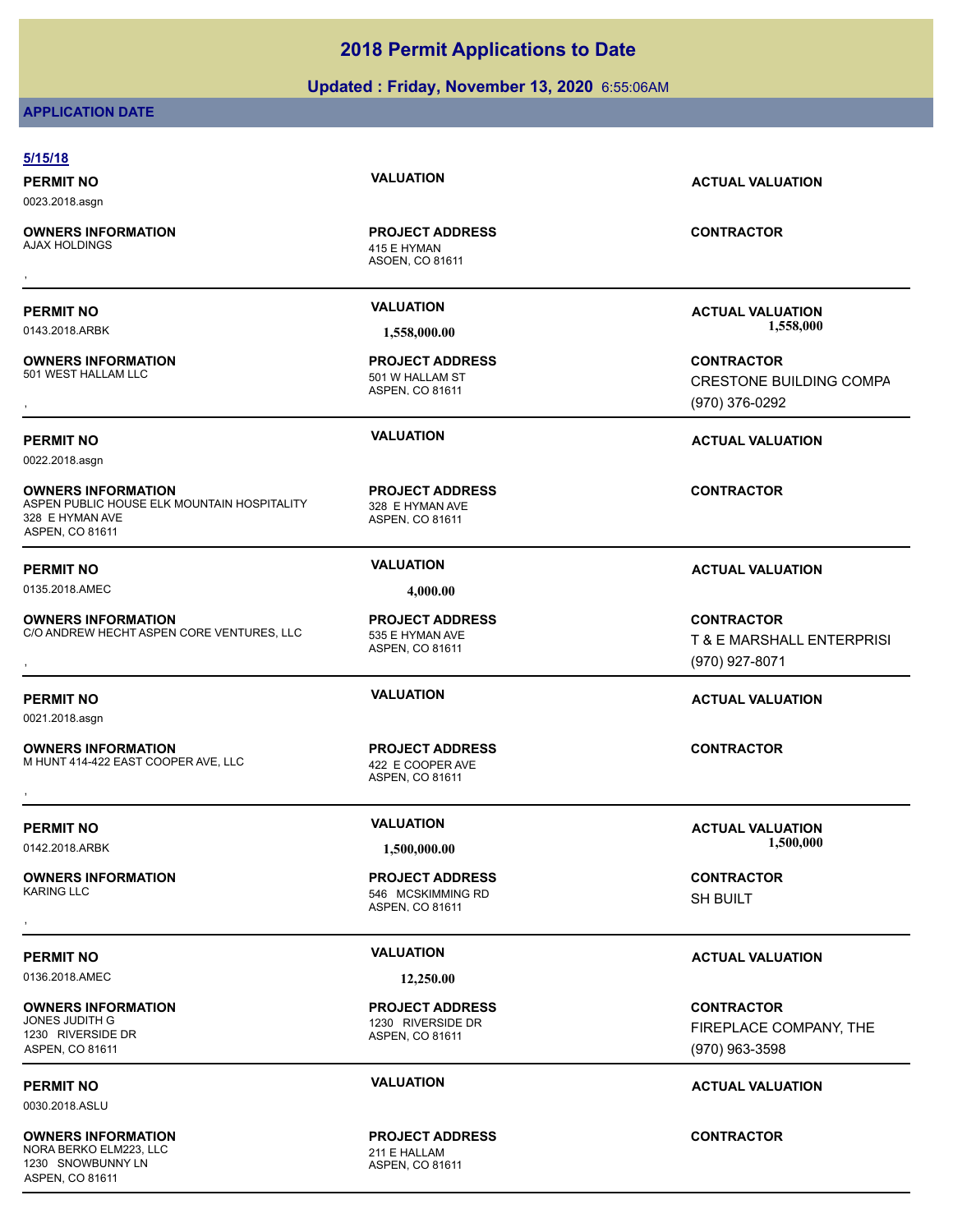### **Updated : Friday, November 13, 2020** 6:55:06AM

### **APPLICATION DATE**

| 5/15/18                                                                                                        |                                                                |                                                                       |
|----------------------------------------------------------------------------------------------------------------|----------------------------------------------------------------|-----------------------------------------------------------------------|
| <b>PERMIT NO</b><br>0023.2018.asgn                                                                             | <b>VALUATION</b>                                               | <b>ACTUAL VALUATION</b>                                               |
| <b>OWNERS INFORMATION</b><br><b>AJAX HOLDINGS</b>                                                              | <b>PROJECT ADDRESS</b><br>415 E HYMAN<br>ASOEN, CO 81611       | <b>CONTRACTOR</b>                                                     |
|                                                                                                                |                                                                |                                                                       |
| <b>PERMIT NO</b><br>0143.2018.ARBK                                                                             | <b>VALUATION</b><br>1,558,000.00                               | <b>ACTUAL VALUATION</b><br>1,558,000                                  |
| <b>OWNERS INFORMATION</b><br>501 WEST HALLAM LLC                                                               | <b>PROJECT ADDRESS</b><br>501 W HALLAM ST<br>ASPEN, CO 81611   | <b>CONTRACTOR</b><br><b>CRESTONE BUILDING COMPA</b><br>(970) 376-0292 |
| <b>PERMIT NO</b><br>0022.2018.asgn                                                                             | <b>VALUATION</b>                                               | <b>ACTUAL VALUATION</b>                                               |
| <b>OWNERS INFORMATION</b><br>ASPEN PUBLIC HOUSE ELK MOUNTAIN HOSPITALITY<br>328 E HYMAN AVE<br>ASPEN, CO 81611 | <b>PROJECT ADDRESS</b><br>328 E HYMAN AVE<br>ASPEN, CO 81611   | <b>CONTRACTOR</b>                                                     |
| <b>PERMIT NO</b>                                                                                               | <b>VALUATION</b>                                               | <b>ACTUAL VALUATION</b>                                               |
| 0135.2018.AMEC                                                                                                 | 4,000.00                                                       |                                                                       |
| <b>OWNERS INFORMATION</b><br>C/O ANDREW HECHT ASPEN CORE VENTURES, LLC                                         | <b>PROJECT ADDRESS</b><br>535 E HYMAN AVE<br>ASPEN, CO 81611   | <b>CONTRACTOR</b><br>T & E MARSHALL ENTERPRISI<br>(970) 927-8071      |
| <b>PERMIT NO</b><br>0021.2018.asgn                                                                             | <b>VALUATION</b>                                               | <b>ACTUAL VALUATION</b>                                               |
| <b>OWNERS INFORMATION</b><br>M HUNT 414-422 EAST COOPER AVE, LLC                                               | <b>PROJECT ADDRESS</b><br>422 E COOPER AVE<br>ASPEN, CO 81611  | <b>CONTRACTOR</b>                                                     |
| <b>PERMIT NO</b>                                                                                               | <b>VALUATION</b>                                               | <b>ACTUAL VALUATION</b><br>1,500,000                                  |
| 0142.2018.ARBK                                                                                                 | 1,500,000.00                                                   |                                                                       |
| <b>OWNERS INFORMATION</b><br><b>KARING LLC</b>                                                                 | <b>PROJECT ADDRESS</b><br>546 MCSKIMMING RD<br>ASPEN, CO 81611 | <b>CONTRACTOR</b><br><b>SH BUILT</b>                                  |
|                                                                                                                | <b>VALUATION</b>                                               |                                                                       |
| <b>PERMIT NO</b><br>0136.2018.AMEC                                                                             | 12,250.00                                                      | <b>ACTUAL VALUATION</b>                                               |
| <b>OWNERS INFORMATION</b><br>JONES JUDITH G<br>1230 RIVERSIDE DR<br>ASPEN, CO 81611                            | <b>PROJECT ADDRESS</b><br>1230 RIVERSIDE DR<br>ASPEN, CO 81611 | <b>CONTRACTOR</b><br>FIREPLACE COMPANY, THE<br>(970) 963-3598         |
| <b>PERMIT NO</b><br>0030.2018.ASLU                                                                             | <b>VALUATION</b>                                               | <b>ACTUAL VALUATION</b>                                               |
| <b>OWNERS INFORMATION</b>                                                                                      | <b>PROJECT ADDRESS</b>                                         | <b>CONTRACTOR</b>                                                     |

ASPEN, CO 81611

**OWNERS INFORMATION** NORA BERKO ELM223, LLC<br>
211 E HALLAM 1230 SNOWBUNNY LN ASPEN, CO 81611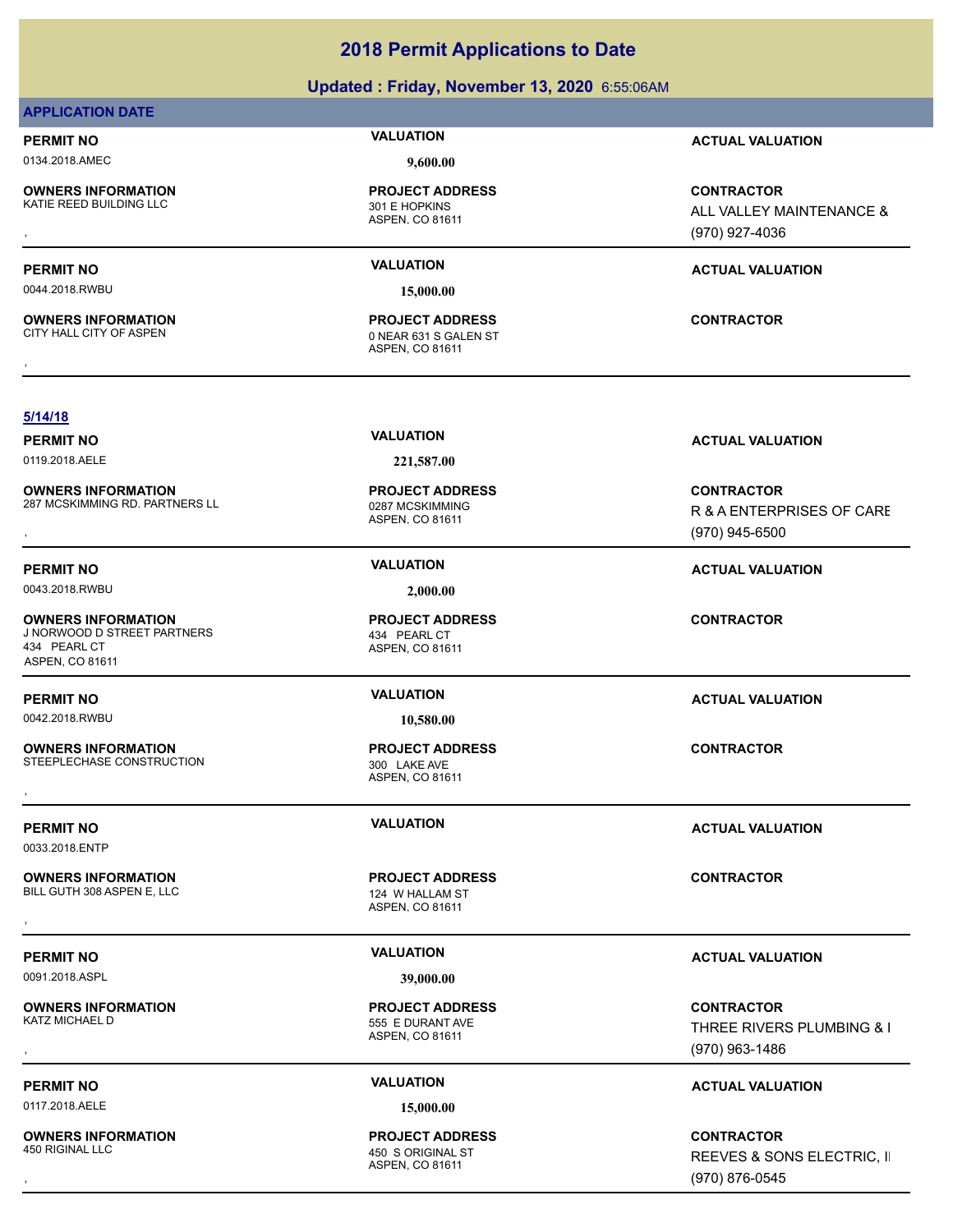### **PERMIT NO VALUATION ACTUAL VALUATION** 0044.2018.RWBU **15,000.00** ASPEN, CO 81611 **OWNERS INFORMATION** CITY HALL CITY OF ASPEN 0 NEAR 631 S GALEN ST **PROJECT ADDRESS OWNERS INFORMATION CONTRACTOR REPORT OF PROJECT ADDRESS CONTRACTOR CONTRACTOR**<br>CITY HALL CITY OF ASPEN **CONTRACTOR**<br>ASPEN. CO 81611 **5/14/18 PERMIT NO VALUATION ACTUAL VALUATION** 0119.2018.AELE **221,587.00** ASPEN, CO 81611 **OWNERS INFORMATION** 287 MCSKIMMING RD. PARTNERS LL 0287 MCSKIMMING **PROJECT ADDRESS OWNERS INFORMATION EXAMPLE ASS ARE DESCRIPS TO A PROJECT ADDRESS ARE SONTRACTOR CONTRACTOR**<br>287 MCSKIMMING RD. PARTNERS LL EXAMPLE AS A SPEN, CO 81611 **1999 FOR A SPEN ASPEN CO 81611**<br>6 MCSKIMMING RD. PARTNERS LL EXAMPLE R & A ENTERPRISES OF CARE (970) 945-6500 **PERMIT NO VALUATION VALUATION VALUATION** 0043.2018.RWBU **2,000.00** ASPEN, CO 81611 **OWNERS INFORMATION** J NORWOOD D STREET PARTNERS 434 PEARL CT **PROJECT ADDRESS** 434 PEARL CT ASPEN, CO 81611 **CONTRACTOR PERMIT NO VALUATION ACTUAL VALUATION** 0042.2018.RWBU **10,580.00** ASPEN, CO 81611 **OWNERS INFORMATION** STEEPLECHASE CONSTRUCTION 300 LAKE AVE **PROJECT ADDRESS OWNERS INFORMATION CONTRACTOR REGIST OF PROJECT ADDRESS CONTRACTOR CONTRACTOR**<br>STEEPLECHASE CONSTRUCTION 300 LAKE AVE<br>ASPEN, CO 81611 **PERMIT NO VALUATION ACTUAL VALUATION** 0033.2018.ENTP ASPEN, CO 81611 **OWNERS INFORMATION** BILL GUTH 308 ASPEN E, LLC<br>
124 W HALLAM ST **PROJECT ADDRESS OWNERS INFORMATION CONTRACTOR REGIST PROJECT ADDRESS CONTRACTOR CONTRACTOR**<br>BILL GUTH 308 ASPEN E, LLC CONTRACTOR ASPEN. CO 81611<br>, **PERMIT NO VALUATION ACTUAL VALUATION** 0091.2018.ASPL **39,000.00** ASPEN, CO 81611 **OWNERS INFORMATION** 555 E DURANT AVE **PROJECT ADDRESS OWNERS INFORMATION PROJECT ADDRESS CONTRACTOR**<br>KATZ MICHAEL D 555 E DURANT AVE THREE RIVERS PLUMBING & I<br>, ASPEN. CO 81611 THREE RIVERS PLUMBING & I

0117.2018.AELE 15,000.00

**OWNERS INFORMATION**

**APPLICATION DATE**

**OWNERS INFORMATION**

### 0134.2018.AMEC **9,600.00**

ASPEN, CO 81611 KATIE REED BUILDING LLC 301 E HOPKINS **PROJECT ADDRESS**

**PERMIT NO VALUATION ACTUAL VALUATION**

, **CONTRACTOR** ALL VALLEY MAINTENANCE & (970) 927-4036

ASPEN, CO 81611 450 S ORIGINAL ST **PROJECT ADDRESS** (970) 963-1486

### **PERMIT NO VALUATION ACTUAL VALUATION**

, **CONTRACTOR** REEVES & SONS ELECTRIC, II (970) 876-0545

### **2018 Permit Applications to Date**

**Updated : Friday, November 13, 2020** 6:55:06AM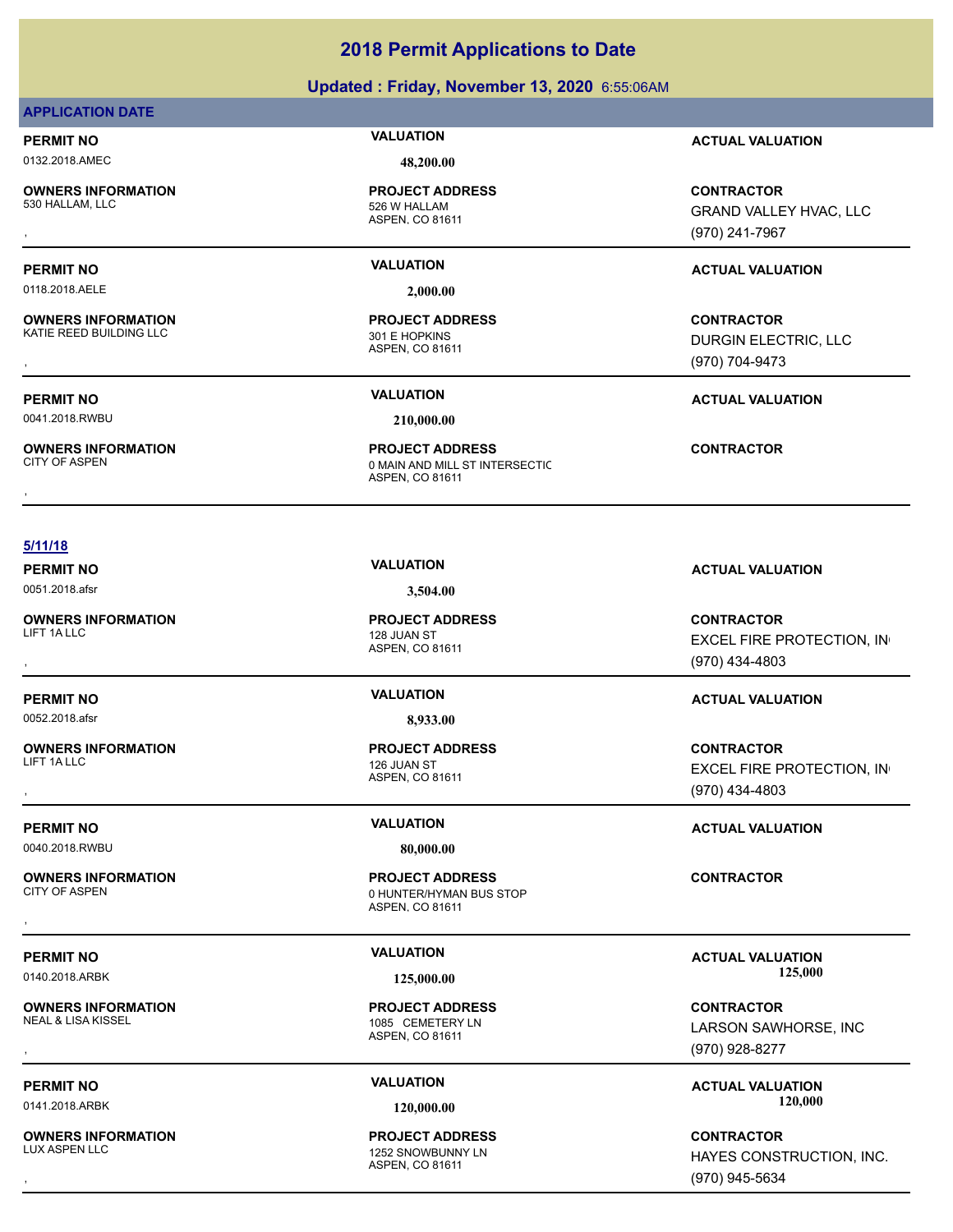### **Updated : Friday, November 13, 2020** 6:55:06AM

### **APPLICATION DATE**

# 0132.2018.AMEC **48,200.00**

**OWNERS INFORMATION**

**OWNERS INFORMATION**

# **PROJECT ADDRESS**

ASPEN, CO 81611 526 W HALLAM

0118.2018.AELE **2,000.00**

ASPEN, CO 81611 KATIE REED BUILDING LLC<br>301 E HOPKINS **PROJECT ADDRESS**

### **PERMIT NO VALUATION ACTUAL VALUATION**

**OWNERS INFORMATION PROJECT ADDRESS CONTRACTOR**<br>530 HALLAM, LLC 526 W HALLAM GRAND VALLEY HVAC, LLC<br>, ASPEN, CO 81611 GRAND VALLEY HVAC, LLC (970) 241-7967

### **PERMIT NO VALUATION ACTUAL VALUATION**

, **CONTRACTOR** DURGIN ELECTRIC, LLC (970) 704-9473

### **PERMIT NO VALUATION ACTUAL VALUATION**

0041.2018.RWBU **210,000.00**

**OWNERS INFORMATION**

ASPEN, CO 81611 0 MAIN AND MILL ST INTERSECTIC **PROJECT ADDRESS OWNERS INFORMATION FROJECT ADDRESS CONTRACTOR**<br>CITY OF ASPEN OMAIN AND MILL ST INTERSECTIC<br>ASPEN, CO 81611<br>,

### **5/11/18**

0051.2018.afsr **3,504.00**

**OWNERS INFORMATION**

0052.2018.afsr **8,933.00**

**OWNERS INFORMATION**

0040.2018.RWBU **80,000.00**

**OWNERS INFORMATION**

**OWNERS INFORMATION**<br>NEAL & LISA KISSEL

**OWNERS INFORMATION**

ASPEN, CO 81611 LIFT 1A LLC 2008 THE RESEARCH CHARGE 128 JUAN ST **PROJECT ADDRESS**

### ASPEN, CO 81611 126 JUAN ST **PROJECT ADDRESS**

### ASPEN, CO 81611 0 HUNTER/HYMAN BUS STOP **PROJECT ADDRESS** , **CONTRACTOR**

ASPEN, CO 81611 1085 CEMETERY LN **PROJECT ADDRESS**

### ASPEN, CO 81611 1252 SNOWBUNNY LN **PROJECT ADDRESS**

**PERMIT NO VALUATION ACTUAL VALUATION**

, **CONTRACTOR EXCEL FIRE PROTECTION, IN** (970) 434-4803

### **PERMIT NO VALUATION ACTUAL VALUATION**

, **CONTRACTOR** EXCEL FIRE PROTECTION, IN (970) 434-4803

### **PERMIT NO VALUATION ACTUAL VALUATION**

### PERMIT NO **125,000 MALUATION**<br>  $\frac{125,000}{125,000}$  125,000 MacWell 125,000 MacWell 125,000 MacMeTION 0140.2018.ARBK **125,000.00 125,000.00**

, **CONTRACTOR** LARSON SAWHORSE, INC (970) 928-8277

**PERMIT NO VALUATION ACTUAL VALUATION** 0141.2018.ARBK **120,000.00 120,000.00**

, **CONTRACTOR** HAYES CONSTRUCTION, INC. (970) 945-5634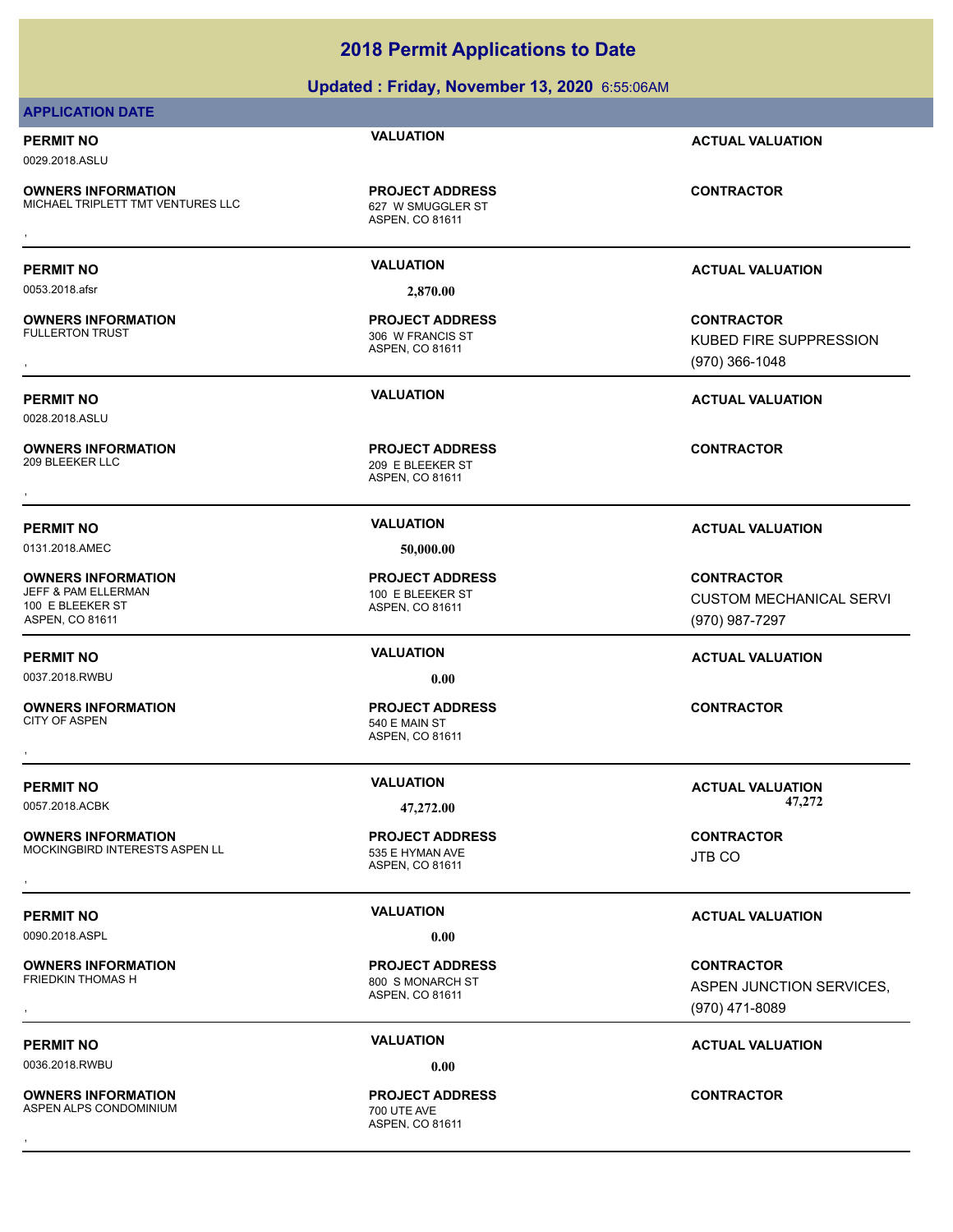### **Updated : Friday, November 13, 2020** 6:55:06AM

### **APPLICATION DATE**

0029.2018.ASLU

**OWNERS INFORMATION** MICHAEL TRIPLETT TMT VENTURES LLC 627 W SMUGGLER ST

**PROJECT ADDRESS**

0053.2018.afsr **2,870.00**

**OWNERS INFORMATION**

0028.2018.ASLU

**OWNERS INFORMATION**

0131.2018.AMEC **50,000.00**

**OWNERS INFORMATION** JEFF & PAM ELLERMAN 100 E BLEEKER ST 100 E BLEEKER ST ASPEN, CO 81611

0037.2018.RWBU **0.00**

**OWNERS INFORMATION** CITY OF ASPEN 540 E MAIN ST

**OWNERS INFORMATION** MOCKINGBIRD INTERESTS ASPEN LL<br>535 E HYMAN AVE **OWNERS INFORMATION MODEL SERVICE PROJECT ADDRESS ARE SONTRACTOR CONTRACTOR**<br>MOCKINGBIRD INTERESTS ASPEN LL SERVICE ASPEN, CO 81611<br>,

0090.2018.ASPL **0.00**

**OWNERS INFORMATION**

0036.2018.RWBU **0.00**

**OWNERS INFORMATION** ASPEN ALPS CONDOMINIUM 700 UTE AVE

ASPEN, CO 81611 **OWNERS INFORMATION METALLY SERVICE PROJECT ADDRESS ARE:** CONTRACTOR CONTRACTOR<br>MICHAEL TRIPLETT TMT VENTURES LLC ASPEN, CO 81611 ASPEN, CO 81611

ASPEN, CO 81611 306 W FRANCIS ST **PROJECT ADDRESS**

ASPEN, CO 81611 209 E BLEEKER ST **PROJECT ADDRESS** , **CONTRACTOR**

ASPEN, CO 81611 **PROJECT ADDRESS**

ASPEN, CO 81611 **PROJECT ADDRESS** , **CONTRACTOR**

ASPEN, CO 81611 **PROJECT ADDRESS**

ASPEN, CO 81611 800 S MONARCH ST **PROJECT ADDRESS**

ASPEN, CO 81611 **PROJECT ADDRESS** , **CONTRACTOR**

**PERMIT NO VALUATION ACTUAL VALUATION**

**PERMIT NO VALUATION ACTUAL VALUATION**

, **CONTRACTOR** KUBED FIRE SUPPRESSION (970) 366-1048

**PERMIT NO VALUATION ACTUAL VALUATION**

### **PERMIT NO VALUATION ACTUAL VALUATION**

**CONTRACTOR** CUSTOM MECHANICAL SERVI (970) 987-7297

### **PERMIT NO VALUATION ACTUAL VALUATION**

**PERMIT NO VALUATION VALUATION VALUATION** 0057.2018.ACBK **47,272.00 47,272.00**

JTB CO

### **PERMIT NO VALUATION VALUATION VALUATION**

**OWNERS INFORMATION PROJECT ADDRESS CONTRACTOR**<br>FRIEDKIN THOMAS H 800\_S MONARCH ST ASPEN JUNCTION SERVICES,<br>, ASPEN, CO 81611 ASPEN JUNCTION SERVICES, (970) 471-8089

**PERMIT NO CONSUMITY OF A CONSUMITY OF A CONSUMITY OF A CONSUMITY OF A CTUAL VALUATION**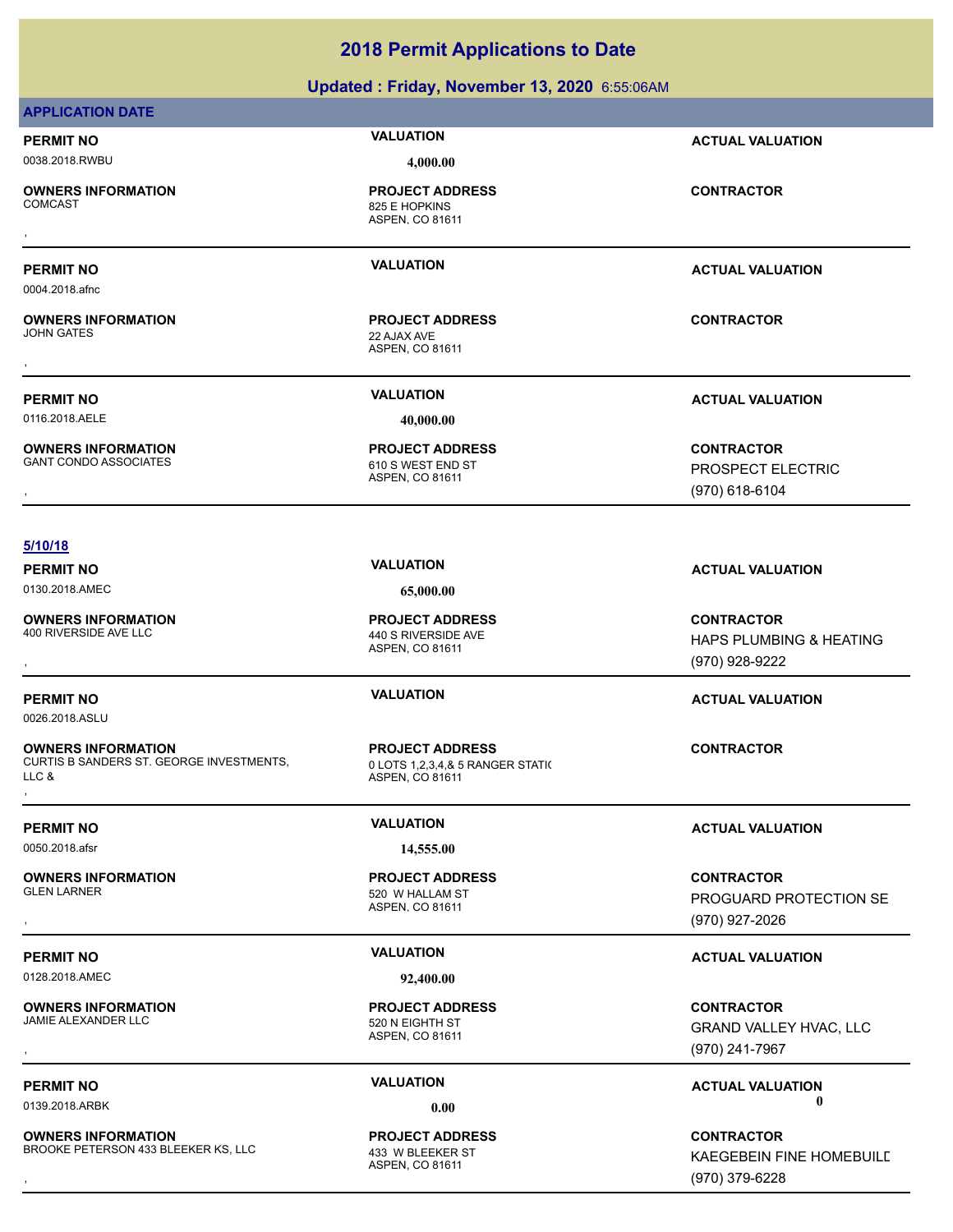### **Updated : Friday, November 13, 2020** 6:55:06AM

### **APPLICATION DATE**

### **PERMIT NO VALUATION ACTUAL VALUATION** 0038.2018.RWBU **4,000.00**

**OWNERS INFORMATION**

### **PERMIT NO VALUATION ACTUAL VALUATION**

0004.2018.afnc

**OWNERS INFORMATION** JOHN GATES 22 AJAX AVE

0116.2018.AELE **40,000.00**

**OWNERS INFORMATION**

ASPEN, CO 81611 825 E HOPKINS **PROJECT ADDRESS** , **CONTRACTOR**

ASPEN, CO 81611 **PROJECT ADDRESS**

ASPEN, CO 81611 610 S WEST END ST **PROJECT ADDRESS**

**PERMIT NO VALUATION ACTUAL VALUATION**

**OWNERS INFORMATION GOVERNEY ARE IN THE PROJECT ADDRESS CONTRACTOR CONTRACTOR**<br>GANT CONDO ASSOCIATES GOVERNEY ASPEN, CO 81611<br>ASPEN, CO 81611 GOVERNEY (970) 618-6104 PROSPECT ELECTRIC (970) 618-6104

### **5/10/18**

0130.2018.AMEC **65,000.00**

**OWNERS INFORMATION** 400 RIVERSIDE AVE LLC 440 S RIVERSIDE AVE

0026.2018.ASLU

**OWNERS INFORMATION** CURTIS B SANDERS ST. GEORGE INVESTMENTS, LLC & **OWNERS INFORMATION FROJECT ADDRESS FOR A SOME AREA CONTRACTOR**<br>CURTIS B SANDERS ST. GEORGE INVESTMENTS, THE SALE OF A SPEN, CO 81611<br>LLC & The Sale of ASPEN, CO 81611<br>,

0050.2018.afsr **14,555.00**

**OWNERS INFORMATION**

0128.2018.AMEC **92,400.00**

**OWNERS INFORMATION** JAMIE ALEXANDER LLC<br>520 N EIGHTH ST

**OWNERS INFORMATION** BROOKE PETERSON 433 BLEEKER KS, LLC 433 W BLEEKER ST

ASPEN, CO 81611

ASPEN, CO 81611 0 LOTS 1,2,3,4,& 5 RANGER STATI( **PROJECT ADDRESS**

ASPEN, CO 81611 520 W HALLAM ST **PROJECT ADDRESS**

ASPEN, CO 81611 **PROJECT ADDRESS**

ASPEN, CO 81611 **PROJECT ADDRESS**

**PERMIT NO VALUATION ACTUAL VALUATION**

**OWNERS INFORMATION PROJECT ADDRESS CONTRACTOR**<br>400 RIVERSIDE AVE LLC 440 S RIVERSIDE AVE HAPS PLUMBING & HEATING<br>, ASPEN. CO 81611 HAPS PLUMBING & HEATING (970) 928-9222

### **PERMIT NO VALUATION ACTUAL VALUATION**

**PERMIT NO VALUATION ACTUAL VALUATION**

, **CONTRACTOR** PROGUARD PROTECTION SE (970) 927-2026

### **PERMIT NO VALUATION ACTUAL VALUATION**

, **CONTRACTOR** GRAND VALLEY HVAC, LLC (970) 241-7967

### **PERMIT NO CONSUMITY OF A CONSUMITY OF A CONSUMITY OF A CONSUMITY OF A CTUAL VALUATION** 0139.2018.ARBK **0.00 0.00**

**OWNERS INFORMATION EXECT ASSUME AND RESOURD PROJECT ADDRESS ARE SERVICE CONTRACTOR**<br>BROOKE PETERSON 433 BLEEKER KS, LLC ASPEN, CO 81611 ASPEN, CO 81611 **ASPEN** (970) 379-6228 KAEGEBEIN FINE HOMEBUILD (970) 379-6228

# , **CONTRACTOR**

**PROJECT ADDRESS**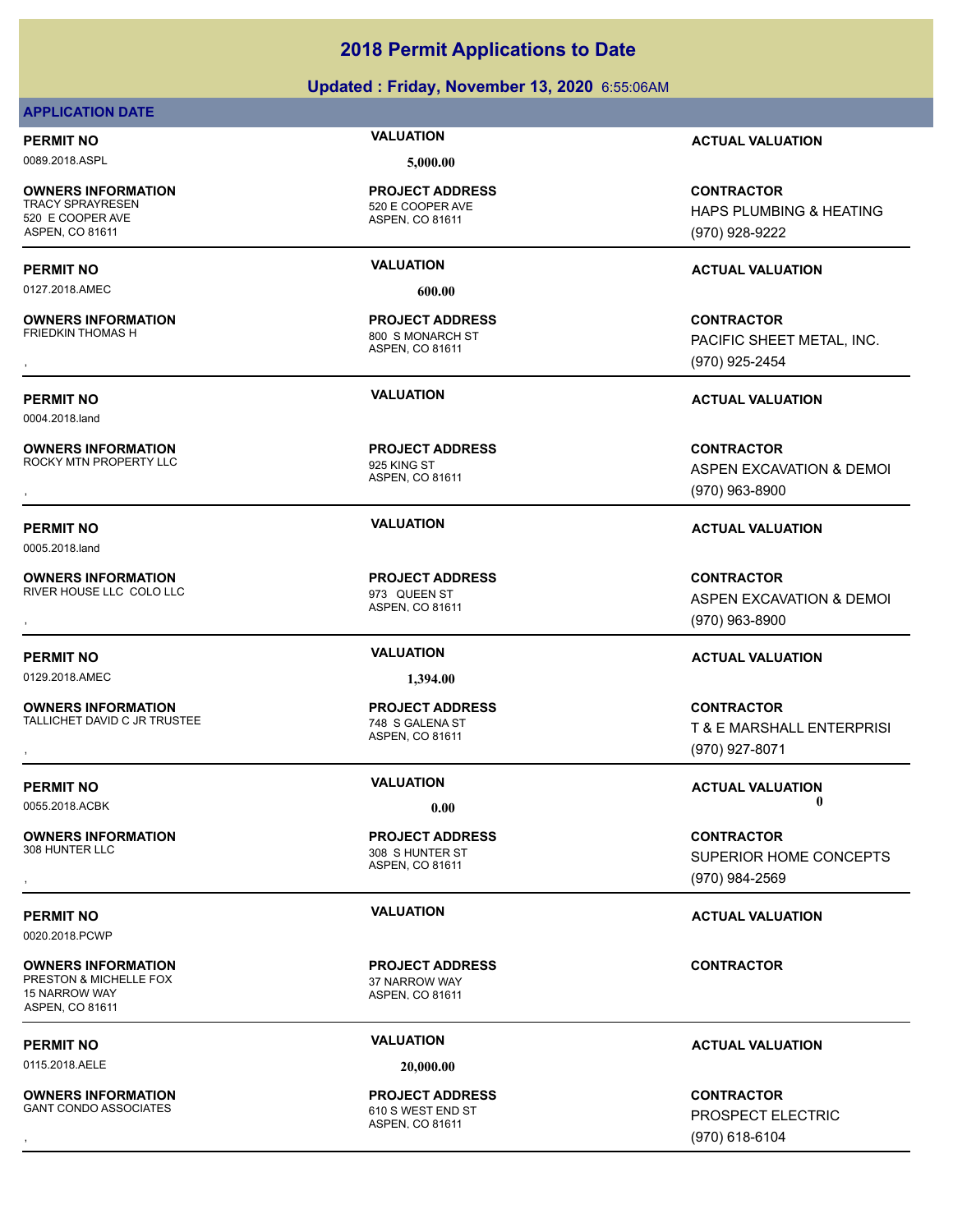### **Updated : Friday, November 13, 2020** 6:55:06AM

### **APPLICATION DATE**

0089.2018.ASPL **5,000.00**

**OWNERS INFORMATION** 520 E COOPER AVE ASPEN, CO 81611

0127.2018.AMEC **600.00**

**OWNERS INFORMATION**

0004.2018.land

**OWNERS INFORMATION**

ROCKY MTN PROPERTY LLC 825 KING ST

0005.2018.land

**OWNERS INFORMATION** RIVER HOUSE LLC COLO LLC **COLO ACCEPT AND STAR AND STAR AND ST** 

**OWNERS INFORMATION** TALLICHET DAVID C JR TRUSTEE 748 S GALENA ST

**OWNERS INFORMATION**

0020.2018.PCWP

**OWNERS INFORMATION** PRESTON & MICHELLE FOX 37 NARROW WAY 15 NARROW WAY ASPEN, CO 81611

0115.2018.AELE **20,000.00**

**OWNERS INFORMATION** GANT CONDO ASSOCIATES 610 S WEST END ST

ASPEN, CO 81611 520 E COOPER AVE **PROJECT ADDRESS**

ASPEN, CO 81611 800 S MONARCH ST **PROJECT ADDRESS**

ASPEN, CO 81611 **PROJECT ADDRESS**

ASPEN, CO 81611 **PROJECT ADDRESS**

ASPEN, CO 81611 308 S HUNTER ST **PROJECT ADDRESS**

ASPEN, CO 81611 **PROJECT ADDRESS**

ASPEN, CO 81611 **PROJECT ADDRESS**

**PERMIT NO VALUATION ACTUAL VALUATION**

**CONTRACTOR** HAPS PLUMBING & HEATING (970) 928-9222

### **PERMIT NO VALUATION ACTUAL VALUATION**

, **CONTRACTOR** PACIFIC SHEET METAL, INC. (970) 925-2454

**PERMIT NO VALUATION ACTUAL VALUATION**

**OWNERS INFORMATION PROJECT ADDRESS CONTRACTOR**<br>ROCKY MTN PROPERTY LLC <sub>925 KING ST</sub> ASPEN EXCAVATION & DEMOI<br>, ASPEN, CO 81611 ASPEN EXCAVATION & DEMOI (970) 963-8900

**PERMIT NO VALUATION ACTUAL VALUATION**

, **CONTRACTOR** ASPEN EXCAVATION & DEMOI (970) 963-8900

, **CONTRACTOR** T & E MARSHALL ENTERPRISI (970) 927-8071

, **CONTRACTOR** SUPERIOR HOME CONCEPTS (970) 984-2569

### **PERMIT NO VALUATION VALUATION VALUATION**

**CONTRACTOR**

### **PERMIT NO VALUATION ACTUAL VALUATION**

, **CONTRACTOR** PROSPECT ELECTRIC (970) 618-6104

**PERMIT NO VALUATION ACTUAL VALUATION**

0129.2018.AMEC **1,394.00**

**PROJECT ADDRESS**

ASPEN, CO 81611

**PERMIT NO VALUATION VALUATION VALUATION** 0055.2018.ACBK **0.00 0.00**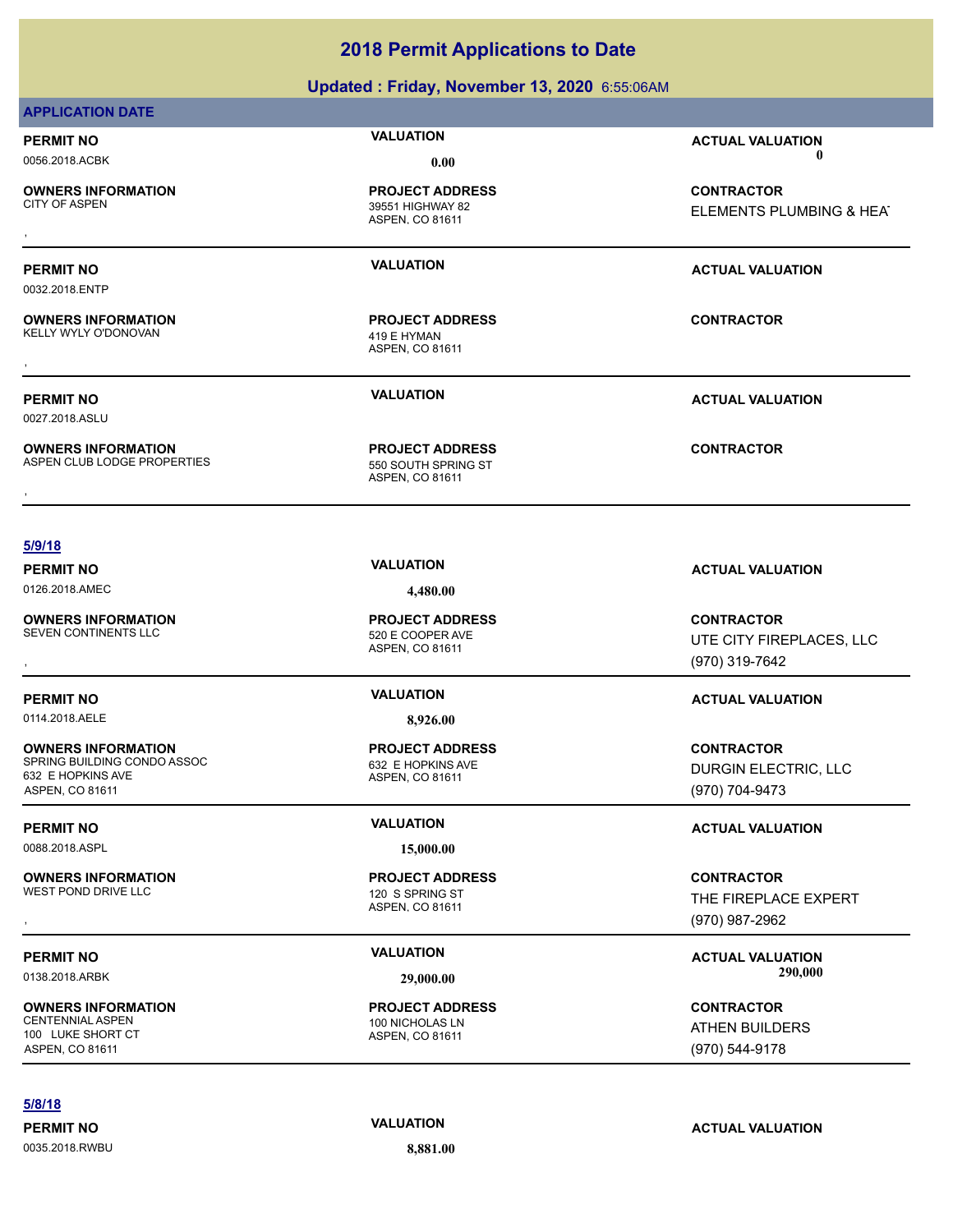### **Updated : Friday, November 13, 2020** 6:55:06AM

### **APPLICATION DATE**

**OWNERS INFORMATION**

**OWNERS INFORMATION**

ASPEN, CO 81611 39551 HIGHWAY 82 **PROJECT ADDRESS**

ASPEN, CO 81611 KELLY WYLY O'DONOVAN 419 E HYMAN **PROJECT ADDRESS** , **CONTRACTOR**

**PERMIT NO CONSUMITY OF A CONSUMITY OF A CONSUMITY OF A CONSUMITY OF A CTUAL VALUATION** 0056.2018.ACBK **0.00 0.00**

, **CONTRACTOR** ELEMENTS PLUMBING & HEAT

### **PERMIT NO VALUATION ACTUAL VALUATION**

0032.2018.ENTP

0027.2018.ASLU

**OWNERS INFORMATION** ASPEN CLUB LODGE PROPERTIES 550 SOUTH SPRING ST

ASPEN, CO 81611 **PROJECT ADDRESS OWNERS INFORMATION CONTRACTOR RESOLUTE PROJECT ADDRESS CONTRACTOR CONTRACTOR**<br>ASPEN CLUB LODGE PROPERTIES TO THE SEPSEN, CO 81611<br>,

**PERMIT NO VALUATION ACTUAL VALUATION**

### **5/9/18**

**PERMIT NO VALUATION ACTUAL VALUATION** 0126.2018.AMEC **4,480.00**

**OWNERS INFORMATION** SEVEN CONTINENTS LLC 520 E COOPER AVE

**PERMIT NO VALUATION ACTUAL VALUATION**

**OWNERS INFORMATION** SPRING BUILDING CONDO ASSOC 632 E HOPKINS AVE

632 E HOPKINS AVE ASPEN, CO 81611

0088.2018.ASPL **15,000.00**

**OWNERS INFORMATION** WEST POND DRIVE LLC **120 S SPRING ST** 

**OWNERS INFORMATION** 100 LUKE SHORT CT ASPEN, CO 81611

### **5/8/18**

0035.2018.RWBU **8,881.00**

ASPEN, CO 81611 **PROJECT ADDRESS**

0114.2018.AELE **8,926.00**

ASPEN, CO 81611 **PROJECT ADDRESS**

ASPEN, CO 81611 **PROJECT ADDRESS**

ASPEN, CO 81611 100 NICHOLAS LN **PROJECT ADDRESS**

, **CONTRACTOR** UTE CITY FIREPLACES, LLC (970) 319-7642

**CONTRACTOR** DURGIN ELECTRIC, LLC (970) 704-9473

### **PERMIT NO VALUATION ACTUAL VALUATION**

**OWNERS INFORMATION FROJECT ADDRESS CONTRACTOR CONTRACTOR**<br>WEST POND DRIVE LLC FIREPLACE CONTRACTOR ASPENSION OF THE FIREPLACE EXPERT<br>ASPEN. CO 81611 ASPEN. 100 1987 (970) 987-2962 THE FIREPLACE EXPERT (970) 987-2962

PERMIT NO **SALUATION VALUATION CONSIDERENT INCLUSION CONSIDERENT ACTUAL VALUATION** 0138.2018.ARBK **29,000.00 290,000.00**

> **CONTRACTOR** ATHEN BUILDERS (970) 544-9178

**PERMIT NO VALUATION ACTUAL VALUATION**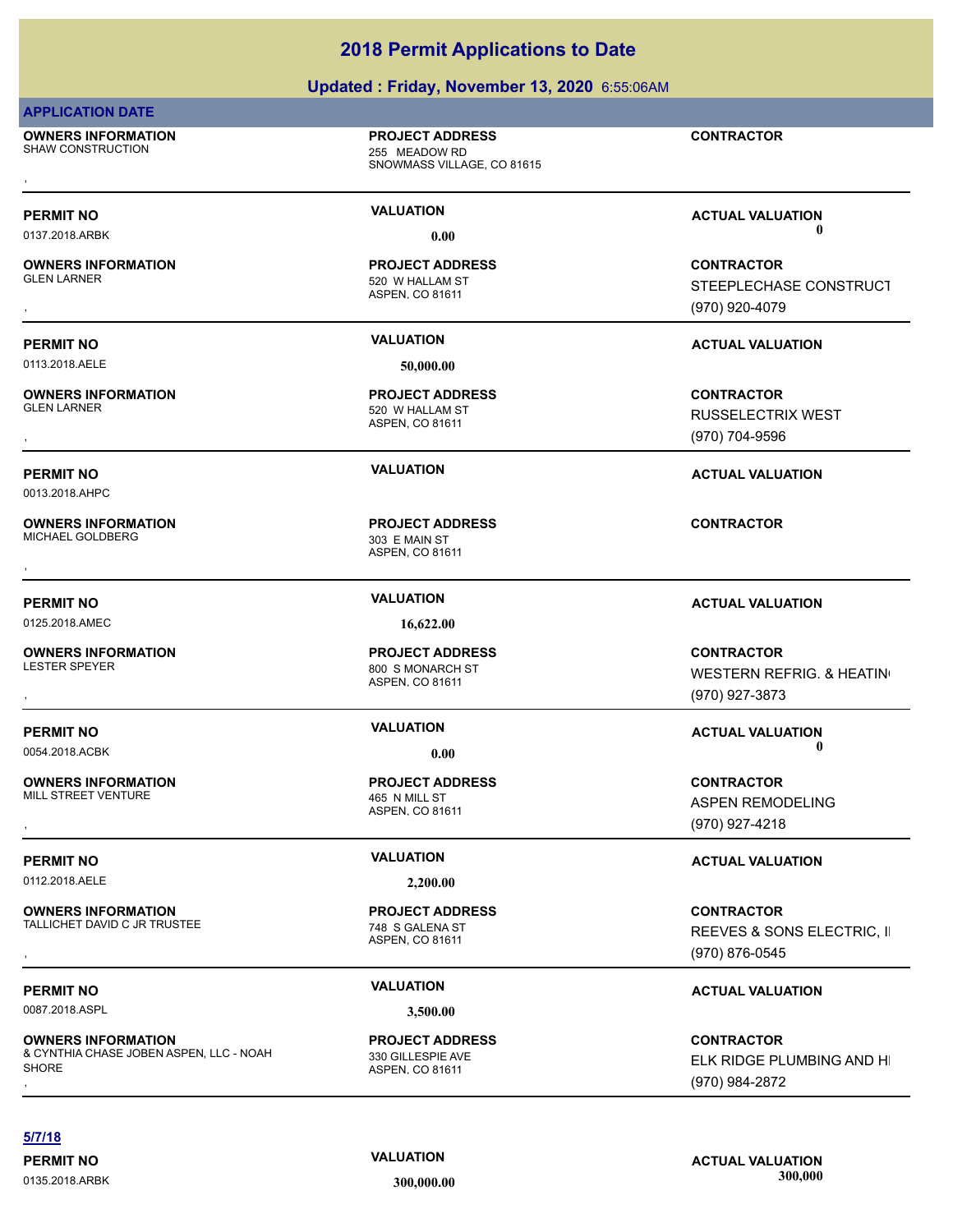### **Updated : Friday, November 13, 2020** 6:55:06AM

### **APPLICATION DATE**

**OWNERS INFORMATION** SHAW CONSTRUCTION 255 MEADOW RD

**PROJECT ADDRESS**

SNOWMASS VILLAGE, CO 81615 , **CONTRACTOR**

**OWNERS INFORMATION**

0113.2018.AELE **50,000.00**

0013.2018.AHPC

**OWNERS INFORMATION**

**OWNERS INFORMATION**

**OWNERS INFORMATION**

ASPEN, CO 81611 520 W HALLAM ST **PROJECT ADDRESS**

ASPEN, CO 81611

520 W HALLAM ST **PROJECT ADDRESS**

ASPEN, CO 81611 MICHAEL GOLDBERG 303 E MAIN ST **PROJECT ADDRESS** , **CONTRACTOR**

0125.2018.AMEC **16,622.00**

ASPEN, CO 81611 800 S MONARCH ST **PROJECT ADDRESS**

**PROJECT ADDRESS**

**OWNERS INFORMATION** MILL STREET VENTURE **1999** MILL STREET VENTURE

0112.2018.AELE **2,200.00**

**OWNERS INFORMATION** TALLICHET DAVID C JR TRUSTEE 748 S GALENA ST

**OWNERS INFORMATION** & CYNTHIA CHASE JOBEN ASPEN, LLC - NOAH **SHORE OWNERS INFORMATION PROJECT ADDRESS ARE SERVIT READS AND READS ON TRACTOR**<br>& CYNTHIA CHASE JOBEN ASPEN, LLC - NOAH 330 GILLESPIE AVE **SERVIT AND MANUS AND HISPORE SERVIT ASPEN**, CO 81611<br>SHORE (970) 984-2872

### ASPEN, CO 81611

ASPEN, CO 81611 **PROJECT ADDRESS**

ASPEN, CO 81611 330 GILLESPIE AVE **PROJECT ADDRESS**

**PERMIT NO VALUATION ACTUAL VALUATION** 0137.2018.ARBK **0.00 0.00**

, **CONTRACTOR** STEEPLECHASE CONSTRUCT (970) 920-4079

### **PERMIT NO VALUATION ACTUAL VALUATION**

, **CONTRACTOR** RUSSELECTRIX WEST (970) 704-9596

### **PERMIT NO VALUATION ACTUAL VALUATION**

### **PERMIT NO VALUATION ACTUAL VALUATION**

, **CONTRACTOR** WESTERN REFRIG. & HEATING (970) 927-3873

**PERMIT NO CONSUMITY OF A CONSUMITY OF A CONSUMITY OF A CONSUMITY OF A CTUAL VALUATION** 0054.2018.ACBK **0.00 0.00**

, **CONTRACTOR** ASPEN REMODELING (970) 927-4218

### **PERMIT NO VALUATION VALUATION VALUATION**

**OWNERS INFORMATION EXAMPLE SERVICE PROJECT ADDRESS ARE SERVICE CONTRACTOR CONTRACTOR**<br>TALLICHET DAVID C JR TRUSTEE THE SERVICE RESOLUTION OF THE SERVES A SONS ELECTRIC, II<br>ASPEN. CO 81611 ASPONE (970) 876-0545 REEVES & SONS ELECTRIC, II (970) 876-0545

ELK RIDGE PLUMBING AND HI (970) 984-2872

**5/7/18**

**PERMIT NO VALUATION VALUATION VALUATION** 0135.2018.ARBK **300,000.00 300,000.00**

# **PERMIT NO VALUATION ACTUAL VALUATION** 0087.2018.ASPL **3,500.00**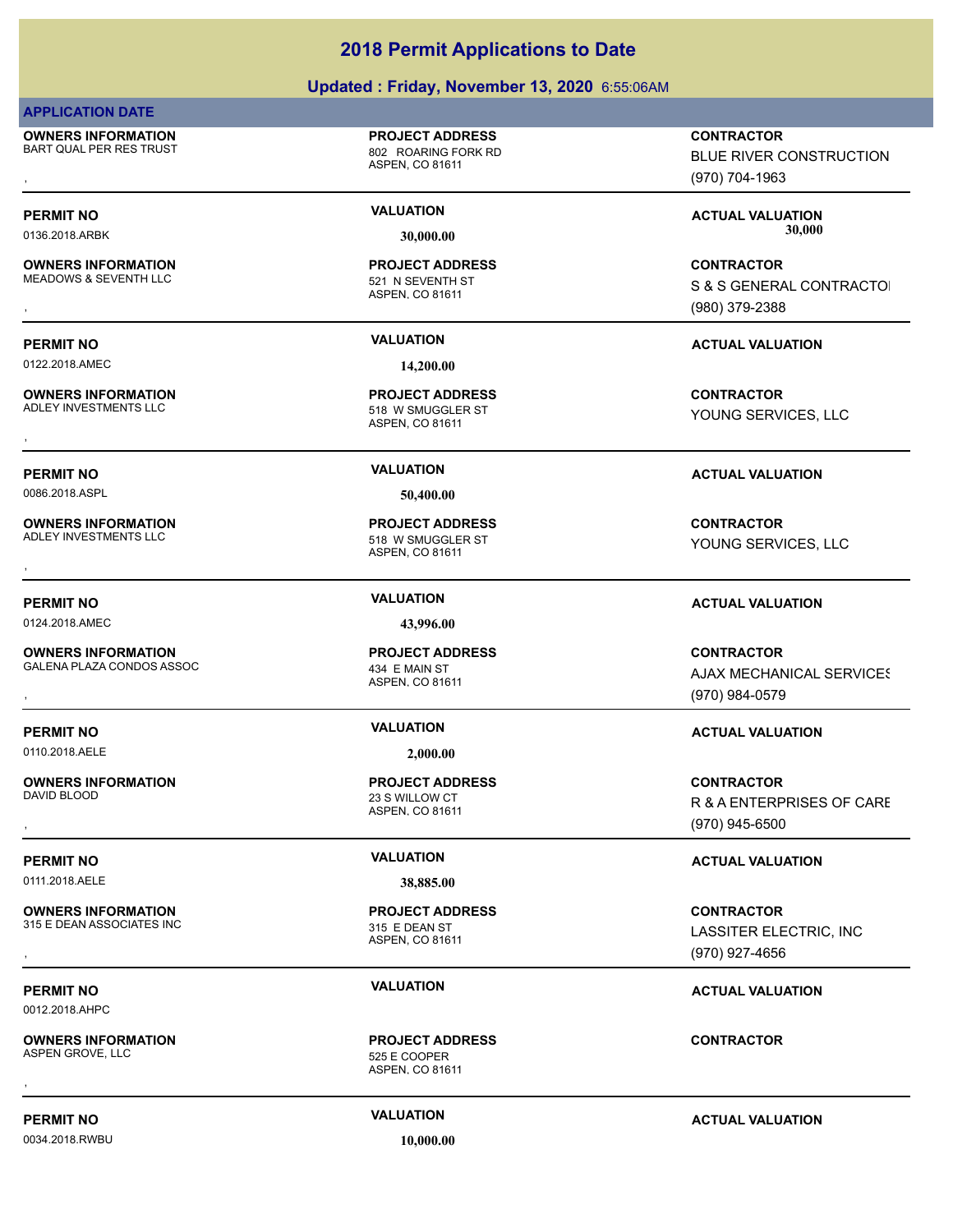### **Updated : Friday, November 13, 2020** 6:55:06AM

### **APPLICATION DATE**

**OWNERS INFORMATION** BART QUAL PER RES TRUST 802 ROARING FORK RD

**OWNERS INFORMATION**

**OWNERS INFORMATION**<br>ADLEY INVESTMENTS LLC

**OWNERS INFORMATION**

**OWNERS INFORMATION**

**OWNERS INFORMATION**

**OWNERS INFORMATION**

ASPEN, CO 81611

**PROJECT ADDRESS**

ASPEN, CO 81611 MEADOWS & SEVENTH LLC 521 N SEVENTH ST **PROJECT ADDRESS**

0122.2018.AMEC **14,200.00**

ASPEN, CO 81611 518 W SMUGGLER ST **PROJECT ADDRESS**

0086.2018.ASPL **50,400.00**

ASPEN, CO 81611 ADLEY INVESTMENTS LLC 518 W SMUGGLER ST **PROJECT ADDRESS OWNERS INFORMATION CONTRACTOR EXAMPLE IN THE PROJECT ADDRESS CONTRACTOR CONTRACTOR**<br>ADLEY INVESTMENTS LLC CONTRACTOR 518 W SMUGGLER ST STUDIES TO POUNG SERVICES, LLC<br>,

0124.2018.AMEC **43,996.00**

ASPEN, CO 81611 GALENA PLAZA CONDOS ASSOC 434 E MAIN ST **PROJECT ADDRESS**

0110.2018.AELE **2,000.00**

ASPEN, CO 81611 23 S WILLOW CT **PROJECT ADDRESS**

### 0111.2018.AELE **38,885.00**

ASPEN, CO 81611 315 E DEAN ASSOCIATES INC 315 E DEAN ST **PROJECT ADDRESS**

ASPEN, CO 81611 **PROJECT ADDRESS** , **CONTRACTOR**

, **CONTRACTOR** BLUE RIVER CONSTRUCTION (970) 704-1963

PERMIT NO **SALUATION VALUATION CONSIDERENT ACTUAL VALUATION ACTUAL VALUATION** 0136.2018.ARBK **30,000.00 30,000.00**

, **CONTRACTOR S & S GENERAL CONTRACTOL** (980) 379-2388

### **PERMIT NO VALUATION ACTUAL VALUATION**

**OWNERS INFORMATION GOVERNED BY A SERVICE TO A SERVICE ADDRESS AND SERVICE SUPPOSE TO A SERVICE SUPPOSE TO A SPEN<br>ADLEY INVESTMENTS LLC CONTRACTOR SERVICES, LLC<br>, The Service of ASPEN, CO 81611** YOUNG SERVICES, LLC

### **PERMIT NO VALUATION ACTUAL VALUATION**

YOUNG SERVICES, LLC

### **PERMIT NO VALUATION ACTUAL VALUATION**

, **CONTRACTOR AJAX MECHANICAL SERVICES** (970) 984-0579

### **PERMIT NO VALUATION ACTUAL VALUATION**

, **CONTRACTOR** R & A ENTERPRISES OF CARE (970) 945-6500

### **PERMIT NO VALUATION VALUATION VALUATION**

**OWNERS INFORMATION GOVERNED BY A SECURITY PROJECT ADDRESS CONTRACTOR CONTRACTOR**<br>315 E DEAN ASSOCIATES INC ASPEN, CO 81611 ASPEN, CO 81611 GOVERNED STRAINING ASPEN, CO 81611 GOVERNED STRAINING<br>The Security of ASPEN, CO 81 LASSITER ELECTRIC, INC (970) 927-4656

### **PERMIT NO VALUATION ACTUAL VALUATION**

**PERMIT NO VALUATION ACTUAL VALUATION**

0012.2018.AHPC

**OWNERS INFORMATION** ASPEN GROVE, LLC 525 E COOPER

0034.2018.RWBU **10,000.00**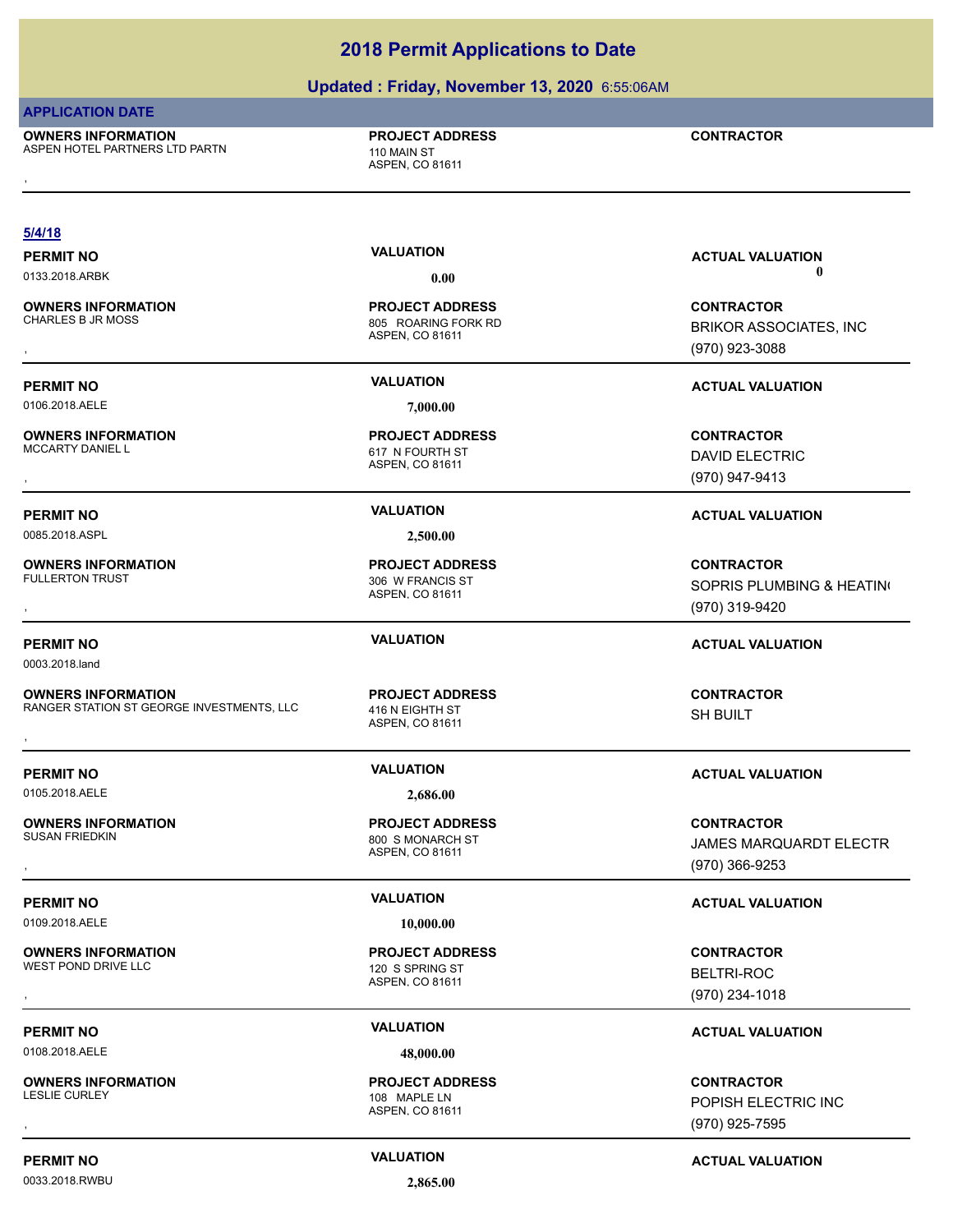### **Updated : Friday, November 13, 2020** 6:55:06AM

**2018 Permit Applications to Date**

### **APPLICATION DATE**

**OWNERS INFORMATION** ASPEN HOTEL PARTNERS LTD PARTN 110 MAIN ST **OWNERS INFORMATION DESCRIPTION DESCRIPTION DESCRIPTIONS DESCRIPTION DESCRIPTION DESCRIPTION DESCRIPTION DESPRI<br>ASPEN HOTEL PARTNERS LTD PARTN DESCRIPTION DESPRIENT DESPRIENT OUTSIDE ASPEN, CO 81611<br>,** 

**PROJECT ADDRESS**

ASPEN, CO 81611

ASPEN, CO 81611

ASPEN, CO 81611

ASPEN, CO 81611

ASPEN, CO 81611

ASPEN, CO 81611

ASPEN, CO 81611

120 S SPRING ST **PROJECT ADDRESS**

800 S MONARCH ST **PROJECT ADDRESS**

**PROJECT ADDRESS**

306 W FRANCIS ST **PROJECT ADDRESS**

**PROJECT ADDRESS**

805 ROARING FORK RD **PROJECT ADDRESS**

**5/4/18**

**OWNERS INFORMATION**

0106.2018.AELE **7,000.00**

**OWNERS INFORMATION** MCCARTY DANIEL L<br>
617 N FOURTH ST

0085.2018.ASPL **2,500.00**

**OWNERS INFORMATION**

0003.2018.land

**OWNERS INFORMATION** RANGER STATION ST GEORGE INVESTMENTS, LLC 416 N EIGHTH ST **OWNERS INFORMATION FROJECT ADDRESS CONTRACTOR**<br>RANGER STATION ST GEORGE INVESTMENTS, LLC 416 N EIGHTH ST SH BUILT<br>ASPEN. CO 81611<br>,

0105.2018.AELE **2,686.00**

**OWNERS INFORMATION**

0109.2018.AELE **10,000.00**

**OWNERS INFORMATION**

0108.2018.AELE **48,000.00**

**OWNERS INFORMATION**

0033.2018.RWBU **2,865.00**

ASPEN, CO 81611 108 MAPLE LN **PROJECT ADDRESS**

**PERMIT NO VALUATION VALUATION VALUATION** 0133.2018.ARBK **0.00 0.00**

, **CONTRACTOR** BRIKOR ASSOCIATES, INC (970) 923-3088

### **PERMIT NO VALUATION VALUATION VALUATION**

, **CONTRACTOR** DAVID ELECTRIC (970) 947-9413

### **PERMIT NO VALUATION ACTUAL VALUATION**

, **CONTRACTOR** SOPRIS PLUMBING & HEATING (970) 319-9420

### **PERMIT NO VALUATION ACTUAL VALUATION**

SH BUILT

### **PERMIT NO VALUATION ACTUAL VALUATION**

**OWNERS INFORMATION PROJECT ADDRESS CONTRACTOR**<br>SUSAN FRIEDKIN 800\_S MONARCH ST JAMES MARQUARDT ELECTR<br>, ASPEN, CO 81611 JAMES MARQUARDT ELECTR (970) 366-9253

### **PERMIT NO VALUATION ACTUAL VALUATION**

**OWNERS INFORMATION FROJECT ADDRESS CONTRACTOR CONTRACTOR**<br>
WEST POND DRIVE LLC<br>
ASPEN. CO 81611<br>
ASPEN. CO 81611 (970) 234-1018 BELTRI-ROC (970) 234-1018

### **PERMIT NO VALUATION ACTUAL VALUATION**

, **CONTRACTOR** POPISH ELECTRIC INC (970) 925-7595

**PERMIT NO CONSUMITY ACTUAL VALUATION VALUATION VALUATION**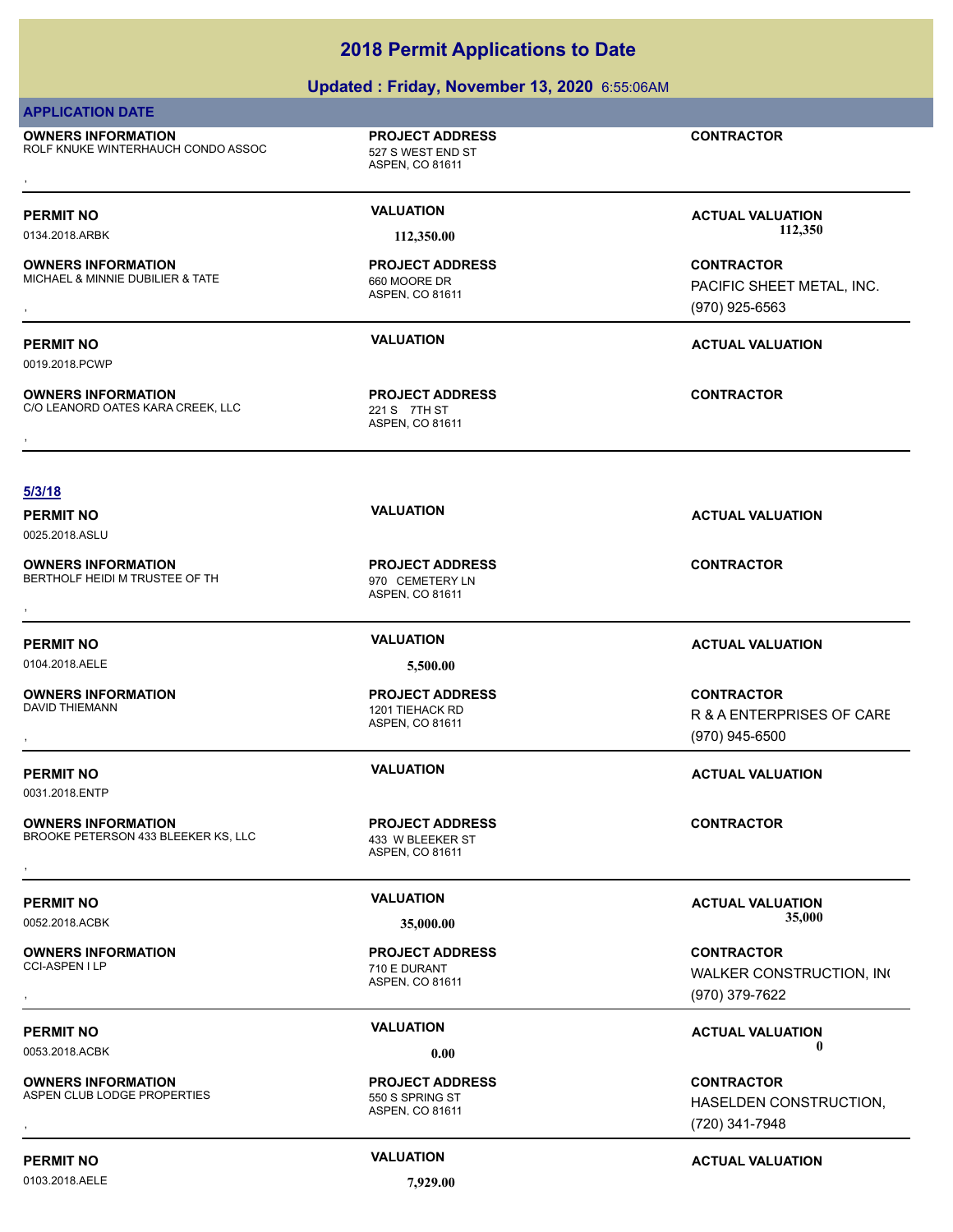|                                                                                    | Updated: Friday, November 13, 2020 6:55:06AM                   |                                                                  |
|------------------------------------------------------------------------------------|----------------------------------------------------------------|------------------------------------------------------------------|
| <b>APPLICATION DATE</b>                                                            |                                                                |                                                                  |
| <b>OWNERS INFORMATION</b><br>ROLF KNUKE WINTERHAUCH CONDO ASSOC                    | <b>PROJECT ADDRESS</b><br>527 S WEST END ST<br>ASPEN, CO 81611 | <b>CONTRACTOR</b>                                                |
| <b>PERMIT NO</b><br>0134.2018.ARBK                                                 | <b>VALUATION</b><br>112,350.00                                 | <b>ACTUAL VALUATION</b><br>112,350                               |
| <b>OWNERS INFORMATION</b><br>MICHAEL & MINNIE DUBILIER & TATE                      | <b>PROJECT ADDRESS</b><br>660 MOORE DR<br>ASPEN, CO 81611      | <b>CONTRACTOR</b><br>PACIFIC SHEET METAL, INC.<br>(970) 925-6563 |
| <b>PERMIT NO</b><br>0019.2018.PCWP                                                 | <b>VALUATION</b>                                               | <b>ACTUAL VALUATION</b>                                          |
| <b>OWNERS INFORMATION</b><br>C/O LEANORD OATES KARA CREEK, LLC                     | <b>PROJECT ADDRESS</b><br>221 S 7TH ST<br>ASPEN, CO 81611      | <b>CONTRACTOR</b>                                                |
|                                                                                    |                                                                |                                                                  |
| 5/3/18<br><b>PERMIT NO</b><br>0025.2018.ASLU                                       | <b>VALUATION</b>                                               | <b>ACTUAL VALUATION</b>                                          |
| <b>OWNERS INFORMATION</b><br>BERTHOLF HEIDI M TRUSTEE OF TH                        | <b>PROJECT ADDRESS</b><br>970 CEMETERY LN<br>ASPEN, CO 81611   | <b>CONTRACTOR</b>                                                |
| <b>PERMIT NO</b>                                                                   | <b>VALUATION</b>                                               | <b>ACTUAL VALUATION</b>                                          |
| 0104.2018.AELE                                                                     | 5,500.00                                                       |                                                                  |
| <b>OWNERS INFORMATION</b><br>DAVID THIEMANN                                        | <b>PROJECT ADDRESS</b><br>1201 TIEHACK RD<br>ASPEN, CO 81611   | <b>CONTRACTOR</b><br>R & A ENTERPRISES OF CARE<br>(970) 945-6500 |
| <b>PERMIT NO</b>                                                                   | <b>VALUATION</b>                                               | <b>ACTUAL VALUATION</b>                                          |
| 0031.2018.ENTP<br><b>OWNERS INFORMATION</b><br>BROOKE PETERSON 433 BLEEKER KS, LLC | <b>PROJECT ADDRESS</b><br>433 W BLEEKER ST<br>ASPEN, CO 81611  | <b>CONTRACTOR</b>                                                |
|                                                                                    | <b>VALUATION</b>                                               |                                                                  |
| <b>PERMIT NO</b><br>0052.2018.ACBK                                                 | 35,000.00                                                      | <b>ACTUAL VALUATION</b><br>35,000                                |
| <b>OWNERS INFORMATION</b><br>CCI-ASPEN I LP                                        | <b>PROJECT ADDRESS</b><br>710 E DURANT<br>ASPEN, CO 81611      | <b>CONTRACTOR</b><br>WALKER CONSTRUCTION, INC<br>(970) 379-7622  |
| <b>PERMIT NO</b>                                                                   | <b>VALUATION</b>                                               | <b>ACTUAL VALUATION</b>                                          |
| 0053.2018.ACBK                                                                     | 0.00                                                           | O                                                                |

**OWNERS INFORMATION** ASPEN CLUB LODGE PROPERTIES FOR SERIES TO SAMING STONE STOLEN. SAMING STONE STOLEN STOLEN STOLEN STOLEN. SAMING ST **OWNERS INFORMATION FROJECT ADDRESS CONTRACTOR CONTRACTOR**<br>ASPEN CLUB LODGE PROPERTIES FAND SERING ST TO SOME THE SERIES ON HASELDEN CONSTRUCTION,<br>ASPEN. CO 81611 FROM THE SERIES (720) 341-7948

0103.2018.AELE **7,929.00**

ASPEN, CO 81611

**PROJECT ADDRESS**

**PERMIT NO CONSUMITY ACTUAL VALUATION VALUATION** *ACTUAL VALUATION* 

(720) 341-7948

HASELDEN CONSTRUCTION,

# **2018 Permit Applications to Date**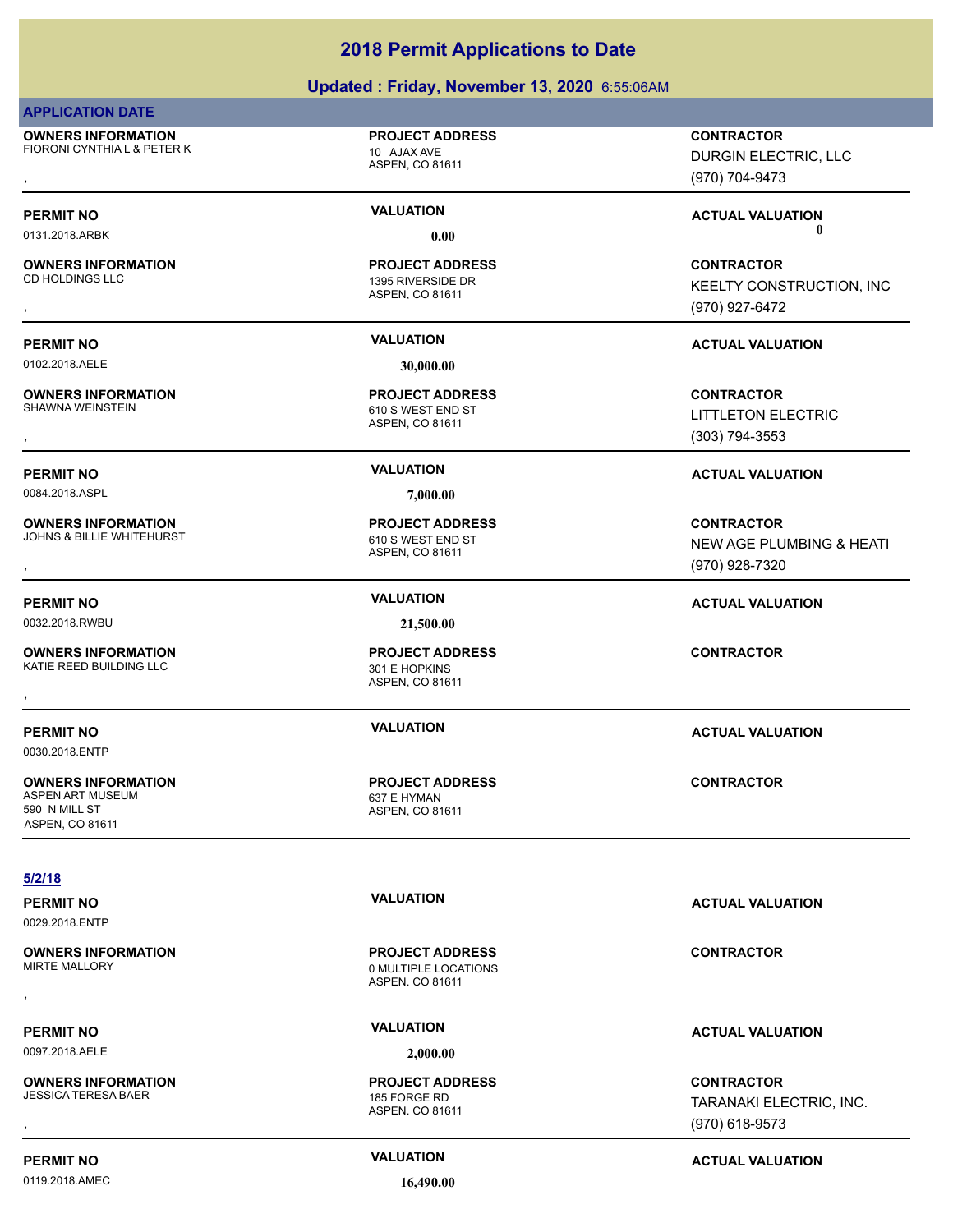### **Updated : Friday, November 13, 2020** 6:55:06AM

### **APPLICATION DATE**

**OWNERS INFORMATION** FIORONI CYNTHIA L & PETER K 10 AJAX AVE

### **PROJECT ADDRESS**

ASPEN, CO 81611

ASPEN, CO 81611

1395 RIVERSIDE DR **PROJECT ADDRESS**

**OWNERS INFORMATION**

**PERMIT NO VALUATION ACTUAL VALUATION**

0102.2018.AELE **30,000.00**

**OWNERS INFORMATION**

**OWNERS INFORMATION**

**OWNERS INFORMATION**

**OWNERS INFORMATION**

0030.2018.ENTP

590 N MILL ST ASPEN, CO 81611

**5/2/18**

ASPEN, CO 81611 610 S WEST END ST **PROJECT ADDRESS**

0084.2018.ASPL **7,000.00**

ASPEN, CO 81611 JOHNS & BILLIE WHITEHURST 610 S WEST END ST **PROJECT ADDRESS**

0032.2018.RWBU **21,500.00**

ASPEN, CO 81611 KATIE REED BUILDING LLC 301 E HOPKINS **PROJECT ADDRESS OWNERS INFORMATION GOVERNED BY A SERVICE PROJECT ADDRESS ARE:**<br>KATIE REED BUILDING LLC GOVERNED AS A SPEN, CO 81611<br>,

ASPEN, CO 81611 ASPEN ART MUSEUM 637 E HYMAN **PROJECT ADDRESS**

, **CONTRACTOR** DURGIN ELECTRIC, LLC (970) 704-9473

**PERMIT NO VALUATION ACTUAL VALUATION** 0131.2018.ARBK **0.00 0.00**

, **CONTRACTOR KEELTY CONSTRUCTION, INC.** (970) 927-6472

, **CONTRACTOR** LITTLETON ELECTRIC (303) 794-3553

### **PERMIT NO VALUATION ACTUAL VALUATION**

, **CONTRACTOR** NEW AGE PLUMBING & HEATI (970) 928-7320

### **PERMIT NO VALUATION ACTUAL VALUATION**

**PERMIT NO VALUATION ACTUAL VALUATION**

**CONTRACTOR**

, **CONTRACTOR** TARANAKI ELECTRIC, INC. (970) 618-9573

0119.2018.AMEC **16,490.00**

**PERMIT NO CONSUMITY ACTUAL VALUATION VALUATION VALUATION** 

# **PERMIT NO VALUATION ACTUAL VALUATION** ASPEN, CO 81611 0 MULTIPLE LOCATIONS **PROJECT ADDRESS** , **CONTRACTOR**

ASPEN, CO 81611

# 0097.2018.AELE **2,000.00**

**PROJECT ADDRESS**

**OWNERS INFORMATION**

0029.2018.ENTP

**OWNERS INFORMATION** JESSICA TERESA BAER 185 FORGE RD

**PERMIT NO VALUATION ACTUAL VALUATION**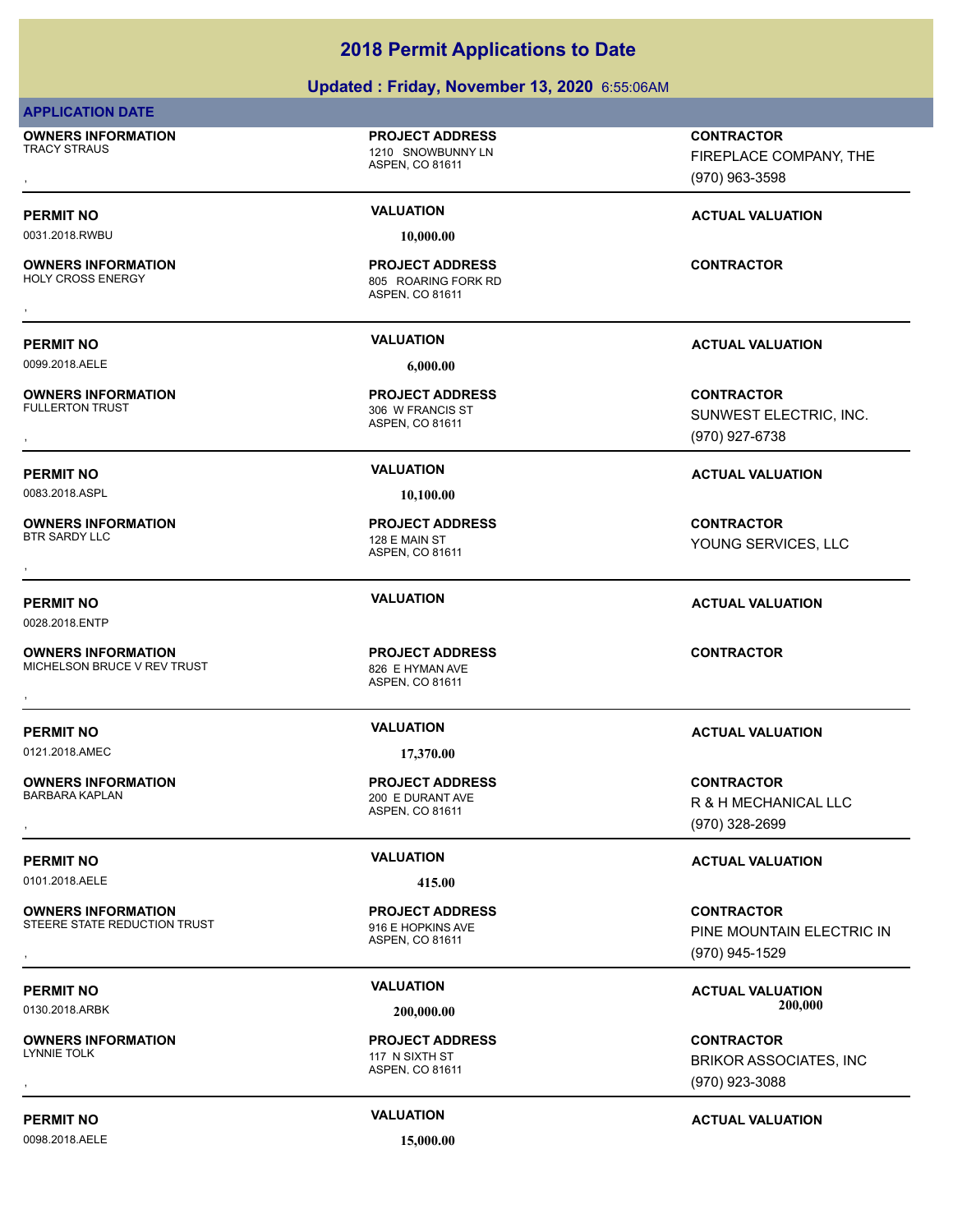### **Updated : Friday, November 13, 2020** 6:55:06AM

### **APPLICATION DATE**

**OWNERS INFORMATION** TRACY STRAUS **1210 SNOWBUNNY LN** 

# **PROJECT ADDRESS**

ASPEN, CO 81611

0031.2018.RWBU **10,000.00**

**OWNERS INFORMATION** , **CONTRACTOR**

0099.2018.AELE **6,000.00**

**OWNERS INFORMATION**

0083.2018.ASPL **10,100.00**

**OWNERS INFORMATION**

0028.2018.ENTP

**OWNERS INFORMATION** MICHELSON BRUCE V REV TRUST 826 E HYMAN AVE

**OWNERS INFORMATION**

0101.2018.AELE **415.00**

**OWNERS INFORMATION** STEERE STATE REDUCTION TRUST<br>
916 E HOPKINS AVE

**OWNERS INFORMATION**

0098.2018.AELE **15,000.00**

ASPEN, CO 81611 805 ROARING FORK RD **PROJECT ADDRESS**

ASPEN, CO 81611 306 W FRANCIS ST **PROJECT ADDRESS**

ASPEN, CO 81611 128 E MAIN ST **PROJECT ADDRESS**

ASPEN, CO 81611 **PROJECT ADDRESS OWNERS INFORMATION CONTRACTOR RESOURDED BY A SET ADDRESS CONTRACTOR CONTRACTOR**<br>MICHELSON BRUCE V REV TRUST FOR THE SERVINAN AVE<br>ASPEN. CO 81611

0121.2018.AMEC **17,370.00**

ASPEN, CO 81611 200 E DURANT AVE **PROJECT ADDRESS**

ASPEN, CO 81611 **PROJECT ADDRESS**

ASPEN, CO 81611 117 N SIXTH ST **PROJECT ADDRESS**

, **CONTRACTOR** FIREPLACE COMPANY, THE (970) 963-3598

**PERMIT NO VALUATION VALUATION VALUATION** 

**PERMIT NO VALUATION ACTUAL VALUATION**

, **CONTRACTOR** SUNWEST ELECTRIC, INC. (970) 927-6738

### **PERMIT NO VALUATION ACTUAL VALUATION**

, **CONTRACTOR** YOUNG SERVICES, LLC

### **PERMIT NO VALUATION ACTUAL VALUATION**

### **PERMIT NO VALUATION ACTUAL VALUATION**

, **CONTRACTOR** R & H MECHANICAL LLC (970) 328-2699

### **PERMIT NO VALUATION VALUATION VALUATION**

**OWNERS INFORMATION FROM THE REGIST OF PROJECT ADDRESS FOR THE CONTRACTOR**<br>STEERE STATE REDUCTION TRUST FIGHT FROM THE HOPKINS AVE FIGHT FOR THE MOUNTAIN ELECTRIC IN<br>ASPEN. CO 81611 FROM THE MOUNTAIN ELECTRIC IN ASPEN. CO PINE MOUNTAIN ELECTRIC IN (970) 945-1529

**PERMIT NO VALUATION VALUATION VALUATION** 0130.2018.ARBK **200,000.00 200,000.00**

, **CONTRACTOR** BRIKOR ASSOCIATES, INC (970) 923-3088

### **PERMIT NO VALUATION ACTUAL VALUATION**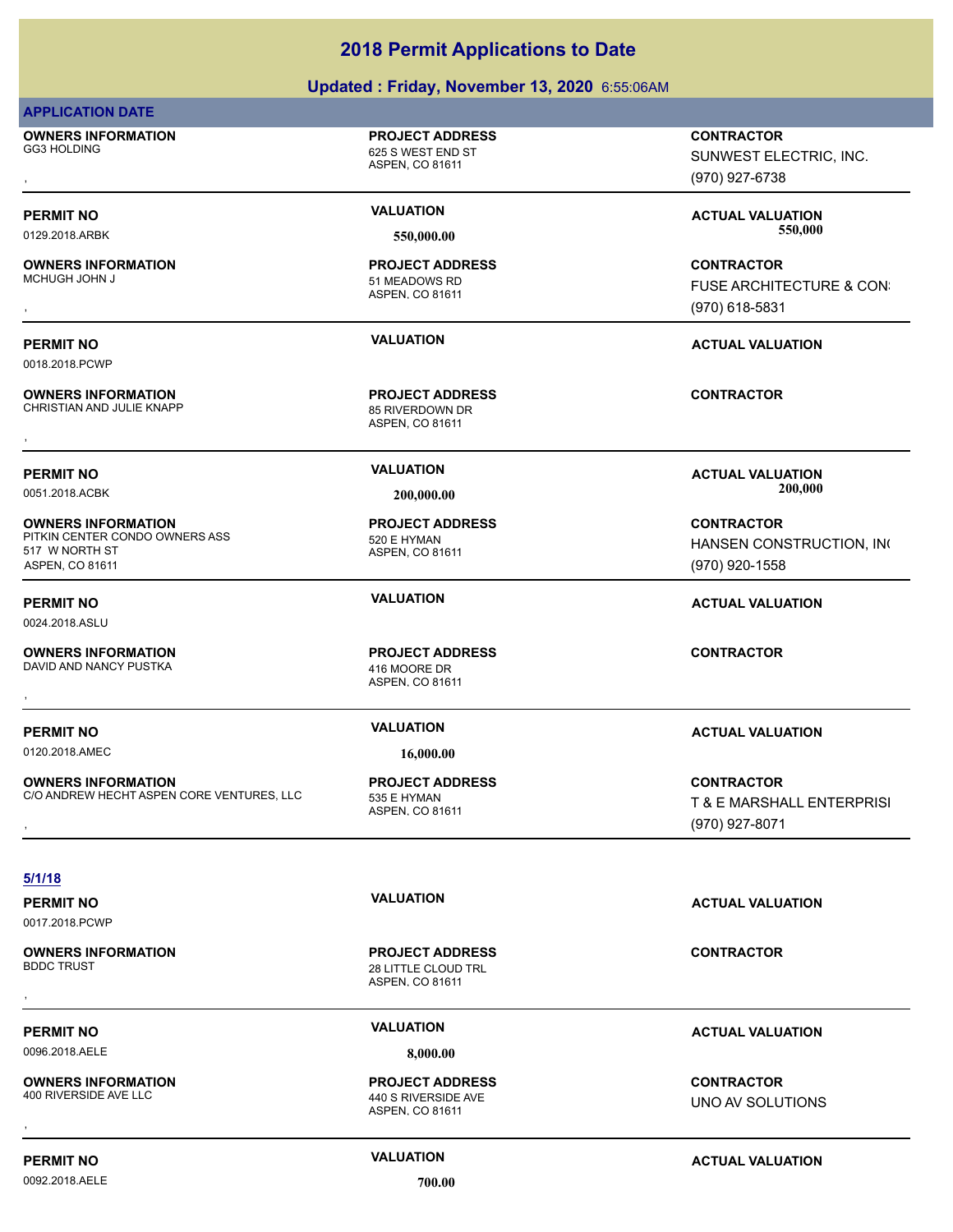### **Updated : Friday, November 13, 2020** 6:55:06AM

### **APPLICATION DATE**

**OWNERS INFORMATION** GG3 HOLDING 625 S WEST END ST , **CONTRACTOR**

**OWNERS INFORMATION**

0018.2018.PCWP

**OWNERS INFORMATION** CHRISTIAN AND JULIE KNAPP 85 RIVERDOWN DR

**OWNERS INFORMATION**

**OWNERS INFORMATION**

517 W NORTH ST ASPEN, CO 81611

0024.2018.ASLU

ASPEN, CO 81611

**PROJECT ADDRESS**

ASPEN, CO 81611 51 MEADOWS RD **PROJECT ADDRESS**

ASPEN, CO 81611 **PROJECT ADDRESS** , **CONTRACTOR**

ASPEN, CO 81611 PITKIN CENTER CONDO OWNERS ASS 520 E HYMAN **PROJECT ADDRESS**

ASPEN, CO 81611

0120.2018.AMEC **16,000.00**

**OWNERS INFORMATION** C/O ANDREW HECHT ASPEN CORE VENTURES, LLC 535 E HYMAN

### **5/1/18**

0017.2018.PCWP

**OWNERS INFORMATION**

**OWNERS INFORMATION**

ASPEN, CO 81611 28 LITTLE CLOUD TRL **PROJECT ADDRESS** , **CONTRACTOR**

### 0096.2018.AELE **8,000.00**

### ASPEN, CO 81611 440 S RIVERSIDE AVE **PROJECT ADDRESS** , **CONTRACTOR**

(970) 927-6738

PERMIT NO **SERVER ACTUAL VALUATION**<br>
FER 000.00 0129.2018.ARBK **550,000.00 550,000.00**

SUNWEST ELECTRIC, INC.

**OWNERS INFORMATION PROJECT ADDRESS CONTRACTOR**<br>MCHUGH JOHN J 51 MEADOWS RD FUSE ARCHITECTURE & CON<br>, ASPEN, CO 81611 ( FUSE ARCHITECTURE & CON: (970) 618-5831

### **PERMIT NO VALUATION ACTUAL VALUATION**

**PERMIT NO VALUATION ACTUAL VALUATION** 0051.2018.ACBK **200,000.00 200,000.00**

> **CONTRACTOR** HANSEN CONSTRUCTION, INC (970) 920-1558

### **PERMIT NO VALUATION ACTUAL VALUATION**

### **PERMIT NO VALUATION ACTUAL VALUATION**

**OWNERS INFORMATION CONTRACTOR REGULAR BUT A PROJECT ADDRESS CONTRACTOR CONTRACTOR**<br>C/O ANDREW HECHT ASPEN CORE VENTURES, LLC ASPEN, CO 81611 **1999 1999 1999 1999 1999**<br>GREEN, CO 81611 2000 1999 1997-8071 2007), ASPEN, CO T & E MARSHALL ENTERPRISI (970) 927-8071

**PERMIT NO VALUATION ACTUAL VALUATION**

### **PERMIT NO VALUATION ACTUAL VALUATION**

UNO AV SOLUTIONS

0092.2018.AELE **700.00**

ASPEN, CO 81611

**PROJECT ADDRESS**

DAVID AND NANCY PUSTKA 416 MOORE DR **PROJECT ADDRESS** , **CONTRACTOR**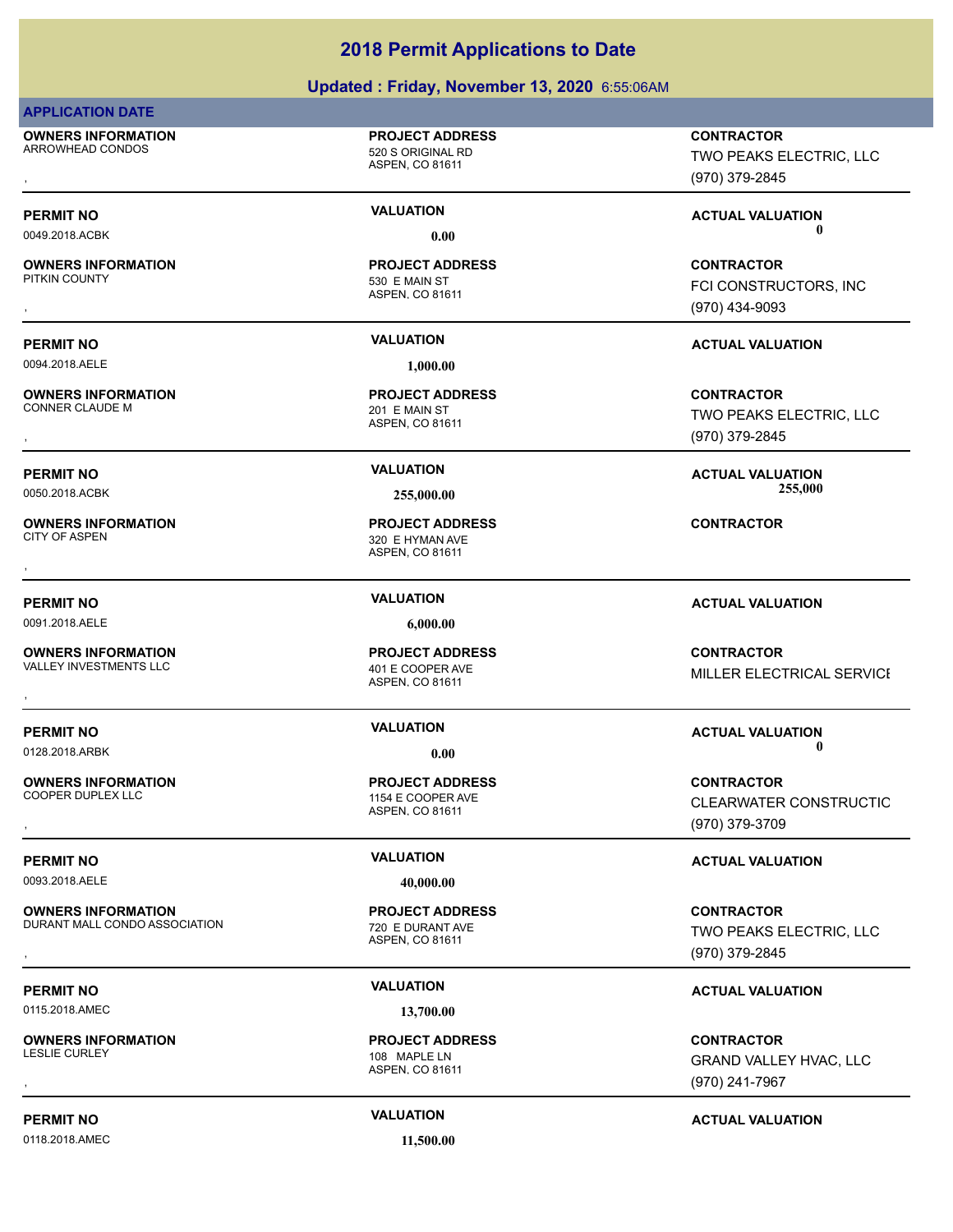### **Updated : Friday, November 13, 2020** 6:55:06AM

### **APPLICATION DATE**

**OWNERS INFORMATION** ARROWHEAD CONDOS 620 S ORIGINAL RD

### **PROJECT ADDRESS**

ASPEN, CO 81611

ASPEN, CO 81611

530 E MAIN ST **PROJECT ADDRESS**

# **OWNERS INFORMATION**

0094.2018.AELE **1,000.00**

# **OWNERS INFORMATION**

**OWNERS INFORMATION**

**OWNERS INFORMATION**<br>VALLEY INVESTMENTS LLC

ASPEN, CO 81611 201 E MAIN ST **PROJECT ADDRESS**

ASPEN, CO 81611 320 E HYMAN AVE **PROJECT ADDRESS** , **CONTRACTOR**

0091.2018.AELE **6,000.00**

### ASPEN, CO 81611 401 E COOPER AVE **PROJECT ADDRESS**

**OWNERS INFORMATION**

0093.2018.AELE **40,000.00**

**OWNERS INFORMATION** DURANT MALL CONDO ASSOCIATION 720 E DURANT AVE

0115.2018.AMEC **13,700.00**

**OWNERS INFORMATION**

0118.2018.AMEC **11,500.00**

### ASPEN, CO 81611 1154 E COOPER AVE **PROJECT ADDRESS**

ASPEN, CO 81611 **PROJECT ADDRESS**

ASPEN, CO 81611 108 MAPLE LN **PROJECT ADDRESS**

, **CONTRACTOR** TWO PEAKS ELECTRIC, LLC (970) 379-2845

**PERMIT NO VALUATION ACTUAL VALUATION** 0049.2018.ACBK **0.00 0.00**

, **CONTRACTOR** FCI CONSTRUCTORS, INC (970) 434-9093

### **PERMIT NO VALUATION ACTUAL VALUATION**

, **CONTRACTOR** TWO PEAKS ELECTRIC, LLC (970) 379-2845

**PERMIT NO VALUATION ACTUAL VALUATION** 0050.2018.ACBK **255,000.00 255,000.00**

### **PERMIT NO VALUATION ACTUAL VALUATION**

**OWNERS INFORMATION GOVERNEY ARE SERVED BY A SPEN. CORRESS CONTRACTOR CONTRACTOR**<br>VALLEY INVESTMENTS LLC GOVER AND ASPEN. CO 81611<br>, MILLER ELECTRICAL SERVICE

### **PERMIT NO CONSUMITY OF A CONSUMITY OF A CONSUMITY OF A CONSUMITY OF A CTUAL VALUATION** 0128.2018.ARBK **0.00 0.00**

, **CONTRACTOR CLEARWATER CONSTRUCTIO** (970) 379-3709

### **PERMIT NO VALUATION VALUATION VALUATION**

, **CONTRACTOR** TWO PEAKS ELECTRIC, LLC (970) 379-2845

### **PERMIT NO VALUATION ACTUAL VALUATION**

, **CONTRACTOR** GRAND VALLEY HVAC, LLC (970) 241-7967

### **PERMIT NO VALUATION ACTUAL VALUATION**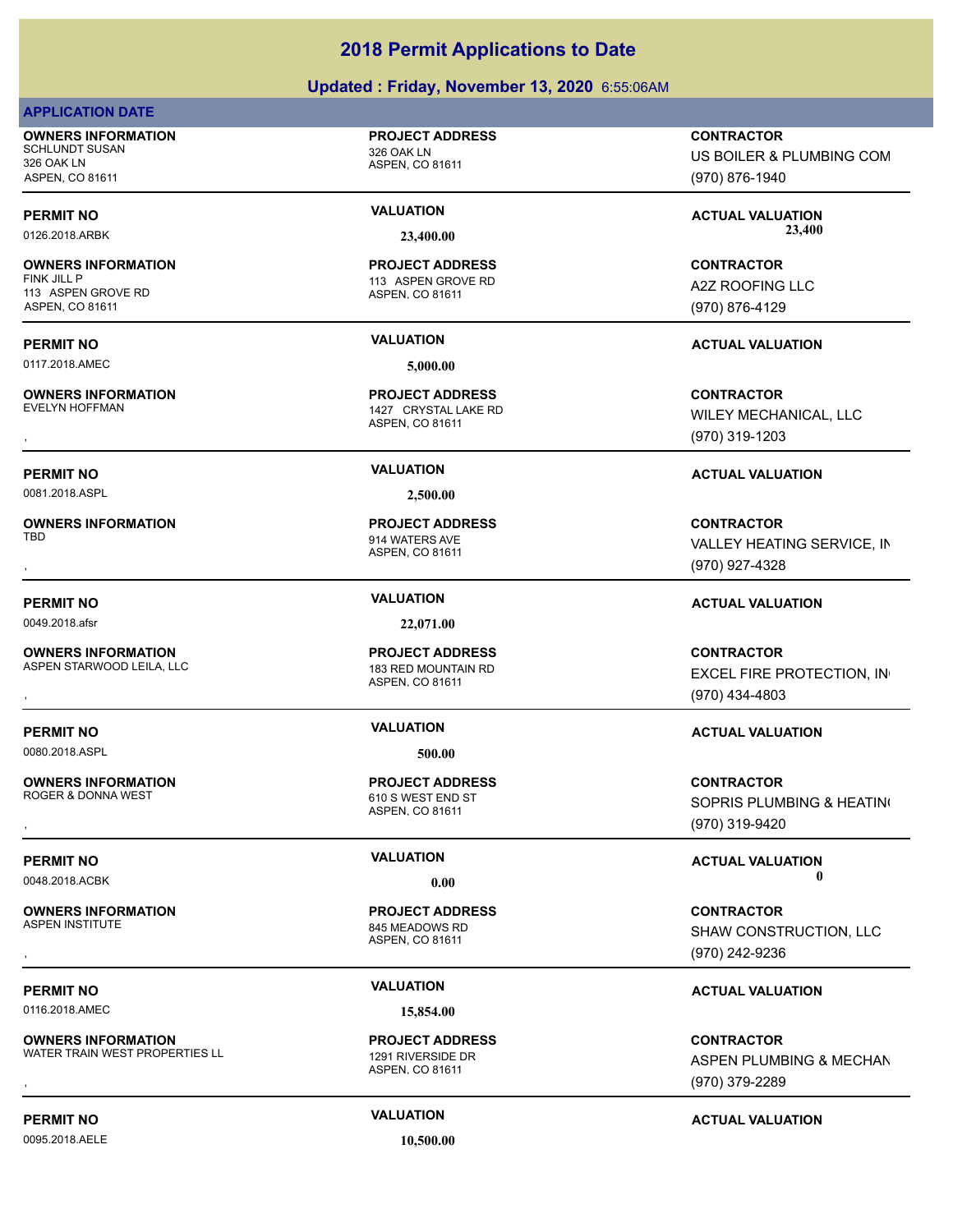### **Updated : Friday, November 13, 2020** 6:55:06AM

### **APPLICATION DATE**

**OWNERS INFORMATION** SCHLUNDT SUSAN 326 OAK LN 326 OAK LN ASPEN, CO 81611

# **OWNERS INFORMATION**

113 ASPEN GROVE RD ASPEN, CO 81611

0117.2018.AMEC **5,000.00**

**OWNERS INFORMATION**<br>EVELYN HOFFMAN

0081.2018.ASPL **2,500.00**

**OWNERS INFORMATION**

0049.2018.afsr **22,071.00**

**OWNERS INFORMATION** ASPEN STARWOOD LEILA, LLC<br>
183 RED MOUNTAIN RD

0080.2018.ASPL **500.00**

**OWNERS INFORMATION**

**OWNERS INFORMATION**

0116.2018.AMEC **15,854.00**

**OWNERS INFORMATION** WATER TRAIN WEST PROPERTIES LL 1291 RIVERSIDE DR

0095.2018.AELE **10,500.00**

### **PROJECT ADDRESS**

ASPEN, CO 81611

### ASPEN, CO 81611 113 ASPEN GROVE RD **PROJECT ADDRESS**

### ASPEN, CO 81611 1427 CRYSTAL LAKE RD **PROJECT ADDRESS**

ASPEN, CO 81611 914 WATERS AVE **PROJECT ADDRESS**

### ASPEN, CO 81611 **PROJECT ADDRESS**

### ASPEN, CO 81611 610 S WEST END ST **PROJECT ADDRESS**

ASPEN, CO 81611 845 MEADOWS RD **PROJECT ADDRESS**

ASPEN, CO 81611 **PROJECT ADDRESS**

### **CONTRACTOR**

US BOILER & PLUMBING COM (970) 876-1940

PERMIT NO **SALUATION VALUATION VALUATION ACTUAL VALUATION ACTUAL VALUATION** 0126.2018.ARBK **23,400.00 23,400.00**

> **CONTRACTOR** A2Z ROOFING LLC (970) 876-4129

### **PERMIT NO VALUATION ACTUAL VALUATION**

**OWNERS INFORMATION PROJECT ADDRESS CONTRACTOR**<br>EVELYN HOFFMAN 1427 CRYSTAL LAKE RD WILEY MECHANICAL, LLC<br>, ASPEN. CO 81611 WILEY MECHANICAL, LLC (970) 319-1203

### **PERMIT NO VALUATION ACTUAL VALUATION**

, **CONTRACTOR** VALLEY HEATING SERVICE, IN (970) 927-4328

### **PERMIT NO VALUATION ACTUAL VALUATION**

**OWNERS INFORMATION GOVERNED BY A SECURITY OF PROJECT ADDRESS CONTRACTOR CONTRACTOR**<br>ASPEN STARWOOD LEILA, LLC AND THE SAME ASPEN. CO 81611<br>, GOVERNED MESS ASPEN. CO 81611 (970) 434-4803 EXCEL FIRE PROTECTION, IN (970) 434-4803

### **PERMIT NO VALUATION ACTUAL VALUATION**

, **CONTRACTOR** SOPRIS PLUMBING & HEATING (970) 319-9420

**PERMIT NO VALUATION ACTUAL VALUATION** 0048.2018.ACBK **0.00 0.00**

, **CONTRACTOR** SHAW CONSTRUCTION, LLC (970) 242-9236

### **PERMIT NO VALUATION ACTUAL VALUATION**

**OWNERS INFORMATION METALLY ARE SERVICE OF A PROJECT ADDRESS ARE SONTRACTOR CONTRACTOR**<br>WATER TRAIN WEST PROPERTIES LL ASPEN ASPEN, CO 81611 MATER TRAIN WEST PROPERTIES LL ASPEN, CO 81611<br>ASPEN, CO 81611 MATER 1970) 379-22 ASPEN PLUMBING & MECHAN (970) 379-2289

### **PERMIT NO VALUATION ACTUAL VALUATION**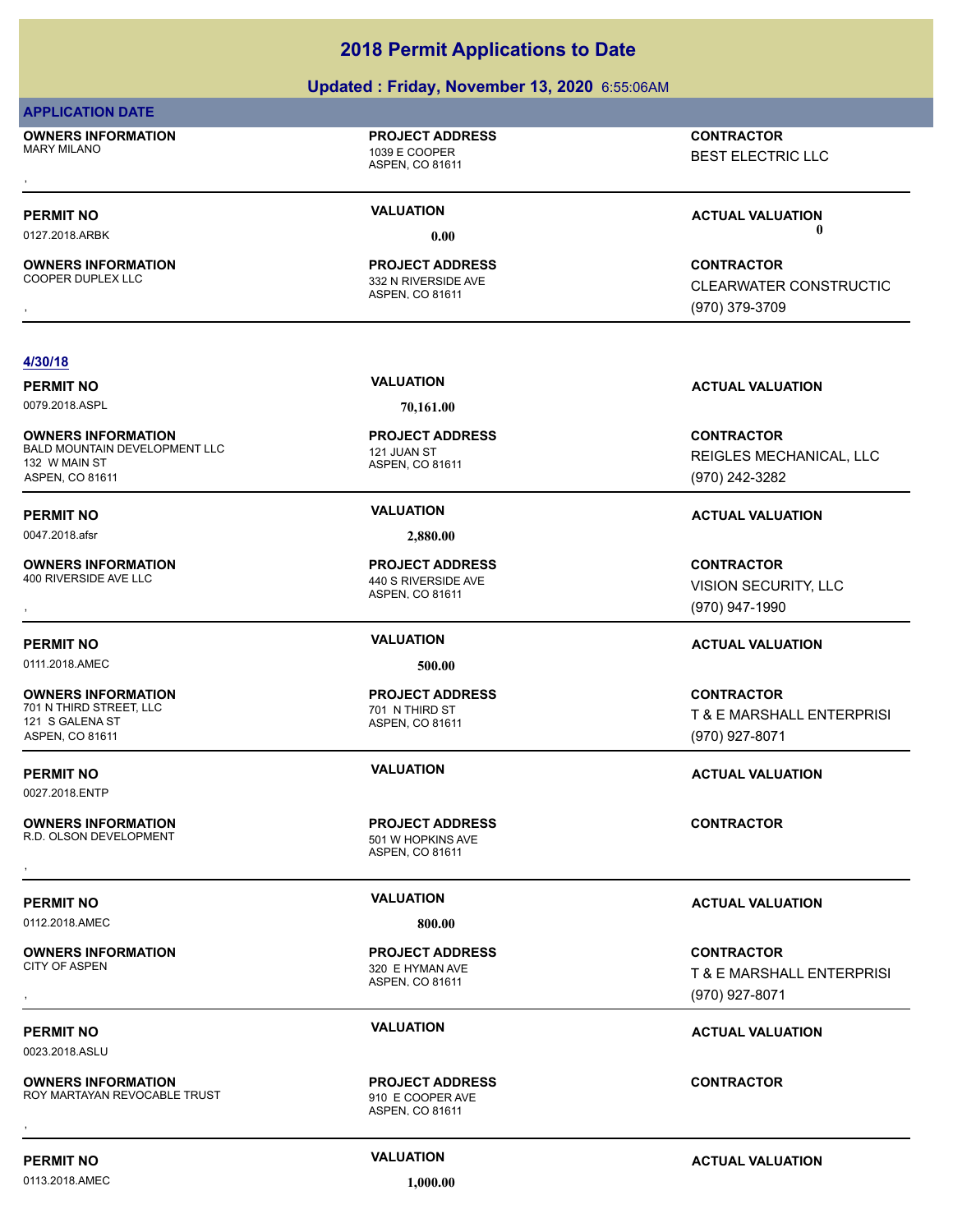### **Updated : Friday, November 13, 2020** 6:55:06AM

### **APPLICATION DATE**

**OWNERS INFORMATION** MARY MILANO 1039 E COOPER

**PROJECT ADDRESS**

ASPEN, CO 81611

, **CONTRACTOR** BEST ELECTRIC LLC

**OWNERS INFORMATION**

**PROJECT ADDRESS**

ASPEN, CO 81611

**PROJECT ADDRESS**

ASPEN, CO 81611 332 N RIVERSIDE AVE

**PERMIT NO VALUATION ACTUAL VALUATION** 0127.2018.ARBK **0.00 0.00**

**OWNERS INFORMATION PROJECT ADDRESS CONTRACTOR**<br>COOPER DUPLEX LLC 332 N RIVERSIDE AVE CLEARWATER CONSTRUCTIC<br>, ASPEN, CO 81611 **CLEARWATER CONSTRUCTIO** (970) 379-3709

### **4/30/18**

0079.2018.ASPL **70,161.00**

**OWNERS INFORMATION** BALD MOUNTAIN DEVELOPMENT LLC<br>
121 JUAN ST 132 W MAIN ST ASPEN, CO 81611

0047.2018.afsr **2,880.00**

**OWNERS INFORMATION** 400 RIVERSIDE AVE LLC 440 S RIVERSIDE AVE

0111.2018.AMEC **500.00**

**OWNERS INFORMATION**<br>701 N THIRD STREET LLC 121 S GALENA ST ASPEN, CO 81611

0027.2018.ENTP

**OWNERS INFORMATION** R.D. OLSON DEVELOPMENT 501 W HOPKINS AVE

0112.2018.AMEC **800.00**

**OWNERS INFORMATION**

0023.2018.ASLU

**OWNERS INFORMATION** ROY MARTAYAN REVOCABLE TRUST FIND THE STATE ROY MARTAYAN REVOCABLE TRUST **OWNERS INFORMATION FROJECT ADDRESS ARE:**<br>ROY MARTAYAN REVOCABLE TRUST **FROM THE COOPER AVE**<br>ASPEN, CO 81611

ASPEN, CO 81611

**PROJECT ADDRESS**

ASPEN, CO 81611 701 N THIRD ST **PROJECT ADDRESS**

ASPEN, CO 81611 **PROJECT ADDRESS OWNERS INFORMATION CONTRACTOR RESOLUTE PROJECT ADDRESS CONTRACTOR CONTRACTOR**<br>R.D. OLSON DEVELOPMENT **CONTRACTOR SERVICE AS A SPEN, CO 81611**<br>,

ASPEN, CO 81611 320 E HYMAN AVE **PROJECT ADDRESS**

ASPEN, CO 81611 **PROJECT ADDRESS**

**PERMIT NO VALUATION VALUATION VALUATION** 

**CONTRACTOR** REIGLES MECHANICAL, LLC (970) 242-3282

### **PERMIT NO VALUATION ACTUAL VALUATION**

**OWNERS INFORMATION PROJECT ADDRESS CONTRACTOR**<br>400 RIVERSIDE AVE LLC 440 S RIVERSIDE AVE VISION SECURITY, LLC<br>, ASPEN, CO 81611 VISION SECURITY, LLC (970) 947-1990

### **PERMIT NO VALUATION ACTUAL VALUATION**

**CONTRACTOR** T & E MARSHALL ENTERPRISI (970) 927-8071

**PERMIT NO VALUATION ACTUAL VALUATION**

### **PERMIT NO VALUATION ACTUAL VALUATION**

, **CONTRACTOR** T & E MARSHALL ENTERPRISI (970) 927-8071

### **PERMIT NO VALUATION ACTUAL VALUATION**

0113.2018.AMEC **1,000.00**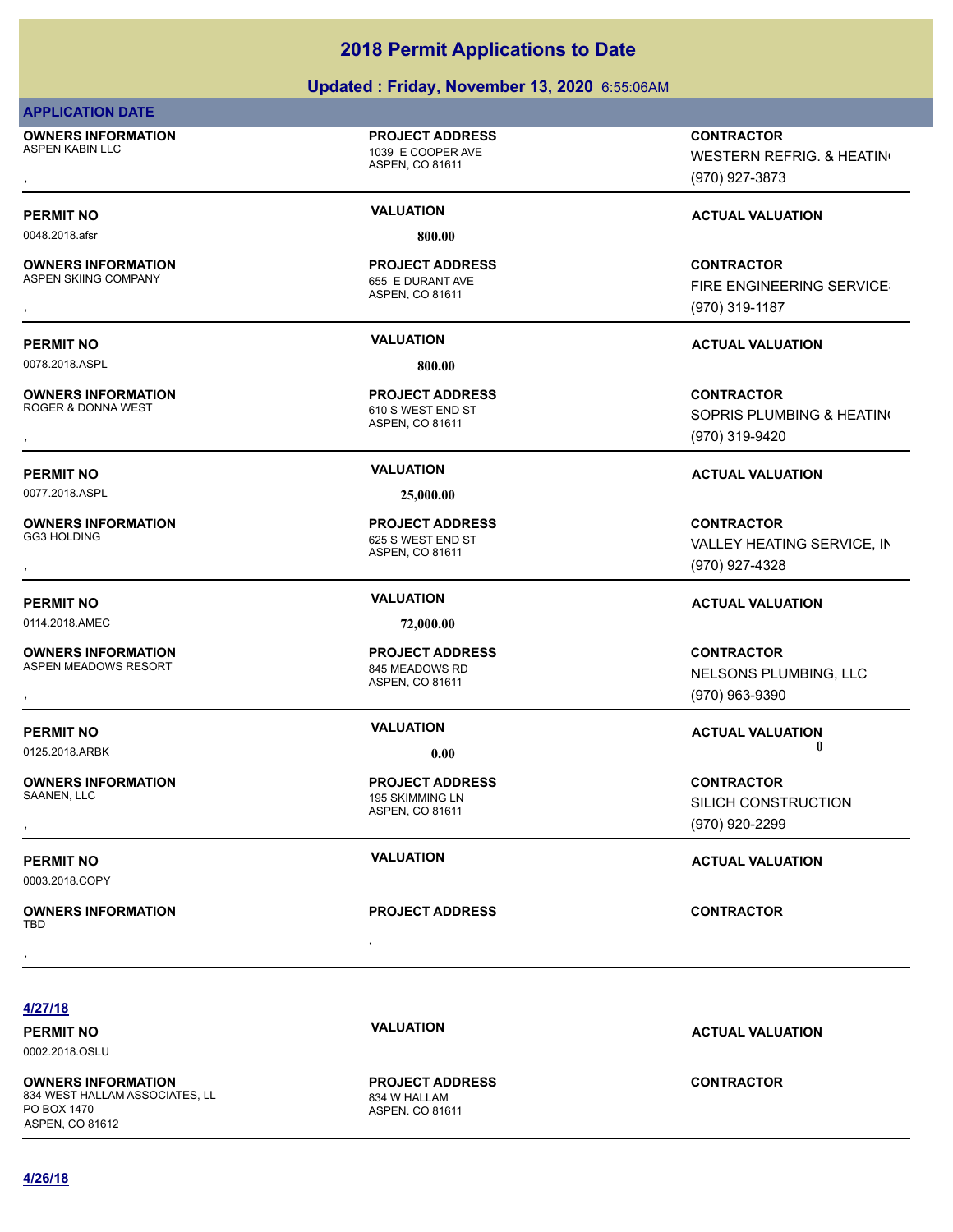### **Updated : Friday, November 13, 2020** 6:55:06AM

### **APPLICATION DATE**

**OWNERS INFORMATION** ASPEN KABIN LLC **ASPEN KABIN LLC 1039 E COOPER AVE** 

### **PROJECT ADDRESS**

ASPEN, CO 81611

ASPEN, CO 81611

**PROJECT ADDRESS**

0048.2018.afsr **800.00**

**OWNERS INFORMATION** ASPEN SKIING COMPANY 655 E DURANT AVE

0078.2018.ASPL 800.00

**OWNERS INFORMATION**<br>ROGER & DONNA WEST

**OWNERS INFORMATION**

**OWNERS INFORMATION**

ASPEN, CO 81611 610 S WEST END ST **PROJECT ADDRESS**

0077.2018.ASPL **25,000.00**

ASPEN, CO 81611 625 S WEST END ST **PROJECT ADDRESS**

0114.2018.AMEC **72,000.00**

ASPEN, CO 81611 ASPEN MEADOWS RESORT 845 MEADOWS RD **PROJECT ADDRESS**

**OWNERS INFORMATION**

0003.2018.COPY

, **OWNERS INFORMATION** TBD , **CONTRACTOR**

ASPEN, CO 81611 195 SKIMMING LN **PROJECT ADDRESS**

**PROJECT ADDRESS**

, **CONTRACTOR** WESTERN REFRIG. & HEATING (970) 927-3873

### **PERMIT NO CONSUMITY ACTUAL VALUATION VALUATION VALUATION**

**OWNERS INFORMATION PROJECT ADDRESS CONTRACTOR**<br>ASPEN SKIING COMPANY 655 E DURANT AVE FIRE ENGINEERING SERVICE<br>, ASPEN, CO 81611 FIRE ENGINEERING SERVICES (970) 319-1187

### **PERMIT NO VALUATION ACTUAL VALUATION**

, **CONTRACTOR** SOPRIS PLUMBING & HEATING (970) 319-9420

### **PERMIT NO VALUATION ACTUAL VALUATION**

, **CONTRACTOR** VALLEY HEATING SERVICE, IN (970) 927-4328

### **PERMIT NO VALUATION ACTUAL VALUATION**

**OWNERS INFORMATION PROJECT ADDRESS CONTRACTOR**<br>ASPEN MEADOWS RESORT 845 MEADOWS RD NELSONS PLUMBING, LLC<br>, ASPEN. CO 81611 NELSONS PLUMBING, LLC (970) 963-9390

**PERMIT NO CONSUMITY OF A CONSUMITY OF A CONSUMITY OF A CONSUMITY OF A CTUAL VALUATION** 0125.2018.ARBK **0.00 0.00**

, **CONTRACTOR** SILICH CONSTRUCTION (970) 920-2299

**PERMIT NO VALUATION VALUATION VALUATION** 

**4/27/18**

**PERMIT NO VALUATION ACTUAL VALUATION** 0002.2018.OSLU

**OWNERS INFORMATION** 834 WEST HALLAM ASSOCIATES, LL 834 W HALLAM PO BOX 1470 ASPEN, CO 81612

ASPEN, CO 81611 **PROJECT ADDRESS**

### **CONTRACTOR**

**4/26/18**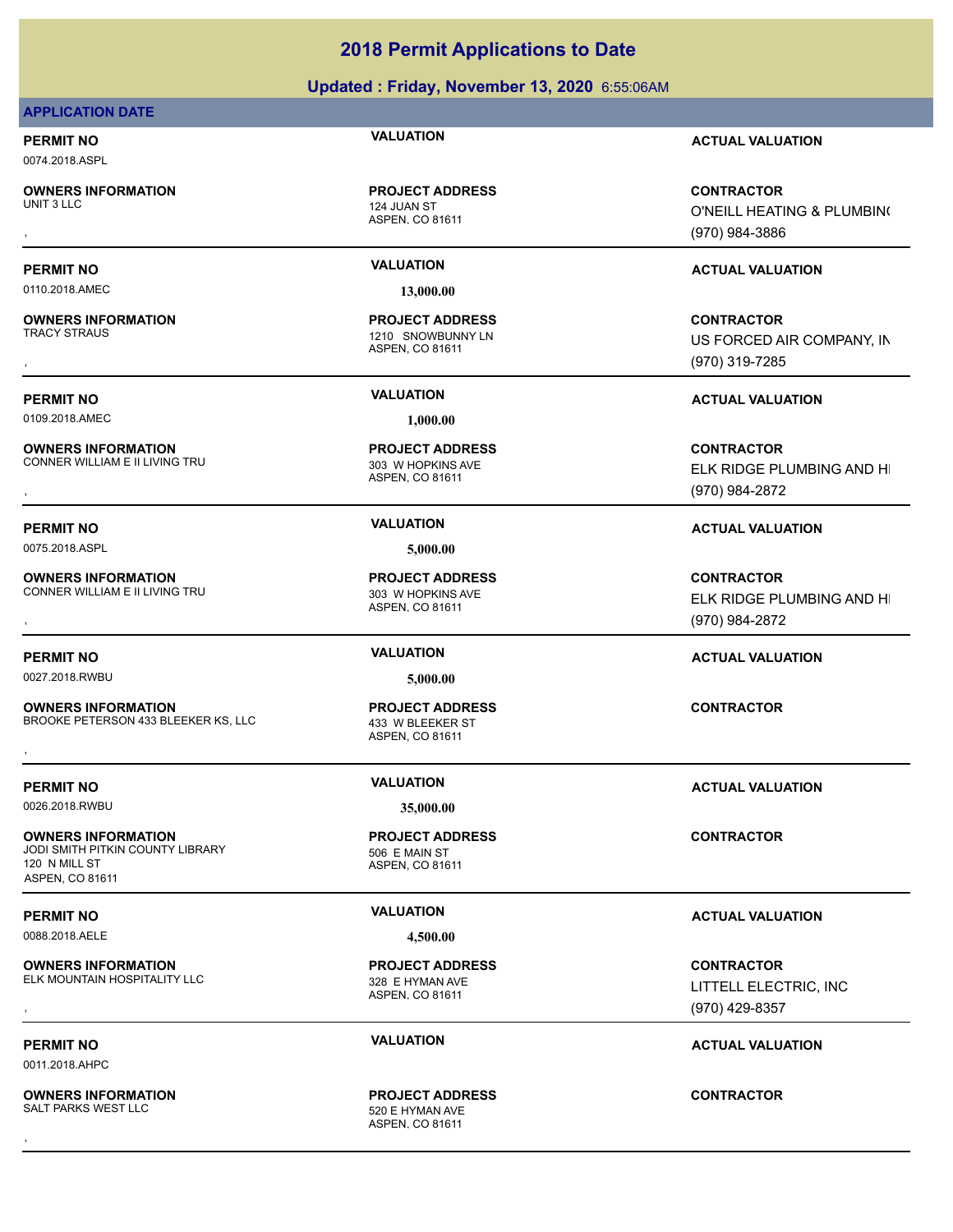### **Updated : Friday, November 13, 2020** 6:55:06AM

### **APPLICATION DATE**

0074.2018.ASPL

**OWNERS INFORMATION**

ASPEN, CO 81611 124 JUAN ST **PROJECT ADDRESS**

0110.2018.AMEC **13,000.00**

**OWNERS INFORMATION**

0109.2018.AMEC **1,000.00**

**OWNERS INFORMATION** CONNER WILLIAM E II LIVING TRU 2003 W HOPKINS AVE

**OWNERS INFORMATION** CONNER WILLIAM E II LIVING TRU **1988 1999 120 NH** 303 W HOPKINS AVE

0027.2018.RWBU **5,000.00**

**OWNERS INFORMATION** BROOKE PETERSON 433 BLEEKER KS, LLC 433 W BLEEKER ST **OWNERS INFORMATION EXECUTE:**<br>BROOKE PETERSON 433 BLEEKER KS, LLC ASSOCIATION ASSPEN, CO 81611<br>ASPEN, CO 81611

0026.2018.RWBU **35,000.00**

**OWNERS INFORMATION** JODI SMITH PITKIN COUNTY LIBRARY 506 F MAIN ST 120 N MILL ST ASPEN, CO 81611

0088.2018.AELE **4,500.00**

**OWNERS INFORMATION** ELK MOUNTAIN HOSPITALITY LLC<br>328 E HYMAN AVE

0011.2018.AHPC

**OWNERS INFORMATION** SALT PARKS WEST LLC SALT PARKS WEST LLC

ASPEN, CO 81611 1210 SNOWBUNNY LN **PROJECT ADDRESS**

ASPEN, CO 81611 **PROJECT ADDRESS**

0075.2018.ASPL **5,000.00**

ASPEN, CO 81611 **PROJECT ADDRESS**

ASPEN, CO 81611 **PROJECT ADDRESS**

ASPEN, CO 81611 **PROJECT ADDRESS**

ASPEN, CO 81611

ASPEN, CO 81611 **PROJECT ADDRESS** , **CONTRACTOR**

**PERMIT NO VALUATION ACTUAL VALUATION**

, **CONTRACTOR** O'NEILL HEATING & PLUMBING (970) 984-3886

### **PERMIT NO VALUATION ACTUAL VALUATION**

, **CONTRACTOR** US FORCED AIR COMPANY, IN (970) 319-7285

**PERMIT NO VALUATION ACTUAL VALUATION**

, **CONTRACTOR** ELK RIDGE PLUMBING AND HI (970) 984-2872

### **PERMIT NO VALUATION ACTUAL VALUATION**

, **CONTRACTOR** ELK RIDGE PLUMBING AND HI (970) 984-2872

### **PERMIT NO VALUATION ACTUAL VALUATION**

**CONTRACTOR**

### **PERMIT NO VALUATION VALUATION VALUATION**

, **CONTRACTOR** LITTELL ELECTRIC, INC (970) 429-8357

### **PERMIT NO VALUATION ACTUAL VALUATION**

**PROJECT ADDRESS**

**PERMIT NO VALUATION ACTUAL VALUATION**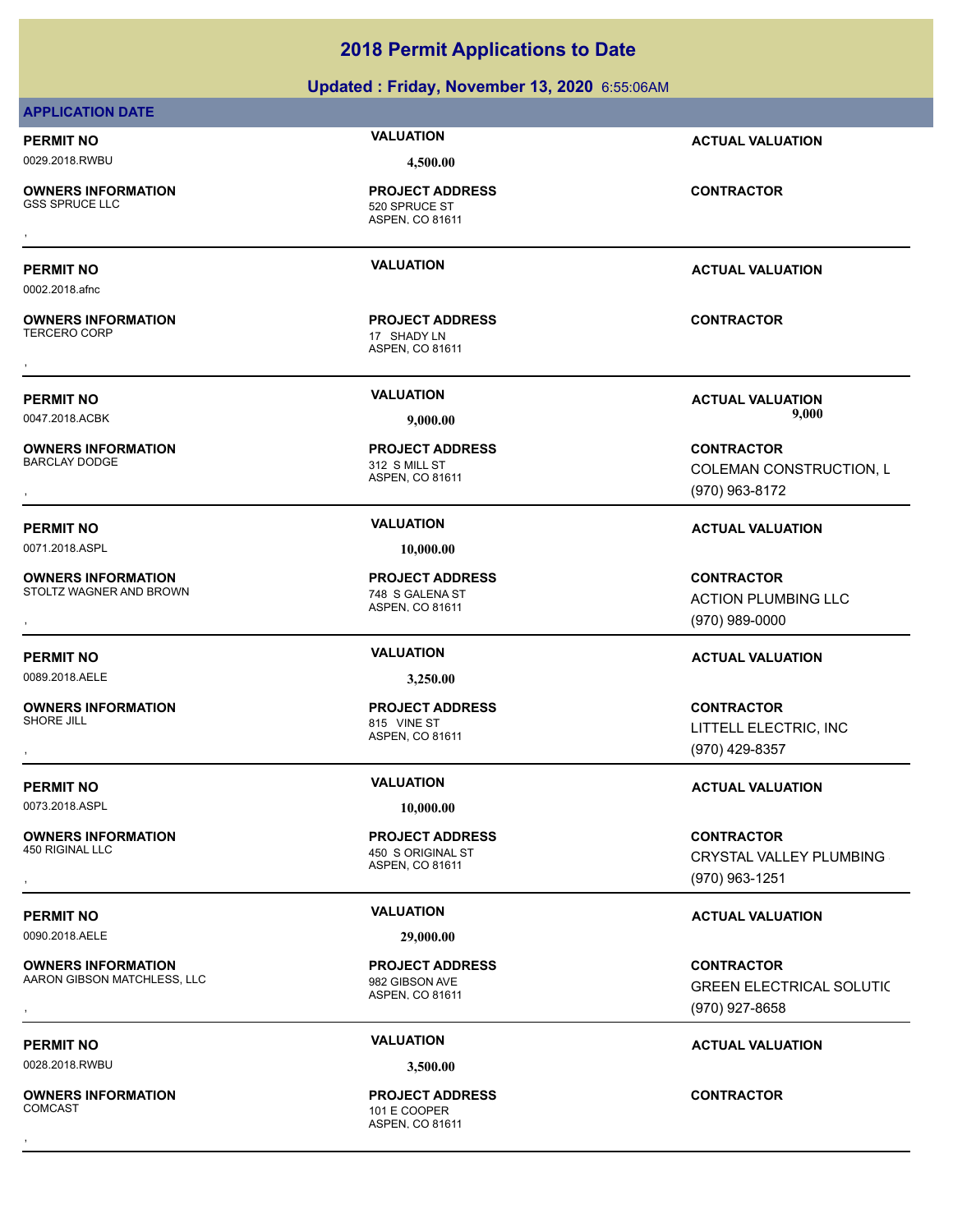| <b>APPLICATION DATE</b>                              |                                                                |                                                                       |
|------------------------------------------------------|----------------------------------------------------------------|-----------------------------------------------------------------------|
| <b>PERMIT NO</b>                                     | <b>VALUATION</b>                                               | <b>ACTUAL VALUATION</b>                                               |
| 0029.2018.RWBU                                       | 4,500.00                                                       |                                                                       |
| <b>OWNERS INFORMATION</b><br><b>GSS SPRUCE LLC</b>   | <b>PROJECT ADDRESS</b><br>520 SPRUCE ST<br>ASPEN, CO 81611     | <b>CONTRACTOR</b>                                                     |
| <b>PERMIT NO</b><br>0002.2018.afnc                   | <b>VALUATION</b>                                               | <b>ACTUAL VALUATION</b>                                               |
| <b>OWNERS INFORMATION</b><br><b>TERCERO CORP</b>     | <b>PROJECT ADDRESS</b><br>17 SHADY LN<br>ASPEN, CO 81611       | <b>CONTRACTOR</b>                                                     |
| <b>PERMIT NO</b>                                     | <b>VALUATION</b>                                               | <b>ACTUAL VALUATION</b>                                               |
| 0047.2018.ACBK                                       | 9,000.00                                                       | 9,000                                                                 |
| <b>OWNERS INFORMATION</b><br><b>BARCLAY DODGE</b>    | <b>PROJECT ADDRESS</b><br>312 S MILL ST<br>ASPEN, CO 81611     | <b>CONTRACTOR</b><br>COLEMAN CONSTRUCTION, L<br>(970) 963-8172        |
| <b>PERMIT NO</b>                                     | <b>VALUATION</b>                                               | <b>ACTUAL VALUATION</b>                                               |
| 0071.2018.ASPL                                       | 10,000.00                                                      |                                                                       |
| <b>OWNERS INFORMATION</b><br>STOLTZ WAGNER AND BROWN | <b>PROJECT ADDRESS</b><br>748 S GALENA ST<br>ASPEN, CO 81611   | <b>CONTRACTOR</b><br><b>ACTION PLUMBING LLC</b><br>(970) 989-0000     |
| <b>PERMIT NO</b>                                     | <b>VALUATION</b>                                               | <b>ACTUAL VALUATION</b>                                               |
| 0089.2018.AELE                                       | 3,250.00                                                       |                                                                       |
| <b>OWNERS INFORMATION</b><br>SHORE JILL              | <b>PROJECT ADDRESS</b><br>815 VINE ST<br>ASPEN, CO 81611       | <b>CONTRACTOR</b><br>LITTELL ELECTRIC, INC<br>(970) 429-8357          |
| <b>PERMIT NO</b>                                     | <b>VALUATION</b>                                               | <b>ACTUAL VALUATION</b>                                               |
| 0073.2018.ASPL                                       | 10,000.00                                                      |                                                                       |
| <b>OWNERS INFORMATION</b><br>450 RIGINAL LLC         | <b>PROJECT ADDRESS</b><br>450 S ORIGINAL ST<br>ASPEN, CO 81611 | <b>CONTRACTOR</b><br><b>CRYSTAL VALLEY PLUMBING</b><br>(970) 963-1251 |
| <b>PERMIT NO</b>                                     | <b>VALUATION</b>                                               | <b>ACTUAL VALUATION</b>                                               |

**Updated : Friday, November 13, 2020** 6:55:06AM

**2018 Permit Applications to Date**

0090.2018.AELE **29,000.00**

**OWNERS INFORMATION** AARON GIBSON MATCHLESS, LLC<br>
982 GIBSON AVE

**PERMIT NO CONSUMITY ACTUAL VALUATION VALUATION ACTUAL VALUATION** 

0028.2018.RWBU **3,500.00**

**OWNERS INFORMATION**

ASPEN, CO 81611 **PROJECT ADDRESS** , **CONTRACTOR**

ASPEN, CO 81611 101 E COOPER **PROJECT ADDRESS** , **CONTRACTOR**

(970) 927-8658

GREEN ELECTRICAL SOLUTIC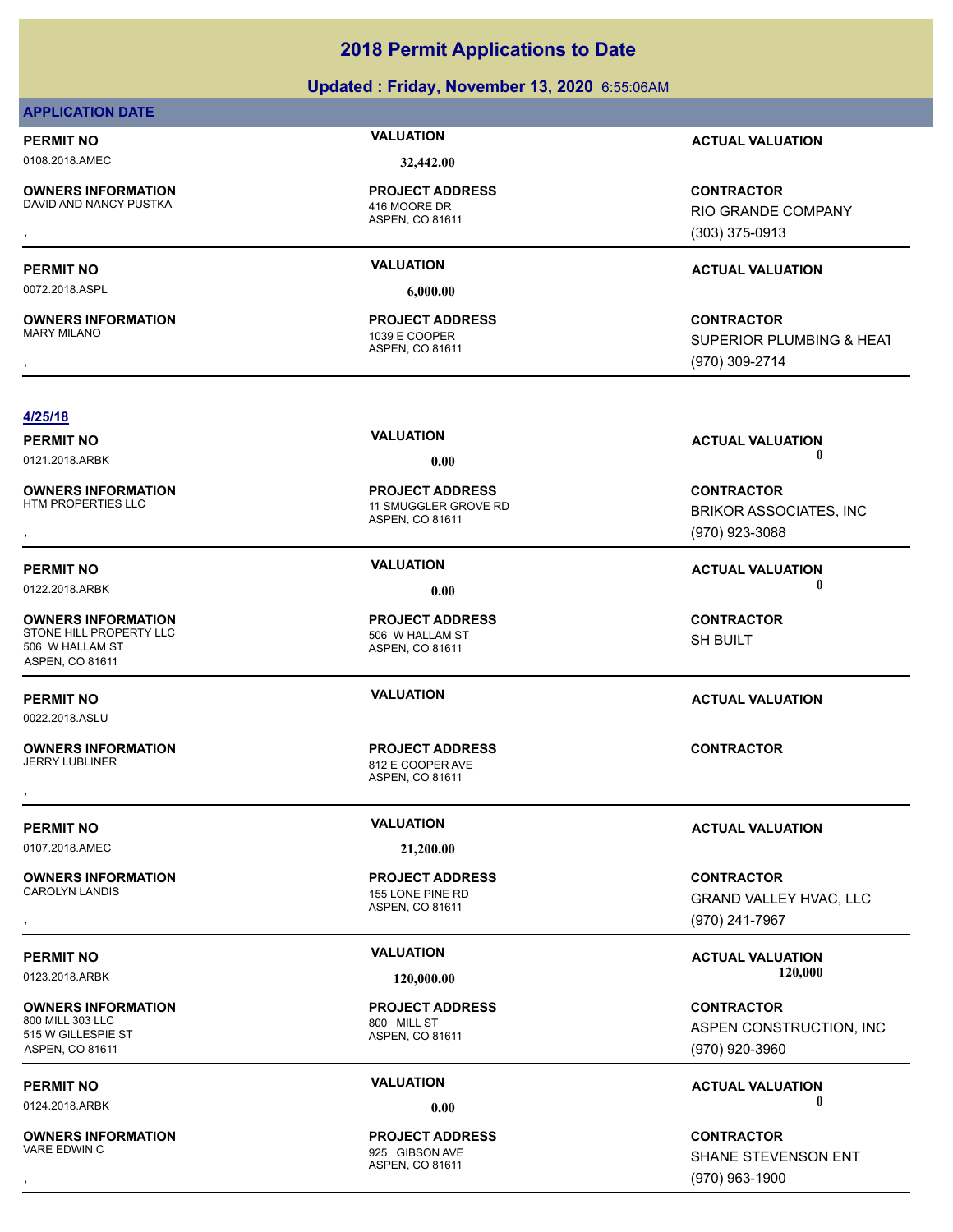# **Updated : Friday, November 13, 2020** 6:55:06AM

# **APPLICATION DATE**

0108.2018.AMEC **32,442.00**

**OWNERS INFORMATION**

DAVID AND NANCY PUSTKA 416 MOORE DR

**OWNERS INFORMATION**

ASPEN, CO 81611 **PROJECT ADDRESS**

0072.2018.ASPL **6,000.00**

ASPEN, CO 81611 1039 E COOPER **PROJECT ADDRESS**

**PERMIT NO VALUATION ACTUAL VALUATION**

, **CONTRACTOR** RIO GRANDE COMPANY (303) 375-0913

# **PERMIT NO VALUATION ACTUAL VALUATION**

, **CONTRACTOR** SUPERIOR PLUMBING & HEAT (970) 309-2714

## **4/25/18**

0121.2018.ARBK **0.00 0.00**

**OWNERS INFORMATION**

**OWNERS INFORMATION** STONE HILL PROPERTY LLC<br>506 W HALLAM ST 506 W HALLAM ST ASPEN, CO 81611

0022.2018.ASLU

**OWNERS INFORMATION**

0107.2018.AMEC **21,200.00**

**OWNERS INFORMATION**

**OWNERS INFORMATION** 800 MILL 303 LLC 800 MILL ST 515 W GILLESPIE ST ASPEN, CO 81611

**OWNERS INFORMATION**

ASPEN, CO 81611 11 SMUGGLER GROVE RD **PROJECT ADDRESS**

ASPEN, CO 81611 **PROJECT ADDRESS**

ASPEN, CO 81611 812 E COOPER AVE **PROJECT ADDRESS** , **CONTRACTOR**

ASPEN, CO 81611 155 LONE PINE RD **PROJECT ADDRESS**

ASPEN, CO 81611 **PROJECT ADDRESS**

ASPEN, CO 81611 925 GIBSON AVE **PROJECT ADDRESS**

**PERMIT NO CONSUMITY OF A CONSUMITY OF A CONSUMITY OF A CONSUMITY OF A CTUAL VALUATION** 

, **CONTRACTOR** BRIKOR ASSOCIATES, INC (970) 923-3088

**PERMIT NO VALUATION ACTUAL VALUATION** 0122.2018.ARBK **0.00 0.00**

> **CONTRACTOR** SH BUILT

# **PERMIT NO VALUATION ACTUAL VALUATION**

**PERMIT NO VALUATION ACTUAL VALUATION**

, **CONTRACTOR** GRAND VALLEY HVAC, LLC (970) 241-7967

PERMIT NO **SALUATION VALUATION CONSIDERENT ION ACTUAL VALUATION**<br>120,000 **123 2018 APPK** 120,000 **129 2018 120,000** 0123.2018.ARBK **120,000.00 120,000.00**

> **CONTRACTOR** ASPEN CONSTRUCTION, INC (970) 920-3960

**PERMIT NO CONSUMITY OF A CONSUMITY OF A CONSUMITY OF A CONSUMITY OF A CTUAL VALUATION** 0124.2018.ARBK **0.00 0.00**

, **CONTRACTOR** SHANE STEVENSON ENT (970) 963-1900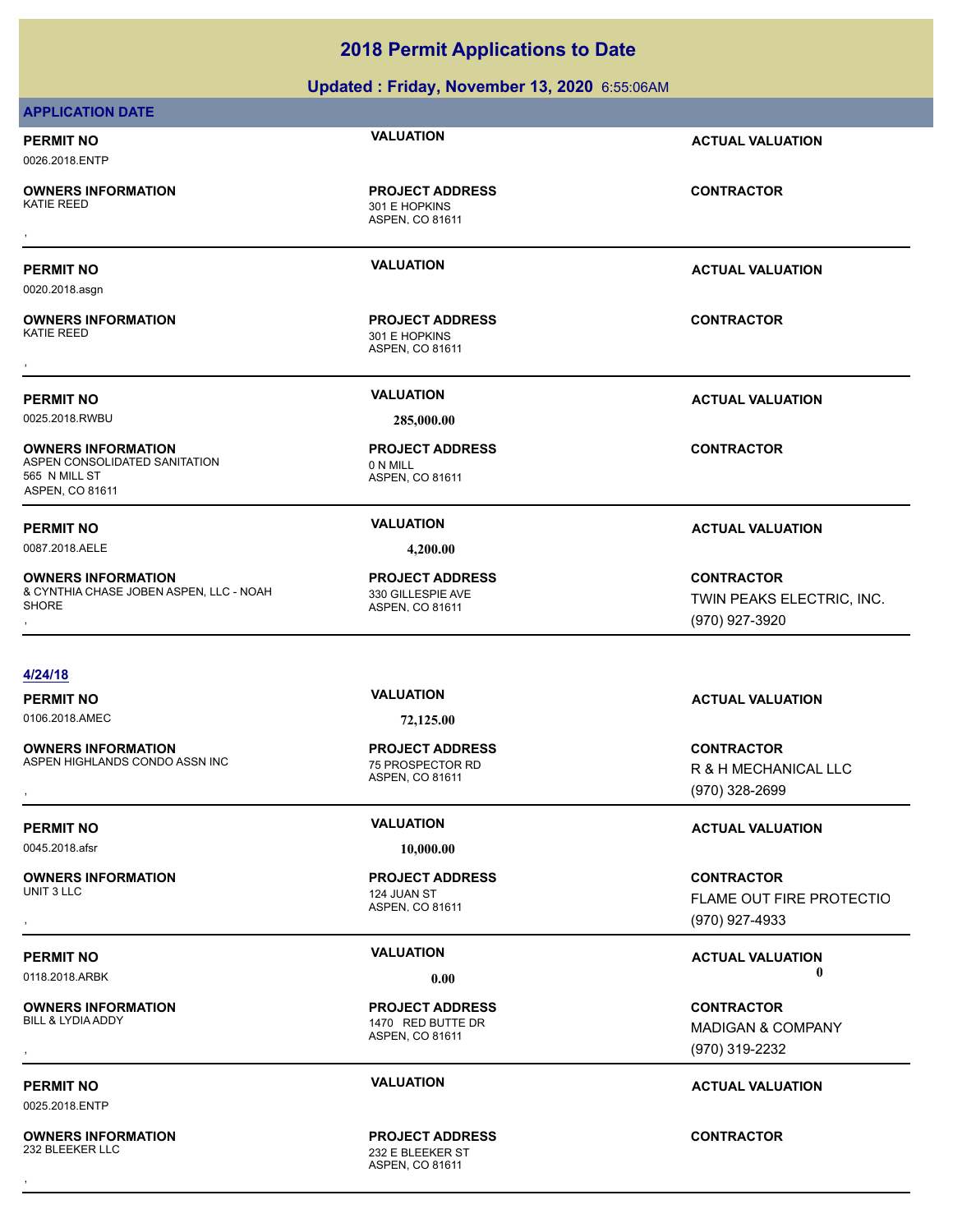# **Updated : Friday, November 13, 2020** 6:55:06AM **APPLICATION DATE PERMIT NO VALUATION ACTUAL VALUATION** 0026.2018.ENTP ASPEN, CO 81611 **OWNERS INFORMATION** 301 E HOPKINS **PROJECT ADDRESS** , **CONTRACTOR PERMIT NO VALUATION ACTUAL VALUATION** 0020.2018.asgn ASPEN, CO 81611 **OWNERS INFORMATION** 301 E HOPKINS **PROJECT ADDRESS** , **CONTRACTOR PERMIT NO VALUATION ACTUAL VALUATION** 0025.2018.RWBU **285,000.00** ASPEN, CO 81611 **OWNERS INFORMATION** ASPEN CONSOLIDATED SANITATION **CONSOLIDATED** SANITATION **PROJECT ADDRESS** 565 N MILL ST ASPEN, CO 81611 **PERMIT NO VALUATION ACTUAL VALUATION** 0087.2018.AELE **4,200.00** ASPEN, CO 81611 **OWNERS INFORMATION** & CYNTHIA CHASE JOBEN ASPEN, LLC - NOAH **SHORE** 330 GILLESPIE AVE **PROJECT ADDRESS OWNERS INFORMATION PROJECT ADDRESS ARE SONTRACTOR CONTRACTOR**<br>& CYNTHIA CHASE JOBEN ASPEN, LLC - NOAH 330 GILLESPIE AVE TRANCHER PROJECT ADDRESS TWIN PEAKS ELECTRIC, INC.<br>SHORE (970) 927-3920 **4/24/18 PERMIT NO VALUATION ACTUAL VALUATION** 0106.2018.AMEC **72,125.00** ASPEN, CO 81611 **OWNERS INFORMATION** ASPEN HIGHLANDS CONDO ASSN INC 75 PROSPECTOR RD **PROJECT ADDRESS OWNERS INFORMATION Material contract in the server of the PROJECT ADDRESS CONTRACTOR CONTRACTOR CONTRACTOR**<br>ASPEN HIGHLANDS CONDO ASSN INC Material and the server of the server of the server of the server of the server<br>AS **PERMIT NO VALUATION ACTUAL VALUATION** 0045.2018.afsr **10,000.00 OWNERS INFORMATION**<br>UNIT 3 LLC **PROJECT ADDRESS**

**OWNERS INFORMATION**<br>BILL & LYDIA ADDY

0025.2018.ENTP

**OWNERS INFORMATION**

ASPEN, CO 81611 124 JUAN ST

ASPEN, CO 81611 1470 RED BUTTE DR **PROJECT ADDRESS**

ASPEN, CO 81611 232 E BLEEKER ST **PROJECT ADDRESS** , **CONTRACTOR**

**PERMIT NO VALUATION ACTUAL VALUATION**

**CONTRACTOR**

TWIN PEAKS ELECTRIC, INC. (970) 927-3920

R & H MECHANICAL LLC (970) 328-2699

, **CONTRACTOR** FLAME OUT FIRE PROTECTIO (970) 927-4933

# **PERMIT NO VALUATION VALUATION VALUATION** 0118.2018.ARBK **0.00 0.00**

, **CONTRACTOR** MADIGAN & COMPANY (970) 319-2232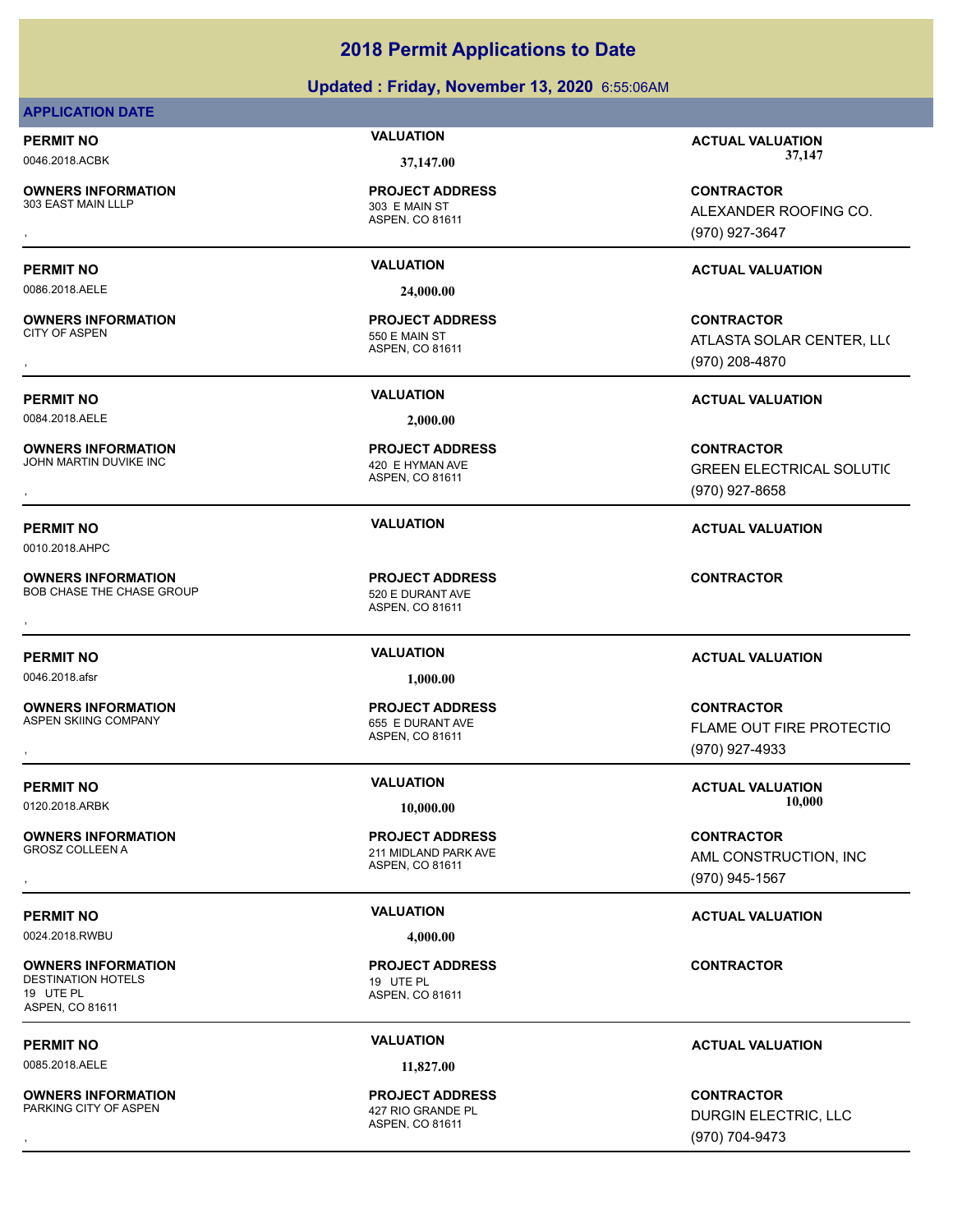# **Updated : Friday, November 13, 2020** 6:55:06AM

# **APPLICATION DATE**

**OWNERS INFORMATION** 303 EAST MAIN LLLP 303 E MAIN ST

**OWNERS INFORMATION**

**OWNERS INFORMATION**

**PROJECT ADDRESS**

ASPEN, CO 81611

0086.2018.AELE **24,000.00**

ASPEN, CO 81611 550 E MAIN ST **PROJECT ADDRESS**

0084.2018.AELE **2,000.00**

ASPEN, CO 81611 JOHN MARTIN DUVIKE INC **AND A SET A CONSTRANT AND A 420 E HYMAN AVE PROJECT ADDRESS**

ASPEN, CO 81611 **PROJECT ADDRESS OWNERS INFORMATION GET ALL SECURE ARE SERVED BET ADDRESS AND RESIDENT CONTRACTOR CONTRACTOR**<br>BOB CHASE THE CHASE GROUP **CONTRACTOR**<br>ASPEN. CO 81611

ASPEN, CO 81611 655 E DURANT AVE **PROJECT ADDRESS**

ASPEN, CO 81611 **211 MIDLAND PARK AVE PROJECT ADDRESS**

ASPEN, CO 81611 **PROJECT ADDRESS**

ASPEN, CO 81611 **PROJECT ADDRESS**

**PERMIT NO VALUATION ACTUAL VALUATION** 0046.2018.ACBK **37,147.00 37,147.00**

, **CONTRACTOR** ALEXANDER ROOFING CO. (970) 927-3647

# **PERMIT NO VALUATION ACTUAL VALUATION**

, **CONTRACTOR** ATLASTA SOLAR CENTER, LLC (970) 208-4870

# **PERMIT NO VALUATION ACTUAL VALUATION**

**OWNERS INFORMATION PROJECT ADDRESS CONTRACTOR**<br>JOHN MARTIN DUVIKE INC 420 E HYMAN AVE GREEN ELECTRICAL SOLUTIC<br>, ASPEN, CO 81611 GREEN ELECTRICAL SOLUTIC (970) 927-8658

**PERMIT NO VALUATION ACTUAL VALUATION**

# **PERMIT NO VALUATION ACTUAL VALUATION**

, **CONTRACTOR FLAME OUT FIRE PROTECTIO** (970) 927-4933

0120.2018.ARBK **10,000.00 10,000.00**

, **CONTRACTOR** AML CONSTRUCTION, INC (970) 945-1567

# **PERMIT NO VALUATION VALUATION VALUATION**

**CONTRACTOR**

# **PERMIT NO VALUATION VALUATION VALUATION**

, **CONTRACTOR** DURGIN ELECTRIC, LLC (970) 704-9473

0010.2018.AHPC

**OWNERS INFORMATION** BOB CHASE THE CHASE GROUP 620 E DURANT AVE

0046.2018.afsr **1,000.00**

**OWNERS INFORMATION**

**PERMIT NO VALUATION VALUATION VALUATION** 

**OWNERS INFORMATION**

0024.2018.RWBU **4,000.00**

**OWNERS INFORMATION** DESTINATION HOTELS 19 UTE PL 19 UTE PL ASPEN, CO 81611

0085.2018.AELE **11,827.00**

**OWNERS INFORMATION** PARKING CITY OF ASPEN 427 RIO GRANDE PL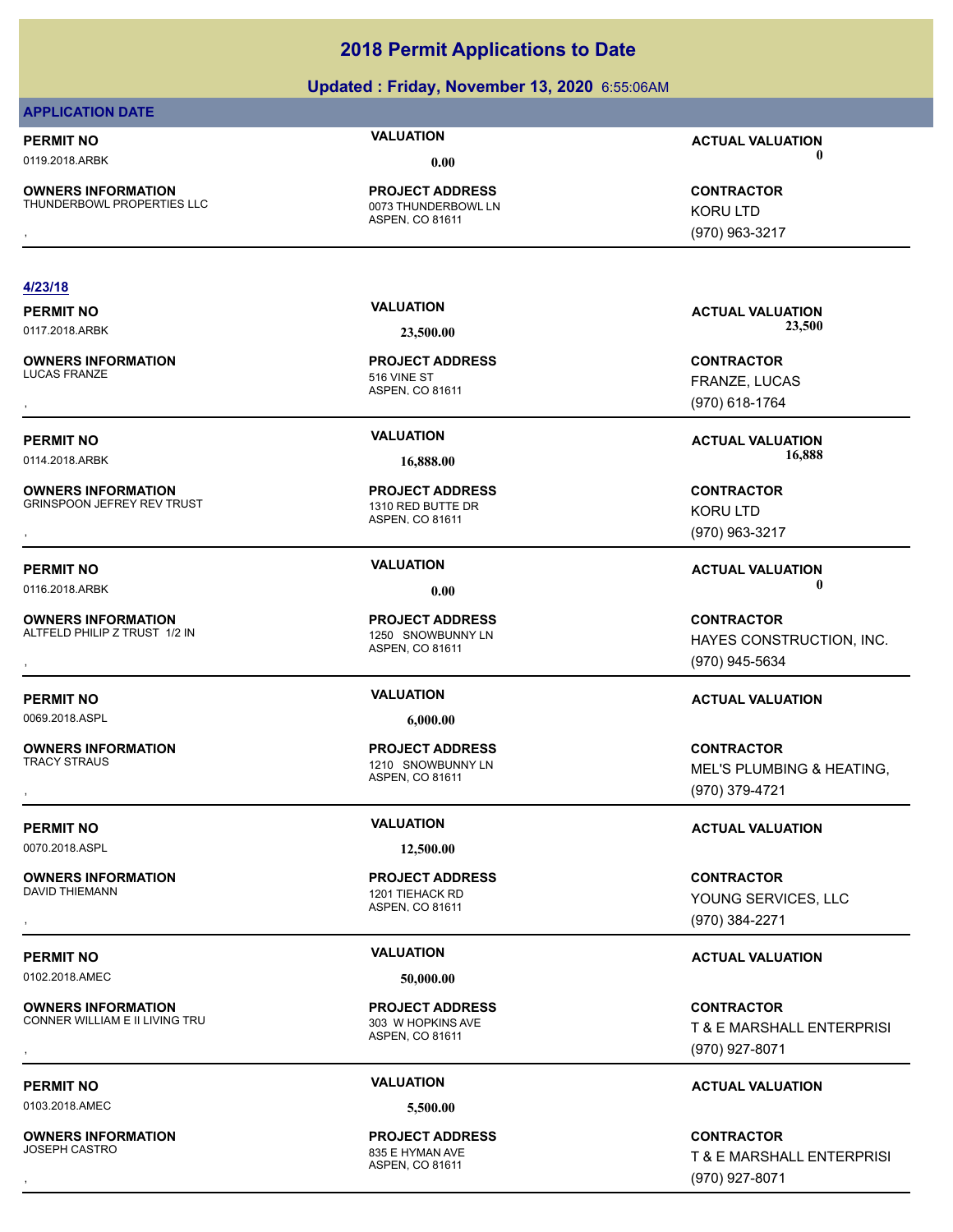| <b>PROJECT ADDRESS</b><br><b>CONTRACTOR</b><br>0073 THUNDERBOWL LN<br><b>KORU LTD</b><br>ASPEN, CO 81611<br>(970) 963-3217<br><b>VALUATION</b><br><b>ACTUAL VALUATION</b><br>23,500<br>23,500.00<br><b>PROJECT ADDRESS</b><br><b>CONTRACTOR</b><br>516 VINE ST<br>FRANZE, LUCAS<br>ASPEN, CO 81611<br>(970) 618-1764<br><b>VALUATION</b><br><b>ACTUAL VALUATION</b><br>16,888<br>16,888.00<br><b>PROJECT ADDRESS</b><br><b>CONTRACTOR</b><br>1310 RED BUTTE DR<br><b>KORU LTD</b><br>ASPEN, CO 81611<br>(970) 963-3217<br><b>VALUATION</b><br><b>ACTUAL VALUATION</b><br>0<br>0.00<br><b>PROJECT ADDRESS</b><br><b>CONTRACTOR</b><br>1250 SNOWBUNNY LN<br>ASPEN, CO 81611<br>(970) 945-5634<br><b>VALUATION</b><br><b>ACTUAL VALUATION</b><br>6,000.00<br><b>PROJECT ADDRESS</b><br><b>CONTRACTOR</b><br>1210 SNOWBUNNY LN<br>MEL'S PLUMBING & HEATING,<br>ASPEN, CO 81611<br>(970) 379-4721<br><b>VALUATION</b><br><b>ACTUAL VALUATION</b><br>12,500.00<br><b>PROJECT ADDRESS</b><br><b>CONTRACTOR</b><br>1201 TIEHACK RD<br>YOUNG SERVICES, LLC<br>ASPEN, CO 81611<br>(970) 384-2271<br><b>VALUATION</b><br><b>ACTUAL VALUATION</b><br>50,000.00<br><b>OWNERS INFORMATION</b><br><b>PROJECT ADDRESS</b><br><b>CONTRACTOR</b><br>CONNER WILLIAM E II LIVING TRU<br>303 W HOPKINS AVE<br>ASPEN, CO 81611<br>(970) 927-8071 | <b>PERMIT NO</b> | <b>VALUATION</b> | <b>ACTUAL VALUATION</b>   |
|----------------------------------------------------------------------------------------------------------------------------------------------------------------------------------------------------------------------------------------------------------------------------------------------------------------------------------------------------------------------------------------------------------------------------------------------------------------------------------------------------------------------------------------------------------------------------------------------------------------------------------------------------------------------------------------------------------------------------------------------------------------------------------------------------------------------------------------------------------------------------------------------------------------------------------------------------------------------------------------------------------------------------------------------------------------------------------------------------------------------------------------------------------------------------------------------------------------------------------------------------------------------------------------------------------------------------|------------------|------------------|---------------------------|
| <b>PERMIT NO</b><br>0102.2018.AMEC                                                                                                                                                                                                                                                                                                                                                                                                                                                                                                                                                                                                                                                                                                                                                                                                                                                                                                                                                                                                                                                                                                                                                                                                                                                                                         |                  |                  | T & E MARSHALL ENTERPRISI |
| <b>OWNERS INFORMATION</b><br>THUNDERBOWL PROPERTIES LLC<br>4/23/18<br><b>PERMIT NO</b><br>0117.2018.ARBK<br><b>OWNERS INFORMATION</b><br><b>LUCAS FRANZE</b><br><b>PERMIT NO</b><br>0114.2018.ARBK<br><b>OWNERS INFORMATION</b><br><b>GRINSPOON JEFREY REV TRUST</b><br><b>PERMIT NO</b><br>0116.2018.ARBK<br><b>OWNERS INFORMATION</b><br>ALTFELD PHILIP Z TRUST 1/2 IN<br><b>PERMIT NO</b><br>0069.2018.ASPL<br><b>OWNERS INFORMATION</b><br><b>TRACY STRAUS</b><br><b>PERMIT NO</b><br>0070.2018.ASPL<br><b>OWNERS INFORMATION</b><br>DAVID THIEMANN                                                                                                                                                                                                                                                                                                                                                                                                                                                                                                                                                                                                                                                                                                                                                                    |                  |                  |                           |
|                                                                                                                                                                                                                                                                                                                                                                                                                                                                                                                                                                                                                                                                                                                                                                                                                                                                                                                                                                                                                                                                                                                                                                                                                                                                                                                            |                  |                  |                           |
|                                                                                                                                                                                                                                                                                                                                                                                                                                                                                                                                                                                                                                                                                                                                                                                                                                                                                                                                                                                                                                                                                                                                                                                                                                                                                                                            |                  |                  |                           |
|                                                                                                                                                                                                                                                                                                                                                                                                                                                                                                                                                                                                                                                                                                                                                                                                                                                                                                                                                                                                                                                                                                                                                                                                                                                                                                                            |                  |                  |                           |
|                                                                                                                                                                                                                                                                                                                                                                                                                                                                                                                                                                                                                                                                                                                                                                                                                                                                                                                                                                                                                                                                                                                                                                                                                                                                                                                            |                  |                  |                           |
|                                                                                                                                                                                                                                                                                                                                                                                                                                                                                                                                                                                                                                                                                                                                                                                                                                                                                                                                                                                                                                                                                                                                                                                                                                                                                                                            |                  |                  |                           |
|                                                                                                                                                                                                                                                                                                                                                                                                                                                                                                                                                                                                                                                                                                                                                                                                                                                                                                                                                                                                                                                                                                                                                                                                                                                                                                                            |                  |                  |                           |
|                                                                                                                                                                                                                                                                                                                                                                                                                                                                                                                                                                                                                                                                                                                                                                                                                                                                                                                                                                                                                                                                                                                                                                                                                                                                                                                            |                  |                  |                           |
|                                                                                                                                                                                                                                                                                                                                                                                                                                                                                                                                                                                                                                                                                                                                                                                                                                                                                                                                                                                                                                                                                                                                                                                                                                                                                                                            |                  |                  |                           |
|                                                                                                                                                                                                                                                                                                                                                                                                                                                                                                                                                                                                                                                                                                                                                                                                                                                                                                                                                                                                                                                                                                                                                                                                                                                                                                                            |                  |                  |                           |
|                                                                                                                                                                                                                                                                                                                                                                                                                                                                                                                                                                                                                                                                                                                                                                                                                                                                                                                                                                                                                                                                                                                                                                                                                                                                                                                            |                  |                  | HAYES CONSTRUCTION, INC.  |
|                                                                                                                                                                                                                                                                                                                                                                                                                                                                                                                                                                                                                                                                                                                                                                                                                                                                                                                                                                                                                                                                                                                                                                                                                                                                                                                            |                  |                  |                           |
|                                                                                                                                                                                                                                                                                                                                                                                                                                                                                                                                                                                                                                                                                                                                                                                                                                                                                                                                                                                                                                                                                                                                                                                                                                                                                                                            |                  |                  |                           |
|                                                                                                                                                                                                                                                                                                                                                                                                                                                                                                                                                                                                                                                                                                                                                                                                                                                                                                                                                                                                                                                                                                                                                                                                                                                                                                                            |                  |                  |                           |
|                                                                                                                                                                                                                                                                                                                                                                                                                                                                                                                                                                                                                                                                                                                                                                                                                                                                                                                                                                                                                                                                                                                                                                                                                                                                                                                            |                  |                  |                           |
|                                                                                                                                                                                                                                                                                                                                                                                                                                                                                                                                                                                                                                                                                                                                                                                                                                                                                                                                                                                                                                                                                                                                                                                                                                                                                                                            |                  |                  |                           |
|                                                                                                                                                                                                                                                                                                                                                                                                                                                                                                                                                                                                                                                                                                                                                                                                                                                                                                                                                                                                                                                                                                                                                                                                                                                                                                                            |                  |                  |                           |
|                                                                                                                                                                                                                                                                                                                                                                                                                                                                                                                                                                                                                                                                                                                                                                                                                                                                                                                                                                                                                                                                                                                                                                                                                                                                                                                            |                  |                  |                           |
|                                                                                                                                                                                                                                                                                                                                                                                                                                                                                                                                                                                                                                                                                                                                                                                                                                                                                                                                                                                                                                                                                                                                                                                                                                                                                                                            |                  |                  |                           |
|                                                                                                                                                                                                                                                                                                                                                                                                                                                                                                                                                                                                                                                                                                                                                                                                                                                                                                                                                                                                                                                                                                                                                                                                                                                                                                                            |                  |                  |                           |
|                                                                                                                                                                                                                                                                                                                                                                                                                                                                                                                                                                                                                                                                                                                                                                                                                                                                                                                                                                                                                                                                                                                                                                                                                                                                                                                            |                  |                  |                           |
|                                                                                                                                                                                                                                                                                                                                                                                                                                                                                                                                                                                                                                                                                                                                                                                                                                                                                                                                                                                                                                                                                                                                                                                                                                                                                                                            |                  |                  |                           |
|                                                                                                                                                                                                                                                                                                                                                                                                                                                                                                                                                                                                                                                                                                                                                                                                                                                                                                                                                                                                                                                                                                                                                                                                                                                                                                                            |                  |                  |                           |
|                                                                                                                                                                                                                                                                                                                                                                                                                                                                                                                                                                                                                                                                                                                                                                                                                                                                                                                                                                                                                                                                                                                                                                                                                                                                                                                            |                  |                  |                           |
|                                                                                                                                                                                                                                                                                                                                                                                                                                                                                                                                                                                                                                                                                                                                                                                                                                                                                                                                                                                                                                                                                                                                                                                                                                                                                                                            |                  |                  |                           |
|                                                                                                                                                                                                                                                                                                                                                                                                                                                                                                                                                                                                                                                                                                                                                                                                                                                                                                                                                                                                                                                                                                                                                                                                                                                                                                                            |                  |                  |                           |
| 0<br>0119.2018.ARBK<br>0.00                                                                                                                                                                                                                                                                                                                                                                                                                                                                                                                                                                                                                                                                                                                                                                                                                                                                                                                                                                                                                                                                                                                                                                                                                                                                                                |                  |                  |                           |
| <b>VALUATION</b><br><b>PERMIT NO</b>                                                                                                                                                                                                                                                                                                                                                                                                                                                                                                                                                                                                                                                                                                                                                                                                                                                                                                                                                                                                                                                                                                                                                                                                                                                                                       |                  |                  |                           |
| Updated: Friday, November 13, 2020 6:55:06AM<br><b>APPLICATION DATE</b><br><b>ACTUAL VALUATION</b>                                                                                                                                                                                                                                                                                                                                                                                                                                                                                                                                                                                                                                                                                                                                                                                                                                                                                                                                                                                                                                                                                                                                                                                                                         |                  |                  |                           |

0103.2018.AMEC **5,500.00**

**OWNERS INFORMATION**

ASPEN, CO 81611 835 E HYMAN AVE **PROJECT ADDRESS**

**OWNERS INFORMATION PROJECT ADDRESS CONTRACTOR**<br>JOSEPH CASTRO 835 E HYMAN AVE T & E MARSHALL ENTERPRISI<br>, ASPEN. CO 81611 T & E MARSHALL ENTERPRISI (970) 927-8071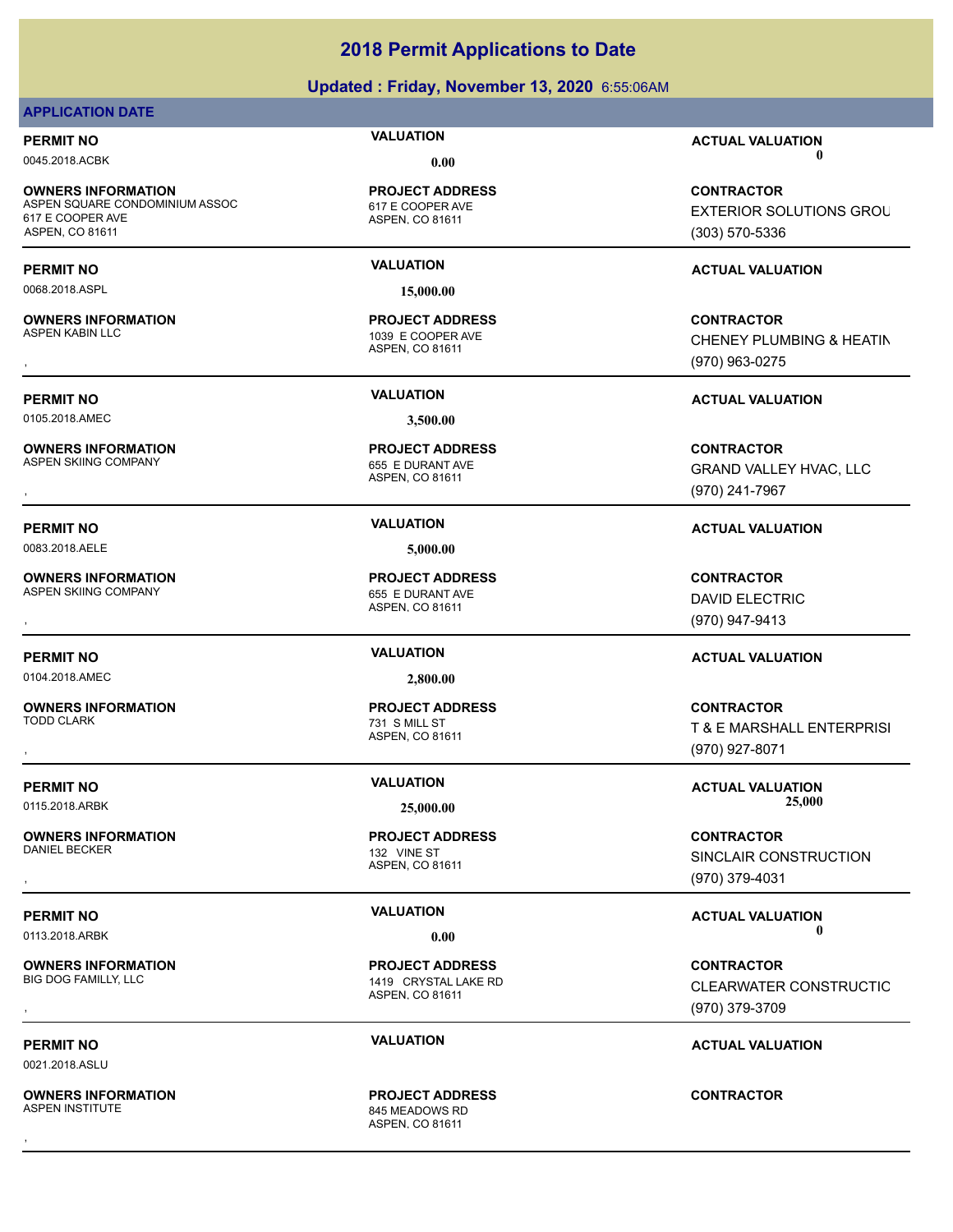# **Updated : Friday, November 13, 2020** 6:55:06AM

# **APPLICATION DATE**

**OWNERS INFORMATION** ASPEN SQUARE CONDOMINIUM ASSOC 617 E COOPER AVE 617 E COOPER AVE ASPEN, CO 81611

0068.2018.ASPL **15,000.00**

**OWNERS INFORMATION**

0105.2018.AMEC **3,500.00**

**OWNERS INFORMATION**<br>ASPEN SKIING COMPANY

0083.2018.AELE **5,000.00**

**OWNERS INFORMATION** ASPEN SKIING COMPANY 655 E DURANT AVE

0104.2018.AMEC **2,800.00**

**OWNERS INFORMATION** TODD CLARK 731 S MILL ST

**OWNERS INFORMATION** DANIEL BECKER 132 VINE ST

**OWNERS INFORMATION**

0021.2018.ASLU

**OWNERS INFORMATION**

ASPEN, CO 81611 **PROJECT ADDRESS**

ASPEN, CO 81611 1039 E COOPER AVE **PROJECT ADDRESS**

ASPEN, CO 81611 655 E DURANT AVE **PROJECT ADDRESS**

ASPEN, CO 81611 **PROJECT ADDRESS**

ASPEN, CO 81611 **PROJECT ADDRESS**

ASPEN, CO 81611

1419 CRYSTAL LAKE RD **PROJECT ADDRESS**

ASPEN, CO 81611 845 MEADOWS RD **PROJECT ADDRESS** , **CONTRACTOR**

**PERMIT NO VALUATION ACTUAL VALUATION** 0045.2018.ACBK **0.00 0.00**

> **CONTRACTOR EXTERIOR SOLUTIONS GROU** (303) 570-5336

# **PERMIT NO VALUATION ACTUAL VALUATION**

, **CONTRACTOR** CHENEY PLUMBING & HEATIN (970) 963-0275

# **PERMIT NO VALUATION ACTUAL VALUATION**

**OWNERS INFORMATION PROJECT ADDRESS CONTRACTOR**<br>ASPEN SKIING COMPANY 655 E DURANT AVE GRAND VALLEY HVAC, LLC<br>, ASPEN, CO 81611 GRAND VALLEY HVAC, LLC (970) 241-7967

# **PERMIT NO VALUATION ACTUAL VALUATION**

, **CONTRACTOR** DAVID ELECTRIC (970) 947-9413

# **PERMIT NO VALUATION ACTUAL VALUATION**

, **CONTRACTOR** T & E MARSHALL ENTERPRISI (970) 927-8071

**PERMIT NO CONSUMITY OF A CONSUMITY OF A CONSUMITY OF A CONSUMITY OF A CTUAL VALUATION** 0115.2018.ARBK **25,000.00 25,000.00**

, **CONTRACTOR** SINCLAIR CONSTRUCTION (970) 379-4031

**PERMIT NO VALUATION ACTUAL VALUATION** 0113.2018.ARBK **0.00 0.00**

**OWNERS INFORMATION PROJECT ADDRESS CONTRACTOR**<br>BIG DOG FAMILLY, LLC 1419 CRYSTAL LAKE RD CLEARWATER CONSTRUCTIC<br>, ASPEN, CO 81611 **CLEARWATER CONSTRUCTIO** (970) 379-3709

**PERMIT NO VALUATION ACTUAL VALUATION**

**PROJECT ADDRESS**

ASPEN, CO 81611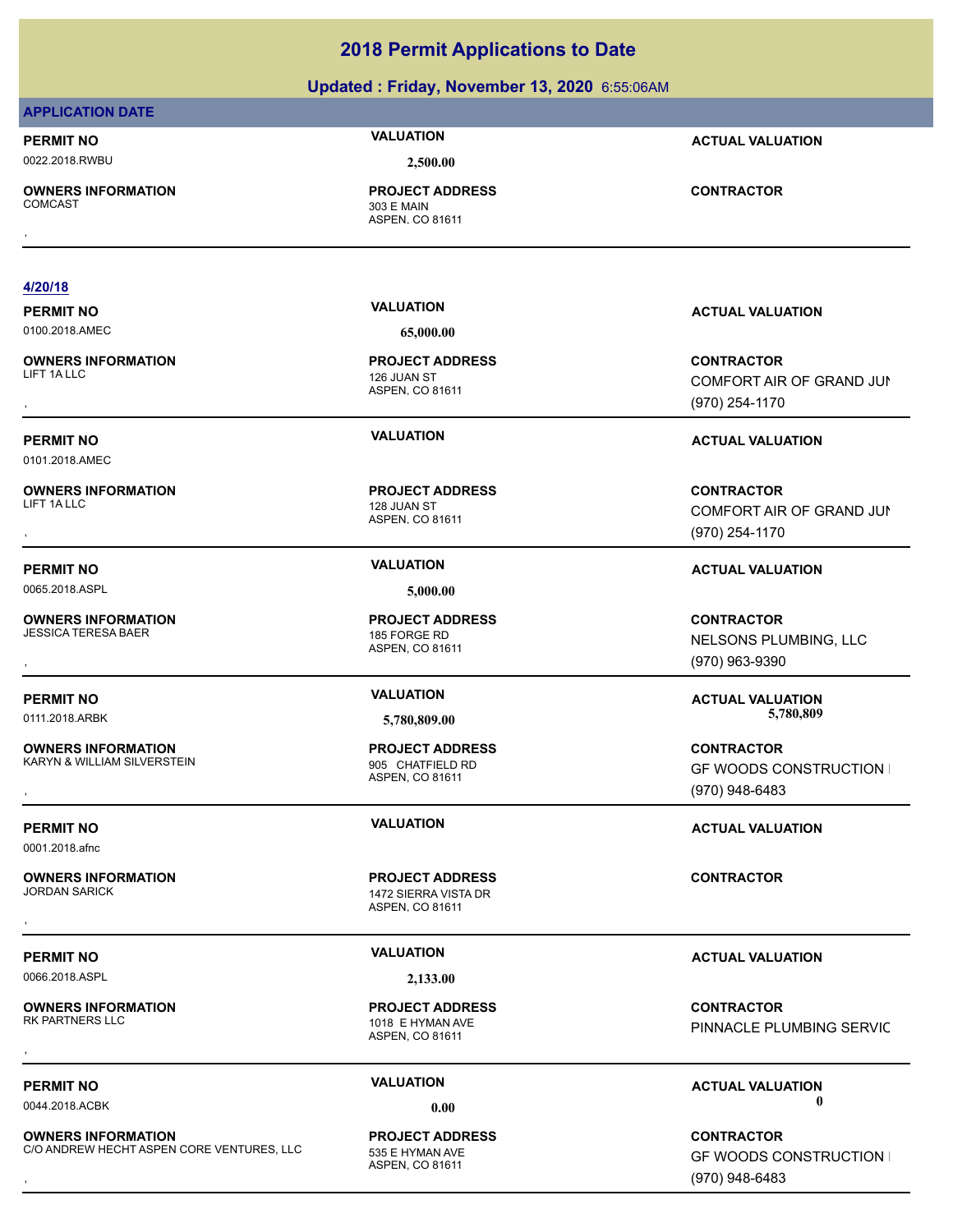|                                                          | Updated: Friday, November 13, 2020 6:55:06AM                      |                                                                     |
|----------------------------------------------------------|-------------------------------------------------------------------|---------------------------------------------------------------------|
| <b>APPLICATION DATE</b>                                  |                                                                   |                                                                     |
| <b>PERMIT NO</b>                                         | <b>VALUATION</b>                                                  | <b>ACTUAL VALUATION</b>                                             |
| 0022.2018.RWBU                                           | 2,500.00                                                          |                                                                     |
| <b>OWNERS INFORMATION</b><br><b>COMCAST</b>              | <b>PROJECT ADDRESS</b><br>303 E MAIN<br>ASPEN, CO 81611           | <b>CONTRACTOR</b>                                                   |
| 4/20/18                                                  |                                                                   |                                                                     |
| <b>PERMIT NO</b>                                         | <b>VALUATION</b>                                                  | <b>ACTUAL VALUATION</b>                                             |
| 0100.2018.AMEC                                           | 65,000.00                                                         |                                                                     |
| <b>OWNERS INFORMATION</b><br>LIFT 1A LLC                 | <b>PROJECT ADDRESS</b><br>126 JUAN ST<br>ASPEN, CO 81611          | <b>CONTRACTOR</b><br>COMFORT AIR OF GRAND JUN<br>(970) 254-1170     |
| <b>PERMIT NO</b><br>0101.2018.AMEC                       | <b>VALUATION</b>                                                  | <b>ACTUAL VALUATION</b>                                             |
| <b>OWNERS INFORMATION</b><br>LIFT 1A LLC                 | <b>PROJECT ADDRESS</b><br>128 JUAN ST<br>ASPEN, CO 81611          | <b>CONTRACTOR</b><br>COMFORT AIR OF GRAND JUN<br>(970) 254-1170     |
| <b>PERMIT NO</b>                                         | <b>VALUATION</b>                                                  | <b>ACTUAL VALUATION</b>                                             |
| 0065.2018.ASPL                                           | 5,000.00                                                          |                                                                     |
| <b>OWNERS INFORMATION</b><br><b>JESSICA TERESA BAER</b>  | <b>PROJECT ADDRESS</b><br>185 FORGE RD<br>ASPEN, CO 81611         | <b>CONTRACTOR</b><br>NELSONS PLUMBING, LLC<br>(970) 963-9390        |
| <b>PERMIT NO</b>                                         | <b>VALUATION</b>                                                  | <b>ACTUAL VALUATION</b>                                             |
| 0111.2018.ARBK                                           | 5,780,809.00                                                      | 5,780,809                                                           |
| <b>OWNERS INFORMATION</b><br>KARYN & WILLIAM SILVERSTEIN | <b>PROJECT ADDRESS</b><br>905 CHATFIELD RD<br>ASPEN, CO 81611     | <b>CONTRACTOR</b><br><b>GF WOODS CONSTRUCTION</b><br>(970) 948-6483 |
| <b>PERMIT NO</b>                                         | <b>VALUATION</b>                                                  | <b>ACTUAL VALUATION</b>                                             |
| 0001.2018.afnc                                           |                                                                   |                                                                     |
| <b>OWNERS INFORMATION</b><br><b>JORDAN SARICK</b>        | <b>PROJECT ADDRESS</b><br>1472 SIERRA VISTA DR<br>ASPEN, CO 81611 | <b>CONTRACTOR</b>                                                   |
|                                                          |                                                                   |                                                                     |

0066.2018.ASPL **2,133.00**

**OWNERS INFORMATION**

ASPEN, CO 81611 1018 E HYMAN AVE **PROJECT ADDRESS**

**OWNERS INFORMATION** C/O ANDREW HECHT ASPEN CORE VENTURES, LLC 535 E HYMAN AVE

ASPEN, CO 81611 **PROJECT ADDRESS**

, **CONTRACTOR** PINNACLE PLUMBING SERVIC

# **PERMIT NO CONSUMITY ACTUAL VALUATION VALUATION ACTUAL VALUATION** 0044.2018.ACBK **0.00 0.00**

**OWNERS INFORMATION CORE VENTURES, LLC CORPORT ADDRESS CONTRACTOR CONTRACTOR**<br>C/O ANDREW HECHT ASPEN CORE VENTURES, LLC ASPEN. CO 81611 **CONTRACTOR CONSTRUCTION ASPEN. CO 81611**<br>GF WOODS CONSTRUCTION I **GF WOODS CONSTRUCTION I** (970) 948-6483

# **2018 Permit Applications to Date**

# **PERMIT NO VALUATION VALUATION VALUATION**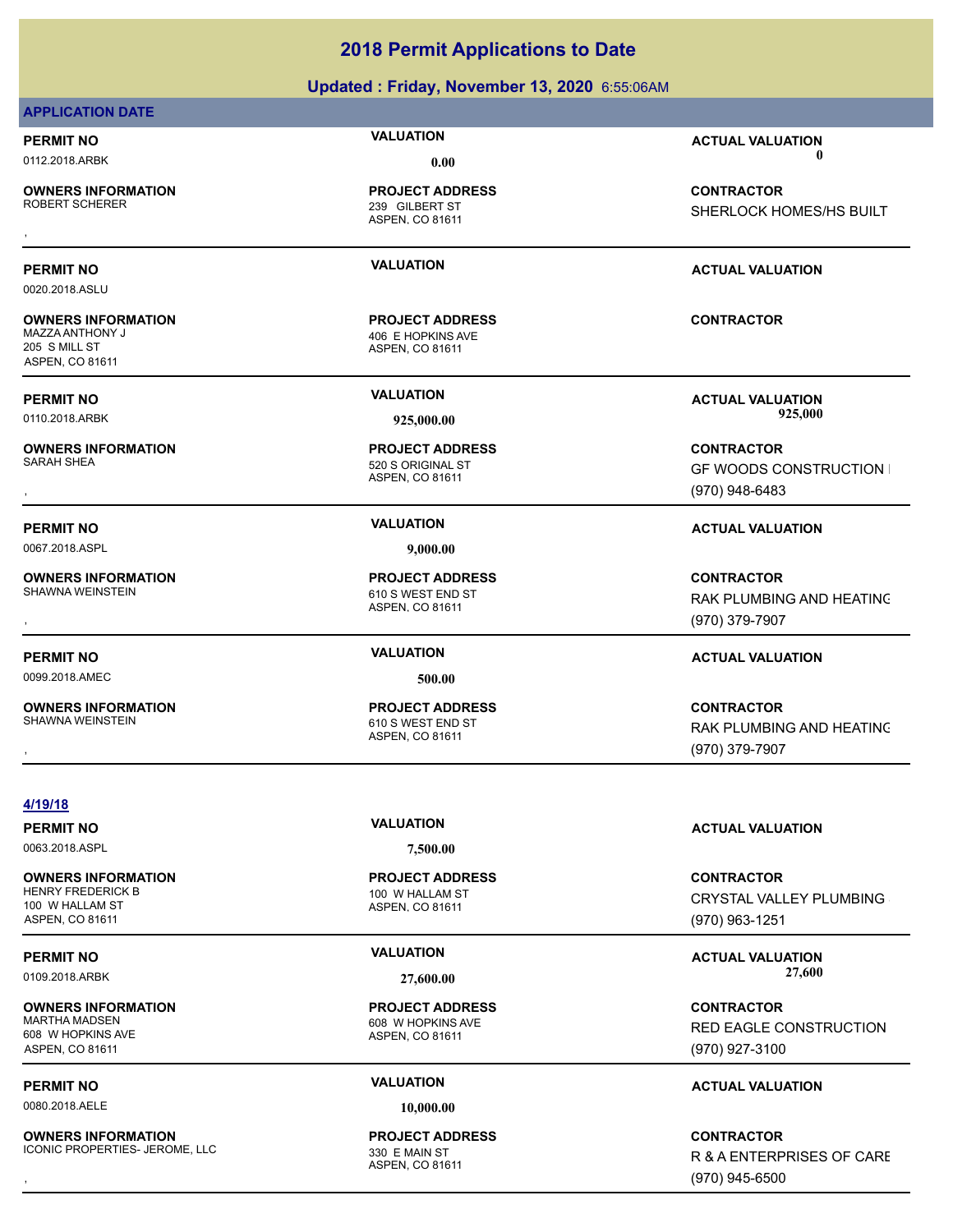| <b>PERMIT NO</b>                                                                 | <b>VALUATION</b>                                               | <b>ACTUAL VALUATION</b>                              |
|----------------------------------------------------------------------------------|----------------------------------------------------------------|------------------------------------------------------|
| 0112.2018.ARBK                                                                   | 0.00                                                           |                                                      |
| <b>OWNERS INFORMATION</b><br>ROBERT SCHERER                                      | <b>PROJECT ADDRESS</b><br>239 GILBERT ST<br>ASPEN, CO 81611    | <b>CONTRACTOR</b><br>SHERLOCK HOMES/HS BUILT         |
|                                                                                  |                                                                |                                                      |
| PERMIT NO                                                                        | <b>VALUATION</b>                                               | <b>ACTUAL VALUATION</b>                              |
| 0020.2018.ASLU                                                                   |                                                                |                                                      |
| <b>OWNERS INFORMATION</b><br>MAZZA ANTHONY J<br>205 S MILL ST<br>ASPEN, CO 81611 | <b>PROJECT ADDRESS</b><br>406 E HOPKINS AVE<br>ASPEN, CO 81611 | <b>CONTRACTOR</b>                                    |
| PERMIT NO                                                                        | <b>VALUATION</b>                                               | <b>ACTUAL VALUATION</b>                              |
| 0110.2018.ARBK                                                                   | 925,000.00                                                     | 925,000                                              |
| <b>OWNERS INFORMATION</b><br>SARAH SHEA                                          | <b>PROJECT ADDRESS</b><br>520 S ORIGINAL ST                    | <b>CONTRACTOR</b>                                    |
|                                                                                  | ASPEN, CO 81611                                                | <b>GF WOODS CONSTRUCTION I</b><br>(970) 948-6483     |
| PERMIT NO                                                                        | <b>VALUATION</b>                                               | <b>ACTUAL VALUATION</b>                              |
| 0067.2018.ASPL                                                                   | 9,000.00                                                       |                                                      |
| <b>OWNERS INFORMATION</b><br>SHAWNA WEINSTEIN                                    | <b>PROJECT ADDRESS</b><br>610 S WEST END ST<br>ASPEN, CO 81611 | <b>CONTRACTOR</b><br><b>RAK PLUMBING AND HEATING</b> |
|                                                                                  |                                                                | (970) 379-7907                                       |
| <b>PERMIT NO</b>                                                                 | <b>VALUATION</b>                                               | <b>ACTUAL VALUATION</b>                              |
| 0099.2018.AMEC                                                                   | 500.00                                                         |                                                      |
| <b>OWNERS INFORMATION</b><br>SHAWNA WEINSTEIN                                    | <b>PROJECT ADDRESS</b><br>610 S WEST END ST<br>ASPEN, CO 81611 | <b>CONTRACTOR</b><br>RAK PLUMBING AND HEATING        |
|                                                                                  |                                                                | (970) 379-7907                                       |
|                                                                                  |                                                                |                                                      |
| 4/19/18                                                                          | <b>VALUATION</b>                                               |                                                      |
| <b>PERMIT NO</b>                                                                 |                                                                | <b>ACTUAL VALUATION</b>                              |

0063.2018.ASPL **7,500.00**

**OWNERS INFORMATION** HENRY FREDERICK B 100 W HALLAM ST 100 W HALLAM ST ASPEN, CO 81611

**APPLICATION DATE**

**OWNERS INFORMATION** 608 W HOPKINS AVE ASPEN, CO 81611

0080.2018.AELE **10,000.00**

**OWNERS INFORMATION** ICONIC PROPERTIES- JEROME, LLC<br>330 E MAIN ST

ASPEN, CO 81611 **PROJECT ADDRESS**

ASPEN, CO 81611 608 W HOPKINS AVE **PROJECT ADDRESS**

ASPEN, CO 81611 **PROJECT ADDRESS** **CONTRACTOR** CRYSTAL VALLEY PLUMBING (970) 963-1251

# PERMIT NO **SALUATION VALUATION VALUATION ACTUAL VALUATION ACTUAL VALUATION** 0109.2018.ARBK **27,600.00 27,600.00**

**CONTRACTOR** RED EAGLE CONSTRUCTION (970) 927-3100

# **PERMIT NO CONSUMPTER ACTUAL VALUATION VALUATION ACTUAL VALUATION**

, **CONTRACTOR** R & A ENTERPRISES OF CARE (970) 945-6500

# **2018 Permit Applications to Date**

# **Updated : Friday, November 13, 2020** 6:55:06AM

SHERLOCK HOMES/HS BUILT

RAK PLUMBING AND HEATING (970) 379-7907

RAK PLUMBING AND HEATING (970) 379-7907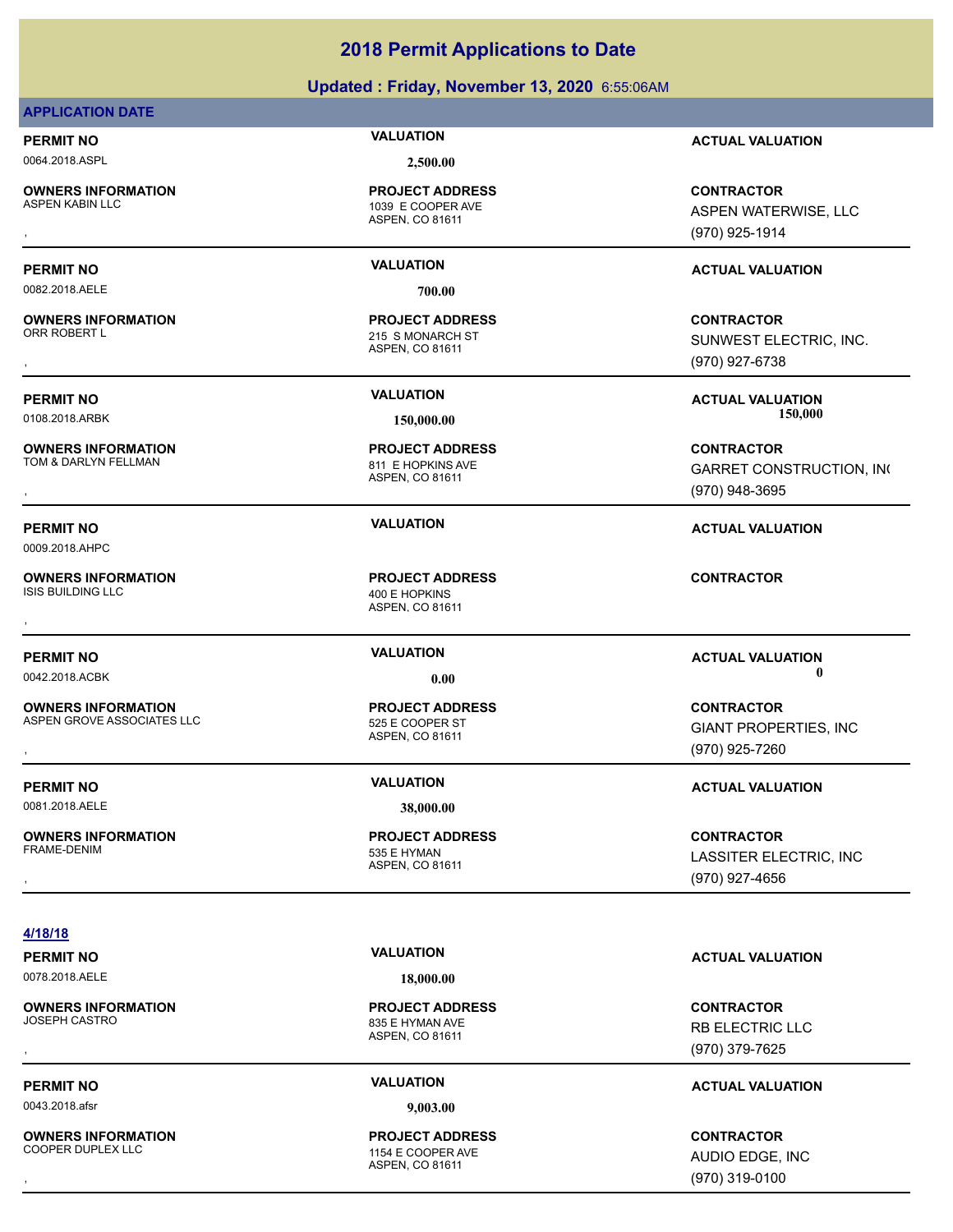# **Updated : Friday, November 13, 2020** 6:55:06AM

# **APPLICATION DATE**

0064.2018.ASPL **2,500.00**

**OWNERS INFORMATION**

ASPEN, CO 81611 1039 E COOPER AVE **PROJECT ADDRESS**

0082.2018.AELE **700.00**

**OWNERS INFORMATION**

**OWNERS INFORMATION**

0009.2018.AHPC

**OWNERS INFORMATION** ISIS BUILDING LLC 400 E HOPKINS

**OWNERS INFORMATION** ASPEN GROVE ASSOCIATES LLC<br>525 E COOPER ST

**PERMIT NO VALUATION VALUATION VALUATION** 

0081.2018.AELE **38,000.00**

**OWNERS INFORMATION** FRAME-DENIM 535 E HYMAN

ASPEN, CO 81611 215 S MONARCH ST **PROJECT ADDRESS**

ASPEN, CO 81611 811 E HOPKINS AVE **PROJECT ADDRESS**

ASPEN, CO 81611 **PROJECT ADDRESS** , **CONTRACTOR**

ASPEN, CO 81611 **PROJECT ADDRESS**

ASPEN, CO 81611 **PROJECT ADDRESS**

**PERMIT NO VALUATION ACTUAL VALUATION**

**OWNERS INFORMATION PROJECT ADDRESS CONTRACTOR**<br>ASPEN KABIN LLC 1039 E COOPER AVE ASPEN WATERWISE, LLC<br>, ASPEN, CO 81611 ASPEN WATERWISE, LLC (970) 925-1914

# **PERMIT NO VALUATION ACTUAL VALUATION**

, **CONTRACTOR** SUNWEST ELECTRIC, INC. (970) 927-6738

**PERMIT NO VALUATION ACTUAL VALUATION** 0108.2018.ARBK **150,000.00 150,000.00**

, **CONTRACTOR GARRET CONSTRUCTION, INC** (970) 948-3695

**PERMIT NO VALUATION ACTUAL VALUATION**

**PERMIT NO CONSUMITY OF A CONSUMITY OF A CONSUMITY OF A CONSUMITY OF A CTUAL VALUATION** 0042.2018.ACBK **0.00 0.00**

**OWNERS INFORMATION LEADURED SECUTES ARE INCORREDUCED SECURE SECURE SECURE SECURE SECURE SECURE SECURE SECURE S<br>ASPEN GROVE ASSOCIATES LLC LEADURE SECURE SECURE SECURE SECURE SECURE SECURE SECURE SECURE SECURE SECURE SECUR** GIANT PROPERTIES, INC (970) 925-7260

, **CONTRACTOR** LASSITER ELECTRIC, INC (970) 927-4656

# **4/18/18**

0078.2018.AELE **18,000.00**

**OWNERS INFORMATION**

0043.2018.afsr **9,003.00**

**OWNERS INFORMATION** COOPER DUPLEX LLC **1154 E COOPER AVE** 

ASPEN, CO 81611 835 E HYMAN AVE **PROJECT ADDRESS**

ASPEN, CO 81611 **PROJECT ADDRESS**

# **PERMIT NO VALUATION ACTUAL VALUATION**

, **CONTRACTOR** RB ELECTRIC LLC (970) 379-7625

# **PERMIT NO VALUATION ACTUAL VALUATION**

, **CONTRACTOR** AUDIO EDGE, INC (970) 319-0100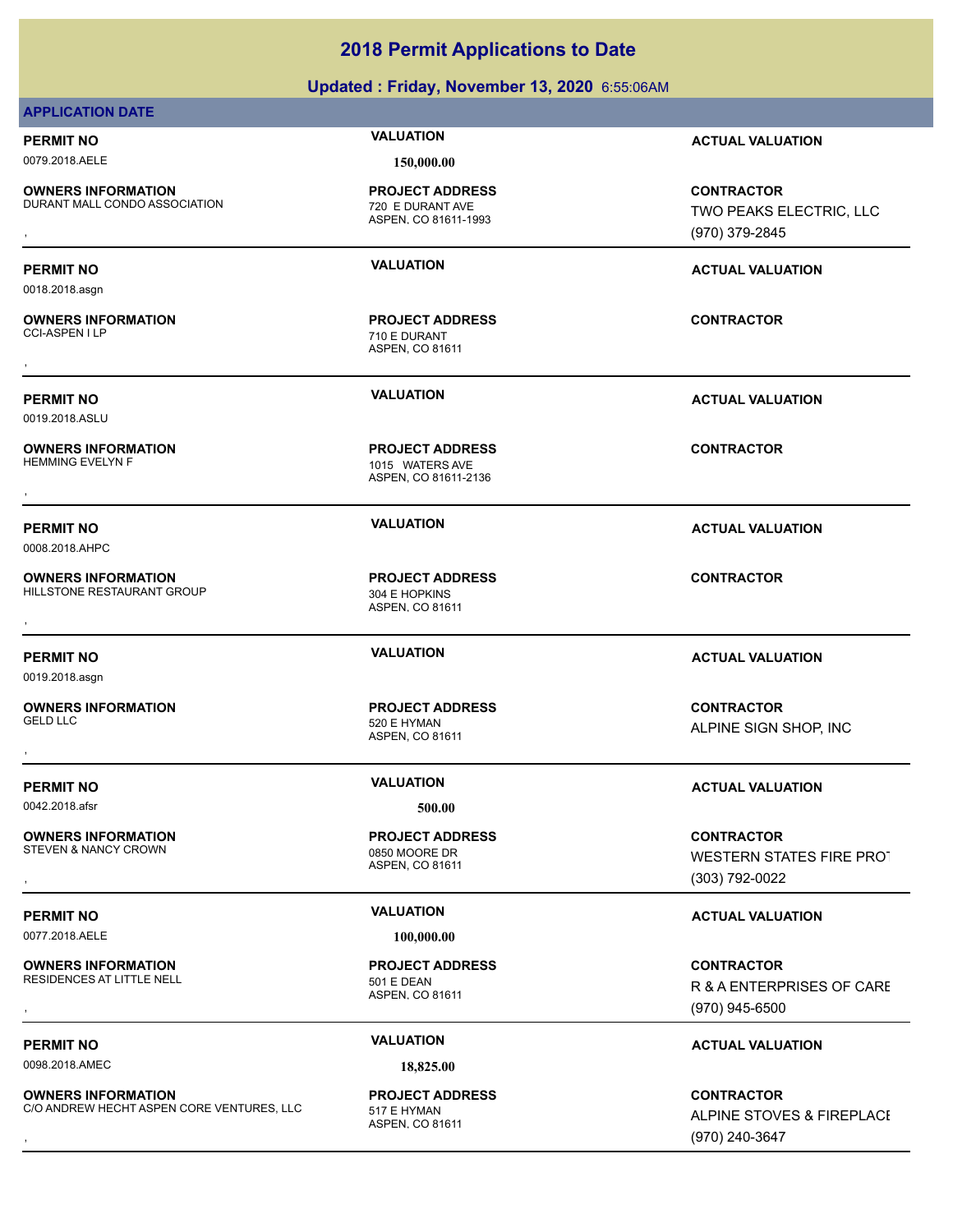**Updated : Friday, November 13, 2020** 6:55:06AM

# **APPLICATION DATE PERMIT NO VALUATION ACTUAL VALUATION** 0079.2018.AELE **150,000.00 OWNERS INFORMATION** DURANT MALL CONDO ASSOCIATION 720 E DURANT AVE

ASPEN, CO 81611-1993 **PROJECT ADDRESS**

ASPEN, CO 81611 710 E DURANT **PROJECT ADDRESS** , **CONTRACTOR**

ASPEN, CO 81611-2136

1015 WATERS AVE **PROJECT ADDRESS**

ASPEN, CO 81611

ASPEN, CO 81611

**PROJECT ADDRESS**

**PROJECT ADDRESS**

, **CONTRACTOR** TWO PEAKS ELECTRIC, LLC (970) 379-2845

# **PERMIT NO VALUATION ACTUAL VALUATION**

**PERMIT NO VALUATION ACTUAL VALUATION**

**PERMIT NO VALUATION ACTUAL VALUATION**

**PERMIT NO VALUATION ACTUAL VALUATION**

, **CONTRACTOR** ALPINE SIGN SHOP, INC

# **PERMIT NO VALUATION ACTUAL VALUATION**

, **CONTRACTOR** WESTERN STATES FIRE PROT (303) 792-0022

# **PERMIT NO VALUATION VALUATION VALUATION**

**OWNERS INFORMATION GOVERNED BY A SERVICE PROJECT ADDRESS ARE SERVICE CONTRACTOR**<br>RESIDENCES AT LITTLE NELL **A SPEN A SPEN, CO 81611**<br>ASPEN, CO 81611 (970) 945-6500 R & A ENTERPRISES OF CARE (970) 945-6500

# **PERMIT NO CONSUMITY OF A CONSUMITY OF A CONSUMITY OF A CONSUMITY OF A CTUAL VALUATION**

**OWNERS INFORMATION CORE VENTURES, LLC FROJECT ADDRESS FRAGGES FINE STOVES & FIREPLACE<br>C/O ANDREW HECHT ASPEN CORE VENTURES, LLC FRAGGENTION ASPEN. CO 81611<br>, GTO) 240-3647** ALPINE STOVES & FIREPLACE (970) 240-3647

0018.2018.asgn

**OWNERS INFORMATION**

0019.2018.ASLU

**OWNERS INFORMATION**<br>HEMMING EVELYN F , **CONTRACTOR**

0008.2018.AHPC

**OWNERS INFORMATION** HILLSTONE RESTAURANT GROUP 304 E HOPKINS **OWNERS INFORMATION CONTRACTOR REGIST OF PROJECT ADDRESS CONTRACTOR CONTRACTOR**<br>HILLSTONE RESTAURANT GROUP 304 E HOPKINS<br>ASPEN. CO 81611

0019.2018.asgn

**OWNERS INFORMATION** GELD LLC 520 E HYMAN

0042.2018.afsr **500.00**

**OWNERS INFORMATION** STEVEN & NANCY CROWN CONTROL CONTROL CONTROL CONTROL CONTROL OF THE ORIGINAL CONTROL OF THE ORIGINAL CONTROL OF THE ORIGINAL CONTROL OF THE ORIGINAL CONTROL OF THE ORIGINAL CONTROL OF THE ORIGINAL CONTROL OF THE ORIGINAL C

0077.2018.AELE **100,000.00**

**OWNERS INFORMATION** RESIDENCES AT LITTLE NELL 501 E DEAN

0098.2018.AMEC **18,825.00**

**OWNERS INFORMATION** C/O ANDREW HECHT ASPEN CORE VENTURES, LLC 517 F HYMAN

ASPEN, CO 81611

**PROJECT ADDRESS**

ASPEN, CO 81611 **PROJECT ADDRESS**

ASPEN, CO 81611 **PROJECT ADDRESS**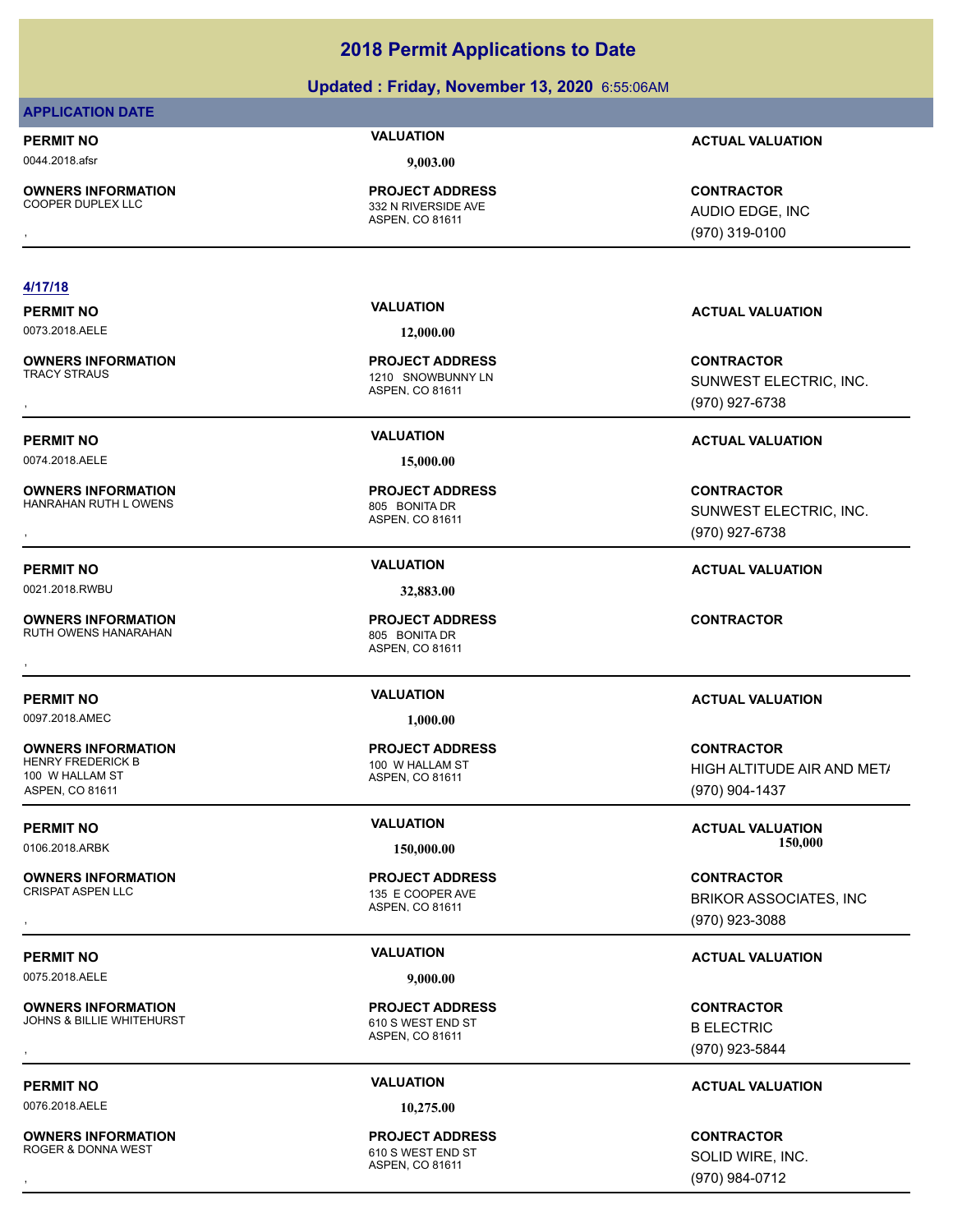# **Updated : Friday, November 13, 2020** 6:55:06AM

# **APPLICATION DATE**

0044.2018.afsr **9,003.00**

**OWNERS INFORMATION**

ASPEN, CO 81611 332 N RIVERSIDE AVE **PROJECT ADDRESS**

## **4/17/18**

0073.2018.AELE **12,000.00**

**OWNERS INFORMATION**

0074.2018.AELE **15,000.00**

**OWNERS INFORMATION** HANRAHAN RUTH LOWENS 805 BONITA DR

0021.2018.RWBU **32,883.00**

**OWNERS INFORMATION** RUTH OWENS HANARAHAN 805 BONITA DR

0097.2018.AMEC **1,000.00**

**OWNERS INFORMATION** HENRY FREDERICK B 100 W HALLAM ST 100 W HALLAM ST ASPEN, CO 81611

**OWNERS INFORMATION**

0075.2018.AELE **9,000.00**

**OWNERS INFORMATION** JOHNS & BILLIE WHITEHURST 610 S WEST END ST

0076.2018.AELE **10,275.00**

**OWNERS INFORMATION** ROGER & DONNA WEST **EXECUTE:** THE STATE ROGER & DONNA WEST

ASPEN, CO 81611 1210 SNOWBUNNY LN **PROJECT ADDRESS**

ASPEN, CO 81611 **PROJECT ADDRESS**

ASPEN, CO 81611 **PROJECT ADDRESS** , **CONTRACTOR**

ASPEN, CO 81611 **PROJECT ADDRESS**

ASPEN, CO 81611 135 E COOPER AVE **PROJECT ADDRESS**

ASPEN, CO 81611 **PROJECT ADDRESS OWNERS INFORMATION GOVERNEY ARE SERVED BY A SPEN. CONTROLLY A SPEN. CORRESS CONTRACTOR CONTRACTOR**<br>JOHNS & BILLIE WHITEHURST **A SPEN. CO 81611** ASPEN. CO 81611 **BELECTRIC** (970) 923-5844

ASPEN, CO 81611 **PROJECT ADDRESS**

**PERMIT NO VALUATION ACTUAL VALUATION**

, **CONTRACTOR** AUDIO EDGE, INC (970) 319-0100

# **PERMIT NO VALUATION ACTUAL VALUATION**

, **CONTRACTOR** SUNWEST ELECTRIC, INC. (970) 927-6738

# **PERMIT NO VALUATION ACTUAL VALUATION**

, **CONTRACTOR** SUNWEST ELECTRIC, INC. (970) 927-6738

# **PERMIT NO VALUATION ACTUAL VALUATION**

# **PERMIT NO VALUATION ACTUAL VALUATION**

**CONTRACTOR** HIGH ALTITUDE AIR AND MET/ (970) 904-1437

**PERMIT NO VALUATION ACTUAL VALUATION** 0106.2018.ARBK **150,000.00 150,000.00**

, **CONTRACTOR** BRIKOR ASSOCIATES, INC (970) 923-3088

# **PERMIT NO VALUATION ACTUAL VALUATION**

B ELECTRIC (970) 923-5844

# **PERMIT NO VALUATION ACTUAL VALUATION**

, **CONTRACTOR** SOLID WIRE, INC. (970) 984-0712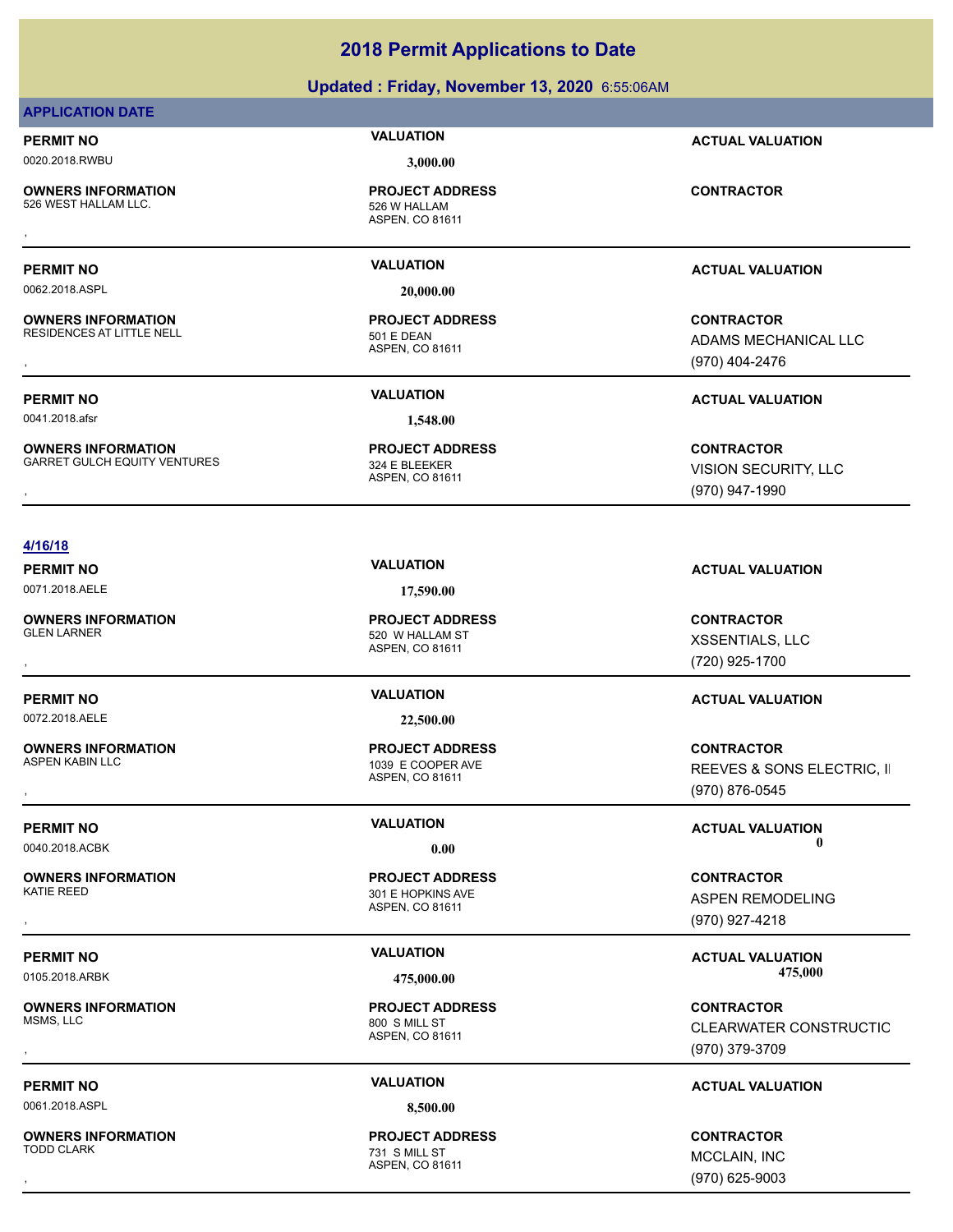# **Updated : Friday, November 13, 2020** 6:55:06AM

# **APPLICATION DATE**

# 0020.2018.RWBU **3,000.00**

**OWNERS INFORMATION** 526 WEST HALLAM LLC. The state of the state of the state of the state of the state of the state of the state o **OWNERS INFORMATION CONTRACTOR REGIST PROJECT ADDRESS CONTRACTOR CONTRACTOR**<br>526 WEST HALLAM LLC. THE SEARCH ASPEN, CO 81611<br>,

**OWNERS INFORMATION**

**PROJECT ADDRESS**

ASPEN, CO 81611

0062.2018.ASPL **20,000.00**

ASPEN, CO 81611 RESIDENCES AT LITTLE NELL 501 E DEAN **PROJECT ADDRESS**

**PERMIT NO VALUATION ACTUAL VALUATION**

**PERMIT NO VALUATION ACTUAL VALUATION**

**OWNERS INFORMATION GOVERNED BY A SERVICE PROJECT ADDRESS ARE SIDENCES AT LITTLE NELL CONTRACTOR**<br>RESIDENCES AT LITTLE NELL **A SPEN A SPEN CO 81611**<br>, GOVERNED A SPEN CO 81611 (970) 404-2476 ADAMS MECHANICAL LLC (970) 404-2476

**PERMIT NO VALUATION ACTUAL VALUATION**

0041.2018.afsr **1,548.00**

**OWNERS INFORMATION** GARRET GULCH EQUITY VENTURES 324 E BLEEKER

ASPEN, CO 81611 **PROJECT ADDRESS**

**OWNERS INFORMATION METALLY CONTRACTOR DESCRIPTION ON PROJECT ADDRESS ARRET GULCH EQUITY VENTURES ARRET GULCH EQUITY VENTURES ARRET ADDRESS ARRET GULCH EQUITY VENTURES ARRET ADDRESS ARRET GULCH EQUITY VENTURES ASPEN, CO 81** VISION SECURITY, LLC (970) 947-1990

# **4/16/18**

0071.2018.AELE **17,590.00**

**OWNERS INFORMATION**

0072.2018.AELE **22,500.00**

**OWNERS INFORMATION**

**OWNERS INFORMATION**

**OWNERS INFORMATION** MSMS, LLC 800 S MILL ST

0061.2018.ASPL **8,500.00**

**OWNERS INFORMATION**

ASPEN, CO 81611 520 W HALLAM ST **PROJECT ADDRESS**

ASPEN, CO 81611 1039 E COOPER AVE **PROJECT ADDRESS**

ASPEN, CO 81611 301 E HOPKINS AVE **PROJECT ADDRESS**

ASPEN, CO 81611 **PROJECT ADDRESS**

ASPEN, CO 81611 **731 S MILL ST PROJECT ADDRESS** , **CONTRACTOR**

**PERMIT NO VALUATION VALUATION VALUATION** 

, **CONTRACTOR** XSSENTIALS, LLC (720) 925-1700

# **PERMIT NO VALUATION ACTUAL VALUATION**

, **CONTRACTOR** REEVES & SONS ELECTRIC, II (970) 876-0545

**PERMIT NO CONSUMITY OF A CONSUMITY OF A CONSUMITY OF A CONSUMITY OF A CTUAL VALUATION** 0040.2018.ACBK **0.00 0.00**

, **CONTRACTOR** ASPEN REMODELING (970) 927-4218

PERMIT NO **SALUATION VALUATION VALUATION ACTUAL VALUATION ACTUAL VALUATION** 0105.2018.ARBK **475,000.00 475,000.00**

, **CONTRACTOR** CLEARWATER CONSTRUCTIO (970) 379-3709

# **PERMIT NO VALUATION ACTUAL VALUATION**

MCCLAIN, INC (970) 625-9003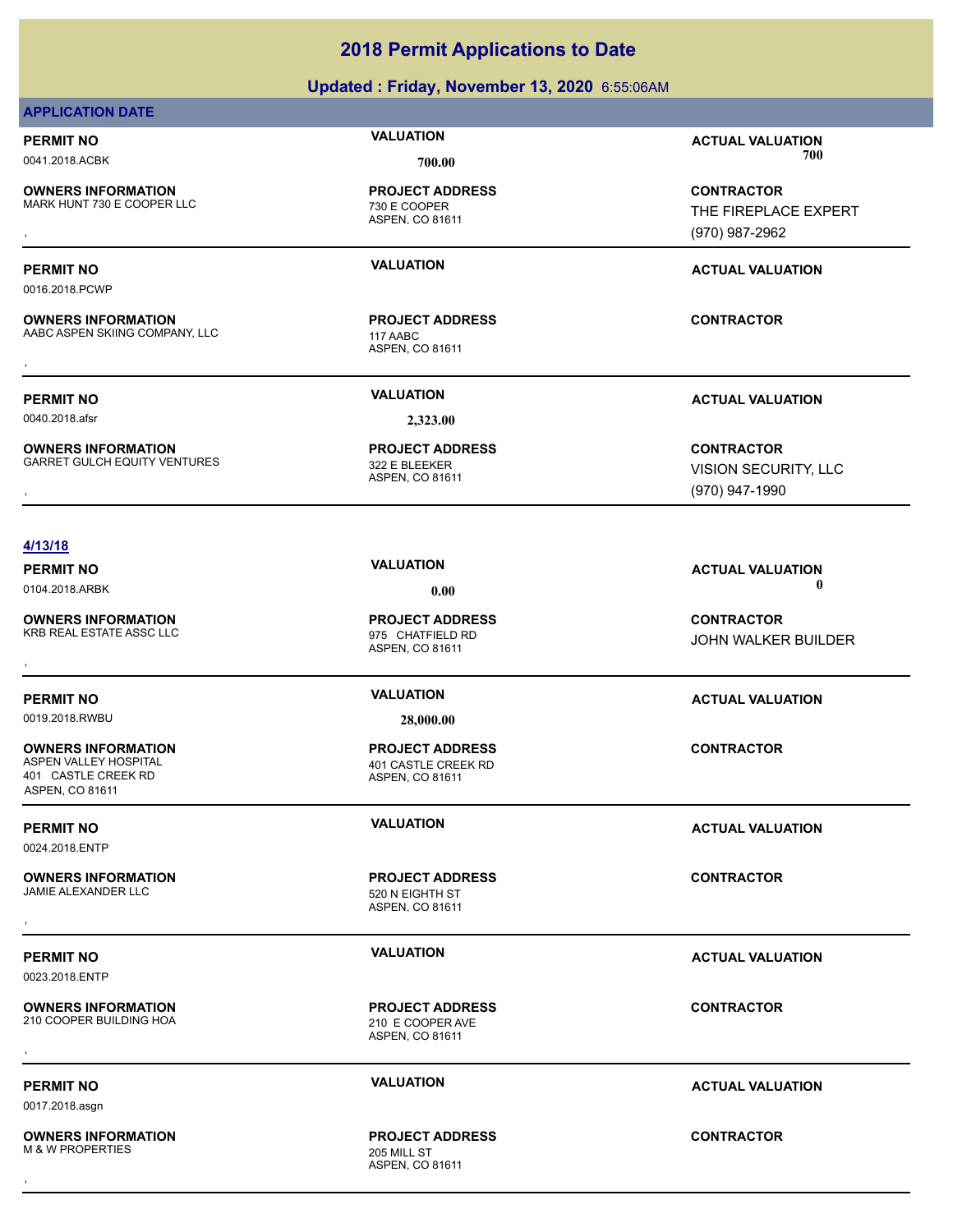# **Updated : Friday, November 13, 2020** 6:55:06AM

# **APPLICATION DATE**

0016.2018.PCWP

**OWNERS INFORMATION** MARK HUNT 730 E COOPER LLC<br>
730 E COOPER

**PROJECT ADDRESS**

ASPEN, CO 81611

ASPEN, CO 81611 AABC ASPEN SKIING COMPANY, LLC 117 AABC **PROJECT ADDRESS** , **CONTRACTOR**

**PERMIT NO VALUATION ACTUAL VALUATION** 0041.2018.ACBK **700.00 700.00**

**OWNERS INFORMATION GOVER AND REGULAR PROJECT ADDRESS CONTRACTOR CONTRACTOR**<br>MARK HUNT 730 E COOPER LLC FIREPLACE EXPERT THE FIREPLACE EXPERT ASPEN, CO 81611<br>GOVERN, CO 81611 (970) 987-2962 THE FIREPLACE EXPERT (970) 987-2962

# **PERMIT NO VALUATION ACTUAL VALUATION**

**OWNERS INFORMATION**

0040.2018.afsr **2,323.00**

**OWNERS INFORMATION** GARRET GULCH EQUITY VENTURES<br>322 E BLEEKER

ASPEN, CO 81611 **PROJECT ADDRESS**

**PERMIT NO VALUATION ACTUAL VALUATION**

**OWNERS INFORMATION METALLY CONTRACTOR DESCRIPTION ON PROJECT ADDRESS ARRET GULCH EQUITY VENTURES ARRET GULCH EQUITY VENTURES ARRET ADDRESS ARRET GULCH EQUITY VENTURES ARRET ADDRESS ARRET GULCH EQUITY VENTURES ASPEN, CO 81** VISION SECURITY, LLC (970) 947-1990

# **4/13/18**

0104.2018.ARBK **0.00 0.00**

**OWNERS INFORMATION** KRB REAL ESTATE ASSC LLC 975 CHATFIELD RD

**PERMIT NO VALUATION ACTUAL VALUATION**

**OWNERS INFORMATION** 401 CASTLE CREEK RD

ASPEN, CO 81611

0024.2018.ENTP

**OWNERS INFORMATION** JAMIE ALEXANDER LLC<br>520 N EIGHTH ST

0023.2018.ENTP

**OWNERS INFORMATION** 210 COOPER BUILDING HOA 210 E COOPER AVE

0017.2018.asgn

**OWNERS INFORMATION** M & W PROPERTIES 205 MILL ST

**PERMIT NO VALUATION VALUATION VALUATION** 

ASPEN, CO 81611 **PROJECT ADDRESS OWNERS INFORMATION GOVERNED BY A SERVICE PROJECT ADDRESS AREAL ESTATE ASSCILLO BY A SPEN, CO 81611 CONTRACTOR<br>KRB REAL ESTATE ASSCILLC GOVERNED ASPEN, CO 81611 CONTROLLOCH CONTRACTOR<br>,** 

0019.2018.RWBU **28,000.00**

ASPEN, CO 81611 401 CASTLE CREEK RD **PROJECT ADDRESS**

ASPEN, CO 81611 **PROJECT ADDRESS** , **CONTRACTOR**

ASPEN, CO 81611 **PROJECT ADDRESS OWNERS INFORMATION CONTRACTOR REPORT OF PROJECT ADDRESS CONTRACTOR CONTRACTOR**<br>210 COOPER BUILDING HOA 210 E 210 E COOPER AVE<br>ASPEN. CO 81611

ASPEN, CO 81611 **PROJECT ADDRESS** , **CONTRACTOR**

JOHN WALKER BUILDER

**CONTRACTOR**

**PERMIT NO VALUATION ACTUAL VALUATION**

# **PERMIT NO VALUATION ACTUAL VALUATION**

# **PERMIT NO VALUATION ACTUAL VALUATION**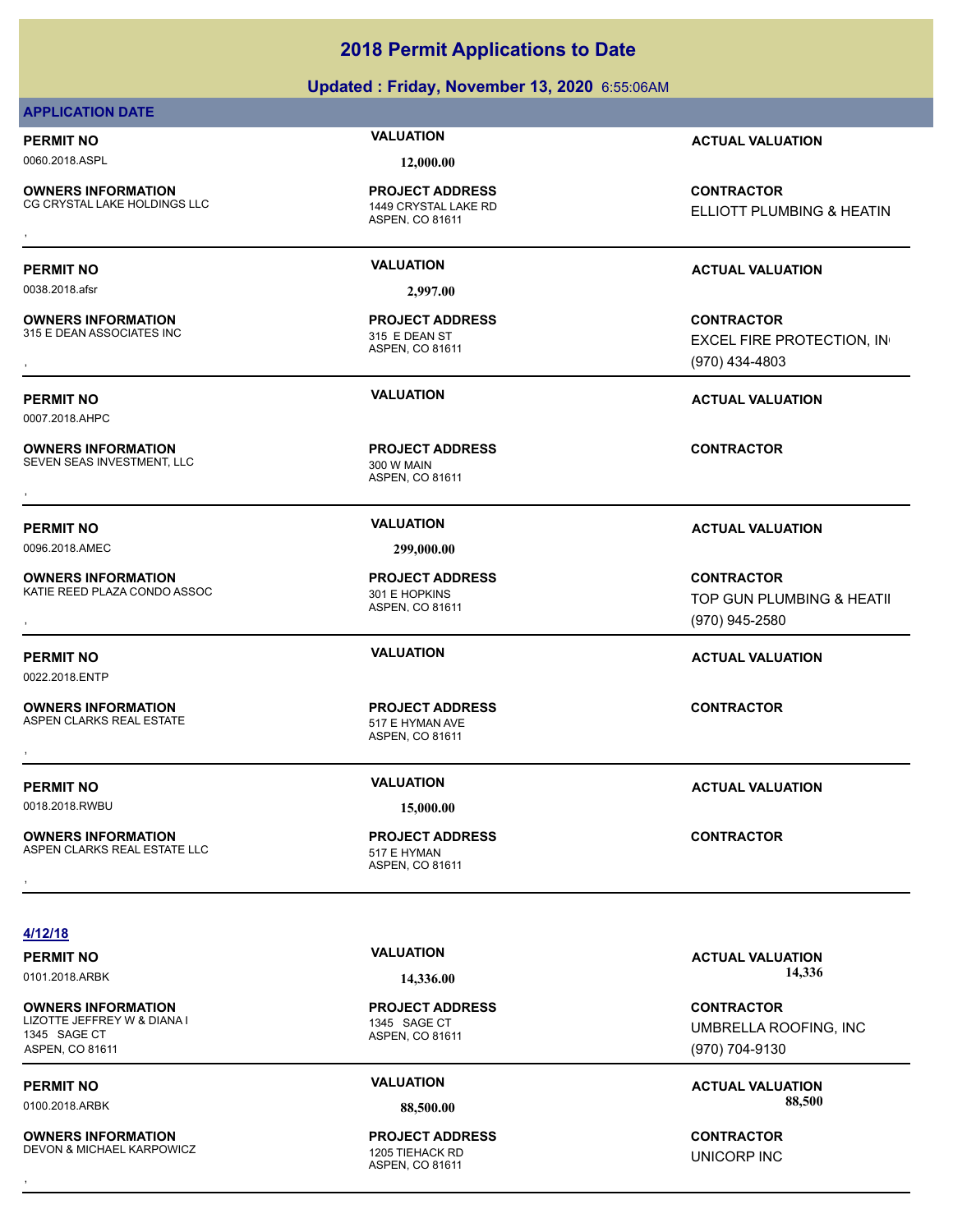# **Updated : Friday, November 13, 2020** 6:55:06AM

# **APPLICATION DATE**

0060.2018.ASPL **12,000.00**

**OWNERS INFORMATION** CG CRYSTAL LAKE HOLDINGS LLC 1449 CRYSTAL LAKE RD

ASPEN, CO 81611 **PROJECT ADDRESS**

0038.2018.afsr **2,997.00**

**OWNERS INFORMATION** 315 E DEAN ASSOCIATES INC 315 E DEAN ST

0007.2018.AHPC

**OWNERS INFORMATION** SEVEN SEAS INVESTMENT, LLC 300 W MAIN

0096.2018.AMEC **299,000.00**

**OWNERS INFORMATION** KATIE REED PLAZA CONDO ASSOC 301 E HOPKINS

0022.2018.ENTP

**OWNERS INFORMATION**

**OWNERS INFORMATION** ASPEN CLARKS REAL ESTATE LLC<br>517 E HYMAN **OWNERS INFORMATION LETTLE SERVICE PROJECT ADDRESS ARE:** CONTRACTOR<br>ASPEN CLARKS REAL ESTATE LLC THE STATE OF STATE HYMAN<br>ASPEN. CO 81611

ASPEN, CO 81611 **PROJECT ADDRESS**

ASPEN, CO 81611 **PROJECT ADDRESS OWNERS INFORMATION CONTRACTOR REGIST OF PROJECT ADDRESS CONTRACTOR CONTRACTOR**<br>SEVEN SEAS INVESTMENT, LLC CONTRACTOR 300 W MAIN<br>ASPEN, CO 81611

ASPEN, CO 81611

ASPEN, CO 81611

ASPEN, CO 81611 **PROJECT ADDRESS**

**PERMIT NO VALUATION ACTUAL VALUATION**

**OWNERS INFORMATION CONTRACTOR REGIST OF PROJECT ADDRESS CONTRACTOR**<br>CG CRYSTAL LAKE HOLDINGS LLC THE MORE ASPEN, CO 81611<br>, **ELLIOTT PLUMBING & HEATIN** 

**OWNERS INFORMATION GOVERNED BY A SECURITY PROJECT ADDRESS CONTRACTOR CONTRACTOR**<br>315 E DEAN ASSOCIATES INC ASPEN, CO 81611 ASPEN, CO 81611 GOVERNED STAND (970) 434-4803<br>, (970) 434-4803

**PERMIT NO VALUATION ACTUAL VALUATION**

**OWNERS INFORMATION SEXUAL SERVICE PROJECT ADDRESS ARE SEXUAL SERVICE ONTRACTOR SEED PLAZA CONDO ASSOC SERVICE P<br>
301 E HOPKINS SURFALL SERVICE DE LOGIS ASPEN. CO 81611 SAPER AND TOP GUN PLUMBING & HEATII<br>
ASPEN. CO 81611** TOP GUN PLUMBING & HEATII (970) 945-2580

**PERMIT NO VALUATION ACTUAL VALUATION**

**4/12/18**

**OWNERS INFORMATION** LIZOTTE JEFFREY W & DIANA I 1345 SAGE CT 1345 SAGE CT ASPEN, CO 81611

**OWNERS INFORMATION** DEVON & MICHAEL KARPOWICZ<br>
1205 TIEHACK RD

ASPEN, CO 81611

ASPEN, CO 81611 **PROJECT ADDRESS OWNERS INFORMATION CONTRACTOR REGISTED BY A PROJECT ADDRESS CONTRACTOR CONTRACTOR**<br>DEVON & MICHAEL KARPOWICZ CONTRACTOR 1205 TIEHACK RD<br>ASPEN. CO 81611

PERMIT NO **14.226.00 CALUATION ACTUAL VALUATION ACTUAL VALUATION** 0101.2018.ARBK **14,336.00 14,336.00**

> **CONTRACTOR** UMBRELLA ROOFING, INC (970) 704-9130

**PERMIT NO CONSUMITY OF A CONSUMITY OF A CONSUMITY OF A CONSUMITY OF A CTUAL VALUATION** 0100.2018.ARBK **88,500.00 88,500.00**

UNICORP INC

0018.2018.RWBU **15,000.00**

ASPEN CLARKS REAL ESTATE 517 E HYMAN AVE , **CONTRACTOR**

**PERMIT NO VALUATION ACTUAL VALUATION**

**PROJECT ADDRESS**

**PROJECT ADDRESS**

**PERMIT NO VALUATION ACTUAL VALUATION**

# **PERMIT NO VALUATION ACTUAL VALUATION**

EXCEL FIRE PROTECTION, IN

**PROJECT ADDRESS**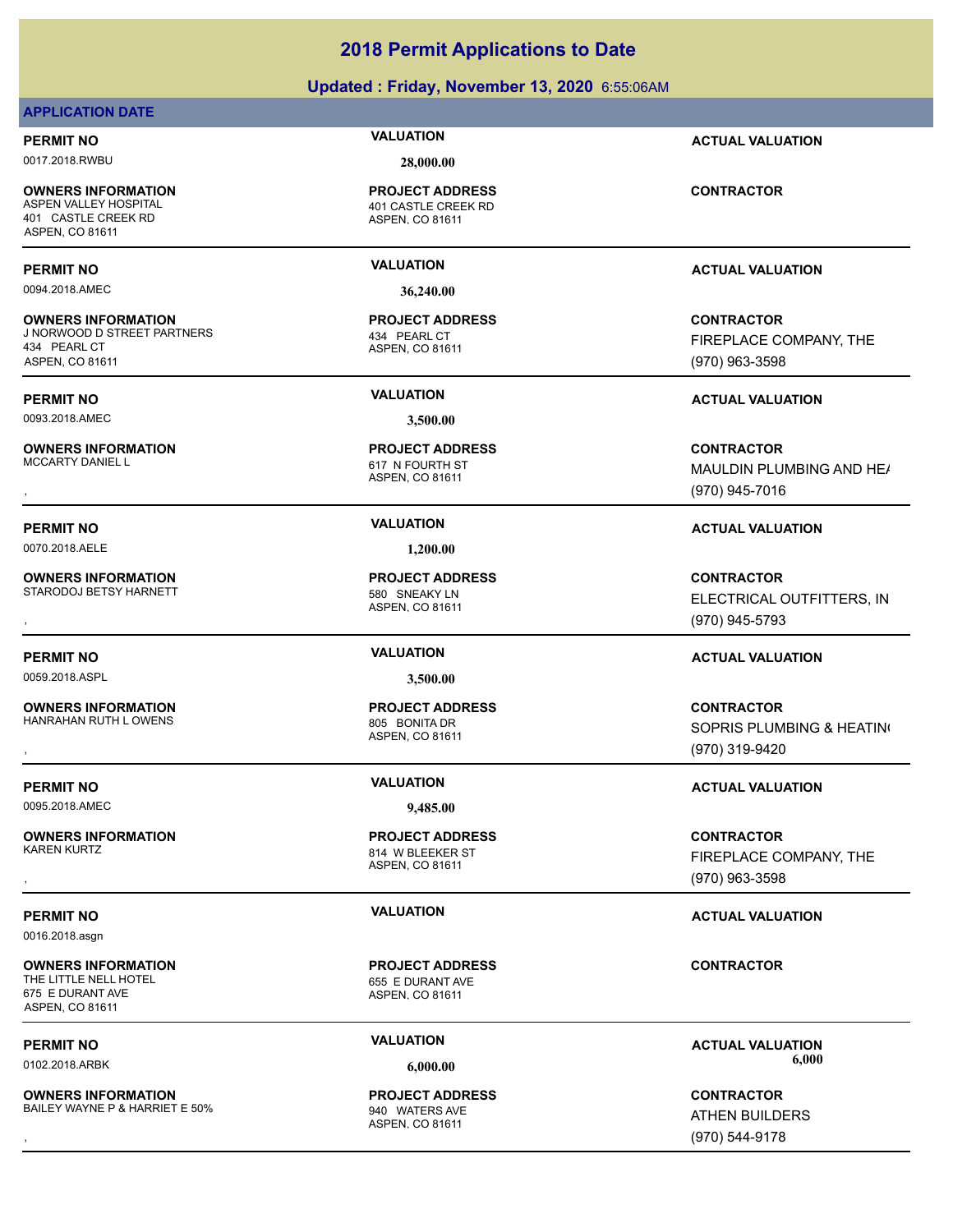# **Updated : Friday, November 13, 2020** 6:55:06AM

# **APPLICATION DATE**

0017.2018.RWBU **28,000.00**

**OWNERS INFORMATION** 401 CASTLE CREEK RD ASPEN, CO 81611

0094.2018.AMEC **36,240.00**

**OWNERS INFORMATION** J NORWOOD D STREET PARTNERS 434 PEARL CT 434 PEARL CT ASPEN, CO 81611

0093.2018.AMEC **3,500.00**

**OWNERS INFORMATION**<br>MCCARTY DANIEL L

0070.2018.AELE **1,200.00**

**OWNERS INFORMATION** STARODOJ BETSY HARNETT 580 SNEAKY LN

0059.2018.ASPL **3,500.00**

**OWNERS INFORMATION** HANRAHAN RUTH LOWENS 805 BONITA DR

0095.2018.AMEC **9,485.00**

**OWNERS INFORMATION**

0016.2018.asgn

**OWNERS INFORMATION** THE LITTLE NELL HOTEL **EXECUTE:** 655 E DURANT AVE 675 E DURANT AVE ASPEN, CO 81611

**OWNERS INFORMATION** BAILEY WAYNE P & HARRIET E 50% 940 WATERS AVE

ASPEN, CO 81611 401 CASTLE CREEK RD **PROJECT ADDRESS**

ASPEN, CO 81611 **PROJECT ADDRESS**

ASPEN, CO 81611 617 N FOURTH ST **PROJECT ADDRESS**

ASPEN, CO 81611 **PROJECT ADDRESS**

ASPEN, CO 81611

ASPEN, CO 81611 **814 W BLEEKER ST PROJECT ADDRESS**

ASPEN, CO 81611 **PROJECT ADDRESS**

ASPEN, CO 81611 **PROJECT ADDRESS**

**PERMIT NO VALUATION ACTUAL VALUATION**

**CONTRACTOR**

# **PERMIT NO VALUATION ACTUAL VALUATION**

**CONTRACTOR** FIREPLACE COMPANY, THE (970) 963-3598

**PERMIT NO VALUATION ACTUAL VALUATION**

**OWNERS INFORMATION PROJECT ADDRESS CONTRACTOR**<br>MCCARTY DANIEL L 617 N FOURTH ST MAULDIN PLUMBING AND HE*I*<br>, ASPEN, CO 81611 MAULDIN PLUMBING AND HE/ (970) 945-7016

# **PERMIT NO VALUATION ACTUAL VALUATION**

**OWNERS INFORMATION PROJECT ADDRESS CONTRACTOR**<br>STARODOJ BETSY HARNETT 580 SNEAKY LN ELECTRICAL OUTFITTERS, IN<br>, ASPEN. CO 81611 ELECTRICAL OUTFITTERS, INC (970) 945-5793

# **PERMIT NO VALUATION ACTUAL VALUATION**

, **CONTRACTOR** SOPRIS PLUMBING & HEATING (970) 319-9420

# **PERMIT NO VALUATION VALUATION VALUATION**

, **CONTRACTOR** FIREPLACE COMPANY, THE (970) 963-3598

# **PERMIT NO VALUATION VALUATION VALUATION**

**CONTRACTOR**

**PERMIT NO VALUATION ACTUAL VALUATION** 0102.2018.ARBK **6,000.00 6,000.00**

, **CONTRACTOR** ATHEN BUILDERS (970) 544-9178

**PROJECT ADDRESS**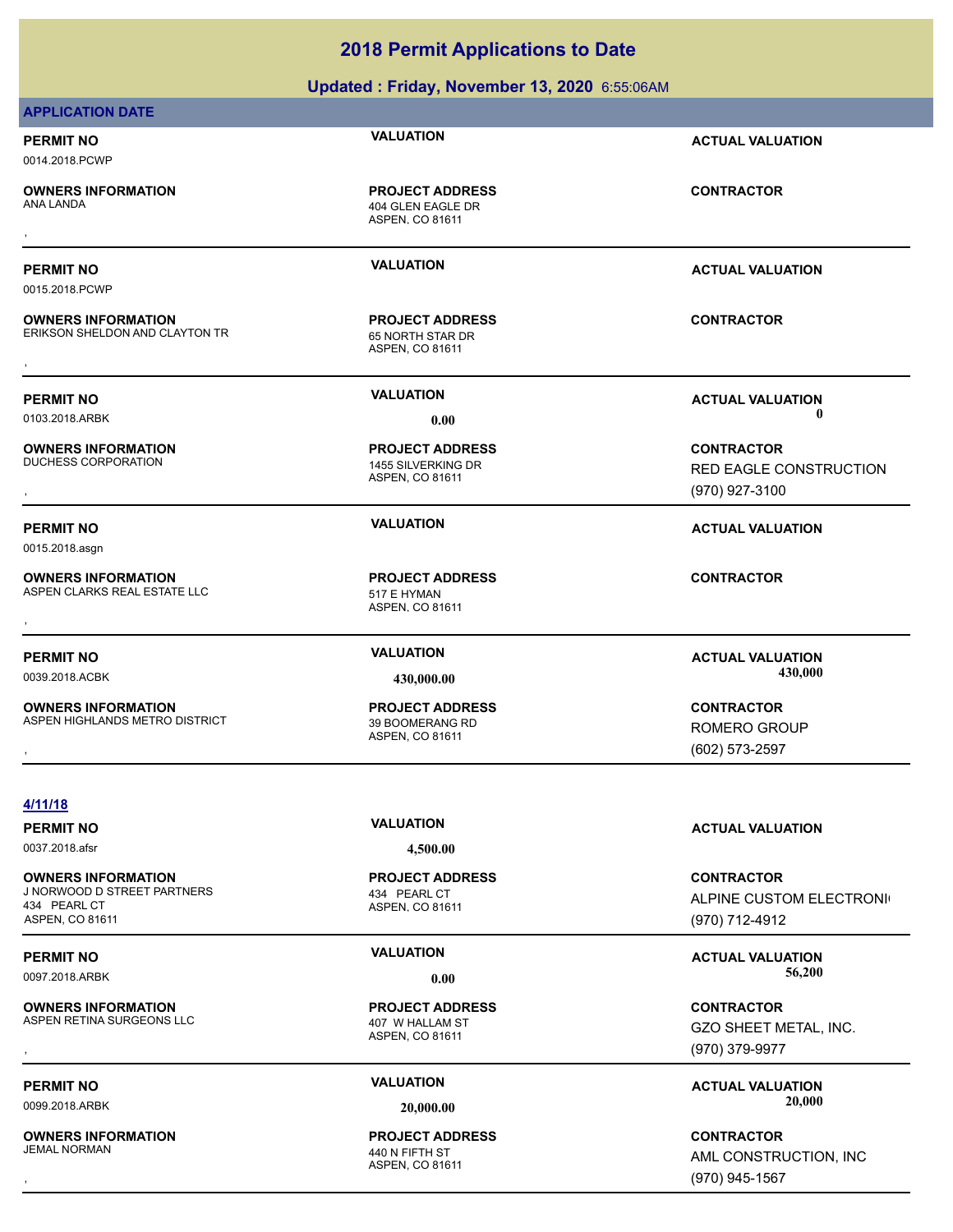| 0097.2018.ARBK                                                                              | 0.00                                                          | 56,200                                                         |
|---------------------------------------------------------------------------------------------|---------------------------------------------------------------|----------------------------------------------------------------|
| <b>PERMIT NO</b>                                                                            | <b>VALUATION</b>                                              | <b>ACTUAL VALUATION</b>                                        |
| <b>OWNERS INFORMATION</b><br>J NORWOOD D STREET PARTNERS<br>434 PEARL CT<br>ASPEN, CO 81611 | <b>PROJECT ADDRESS</b><br>434 PEARL CT<br>ASPEN, CO 81611     | <b>CONTRACTOR</b><br>ALPINE CUSTOM ELECTRONI<br>(970) 712-4912 |
| 0037.2018.afsr                                                                              | 4,500.00                                                      |                                                                |
| <b>PERMIT NO</b>                                                                            | <b>VALUATION</b>                                              | <b>ACTUAL VALUATION</b>                                        |
| 4/11/18                                                                                     |                                                               |                                                                |
|                                                                                             |                                                               | (602) 573-2597                                                 |
| ASPEN HIGHLANDS METRO DISTRICT                                                              | 39 BOOMERANG RD<br>ASPEN, CO 81611                            | ROMERO GROUP                                                   |
| <b>OWNERS INFORMATION</b>                                                                   | <b>PROJECT ADDRESS</b>                                        | <b>CONTRACTOR</b>                                              |
| 0039.2018.ACBK                                                                              | 430,000.00                                                    | 430,000                                                        |
| <b>PERMIT NO</b>                                                                            | <b>VALUATION</b>                                              | <b>ACTUAL VALUATION</b>                                        |
| <b>OWNERS INFORMATION</b><br>ASPEN CLARKS REAL ESTATE LLC                                   | <b>PROJECT ADDRESS</b><br>517 E HYMAN<br>ASPEN, CO 81611      | <b>CONTRACTOR</b>                                              |
| 0015.2018.asgn                                                                              |                                                               |                                                                |
| <b>PERMIT NO</b>                                                                            | <b>VALUATION</b>                                              | <b>ACTUAL VALUATION</b>                                        |
|                                                                                             |                                                               | (970) 927-3100                                                 |
| <b>DUCHESS CORPORATION</b>                                                                  | 1455 SILVERKING DR<br>ASPEN, CO 81611                         | RED EAGLE CONSTRUCTION                                         |
| <b>OWNERS INFORMATION</b>                                                                   | <b>PROJECT ADDRESS</b>                                        | <b>CONTRACTOR</b>                                              |
| <b>PERMIT NO</b><br>0103.2018.ARBK                                                          | <b>VALUATION</b><br>0.00                                      | <b>ACTUAL VALUATION</b><br>$\mathbf 0$                         |
|                                                                                             |                                                               |                                                                |
| <b>OWNERS INFORMATION</b><br>ERIKSON SHELDON AND CLAYTON TR                                 | <b>PROJECT ADDRESS</b><br>65 NORTH STAR DR<br>ASPEN, CO 81611 | <b>CONTRACTOR</b>                                              |
| 0015.2018.PCWP                                                                              |                                                               |                                                                |
| <b>PERMIT NO</b>                                                                            | <b>VALUATION</b>                                              | <b>ACTUAL VALUATION</b>                                        |
| ANA LANDA                                                                                   | 404 GLEN EAGLE DR<br>ASPEN, CO 81611                          |                                                                |
| <b>OWNERS INFORMATION</b>                                                                   | <b>PROJECT ADDRESS</b>                                        | <b>CONTRACTOR</b>                                              |
| <b>PERMIT NO</b><br>0014.2018.PCWP                                                          |                                                               | <b>ACTUAL VALUATION</b>                                        |
| <b>APPLICATION DATE</b>                                                                     | <b>VALUATION</b>                                              |                                                                |
|                                                                                             | Updated: Friday, November 13, 2020 6:55:06AM                  |                                                                |

**OWNERS INFORMATION GOVERNED BY A SERVICE PROJECT ADDRESS ARE SERVICE CONTRACTOR**<br>ASPEN RETINA SURGEONS LLC ASPEN OF THE ASPEN. CO 81611<br>ASPEN. CO 81611 GOVERNED ASPEN. CO 81611 (970) 379-9977 GZO SHEET METAL, INC. (970) 379-9977

PERMIT NO<br> **VALUATION**<br> **VALUATION**<br> **VALUATION**<br> **PERMIT NO**<br> **PERMIT NO**<br> **PERMIT NO**<br> **PERMIT NO**<br> **PERMIT NO**<br> **PACTUAL VALUATION** 

, **CONTRACTOR** AML CONSTRUCTION, INC (970) 945-1567

ASPEN, CO 81611 **PROJECT ADDRESS**

ASPEN, CO 81611 440 N FIFTH ST **PROJECT ADDRESS**

**OWNERS INFORMATION** ASPEN RETINA SURGEONS LLC<br>ASPEN RETINA SURGEONS LLC 407 W HALLAM ST

0099.2018.ARBK **20,000.00 20,000.00**

**OWNERS INFORMATION**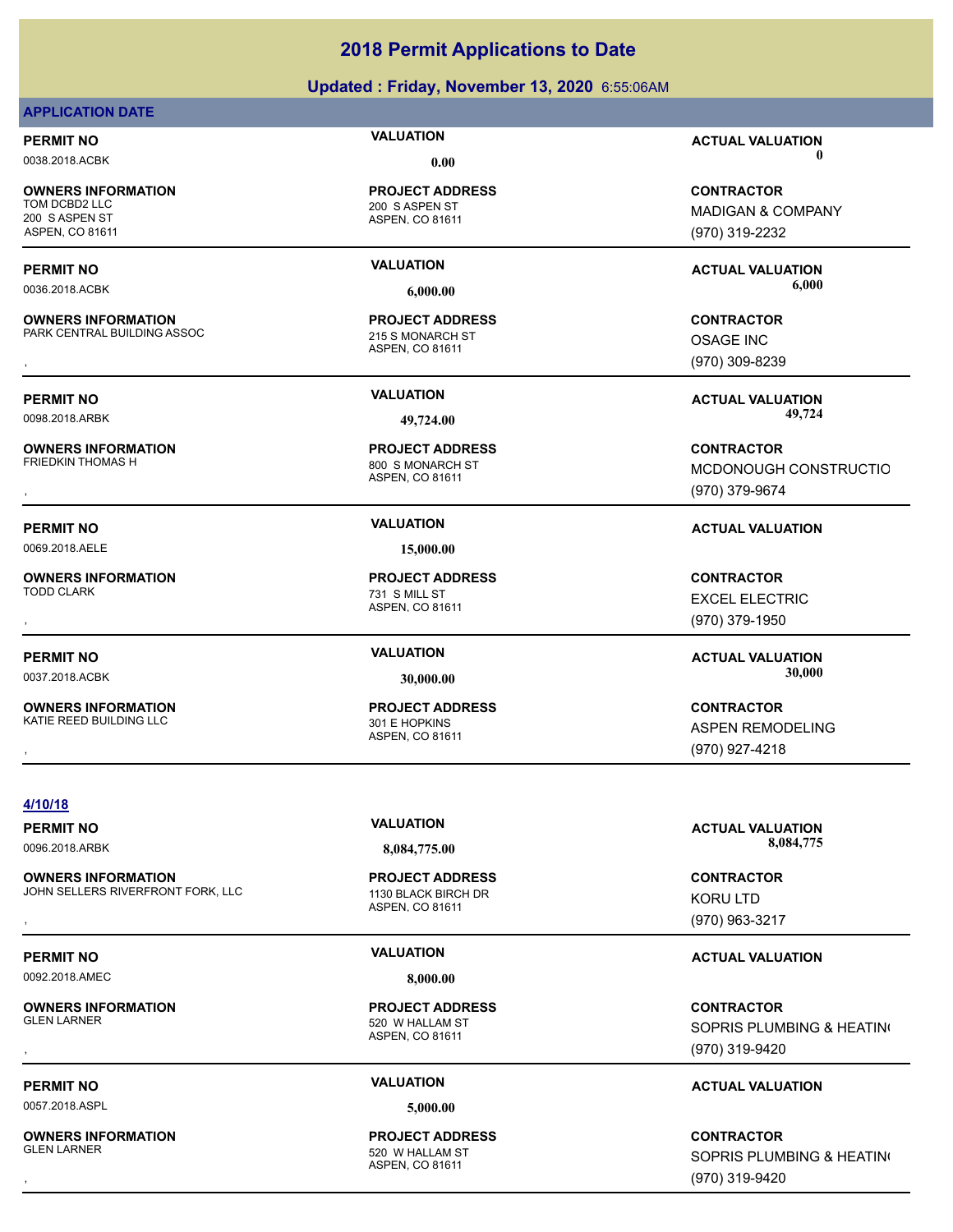# **Updated : Friday, November 13, 2020** 6:55:06AM

# **APPLICATION DATE**

**OWNERS INFORMATION** 200 S ASPEN ST ASPEN, CO 81611

**OWNERS INFORMATION** PARK CENTRAL BUILDING ASSOC 215 S MONARCH ST

**OWNERS INFORMATION**

0069.2018.AELE **15,000.00**

**OWNERS INFORMATION**

**OWNERS INFORMATION** KATIE REED BUILDING LLC 301 E HOPKINS

ASPEN, CO 81611 200 S ASPEN ST **PROJECT ADDRESS**

ASPEN, CO 81611 **PROJECT ADDRESS OWNERS INFORMATION Material contract in the SCONTRACTOR PROJECT ADDRESS ARE:**<br>PARK CENTRAL BUILDING ASSOC Material and a seven in the ASPEN. CO 81611 Material contract of the Material ASPEN. CO 81611 Material contract of

ASPEN, CO 81611 800 S MONARCH ST **PROJECT ADDRESS**

ASPEN, CO 81611 731 S MILL ST **PROJECT ADDRESS**

ASPEN, CO 81611 **PROJECT ADDRESS**

**PERMIT NO VALUATION ACTUAL VALUATION** 0038.2018.ACBK **0.00 0.00**

> **CONTRACTOR** MADIGAN & COMPANY (970) 319-2232

**PERMIT NO VALUATION ACTUAL VALUATION** 0036.2018.ACBK **6,000.00 6,000.00**

> OSAGE INC (970) 309-8239

**PERMIT NO VALUATION ACTUAL VALUATION** 0098.2018.ARBK **49,724.00 49,724.00**

, **CONTRACTOR** MCDONOUGH CONSTRUCTIO (970) 379-9674

# **PERMIT NO VALUATION ACTUAL VALUATION**

, **CONTRACTOR** EXCEL ELECTRIC (970) 379-1950

**PERMIT NO VALUATION ACTUAL VALUATION** 0037.2018.ACBK **30,000.00 30,000.00**

, **CONTRACTOR** ASPEN REMODELING (970) 927-4218

**4/10/18**

**OWNERS INFORMATION** JOHN SELLERS RIVERFRONT FORK, LLC 1130 BLACK BIRCH DR **OWNERS INFORMATION FORM**, LLC **FROJECT ADDRESS FROM THE SECURITY ON TRACTOR**<br>JOHN SELLERS RIVERFRONT FORK, LLC THE SEPEN OF ASPEN. CO 81611<br>ASPEN. CO 81611 (970) 963-3217

**OWNERS INFORMATION**<br>GLEN LARNER

ASPEN, CO 81611 **PROJECT ADDRESS**

0057.2018.ASPL **5,000.00**

ASPEN, CO 81611 520 W HALLAM ST **PROJECT ADDRESS**

**PERMIT NO VALUATION ACTUAL VALUATION** 0096.2018.ARBK **8,084,775.00 8,084,775.00**

> KORU LTD (970) 963-3217

# **PERMIT NO VALUATION ACTUAL VALUATION**

, **CONTRACTOR** SOPRIS PLUMBING & HEATING (970) 319-9420

# **PERMIT NO VALUATION ACTUAL VALUATION**

, **CONTRACTOR** SOPRIS PLUMBING & HEATING (970) 319-9420

**OWNERS INFORMATION**

0092.2018.AMEC **8,000.00**

ASPEN, CO 81611 520 W HALLAM ST **PROJECT ADDRESS**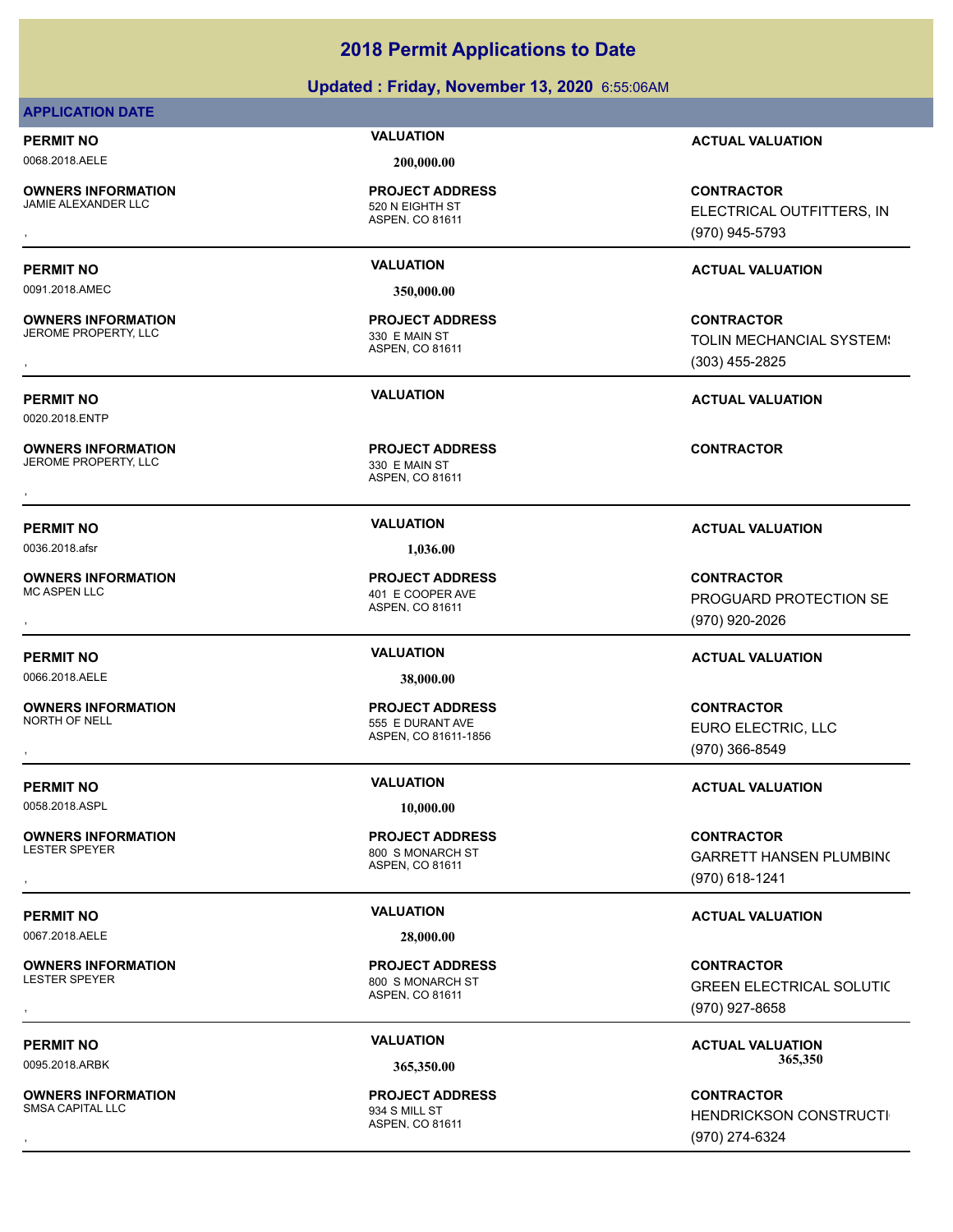# **Updated : Friday, November 13, 2020** 6:55:06AM

# **APPLICATION DATE**

**OWNERS INFORMATION**

0091.2018.AMEC **350,000.00**

**OWNERS INFORMATION** JEROME PROPERTY, LLC 330 E MAIN ST

0020.2018.ENTP

**OWNERS INFORMATION** JEROME PROPERTY, LLC<br>
330 E MAIN ST

0036.2018.afsr **1,036.00**

**OWNERS INFORMATION**

0066.2018.AELE **38,000.00**

**OWNERS INFORMATION** NORTH OF NELL SERIES AND THE SERIES OF NEURANT AVE

0058.2018.ASPL **10,000.00**

**OWNERS INFORMATION**

0067.2018.AELE **28,000.00**

**OWNERS INFORMATION** LESTER SPEYER **800 S MONARCH ST** 

**OWNERS INFORMATION** SMSA CAPITAL LLC 934 S MILL ST

## 0068.2018.AELE **200,000.00**

ASPEN, CO 81611 520 N EIGHTH ST **PROJECT ADDRESS**

ASPEN, CO 81611

ASPEN, CO 81611 **OWNERS INFORMATION CONTRACTOR REGIST PROJECT ADDRESS CONTRACTOR CONTRACTOR**<br>JEROME PROPERTY, LLC CONTRACTOR SEMAIN ST<br>,<br>,

ASPEN, CO 81611 401 E COOPER AVE **PROJECT ADDRESS**

ASPEN, CO 81611-1856 **PROJECT ADDRESS**

ASPEN, CO 81611 800 S MONARCH ST **PROJECT ADDRESS**

ASPEN, CO 81611 **PROJECT ADDRESS**

ASPEN, CO 81611 **PROJECT ADDRESS**

**PERMIT NO VALUATION ACTUAL VALUATION**

, **CONTRACTOR** ELECTRICAL OUTFITTERS, INC (970) 945-5793

# **PERMIT NO VALUATION ACTUAL VALUATION**

, **CONTRACTOR** TOLIN MECHANCIAL SYSTEM! (303) 455-2825

# **PERMIT NO VALUATION ACTUAL VALUATION**

, **CONTRACTOR** PROGUARD PROTECTION SE (970) 920-2026

# **PERMIT NO VALUATION ACTUAL VALUATION**

, **CONTRACTOR** EURO ELECTRIC, LLC (970) 366-8549

# **PERMIT NO VALUATION VALUATION VALUATION**

**OWNERS INFORMATION PROJECT ADDRESS CONTRACTOR**<br>LESTER SPEYER 800\_S MONARCH ST GARRETT HANSEN PLUMBIN(<br>, ASPEN. CO 81611 ( GARRETT HANSEN PLUMBING (970) 618-1241

# **PERMIT NO VALUATION VALUATION VALUATION**

, **CONTRACTOR** GREEN ELECTRICAL SOLUTIC (970) 927-8658

PERMIT NO **SALUATION VALUATION VALUATION ACTUAL VALUATION ACTUAL VALUATION** 0095.2018.ARBK **365,350.00 365,350.00**

, **CONTRACTOR HENDRICKSON CONSTRUCTI** (970) 274-6324

**PERMIT NO VALUATION ACTUAL VALUATION**

**PROJECT ADDRESS**

**PROJECT ADDRESS**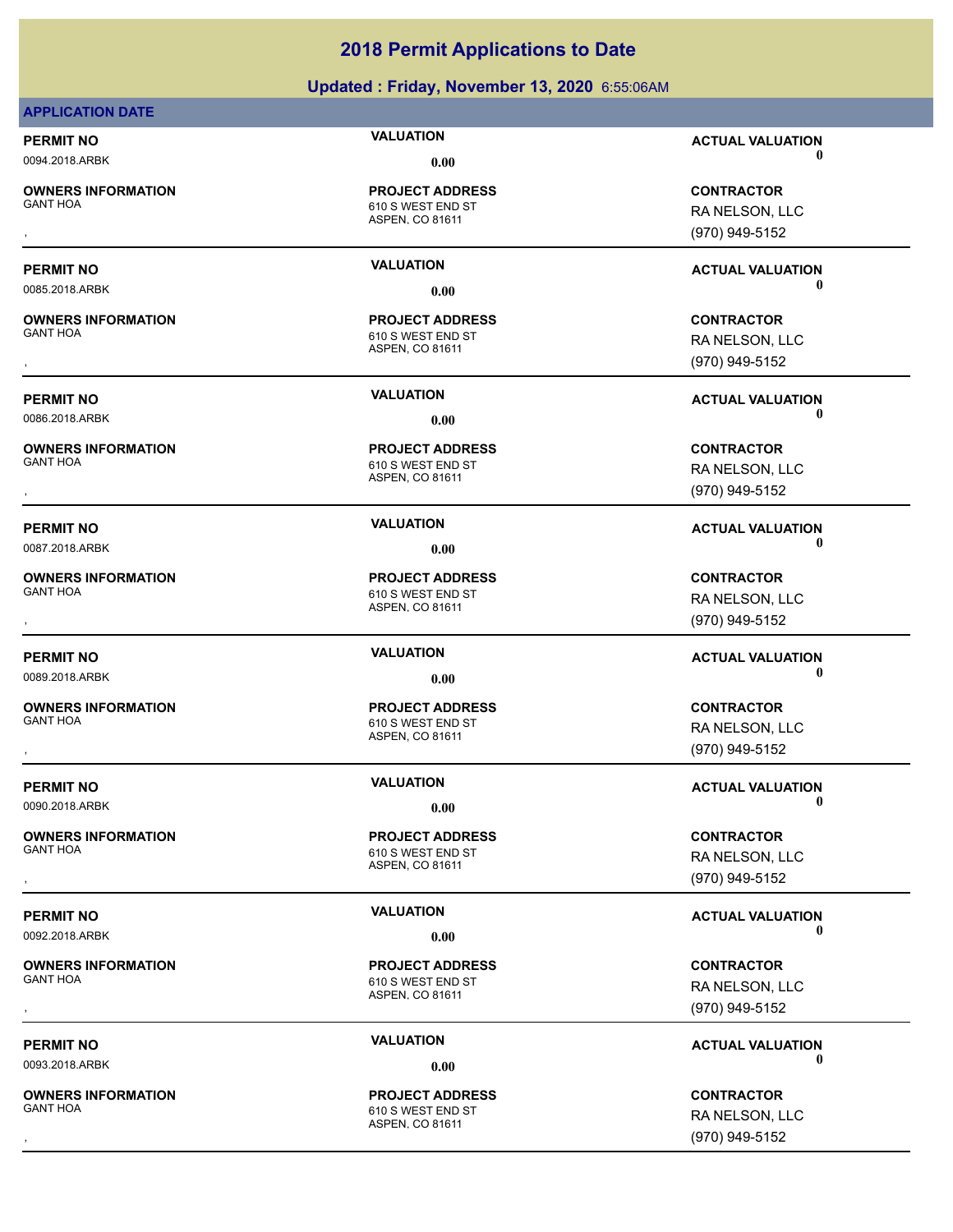# **Updated : Friday, November 13, 2020** 6:55:06AM

| <b>APPLICATION DATE</b>                      |                                             |                              |
|----------------------------------------------|---------------------------------------------|------------------------------|
| <b>PERMIT NO</b>                             | <b>VALUATION</b>                            | <b>ACTUAL VALUATION</b>      |
| 0094.2018.ARBK                               | 0.00                                        | 0                            |
| <b>OWNERS INFORMATION</b>                    | <b>PROJECT ADDRESS</b>                      | <b>CONTRACTOR</b>            |
| <b>GANT HOA</b>                              | 610 S WEST END ST                           | RA NELSON, LLC               |
|                                              | ASPEN, CO 81611                             | (970) 949-5152               |
|                                              |                                             |                              |
| <b>PERMIT NO</b>                             | <b>VALUATION</b>                            | <b>ACTUAL VALUATION</b>      |
| 0085.2018.ARBK                               | 0.00                                        | 0                            |
|                                              |                                             | <b>CONTRACTOR</b>            |
| <b>OWNERS INFORMATION</b><br><b>GANT HOA</b> | <b>PROJECT ADDRESS</b><br>610 S WEST END ST |                              |
|                                              | ASPEN, CO 81611                             | RA NELSON, LLC               |
|                                              |                                             | (970) 949-5152               |
| <b>PERMIT NO</b>                             | <b>VALUATION</b>                            | <b>ACTUAL VALUATION</b>      |
| 0086.2018.ARBK                               | 0.00                                        | 0                            |
|                                              |                                             |                              |
| <b>OWNERS INFORMATION</b><br><b>GANT HOA</b> | <b>PROJECT ADDRESS</b>                      | <b>CONTRACTOR</b>            |
|                                              | 610 S WEST END ST<br>ASPEN, CO 81611        | RA NELSON, LLC               |
|                                              |                                             | (970) 949-5152               |
| <b>PERMIT NO</b>                             | <b>VALUATION</b>                            |                              |
| 0087.2018.ARBK                               | 0.00                                        | <b>ACTUAL VALUATION</b><br>0 |
|                                              |                                             |                              |
| <b>OWNERS INFORMATION</b><br><b>GANT HOA</b> | <b>PROJECT ADDRESS</b>                      | <b>CONTRACTOR</b>            |
|                                              | 610 S WEST END ST<br>ASPEN, CO 81611        | RA NELSON, LLC               |
|                                              |                                             | (970) 949-5152               |
| <b>PERMIT NO</b>                             | <b>VALUATION</b>                            | <b>ACTUAL VALUATION</b>      |
| 0089.2018.ARBK                               | 0.00                                        | 0                            |
|                                              |                                             |                              |
| <b>OWNERS INFORMATION</b><br><b>GANT HOA</b> | <b>PROJECT ADDRESS</b><br>610 S WEST END ST | <b>CONTRACTOR</b>            |
|                                              | ASPEN, CO 81611                             | RA NELSON, LLC               |
|                                              |                                             | (970) 949-5152               |
| <b>PERMIT NO</b>                             | <b>VALUATION</b>                            | <b>ACTUAL VALUATION</b>      |
| 0090.2018.ARBK                               | 0.00                                        | $\mathbf 0$                  |
|                                              |                                             |                              |
| <b>OWNERS INFORMATION</b><br><b>GANT HOA</b> | <b>PROJECT ADDRESS</b>                      | <b>CONTRACTOR</b>            |
|                                              | 610 S WEST END ST<br>ASPEN, CO 81611        | RA NELSON, LLC               |
|                                              |                                             | (970) 949-5152               |
| <b>PERMIT NO</b>                             | <b>VALUATION</b>                            |                              |
| 0092.2018.ARBK                               | 0.00                                        | <b>ACTUAL VALUATION</b><br>0 |
|                                              |                                             |                              |
| <b>OWNERS INFORMATION</b><br><b>GANT HOA</b> | <b>PROJECT ADDRESS</b>                      | <b>CONTRACTOR</b>            |
|                                              | 610 S WEST END ST<br><b>ASPEN. CO 81611</b> | RA NELSON, LLC               |
|                                              |                                             | (970) 949-5152               |
| <b>PERMIT NO</b>                             | <b>VALUATION</b>                            | <b>ACTUAL VALUATION</b>      |
| 0093.2018.ARBK                               | 0.00                                        | U                            |
|                                              |                                             |                              |
| <b>OWNERS INFORMATION</b><br><b>GANT HOA</b> | <b>PROJECT ADDRESS</b><br>610 S WEST END ST | <b>CONTRACTOR</b>            |
|                                              | ASPEN, CO 81611                             | RA NELSON, LLC               |
|                                              |                                             | (970) 949-5152               |

RA NELSON, LLC (970) 949-5152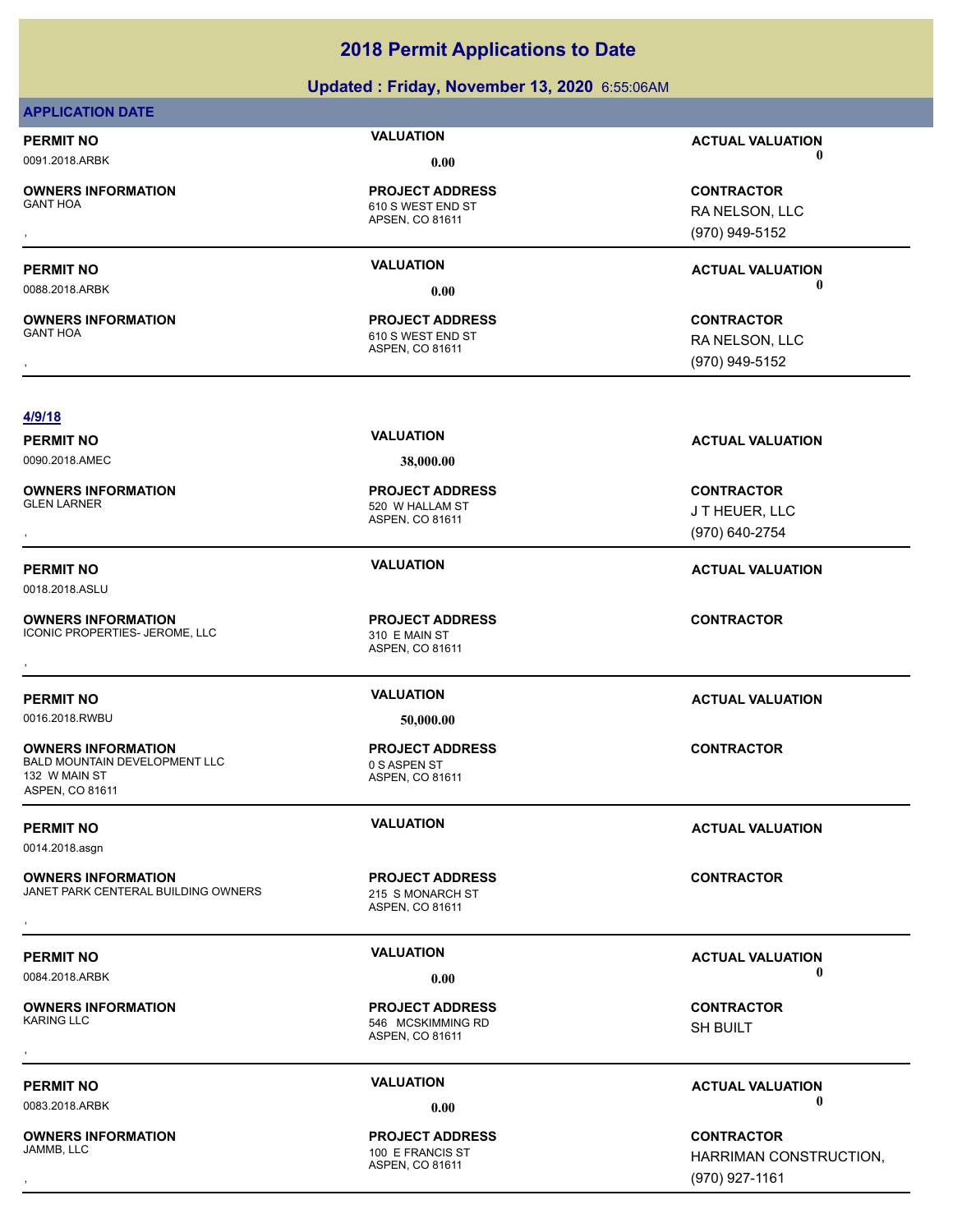# **Updated : Friday, November 13, 2020** 6:55:06AM

| <b>APPLICATION DATE</b>                                                                                      |                                                                |                                                               |
|--------------------------------------------------------------------------------------------------------------|----------------------------------------------------------------|---------------------------------------------------------------|
| <b>PERMIT NO</b>                                                                                             | <b>VALUATION</b>                                               | <b>ACTUAL VALUATION</b>                                       |
| 0091.2018.ARBK                                                                                               | 0.00                                                           | 0                                                             |
| <b>OWNERS INFORMATION</b><br><b>GANT HOA</b>                                                                 | <b>PROJECT ADDRESS</b><br>610 S WEST END ST<br>APSEN, CO 81611 | <b>CONTRACTOR</b><br>RA NELSON, LLC<br>(970) 949-5152         |
| <b>PERMIT NO</b>                                                                                             | <b>VALUATION</b>                                               | <b>ACTUAL VALUATION</b>                                       |
| 0088.2018.ARBK                                                                                               | 0.00                                                           | 0                                                             |
| <b>OWNERS INFORMATION</b><br><b>GANT HOA</b>                                                                 | <b>PROJECT ADDRESS</b><br>610 S WEST END ST<br>ASPEN, CO 81611 | <b>CONTRACTOR</b><br>RA NELSON, LLC<br>(970) 949-5152         |
| 4/9/18                                                                                                       |                                                                |                                                               |
| <b>PERMIT NO</b>                                                                                             | <b>VALUATION</b>                                               | <b>ACTUAL VALUATION</b>                                       |
| 0090.2018.AMEC                                                                                               | 38,000.00                                                      |                                                               |
| <b>OWNERS INFORMATION</b><br><b>GLEN LARNER</b>                                                              | <b>PROJECT ADDRESS</b><br>520 W HALLAM ST<br>ASPEN, CO 81611   | <b>CONTRACTOR</b><br>JT HEUER, LLC<br>(970) 640-2754          |
| <b>PERMIT NO</b>                                                                                             | <b>VALUATION</b>                                               | <b>ACTUAL VALUATION</b>                                       |
| 0018.2018.ASLU                                                                                               |                                                                |                                                               |
| <b>OWNERS INFORMATION</b><br>ICONIC PROPERTIES- JEROME, LLC                                                  | <b>PROJECT ADDRESS</b><br>310 E MAIN ST<br>ASPEN, CO 81611     | <b>CONTRACTOR</b>                                             |
| <b>PERMIT NO</b>                                                                                             | <b>VALUATION</b>                                               | <b>ACTUAL VALUATION</b>                                       |
| 0016.2018.RWBU                                                                                               | 50,000.00                                                      |                                                               |
| <b>OWNERS INFORMATION</b><br><b>BALD MOUNTAIN DEVELOPMENT LLC</b><br>132 W MAIN ST<br><b>ASPEN, CO 81611</b> | <b>PROJECT ADDRESS</b><br>0 S ASPEN ST<br>ASPEN, CO 81611      | <b>CONTRACTOR</b>                                             |
| <b>PERMIT NO</b><br>0014.2018.asgn                                                                           | <b>VALUATION</b>                                               | <b>ACTUAL VALUATION</b>                                       |
| <b>OWNERS INFORMATION</b><br>JANET PARK CENTERAL BUILDING OWNERS                                             | <b>PROJECT ADDRESS</b><br>215 S MONARCH ST<br>ASPEN, CO 81611  | <b>CONTRACTOR</b>                                             |
| <b>PERMIT NO</b>                                                                                             | <b>VALUATION</b>                                               | <b>ACTUAL VALUATION</b>                                       |
| 0084.2018.ARBK                                                                                               | 0.00                                                           | 0                                                             |
| <b>OWNERS INFORMATION</b><br><b>KARING LLC</b>                                                               | <b>PROJECT ADDRESS</b><br>546 MCSKIMMING RD<br>ASPEN, CO 81611 | <b>CONTRACTOR</b><br>SH BUILT                                 |
| <b>PERMIT NO</b>                                                                                             | <b>VALUATION</b>                                               | <b>ACTUAL VALUATION</b>                                       |
| 0083.2018.ARBK                                                                                               | 0.00                                                           | 0                                                             |
| <b>OWNERS INFORMATION</b><br>JAMMB, LLC                                                                      | <b>PROJECT ADDRESS</b><br>100 E FRANCIS ST<br>ASPEN, CO 81611  | <b>CONTRACTOR</b><br>HARRIMAN CONSTRUCTION,<br>(970) 927-1161 |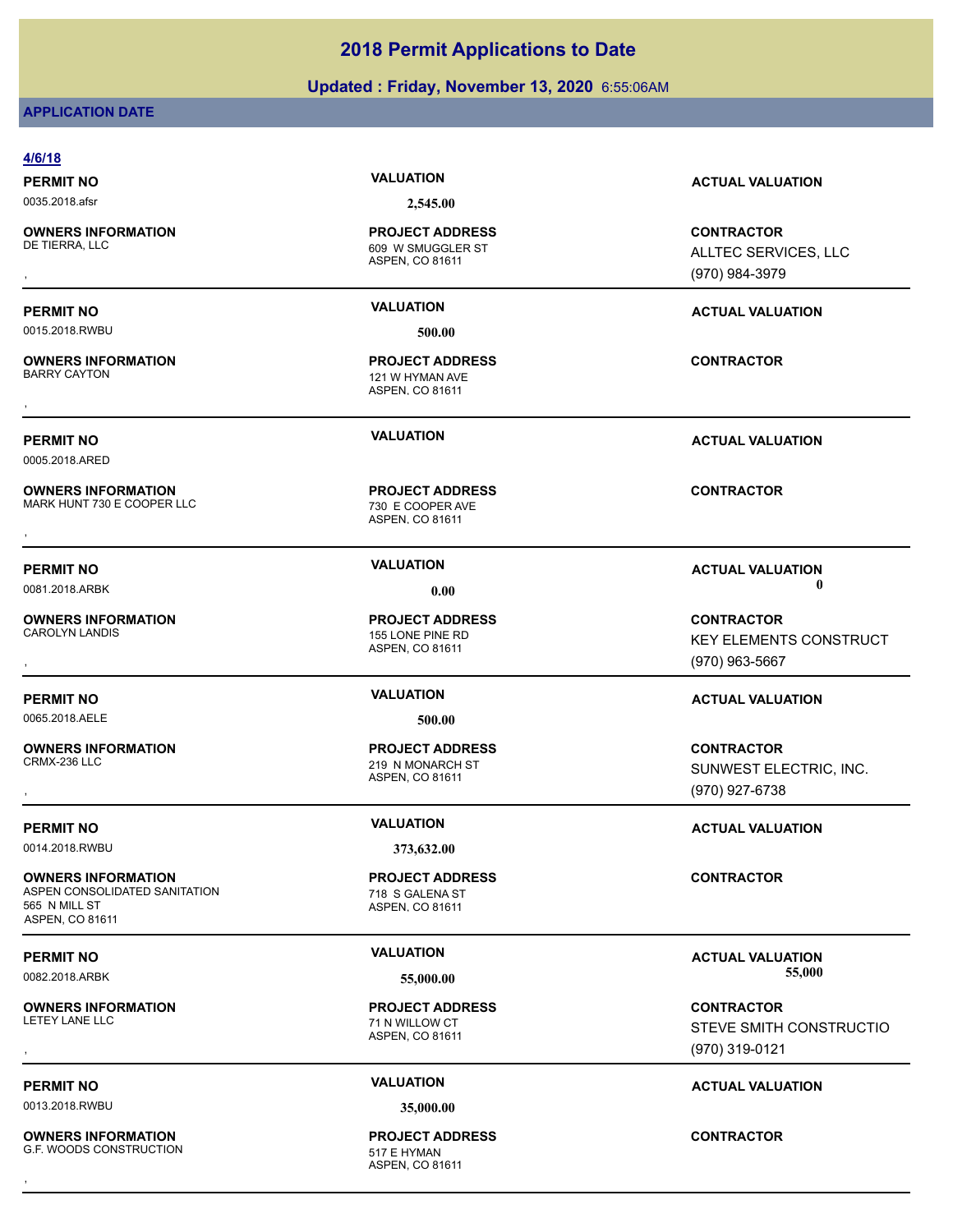# **Updated : Friday, November 13, 2020** 6:55:06AM

# **APPLICATION DATE**

| 4/6/18                                                                                         |                                                                |                                                                        |
|------------------------------------------------------------------------------------------------|----------------------------------------------------------------|------------------------------------------------------------------------|
| <b>PERMIT NO</b>                                                                               | <b>VALUATION</b>                                               | <b>ACTUAL VALUATION</b>                                                |
| 0035.2018.afsr                                                                                 | 2,545.00                                                       |                                                                        |
| <b>OWNERS INFORMATION</b><br>DE TIERRA, LLC                                                    | <b>PROJECT ADDRESS</b><br>609 W SMUGGLER ST<br>ASPEN, CO 81611 | <b>CONTRACTOR</b><br>ALLTEC SERVICES, LLC<br>(970) 984-3979            |
| <b>PERMIT NO</b>                                                                               | <b>VALUATION</b>                                               | <b>ACTUAL VALUATION</b>                                                |
| 0015.2018.RWBU                                                                                 | 500.00                                                         |                                                                        |
| <b>OWNERS INFORMATION</b><br><b>BARRY CAYTON</b>                                               | <b>PROJECT ADDRESS</b><br>121 W HYMAN AVE<br>ASPEN, CO 81611   | <b>CONTRACTOR</b>                                                      |
| <b>PERMIT NO</b><br>0005.2018.ARED                                                             | <b>VALUATION</b>                                               | <b>ACTUAL VALUATION</b>                                                |
| <b>OWNERS INFORMATION</b><br>MARK HUNT 730 E COOPER LLC                                        | <b>PROJECT ADDRESS</b><br>730 E COOPER AVE<br>ASPEN, CO 81611  | <b>CONTRACTOR</b>                                                      |
| <b>PERMIT NO</b><br>0081.2018.ARBK                                                             | <b>VALUATION</b><br>0.00                                       | <b>ACTUAL VALUATION</b><br>0                                           |
| <b>OWNERS INFORMATION</b><br><b>CAROLYN LANDIS</b>                                             | <b>PROJECT ADDRESS</b><br>155 LONE PINE RD<br>ASPEN, CO 81611  | <b>CONTRACTOR</b><br><b>KEY ELEMENTS CONSTRUCT</b><br>$(970)$ 963-5667 |
| <b>PERMIT NO</b>                                                                               | <b>VALUATION</b>                                               | <b>ACTUAL VALUATION</b>                                                |
| 0065.2018.AELE                                                                                 | 500.00                                                         |                                                                        |
| <b>OWNERS INFORMATION</b><br>CRMX-236 LLC                                                      | <b>PROJECT ADDRESS</b><br>219 N MONARCH ST<br>ASPEN, CO 81611  | <b>CONTRACTOR</b><br>SUNWEST ELECTRIC, INC.<br>(970) 927-6738          |
| <b>PERMIT NO</b>                                                                               | <b>VALUATION</b>                                               | <b>ACTUAL VALUATION</b>                                                |
| 0014.2018.RWBU                                                                                 | 373,632.00                                                     |                                                                        |
| <b>OWNERS INFORMATION</b><br>ASPEN CONSOLIDATED SANITATION<br>565 N MILL ST<br>ASPEN, CO 81611 | <b>PROJECT ADDRESS</b><br>718 S GALENA ST<br>ASPEN, CO 81611   | <b>CONTRACTOR</b>                                                      |
| <b>PERMIT NO</b>                                                                               | <b>VALUATION</b>                                               | <b>ACTUAL VALUATION</b>                                                |
| 0082.2018.ARBK                                                                                 | 55,000.00                                                      | 55,000                                                                 |
| <b>OWNERS INFORMATION</b><br>LETEY LANE LLC                                                    | <b>PROJECT ADDRESS</b><br>71 N WILLOW CT<br>ASPEN, CO 81611    | <b>CONTRACTOR</b><br>STEVE SMITH CONSTRUCTIO<br>(970) 319-0121         |
| <b>PERMIT NO</b>                                                                               | <b>VALUATION</b>                                               | <b>ACTUAL VALUATION</b>                                                |
| 0013.2018.RWBU                                                                                 | 35,000.00                                                      |                                                                        |
| <b>OWNERS INFORMATION</b><br>G.F. WOODS CONSTRUCTION                                           | <b>PROJECT ADDRESS</b><br>517 E HYMAN<br>ASPEN, CO 81611       | <b>CONTRACTOR</b>                                                      |
|                                                                                                |                                                                |                                                                        |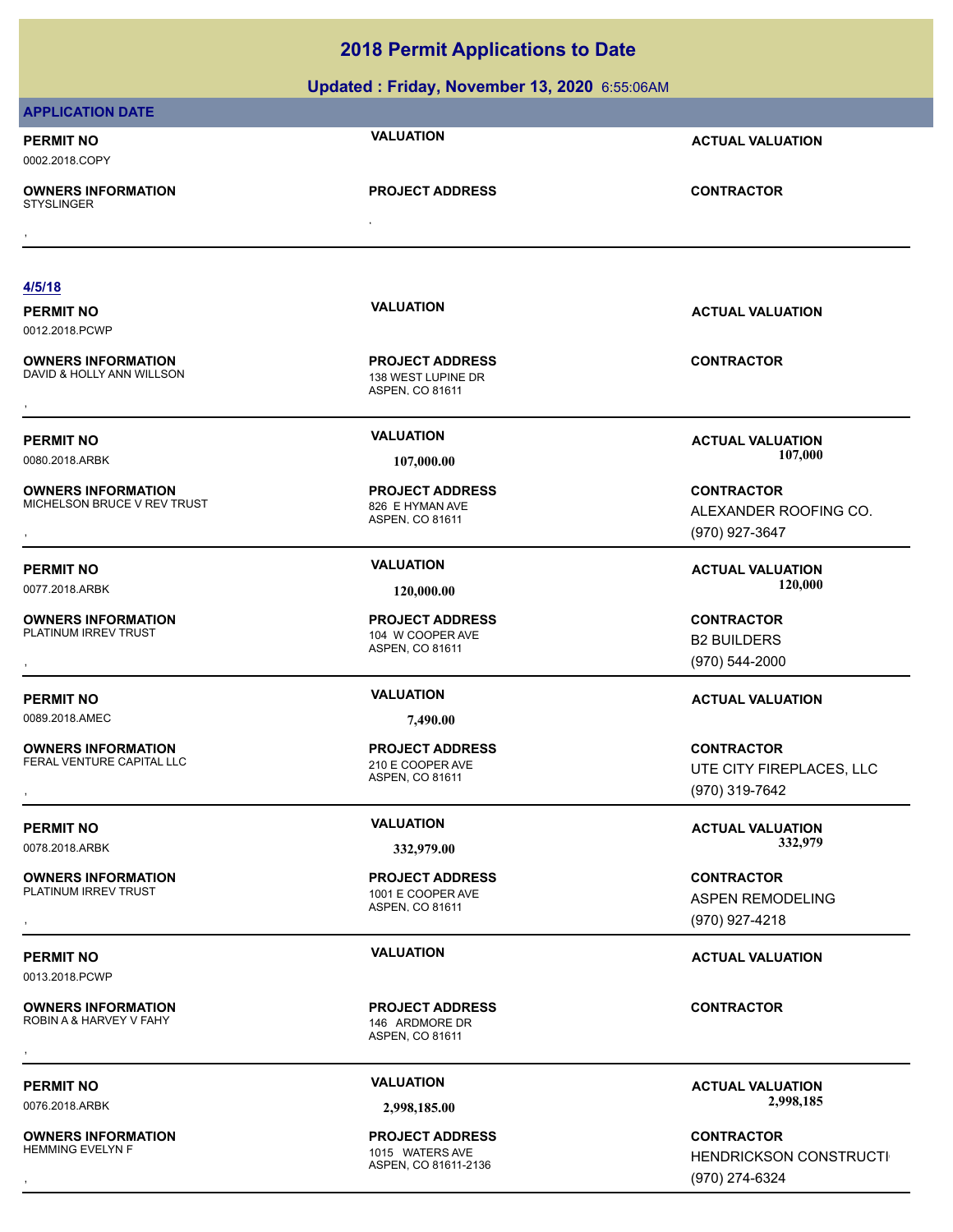**Updated : Friday, November 13, 2020** 6:55:06AM

| <b>APPLICATION DATE</b>                                |                                                                 |                                                    |
|--------------------------------------------------------|-----------------------------------------------------------------|----------------------------------------------------|
| <b>PERMIT NO</b><br>0002.2018.COPY                     | <b>VALUATION</b>                                                | <b>ACTUAL VALUATION</b>                            |
| <b>OWNERS INFORMATION</b><br><b>STYSLINGER</b>         | <b>PROJECT ADDRESS</b>                                          | <b>CONTRACTOR</b>                                  |
|                                                        |                                                                 |                                                    |
| 4/5/18                                                 |                                                                 |                                                    |
| <b>PERMIT NO</b>                                       | <b>VALUATION</b>                                                | <b>ACTUAL VALUATION</b>                            |
| 0012.2018.PCWP                                         |                                                                 |                                                    |
| <b>OWNERS INFORMATION</b><br>DAVID & HOLLY ANN WILLSON | <b>PROJECT ADDRESS</b><br>138 WEST LUPINE DR<br>ASPEN, CO 81611 | <b>CONTRACTOR</b>                                  |
| <b>PERMIT NO</b>                                       | <b>VALUATION</b>                                                | <b>ACTUAL VALUATION</b>                            |
| 0080.2018.ARBK                                         | 107,000.00                                                      | 107,000                                            |
| <b>OWNERS INFORMATION</b>                              | <b>PROJECT ADDRESS</b>                                          | <b>CONTRACTOR</b>                                  |
| MICHELSON BRUCE V REV TRUST                            | 826 E HYMAN AVE                                                 | ALEXANDER ROOFING CO.                              |
|                                                        | ASPEN, CO 81611                                                 | (970) 927-3647                                     |
|                                                        | <b>VALUATION</b>                                                |                                                    |
| <b>PERMIT NO</b>                                       |                                                                 | <b>ACTUAL VALUATION</b><br>120,000                 |
| 0077.2018.ARBK                                         | 120,000.00                                                      |                                                    |
| <b>OWNERS INFORMATION</b>                              | <b>PROJECT ADDRESS</b>                                          | <b>CONTRACTOR</b>                                  |
| PLATINUM IRREV TRUST                                   | 104 W COOPER AVE<br>ASPEN, CO 81611                             | <b>B2 BUILDERS</b>                                 |
|                                                        |                                                                 | (970) 544-2000                                     |
| <b>PERMIT NO</b>                                       | <b>VALUATION</b>                                                | <b>ACTUAL VALUATION</b>                            |
| 0089.2018.AMEC                                         | 7,490.00                                                        |                                                    |
| <b>OWNERS INFORMATION</b>                              | <b>PROJECT ADDRESS</b>                                          | <b>CONTRACTOR</b>                                  |
| FERAL VENTURE CAPITAL LLC                              | 210 E COOPER AVE                                                | UTE CITY FIREPLACES, LLC                           |
|                                                        | ASPEN, CO 81611                                                 | (970) 319-7642                                     |
|                                                        | <b>VALUATION</b>                                                |                                                    |
| <b>PERMIT NO</b>                                       |                                                                 | <b>ACTUAL VALUATION</b><br>332,979                 |
| 0078.2018.ARBK                                         | 332,979.00                                                      |                                                    |
| <b>OWNERS INFORMATION</b>                              | <b>PROJECT ADDRESS</b>                                          | <b>CONTRACTOR</b>                                  |
| PLATINUM IRREV TRUST                                   | 1001 E COOPER AVE<br>ASPEN, CO 81611                            | ASPEN REMODELING                                   |
|                                                        |                                                                 | (970) 927-4218                                     |
| <b>PERMIT NO</b><br>0013.2018.PCWP                     | <b>VALUATION</b>                                                | <b>ACTUAL VALUATION</b>                            |
| <b>OWNERS INFORMATION</b><br>ROBIN A & HARVEY V FAHY   | <b>PROJECT ADDRESS</b><br>146 ARDMORE DR<br>ASPEN, CO 81611     | <b>CONTRACTOR</b>                                  |
| <b>PERMIT NO</b>                                       | <b>VALUATION</b>                                                | <b>ACTUAL VALUATION</b>                            |
| 0076.2018.ARBK                                         | 2,998,185.00                                                    | 2,998,185                                          |
|                                                        |                                                                 |                                                    |
| <b>OWNERS INFORMATION</b><br><b>HEMMING EVELYN F</b>   | <b>PROJECT ADDRESS</b><br>1015 WATERS AVE                       | <b>CONTRACTOR</b><br><b>HENDRICKSON CONSTRUCTI</b> |
|                                                        | ASPEN, CO 81611-2136                                            | (970) 274-6324                                     |
|                                                        |                                                                 |                                                    |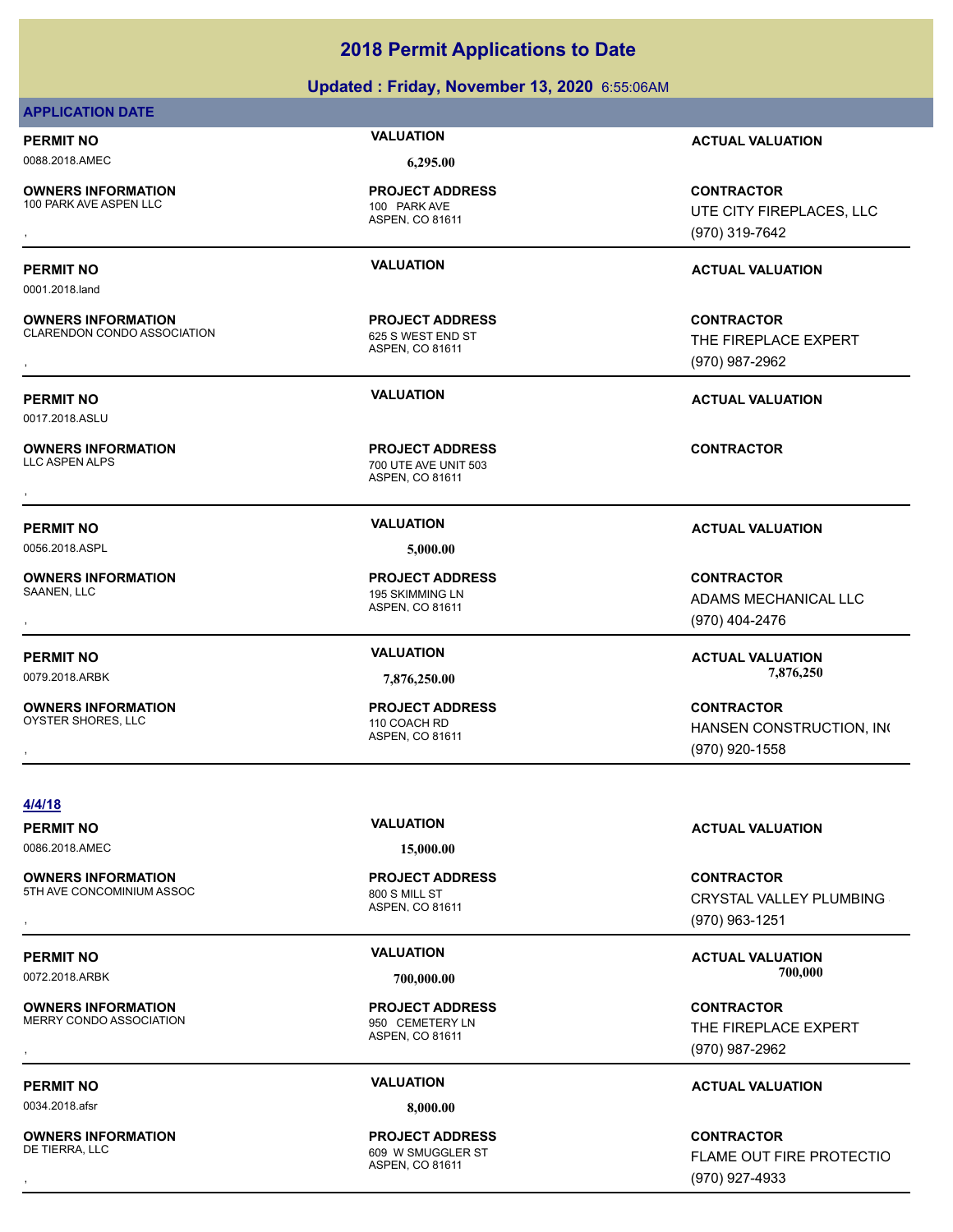# **Updated : Friday, November 13, 2020** 6:55:06AM

# **APPLICATION DATE**

0001.2018.land

0017.2018.ASLU

0088.2018.AMEC **6,295.00**

**OWNERS INFORMATION** 100 PARK AVE ASPEN LLC 100 PARK AVE

**OWNERS INFORMATION**

**OWNERS INFORMATION**

**OWNERS INFORMATION**

**OWNERS INFORMATION**

**PROJECT ADDRESS**

ASPEN, CO 81611

ASPEN, CO 81611 CLARENDON CONDO ASSOCIATION 625 S WEST END ST **PROJECT ADDRESS**

ASPEN, CO 81611 700 UTE AVE UNIT 503 **PROJECT ADDRESS OWNERS INFORMATION CONTRACTOR PROJECT ADDRESS CONTRACTOR**<br>
LLC ASPEN ALPS<br>
ASPEN, CO 81611<br>
ASPEN, CO 81611

0056.2018.ASPL **5,000.00**

ASPEN, CO 81611 195 SKIMMING LN **PROJECT ADDRESS**

ASPEN, CO 81611 OYSTER SHORES, LLC 110 COACH RD **PROJECT ADDRESS**

**PERMIT NO VALUATION ACTUAL VALUATION**

**OWNERS INFORMATION PROJECT ADDRESS CONTRACTOR**<br>100 PARK AVE ASPEN LLC 100 PARK AVE UTE CITY FIREPLACES, LLC<br>, ASPEN, CO 81611 UTE CITY FIREPLACES, LLC (970) 319-7642

# **PERMIT NO VALUATION ACTUAL VALUATION**

**OWNERS INFORMATION METALLY CONTRACTOR**<br>CLARENDON CONDO ASSOCIATION THE FIREPLACE EXPERT<br>ASPEN. CO 81611 ASPEN. 1970) 987-2962 THE FIREPLACE EXPERT (970) 987-2962

**PERMIT NO VALUATION ACTUAL VALUATION**

# **PERMIT NO VALUATION ACTUAL VALUATION**

, **CONTRACTOR** ADAMS MECHANICAL LLC (970) 404-2476

**PERMIT NO VALUATION VALUATION VALUATION** 0079.2018.ARBK **7,876,250.00 7,876,250.00**

, **CONTRACTOR** HANSEN CONSTRUCTION, INC (970) 920-1558

**4/4/18**

# 0086.2018.AMEC **15,000.00**

**OWNERS INFORMATION** 5TH AVE CONCOMINIUM ASSOC 800 S MILL ST

**OWNERS INFORMATION** MERRY CONDO ASSOCIATION 850 CEMETERY LN

0034.2018.afsr **8,000.00**

**OWNERS INFORMATION**

ASPEN, CO 81611 **PROJECT ADDRESS**

ASPEN, CO 81611 **PROJECT ADDRESS**

ASPEN, CO 81611 609 W SMUGGLER ST **PROJECT ADDRESS**

**PERMIT NO VALUATION ACTUAL VALUATION**

, **CONTRACTOR** CRYSTAL VALLEY PLUMBING (970) 963-1251

# **PERMIT NO VALUATION ACTUAL VALUATION** 0072.2018.ARBK **700,000.00 700,000.00**

, **CONTRACTOR** THE FIREPLACE EXPERT (970) 987-2962

# **PERMIT NO VALUATION ACTUAL VALUATION**

, **CONTRACTOR** FLAME OUT FIRE PROTECTIO (970) 927-4933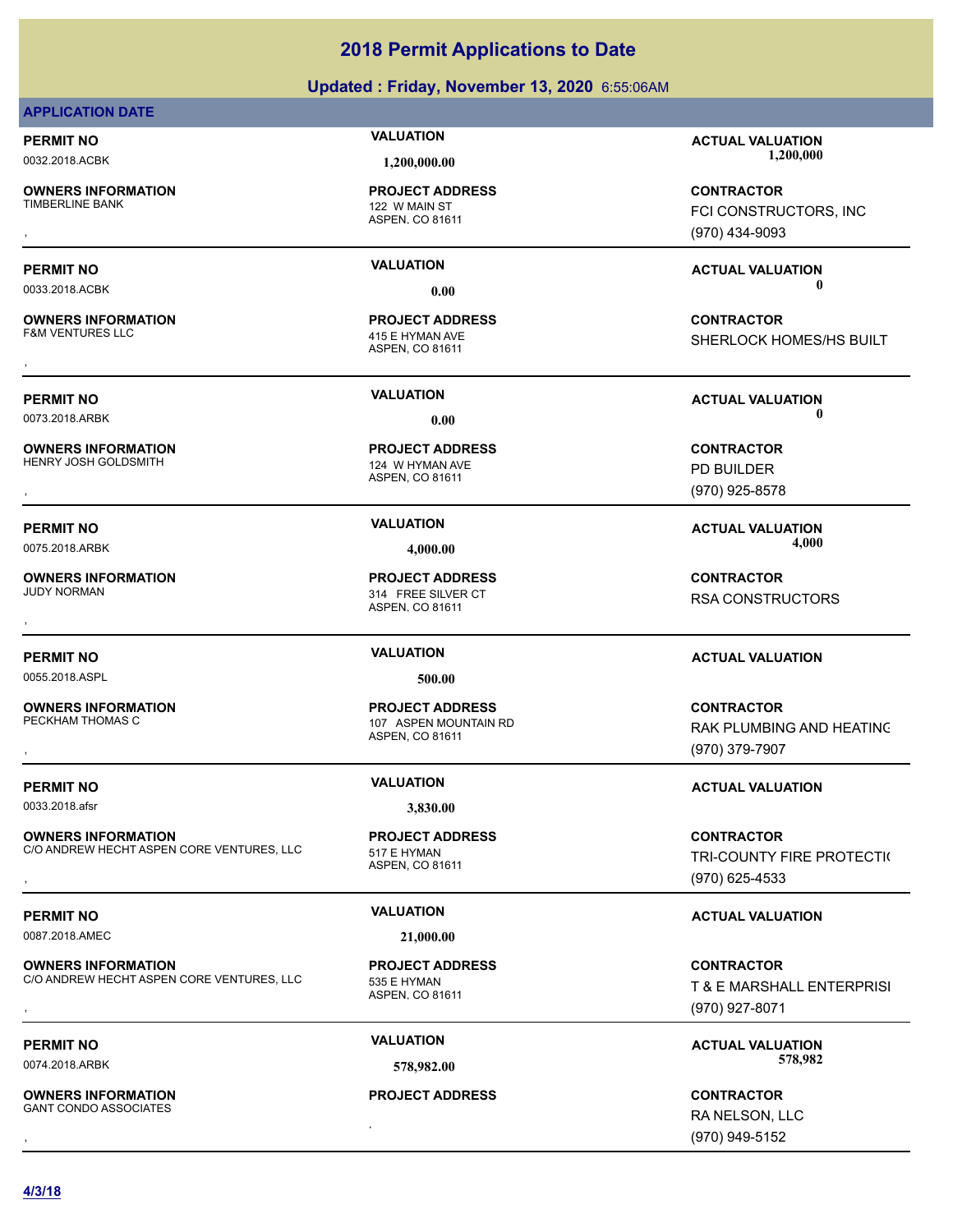# **Updated : Friday, November 13, 2020** 6:55:06AM

# **APPLICATION DATE**

**OWNERS INFORMATION**

**OWNERS INFORMATION**

**OWNERS INFORMATION**<br>HENRY JOSH GOLDSMITH

**OWNERS INFORMATION**

0055.2018.ASPL **500.00**

**OWNERS INFORMATION** PECKHAM THOMAS C 107 ASPEN MOUNTAIN RD

0033.2018.afsr **3,830.00**

**OWNERS INFORMATION** C/O ANDREW HECHT ASPEN CORE VENTURES, LLC 517 F HYMAN

0087.2018.AMEC **21,000.00**

**OWNERS INFORMATION** C/O ANDREW HECHT ASPEN CORE VENTURES, LLC 535 E HYMAN

, **OWNERS INFORMATION** GANT CONDO ASSOCIATES

ASPEN, CO 81611 122 W MAIN ST **PROJECT ADDRESS**

ASPEN, CO 81611 415 E HYMAN AVE **PROJECT ADDRESS**

ASPEN, CO 81611 124 W HYMAN AVE **PROJECT ADDRESS OWNERS INFORMATION PROJECT ADDRESS CONTRACTOR**<br>HENRY JOSH GOLDSMITH 124 W HYMAN AVE PD BUILDER<br>, ASPEN, CO 81611

ASPEN, CO 81611 314 FREE SILVER CT **PROJECT ADDRESS**

ASPEN, CO 81611

**PROJECT ADDRESS**

ASPEN, CO 81611 **PROJECT ADDRESS**

**PROJECT ADDRESS**

**PERMIT NO VALUATION ACTUAL VALUATION** 0032.2018.ACBK **1,200,000.00 1,200,000.00**

, **CONTRACTOR** FCI CONSTRUCTORS, INC (970) 434-9093

SHERLOCK HOMES/HS BUILT

**PERMIT NO VALUATION ACTUAL VALUATION**

(970) 925-8578

0075.2018.ARBK **4,000.00 4,000.00**

, **CONTRACTOR** RSA CONSTRUCTORS

# **PERMIT NO VALUATION ACTUAL VALUATION**

**OWNERS INFORMATION PROJECT ADDRESS CONTRACTOR**<br>PECKHAM THOMAS C 107  ASPEN MOUNTAIN RD RAK PLUMBING AND HEATINC<br>, ASPEN, CO 81611 RAK PLUMBING AND HEATING (970) 379-7907

# **PERMIT NO VALUATION VALUATION VALUATION**

**OWNERS INFORMATION CORE VENTURES, LLC FROJECT ADDRESS FROM THE CONTRACTOR CONTRACTOR**<br>C/O ANDREW HECHT ASPEN CORE VENTURES, LLC FROM THE ASPEN. CO 81611<br>, GTO) 625-4533 TRI-COUNTY FIRE PROTECTI( (970) 625-4533

# **PERMIT NO VALUATION VALUATION VALUATION**

**OWNERS INFORMATION CORE VENTURES, LLC FROJECT ADDRESS FOR THE CONTRACTOR**<br>C/O ANDREW HECHT ASPEN CORE VENTURES, LLC FROSIS E HYMAN T & E MARSHALL ENTERPRISI<br>, T & E MARSHALL ENTERPRISI T & E MARSHALL ENTERPRISI (970) 927-8071

PERMIT NO **1999 WALUATION VALUATION CONSUMPTION ACTUAL VALUATION** 0074.2018.ARBK **578,982.00 578,982.00**

, **CONTRACTOR** RA NELSON, LLC (970) 949-5152

**PERMIT NO VALUATION ACTUAL VALUATION** 0033.2018.ACBK **0.00 0.00**

, **CONTRACTOR**

0073.2018.ARBK **0.00 0.00**

PD BUILDER

**PERMIT NO VALUATION VALUATION VALUATION** 

**PROJECT ADDRESS**

ASPEN, CO 81611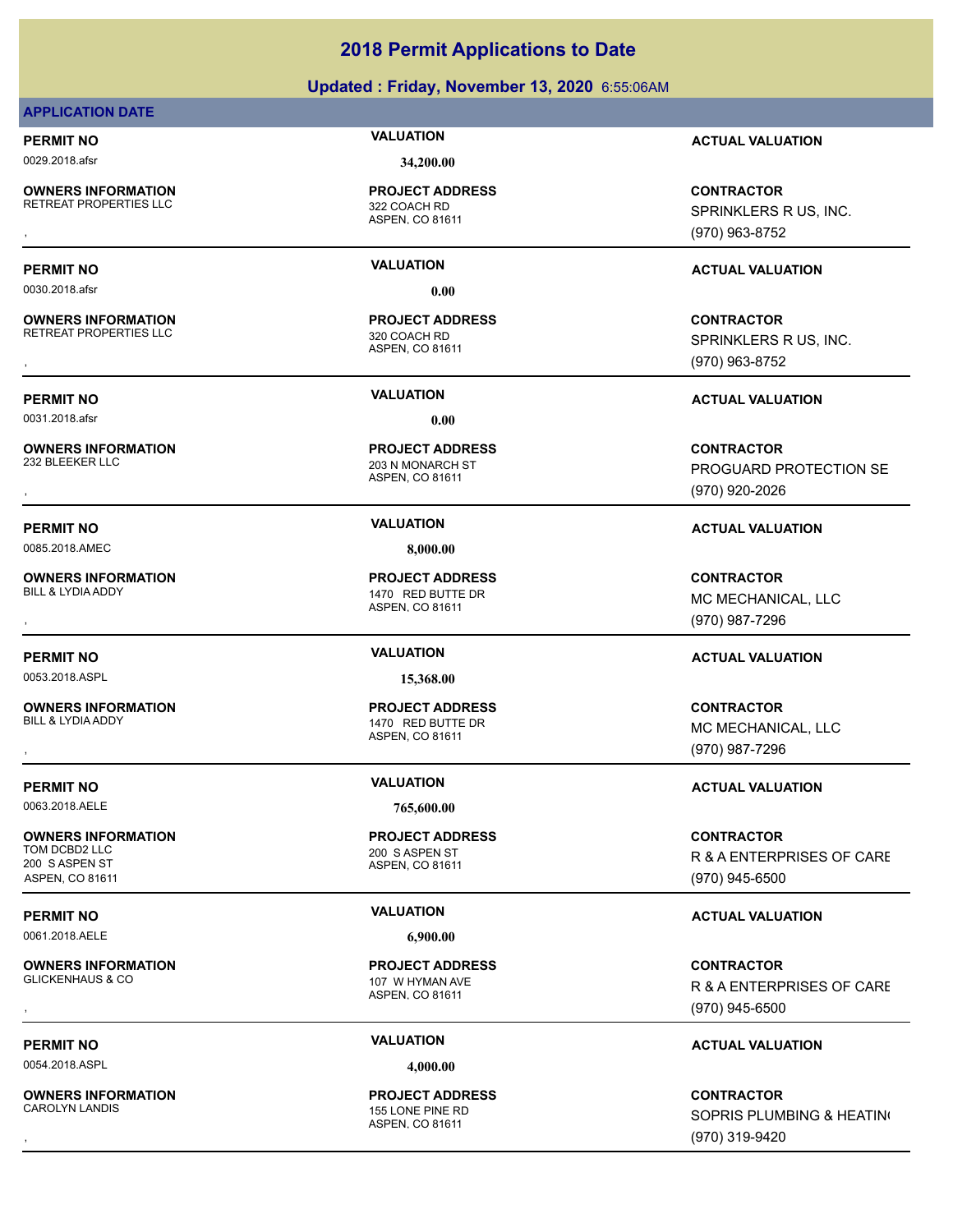# **Updated : Friday, November 13, 2020** 6:55:06AM

# **APPLICATION DATE**

0029.2018.afsr **34,200.00**

**OWNERS INFORMATION** RETREAT PROPERTIES LLC<br>322 COACH RD

**PROJECT ADDRESS**

0030.2018.afsr **0.00**

**OWNERS INFORMATION** RETREAT PROPERTIES LLC 320 COACH RD

0031.2018.afsr **0.00**

**OWNERS INFORMATION**

0085.2018.AMEC **8,000.00**

**OWNERS INFORMATION**

0053.2018.ASPL **15,368.00**

**OWNERS INFORMATION** BILL & LYDIA ADDY 1470 RED BUTTE DR

0063.2018.AELE **765,600.00**

**OWNERS INFORMATION** TOM DCBD2 LLC 200 S ASPEN ST 200 S ASPEN ST ASPEN, CO 81611

0061.2018.AELE **6,900.00**

**OWNERS INFORMATION** GLICKENHAUS & CO 107 W HYMAN AVE

0054.2018.ASPL **4,000.00**

**OWNERS INFORMATION**

ASPEN, CO 81611

ASPEN, CO 81611 **PROJECT ADDRESS**

ASPEN, CO 81611 203 N MONARCH ST **PROJECT ADDRESS**

ASPEN, CO 81611 1470 RED BUTTE DR **PROJECT ADDRESS**

ASPEN, CO 81611 **PROJECT ADDRESS**

ASPEN, CO 81611 **PROJECT ADDRESS**

ASPEN, CO 81611 **PROJECT ADDRESS**

ASPEN, CO 81611 155 LONE PINE RD **PROJECT ADDRESS**

**PERMIT NO VALUATION ACTUAL VALUATION**

**OWNERS INFORMATION GOVERNED BY A SERVICE PROJECT ADDRESS ARE THE CONTRACTOR CONTRACTOR**<br>RETREAT PROPERTIES LLC GOVERNED ASPEN, CO 81611<br>, GOVERNED BY A SPEN, CO 81611 (970) 963-8752 SPRINKLERS R US, INC. (970) 963-8752

# **PERMIT NO VALUATION ACTUAL VALUATION**

**OWNERS INFORMATION GOVERNED BY A SERVICE OF A SERVICE OF A SERVICE OF A SERVICE OF A SPRINKLERS R US, INC.<br>RETREAT PROPERTIES LLC GOVERNED ASPEN. CO 81611 GASPEN A SPRINKLERS R US, INC.<br>, GOVERNED BY A SPEN. CO 81611 GOVE** SPRINKLERS R US, INC. (970) 963-8752

**PERMIT NO VALUATION ACTUAL VALUATION**

, **CONTRACTOR** PROGUARD PROTECTION SE (970) 920-2026

# **PERMIT NO VALUATION ACTUAL VALUATION**

, **CONTRACTOR** MC MECHANICAL, LLC (970) 987-7296

# **PERMIT NO VALUATION ACTUAL VALUATION**

, **CONTRACTOR** MC MECHANICAL, LLC (970) 987-7296

# **PERMIT NO VALUATION VALUATION VALUATION**

**CONTRACTOR** R & A ENTERPRISES OF CARE (970) 945-6500

# **PERMIT NO VALUATION ACTUAL VALUATION**

**OWNERS INFORMATION PROJECT ADDRESS CONTRACTOR**<br>GLICKENHAUS & CO 107 W HYMAN AVE R & A ENTERPRISES OF CARE<br>, ASPEN, CO 81611 R & A ENTERPRISES OF CARE (970) 945-6500

# **PERMIT NO VALUATION ACTUAL VALUATION**

, **CONTRACTOR** SOPRIS PLUMBING & HEATING (970) 319-9420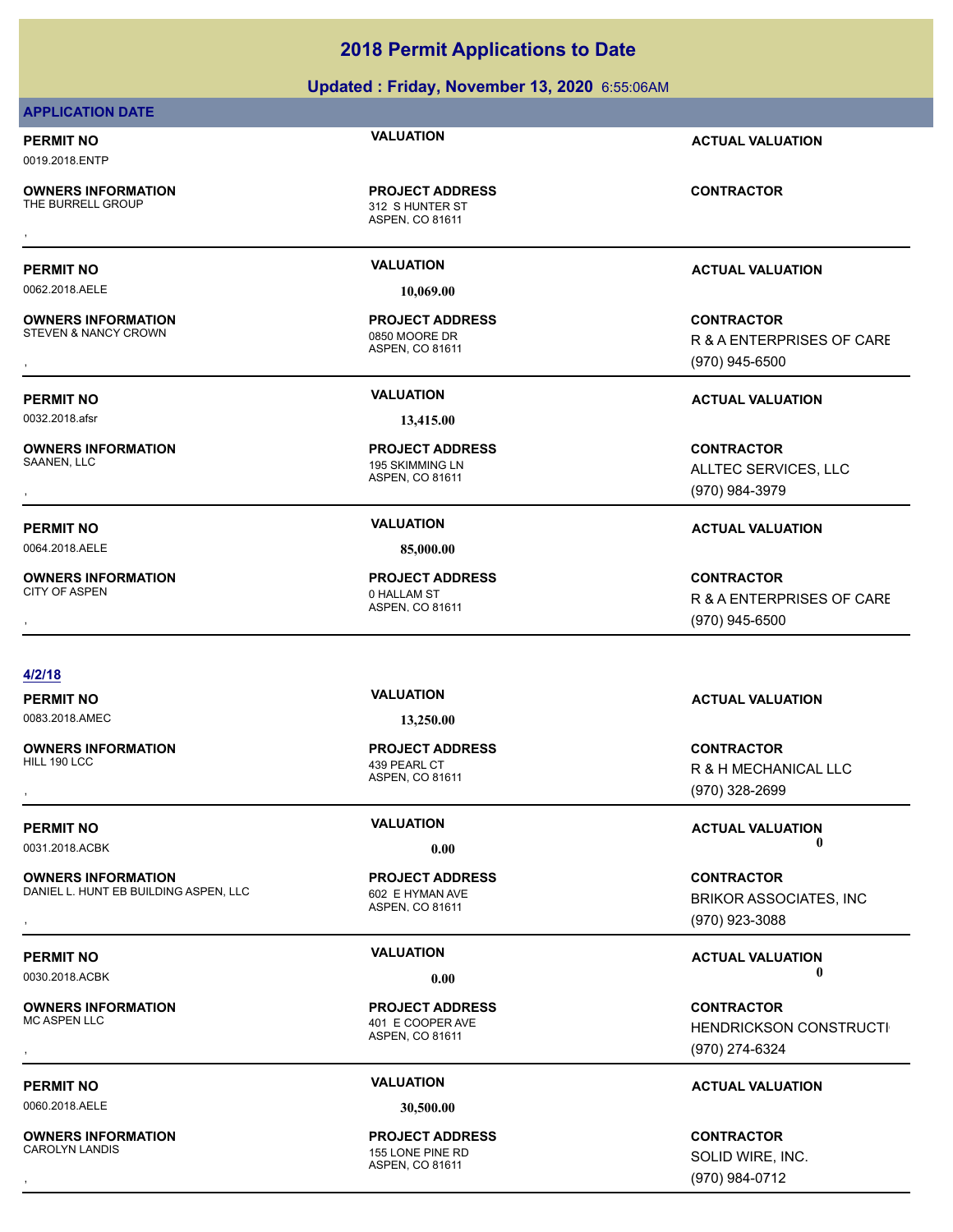# **Updated : Friday, November 13, 2020** 6:55:06AM

# **APPLICATION DATE**

0019.2018.ENTP

**OWNERS INFORMATION**

ASPEN, CO 81611 312 S HUNTER ST **PROJECT ADDRESS OWNERS INFORMATION FROJECT ADDRESS ARE:**<br>THE BURRELL GROUP **CONTRACTOR**<br>ASPEN, CO 81611<br>,

0062.2018.AELE **10,069.00**

**OWNERS INFORMATION** STEVEN & NANCY CROWN 0850 MOORE DR

0032.2018.afsr **13,415.00**

**OWNERS INFORMATION**

0064.2018.AELE **85,000.00**

**OWNERS INFORMATION** CITY OF ASPEN **O HALLAM ST** 

ASPEN, CO 81611 **PROJECT ADDRESS**

ASPEN, CO 81611 195 SKIMMING LN **PROJECT ADDRESS**

ASPEN, CO 81611 **PROJECT ADDRESS**

## **4/2/18**

0083.2018.AMEC **13,250.00**

**OWNERS INFORMATION**

**OWNERS INFORMATION** DANIEL L. HUNT EB BUILDING ASPEN, LLC 602 E HYMAN AVE

**OWNERS INFORMATION**

0060.2018.AELE **30,500.00**

**OWNERS INFORMATION**

ASPEN, CO 81611 439 PEARL CT **PROJECT ADDRESS**

ASPEN, CO 81611 **PROJECT ADDRESS**

ASPEN, CO 81611 401 E COOPER AVE **PROJECT ADDRESS**

ASPEN, CO 81611 155 LONE PINE RD **PROJECT ADDRESS**

**PERMIT NO VALUATION ACTUAL VALUATION**

**PERMIT NO VALUATION ACTUAL VALUATION**

, **CONTRACTOR** R & A ENTERPRISES OF CARE (970) 945-6500

**PERMIT NO VALUATION ACTUAL VALUATION**

, **CONTRACTOR** ALLTEC SERVICES, LLC (970) 984-3979

# **PERMIT NO VALUATION ACTUAL VALUATION**

, **CONTRACTOR** R & A ENTERPRISES OF CARE (970) 945-6500

# **PERMIT NO VALUATION ACTUAL VALUATION**

, **CONTRACTOR** R & H MECHANICAL LLC (970) 328-2699

**PERMIT NO VALUATION VALUATION VALUATION** 0031.2018.ACBK **0.00 0.00**

**OWNERS INFORMATION METALLY CONTRACTOR DESCRIPTION ON MERGUIDE PROJECT ADDRESS ARE:**<br>DANIEL L. HUNT EB BUILDING ASPEN, LLC ASPEN OF ASPEN. CO 81611 **Marshall Contract ASSOCIATES, INC ASSOCIATES**, INC<br>, Marshall Aspen. Co 8 BRIKOR ASSOCIATES, INC (970) 923-3088

**PERMIT NO VALUATION VALUATION VALUATION** 0030.2018.ACBK **0.00 0.00**

, **CONTRACTOR** HENDRICKSON CONSTRUCTI (970) 274-6324

# **PERMIT NO VALUATION ACTUAL VALUATION**

, **CONTRACTOR** SOLID WIRE, INC. (970) 984-0712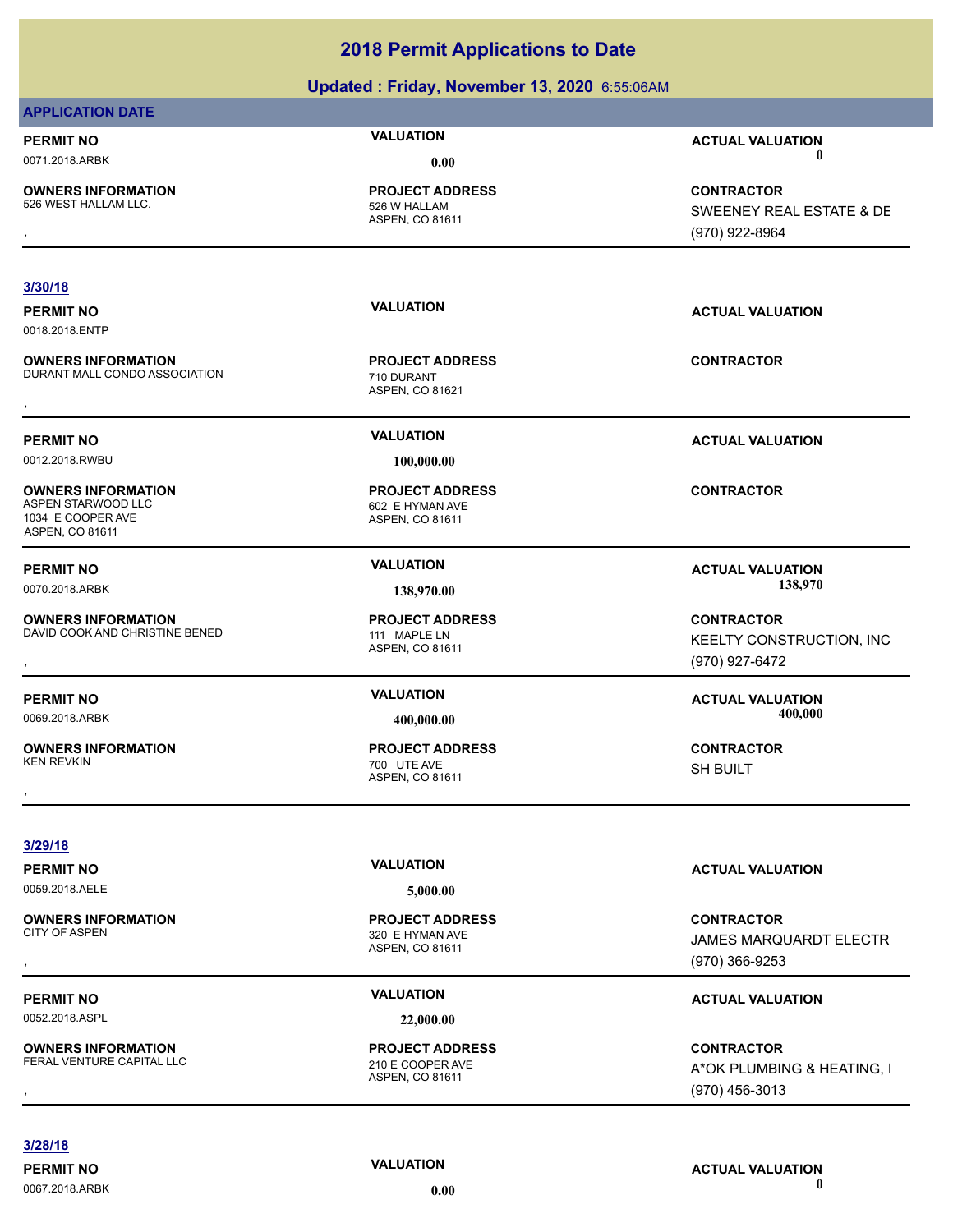# **Updated : Friday, November 13, 2020** 6:55:06AM

| <b>APPLICATION DATE</b>                                                                 |                                                               |                                                                   |
|-----------------------------------------------------------------------------------------|---------------------------------------------------------------|-------------------------------------------------------------------|
| <b>PERMIT NO</b>                                                                        | <b>VALUATION</b>                                              | <b>ACTUAL VALUATION</b>                                           |
| 0071.2018.ARBK                                                                          | 0.00                                                          | $\mathbf 0$                                                       |
| <b>OWNERS INFORMATION</b><br>526 WEST HALLAM LLC.                                       | <b>PROJECT ADDRESS</b><br>526 W HALLAM<br>ASPEN, CO 81611     | <b>CONTRACTOR</b><br>SWEENEY REAL ESTATE & DE<br>(970) 922-8964   |
|                                                                                         |                                                               |                                                                   |
| 3/30/18<br><b>PERMIT NO</b><br>0018.2018.ENTP                                           | <b>VALUATION</b>                                              | <b>ACTUAL VALUATION</b>                                           |
| <b>OWNERS INFORMATION</b><br>DURANT MALL CONDO ASSOCIATION                              | <b>PROJECT ADDRESS</b><br>710 DURANT<br>ASPEN, CO 81621       | <b>CONTRACTOR</b>                                                 |
| <b>PERMIT NO</b><br>0012.2018.RWBU                                                      | <b>VALUATION</b><br>100,000.00                                | <b>ACTUAL VALUATION</b>                                           |
| <b>OWNERS INFORMATION</b><br>ASPEN STARWOOD LLC<br>1034 E COOPER AVE<br>ASPEN, CO 81611 | <b>PROJECT ADDRESS</b><br>602 E HYMAN AVE<br>ASPEN, CO 81611  | <b>CONTRACTOR</b>                                                 |
| <b>PERMIT NO</b>                                                                        | <b>VALUATION</b>                                              | <b>ACTUAL VALUATION</b><br>138,970                                |
| 0070.2018.ARBK                                                                          | 138,970.00                                                    |                                                                   |
| <b>OWNERS INFORMATION</b><br>DAVID COOK AND CHRISTINE BENED                             | <b>PROJECT ADDRESS</b><br>111 MAPLE LN<br>ASPEN, CO 81611     | <b>CONTRACTOR</b><br>KEELTY CONSTRUCTION, INC<br>(970) 927-6472   |
| <b>PERMIT NO</b><br>0069.2018.ARBK                                                      | <b>VALUATION</b><br>400,000.00                                | <b>ACTUAL VALUATION</b><br>400,000                                |
| <b>OWNERS INFORMATION</b><br><b>KEN REVKIN</b>                                          | <b>PROJECT ADDRESS</b><br>700 UTE AVE<br>ASPEN, CO 81611      | <b>CONTRACTOR</b><br><b>SH BUILT</b>                              |
| 3/29/18                                                                                 |                                                               |                                                                   |
| <b>PERMIT NO</b><br>0059.2018.AELE                                                      | <b>VALUATION</b><br>5,000.00                                  | <b>ACTUAL VALUATION</b>                                           |
| <b>OWNERS INFORMATION</b><br><b>CITY OF ASPEN</b>                                       | <b>PROJECT ADDRESS</b><br>320 E HYMAN AVE<br>ASPEN, CO 81611  | <b>CONTRACTOR</b><br>JAMES MARQUARDT ELECTR<br>(970) 366-9253     |
| <b>PERMIT NO</b>                                                                        | <b>VALUATION</b>                                              | <b>ACTUAL VALUATION</b>                                           |
| 0052.2018.ASPL                                                                          | 22,000.00                                                     |                                                                   |
| <b>OWNERS INFORMATION</b><br>FERAL VENTURE CAPITAL LLC                                  | <b>PROJECT ADDRESS</b><br>210 E COOPER AVE<br>ASPEN, CO 81611 | <b>CONTRACTOR</b><br>A*OK PLUMBING & HEATING, I<br>(970) 456-3013 |

(970) 456-3013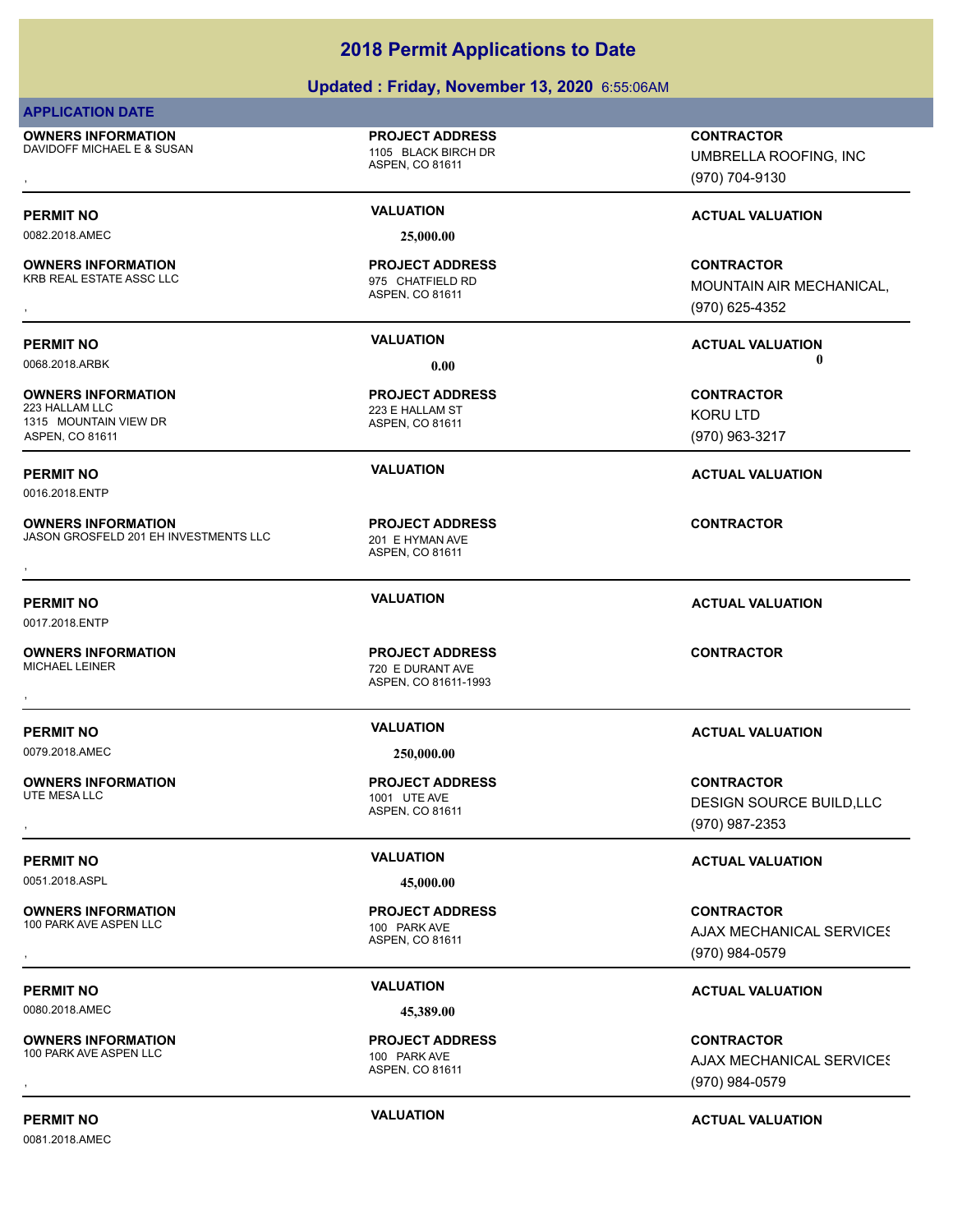# **Updated : Friday, November 13, 2020** 6:55:06AM

## **APPLICATION DATE**

**OWNERS INFORMATION** DAVIDOFF MICHAEL E & SUSAN 1105 BLACK BIRCH DR

**OWNERS INFORMATION**

**OWNERS INFORMATION**

1315 MOUNTAIN VIEW DR ASPEN, CO 81611

**OWNERS INFORMATION**

0016.2018.ENTP

0017.2018.ENTP

ASPEN, CO 81611

**PROJECT ADDRESS**

0082.2018.AMEC **25,000.00**

ASPEN, CO 81611 KRB REAL ESTATE ASSC LLC 875 CHATFIELD RD **PROJECT ADDRESS**

ASPEN, CO 81611 223 E HALLAM ST **PROJECT ADDRESS**

ASPEN, CO 81611 JASON GROSFELD 201 EH INVESTMENTS LLC 201 E HYMAN AVE **PROJECT ADDRESS OWNERS INFORMATION CONTRACTOR RESOURDED BY A SERVICE PROJECT ADDRESS CONTRACTOR CONTRACTOR**<br>JASON GROSFELD 201 EH INVESTMENTS LLC ASPEN, CO 81611<br>,

ASPEN, CO 81611-1993 720 E DURANT AVE **PROJECT ADDRESS** , **CONTRACTOR**

0079.2018.AMEC **250,000.00**

**OWNERS INFORMATION**

**OWNERS INFORMATION**

0051.2018.ASPL **45,000.00**

**OWNERS INFORMATION** 100 PARK AVE ASPEN LLC 100 PARK AVE

0080.2018.AMEC **45,389.00**

**OWNERS INFORMATION** 100 PARK AVE ASPEN LLC 100 PARK AVE

0081.2018.AMEC

ASPEN, CO 81611 1001 UTE AVE **PROJECT ADDRESS**

ASPEN, CO 81611 **PROJECT ADDRESS**

, **CONTRACTOR** UMBRELLA ROOFING, INC (970) 704-9130

# **PERMIT NO VALUATION VALUATION VALUATION**

, **CONTRACTOR** MOUNTAIN AIR MECHANICAL, (970) 625-4352

**PERMIT NO VALUATION ACTUAL VALUATION** 0068.2018.ARBK **0.00 0.00**

> **CONTRACTOR** KORU LTD (970) 963-3217

**PERMIT NO VALUATION ACTUAL VALUATION**

**PERMIT NO VALUATION ACTUAL VALUATION**

# **PERMIT NO VALUATION ACTUAL VALUATION**

, **CONTRACTOR** DESIGN SOURCE BUILD,LLC (970) 987-2353

# **PERMIT NO VALUATION VALUATION VALUATION**

**OWNERS INFORMATION PROJECT ADDRESS CONTRACTOR**<br>100 PARK AVE ASPEN LLC 100 PARK AVE AJAX MECHANICAL SERVICES<br>, ASPEN. CO 81611 **AJAX MECHANICAL SERVICES** (970) 984-0579

# **PERMIT NO VALUATION ACTUAL VALUATION**

**OWNERS INFORMATION PROJECT ADDRESS CONTRACTOR**<br>100 PARK AVE ASPEN LLC 100 PARK AVE AJAX MECHANICAL SERVICES<br>, ASPEN, CO 81611 **AJAX MECHANICAL SERVICES** (970) 984-0579

**PERMIT NO VALUATION ACTUAL VALUATION**

ASPEN, CO 81611 **PROJECT ADDRESS**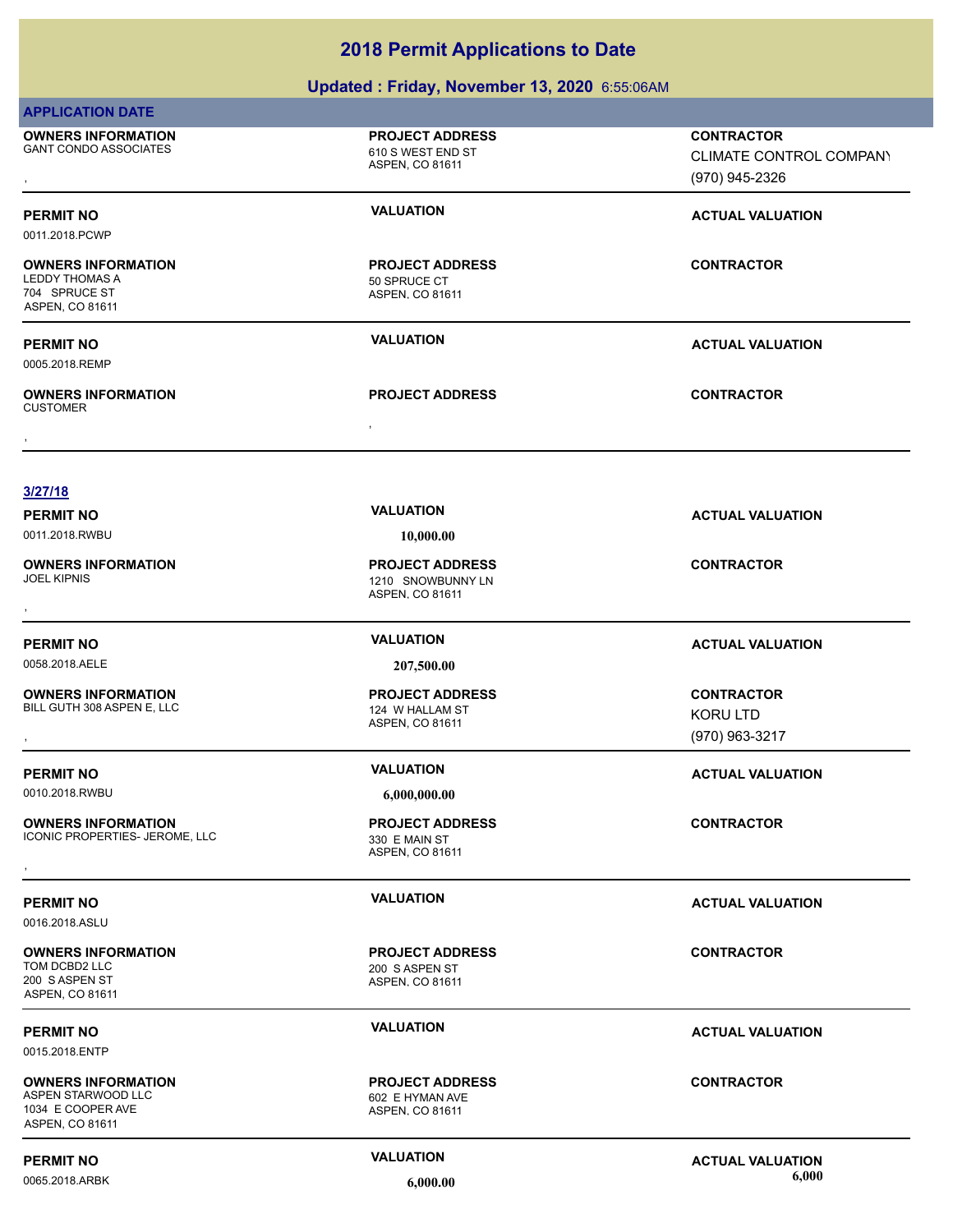# **Updated : Friday, November 13, 2020** 6:55:06AM

| <b>APPLICATION DATE</b>                                                                 |                                                                |                                                                |
|-----------------------------------------------------------------------------------------|----------------------------------------------------------------|----------------------------------------------------------------|
| <b>OWNERS INFORMATION</b><br><b>GANT CONDO ASSOCIATES</b>                               | <b>PROJECT ADDRESS</b><br>610 S WEST END ST<br>ASPEN, CO 81611 | <b>CONTRACTOR</b><br>CLIMATE CONTROL COMPANY<br>(970) 945-2326 |
| <b>PERMIT NO</b><br>0011.2018.PCWP                                                      | <b>VALUATION</b>                                               | <b>ACTUAL VALUATION</b>                                        |
| <b>OWNERS INFORMATION</b><br><b>LEDDY THOMAS A</b><br>704 SPRUCE ST<br>ASPEN, CO 81611  | <b>PROJECT ADDRESS</b><br>50 SPRUCE CT<br>ASPEN, CO 81611      | <b>CONTRACTOR</b>                                              |
| <b>PERMIT NO</b><br>0005.2018.REMP                                                      | <b>VALUATION</b>                                               | <b>ACTUAL VALUATION</b>                                        |
| <b>OWNERS INFORMATION</b><br><b>CUSTOMER</b>                                            | <b>PROJECT ADDRESS</b>                                         | <b>CONTRACTOR</b>                                              |
|                                                                                         | $\bullet$                                                      |                                                                |
| 3/27/18                                                                                 |                                                                |                                                                |
| <b>PERMIT NO</b><br>0011.2018.RWBU                                                      | <b>VALUATION</b><br>10,000.00                                  | <b>ACTUAL VALUATION</b>                                        |
| <b>OWNERS INFORMATION</b><br><b>JOEL KIPNIS</b>                                         | <b>PROJECT ADDRESS</b><br>1210 SNOWBUNNY LN<br>ASPEN, CO 81611 | <b>CONTRACTOR</b>                                              |
| <b>PERMIT NO</b>                                                                        | <b>VALUATION</b>                                               | <b>ACTUAL VALUATION</b>                                        |
| 0058.2018.AELE                                                                          | 207,500.00                                                     |                                                                |
| <b>OWNERS INFORMATION</b><br>BILL GUTH 308 ASPEN E, LLC                                 | <b>PROJECT ADDRESS</b><br>124 W HALLAM ST<br>ASPEN, CO 81611   | <b>CONTRACTOR</b><br><b>KORU LTD</b><br>(970) 963-3217         |
| <b>PERMIT NO</b>                                                                        | <b>VALUATION</b>                                               | <b>ACTUAL VALUATION</b>                                        |
| 0010.2018.RWBU                                                                          | 6,000,000.00                                                   |                                                                |
| <b>OWNERS INFORMATION</b><br>ICONIC PROPERTIES- JEROME, LLC                             | <b>PROJECT ADDRESS</b><br>330 E MAIN ST<br>ASPEN, CO 81611     | <b>CONTRACTOR</b>                                              |
| <b>PERMIT NO</b><br>0016.2018.ASLU                                                      | <b>VALUATION</b>                                               | <b>ACTUAL VALUATION</b>                                        |
| <b>OWNERS INFORMATION</b><br>TOM DCBD2 LLC<br>200 S ASPEN ST<br>ASPEN, CO 81611         | <b>PROJECT ADDRESS</b><br>200 S ASPEN ST<br>ASPEN, CO 81611    | <b>CONTRACTOR</b>                                              |
| <b>PERMIT NO</b><br>0015.2018.ENTP                                                      | <b>VALUATION</b>                                               | <b>ACTUAL VALUATION</b>                                        |
| <b>OWNERS INFORMATION</b><br>ASPEN STARWOOD LLC<br>1034 E COOPER AVE<br>ASPEN, CO 81611 | <b>PROJECT ADDRESS</b><br>602 E HYMAN AVE<br>ASPEN, CO 81611   | <b>CONTRACTOR</b>                                              |
| <b>PERMIT NO</b>                                                                        | <b>VALUATION</b>                                               | <b>ACTUAL VALUATION</b>                                        |

0065.2018.ARBK **6,000.00 6,000.00**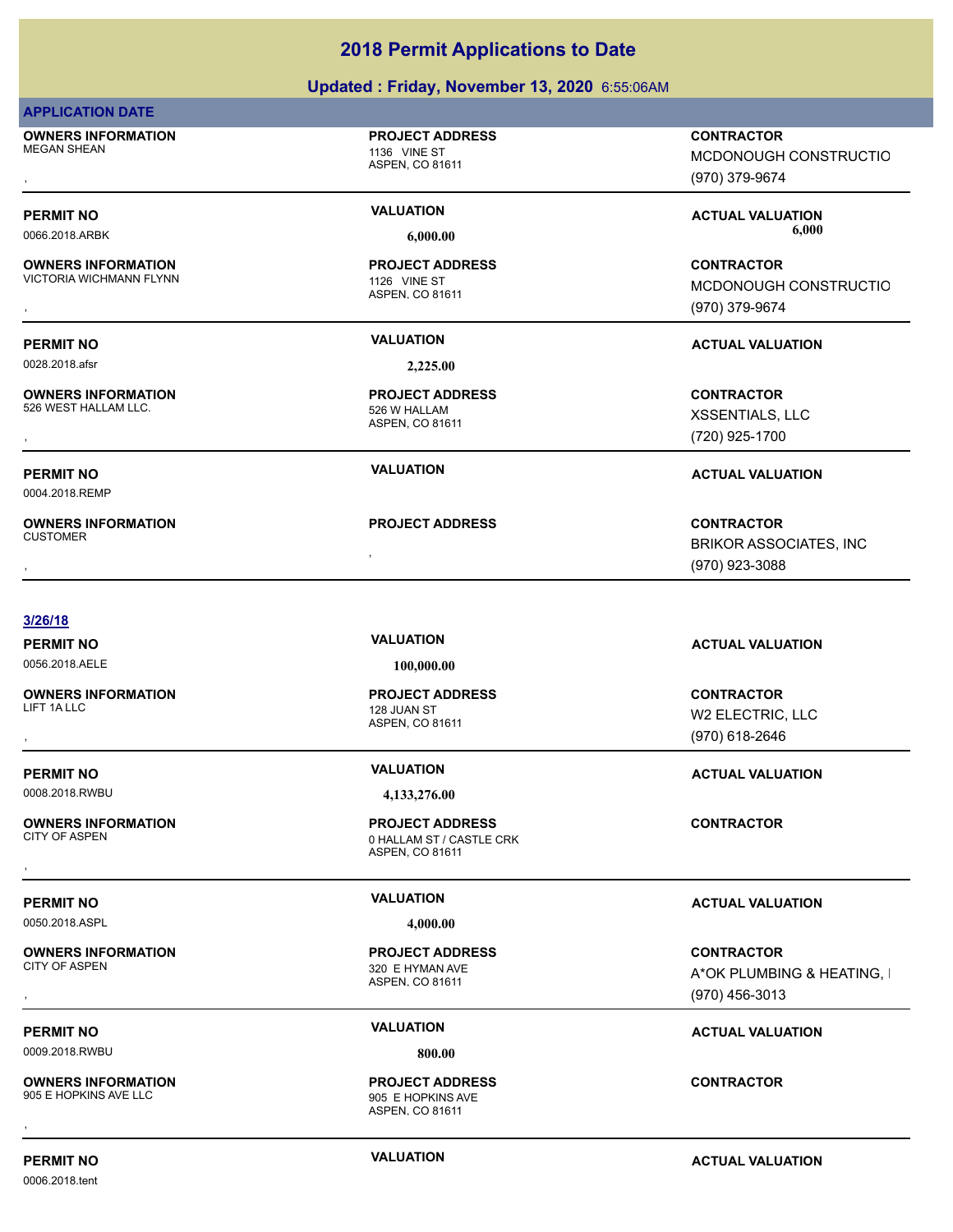|                                                                      | Updated: Friday, November 13, 2020 6:55:06AM                                          |                                                                      |
|----------------------------------------------------------------------|---------------------------------------------------------------------------------------|----------------------------------------------------------------------|
| <b>APPLICATION DATE</b>                                              |                                                                                       |                                                                      |
| <b>OWNERS INFORMATION</b><br><b>MEGAN SHEAN</b>                      | <b>PROJECT ADDRESS</b><br>1136 VINE ST<br>ASPEN, CO 81611                             | <b>CONTRACTOR</b><br>MCDONOUGH CONSTRUCTIO<br>(970) 379-9674         |
| <b>PERMIT NO</b><br>0066.2018.ARBK                                   | <b>VALUATION</b><br>6,000.00                                                          | <b>ACTUAL VALUATION</b><br>6,000                                     |
| <b>OWNERS INFORMATION</b><br><b>VICTORIA WICHMANN FLYNN</b>          | <b>PROJECT ADDRESS</b><br>1126 VINE ST<br>ASPEN, CO 81611                             | <b>CONTRACTOR</b><br>MCDONOUGH CONSTRUCTIO<br>(970) 379-9674         |
| <b>PERMIT NO</b><br>0028.2018.afsr                                   | <b>VALUATION</b><br>2,225.00                                                          | <b>ACTUAL VALUATION</b>                                              |
| <b>OWNERS INFORMATION</b><br>526 WEST HALLAM LLC.                    | <b>PROJECT ADDRESS</b><br>526 W HALLAM<br>ASPEN, CO 81611                             | <b>CONTRACTOR</b><br>XSSENTIALS, LLC<br>(720) 925-1700               |
| <b>PERMIT NO</b><br>0004.2018.REMP                                   | <b>VALUATION</b>                                                                      | <b>ACTUAL VALUATION</b>                                              |
| <b>OWNERS INFORMATION</b><br><b>CUSTOMER</b>                         | <b>PROJECT ADDRESS</b>                                                                | <b>CONTRACTOR</b><br><b>BRIKOR ASSOCIATES, INC</b><br>(970) 923-3088 |
| 3/26/18                                                              | <b>VALUATION</b>                                                                      |                                                                      |
| <b>PERMIT NO</b><br>0056.2018.AELE                                   | 100,000.00                                                                            | <b>ACTUAL VALUATION</b>                                              |
| <b>OWNERS INFORMATION</b><br>LIFT 1A LLC                             | <b>PROJECT ADDRESS</b><br>128 JUAN ST<br>ASPEN, CO 81611                              | <b>CONTRACTOR</b><br>W2 ELECTRIC, LLC<br>(970) 618-2646              |
| <b>PERMIT NO</b>                                                     | <b>VALUATION</b>                                                                      | <b>ACTUAL VALUATION</b>                                              |
| 0008.2018.RWBU<br><b>OWNERS INFORMATION</b><br><b>CITY OF ASPEN</b>  | 4,133,276.00<br><b>PROJECT ADDRESS</b><br>0 HALLAM ST / CASTLE CRK<br>ASPEN, CO 81611 | <b>CONTRACTOR</b>                                                    |
| <b>PERMIT NO</b><br>0050.2018.ASPL                                   | <b>VALUATION</b><br>4,000.00                                                          | <b>ACTUAL VALUATION</b>                                              |
| <b>OWNERS INFORMATION</b><br><b>CITY OF ASPEN</b>                    | <b>PROJECT ADDRESS</b><br>320 E HYMAN AVE<br>ASPEN, CO 81611                          | <b>CONTRACTOR</b><br>A*OK PLUMBING & HEATING, I<br>(970) 456-3013    |
| <b>PERMIT NO</b>                                                     | <b>VALUATION</b>                                                                      | <b>ACTUAL VALUATION</b>                                              |
| 0009.2018.RWBU<br><b>OWNERS INFORMATION</b><br>905 E HOPKINS AVE LLC | 800.00<br><b>PROJECT ADDRESS</b><br>905 E HOPKINS AVE                                 | <b>CONTRACTOR</b>                                                    |
|                                                                      | ASPEN, CO 81611                                                                       |                                                                      |

0006.2018.tent

**PERMIT NO CONSUMITY ACTUAL VALUATION VALUATION** *ACTUAL VALUATION*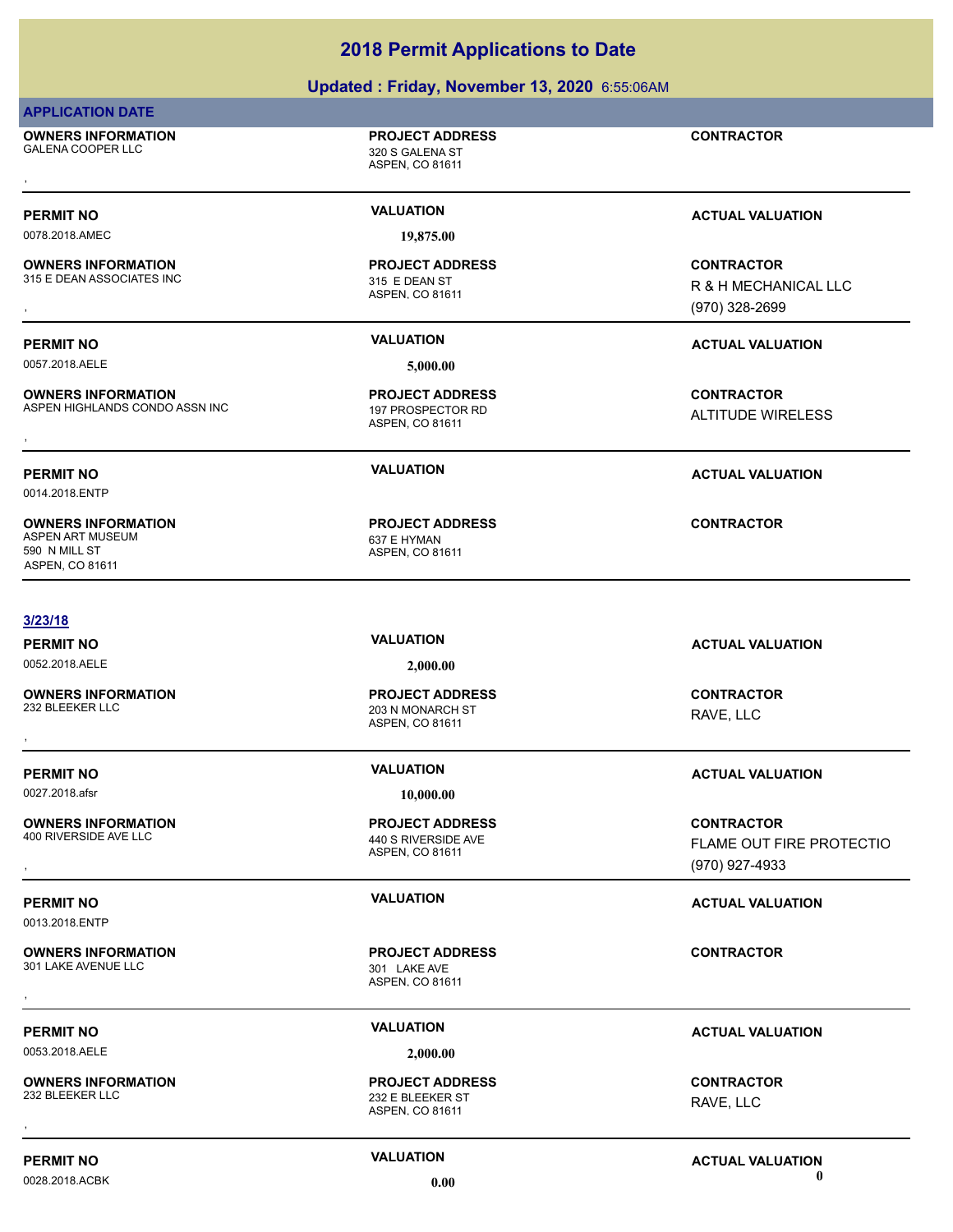# **Updated : Friday, November 13, 2020** 6:55:06AM

| <b>APPLICATION DATE</b> |  |
|-------------------------|--|
|-------------------------|--|

**OWNERS INFORMATION** , **CONTRACTOR**

ASPEN, CO 81611

ASPEN, CO 81611

**PROJECT ADDRESS**

320 S GALENA ST **PROJECT ADDRESS**

0078.2018.AMEC **19,875.00**

**OWNERS INFORMATION** 315 E DEAN ASSOCIATES INC<br>
315 E DEAN ST

0057.2018.AELE **5,000.00**

**OWNERS INFORMATION** ASPEN HIGHLANDS CONDO ASSN INC<br>
197 PROSPECTOR RD **OWNERS INFORMATION SEXUAL SERVICE OF SERVICE OF A SERVICE OF SERVICE OF SERVICE OF SERVICE OF SERVICE OF SERVI<br>ASPEN HIGHLANDS CONDO ASSN INC SERVICE OF SASPEN ASPEN. CO 81611<br>,** 

ASPEN, CO 81611 **PROJECT ADDRESS**

ASPEN, CO 81611 **PROJECT ADDRESS**

**PERMIT NO VALUATION VALUATION VALUATION** 

**OWNERS INFORMATION GOVERNED BY A SECURITY OF PROJECT ADDRESS CONTRACTOR CONTRACTOR**<br>115 E DEAN ASSOCIATES INC FIRE RESOLUTION ASPEN, CO 81611<br>1970) 328-2699, ASPEN, CO 81611 R & H MECHANICAL LLC (970) 328-2699

# **PERMIT NO VALUATION ACTUAL VALUATION**

ALTITUDE WIRELESS

# **PERMIT NO VALUATION ACTUAL VALUATION**

0014.2018.ENTP

**OWNERS INFORMATION** ASPEN ART MUSEUM 637 E HYMAN 590 N MILL ST ASPEN, CO 81611

## **3/23/18**

0052.2018.AELE **2,000.00**

**OWNERS INFORMATION**

**OWNERS INFORMATION**

0013.2018.ENTP

**OWNERS INFORMATION** 301 LAKE AVENUE LLC 301 LAKE AVE

**OWNERS INFORMATION**

ASPEN, CO 81611 203 N MONARCH ST **PROJECT ADDRESS OWNERS INFORMATION CONTRACTOR PROJECT ADDRESS CONTRACTOR CONTRACTOR**<br>232 BLEEKER LLC<br>322 BLEEKER LLC<br>,

0027.2018.afsr **10,000.00**

ASPEN, CO 81611 440 S RIVERSIDE AVE **PROJECT ADDRESS**

ASPEN, CO 81611 **PROJECT ADDRESS** , **CONTRACTOR**

ASPEN, CO 81611 232 E BLEEKER ST **PROJECT ADDRESS** , **CONTRACTOR**

**PERMIT NO VALUATION ACTUAL VALUATION**

RAVE, LLC

**CONTRACTOR**

# **PERMIT NO VALUATION ACTUAL VALUATION**

**OWNERS INFORMATION PROJECT ADDRESS CONTRACTOR**<br>400 RIVERSIDE AVE LLC 440 S RIVERSIDE AVE FLAME OUT FIRE PROTECTIO<br>, ASPEN, CO 81611 FLAME OUT FIRE PROTECTIO (970) 927-4933

# **PERMIT NO VALUATION ACTUAL VALUATION**

RAVE, LLC

**PERMIT NO VALUATION ACTUAL VALUATION**

0053.2018.AELE **2,000.00**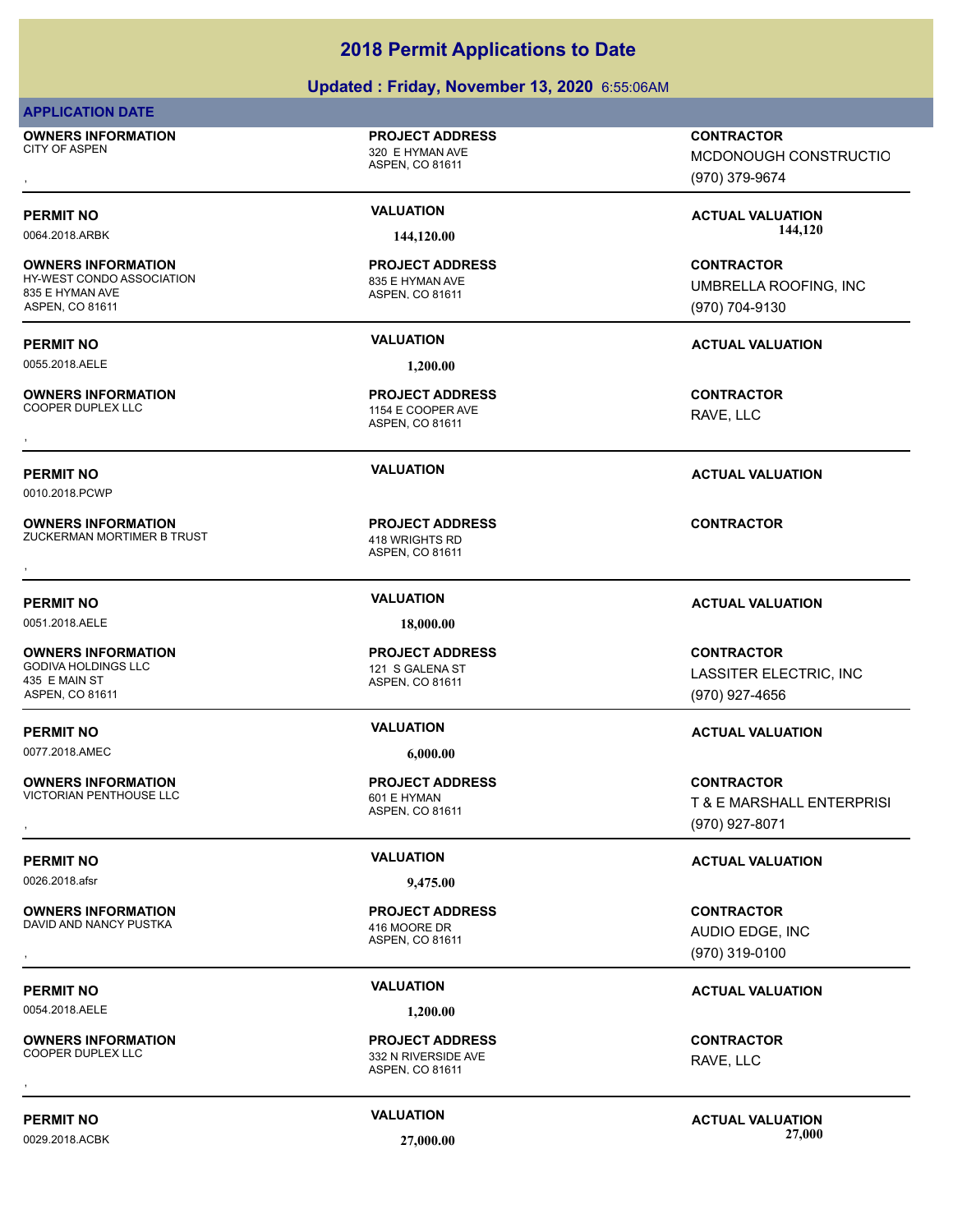# **Updated : Friday, November 13, 2020** 6:55:06AM

## **APPLICATION DATE**

**OWNERS INFORMATION** CITY OF ASPEN 320 E HYMAN AVE

**OWNERS INFORMATION**

**OWNERS INFORMATION**

835 E HYMAN AVE ASPEN, CO 81611

ASPEN, CO 81611

**PROJECT ADDRESS**

## ASPEN, CO 81611 HY-WEST CONDO ASSOCIATION 835 E HYMAN AVE **PROJECT ADDRESS**

0055.2018.AELE **1,200.00**

## ASPEN, CO 81611 1154 E COOPER AVE **PROJECT ADDRESS OWNERS INFORMATION CONTRACTOR PROJECT ADDRESS CONTRACTOR CONTRACTOR**<br>COOPER DUPLEX LLC COOPER AVE THE SCOOPER AVE THE RAVE, LLC RAVE, LLC RAVE, LLC RAVE, LLC RAVE, LLC RAVE, LLC RAVE, LLC

ASPEN, CO 81611 **PROJECT ADDRESS** , **CONTRACTOR**

# ASPEN, CO 81611 **PROJECT ADDRESS**

ASPEN, CO 81611 **PROJECT ADDRESS OWNERS INFORMATION PROJECT ADDRESS CONTRACTOR**<br>VICTORIAN PENTHOUSE LLC 601 E HYMAN T & E MARSHALL ENTERPRISI<br>, ASPEN, CO 81611

ASPEN, CO 81611 **PROJECT ADDRESS** , **CONTRACTOR**

(970) 319-0100

# **PERMIT NO VALUATION ACTUAL VALUATION**

AUDIO EDGE, INC

RAVE, LLC

**PERMIT NO VALUATION ACTUAL VALUATION** 0029.2018.ACBK **27,000.00 27,000.00**

, **CONTRACTOR** MCDONOUGH CONSTRUCTIO (970) 379-9674

**PERMIT NO VALUATION ACTUAL VALUATION** 0064.2018.ARBK **144,120.00 144,120.00**

> **CONTRACTOR** UMBRELLA ROOFING, INC (970) 704-9130

# **PERMIT NO VALUATION ACTUAL VALUATION**

RAVE, LLC

**CONTRACTOR**

(970) 927-4656

(970) 927-8071

LASSITER ELECTRIC, INC

T & E MARSHALL ENTERPRISI

# **PERMIT NO VALUATION ACTUAL VALUATION**

0010.2018.PCWP

**OWNERS INFORMATION** ZUCKERMAN MORTIMER B TRUST 418 WRIGHTS RD

**PERMIT NO VALUATION ACTUAL VALUATION**

0051.2018.AELE **18,000.00**

**OWNERS INFORMATION** GODIVA HOLDINGS LLC 121 S GALENA ST 435 E MAIN ST ASPEN, CO 81611

**PERMIT NO VALUATION ACTUAL VALUATION**

0077.2018.AMEC **6,000.00**

**OWNERS INFORMATION** VICTORIAN PENTHOUSE LLC<br>
601 E HYMAN

**PERMIT NO VALUATION VALUATION VALUATION** 

0026.2018.afsr **9,475.00**

**OWNERS INFORMATION** DAVID AND NANCY PUSTKA 416 MOORE DR

0054.2018.AELE **1,200.00**

**OWNERS INFORMATION OWNERS INFORMATION CONTRACTOR PROJECT ADDRESS CONTRACTOR CONTRACTOR**<br>COOPER DUPLEX LLC<br>ASPEN, CO 81611<br>,

ASPEN, CO 81611

332 N RIVERSIDE AVE **PROJECT ADDRESS**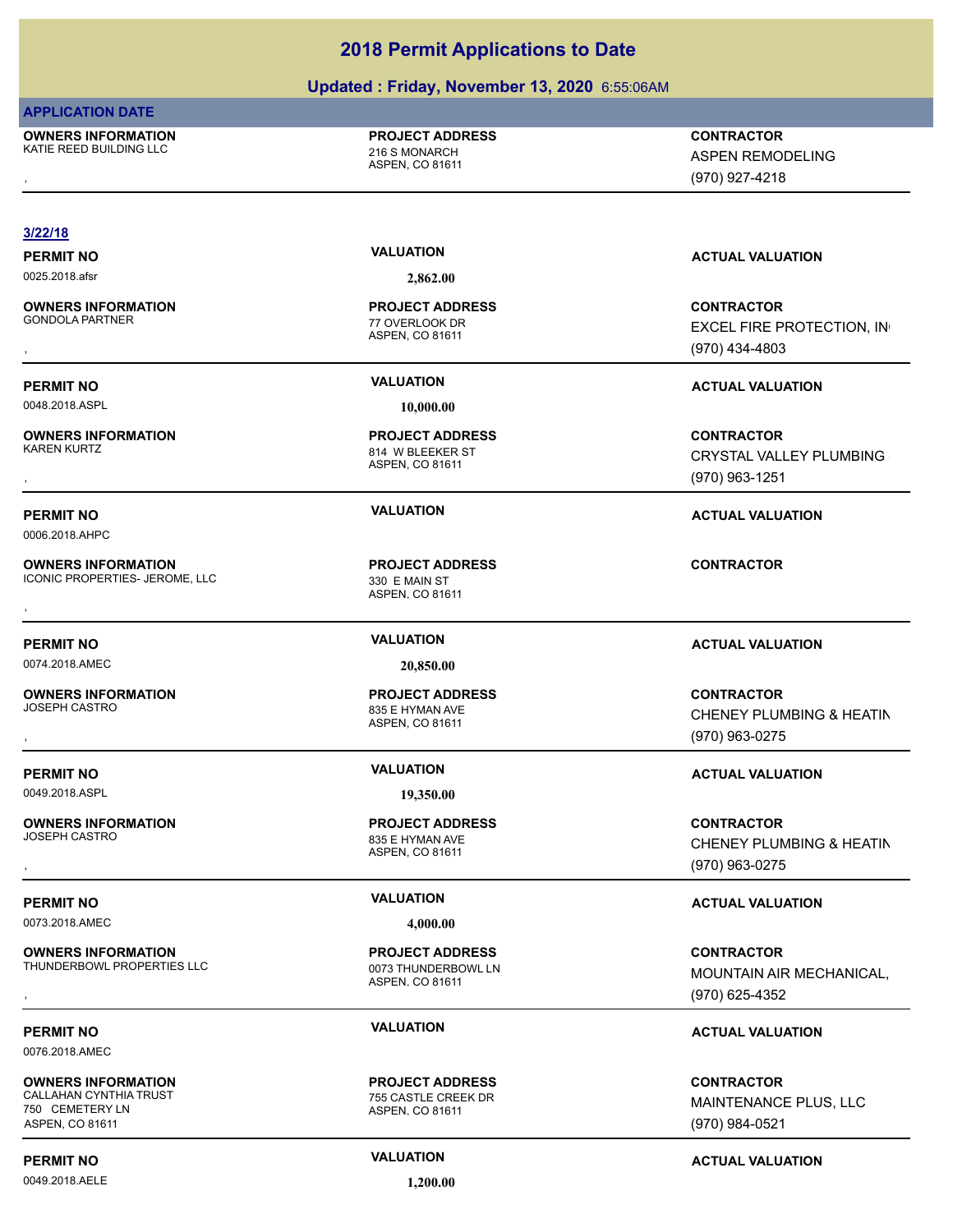# **Updated : Friday, November 13, 2020** 6:55:06AM

## **APPLICATION DATE**

**OWNERS INFORMATION** KATIE REED BUILDING LLC 216 S MONARCH

**PROJECT ADDRESS**

ASPEN, CO 81611

, **CONTRACTOR** ASPEN REMODELING (970) 927-4218

# **3/22/18**

**OWNERS INFORMATION** GONDOLA PARTNER THE STATE OF THE STATE OF THE STATE OF THE STATE OF THE STATE OF THE STATE OF THE STATE OF THE STATE OF THE STATE OF THE STATE OF THE STATE OF THE STATE OF THE STATE OF THE STATE OF THE STATE OF THE STATE O

0048.2018.ASPL **10,000.00**

**OWNERS INFORMATION** KAREN KURTZ 614 W BLEEKER ST

0006.2018.AHPC

**OWNERS INFORMATION** ICONIC PROPERTIES- JEROME, LLC 330 E MAIN ST

0074.2018.AMEC **20,850.00**

# **OWNERS INFORMATION**

0049.2018.ASPL **19,350.00**

# **OWNERS INFORMATION**

0073.2018.AMEC **4,000.00**

## **OWNERS INFORMATION** THUNDERBOWL PROPERTIES LLC<br>0073 THUNDERBOWL LN

## 0076.2018.AMEC

**OWNERS INFORMATION** CALLAHAN CYNTHIA TRUST **1988 CALLAHAN CYNTHIA TRUST** 750 CEMETERY LN

# ASPEN, CO 81611

0049.2018.AELE **1,200.00**

0025.2018.afsr **2,862.00**

ASPEN, CO 81611 **PROJECT ADDRESS**

ASPEN, CO 81611 **PROJECT ADDRESS**

ASPEN, CO 81611 **PROJECT ADDRESS OWNERS INFORMATION EXAMPLE ASSES FOR A PROJECT ADDRESS FOR A CONTRACTOR CONTRACTOR**<br>ICONIC PROPERTIES- JEROME, LLC ASPEN, CO 81611 ASPEN, CO 81611 ASPEN, CO 81611

## ASPEN, CO 81611 835 E HYMAN AVE **PROJECT ADDRESS**

ASPEN, CO 81611 835 E HYMAN AVE **PROJECT ADDRESS**

ASPEN, CO 81611 **PROJECT ADDRESS**

ASPEN, CO 81611 **PROJECT ADDRESS**

# **PERMIT NO VALUATION ACTUAL VALUATION**

, **CONTRACTOR** EXCEL FIRE PROTECTION, IN (970) 434-4803

# **PERMIT NO VALUATION VALUATION VALUATION**

# **OWNERS INFORMATION PROJECT ADDRESS CONTRACTOR**<br>RAREN KURTZ 814 W BLEEKER ST CRYSTAL VALLEY PLUMBING <br>RSPEN. CO 81611 CRYSTAL VALLEY PLUMBING (970) 963-1251

# **PERMIT NO VALUATION ACTUAL VALUATION**

# **PERMIT NO VALUATION ACTUAL VALUATION**

, **CONTRACTOR** CHENEY PLUMBING & HEATIN (970) 963-0275

# **PERMIT NO VALUATION ACTUAL VALUATION**

, **CONTRACTOR** CHENEY PLUMBING & HEATIN (970) 963-0275

# **PERMIT NO VALUATION ACTUAL VALUATION**

# , **CONTRACTOR** MOUNTAIN AIR MECHANICAL, (970) 625-4352

# **PERMIT NO VALUATION ACTUAL VALUATION**

**CONTRACTOR** MAINTENANCE PLUS, LLC (970) 984-0521

**PERMIT NO CONSUMITY ACTUAL VALUATION VALUATION VALUATION**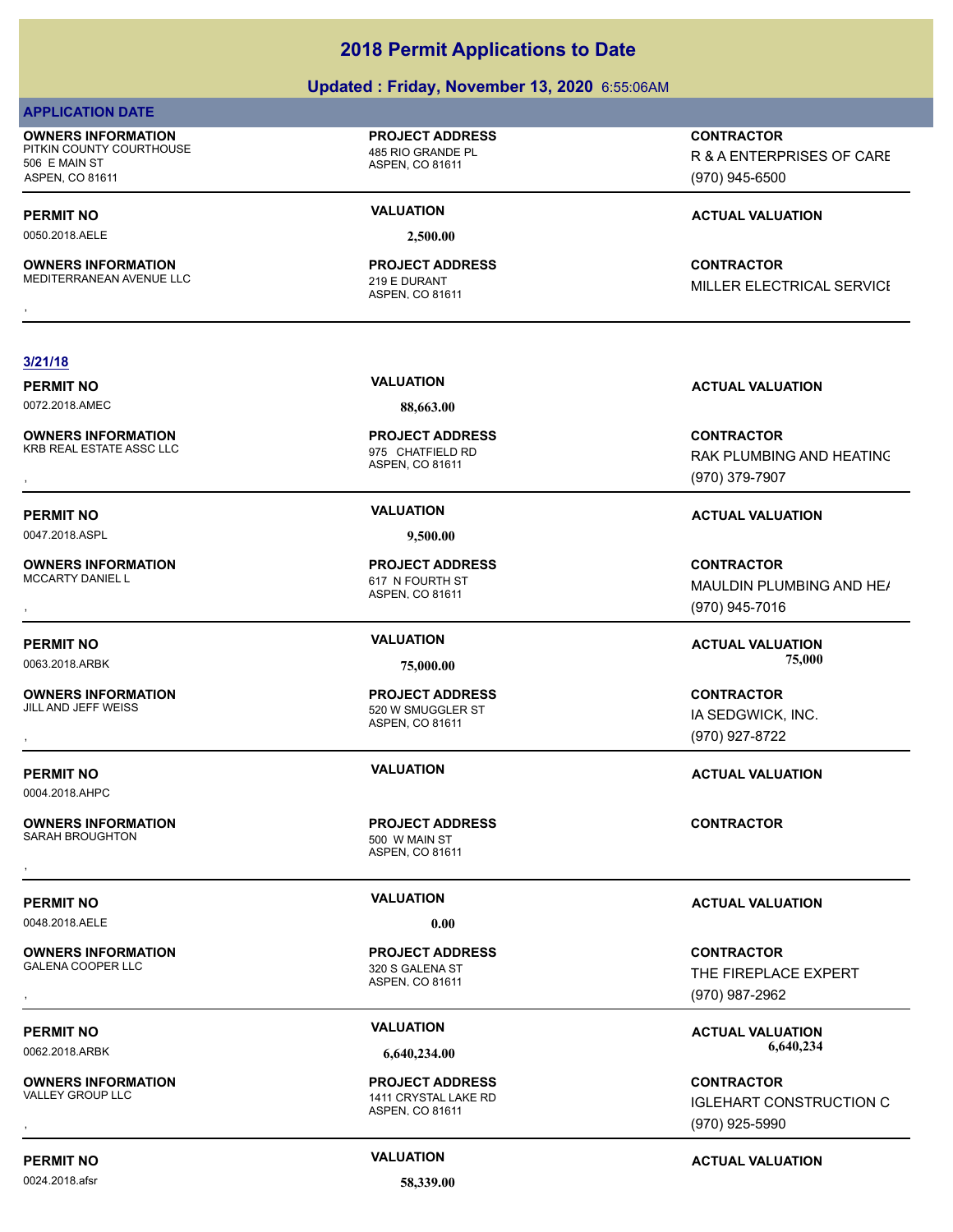## **Updated : Friday, November 13, 2020** 6:55:06AM

## **APPLICATION DATE**

**OWNERS INFORMATION** PITKIN COUNTY COURTHOUSE 485 RIO GRANDE PL 506 E MAIN ST ASPEN, CO 81611

0050.2018.AELE **2,500.00**

**OWNERS INFORMATION** MEDITERRANEAN AVENUE LLC<br>219 E DURANT

**PROJECT ADDRESS**

ASPEN, CO 81611

ASPEN, CO 81611 **PROJECT ADDRESS** **CONTRACTOR**

R & A ENTERPRISES OF CARE (970) 945-6500

# **PERMIT NO VALUATION VALUATION VALUATION**

, **CONTRACTOR** MILLER ELECTRICAL SERVICE

## **3/21/18**

0072.2018.AMEC **88,663.00**

**OWNERS INFORMATION** KRB REAL ESTATE ASSC LLC 6 and 10 minutes of 975 CHATFIELD RD

0047.2018.ASPL **9,500.00**

**OWNERS INFORMATION**

**OWNERS INFORMATION**

0004.2018.AHPC

**OWNERS INFORMATION** SARAH BROUGHTON 500 W MAIN ST

0048.2018.AELE **0.00**

**OWNERS INFORMATION**

**OWNERS INFORMATION**<br>VALLEY GROUP LLC

0024.2018.afsr **58,339.00**

ASPEN, CO 81611 **PROJECT ADDRESS**

ASPEN, CO 81611 617 N FOURTH ST **PROJECT ADDRESS**

ASPEN, CO 81611 520 W SMUGGLER ST

ASPEN, CO 81611 **PROJECT ADDRESS**

ASPEN, CO 81611 320 S GALENA ST **PROJECT ADDRESS**

ASPEN, CO 81611 1411 CRYSTAL LAKE RD **PROJECT ADDRESS**

**PERMIT NO VALUATION VALUATION VALUATION** 

, **CONTRACTOR** RAK PLUMBING AND HEATING (970) 379-7907

# **PERMIT NO VALUATION ACTUAL VALUATION**

**OWNERS INFORMATION PROJECT ADDRESS CONTRACTOR**<br>MCCARTY DANIEL L 617 N FOURTH ST MAULDIN PLUMBING AND HE*I*<br>, ASPEN, CO 81611 MAULDIN PLUMBING AND HE/ (970) 945-7016

**PERMIT NO VALUATION ACTUAL VALUATION**

, **CONTRACTOR** IA SEDGWICK, INC. (970) 927-8722

**PERMIT NO VALUATION ACTUAL VALUATION**

# **PERMIT NO VALUATION ACTUAL VALUATION**

, **CONTRACTOR** THE FIREPLACE EXPERT (970) 987-2962

PERMIT NO **SALUATION**<br>  $\frac{1}{2}$  (40.321.00 **ACTUAL VALUATION**<br>  $\frac{1}{2}$  (40.321.00 **CCO** 321.00 **CCO** 321.00 **CCO** 321.00 **CCO** 321.00 **CCO** 0062.2018.ARBK **6,640,234.00 6,640,234.00**

, **CONTRACTOR IGLEHART CONSTRUCTION C** (970) 925-5990

# **PERMIT NO CONSUMITY ACTUAL VALUATION VALUATION VALUATION**

# 0063.2018.ARBK **75,000.00 75,000.00**

# **PROJECT ADDRESS**

, **CONTRACTOR**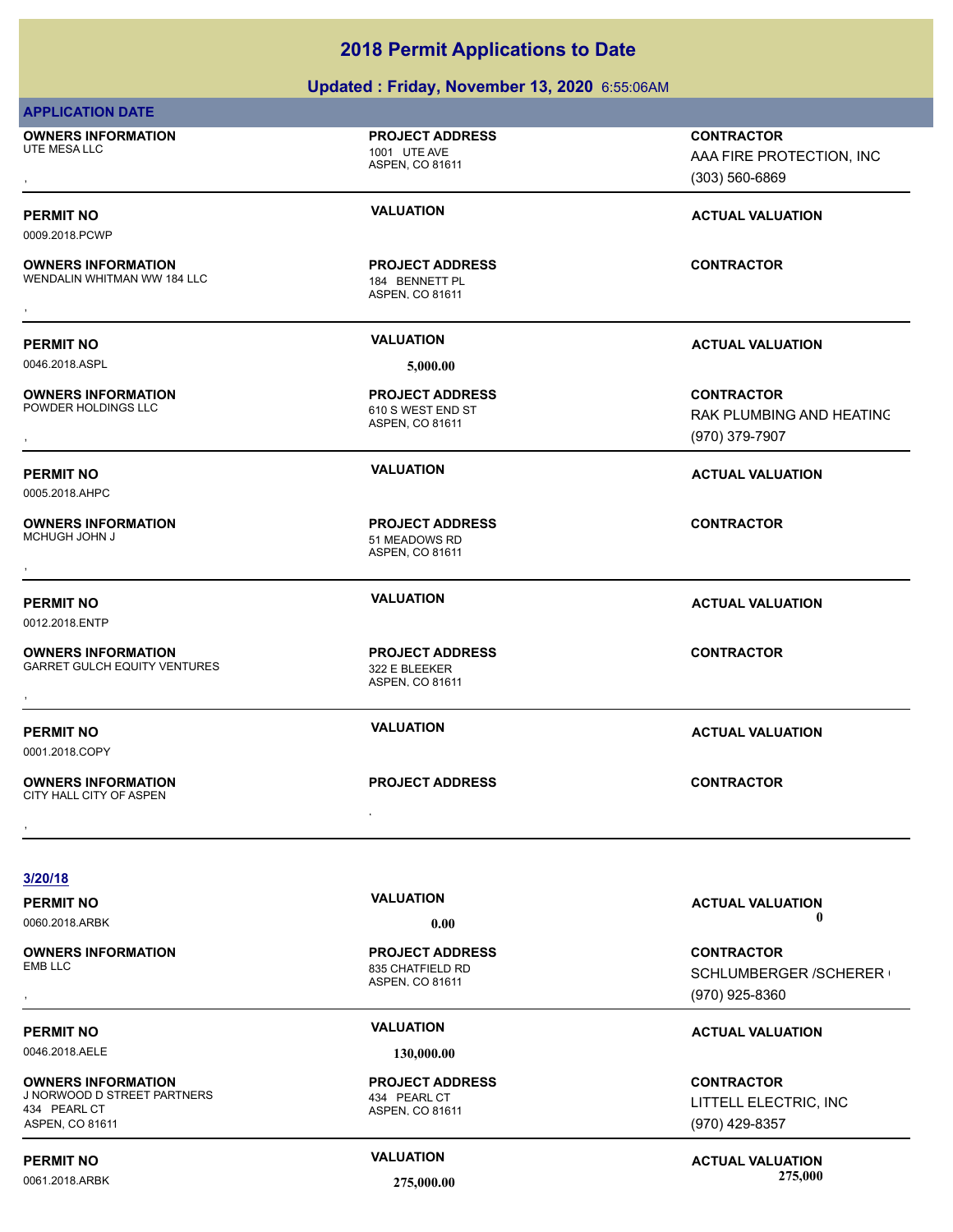# **Updated : Friday, November 13, 2020** 6:55:06AM

| <b>APPLICATION DATE</b>                                                                     |                                                                |                                                                     |
|---------------------------------------------------------------------------------------------|----------------------------------------------------------------|---------------------------------------------------------------------|
| <b>OWNERS INFORMATION</b><br>UTE MESA LLC                                                   | <b>PROJECT ADDRESS</b><br>1001 UTE AVE<br>ASPEN, CO 81611      | <b>CONTRACTOR</b><br>AAA FIRE PROTECTION, INC<br>$(303) 560 - 6869$ |
| <b>PERMIT NO</b><br>0009.2018.PCWP                                                          | <b>VALUATION</b>                                               | <b>ACTUAL VALUATION</b>                                             |
| <b>OWNERS INFORMATION</b><br>WENDALIN WHITMAN WW 184 LLC                                    | <b>PROJECT ADDRESS</b><br>184 BENNETT PL<br>ASPEN, CO 81611    | <b>CONTRACTOR</b>                                                   |
| <b>PERMIT NO</b>                                                                            | <b>VALUATION</b>                                               | <b>ACTUAL VALUATION</b>                                             |
| 0046.2018.ASPL                                                                              | 5,000.00                                                       |                                                                     |
| <b>OWNERS INFORMATION</b><br>POWDER HOLDINGS LLC                                            | <b>PROJECT ADDRESS</b><br>610 S WEST END ST<br>ASPEN, CO 81611 | <b>CONTRACTOR</b><br>RAK PLUMBING AND HEATING<br>(970) 379-7907     |
| <b>PERMIT NO</b><br>0005.2018.AHPC                                                          | <b>VALUATION</b>                                               | <b>ACTUAL VALUATION</b>                                             |
| <b>OWNERS INFORMATION</b><br>MCHUGH JOHN J                                                  | <b>PROJECT ADDRESS</b><br>51 MEADOWS RD<br>ASPEN, CO 81611     | <b>CONTRACTOR</b>                                                   |
| <b>PERMIT NO</b><br>0012.2018.ENTP                                                          | <b>VALUATION</b>                                               | <b>ACTUAL VALUATION</b>                                             |
| <b>OWNERS INFORMATION</b><br><b>GARRET GULCH EQUITY VENTURES</b>                            | <b>PROJECT ADDRESS</b><br>322 E BLEEKER<br>ASPEN, CO 81611     | <b>CONTRACTOR</b>                                                   |
| <b>PERMIT NO</b><br>0001.2018.COPY                                                          | <b>VALUATION</b>                                               | <b>ACTUAL VALUATION</b>                                             |
| <b>OWNERS INFORMATION</b><br>CITY HALL CITY OF ASPEN                                        | <b>PROJECT ADDRESS</b>                                         | <b>CONTRACTOR</b>                                                   |
|                                                                                             |                                                                |                                                                     |
| 3/20/18                                                                                     |                                                                |                                                                     |
| <b>PERMIT NO</b>                                                                            | <b>VALUATION</b>                                               | <b>ACTUAL VALUATION</b><br>$\mathbf{0}$                             |
| 0060.2018.ARBK                                                                              | 0.00                                                           |                                                                     |
| <b>OWNERS INFORMATION</b><br><b>EMB LLC</b>                                                 | <b>PROJECT ADDRESS</b><br>835 CHATFIELD RD<br>ASPEN, CO 81611  | <b>CONTRACTOR</b><br>SCHLUMBERGER / SCHERER (<br>(970) 925-8360     |
| <b>PERMIT NO</b>                                                                            | <b>VALUATION</b>                                               | <b>ACTUAL VALUATION</b>                                             |
| 0046.2018.AELE                                                                              | 130,000.00                                                     |                                                                     |
| <b>OWNERS INFORMATION</b><br>J NORWOOD D STREET PARTNERS<br>434 PEARL CT<br>ASPEN, CO 81611 | <b>PROJECT ADDRESS</b><br>434 PEARL CT<br>ASPEN, CO 81611      | <b>CONTRACTOR</b><br>LITTELL ELECTRIC, INC<br>(970) 429-8357        |
| <b>PERMIT NO</b>                                                                            | <b>VALUATION</b>                                               | <b>ACTUAL VALUATION</b>                                             |

0061.2018.ARBK **275,000.00 275,000.00**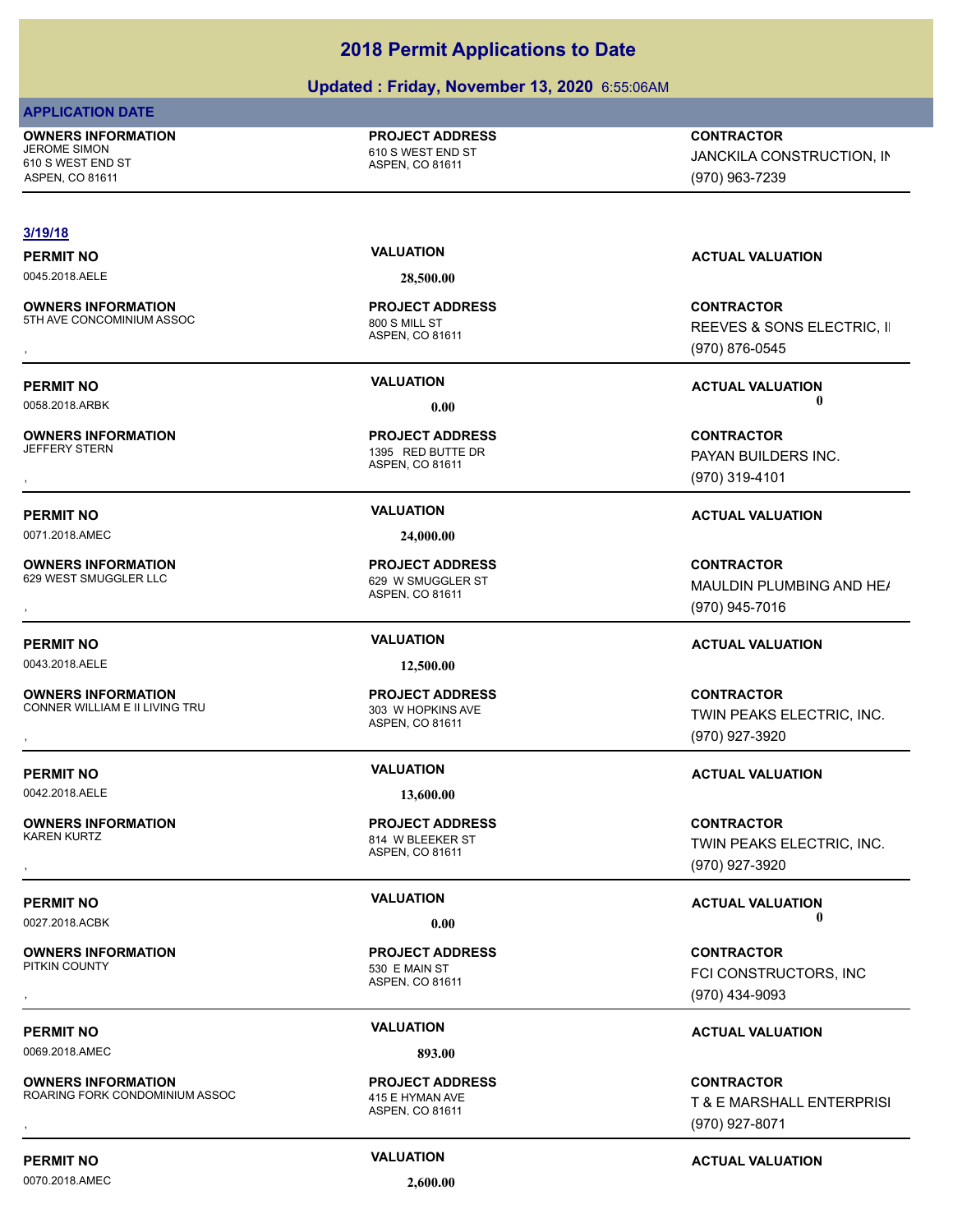# **Updated : Friday, November 13, 2020** 6:55:06AM

# **APPLICATION DATE**

**OWNERS INFORMATION** JEROME SIMON 610 S WEST END ST

610 S WEST END ST ASPEN, CO 81611

## **PROJECT ADDRESS**

ASPEN, CO 81611

**CONTRACTOR** JANCKILA CONSTRUCTION, IN

**3/19/18**

0045.2018.AELE **28,500.00**

**OWNERS INFORMATION** 5TH AVE CONCOMINIUM ASSOC 800 S MILL ST

**OWNERS INFORMATION** JEFFERY STERN 1395 RED BUTTE DR

0071.2018.AMEC **24,000.00**

**OWNERS INFORMATION** 629 WEST SMUGGLER LLC 629 W SMUGGLER ST

**OWNERS INFORMATION** CONNER WILLIAM E II LIVING TRU 2003 W HOPKINS AVE

0042.2018.AELE **13,600.00**

**OWNERS INFORMATION**

**OWNERS INFORMATION**

0069.2018.AMEC **893.00**

**OWNERS INFORMATION** ROARING FORK CONDOMINIUM ASSOC 415 E HYMAN AVE

ASPEN, CO 81611 **PROJECT ADDRESS**

ASPEN, CO 81611 **PROJECT ADDRESS**

ASPEN, CO 81611 **PROJECT ADDRESS**

ASPEN, CO 81611 814 W BLEEKER ST **PROJECT ADDRESS**

ASPEN, CO 81611 530 E MAIN ST **PROJECT ADDRESS**

ASPEN, CO 81611 **PROJECT ADDRESS**

**PERMIT NO VALUATION ACTUAL VALUATION**

(970) 963-7239

, **CONTRACTOR** REEVES & SONS ELECTRIC, II (970) 876-0545

**PERMIT NO VALUATION ACTUAL VALUATION** 0058.2018.ARBK **0.00 0.00**

, **CONTRACTOR** PAYAN BUILDERS INC. (970) 319-4101

# **PERMIT NO VALUATION ACTUAL VALUATION**

**OWNERS INFORMATION PROJECT ADDRESS CONTRACTOR**<br>629 WEST SMUGGLER LLC 629 W SMUGGLER ST MAULDIN PLUMBING AND HE*I*<br>, ASPEN, CO 81611 MAULDIN PLUMBING AND HE/ (970) 945-7016

# **PERMIT NO VALUATION ACTUAL VALUATION**

**OWNERS INFORMATION FROM THE REPOJECT ADDRESS FOR THE CONTRACTOR CONTRACTOR**<br>CONNER WILLIAM E II LIVING TRU FINITH ASPEN, CONTRIGUES FOR TREAT TREAT TWIN PEAKS ELECTRIC, INC.<br>TWIN PEAKS ELECTRIC, INC.<br>GTO) 927-3920 TWIN PEAKS ELECTRIC, INC. (970) 927-3920

# **PERMIT NO VALUATION ACTUAL VALUATION**

**OWNERS INFORMATION PROJECT ADDRESS CONTRACTOR**<br>KAREN KURTZ 814 W BLEEKER ST TWIN PEAKS ELECTRIC, INC.<br>, ASPEN, CO 81611 TWIN PEAKS ELECTRIC, INC. (970) 927-3920

**PERMIT NO VALUATION ACTUAL VALUATION** 0027.2018.ACBK **0.00 0.00**

, **CONTRACTOR** FCI CONSTRUCTORS, INC (970) 434-9093

# **PERMIT NO VALUATION ACTUAL VALUATION**

**OWNERS INFORMATION MASSOC REPROJECT ADDRESS ARE CONTRACTOR CONTRACTOR**<br>ROARING FORK CONDOMINIUM ASSOC ASPEN, CO 81611 ASPEN, CO 81611 MASS ASPEN, CO 81611 MASS ASPEN ASPEN, CO 81611 T & E MARSHALL ENTERPRISI (970) 927-8071

**PERMIT NO CONSUMITY ACTUAL VALUATION VALUATION VALUATION** 

0070.2018.AMEC **2,600.00**

0043.2018.AELE **12,500.00** ASPEN, CO 81611 **PROJECT ADDRESS**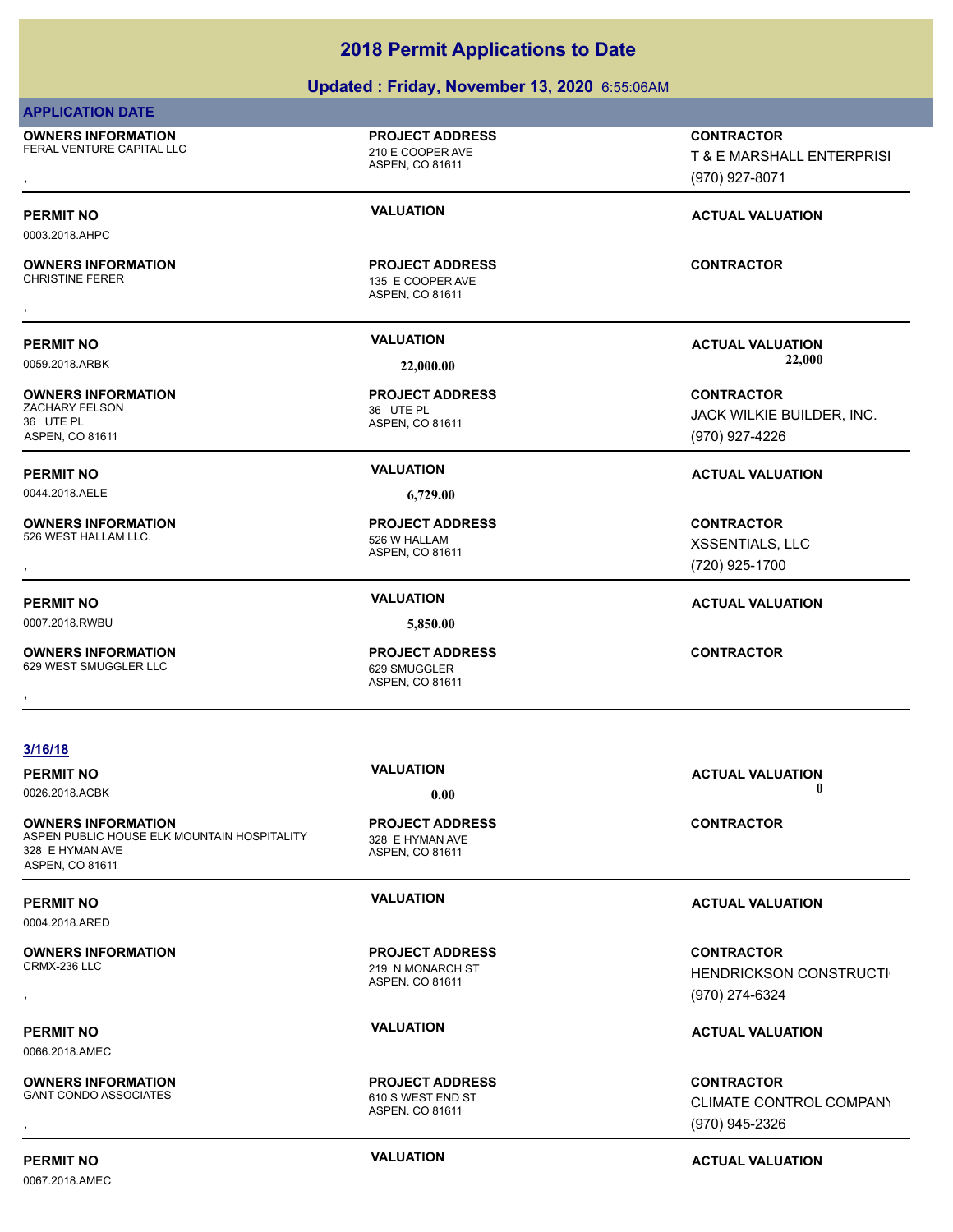### **Updated : Friday, November 13, 2020** 6:55:06AM

|                                                                                                                | Updated: Friday, November 13, 2020 6:55:06AM                  |                                                                      |
|----------------------------------------------------------------------------------------------------------------|---------------------------------------------------------------|----------------------------------------------------------------------|
| <b>APPLICATION DATE</b>                                                                                        |                                                               |                                                                      |
| <b>OWNERS INFORMATION</b><br>FERAL VENTURE CAPITAL LLC                                                         | <b>PROJECT ADDRESS</b><br>210 E COOPER AVE<br>ASPEN, CO 81611 | <b>CONTRACTOR</b><br>T & E MARSHALL ENTERPRISI<br>(970) 927-8071     |
| <b>PERMIT NO</b><br>0003.2018.AHPC                                                                             | <b>VALUATION</b>                                              | <b>ACTUAL VALUATION</b>                                              |
| <b>OWNERS INFORMATION</b><br><b>CHRISTINE FERER</b>                                                            | <b>PROJECT ADDRESS</b><br>135 E COOPER AVE<br>ASPEN, CO 81611 | <b>CONTRACTOR</b>                                                    |
| <b>PERMIT NO</b><br>0059.2018.ARBK                                                                             | <b>VALUATION</b><br>22,000.00                                 | <b>ACTUAL VALUATION</b><br>22,000                                    |
| <b>OWNERS INFORMATION</b><br><b>ZACHARY FELSON</b><br>36 UTE PL<br>ASPEN, CO 81611                             | <b>PROJECT ADDRESS</b><br>36 UTE PL<br>ASPEN, CO 81611        | <b>CONTRACTOR</b><br>JACK WILKIE BUILDER, INC.<br>(970) 927-4226     |
| <b>PERMIT NO</b>                                                                                               | <b>VALUATION</b>                                              | <b>ACTUAL VALUATION</b>                                              |
| 0044.2018.AELE                                                                                                 | 6,729.00                                                      |                                                                      |
| <b>OWNERS INFORMATION</b><br>526 WEST HALLAM LLC.                                                              | <b>PROJECT ADDRESS</b><br>526 W HALLAM<br>ASPEN, CO 81611     | <b>CONTRACTOR</b><br>XSSENTIALS, LLC<br>(720) 925-1700               |
| <b>PERMIT NO</b>                                                                                               | <b>VALUATION</b>                                              | <b>ACTUAL VALUATION</b>                                              |
| 0007.2018.RWBU                                                                                                 | 5,850.00                                                      |                                                                      |
| <b>OWNERS INFORMATION</b><br>629 WEST SMUGGLER LLC                                                             | <b>PROJECT ADDRESS</b><br>629 SMUGGLER<br>ASPEN, CO 81611     | <b>CONTRACTOR</b>                                                    |
| 3/16/18                                                                                                        |                                                               |                                                                      |
| <b>PERMIT NO</b><br>0026.2018.ACBK                                                                             | <b>VALUATION</b><br>0.00                                      | <b>ACTUAL VALUATION</b><br>$\mathbf 0$                               |
| <b>OWNERS INFORMATION</b><br>ASPEN PUBLIC HOUSE ELK MOUNTAIN HOSPITALITY<br>328 E HYMAN AVE<br>ASPEN, CO 81611 | <b>PROJECT ADDRESS</b><br>328 E HYMAN AVE<br>ASPEN, CO 81611  | <b>CONTRACTOR</b>                                                    |
| <b>PERMIT NO</b>                                                                                               | <b>VALUATION</b>                                              | <b>ACTUAL VALUATION</b>                                              |
| 0004.2018.ARED                                                                                                 |                                                               |                                                                      |
| <b>OWNERS INFORMATION</b><br>CRMX-236 LLC                                                                      | <b>PROJECT ADDRESS</b><br>219 N MONARCH ST<br>ASPEN, CO 81611 | <b>CONTRACTOR</b><br><b>HENDRICKSON CONSTRUCTI</b><br>(970) 274-6324 |
|                                                                                                                | <b>VALUATION</b>                                              |                                                                      |
| <b>PERMIT NO</b>                                                                                               |                                                               | <b>ACTUAL VALUATION</b>                                              |

0066.2018.AMEC

**OWNERS INFORMATION** GANT CONDO ASSOCIATES 610 S WEST END ST

0067.2018.AMEC

# (970) 927-8071

### **PERMIT NO VALUATION ACTUAL VALUATION**

### **PERMIT NO VALUATION ACTUAL VALUATION**

### **PERMIT NO VALUATION ACTUAL VALUATION**

**OWNERS INFORMATION GOVERNEY ARE DESCRIPTED MARKED BY A SPEN. CONTROL CONTRACTOR**<br>GANT CONDO ASSOCIATES GOVERNEY AS A SPEN. CO 81611<br>ASPEN. CO 81611 GOVERNEY (970) 945-2326 CLIMATE CONTROL COMPANY (970) 945-2326

**PERMIT NO CONSUMITY ACTUAL VALUATION VALUATION** *ACTUAL VALUATION* 

ASPEN, CO 81611 **PROJECT ADDRESS**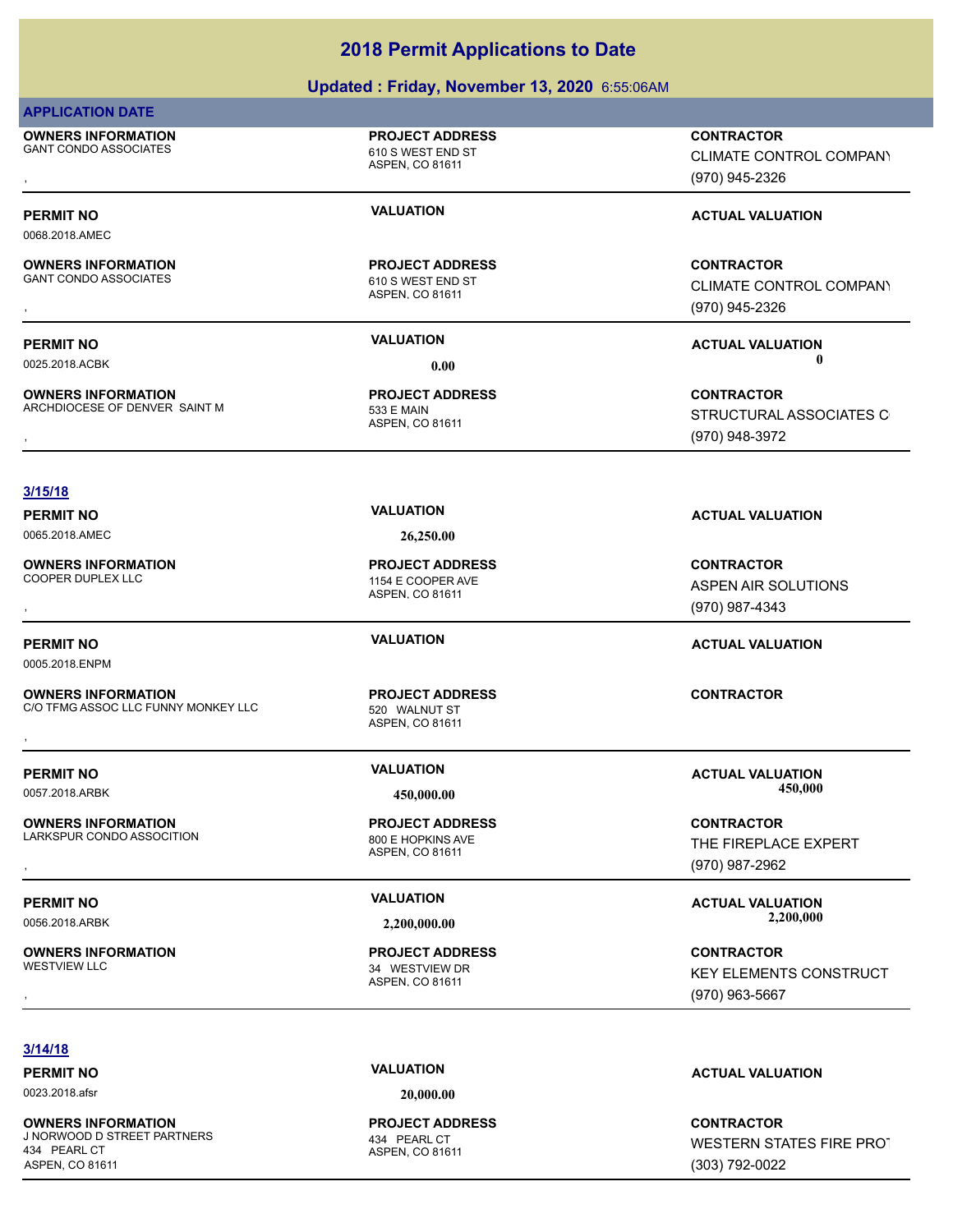### **Updated : Friday, November 13, 2020** 6:55:06AM

### **APPLICATION DATE**

0068.2018.AMEC

**OWNERS INFORMATION** GANT CONDO ASSOCIATES 610 S WEST END ST

**OWNERS INFORMATION**

**OWNERS INFORMATION**

ASPEN, CO 81611

**PROJECT ADDRESS**

ASPEN, CO 81611 GANT CONDO ASSOCIATES 610 S WEST END ST **PROJECT ADDRESS**

ASPEN, CO 81611 ARCHDIOCESE OF DENVER SAINT M<br>533 E MAIN **PROJECT ADDRESS**

### **3/15/18**

**OWNERS INFORMATION**

0005.2018.ENPM

**OWNERS INFORMATION** C/O TFMG ASSOC LLC FUNNY MONKEY LLC 520 WALNUT ST **OWNERS INFORMATION MONKEY LLC THE PROJECT ADDRESS THE SECONTRACTOR CONTRACTOR**<br>C/O TFMG ASSOC LLC FUNNY MONKEY LLC THE SECONDATION OF SECONDUCT ST<br>ASPEN. CO 81611

**OWNERS INFORMATION** LARKSPUR CONDO ASSOCITION 800 E HOPKINS AVE

**OWNERS INFORMATION**

ASPEN, CO 81611 **PROJECT ADDRESS**

ASPEN, CO 81611 34 WESTVIEW DR **PROJECT ADDRESS**

**OWNERS INFORMATION GOVERNEY ARE DESCRIPTED MARKED BY A SPEN. CONTROL CONTRACTOR**<br>GANT CONDO ASSOCIATES GOVERNEY AS A SPEN. CO 81611<br>ASPEN. CO 81611 GOVERNEY (970) 945-2326 CLIMATE CONTROL COMPANY (970) 945-2326

### **PERMIT NO VALUATION VALUATION VALUATION**

**OWNERS INFORMATION GOVERNEY ARE ARRIVATED FROJECT ADDRESS CONTRACTOR CONTRACTOR**<br>GANT CONDO ASSOCIATES GOVERNEY ASPEN, CO 81611 GOVERNEY CONTRACTOR CONTROL COMPANY<br>, GANT CONDO ASSOCIATES GOVERNEY ASPEN, CO 81611 GOVERNEY CLIMATE CONTROL COMPANY (970) 945-2326

**PERMIT NO VALUATION ACTUAL VALUATION** 0025.2018.ACBK **0.00 0.00**

**OWNERS INFORMATION Material contract in the set of the contract of the contract of contract of contract of cont<br>ARCHDIOCESE OF DENVER SAINT MANUAL ASPEN, CO 81611 MASPEN, CO 81611 MASPEN, CO 81611 MASPEN, CO 81611 MASPEN,** STRUCTURAL ASSOCIATES C (970) 948-3972

ASPEN AIR SOLUTIONS (970) 987-4343

### **PERMIT NO VALUATION ACTUAL VALUATION**

0057.2018.ARBK **450,000.00 450,000.00**

**OWNERS INFORMATION GOVERNEY ARE SERVED BY A SPENITE CONTRACTOR CONTRACTOR**<br>LARKSPUR CONDO ASSOCITION GOVERNEY AS A SPEN, CO 81611<br>ASPEN, CO 81611 GOVERNEY (970) 987-2962 THE FIREPLACE EXPERT

**PERMIT NO VALUATION ACTUAL VALUATION**

, **CONTRACTOR** KEY ELEMENTS CONSTRUCT (970) 963-5667

### **3/14/18**

0023.2018.afsr **20,000.00**

**OWNERS INFORMATION** J NORWOOD D STREET PARTNERS 434 PEARL CT 434 PEARL CT ASPEN, CO 81611

ASPEN, CO 81611 **PROJECT ADDRESS**

**PERMIT NO VALUATION ACTUAL VALUATION**

**CONTRACTOR** WESTERN STATES FIRE PROT (303) 792-0022

# **PERMIT NO VALUATION VALUATION VALUATION** 0065.2018.AMEC **26,250.00** ASPEN, CO 81611 1154 E COOPER AVE **PROJECT ADDRESS** , **CONTRACTOR**

ASPEN, CO 81611 **PROJECT ADDRESS**

**PERMIT NO VALUATION ACTUAL VALUATION**

(970) 987-2962

0056.2018.ARBK **2,200,000.00 2,200,000.00**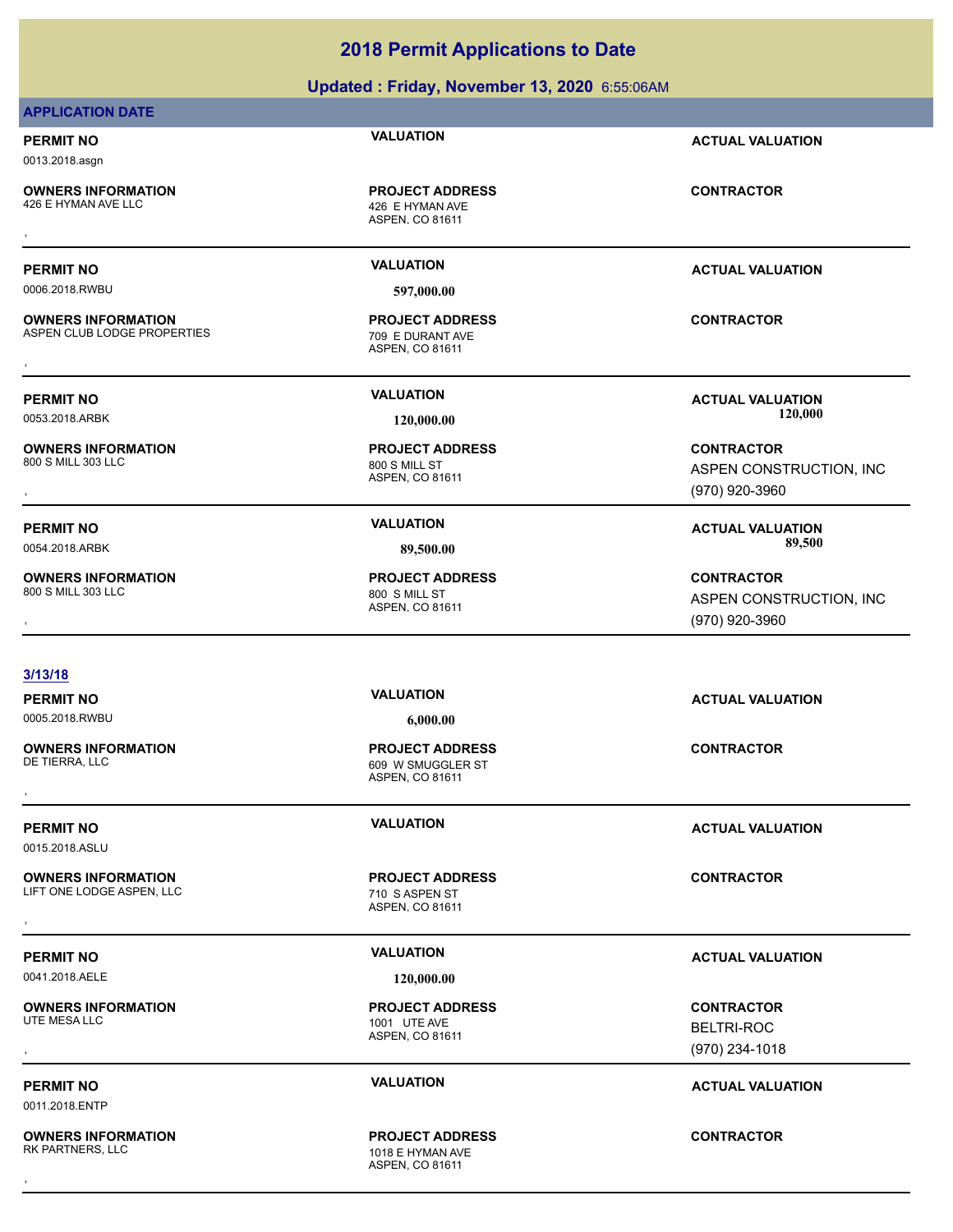### **Updated : Friday, November 13, 2020** 6:55:06AM

### **APPLICATION DATE**

### **PERMIT NO VALUATION ACTUAL VALUATION**

0013.2018.asgn

**OWNERS INFORMATION**

ASPEN, CO 81611 426 E HYMAN AVE **PROJECT ADDRESS** , **CONTRACTOR**

0006.2018.RWBU **597,000.00**

**OWNERS INFORMATION** ASPEN CLUB LODGE PROPERTIES 709 E DURANT AVE

**OWNERS INFORMATION**

**OWNERS INFORMATION** 800 S MILL 303 LLC 800 S MILL ST

ASPEN, CO 81611 **PROJECT ADDRESS OWNERS INFORMATION CONTRACTOR RESOURCE PROJECT ADDRESS CONTRACTOR CONTRACTOR**<br>ASPEN CLUB LODGE PROPERTIES TO PROVIDE ASPEN, CO 81611<br>,

ASPEN, CO 81611 800 S MILL ST **PROJECT ADDRESS**

ASPEN, CO 81611

**PERMIT NO VALUATION ACTUAL VALUATION**

**PERMIT NO VALUATION ACTUAL VALUATION** 0053.2018.ARBK **120,000.00 120,000.00**

, **CONTRACTOR** ASPEN CONSTRUCTION, INC (970) 920-3960

**PERMIT NO VALUATION ACTUAL VALUATION** 0054.2018.ARBK **89,500.00 89,500.00**

, **CONTRACTOR** ASPEN CONSTRUCTION, INC (970) 920-3960

### **3/13/18**

**PERMIT NO VALUATION ACTUAL VALUATION** 0005.2018.RWBU **6,000.00**

**OWNERS INFORMATION**

**PERMIT NO VALUATION ACTUAL VALUATION**

0015.2018.ASLU

**OWNERS INFORMATION** LIFT ONE LODGE ASPEN, LLC<br>
710 S ASPEN ST

**OWNERS INFORMATION**

0011.2018.ENTP

**OWNERS INFORMATION** RK PARTNERS, LLC 1018 E HYMAN AVE

ASPEN, CO 81611 609 W SMUGGLER ST **PROJECT ADDRESS** , **CONTRACTOR**

ASPEN, CO 81611 **PROJECT ADDRESS OWNERS INFORMATION CONTRACTOR REGIST OF PROJECT ADDRESS CONTRACTOR CONTRACTOR**<br>LIFT ONE LODGE ASPEN, LLC THE RESPONSE TO A ASPEN ST<br>ASPEN. CO 81611

0041.2018.AELE **120,000.00**

ASPEN, CO 81611 1001 UTE AVE **PROJECT ADDRESS** , **CONTRACTOR**

ASPEN, CO 81611 **PROJECT ADDRESS** , **CONTRACTOR**

### **PERMIT NO VALUATION ACTUAL VALUATION**

BELTRI-ROC (970) 234-1018

### **PERMIT NO VALUATION ACTUAL VALUATION**

**PROJECT ADDRESS**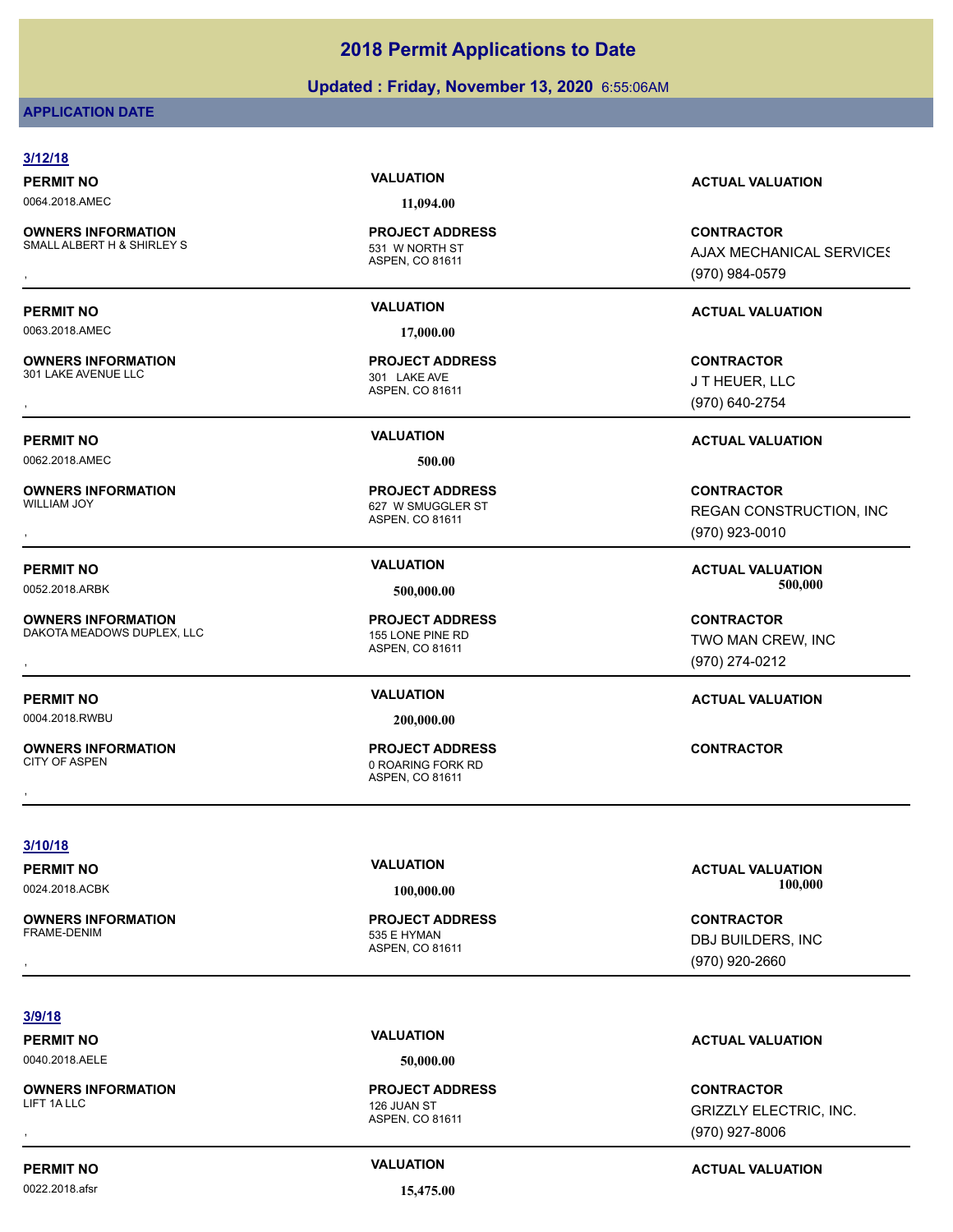### **Updated : Friday, November 13, 2020** 6:55:06AM

### **APPLICATION DATE**

### **3/12/18 PERMIT NO VALUATION ACTUAL VALUATION** 0064.2018.AMEC **11,094.00** ASPEN, CO 81611 **OWNERS INFORMATION** SMALL ALBERT H & SHIRLEY S<br>531 W NORTH ST **PROJECT ADDRESS OWNERS INFORMATION GOVERNED BY A SERVICE PROJECT ADDRESS ARE SONTRACTOR CONTRACTOR**<br>SMALL ALBERT H & SHIRLEY S GOVERNED ASPEN, CO 81611 GOVERNED BY A SANGER MECHANICAL SERVICES<br>GOVERNED ASPEN, CO 81611 GOVERNED ASPEN, CO **AJAX MECHANICAL SERVICES** (970) 984-0579 **PERMIT NO VALUATION ACTUAL VALUATION** 0063.2018.AMEC **17,000.00** ASPEN, CO 81611 **OWNERS INFORMATION** 301 LAKE AVENUE LLC 301 LAKE AVE **PROJECT ADDRESS** , **CONTRACTOR** J T HEUER, LLC (970) 640-2754 **PERMIT NO VALUATION ACTUAL VALUATION** 0062.2018.AMEC **500.00** ASPEN, CO 81611 **OWNERS INFORMATION** 627 W SMUGGLER ST **PROJECT ADDRESS** , **CONTRACTOR** REGAN CONSTRUCTION, INC (970) 923-0010 **PERMIT NO VALUATION ACTUAL VALUATION** 0052.2018.ARBK **500,000.00 500,000.00** ASPEN, CO 81611 **OWNERS INFORMATION** DAKOTA MEADOWS DUPLEX, LLC<br>155 LONE PINE RD **PROJECT ADDRESS** , **CONTRACTOR** TWO MAN CREW, INC (970) 274-0212 **PERMIT NO VALUATION ACTUAL VALUATION** 0004.2018.RWBU **200,000.00** ASPEN, CO 81611 **OWNERS INFORMATION** 0 ROARING FORK RD **PROJECT ADDRESS** , **CONTRACTOR 3/10/18 PERMIT NO VALUATION VALUATION VALUATION** 0024.2018.ACBK **100,000.00 100,000.00 OWNERS INFORMATION PROJECT ADDRESS** , **CONTRACTOR**

### **3/9/18**

0040.2018.AELE **50,000.00**

**OWNERS INFORMATION**

ASPEN, CO 81611

535 E HYMAN

ASPEN, CO 81611 LIFT 1A LLC 2008 THE RESERVE TO A 2009 THE RESERVE TO A 2009 THE RESERVE TO A 2009 THE RESERVE TO A 2009 THE R **PROJECT ADDRESS**

### **PERMIT NO VALUATION ACTUAL VALUATION**

DBJ BUILDERS, INC (970) 920-2660

, **CONTRACTOR** GRIZZLY ELECTRIC, INC. (970) 927-8006

0022.2018.afsr **15,475.00**

**PERMIT NO VALUATION VALUATION VALUATION**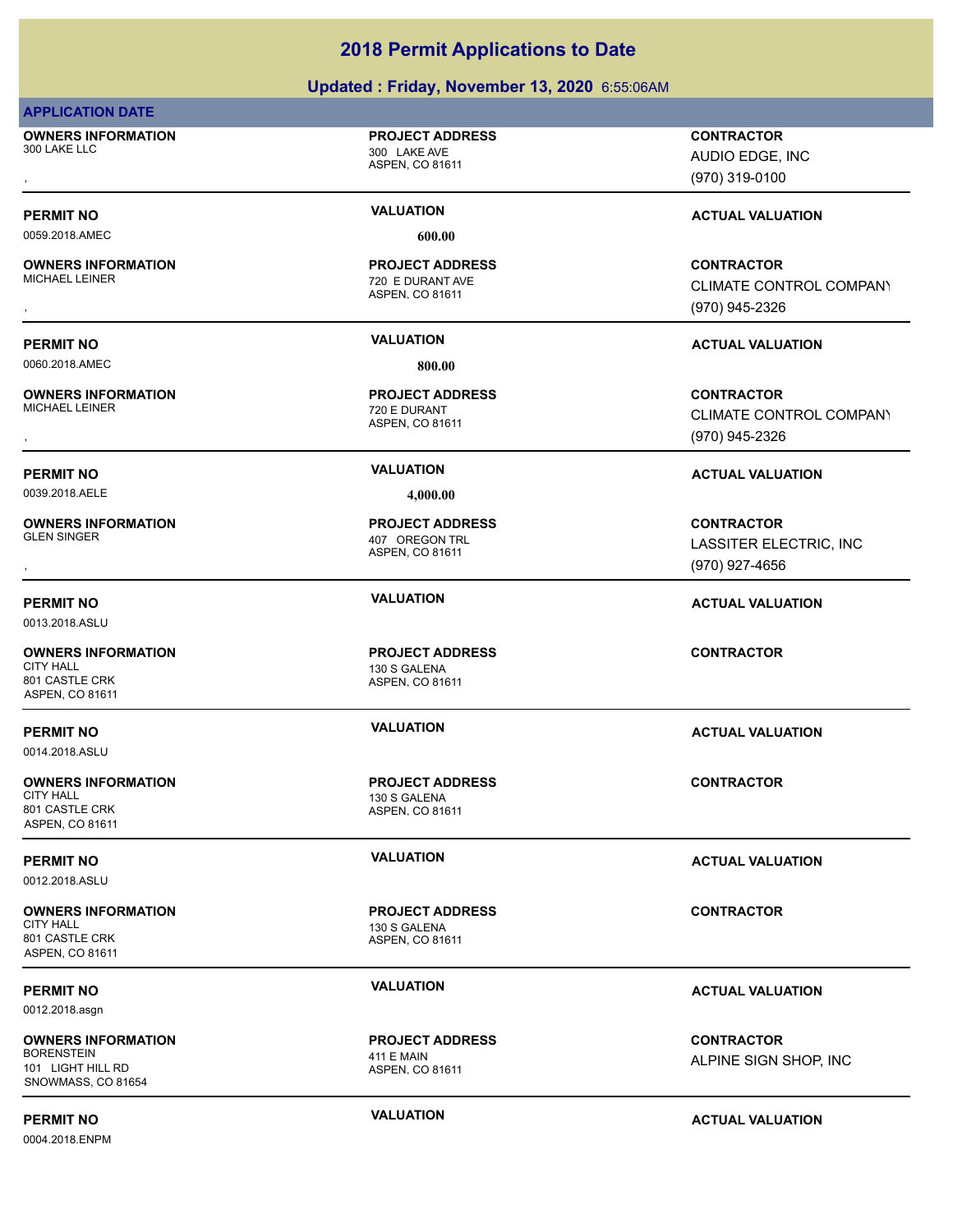### **Updated : Friday, November 13, 2020** 6:55:06AM

### **APPLICATION DATE**

**OWNERS INFORMATION**

### **PROJECT ADDRESS**

ASPEN, CO 81611 300 LAKE LLC 300 LAKE AVE

ASPEN, CO 81611

ASPEN, CO 81611

720 E DURANT **PROJECT ADDRESS**

720 E DURANT AVE **PROJECT ADDRESS**

0059.2018.AMEC **600.00**

# **OWNERS INFORMATION**

0060.2018.AMEC **800.00**

# **OWNERS INFORMATION**

0039.2018.AELE **4,000.00**

**OWNERS INFORMATION**

0013.2018.ASLU

### **OWNERS INFORMATION**

801 CASTLE CRK ASPEN, CO 81611

0014.2018.ASLU

# **OWNERS INFORMATION**

801 CASTLE CRK ASPEN, CO 81611

0012.2018.ASLU

# **OWNERS INFORMATION**

801 CASTLE CRK ASPEN, CO 81611

0012.2018.asgn

### **OWNERS INFORMATION**

BORENSTEIN 411 E MAIN 101 LIGHT HILL RD SNOWMASS, CO 81654

0004.2018.ENPM

# , **CONTRACTOR** AUDIO EDGE, INC

(970) 319-0100

## **PERMIT NO CONSUMITY ACTUAL VALUATION VALUATION VALUATION**

, **CONTRACTOR** CLIMATE CONTROL COMPANY (970) 945-2326

### **PERMIT NO VALUATION ACTUAL VALUATION**

, **CONTRACTOR** CLIMATE CONTROL COMPANY (970) 945-2326

### **PERMIT NO VALUATION ACTUAL VALUATION**

, **CONTRACTOR** LASSITER ELECTRIC, INC (970) 927-4656

### **PERMIT NO VALUATION ACTUAL VALUATION**

**CONTRACTOR**

### **PERMIT NO VALUATION ACTUAL VALUATION**

**CONTRACTOR**

### **PERMIT NO VALUATION VALUATION VALUATION**

**CONTRACTOR**

### **PERMIT NO VALUATION ACTUAL VALUATION**

**CONTRACTOR** ALPINE SIGN SHOP, INC

**PERMIT NO VALUATION ACTUAL VALUATION**

ASPEN, CO 81611 130 S GALENA

ASPEN, CO 81611

ASPEN, CO 81611 **PROJECT ADDRESS**

**PROJECT ADDRESS**



407 OREGON TRL **PROJECT ADDRESS**

ASPEN, CO 81611

ASPEN, CO 81611 CITY HALL 2000 CONTROL 2000 CITY HALL 2000 CONTROL 2000 CONTROL 2000 CONTROL 2000 CONTROL 2000 CONTROL 2000 CO **PROJECT ADDRESS**

# 130 S GALENA

**PROJECT ADDRESS**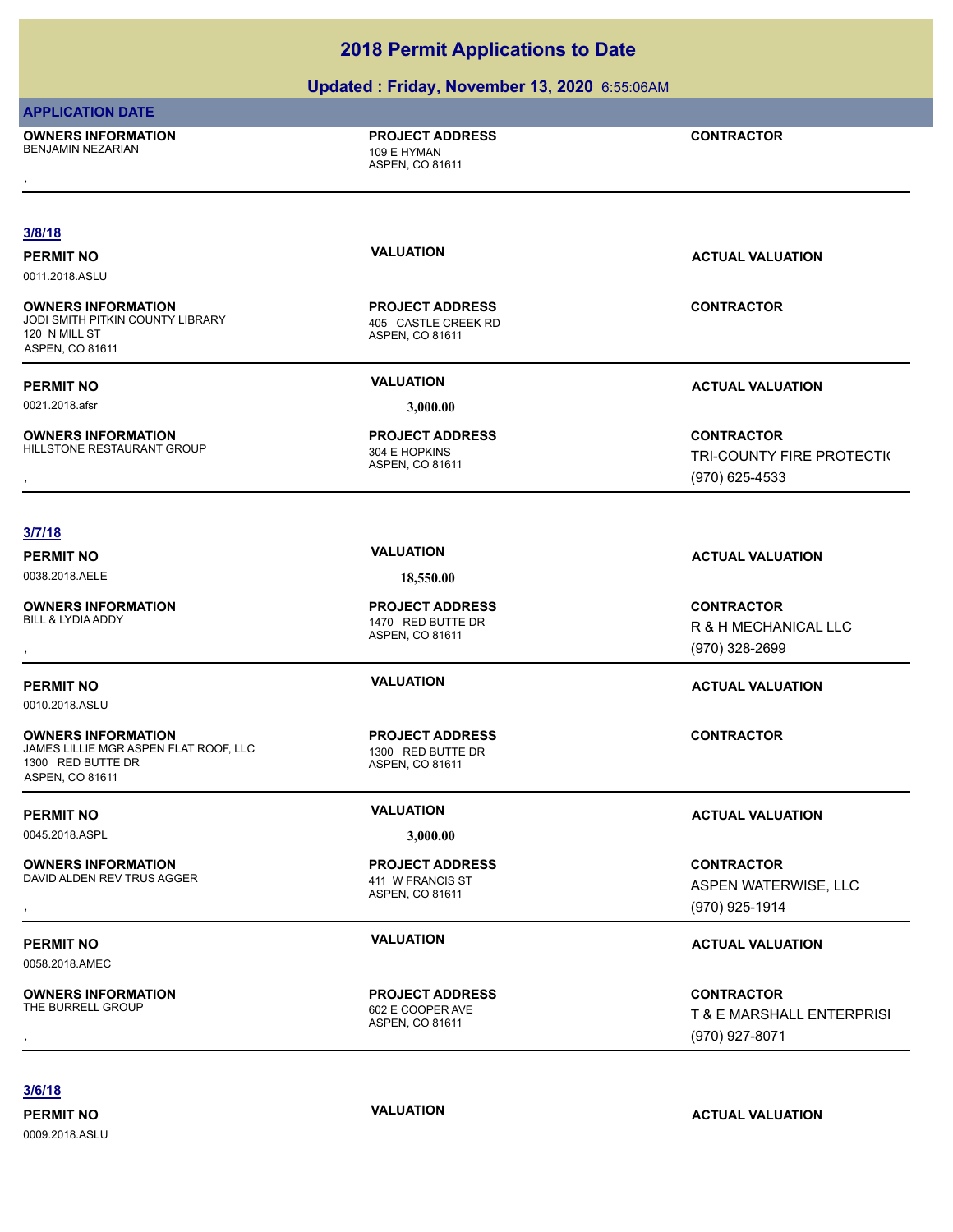### **Updated : Friday, November 13, 2020** 6:55:06AM

### **APPLICATION DATE**

**OWNERS INFORMATION** BENJAMIN NEZARIAN 109 E HYMAN , **CONTRACTOR**

**PROJECT ADDRESS**

ASPEN, CO 81611

### **3/8/18**

0011.2018.ASLU

**OWNERS INFORMATION** JODI SMITH PITKIN COUNTY LIBRARY 405 CASTLE CREEK RD 120 N MILL ST ASPEN, CO 81611

0021.2018.afsr **3,000.00**

**OWNERS INFORMATION** HILLSTONE RESTAURANT GROUP 304 E HOPKINS

ASPEN, CO 81611 **PROJECT ADDRESS**

ASPEN, CO 81611 **PROJECT ADDRESS**

**PERMIT NO CONSUMITY ACTUAL VALUATION VALUATION VALUATION** 

**CONTRACTOR**

**PERMIT NO VALUATION VALUATION VALUATION** 

**OWNERS INFORMATION GOVERNED BY A SERVICE PROJECT ADDRESS ARE SONTRACTOR CONTRACTOR CONTROLLY FIRE PROTECTION<br>HILLSTONE RESTAURANT GROUP FOR ASPEN, CO 81611 ASPEN, CO 81611 (1970) 625-4533** TRI-COUNTY FIRE PROTECTI( (970) 625-4533

### **3/7/18**

**PERMIT NO VALUATION ACTUAL VALUATION** 0038.2018.AELE **18,550.00**

0010.2018.ASLU

**OWNERS INFORMATION**

**OWNERS INFORMATION**

**OWNERS INFORMATION**

**OWNERS INFORMATION**<br>THE BURRELL GROUP

1300 RED BUTTE DR ASPEN, CO 81611

ASPEN, CO 81611 1470 RED BUTTE DR **PROJECT ADDRESS**

ASPEN, CO 81611 JAMES LILLIE MGR ASPEN FLAT ROOF, LLC 1300 RED BUTTE DR **PROJECT ADDRESS**

0045.2018.ASPL **3,000.00**

ASPEN, CO 81611 DAVID ALDEN REV TRUS AGGER<br>
411 W FRANCIS ST **PROJECT ADDRESS**

ASPEN, CO 81611 602 E COOPER AVE **PROJECT ADDRESS**

, **CONTRACTOR** R & H MECHANICAL LLC (970) 328-2699

### **PERMIT NO VALUATION VALUATION VALUATION**

**CONTRACTOR**

### **PERMIT NO VALUATION ACTUAL VALUATION**

**OWNERS INFORMATION EXAMPLE ASSUME TO A PROJECT ADDRESS FOR A CONTRACTOR CONTRACTOR**<br>DAVID ALDEN REV TRUS AGGER THE MAN ASPEN CO 81611 ASPEN SALE ASPEN WATERWISE, LLC ASPEN WATERWISE, LLC ASPEN MATERWISE, LLC<br>ASPEN. CO 816 ASPEN WATERWISE, LLC (970) 925-1914

### **PERMIT NO VALUATION ACTUAL VALUATION**

**OWNERS INFORMATION PROJECT ADDRESS CONTRACTOR**<br>THE BURRELL GROUP 602 E COOPER AVE T & E MARSHALL ENTERPRISI<br>, ASPEN. CO 81611 T & E MARSHALL ENTERPRISI (970) 927-8071

**3/6/18**

0009.2018.ASLU

0058.2018.AMEC

**PERMIT NO VALUATION ACTUAL VALUATION**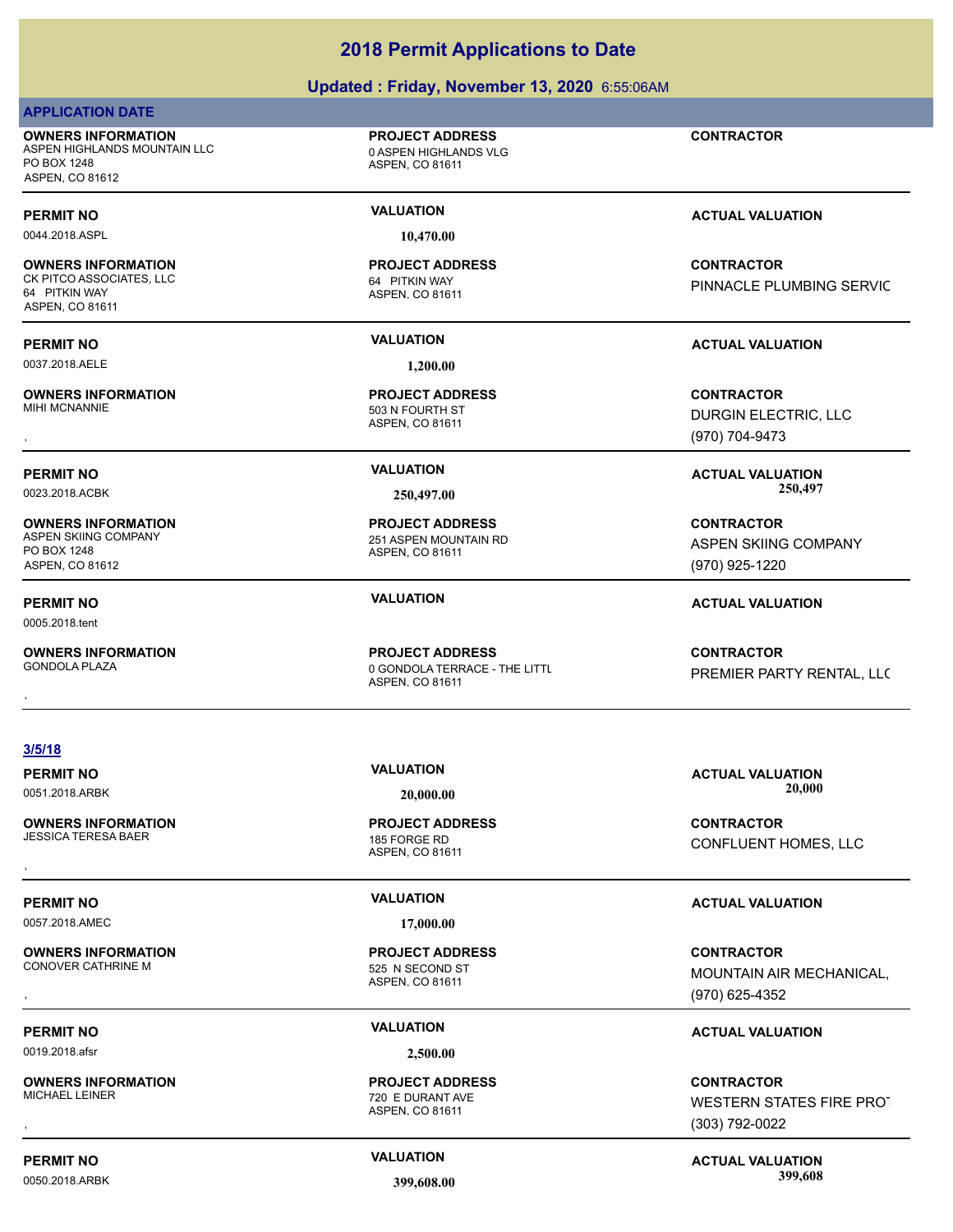### **Updated : Friday, November 13, 2020** 6:55:06AM

### **APPLICATION DATE**

**OWNERS INFORMATION** ASPEN HIGHLANDS MOUNTAIN LLC **CONTRAINS IN A SEPAL ASPEN HIGHLANDS VLG** PO BOX 1248 ASPEN, CO 81612

0044.2018.ASPL **10,470.00**

### **OWNERS INFORMATION**

CK PITCO ASSOCIATES, LLC 64 PITKIN WAY 64 PITKIN WAY ASPEN, CO 81611

**OWNERS INFORMATION**

**OWNERS INFORMATION** PO BOX 1248 ASPEN, CO 81612

0005.2018.tent

**OWNERS INFORMATION**

ASPEN, CO 81611 **PROJECT ADDRESS**

### ASPEN, CO 81611 **PROJECT ADDRESS**

ASPEN, CO 81611 **PROJECT ADDRESS**

251 ASPEN MOUNTAIN RD

ASPEN, CO 81611 0 GONDOLA TERRACE - THE LITTL **PROJECT ADDRESS OWNERS INFORMATION FROJECT ADDRESS CONTRACTOR**<br>GONDOLA PLAZA **DESCRIPTION DESCRIPTION OF A SPEN** CO 81611<br>ASPEN. CO 81611

**3/5/18**

**OWNERS INFORMATION** JESSICA TERESA BAER 185 FORGE RD

0057.2018.AMEC **17,000.00**

**OWNERS INFORMATION**

0019.2018.afsr **2,500.00**

**OWNERS INFORMATION**

ASPEN, CO 81611 **PROJECT ADDRESS**

ASPEN, CO 81611 525 N SECOND ST **PROJECT ADDRESS**

ASPEN, CO 81611 720 E DURANT AVE **PROJECT ADDRESS**

**CONTRACTOR** PINNACLE PLUMBING SERVIC

, **CONTRACTOR** DURGIN ELECTRIC, LLC (970) 704-9473

**PERMIT NO VALUATION ACTUAL VALUATION** 0023.2018.ACBK **250,497.00 250,497.00**

> **CONTRACTOR** ASPEN SKIING COMPANY (970) 925-1220

**PERMIT NO VALUATION ACTUAL VALUATION**

PREMIER PARTY RENTAL, LLC

**PERMIT NO VALUATION ACTUAL VALUATION** 0051.2018.ARBK **20,000.00 20,000.00**

, **CONTRACTOR** CONFLUENT HOMES, LLC

### **PERMIT NO VALUATION ACTUAL VALUATION**

, **CONTRACTOR** MOUNTAIN AIR MECHANICAL, (970) 625-4352

### **PERMIT NO VALUATION ACTUAL VALUATION**

, **CONTRACTOR** WESTERN STATES FIRE PROT (303) 792-0022

**PERMIT NO CONSUMITY ACTUAL VALUATION VALUATION VALUATION** 0050.2018.ARBK **399,608.00 399,608.00**

503 N FOURTH ST

ASPEN, CO 81611 **PROJECT ADDRESS**

**CONTRACTOR**

**PERMIT NO VALUATION ACTUAL VALUATION**

**PERMIT NO VALUATION VALUATION VALUATION** 

0037.2018.AELE **1,200.00**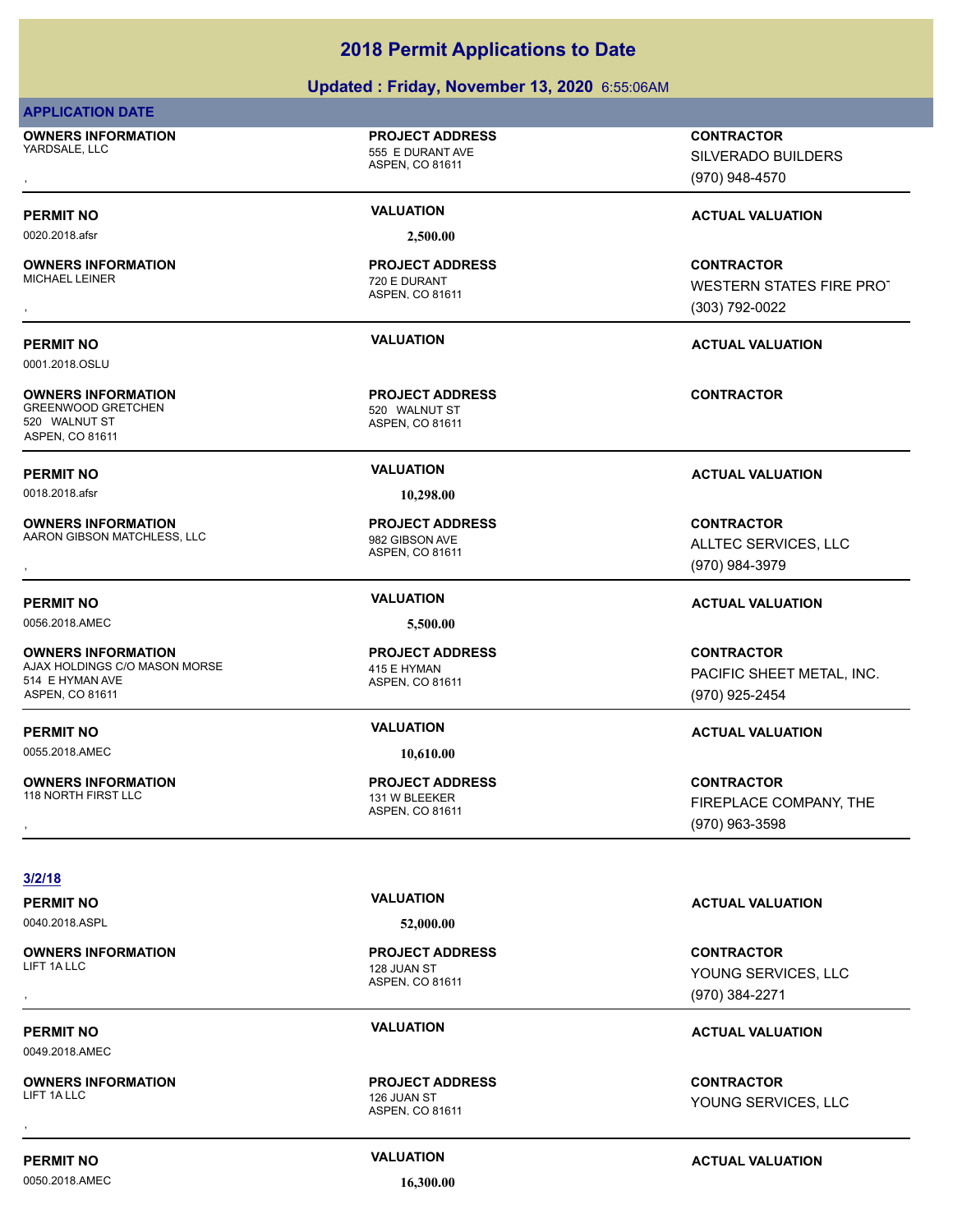### **Updated : Friday, November 13, 2020** 6:55:06AM

### **APPLICATION DATE**

**OWNERS INFORMATION** YARDSALE, LLC 555 E DURANT AVE

# **PROJECT ADDRESS**

ASPEN, CO 81611

ASPEN, CO 81611

720 E DURANT **PROJECT ADDRESS**

0020.2018.afsr **2,500.00**

**OWNERS INFORMATION**

0001.2018.OSLU

**OWNERS INFORMATION** GREENWOOD GRETCHEN 520 WALNUT ST 520 WALNUT ST ASPEN, CO 81611

0018.2018.afsr **10,298.00**

**OWNERS INFORMATION** AARON GIBSON MATCHLESS, LLC<br>
982 GIBSON AVE

0056.2018.AMEC **5,500.00**

**OWNERS INFORMATION** AJAX HOLDINGS C/O MASON MORSE 415 E HYMAN 514 E HYMAN AVE ASPEN, CO 81611

0055.2018.AMEC **10,610.00**

**OWNERS INFORMATION**

**OWNERS INFORMATION**

**OWNERS INFORMATION**<br>LIFT 1A LLC

ASPEN, CO 81611 **PROJECT ADDRESS**

ASPEN, CO 81611 **PROJECT ADDRESS**

ASPEN, CO 81611 **PROJECT ADDRESS**

ASPEN, CO 81611 131 W BLEEKER **PROJECT ADDRESS**

, **CONTRACTOR** SILVERADO BUILDERS (970) 948-4570

### **PERMIT NO VALUATION VALUATION VALUATION**

, **CONTRACTOR** WESTERN STATES FIRE PROT (303) 792-0022

### **PERMIT NO VALUATION ACTUAL VALUATION**

**CONTRACTOR**

### **PERMIT NO VALUATION ACTUAL VALUATION**

, **CONTRACTOR** ALLTEC SERVICES, LLC (970) 984-3979

### **PERMIT NO VALUATION ACTUAL VALUATION**

**CONTRACTOR** PACIFIC SHEET METAL, INC. (970) 925-2454

### **PERMIT NO VALUATION ACTUAL VALUATION**

, **CONTRACTOR** FIREPLACE COMPANY, THE (970) 963-3598

**3/2/18**

0040.2018.ASPL **52,000.00**

ASPEN, CO 81611 128 JUAN ST **PROJECT ADDRESS**

ASPEN, CO 81611 LIFT 1A LLC 2008 THE RESERVE TO A 2009 THE RESERVE TO A 2009 THE RESERVE TO A 2009 THE RESERVE TO A 2009 THE R **PROJECT ADDRESS**

**PERMIT NO VALUATION ACTUAL VALUATION**

### , **CONTRACTOR** YOUNG SERVICES, LLC (970) 384-2271

### **PERMIT NO CONSUMITY OF A CONSUMITY OF A CONSUMITY OF A CONSUMITY OF A CTUAL VALUATION**

, **CONTRACTOR** YOUNG SERVICES, LLC

0049.2018.AMEC

0050.2018.AMEC **16,300.00**

**PERMIT NO CONSUMITY ACTUAL VALUATION VALUATION VALUATION**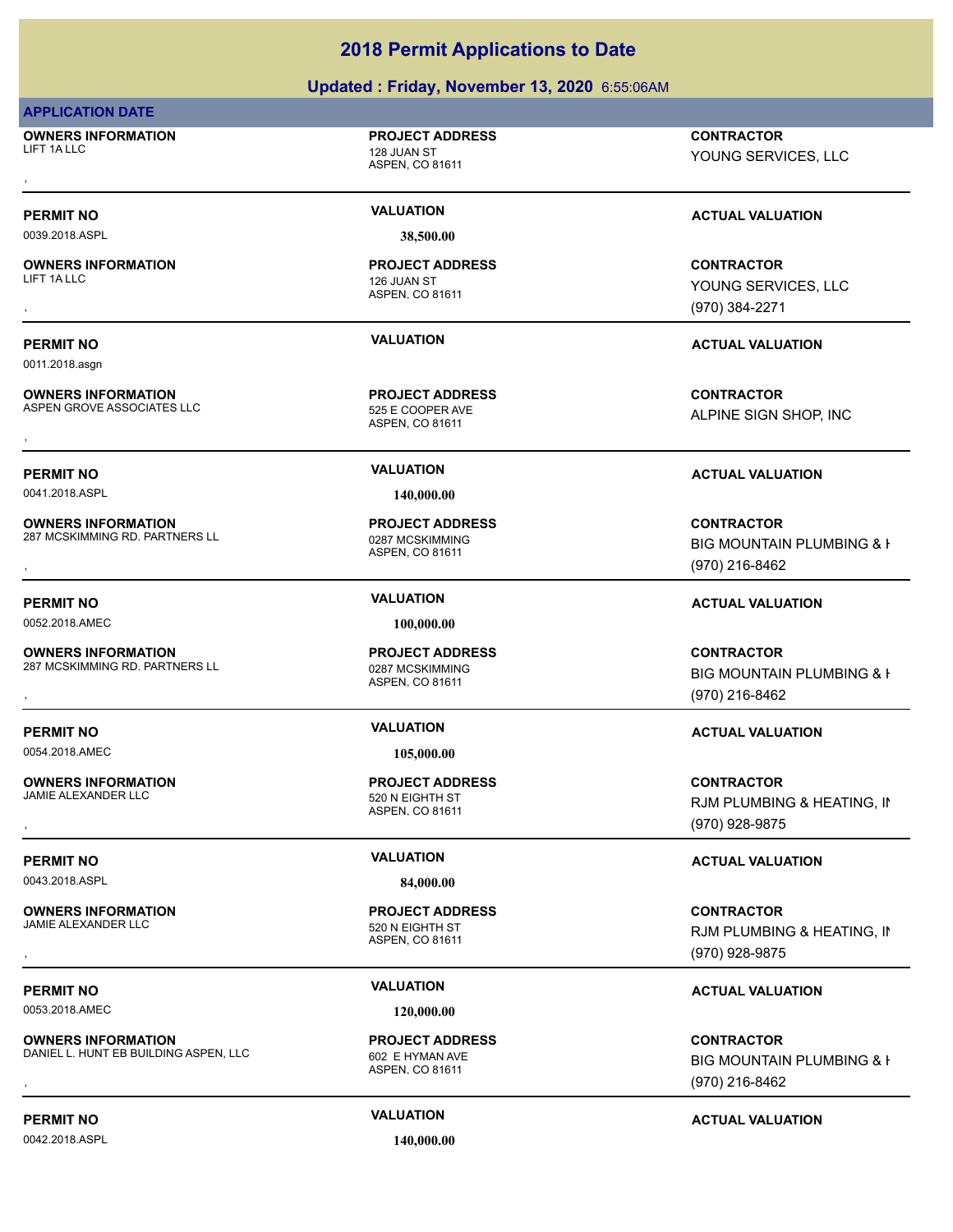### **Updated : Friday, November 13, 2020** 6:55:06AM

### **APPLICATION DATE**

**OWNERS INFORMATION** LIFT 1A LLC 2008 128 JUAN ST

0039.2018.ASPL **38,500.00**

**OWNERS INFORMATION** LIFT 1A LLC 2008 THE RESERVE THAT A LOCAL THE RESERVE THAT A 126 JUAN ST

0011.2018.asgn

**OWNERS INFORMATION** ASPEN GROVE ASSOCIATES LLC<br>525 E COOPER AVE

**OWNERS INFORMATION**

**OWNERS INFORMATION**

**OWNERS INFORMATION**

ASPEN, CO 81611 **PROJECT ADDRESS**

ASPEN, CO 81611

ASPEN, CO 81611

**PROJECT ADDRESS**

**PROJECT ADDRESS**

0041.2018.ASPL **140,000.00**

ASPEN, CO 81611 287 MCSKIMMING RD. PARTNERS LL<br>0287 MCSKIMMING **PROJECT ADDRESS**

0052.2018.AMEC **100,000.00**

ASPEN, CO 81611 287 MCSKIMMING RD. PARTNERS LL<br>0287 MCSKIMMING **PROJECT ADDRESS**

0054.2018.AMEC **105,000.00**

ASPEN, CO 81611 520 N EIGHTH ST **PROJECT ADDRESS**

**PROJECT ADDRESS**

ASPEN, CO 81611 **PROJECT ADDRESS**

, **CONTRACTOR** YOUNG SERVICES, LLC

### **PERMIT NO VALUATION VALUATION VALUATION**

, **CONTRACTOR** YOUNG SERVICES, LLC (970) 384-2271

### **PERMIT NO VALUATION ACTUAL VALUATION**

**OWNERS INFORMATION LEADURED SECUTE OF A SECURE ASSESS AND RESEARCH CONTRACTOR**<br>ASPEN GROVE ASSOCIATES LLC LEADURED ASPEN, CO 81611<br>ASPEN, CO 81611 ALPINE SIGN SHOP, INC

### **PERMIT NO VALUATION ACTUAL VALUATION**

, **CONTRACTOR** BIG MOUNTAIN PLUMBING & H (970) 216-8462

### **PERMIT NO VALUATION ACTUAL VALUATION**

**OWNERS INFORMATION EXAMPLE ASS ARE DESCRIPS TO A PROJECT ADDRESS ARE SERVICES CONTRACTOR CONTRACTOR SERVICES A<br>287 MCSKIMMING RD. PARTNERS LL EXAMPLE AS A ASPEN. CO 81611<br>, Example a Spen. Co 81611 ASPEN (970) 216-8462** BIG MOUNTAIN PLUMBING & H (970) 216-8462

### **PERMIT NO VALUATION ACTUAL VALUATION**

, **CONTRACTOR** RJM PLUMBING & HEATING, IN (970) 928-9875

### **PERMIT NO VALUATION VALUATION VALUATION**

, **CONTRACTOR** RJM PLUMBING & HEATING, IN (970) 928-9875

### **PERMIT NO VALUATION ACTUAL VALUATION**

, **CONTRACTOR** BIG MOUNTAIN PLUMBING & I (970) 216-8462

### **PERMIT NO VALUATION ACTUAL VALUATION**

0042.2018.ASPL **140,000.00**

**OWNERS INFORMATION** JAMIE ALEXANDER LLC 520 N EIGHTH ST

0053.2018.AMEC **120,000.00**

**OWNERS INFORMATION** DANIEL L. HUNT EB BUILDING ASPEN, LLC 602 E HYMAN AVE

# 0043.2018.ASPL **84,000.00** ASPEN, CO 81611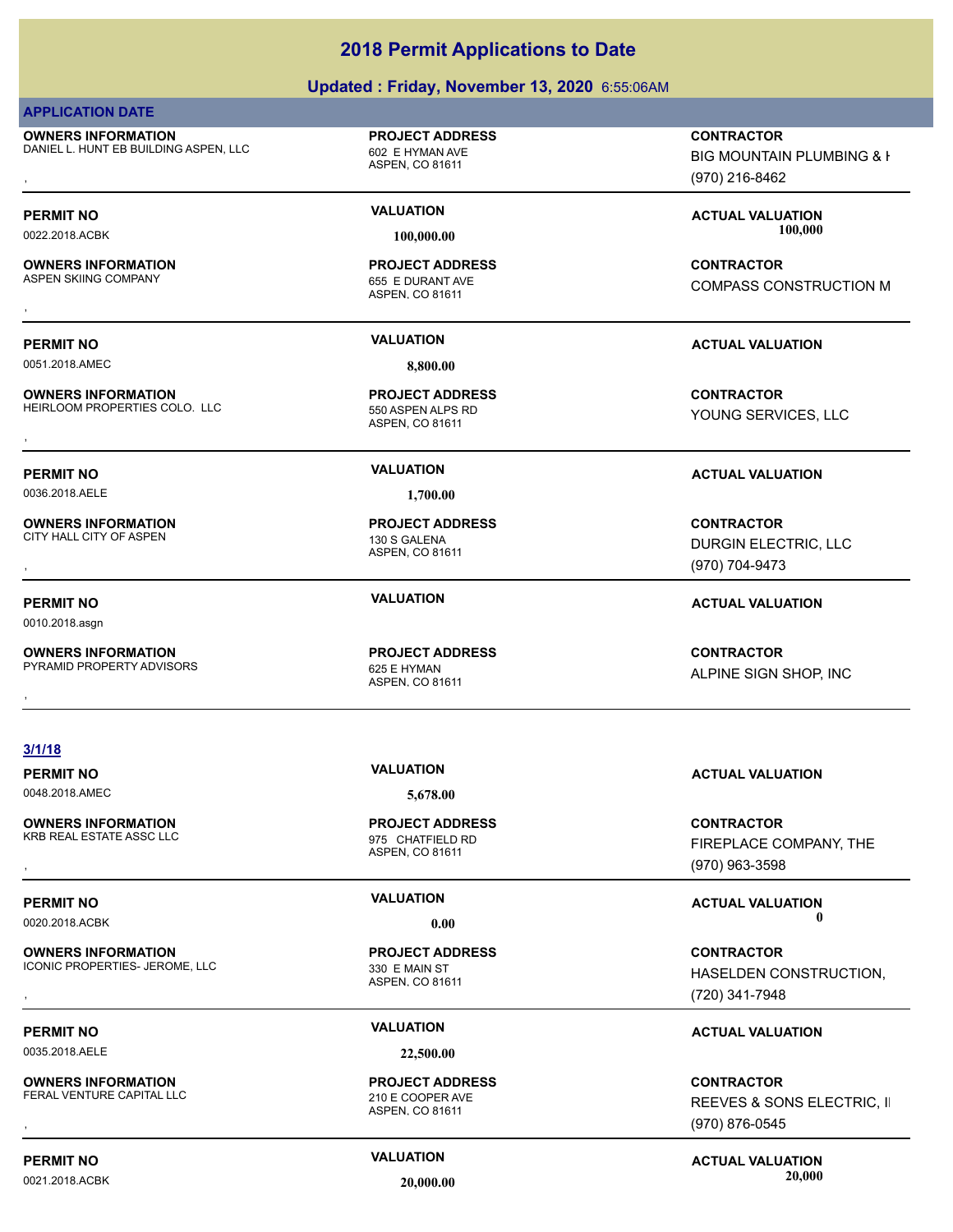### **Updated : Friday, November 13, 2020** 6:55:06AM

### **APPLICATION DATE**

**OWNERS INFORMATION** DANIEL L. HUNT EB BUILDING ASPEN, LLC 602 E HYMAN AVE

# ASPEN, CO 81611

**PROJECT ADDRESS**

### ASPEN, CO 81611 **PROJECT ADDRESS**

ASPEN, CO 81611

ASPEN, CO 81611 **PROJECT ADDRESS**

ASPEN, CO 81611 **PROJECT ADDRESS**

**OWNERS INFORMATION ASPEN, LLC ASPEN CONTRACTOR DESCRIPTION ASPEN CONTRACTOR**<br>DANIEL L. HUNT EB BUILDING ASPEN, LLC ASPEN CO 81611 ASPEN CO 81611 ASPEN CO 81611 (970) 216-8462 BIG MOUNTAIN PLUMBING & I (970) 216-8462

**PERMIT NO VALUATION ACTUAL VALUATION** 0022.2018.ACBK **100,000.00 100,000.00**

, **CONTRACTOR** COMPASS CONSTRUCTION M

**OWNERS INFORMATION GOVERNED BY A SERVICE PROJECT ADDRESS ARE SERVICE CONTRACTOR**<br>CITY HALL CITY OF ASPEN **A SPEN A SPEN, CO 81611**<br>, GOVERNED BY A SPEN, CO 81611

### **PERMIT NO VALUATION ACTUAL VALUATION**

ALPINE SIGN SHOP, INC

, **CONTRACTOR** FIREPLACE COMPANY, THE

, **CONTRACTOR** HASELDEN CONSTRUCTION, (720) 341-7948

**OWNERS INFORMATION GOVERNEY ARE DESCRIPTED MARKED BY A SPEAR OF SERVED BY A SPEAR WE GOVER AVE SERVED BY A SPEA<br>FERAL VENTURE CAPITAL LLC GOVER AND ASPEN CO 81611 CONTROL CONTROL CONTROL ASPEN CO 81611 CONTROL CONTROL CON** REEVES & SONS ELECTRIC, II (970) 876-0545

# 0021.2018.ACBK **20,000.00 20,000.00**

**3/1/18**

**OWNERS INFORMATION** KRB REAL ESTATE ASSC LLC<br>
975 CHATFIELD RD

**OWNERS INFORMATION** ICONIC PROPERTIES- JEROME, LLC<br>330 E MAIN ST

0035.2018.AELE **22,500.00**

**OWNERS INFORMATION** FERAL VENTURE CAPITAL LLC<br>
210 E COOPER AVE

**PERMIT NO CONSUMITY ACTUAL VALUATION VALUATION VALUATION** 

**PROJECT ADDRESS**

ASPEN, CO 81611 **PROJECT ADDRESS**

ASPEN, CO 81611 **PROJECT ADDRESS**

**PERMIT NO VALUATION ACTUAL VALUATION**

# 0048.2018.AMEC **5,678.00**

ASPEN, CO 81611

**OWNERS INFORMATION** ASPEN SKIING COMPANY 655 E DURANT AVE

**OWNERS INFORMATION** HEIRLOOM PROPERTIES COLO. LLC 550 ASPEN ALPS RD **OWNERS INFORMATION CONTRACTOR REGISTED BY A SPEN ALPS RDUGES SURFERIES CONTRACTOR**<br>HEIRLOOM PROPERTIES COLO. LLC THE SEND ASPEN ALPS RD<br>, The Senate of Spen, CO 81611

0036.2018.AELE **1,700.00**

**OWNERS INFORMATION** CITY HALL CITY OF ASPEN 130 S GALENA

0010.2018.asgn

**OWNERS INFORMATION**

PYRAMID PROPERTY ADVISORS 625 E HYMAN

**OWNERS INFORMATION GOVERNED BY A SECURITY OF PROJECT ADDRESS CONTRACTOR CONTRACTOR**<br>PYRAMID PROPERTY ADVISORS GOVERNED BY ASPEN, CO 81611<br>,

# 0051.2018.AMEC **8,800.00 PROJECT ADDRESS**

**PERMIT NO VALUATION ACTUAL VALUATION**

YOUNG SERVICES, LLC

### **PERMIT NO VALUATION ACTUAL VALUATION**

DURGIN ELECTRIC, LLC (970) 704-9473

(970) 963-3598

**PERMIT NO VALUATION ACTUAL VALUATION** 0020.2018.ACBK **0.00 0.00**

### **PERMIT NO VALUATION ACTUAL VALUATION**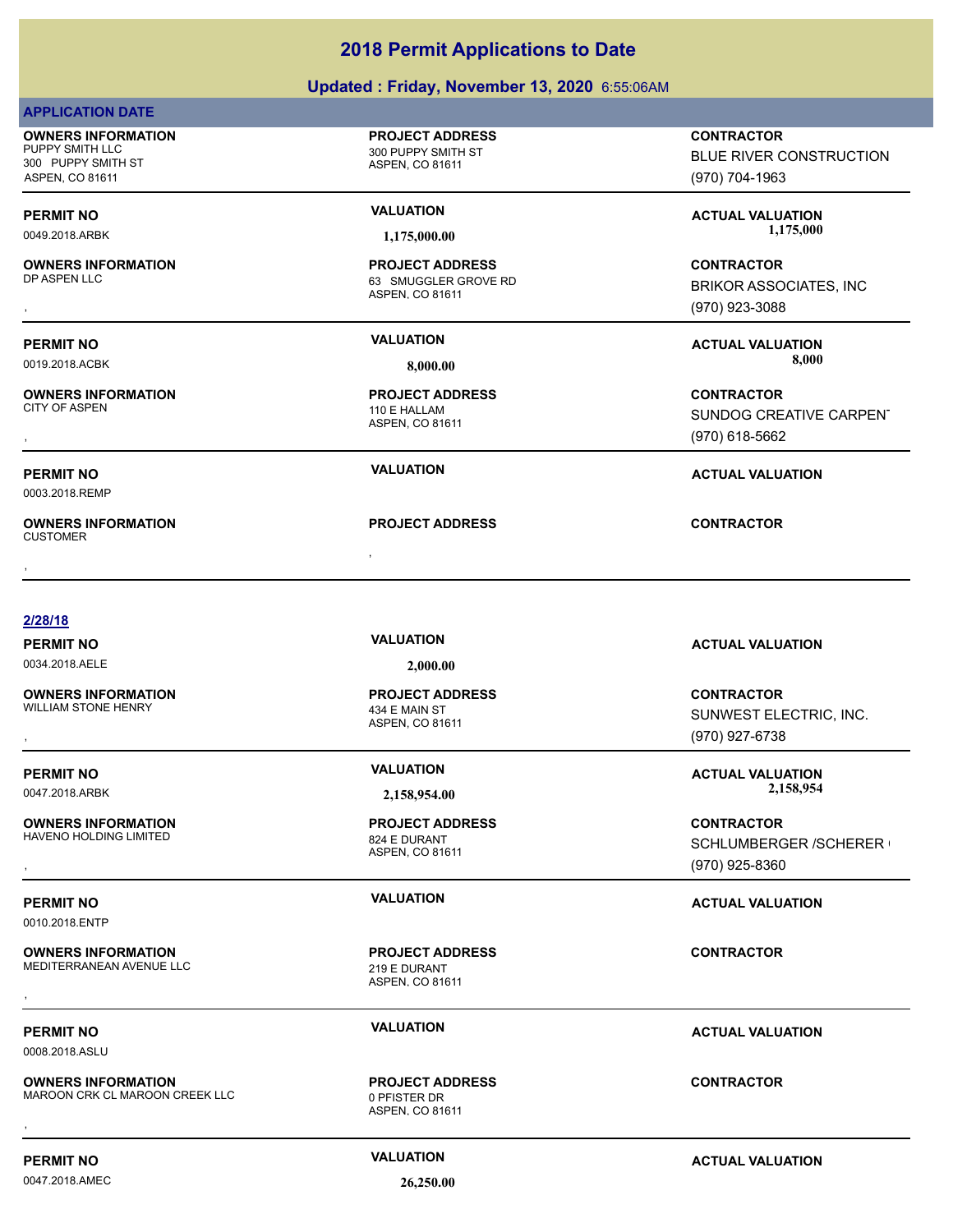### **Updated : Friday, November 13, 2020** 6:55:06AM

ASPEN, CO 81611

ASPEN, CO 81611

ASPEN, CO 81611

**PROJECT ADDRESS**

ASPEN, CO 81611

ASPEN, CO 81611

ASPEN, CO 81611

**PROJECT ADDRESS**

**PROJECT ADDRESS**

**PROJECT ADDRESS**

110 E HALLAM **PROJECT ADDRESS**

63 SMUGGLER GROVE RD **PROJECT ADDRESS**

**PROJECT ADDRESS**

| <b>APPLICATION DATE</b> |  |
|-------------------------|--|
|-------------------------|--|

**OWNERS INFORMATION** PUPPY SMITH LLC 300 PUPPY SMITH ST 300 PUPPY SMITH ST ASPEN, CO 81611

## **OWNERS INFORMATION**

# **OWNERS INFORMATION**

0003.2018.REMP

, **OWNERS INFORMATION** CUSTOMER , **CONTRACTOR**

### **2/28/18**

0034.2018.AELE **2,000.00**

**OWNERS INFORMATION** WILLIAM STONE HENRY 434 E MAIN ST

**OWNERS INFORMATION** HAVENO HOLDING LIMITED 824 E DURANT

0010.2018.ENTP

### **OWNERS INFORMATION** MEDITERRANEAN AVENUE LLC<br>219 E DURANT , **CONTRACTOR**

0008.2018.ASLU

### **OWNERS INFORMATION** MAROON CRK CL MAROON CREEK LLC 0 PFISTER DR **OWNERS INFORMATION CONTRACTOR REGIST OF PROJECT ADDRESS CONTRACTOR CONTRACTOR**<br>MAROON CRK CL MAROON CREEK LLC CONTRACTOR ASPEN. CO 81611<br>,

**PERMIT NO CONSUMITY ACTUAL VALUATION VALUATION VALUATION** 

ASPEN, CO 81611

**PROJECT ADDRESS**

0047.2018.AMEC **26,250.00**

**CONTRACTOR**

BLUE RIVER CONSTRUCTION (970) 704-1963

PERMIT NO **SALUATION VALUATION CONSUMPTION ACTUAL VALUATION**<br>1.175,000.00 0049.2018.ARBK **1,175,000.00 1,175,000.00**

, **CONTRACTOR** BRIKOR ASSOCIATES, INC (970) 923-3088

**PERMIT NO VALUATION ACTUAL VALUATION** 0019.2018.ACBK **8,000.00 8,000.00**

, **CONTRACTOR** SUNDOG CREATIVE CARPENT (970) 618-5662

### **PERMIT NO VALUATION ACTUAL VALUATION**

**PERMIT NO VALUATION ACTUAL VALUATION**

, **CONTRACTOR** SUNWEST ELECTRIC, INC. (970) 927-6738

**PERMIT NO VALUATION ACTUAL VALUATION** 0047.2018.ARBK **2,158,954.00 2,158,954.00**

**OWNERS INFORMATION PROJECT ADDRESS CONTRACTOR**<br>HAVENO HOLDING LIMITED 824 E DURANT SCHLUMBERGER /SCHERER I<br>, ASPEN, CO 81611 SCHLUMBERGER /SCHERER ( (970) 925-8360

### **PERMIT NO VALUATION ACTUAL VALUATION**

**PERMIT NO VALUATION ACTUAL VALUATION**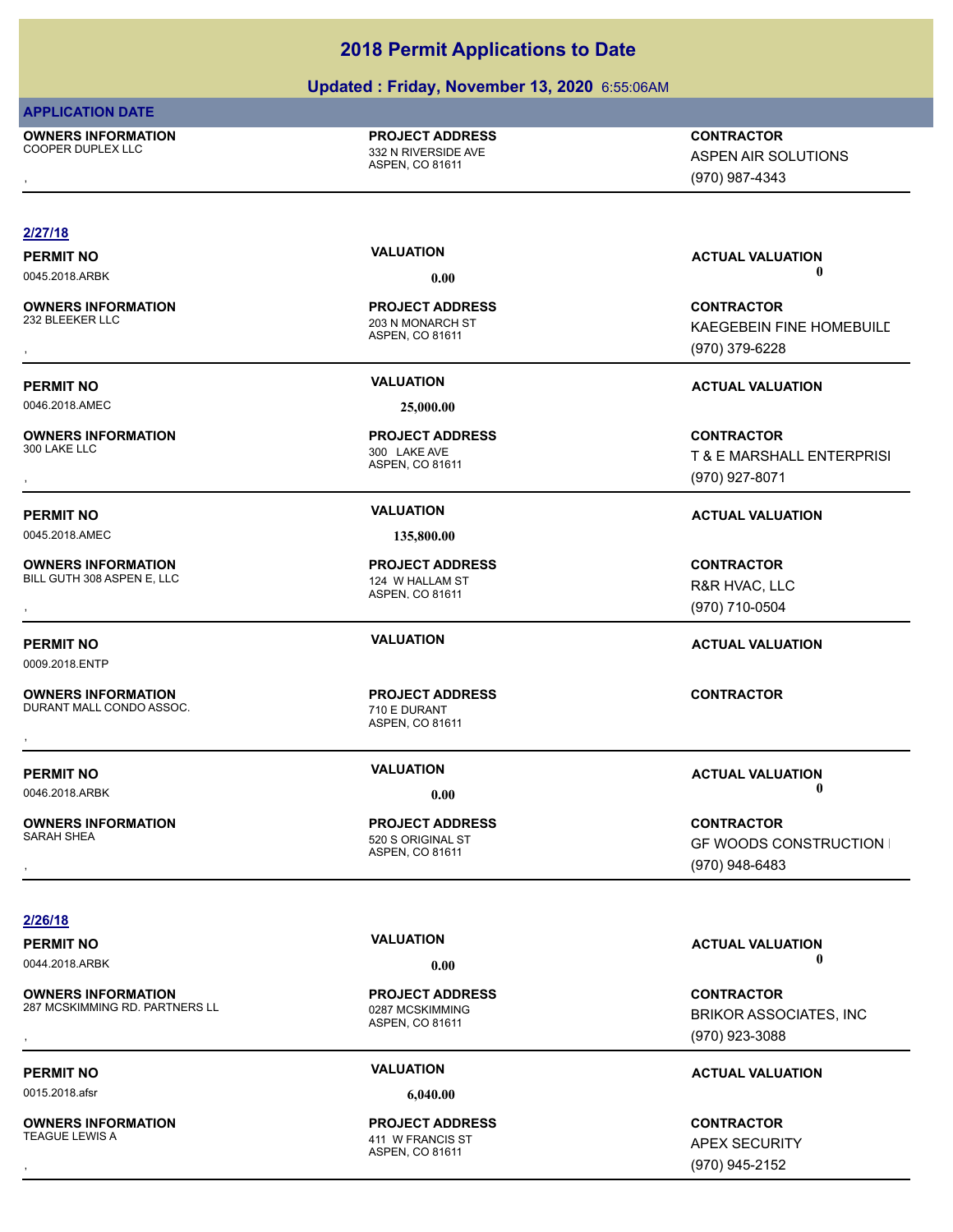### **Updated : Friday, November 13, 2020** 6:55:06AM

### **APPLICATION DATE**

**OWNERS INFORMATION** COOPER DUPLEX LLC **COOPER DUPLEX LLC** 

ASPEN, CO 81611 **PROJECT ADDRESS**

ASPEN AIR SOLUTIONS

### , **CONTRACTOR** (970) 987-4343 **2/27/18 PERMIT NO VALUATION VALUATION VALUATION** 0045.2018.ARBK **0.00 0.00** ASPEN, CO 81611 **OWNERS INFORMATION** 203 N MONARCH ST **PROJECT ADDRESS OWNERS INFORMATION PROJECT ADDRESS CONTRACTOR**<br>232 BLEEKER LLC 203 N MONARCH ST KAEGEBEIN FINE HOMEBUILE<br>, ASPEN, CO 81611 KAEGEBEIN FINE HOMEBUILD (970) 379-6228 **PERMIT NO VALUATION VALUATION VALUATION** 0046.2018.AMEC **25,000.00** ASPEN, CO 81611 **OWNERS INFORMATION** 300 LAKE LLC 300 LAKE AVE **PROJECT ADDRESS** , **CONTRACTOR** T & E MARSHALL ENTERPRISI (970) 927-8071 **PERMIT NO VALUATION ACTUAL VALUATION** 0045.2018.AMEC **135,800.00** ASPEN, CO 81611 **OWNERS INFORMATION** BILL GUTH 308 ASPEN E, LLC<br>
124 W HALLAM ST **PROJECT ADDRESS OWNERS INFORMATION PROJECT ADDRESS CONTRACTOR**<br>BILL GUTH 308 ASPEN E, LLC 124 W HALLAM ST R&R HVAC, LLC<br>, ASPEN, CO 81611 R&R HVAC, LLC (970) 710-0504 **PERMIT NO VALUATION ACTUAL VALUATION** 0009.2018.ENTP ASPEN, CO 81611 **OWNERS INFORMATION** DURANT MALL CONDO ASSOC. The matrix of the control of the DURANT **PROJECT ADDRESS** , **CONTRACTOR PERMIT NO VALUATION ACTUAL VALUATION** 0046.2018.ARBK **0.00 0.00** ASPEN, CO 81611 **OWNERS INFORMATION** 520 S ORIGINAL ST **PROJECT ADDRESS** , **CONTRACTOR** GF WOODS CONSTRUCTION I (970) 948-6483 **2/26/18**

**OWNERS INFORMATION** 287 MCSKIMMING RD. PARTNERS LL<br>0287 MCSKIMMING

0015.2018.afsr **6,040.00**

**OWNERS INFORMATION**

ASPEN, CO 81611 **PROJECT ADDRESS**

ASPEN, CO 81611 411 W FRANCIS ST **PROJECT ADDRESS**

**PERMIT NO VALUATION ACTUAL VALUATION** 0044.2018.ARBK **0.00 0.00**

**OWNERS INFORMATION EXAMPLE ASS ARE DESCRIPS TO A PROJECT ADDRESS ARE SERVICES CONTRACTOR CONTROURS AND RESERVE<br>287 MCSKIMMING RD. PARTNERS LL EXAMPLE AS A ASPEN. CO 81611<br>, Example a Aspen. CO 81611 ASPEN (970) 923-3088** BRIKOR ASSOCIATES, INC (970) 923-3088

### **PERMIT NO VALUATION ACTUAL VALUATION**

, **CONTRACTOR** APEX SECURITY (970) 945-2152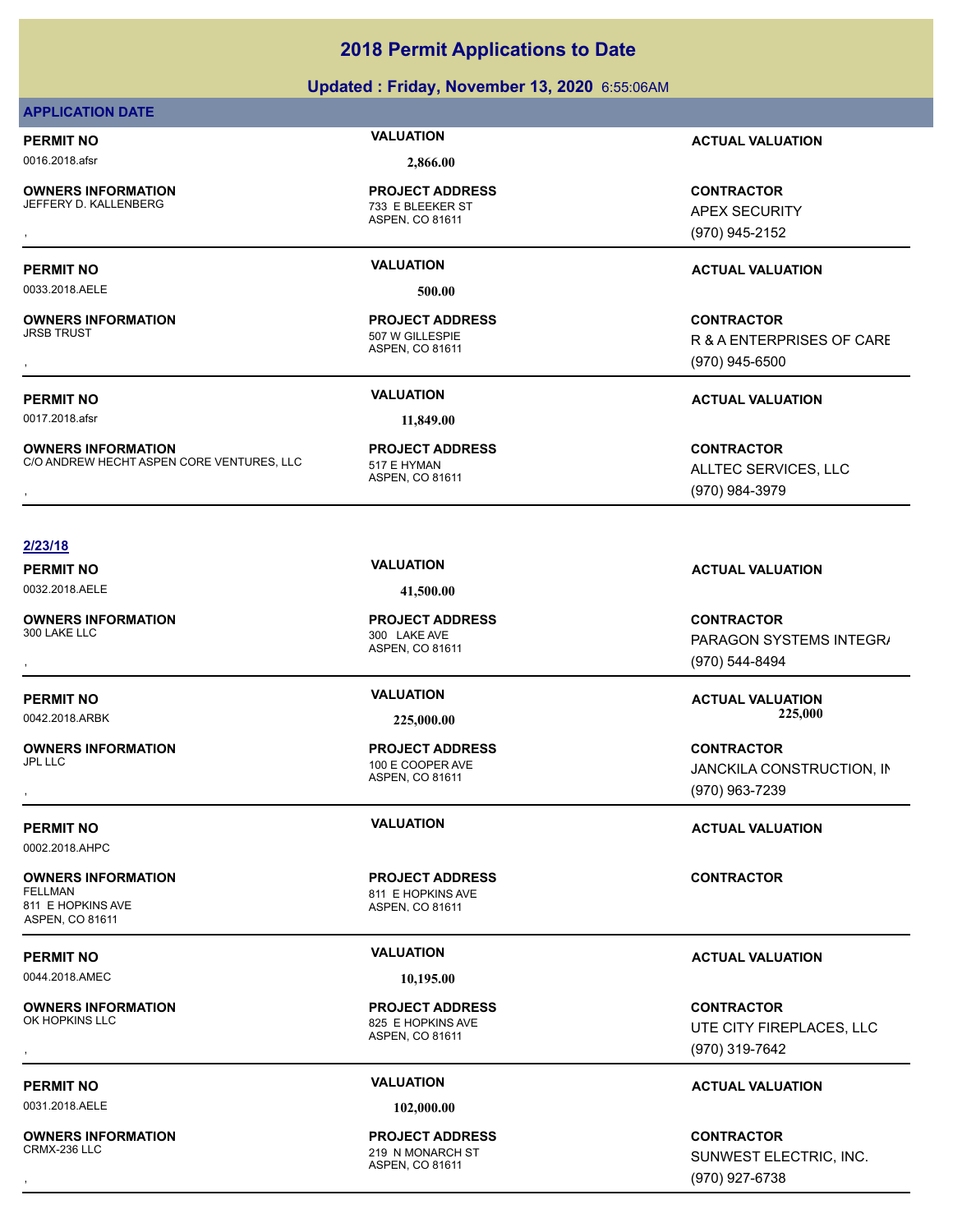### **Updated : Friday, November 13, 2020** 6:55:06AM

### **APPLICATION DATE**

0016.2018.afsr **2,866.00**

**OWNERS INFORMATION** JEFFERY D. KALLENBERG 733 E BLEEKER ST

ASPEN, CO 81611 **PROJECT ADDRESS**

0033.2018.AELE **500.00**

**OWNERS INFORMATION**

**OWNERS INFORMATION** C/O ANDREW HECHT ASPEN CORE VENTURES, LLC 517 E HYMAN

**PROJECT ADDRESS**

ASPEN, CO 81611 **PROJECT ADDRESS**

**PERMIT NO VALUATION ACTUAL VALUATION**

, **CONTRACTOR** APEX SECURITY (970) 945-2152

, **CONTRACTOR** R & A ENTERPRISES OF CARE (970) 945-6500

### **PERMIT NO VALUATION ACTUAL VALUATION**

**OWNERS INFORMATION CORE VENTURES, LLC FROJECT ADDRESS FROM ALLTEC SERVICES, LLC**<br>C/O ANDREW HECHT ASPEN CORE VENTURES, LLC FROM ASPEN, CO 81611<br>, GTO) 984-3979 ALLTEC SERVICES, LLC (970) 984-3979

### **2/23/18**

0032.2018.AELE **41,500.00**

**OWNERS INFORMATION**

**OWNERS INFORMATION**

0002.2018.AHPC

### **OWNERS INFORMATION** 811 E HOPKINS AVE ASPEN, CO 81611

0044.2018.AMEC **10,195.00**

**OWNERS INFORMATION**<br>OK HOPKINS LLC

0031.2018.AELE **102,000.00**

**OWNERS INFORMATION**

ASPEN, CO 81611 300 LAKE AVE **PROJECT ADDRESS**

### ASPEN, CO 81611 100 E COOPER AVE **PROJECT ADDRESS**

ASPEN, CO 81611 811 E HOPKINS AVE **PROJECT ADDRESS**

ASPEN, CO 81611 825 E HOPKINS AVE **PROJECT ADDRESS**

### ASPEN, CO 81611 219 N MONARCH ST **PROJECT ADDRESS**

**PERMIT NO VALUATION VALUATION VALUATION** 

, **CONTRACTOR** PARAGON SYSTEMS INTEGR/ (970) 544-8494

**PERMIT NO VALUATION ACTUAL VALUATION** 0042.2018.ARBK **225,000.00 225,000.00**

, **CONTRACTOR** JANCKILA CONSTRUCTION, IN (970) 963-7239

**PERMIT NO VALUATION ACTUAL VALUATION**

### **CONTRACTOR**

### **PERMIT NO VALUATION ACTUAL VALUATION**

, **CONTRACTOR** UTE CITY FIREPLACES, LLC (970) 319-7642

### **PERMIT NO VALUATION ACTUAL VALUATION**

, **CONTRACTOR** SUNWEST ELECTRIC, INC. (970) 927-6738

0017.2018.afsr **11,849.00**

**PERMIT NO VALUATION ACTUAL VALUATION**

# ASPEN, CO 81611 507 W GILLESPIE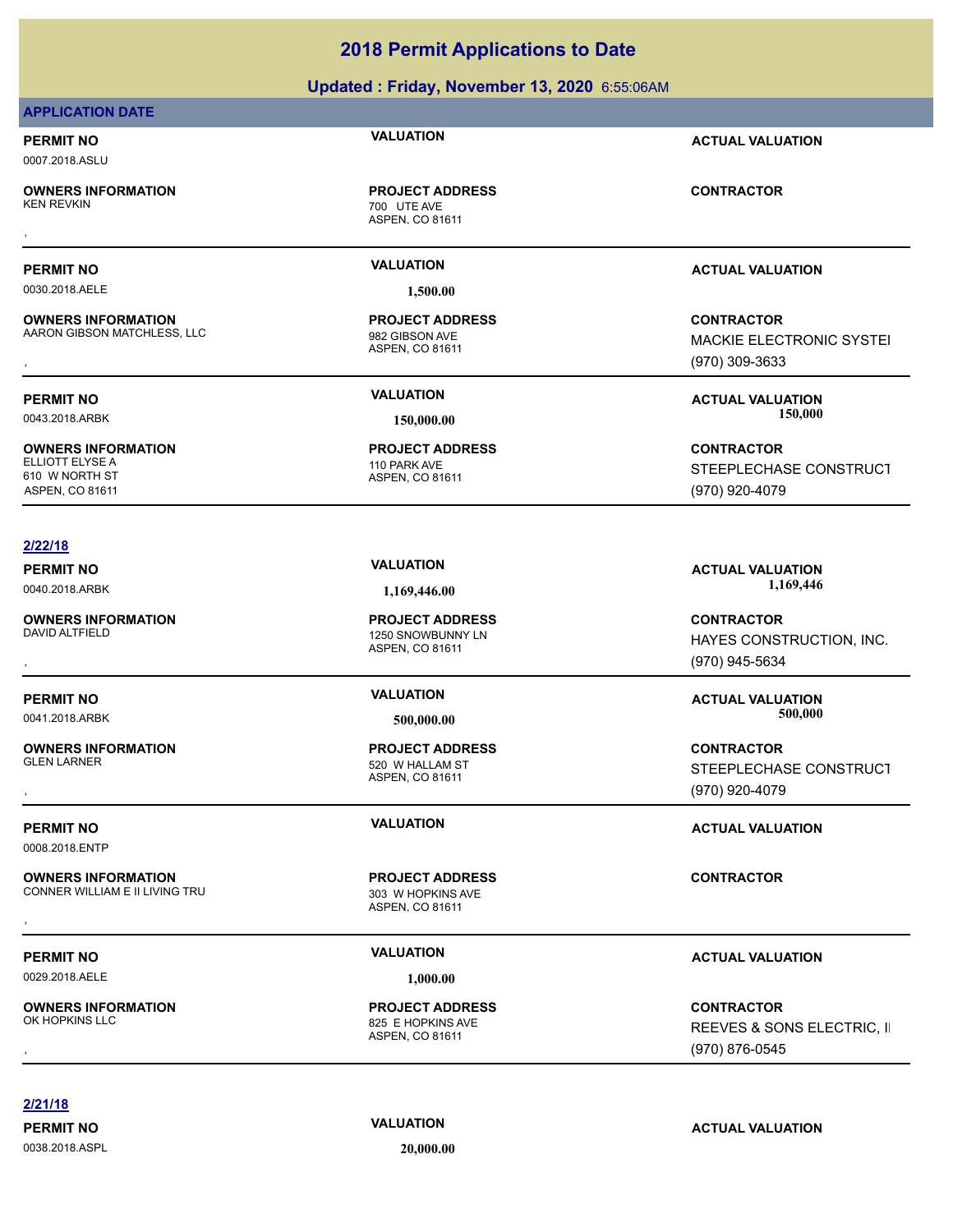### **Updated : Friday, November 13, 2020** 6:55:06AM

### **APPLICATION DATE**

## **PERMIT NO VALUATION ACTUAL VALUATION**

0007.2018.ASLU

**OWNERS INFORMATION**

ASPEN, CO 81611 700 UTE AVE

0030.2018.AELE **1,500.00**

**OWNERS INFORMATION** AARON GIBSON MATCHLESS, LLC 982 GIBSON AVE

**OWNERS INFORMATION** ELLIOTT ELYSE A 110 PARK AVE 610 W NORTH ST ASPEN, CO 81611

### **2/22/18**

**OWNERS INFORMATION**

**OWNERS INFORMATION**

0008.2018.ENTP

**OWNERS INFORMATION** CONNER WILLIAM E II LIVING TRU **1988 NEW 1989 W HOPKINS AVE** 

0029.2018.AELE **1,000.00**

**OWNERS INFORMATION**<br>OK HOPKINS LLC

**PROJECT ADDRESS** , **CONTRACTOR**

ASPEN, CO 81611 **PROJECT ADDRESS**

ASPEN, CO 81611 **PROJECT ADDRESS**

### **PERMIT NO VALUATION ACTUAL VALUATION**

**OWNERS INFORMATION MATCHLESS, LLC REGIST OF A SERVICE ADDRESS ARE SERVICE CONTRACTOR CONTRACTOR**<br>AARON GIBSON MATCHLESS, LLC ASPEN, CO 81611 MAGE ASPEN, CO 81611 MAGE ASPEN, CO 81611 MAGE ASPEN ASPEN, CO 81611 MACKIE ELECTRONIC SYSTEI (970) 309-3633

**CONTRACTOR** STEEPLECHASE CONSTRUCT (970) 920-4079

**PERMIT NO VALUATION ACTUAL VALUATION** 0040.2018.ARBK **1,169,446.00 1,169,446.00**

, **CONTRACTOR** HAYES CONSTRUCTION, INC. (970) 945-5634

**PERMIT NO VALUATION ACTUAL VALUATION** 0041.2018.ARBK **500,000.00 500,000.00**

, **CONTRACTOR** STEEPLECHASE CONSTRUCT (970) 920-4079

**PERMIT NO VALUATION ACTUAL VALUATION**

### **PERMIT NO VALUATION ACTUAL VALUATION**

, **CONTRACTOR** REEVES & SONS ELECTRIC, II (970) 876-0545

**2/21/18**

0038.2018.ASPL **20,000.00**

**PERMIT NO VALUATION ACTUAL VALUATION**

**PERMIT NO VALUATION ACTUAL VALUATION** 0043.2018.ARBK **150,000.00 150,000.00**

ASPEN, CO 81611 1250 SNOWBUNNY LN **PROJECT ADDRESS**

ASPEN, CO 81611 520 W HALLAM ST **PROJECT ADDRESS**

ASPEN, CO 81611 **PROJECT ADDRESS OWNERS INFORMATION FROM THE PROJECT ADDRESS FOR A SUMPLE CONTRACTOR**<br>CONNER WILLIAM E II LIVING TRU FROM THE SASPEN OF ASPEN. CO 81611<br>,

ASPEN, CO 81611 825 E HOPKINS AVE **PROJECT ADDRESS**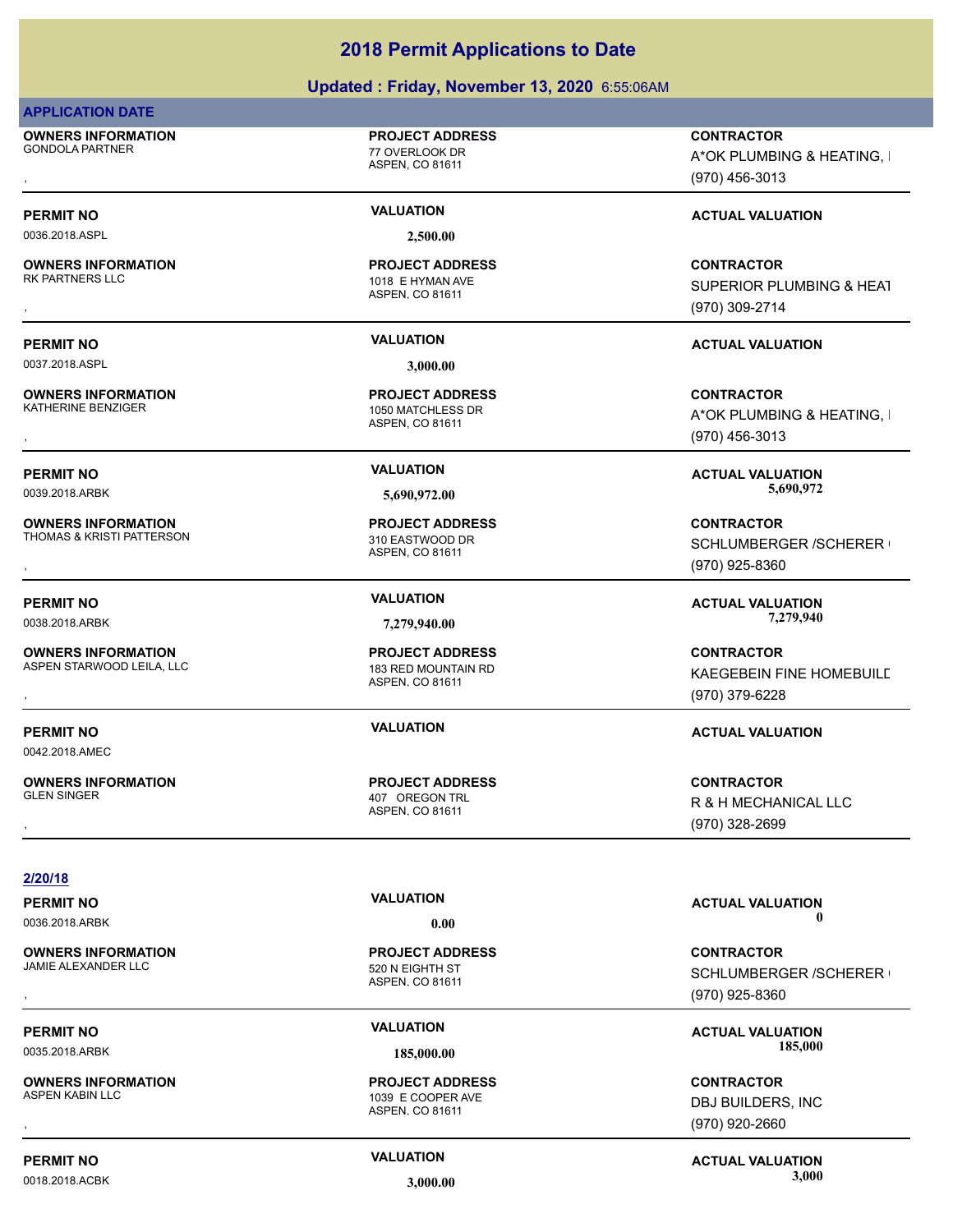### **Updated : Friday, November 13, 2020** 6:55:06AM

### **APPLICATION DATE**

**OWNERS INFORMATION** GONDOLA PARTNER 77 OVERLOOK DR

### **PROJECT ADDRESS**

ASPEN, CO 81611

0036.2018.ASPL **2,500.00**

**OWNERS INFORMATION**

0037.2018.ASPL **3,000.00**

**OWNERS INFORMATION**<br>KATHERINE BENZIGER

**OWNERS INFORMATION** THOMAS & KRISTI PATTERSON 310 EASTWOOD DR

0042.2018.AMEC

**OWNERS INFORMATION** ASPEN STARWOOD LEILA, LLC<br>183 RED MOUNTAIN RD

**OWNERS INFORMATION**

**PERMIT NO VALUATION VALUATION VALUATION** 

ASPEN, CO 81611 1018 E HYMAN AVE **PROJECT ADDRESS**

ASPEN, CO 81611 1050 MATCHLESS DR **PROJECT ADDRESS**

ASPEN, CO 81611 **PROJECT ADDRESS**

ASPEN, CO 81611 **PROJECT ADDRESS**

ASPEN, CO 81611 407 OREGON TRL **PROJECT ADDRESS**

**OWNERS INFORMATION PROJECT ADDRESS CONTRACTOR**<br>GONDOLA PARTNER 77 OVERLOOK DR A\*OK PLUMBING & HEATING, I<br>, ASPEN. CO 81611 A\*OK PLUMBING & HEATING, I (970) 456-3013

**OWNERS INFORMATION PROJECT ADDRESS CONTRACTOR**<br>RK PARTNERS LLC 1018 E HYMAN AVE SUPERIOR PLUMBING & HEAT<br>, ASPEN, CO 81611 SUPERIOR PLUMBING & HEAT (970) 309-2714

### **PERMIT NO VALUATION ACTUAL VALUATION**

**OWNERS INFORMATION PROJECT ADDRESS CONTRACTOR**<br>KATHERINE BENZIGER 1050 MATCHLESS DR A\*OK PLUMBING & HEATING, I<br>, ASPEN. CO 81611 A\*OK PLUMBING & HEATING. I (970) 456-3013

**PERMIT NO VALUATION ACTUAL VALUATION** 0039.2018.ARBK **5,690,972.00 5,690,972.00**

, **CONTRACTOR** SCHLUMBERGER / SCHERER ( (970) 925-8360

**PERMIT NO VALUATION ACTUAL VALUATION** 0038.2018.ARBK **7,279,940.00 7,279,940.00**

**OWNERS INFORMATION GOVERNED BY A SECURITY OF PROJECT ADDRESS CONTRACTOR CONTRACTOR**<br>ASPEN STARWOOD LEILA, LLC ASPEN ASPEN. CO 81611<br>ASPEN. CO 81611 GOVERNED (970) 379-6228 KAEGEBEIN FINE HOMEBUILD (970) 379-6228

### **PERMIT NO VALUATION ACTUAL VALUATION**

, **CONTRACTOR** R & H MECHANICAL LLC (970) 328-2699

**2/20/18**

0036.2018.ARBK **0.00 0.00**

**OWNERS INFORMATION** JAMIE ALEXANDER LLC 520 N EIGHTH ST

**OWNERS INFORMATION**

ASPEN, CO 81611 **PROJECT ADDRESS**

ASPEN, CO 81611 1039 E COOPER AVE **PROJECT ADDRESS**

**PERMIT NO VALUATION ACTUAL VALUATION**

, **CONTRACTOR** SCHLUMBERGER /SCHERER ( (970) 925-8360

PERMIT NO **SALUATION VALUATION VALUATION ACTUAL VALUATION ACTUAL VALUATION** 0035.2018.ARBK **185,000.00 185,000.00**

, **CONTRACTOR** DBJ BUILDERS, INC (970) 920-2660

**PERMIT NO CONSUMITY ACTUAL VALUATION VALUATION VALUATION** 0018.2018.ACBK **3,000.00 3,000.00**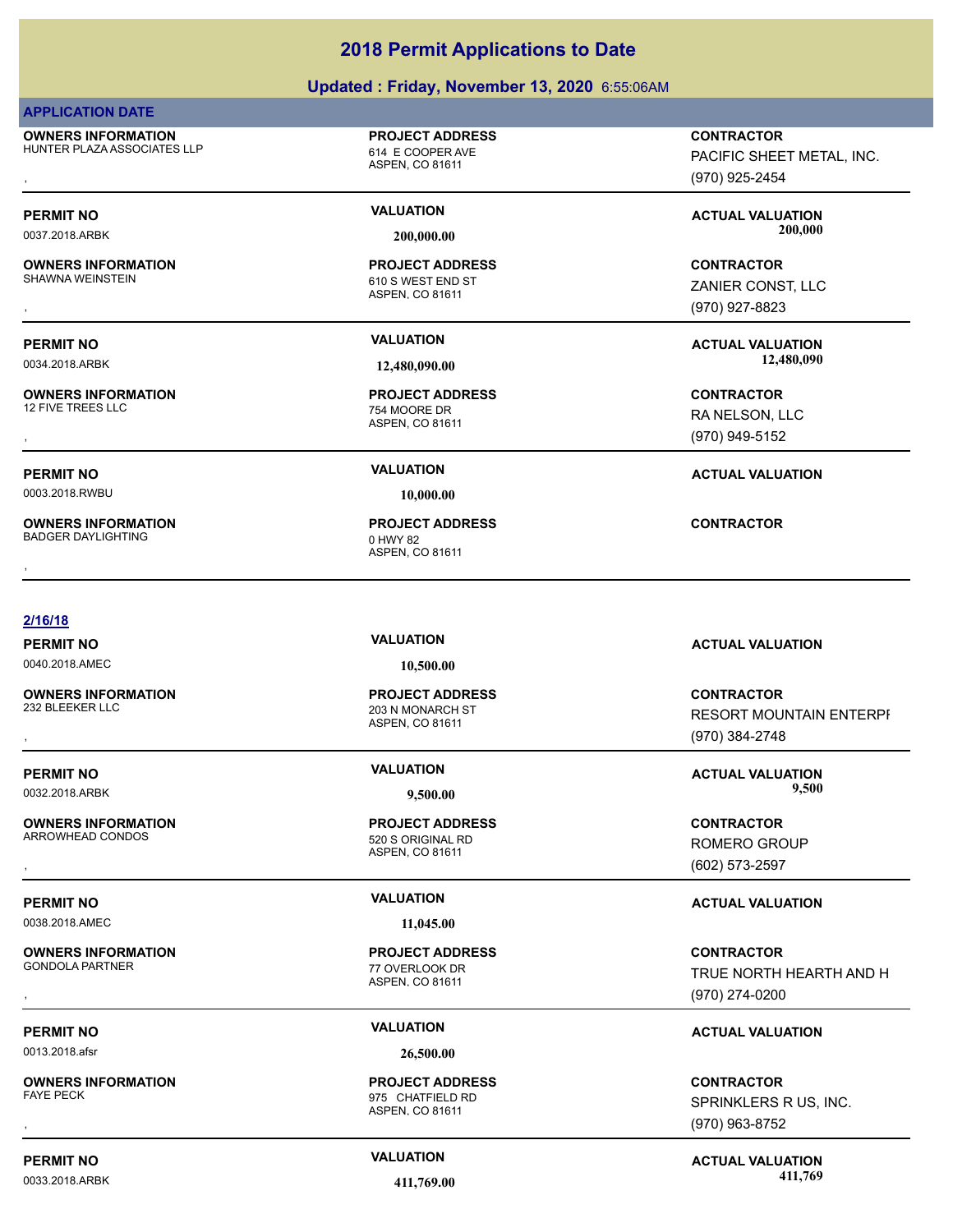### **Updated : Friday, November 13, 2020** 6:55:06AM

### **APPLICATION DATE**

**OWNERS INFORMATION** HUNTER PLAZA ASSOCIATES LLP 614 E COOPER AVE

## **PROJECT ADDRESS**

ASPEN, CO 81611

**OWNERS INFORMATION**

**OWNERS INFORMATION**

0003.2018.RWBU **10,000.00**

**OWNERS INFORMATION** BADGER DAYLIGHTING 0 HWY 82

### **2/16/18**

0040.2018.AMEC **10,500.00**

**OWNERS INFORMATION**

**OWNERS INFORMATION** ARROWHEAD CONDOS 620 S ORIGINAL RD

0038.2018.AMEC **11,045.00**

**OWNERS INFORMATION**

0013.2018.afsr **26,500.00**

**OWNERS INFORMATION**

ASPEN, CO 81611 203 N MONARCH ST **PROJECT ADDRESS**

ASPEN, CO 81611 **PROJECT ADDRESS**

ASPEN, CO 81611 77 OVERLOOK DR **PROJECT ADDRESS**

ASPEN, CO 81611 975 CHATFIELD RD **PROJECT ADDRESS**

**OWNERS INFORMATION LETTLE SERVICE PROJECT ADDRESS ARE SERVICE CONTRACTOR CONTRACTOR**<br>HUNTER PLAZA ASSOCIATES LLP ASPEN ASPEN, CO 81611<br>, GTO) 925-2454 PACIFIC SHEET METAL, INC. (970) 925-2454

PERMIT NO **SALUATION VALUATION CONSIDERENT ACTUAL VALUATION**<br>
2009/09 2009/09 2009/09 2009/09 2009/09 2009/09 2009/09 2009/09 2009/09 2009/09 2009/09 2009/09 2009/09 2009/09 2009/09 2009/09 2009/09 2009/09 2009/09 2009 0037.2018.ARBK **200,000.00 200,000.00**

, **CONTRACTOR** ZANIER CONST, LLC (970) 927-8823

**PERMIT NO VALUATION ACTUAL VALUATION** 0034.2018.ARBK **12,480,090.00 12,480,090.00**

, **CONTRACTOR** RA NELSON, LLC (970) 949-5152

### **PERMIT NO VALUATION ACTUAL VALUATION**

**PERMIT NO VALUATION ACTUAL VALUATION**

, **CONTRACTOR RESORT MOUNTAIN ENTERPI** (970) 384-2748

**PERMIT NO VALUATION ACTUAL VALUATION** 0032.2018.ARBK **9,500.00 9,500.00**

, **CONTRACTOR** ROMERO GROUP (602) 573-2597

### **PERMIT NO VALUATION ACTUAL VALUATION**

**OWNERS INFORMATION PROJECT ADDRESS CONTRACTOR**<br>GONDOLA PARTNER 77 OVERLOOK DR TRUE NORTH HEARTH AND H<br>, ASPEN. CO 81611 TRUE NORTH HEARTH AND H (970) 274-0200

### **PERMIT NO VALUATION ACTUAL VALUATION**

, **CONTRACTOR** SPRINKLERS R US, INC. (970) 963-8752

**PERMIT NO CONSUMITY ACTUAL VALUATION VALUATION VALUATION** 0033.2018.ARBK **411,769.00 411,769.00**

ASPEN, CO 81611 610 S WEST END ST **PROJECT ADDRESS**

ASPEN, CO 81611 754 MOORE DR **PROJECT ADDRESS**

ASPEN, CO 81611 **PROJECT ADDRESS** , **CONTRACTOR**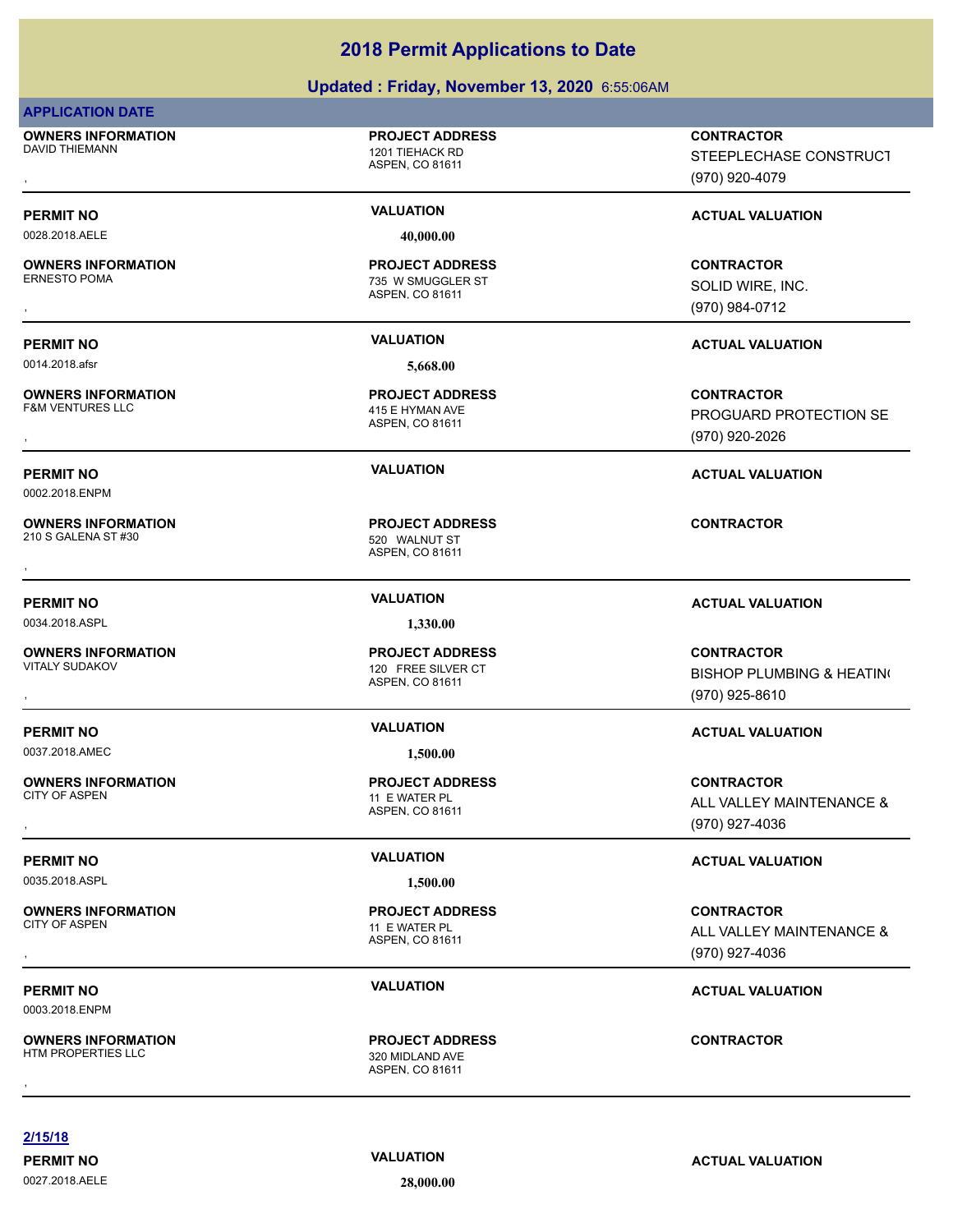### **Updated : Friday, November 13, 2020** 6:55:06AM

### **APPLICATION DATE**

**OWNERS INFORMATION** DAVID THIEMANN 1201 TIEHACK RD

### **PROJECT ADDRESS**

ASPEN, CO 81611

0028.2018.AELE **40,000.00**

**OWNERS INFORMATION**

0014.2018.afsr **5,668.00**

**OWNERS INFORMATION**

0002.2018.ENPM

**OWNERS INFORMATION** 210 S GALENA ST #30 520 WALNUT ST

0034.2018.ASPL **1,330.00**

**OWNERS INFORMATION**<br>VITALY SUDAKOV

0037.2018.AMEC **1,500.00**

**OWNERS INFORMATION**

0035.2018.ASPL **1,500.00**

**OWNERS INFORMATION**

0003.2018.ENPM

**OWNERS INFORMATION**

ASPEN, CO 81611 735 W SMUGGLER ST **PROJECT ADDRESS**

ASPEN, CO 81611 415 E HYMAN AVE **PROJECT ADDRESS**

ASPEN, CO 81611 **PROJECT ADDRESS** , **CONTRACTOR**

ASPEN, CO 81611 120 FREE SILVER CT **PROJECT ADDRESS**

ASPEN, CO 81611 11 E WATER PL **PROJECT ADDRESS**

ASPEN, CO 81611 11 E WATER PL **PROJECT ADDRESS**

ASPEN, CO 81611 320 MIDLAND AVE **PROJECT ADDRESS** , **CONTRACTOR**

, **CONTRACTOR** STEEPLECHASE CONSTRUCT (970) 920-4079

### **PERMIT NO VALUATION VALUATION VALUATION**

, **CONTRACTOR** SOLID WIRE, INC. (970) 984-0712

### **PERMIT NO VALUATION ACTUAL VALUATION**

, **CONTRACTOR** PROGUARD PROTECTION SE (970) 920-2026

### **PERMIT NO VALUATION ACTUAL VALUATION**

### **PERMIT NO VALUATION ACTUAL VALUATION**

, **CONTRACTOR BISHOP PLUMBING & HEATING** (970) 925-8610

### **PERMIT NO VALUATION ACTUAL VALUATION**

**OWNERS INFORMATION PROJECT ADDRESS CONTRACTOR**<br>CITY OF ASPEN 11 E WATER PL ALL VALLEY MAINTENANCE &<br>, ASPEN, CO 81611 ALL VALLEY MAINTENANCE & (970) 927-4036

### **PERMIT NO VALUATION VALUATION VALUATION**

**OWNERS INFORMATION PROJECT ADDRESS CONTRACTOR**<br>CITY OF ASPEN 11 E WATER PL ALL VALLEY MAINTENANCE &<br>, ASPEN. CO 81611 ALL VALLEY MAINTENANCE & (970) 927-4036

### **PERMIT NO VALUATION ACTUAL VALUATION**

**2/15/18**

0027.2018.AELE **28,000.00**

**PERMIT NO CONSUMITY ACTUAL VALUATION VALUATION VALUATION**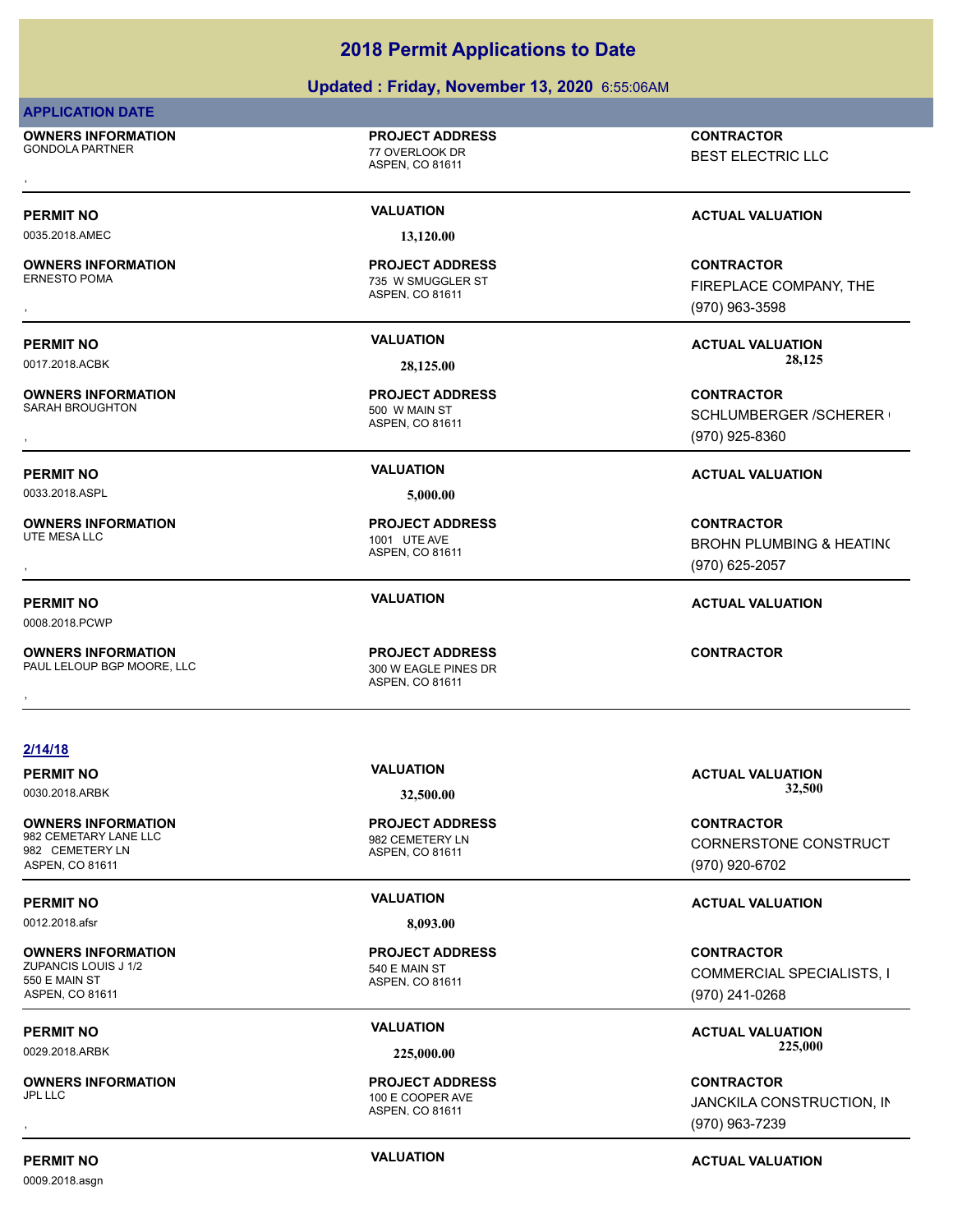### **Updated : Friday, November 13, 2020** 6:55:06AM

### **APPLICATION DATE**

**OWNERS INFORMATION** GONDOLA PARTNER 77 OVERLOOK DR

ASPEN, CO 81611

**PROJECT ADDRESS**

0035.2018.AMEC **13,120.00**

**OWNERS INFORMATION**

**OWNERS INFORMATION**

0033.2018.ASPL **5,000.00**

**OWNERS INFORMATION**

0008.2018.PCWP

**OWNERS INFORMATION** PAUL LELOUP BGP MOORE, LLC<br>300 W EAGLE PINES DR

ASPEN, CO 81611 735 W SMUGGLER ST **PROJECT ADDRESS**

ASPEN, CO 81611 500 W MAIN ST **PROJECT ADDRESS**

ASPEN, CO 81611 1001 UTE AVE **PROJECT ADDRESS**

ASPEN, CO 81611 **PROJECT ADDRESS OWNERS INFORMATION LEGAL CONTRACTOR RESOURDED BY A PROJECT ADDRESS CONTRACTOR CONTRACTOR**<br>PAUL LELOUP BGP MOORE, LLC LEGAL CONTRACTOR ASPEN. CO 81611<br>,

, **CONTRACTOR** BEST ELECTRIC LLC

### **PERMIT NO VALUATION VALUATION VALUATION**

**OWNERS INFORMATION PROJECT ADDRESS CONTRACTOR**<br>ERNESTO POMA 735 W SMUGGLER ST FIREPLACE COMPANY, THE<br>, ASPEN, CO 81611 FIREPLACE COMPANY, THE (970) 963-3598

**PERMIT NO VALUATION ACTUAL VALUATION** 0017.2018.ACBK **28,125.00 28,125.00**

**OWNERS INFORMATION PROJECT ADDRESS CONTRACTOR**<br>SARAH BROUGHTON 500\_W MAIN ST SCHLUMBERGER /SCHERER l<br>, ASPEN. CO 81611 SCHLUMBERGER / SCHERER ( (970) 925-8360

### **PERMIT NO VALUATION ACTUAL VALUATION**

, **CONTRACTOR** BROHN PLUMBING & HEATING (970) 625-2057

### **PERMIT NO VALUATION ACTUAL VALUATION**

**2/14/18**

**PERMIT NO VALUATION ACTUAL VALUATION**

**OWNERS INFORMATION** 982 CEMETARY LANE LLC<br>982 CEMETERY LN 982 CEMETERY LN ASPEN, CO 81611

0012.2018.afsr **8,093.00**

**OWNERS INFORMATION** ZUPANCIS LOUIS J 1/2 540 E MAIN ST 550 E MAIN ST ASPEN, CO 81611

**OWNERS INFORMATION**

ASPEN, CO 81611 **PROJECT ADDRESS**

ASPEN, CO 81611 **PROJECT ADDRESS**

ASPEN, CO 81611 100 E COOPER AVE **PROJECT ADDRESS**

0030.2018.ARBK **32,500.00 32,500.00**

**CONTRACTOR** CORNERSTONE CONSTRUCT (970) 920-6702

### **PERMIT NO VALUATION ACTUAL VALUATION**

**CONTRACTOR** COMMERCIAL SPECIALISTS, I (970) 241-0268

PERMIT NO **SALUATION VALUATION CONSUMPTION ACTUAL VALUATION ACTUAL VALUATION** 0029.2018.ARBK **225,000.00 225,000.00**

, **CONTRACTOR** JANCKILA CONSTRUCTION, IN (970) 963-7239

0009.2018.asgn

**PERMIT NO CONSUMITY ACTUAL VALUATION VALUATION VALUATION**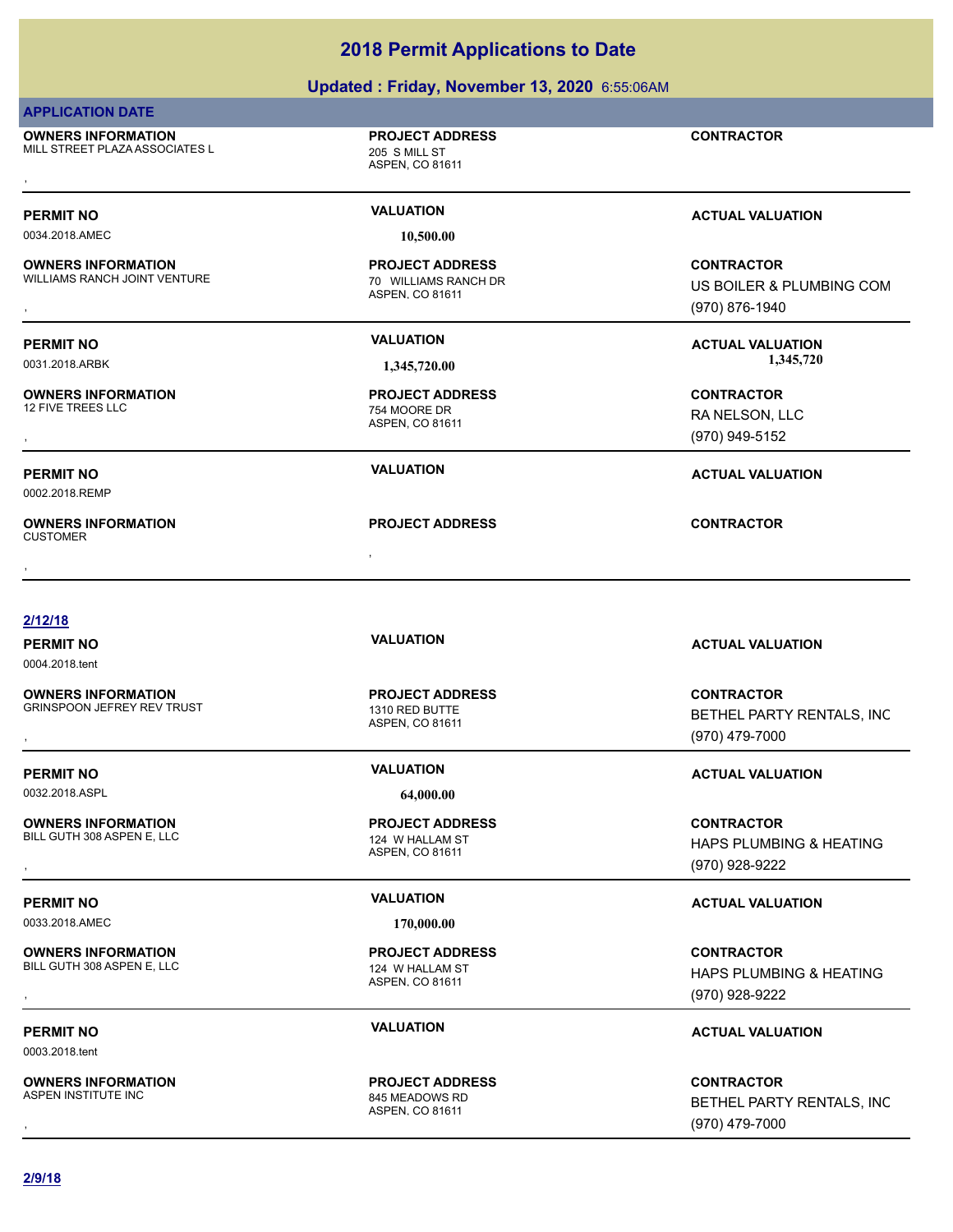### **Updated : Friday, November 13, 2020** 6:55:06AM

### **APPLICATION DATE**

**OWNERS INFORMATION** MILL STREET PLAZA ASSOCIATES L<br>205 S MILL ST **OWNERS INFORMATION FROJECT ADDRESS ARE:**<br>MILL STREET PLAZA ASSOCIATES L ASPEN. CO 81611<br>ASPEN. CO 81611

**PROJECT ADDRESS**

ASPEN, CO 81611

ASPEN, CO 81611

ASPEN, CO 81611

**PROJECT ADDRESS**

754 MOORE DR **PROJECT ADDRESS**

**PROJECT ADDRESS**

0034.2018.AMEC **10,500.00**

**OWNERS INFORMATION** WILLIAMS RANCH JOINT VENTURE **1990 THE SET ASSESSED A** 70 WILLIAMS RANCH DR

**OWNERS INFORMATION**

0002.2018.REMP

, **OWNERS INFORMATION** CUSTOMER , **CONTRACTOR**

### **2/12/18**

0004.2018.tent

**OWNERS INFORMATION** GRINSPOON JEFREY REV TRUST 1310 RED BUTTE

0032.2018.ASPL **64,000.00**

**OWNERS INFORMATION**

BILL GUTH 308 ASPEN E, LLC<br>
124 W HALLAM ST

0033.2018.AMEC **170,000.00**

**OWNERS INFORMATION** BILL GUTH 308 ASPEN E, LLC<br>BILL GUTH 308 ASPEN E, LLC

0003.2018.tent

**OWNERS INFORMATION**<br>ASPEN INSTITUTE INC

ASPEN, CO 81611 **PROJECT ADDRESS**

ASPEN, CO 81611 **PROJECT ADDRESS**

ASPEN, CO 81611 **PROJECT ADDRESS**

ASPEN, CO 81611 845 MEADOWS RD **PROJECT ADDRESS**

**PERMIT NO VALUATION VALUATION VALUATION** 

**OWNERS INFORMATION METALLY SERVICE TO A PROJECT ADDRESS ARE:**<br>WILLIAMS RANCH JOINT VENTURE TO METALLY TO WILLIAMS RANCH DR<br>ASPEN, CO 81611 METALLY METALLY METALLY ASPEN, CO 81611 METALLY METALLY (970) 876-1940 US BOILER & PLUMBING COM (970) 876-1940

**PERMIT NO VALUATION ACTUAL VALUATION** 0031.2018.ARBK **1,345,720.00 1,345,720.00**

, **CONTRACTOR** RA NELSON, LLC (970) 949-5152

### **PERMIT NO VALUATION ACTUAL VALUATION**

**PERMIT NO VALUATION ACTUAL VALUATION**

**OWNERS INFORMATION METALLY SERVICE TO A PROJECT ADDRESS ARE SERVICE CONTRACTOR CONTRACTOR**<br>GRINSPOON JEFREY REV TRUST THE METALLY ASPEN, CO 81611 METAL METAL METHEL PARTY RENTALS, INC<br>, Maspen, CO 81611 Metal (970) 479-70 BETHEL PARTY RENTALS, INC (970) 479-7000

### **PERMIT NO VALUATION ACTUAL VALUATION**

, **CONTRACTOR** HAPS PLUMBING & HEATING (970) 928-9222

### **PERMIT NO VALUATION ACTUAL VALUATION**

, **CONTRACTOR** HAPS PLUMBING & HEATING (970) 928-9222

### **PERMIT NO VALUATION ACTUAL VALUATION**

, **CONTRACTOR** BETHEL PARTY RENTALS, INC (970) 479-7000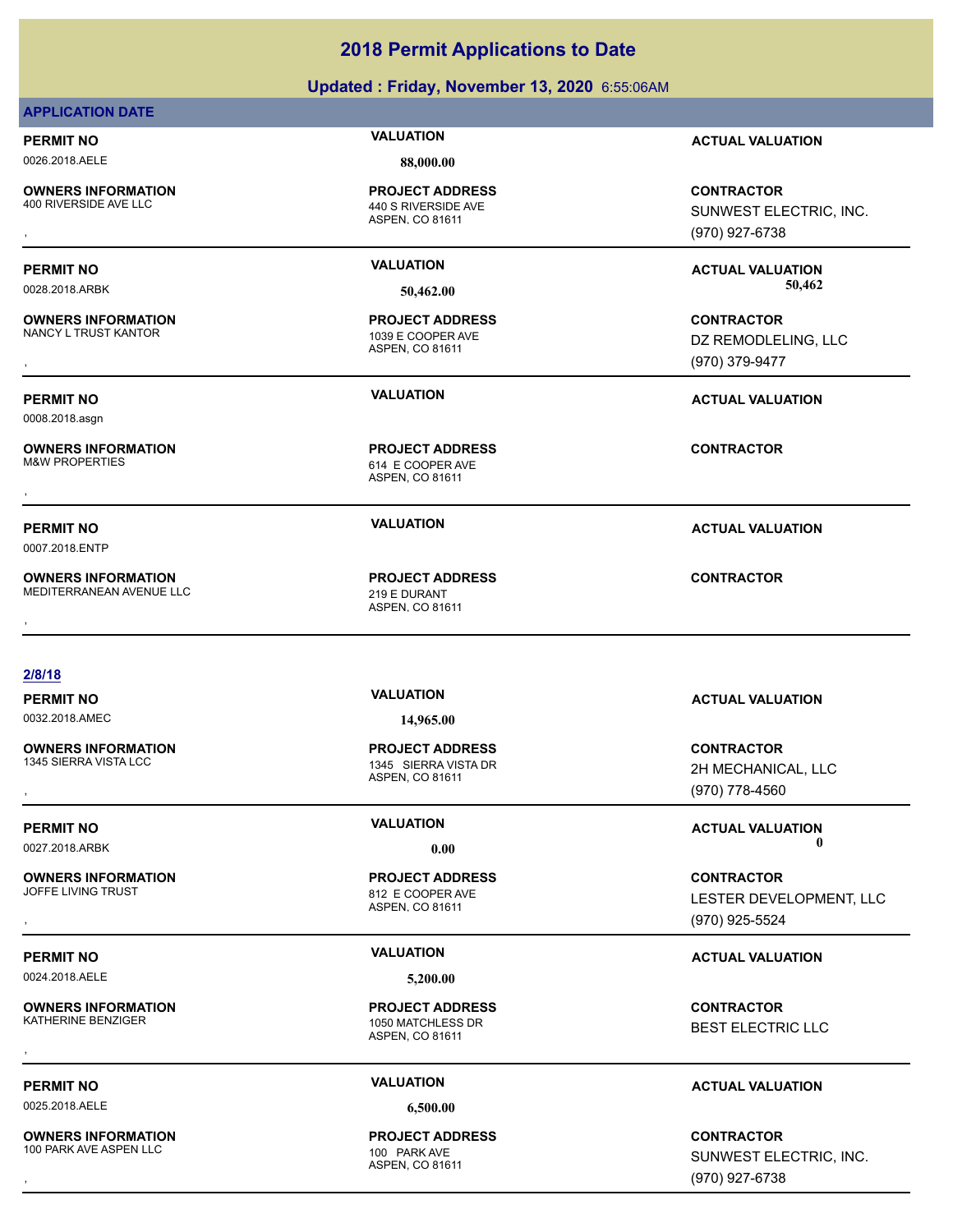### **Updated : Friday, November 13, 2020** 6:55:06AM

### **APPLICATION DATE**

0026.2018.AELE **88,000.00**

**OWNERS INFORMATION**<br>400 RIVERSIDE AVE LLC

### 440 S RIVERSIDE AVE **PROJECT ADDRESS**

**OWNERS INFORMATION** NANCY L TRUST KANTOR 1039 E COOPER AVE

0008.2018.asgn

**OWNERS INFORMATION**

0007.2018.ENTP

**OWNERS INFORMATION** MEDITERRANEAN AVENUE LLC 219 E DURANT

ASPEN, CO 81611

ASPEN, CO 81611 **PROJECT ADDRESS**

ASPEN, CO 81611 614 E COOPER AVE **PROJECT ADDRESS OWNERS INFORMATION FROJECT ADDRESS ARE:**<br>M&W PROPERTIES FROM THE COOPER AVE ASPEN, CO 81611<br>ASPEN, CO 81611

ASPEN, CO 81611 **PROJECT ADDRESS** , **CONTRACTOR**

**PERMIT NO VALUATION ACTUAL VALUATION**

**OWNERS INFORMATION PROJECT ADDRESS CONTRACTOR**<br>400 RIVERSIDE AVE LLC 440 S RIVERSIDE AVE SUNWEST ELECTRIC, INC.<br>, ASPEN, CO 81611 SUNWEST ELECTRIC, INC. (970) 927-6738

**PERMIT NO VALUATION ACTUAL VALUATION** 0028.2018.ARBK **50,462.00 50,462.00**

, **CONTRACTOR** DZ REMODLELING, LLC (970) 379-9477

**PERMIT NO VALUATION ACTUAL VALUATION**

**PERMIT NO VALUATION ACTUAL VALUATION**

### **2/8/18**

0032.2018.AMEC **14,965.00**

**OWNERS INFORMATION**

**OWNERS INFORMATION**

0024.2018.AELE **5,200.00**

**OWNERS INFORMATION**<br>KATHERINE BENZIGER

ASPEN, CO 81611 1345 SIERRA VISTA DR **PROJECT ADDRESS**

ASPEN, CO 81611 812 E COOPER AVE **PROJECT ADDRESS**

ASPEN, CO 81611 1050 MATCHLESS DR **PROJECT ADDRESS** , **CONTRACTOR**

0025.2018.AELE **6,500.00**

ASPEN, CO 81611 **PROJECT ADDRESS**

**PERMIT NO VALUATION ACTUAL VALUATION**

, **CONTRACTOR** 2H MECHANICAL, LLC (970) 778-4560

**PERMIT NO CONSUMITY OF A CONSUMITY OF A CONSUMITY OF A CONSUMITY OF A CTUAL VALUATION** 0027.2018.ARBK **0.00 0.00**

, **CONTRACTOR** LESTER DEVELOPMENT, LLC (970) 925-5524

### **PERMIT NO VALUATION ACTUAL VALUATION**

BEST ELECTRIC LLC

### **PERMIT NO VALUATION ACTUAL VALUATION**

**OWNERS INFORMATION PROJECT ADDRESS CONTRACTOR**<br>100 PARK AVE ASPEN LLC 100 PARK AVE SUNWEST ELECTRIC, INC.<br>, ASPEN. CO 81611 SUNWEST ELECTRIC, INC. (970) 927-6738

**OWNERS INFORMATION** 100 PARK AVE ASPEN LLC 100 PARK AVE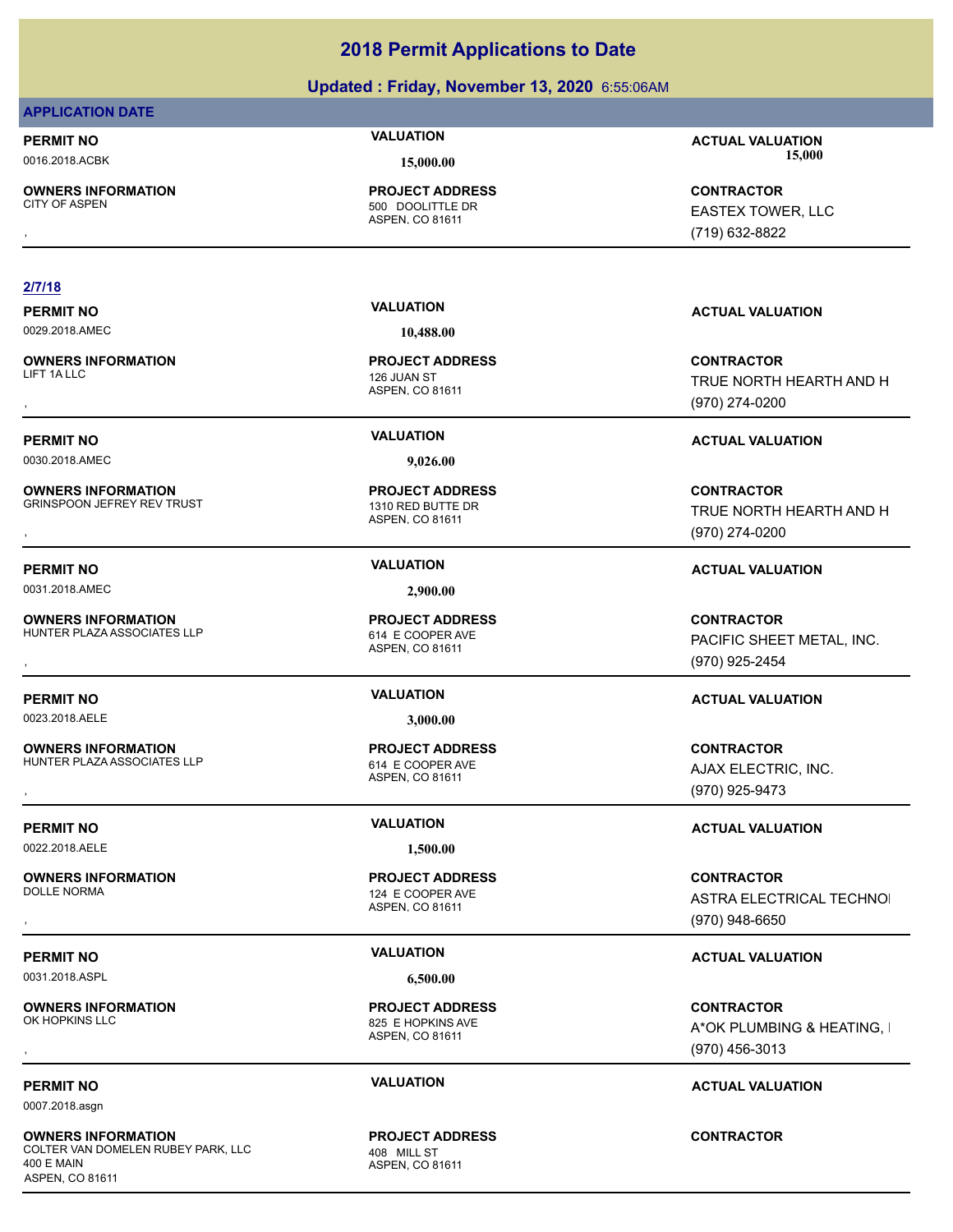### **Updated : Friday, November 13, 2020** 6:55:06AM

### **APPLICATION DATE**

**OWNERS INFORMATION**

ASPEN, CO 81611 500 DOOLITTLE DR

### **2/7/18**

**OWNERS INFORMATION** 

0030.2018.AMEC **9,026.00**

**OWNERS INFORMATION** GRINSPOON JEFREY REV TRUST 1310 RED BUTTE DR

**PERMIT NO VALUATION VALUATION VALUATION** 

0031.2018.AMEC **2,900.00**

**OWNERS INFORMATION** HUNTER PLAZA ASSOCIATES LLP 614 E COOPER AVE

**PERMIT NO VALUATION ACTUAL VALUATION**

**OWNERS INFORMATION**

HUNTER PLAZA ASSOCIATES LLP 614 E COOPER AVE

0022.2018.AELE **1,500.00**

**OWNERS INFORMATION**

0031.2018.ASPL **6,500.00**

**OWNERS INFORMATION** 

0007.2018.asgn

**OWNERS INFORMATION** COLTER VAN DOMELEN RUBEY PARK, LLC 408 MILL ST 400 E MAIN ASPEN, CO 81611

**PROJECT ADDRESS**

ASPEN, CO 81611 126 JUAN ST

ASPEN, CO 81611

ASPEN, CO 81611 **PROJECT ADDRESS**

0023.2018.AELE **3,000.00**

ASPEN, CO 81611

ASPEN, CO 81611 124 E COOPER AVE **PROJECT ADDRESS**

ASPEN, CO 81611 825 E HOPKINS AVE **PROJECT ADDRESS**

ASPEN, CO 81611 **PROJECT ADDRESS**

**PERMIT NO VALUATION ACTUAL VALUATION** 0016.2018.ACBK **15,000.00 15,000.00**

, **CONTRACTOR** EASTEX TOWER, LLC (719) 632-8822

, **CONTRACTOR** TRUE NORTH HEARTH AND H (970) 274-0200

### **PERMIT NO VALUATION ACTUAL VALUATION**

**OWNERS INFORMATION Mate of the CONTRACTOR PROJECT ADDRESS ARE SERVIT TO A CONTRACTOR CONTRACTOR**<br>GRINSPOON JEFREY REV TRUST TO A SPEN, CO 81611 MASPEN, CO 81611 MASPEN (970) 274-0200 TRUE NORTH HEARTH AND H (970) 274-0200

**OWNERS INFORMATION LETTLE SERVICE PROJECT ADDRESS ARE SERVICE CONTRACTOR CONTRACTOR**<br>HUNTER PLAZA ASSOCIATES LLP ASPEN ASPEN, CO 81611<br>, The CONTROL CO 81611 (970) 925-2454 PACIFIC SHEET METAL, INC. (970) 925-2454

**OWNERS INFORMATION LETTLE SERVICE PROJECT ADDRESS ARE SERVICE CONTRACTOR CONTRACTOR**<br>HUNTER PLAZA ASSOCIATES LLP ASPEN ASPEN, CO 81611<br>, ASPEN, CO 81611 ASPEN (970) 925-9473 AJAX ELECTRIC, INC. (970) 925-9473

### **PERMIT NO VALUATION ACTUAL VALUATION**

, **CONTRACTOR** ASTRA ELECTRICAL TECHNOL (970) 948-6650

### **PERMIT NO VALUATION ACTUAL VALUATION**

, **CONTRACTOR** A\*OK PLUMBING & HEATING, I (970) 456-3013

### **PERMIT NO VALUATION ACTUAL VALUATION**

**CONTRACTOR**

**PERMIT NO VALUATION ACTUAL VALUATION** 0029.2018.AMEC **10,488.00**

**PROJECT ADDRESS**

**PROJECT ADDRESS**

**PROJECT ADDRESS**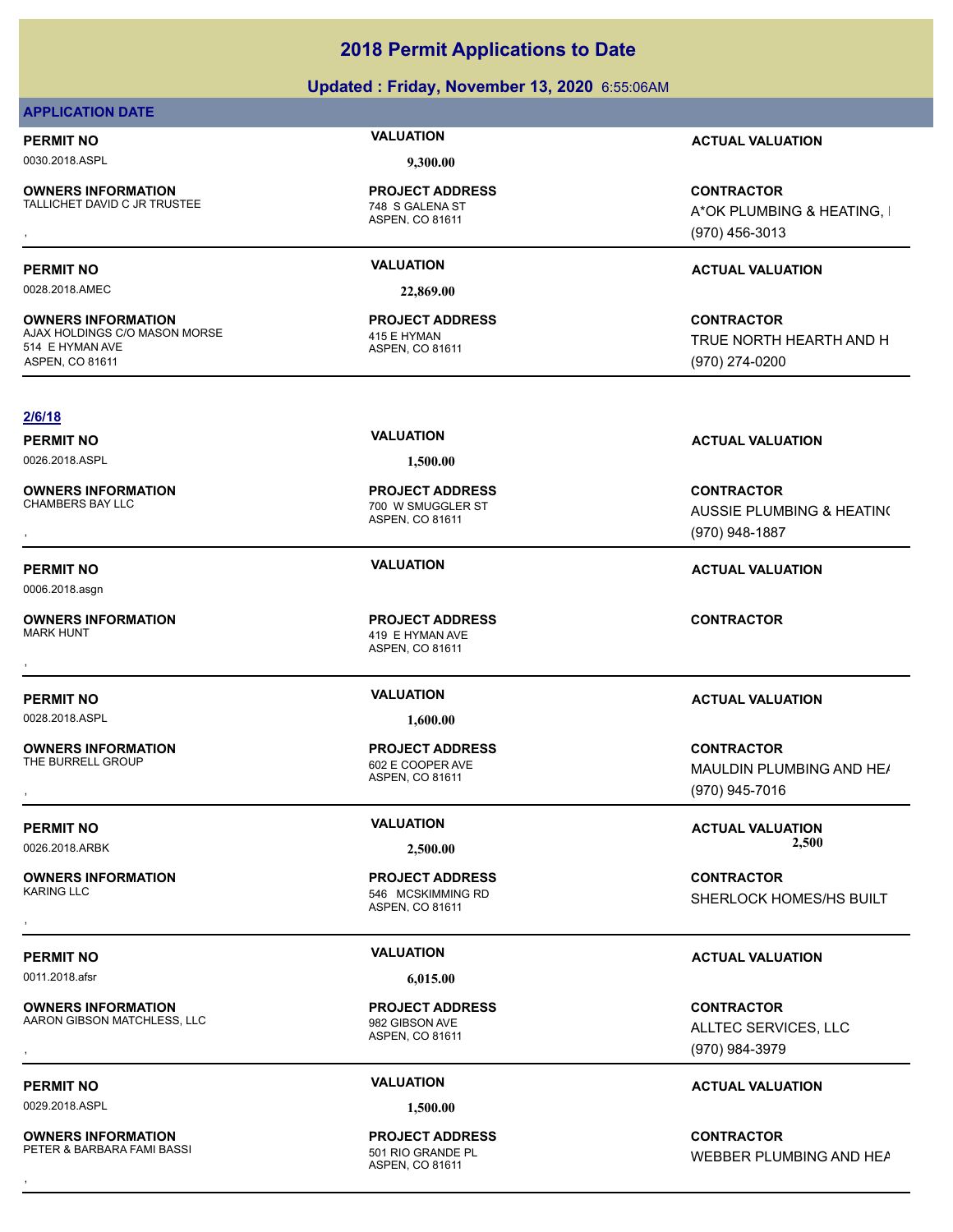### **Updated : Friday, November 13, 2020** 6:55:06AM

### **APPLICATION DATE**

0030.2018.ASPL **9,300.00**

**OWNERS INFORMATION** TALLICHET DAVID C JR TRUSTEE 748 S GALENA ST

**OWNERS INFORMATION**

ASPEN, CO 81611 **PROJECT ADDRESS**

0028.2018.AMEC **22,869.00**

ASPEN, CO 81611 AJAX HOLDINGS C/O MASON MORSE 415 E HYMAN **PROJECT ADDRESS**

**PERMIT NO VALUATION ACTUAL VALUATION**

**OWNERS INFORMATION EXAMPLE ASSES FOR A PROJECT ADDRESS FOR A CONTRACTOR CONTRACTOR FOR A PARTING, I<br>TALLICHET DAVID C JR TRUSTEE FOR A SOME ASPEN, CO 81611 FOR A SOME A PARTION FOR A PARTING, I<br>TALLICHET DAVID C JR TRUSTE** A\*OK PLUMBING & HEATING, I (970) 456-3013

### **PERMIT NO VALUATION ACTUAL VALUATION**

**CONTRACTOR** TRUE NORTH HEARTH AND H (970) 274-0200

### **2/6/18**

514 E HYMAN AVE ASPEN, CO 81611

0026.2018.ASPL **1,500.00**

**OWNERS INFORMATION**

0006.2018.asgn

**OWNERS INFORMATION**

0028.2018.ASPL **1,600.00**

**OWNERS INFORMATION**

**OWNERS INFORMATION**

0011.2018.afsr **6,015.00**

**OWNERS INFORMATION** AARON GIBSON MATCHLESS, LLC 982 GIBSON AVE

0029.2018.ASPL **1,500.00**

**OWNERS INFORMATION** PETER & BARBARA FAMI BASSI 601 RIO GRANDE PL

ASPEN, CO 81611 700 W SMUGGLER ST **PROJECT ADDRESS**

ASPEN, CO 81611 419 E HYMAN AVE **PROJECT ADDRESS** , **CONTRACTOR**

ASPEN, CO 81611 602 E COOPER AVE **PROJECT ADDRESS**

ASPEN, CO 81611 546 MCSKIMMING RD **PROJECT ADDRESS**

ASPEN, CO 81611 **PROJECT ADDRESS**

ASPEN, CO 81611 **PROJECT ADDRESS**

**PERMIT NO VALUATION ACTUAL VALUATION**

, **CONTRACTOR** AUSSIE PLUMBING & HEATING (970) 948-1887

### **PERMIT NO VALUATION ACTUAL VALUATION**

### **PERMIT NO VALUATION ACTUAL VALUATION**

**OWNERS INFORMATION PROJECT ADDRESS CONTRACTOR**<br>THE BURRELL GROUP 602 E COOPER AVE MAULDIN PLUMBING AND HE*I*<br>, ASPEN, CO 81611 MAULDIN PLUMBING AND HE/ (970) 945-7016

**PERMIT NO VALUATION ACTUAL VALUATION** 0026.2018.ARBK **2,500.00 2,500.00**

, **CONTRACTOR** SHERLOCK HOMES/HS BUILT

### **PERMIT NO VALUATION ACTUAL VALUATION**

**OWNERS INFORMATION MATCHLESS, LLC REACT ADDRESS ARE SERVICES, LLC REACT ADDRESS ARE SERVICES, LLC REACT ON TRACTOR**<br>AARON GIBSON MATCHLESS, LLC ASPEN, CO 81611 ASPEN, CO 81611 ALLTEC SERVICES, LLC ASPEN, CO 81611 (970) ALLTEC SERVICES, LLC (970) 984-3979

### **PERMIT NO VALUATION ACTUAL VALUATION**

**OWNERS INFORMATION GENEROL SERVICE PROJECT ADDRESS ARE:**<br>PETER & BARBARA FAMI BASSI FOR AND THE ASPEN, CO 81611<br>, ASPEN, CO 81611 WEBBER PLUMBING AND HEAT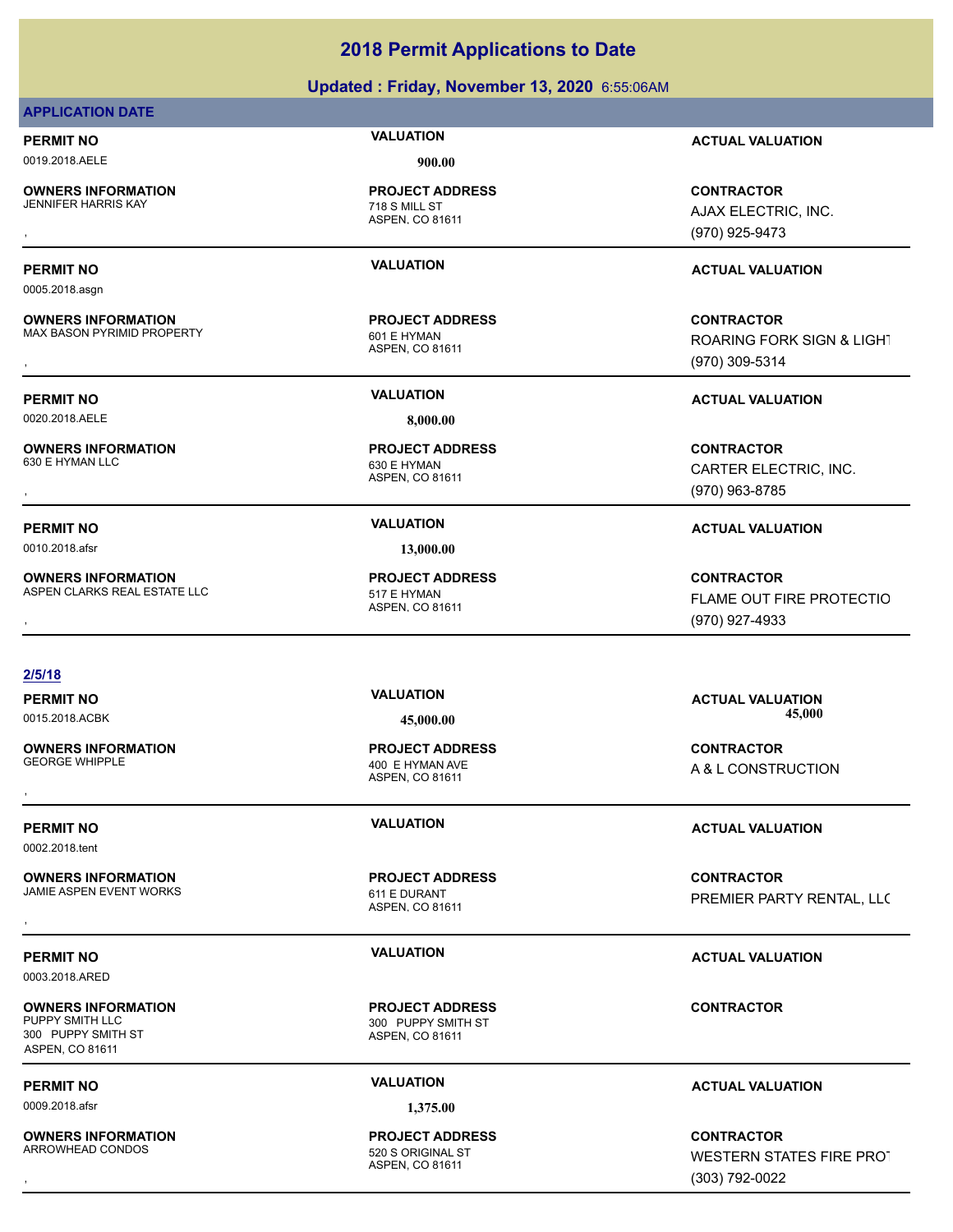### **Updated : Friday, November 13, 2020** 6:55:06AM

### **APPLICATION DATE**

0019.2018.AELE **900.00**

**OWNERS INFORMATION** JENNIFER HARRIS KAY 718 S MILL ST

**OWNERS INFORMATION**

**OWNERS INFORMATION**<br>630 F HYMAN LLC

**OWNERS INFORMATION**

0005.2018.asgn

ASPEN, CO 81611 **PROJECT ADDRESS**

ASPEN, CO 81611 MAX BASON PYRIMID PROPERTY 601 E HYMAN **PROJECT ADDRESS**

0020.2018.AELE **8,000.00**

ASPEN, CO 81611 630 E HYMAN **PROJECT ADDRESS**

0010.2018.afsr **13,000.00**

ASPEN, CO 81611 ASPEN CLARKS REAL ESTATE LLC<br>517 E HYMAN **PROJECT ADDRESS**

**2/5/18**

**OWNERS INFORMATION**

0002.2018.tent

**OWNERS INFORMATION** JAMIE ASPEN EVENT WORKS 611 E DURANT

0003.2018.ARED

**OWNERS INFORMATION** PUPPY SMITH LLC **And All STEP SMITH ST** 300 PUPPY SMITH ST 300 PUPPY SMITH ST ASPEN, CO 81611

0009.2018.afsr **1,375.00**

**OWNERS INFORMATION** ARROWHEAD CONDOS 620 S ORIGINAL ST

ASPEN, CO 81611 400 E HYMAN AVE **PROJECT ADDRESS**

ASPEN, CO 81611 **PROJECT ADDRESS**

ASPEN, CO 81611 **PROJECT ADDRESS**

ASPEN, CO 81611 **PROJECT ADDRESS**

**PERMIT NO VALUATION ACTUAL VALUATION**

, **CONTRACTOR** AJAX ELECTRIC, INC. (970) 925-9473

### **PERMIT NO VALUATION ACTUAL VALUATION**

, **CONTRACTOR** ROARING FORK SIGN & LIGHT (970) 309-5314

**PERMIT NO VALUATION ACTUAL VALUATION**

, **CONTRACTOR** CARTER ELECTRIC, INC. (970) 963-8785

### **PERMIT NO VALUATION ACTUAL VALUATION**

**OWNERS INFORMATION EXAMPLE ASSUME TO A PROJECT ADDRESS FOR A CONTRACTOR CONTRACTOR CONTROL ESTATE LLC FORD ASPEN<br>ASPEN CLARKS REAL ESTATE LLC FORD ASPEN. CO 81611 FLAME OUT FIRE PROTECTIO<br>, Example 2009 927-4933** FLAME OUT FIRE PROTECTIO (970) 927-4933

**PERMIT NO VALUATION ACTUAL VALUATION** 0015.2018.ACBK **45,000.00 45,000.00**

, **CONTRACTOR** A & L CONSTRUCTION

### **PERMIT NO VALUATION ACTUAL VALUATION**

**OWNERS INFORMATION GOVERNED BY A SERVICE PROJECT ADDRESS ARE SERVICE CONTRACTOR**<br>JAMIE ASPEN EVENT WORKS GOVERNED BY ASPEN, CO 81611<br>, PREMIER PARTY RENTAL, LLC

### **PERMIT NO VALUATION ACTUAL VALUATION**

**CONTRACTOR**

### **PERMIT NO VALUATION ACTUAL VALUATION**

, **CONTRACTOR** WESTERN STATES FIRE PROT (303) 792-0022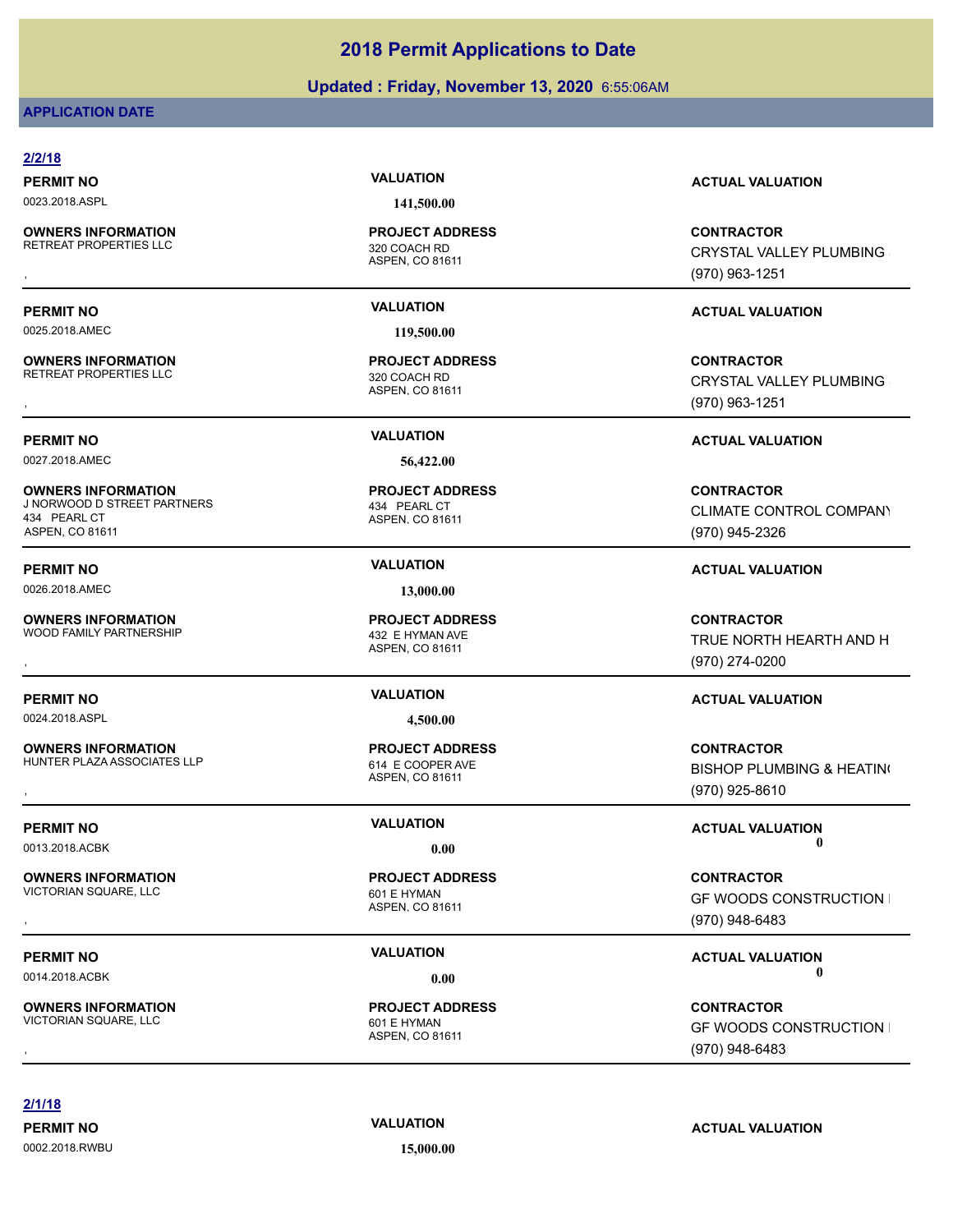### **Updated : Friday, November 13, 2020** 6:55:06AM

### **APPLICATION DATE**

### **2/2/18 PERMIT NO VALUATION ACTUAL VALUATION** 0023.2018.ASPL **141,500.00** ASPEN, CO 81611 **OWNERS INFORMATION** RETREAT PROPERTIES LLC<br>320 COACH RD **PROJECT ADDRESS OWNERS INFORMATION PROJECT ADDRESS CONTRACTOR**<br>RETREAT PROPERTIES LLC 320 COACH RD CRYSTAL VALLEY PLUMBING<br>, ASPEN, CO 81611 (970) 963-1251 **PERMIT NO VALUATION ACTUAL VALUATION** 0025.2018.AMEC **119,500.00** ASPEN, CO 81611 **OWNERS INFORMATION** RETREAT PROPERTIES LLC<br>320 COACH RD **PROJECT ADDRESS OWNERS INFORMATION PROJECT ADDRESS CONTRACTOR**<br>RETREAT PROPERTIES LLC 320 COACH RD CRYSTAL VALLEY PLUMBING<br>, ASPEN. CO 81611 (970) 963-1251 **PERMIT NO VALUATION ACTUAL VALUATION** 0027.2018.AMEC **56,422.00** ASPEN, CO 81611 **OWNERS INFORMATION** J NORWOOD D STREET PARTNERS 434 PEARL CT **PROJECT ADDRESS** 434 PEARL CT ASPEN, CO 81611 **CONTRACTOR** (970) 945-2326 **PERMIT NO VALUATION ACTUAL VALUATION** 0026.2018.AMEC **13,000.00** ASPEN, CO 81611 **OWNERS INFORMATION** WOOD FAMILY PARTNERSHIP **1999 WOOD FAMILY PARTNERSHIP** 432 E HYMAN AVE **PROJECT ADDRESS OWNERS INFORMATION PROJECT ADDRESS CONTRACTOR**<br>WOOD FAMILY PARTNERSHIP 432 E HYMAN AVE TRUE NORTH HEARTH AND H<br>, ASPEN. CO 81611 (970) 274-0200 **PERMIT NO VALUATION ACTUAL VALUATION** 0024.2018.ASPL **4,500.00** ASPEN, CO 81611 **OWNERS INFORMATION** HUNTER PLAZA ASSOCIATES LLP 614 E COOPER AVE **PROJECT ADDRESS** , **CONTRACTOR** (970) 925-8610 **PERMIT NO CONSUMITY OF A CONSUMITY OF A CONSUMITY OF A CONSUMITY OF A CTUAL VALUATION** 0013.2018.ACBK **0.00 0.00** ASPEN, CO 81611 **OWNERS INFORMATION** VICTORIAN SQUARE, LLC<br>
601 E HYMAN **PROJECT ADDRESS** , **CONTRACTOR** (970) 948-6483 **PERMIT NO CONSUMITY OF A CONSUMITY OF A CONSUMITY OF A CONSUMITY OF A CTUAL VALUATION** 0014.2018.ACBK **0.00 0.00** ASPEN, CO 81611 **OWNERS INFORMATION** VICTORIAN SQUARE, LLC<br>
601 E HYMAN **PROJECT ADDRESS** , **CONTRACTOR** (970) 948-6483

**2/1/18**

0002.2018.RWBU **15,000.00**

CRYSTAL VALLEY PLUMBING

CRYSTAL VALLEY PLUMBING

CLIMATE CONTROL COMPANY

TRUE NORTH HEARTH AND H

**BISHOP PLUMBING & HEATING** 

**GF WOODS CONSTRUCTION I** 

**GF WOODS CONSTRUCTION I** 

**PERMIT NO VALUATION ACTUAL VALUATION**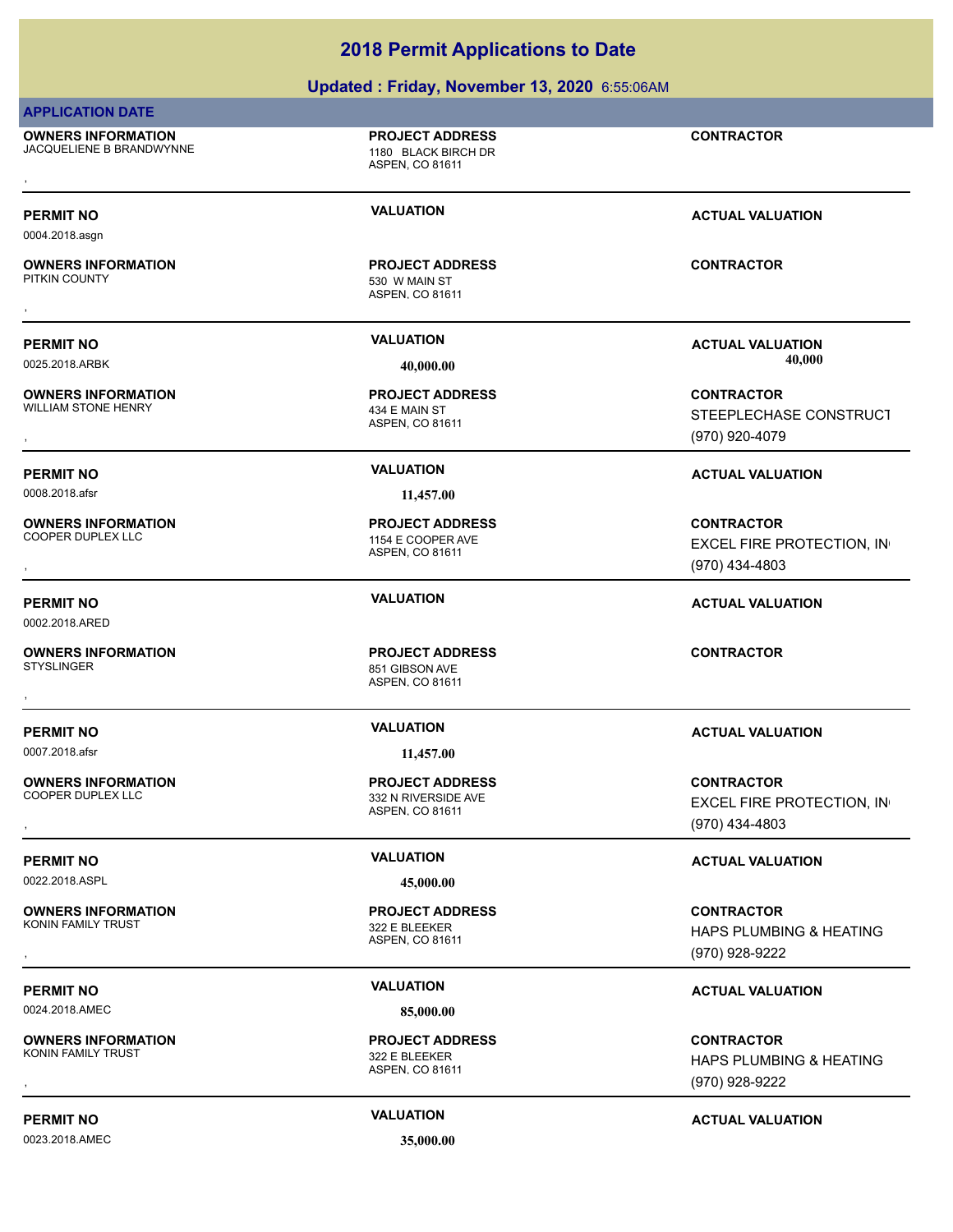### **Updated : Friday, November 13, 2020** 6:55:06AM

### **APPLICATION DATE**

**OWNERS INFORMATION** JACQUELIENE B BRANDWYNNE 1180 BLACK BIRCH DR

ASPEN, CO 81611 **PROJECT ADDRESS** , **CONTRACTOR**

### **PERMIT NO VALUATION VALUATION VALUATION**

0004.2018.asgn

# **OWNERS INFORMATION** , **CONTRACTOR**

## **PERMIT NO VALUATION ACTUAL VALUATION**

0025.2018.ARBK **40,000.00 40,000.00**

### **OWNERS INFORMATION** WILLIAM STONE HENRY 434 E MAIN ST

0008.2018.afsr **11,457.00**

**OWNERS INFORMATION**

0002.2018.ARED

## **OWNERS INFORMATION**

0007.2018.afsr **11,457.00**

**OWNERS INFORMATION**

0022.2018.ASPL **45,000.00**

**OWNERS INFORMATION** KONIN FAMILY TRUST **322 E BLEEKER** 

0024.2018.AMEC **85,000.00**

**OWNERS INFORMATION** KONIN FAMILY TRUST **1998** S22 E BLEEKER

0023.2018.AMEC **35,000.00**

ASPEN, CO 81611

530 W MAIN ST **PROJECT ADDRESS**

ASPEN, CO 81611 **PROJECT ADDRESS**

ASPEN, CO 81611 1154 E COOPER AVE **PROJECT ADDRESS**

ASPEN, CO 81611 851 GIBSON AVE **PROJECT ADDRESS** , **CONTRACTOR**

ASPEN, CO 81611 332 N RIVERSIDE AVE **PROJECT ADDRESS**

ASPEN, CO 81611 **PROJECT ADDRESS**

**PERMIT NO VALUATION ACTUAL VALUATION**

, **CONTRACTOR** HAPS PLUMBING & HEATING (970) 928-9222

### **PERMIT NO VALUATION ACTUAL VALUATION**

ASPEN, CO 81611

**PROJECT ADDRESS**

, **CONTRACTOR** STEEPLECHASE CONSTRUCT (970) 920-4079

### **PERMIT NO VALUATION ACTUAL VALUATION**

, **CONTRACTOR** EXCEL FIRE PROTECTION, IN (970) 434-4803

### **PERMIT NO VALUATION ACTUAL VALUATION**

### **PERMIT NO VALUATION ACTUAL VALUATION**

, **CONTRACTOR** EXCEL FIRE PROTECTION, IN (970) 434-4803

### **PERMIT NO VALUATION VALUATION VALUATION**

, **CONTRACTOR** HAPS PLUMBING & HEATING (970) 928-9222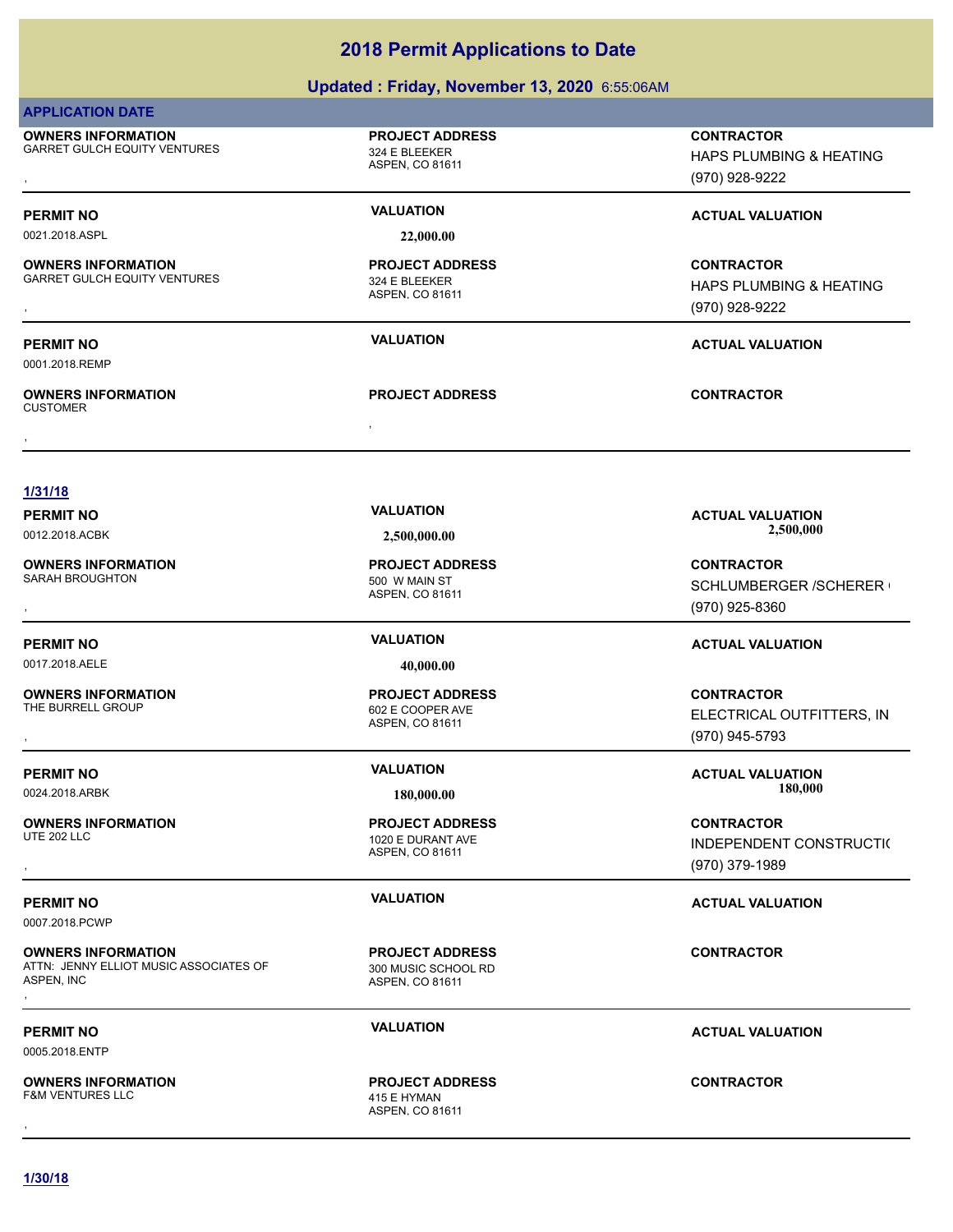### **Updated : Friday, November 13, 2020** 6:55:06AM

| <b>APPLICATION DATE</b>                                                           |                                                                  |                                                                       |
|-----------------------------------------------------------------------------------|------------------------------------------------------------------|-----------------------------------------------------------------------|
| <b>OWNERS INFORMATION</b><br><b>GARRET GULCH EQUITY VENTURES</b>                  | <b>PROJECT ADDRESS</b><br>324 E BLEEKER<br>ASPEN, CO 81611       | <b>CONTRACTOR</b><br>HAPS PLUMBING & HEATING<br>(970) 928-9222        |
| <b>PERMIT NO</b>                                                                  | <b>VALUATION</b>                                                 | <b>ACTUAL VALUATION</b>                                               |
| 0021.2018.ASPL                                                                    | 22,000.00                                                        |                                                                       |
| <b>OWNERS INFORMATION</b><br><b>GARRET GULCH EQUITY VENTURES</b>                  | <b>PROJECT ADDRESS</b><br>324 E BLEEKER<br>ASPEN, CO 81611       | <b>CONTRACTOR</b><br>HAPS PLUMBING & HEATING<br>(970) 928-9222        |
| <b>PERMIT NO</b>                                                                  | <b>VALUATION</b>                                                 | <b>ACTUAL VALUATION</b>                                               |
| 0001.2018.REMP                                                                    |                                                                  |                                                                       |
| <b>OWNERS INFORMATION</b><br><b>CUSTOMER</b>                                      | <b>PROJECT ADDRESS</b>                                           | <b>CONTRACTOR</b>                                                     |
| 1/31/18<br><b>PERMIT NO</b>                                                       | <b>VALUATION</b>                                                 | <b>ACTUAL VALUATION</b>                                               |
| 0012.2018.ACBK                                                                    | 2,500,000.00                                                     | 2,500,000                                                             |
| <b>OWNERS INFORMATION</b><br>SARAH BROUGHTON                                      | <b>PROJECT ADDRESS</b><br>500 W MAIN ST<br>ASPEN, CO 81611       | <b>CONTRACTOR</b><br>SCHLUMBERGER /SCHERER (<br>(970) 925-8360        |
| <b>PERMIT NO</b>                                                                  | <b>VALUATION</b>                                                 | <b>ACTUAL VALUATION</b>                                               |
| 0017.2018.AELE                                                                    | 40,000.00                                                        |                                                                       |
| <b>OWNERS INFORMATION</b><br>THE BURRELL GROUP                                    | <b>PROJECT ADDRESS</b><br>602 E COOPER AVE<br>ASPEN, CO 81611    | <b>CONTRACTOR</b><br>ELECTRICAL OUTFITTERS, IN<br>(970) 945-5793      |
| <b>PERMIT NO</b>                                                                  | <b>VALUATION</b>                                                 | <b>ACTUAL VALUATION</b>                                               |
| 0024.2018.ARBK                                                                    | 180,000.00                                                       | 180,000                                                               |
| <b>OWNERS INFORMATION</b><br><b>UTE 202 LLC</b>                                   | <b>PROJECT ADDRESS</b><br>1020 E DURANT AVE<br>ASPEN, CO 81611   | <b>CONTRACTOR</b><br><b>INDEPENDENT CONSTRUCTI(</b><br>(970) 379-1989 |
| <b>PERMIT NO</b><br>0007.2018.PCWP                                                | <b>VALUATION</b>                                                 | <b>ACTUAL VALUATION</b>                                               |
| <b>OWNERS INFORMATION</b><br>ATTN: JENNY ELLIOT MUSIC ASSOCIATES OF<br>ASPEN, INC | <b>PROJECT ADDRESS</b><br>300 MUSIC SCHOOL RD<br>ASPEN, CO 81611 | <b>CONTRACTOR</b>                                                     |
| <b>PERMIT NO</b><br>0005.2018.ENTP                                                | <b>VALUATION</b>                                                 | <b>ACTUAL VALUATION</b>                                               |
| <b>OWNERS INFORMATION</b><br><b>F&amp;M VENTURES LLC</b>                          | <b>PROJECT ADDRESS</b><br>415 E HYMAN<br>ASPEN, CO 81611         | <b>CONTRACTOR</b>                                                     |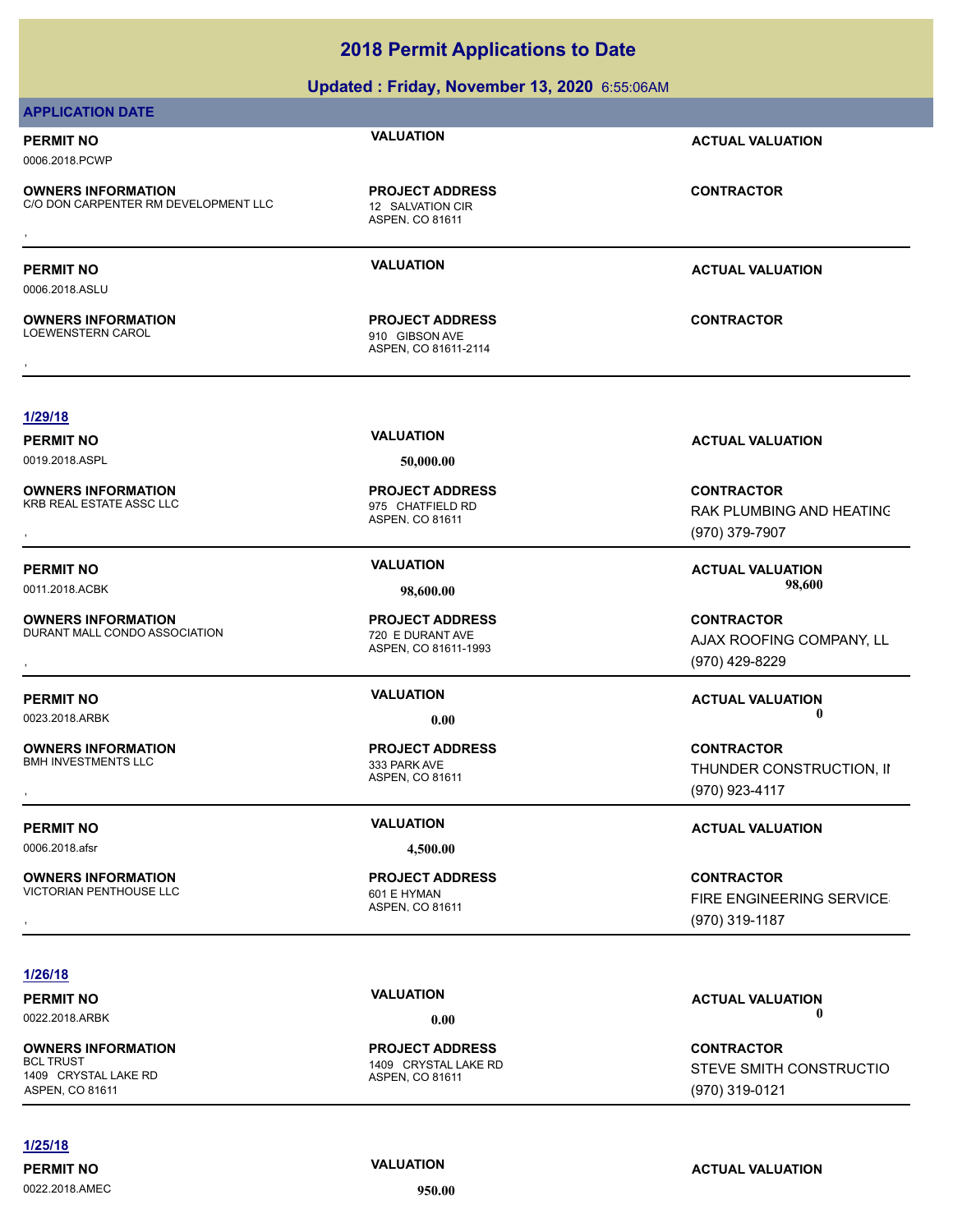### **APPLICATION DATE**

# 0006.2018.PCWP

**OWNERS INFORMATION** C/O DON CARPENTER RM DEVELOPMENT LLC 12 SALVATION CIR

0019.2018.ASPL **50,000.00**

**1/29/18**

0006.2018.ASLU

LOEWENSTERN CAROL 910 GIBSON AVE

ASPEN, CO 81611-2114 , **CONTRACTOR**

### **PERMIT NO VALUATION ACTUAL VALUATION**

RAK PLUMBING AND HEATING (970) 379-7907

AJAX ROOFING COMPANY, LL

THUNDER CONSTRUCTION, II

FIRE ENGINEERING SERVICES (970) 319-1187

### **1/26/18**

**OWNERS INFORMATION** 1409 CRYSTAL LAKE RD ASPEN, CO 81611

### **1/25/18**

0022.2018.AMEC **950.00**

**PERMIT NO VALUATION VALUATION VALUATION** 

1409 CRYSTAL LAKE RD **PROJECT ADDRESS**

**CONTRACTOR**

STEVE SMITH CONSTRUCTIO (970) 319-0121

ASPEN, CO 81611

**OWNERS INFORMATION**

**PROJECT ADDRESS**

ASPEN, CO 81611 **PROJECT ADDRESS OWNERS INFORMATION CONTRACTOR REGIST OF PROJECT ADDRESS CONTRACTOR CONTRACTOR**<br>C/O DON CARPENTER RM DEVELOPMENT LLC ASPEN, CO 81611<br>,

**PERMIT NO VALUATION ACTUAL VALUATION**

**PERMIT NO VALUATION ACTUAL VALUATION**

0022.2018.ARBK **0.00 0.00**

ASPEN, CO 81611





**Updated : Friday, November 13, 2020** 6:55:06AM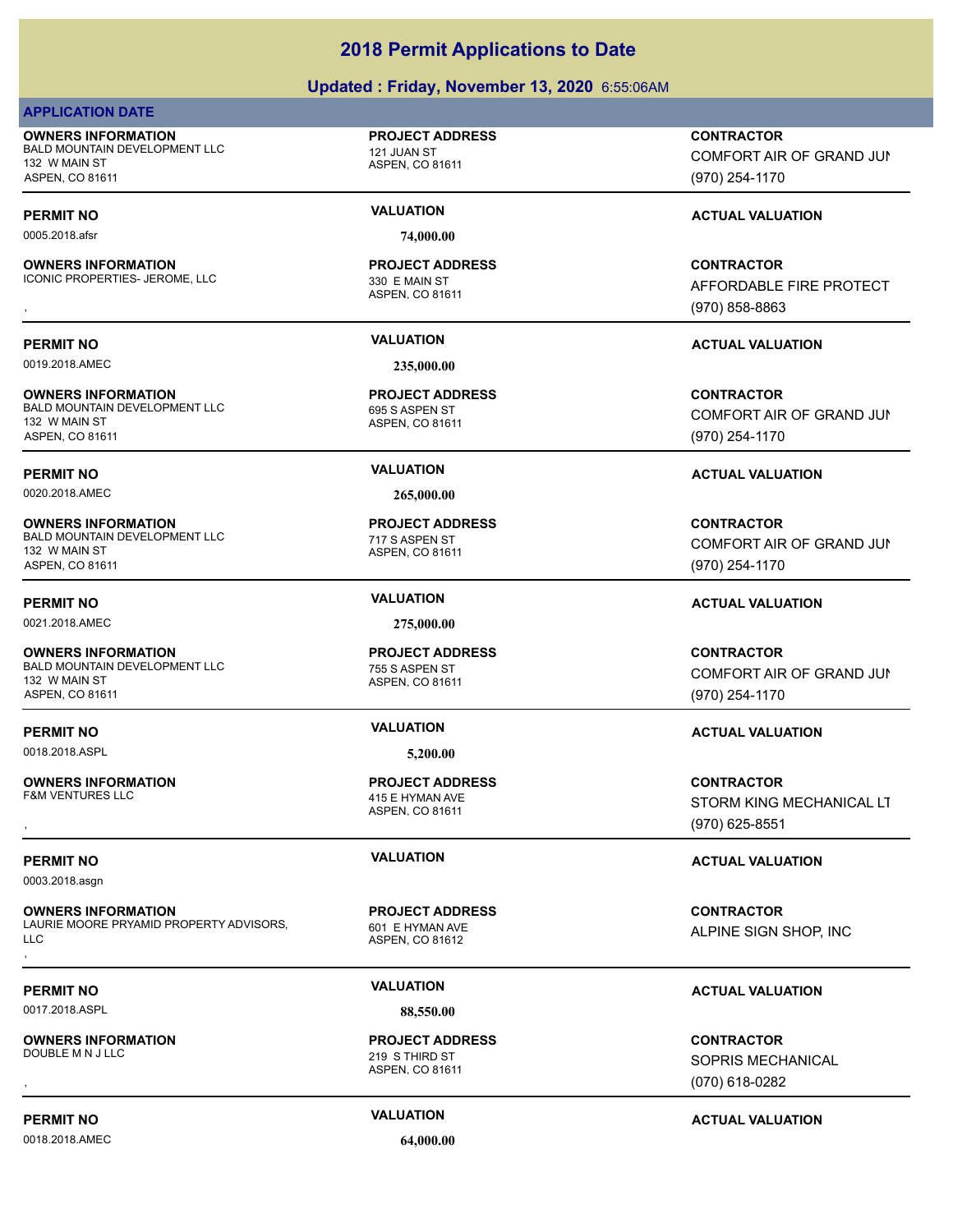### **Updated : Friday, November 13, 2020** 6:55:06AM

### **APPLICATION DATE**

**OWNERS INFORMATION** BALD MOUNTAIN DEVELOPMENT LLC 121 JUAN ST 132 W MAIN ST ASPEN, CO 81611

**OWNERS INFORMATION** ICONIC PROPERTIES- JEROME, LLC 330 E MAIN ST

0019.2018.AMEC **235,000.00**

**OWNERS INFORMATION** BALD MOUNTAIN DEVELOPMENT LLC<br>695 S ASPEN ST 132 W MAIN ST ASPEN, CO 81611

0020.2018.AMEC **265,000.00**

**OWNERS INFORMATION** BALD MOUNTAIN DEVELOPMENT LLC<br>
717 S ASPEN ST 132 W MAIN ST ASPEN, CO 81611

0021.2018.AMEC **275,000.00**

**OWNERS INFORMATION** BALD MOUNTAIN DEVELOPMENT LLC<br>
755 S ASPEN ST 132 W MAIN ST ASPEN, CO 81611

0018.2018.ASPL **5,200.00**

**OWNERS INFORMATION**

0003.2018.asgn

**OWNERS INFORMATION** LAURIE MOORE PRYAMID PROPERTY ADVISORS, LLC **OWNERS INFORMATION CONTRACTOR REGIST OF A PROJECT ADDRESS CONTRACTOR CONTRACTOR**<br>LAURIE MOORE PRYAMID PROPERTY ADVISORS, THE HYMAN AVE THE SIGN SHOP, INCORPORE ALPINE SIGN SHOP, INCORPORE ASPEN. CO 81612<br>LLC<br>,

0017.2018.ASPL **88,550.00**

**OWNERS INFORMATION**

0018.2018.AMEC **64,000.00**

**PROJECT ADDRESS**

ASPEN, CO 81611

0005.2018.afsr **74,000.00**

ASPEN, CO 81611 **PROJECT ADDRESS**

ASPEN, CO 81611 **PROJECT ADDRESS**

ASPEN, CO 81611 **PROJECT ADDRESS**

ASPEN, CO 81611 **PROJECT ADDRESS**

ASPEN, CO 81611 415 E HYMAN AVE **PROJECT ADDRESS**

ASPEN, CO 81612 601 E HYMAN AVE **PROJECT ADDRESS**

### ASPEN, CO 81611 219 S THIRD ST **PROJECT ADDRESS**

**CONTRACTOR**

COMFORT AIR OF GRAND JUN (970) 254-1170

### **PERMIT NO VALUATION ACTUAL VALUATION**

, **CONTRACTOR** AFFORDABLE FIRE PROTECT (970) 858-8863

### **PERMIT NO VALUATION ACTUAL VALUATION**

**CONTRACTOR** COMFORT AIR OF GRAND JUN (970) 254-1170

### **PERMIT NO VALUATION ACTUAL VALUATION**

**CONTRACTOR** COMFORT AIR OF GRAND JUN (970) 254-1170

### **PERMIT NO VALUATION ACTUAL VALUATION**

**CONTRACTOR** COMFORT AIR OF GRAND JUN (970) 254-1170

### **PERMIT NO VALUATION ACTUAL VALUATION**

**OWNERS INFORMATION PROJECT ADDRESS CONTRACTOR**<br>F&M VENTURES LLC 415 E HYMAN AVE STORM KING MECHANICAL LT<br>, ASPEN, CO 81611 STORM KING MECHANICAL LT (970) 625-8551

### **PERMIT NO VALUATION ACTUAL VALUATION**

ALPINE SIGN SHOP, INC

### **PERMIT NO VALUATION ACTUAL VALUATION**

, **CONTRACTOR** SOPRIS MECHANICAL (070) 618-0282

### **PERMIT NO VALUATION ACTUAL VALUATION**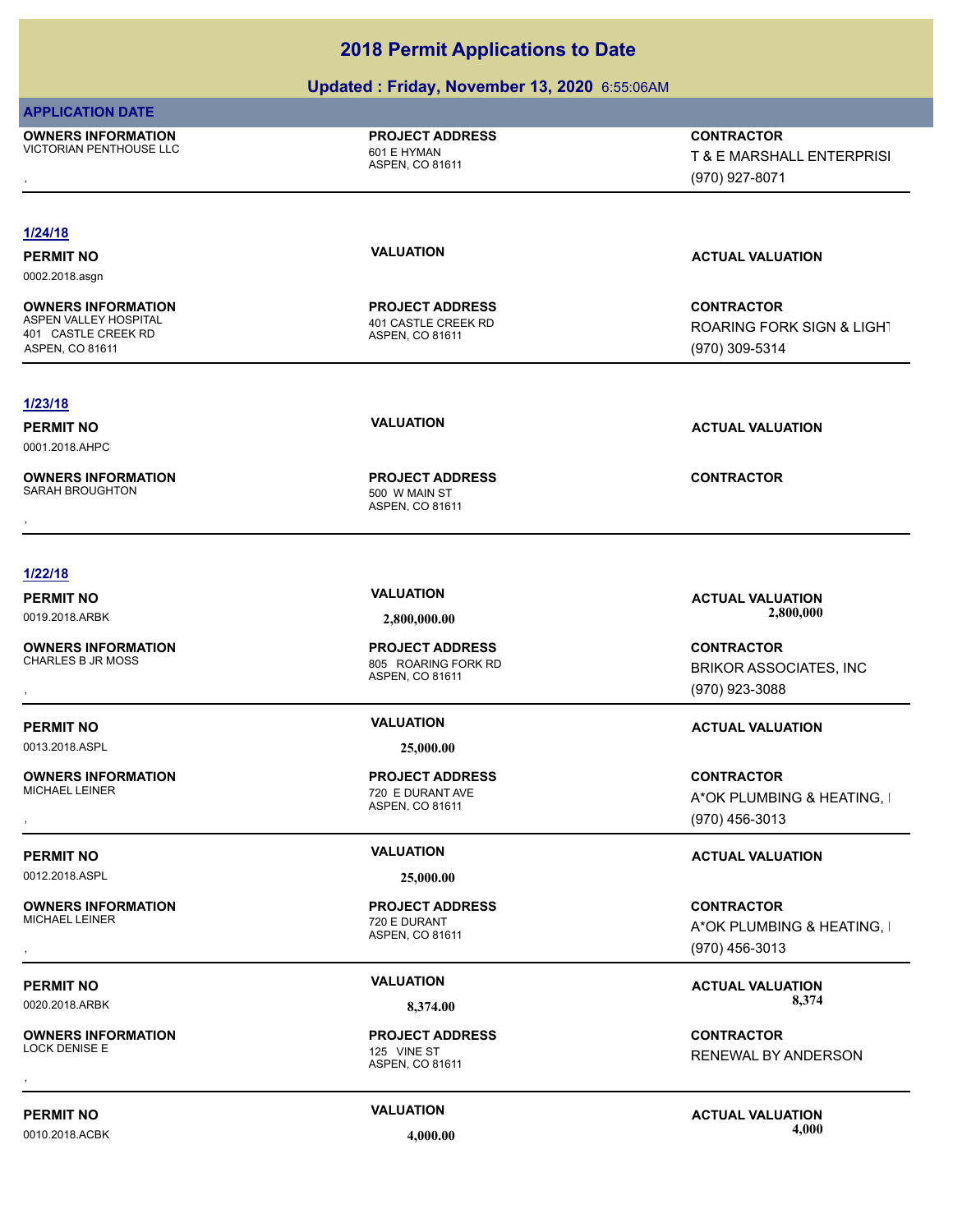### **Updated : Friday, November 13, 2020** 6:55:06AM

### **APPLICATION DATE**

**OWNERS INFORMATION** VICTORIAN PENTHOUSE LLC<br>
601 E HYMAN

**PROJECT ADDRESS**

ASPEN, CO 81611

**OWNERS INFORMATION PROJECT ADDRESS CONTRACTOR**<br>VICTORIAN PENTHOUSE LLC 601 E HYMAN T & E MARSHALL ENTERPRISI<br>, ASPEN. CO 81611 T & E MARSHALL ENTERPRISI (970) 927-8071

### **1/24/18**

**PERMIT NO VALUATION ACTUAL VALUATION** 0002.2018.asgn

**OWNERS INFORMATION** ASPEN VALLEY HOSPITAL **ASPEN VALLEY HOSPITAL AND ASPEN VALLEY HOSPITAL** 401 CASTLE CREEK RD ASPEN, CO 81611

## **1/23/18**

0001.2018.AHPC

**OWNERS INFORMATION**

**1/22/18**

**OWNERS INFORMATION**

0013.2018.ASPL **25,000.00**

**OWNERS INFORMATION**<br>MICHAEL LEINER

0012.2018.ASPL **25,000.00**

**OWNERS INFORMATION**

**OWNERS INFORMATION**

ASPEN, CO 81611

**PROJECT ADDRESS**

ASPEN, CO 81611 500 W MAIN ST **PROJECT ADDRESS** , **CONTRACTOR**

**CONTRACTOR** ROARING FORK SIGN & LIGHT (970) 309-5314

**PERMIT NO VALUATION ACTUAL VALUATION**

ASPEN, CO 81611 805 ROARING FORK RD **PROJECT ADDRESS**

ASPEN, CO 81611 720 E DURANT AVE **PROJECT ADDRESS**

ASPEN, CO 81611 720 E DURANT **PROJECT ADDRESS**

**PERMIT NO VALUATION VALUATION VALUATION** 

, **CONTRACTOR** RENEWAL BY ANDERSON

**PERMIT NO VALUATION ACTUAL VALUATION** 0010.2018.ACBK **4,000.00 4,000.00**

PERMIT NO **SALUATION VALUATION**<br>2.800.000 **COLORATION ACTUAL VALUATION** 0019.2018.ARBK **2,800,000.00 2,800,000.00**

, **CONTRACTOR** BRIKOR ASSOCIATES, INC (970) 923-3088

### **PERMIT NO VALUATION ACTUAL VALUATION**

, **CONTRACTOR** A\*OK PLUMBING & HEATING, I (970) 456-3013

### **PERMIT NO VALUATION VALUATION VALUATION**

, **CONTRACTOR** A\*OK PLUMBING & HEATING, I (970) 456-3013

# 0020.2018.ARBK **8,374.00 8,374.00**

ASPEN, CO 81611 125 VINE ST **PROJECT ADDRESS**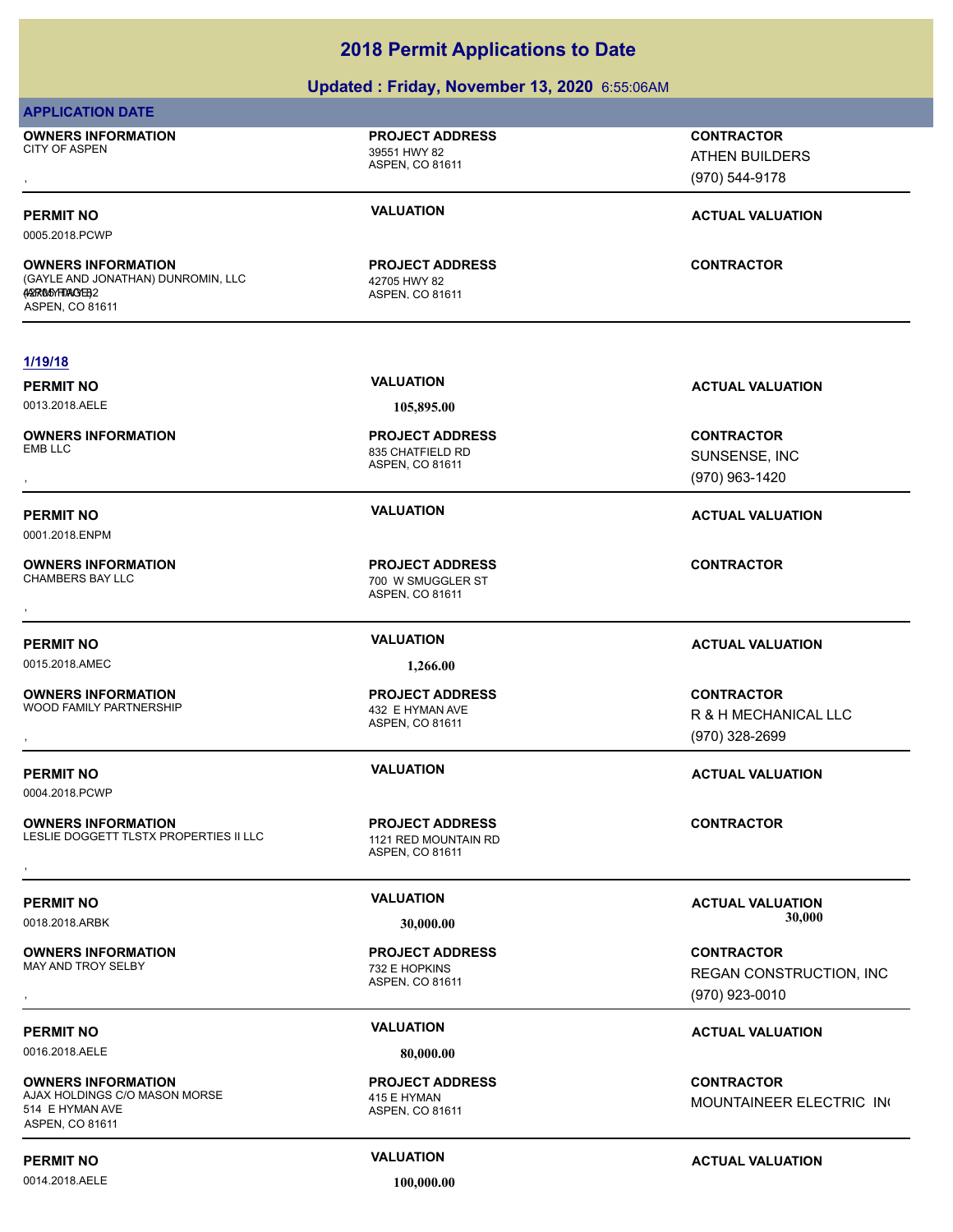### **Updated : Friday, November 13, 2020** 6:55:06AM

### **APPLICATION DATE**

**OWNERS INFORMATION** CITY OF ASPEN 39551 HWY 82

# ASPEN, CO 81611

**PROJECT ADDRESS**

### , **CONTRACTOR** ATHEN BUILDERS (970) 544-9178

0005.2018.PCWP

**OWNERS INFORMATION** (GAYLE AND JONATHAN) DUNROMIN, LLC (AARNO 50 HWAY 82) 2 ASPEN, CO 81611

**1/19/18**

**OWNERS INFORMATION** EMB LLC 835 CHATFIELD RD

0001.2018.ENPM

**OWNERS INFORMATION**

0015.2018.AMEC **1,266.00**

**OWNERS INFORMATION** WOOD FAMILY PARTNERSHIP **120 ASSESSED ASSESSED** 432 E HYMAN AVE

0004.2018.PCWP

**OWNERS INFORMATION** LESLIE DOGGETT TLSTX PROPERTIES II LLC 1121 RED MOUNTAIN RD **OWNERS INFORMATION DESCRIPTION DESCRIPTION DESCRIPTIONS DESCRIPTION DESCRIPTIONS DESCRIPTION DESCRIPTIONS DESCRI<br>LESLIE DOGGETT TLSTX PROPERTIES II LLC ASPEN, CO 81611<br>,** 

**OWNERS INFORMATION** MAY AND TROY SELBY **1988 120 ASSEMBLE 2018 12:32 E HOPKINS** 

0016.2018.AELE **80,000.00**

**OWNERS INFORMATION** AJAX HOLDINGS C/O MASON MORSE 415 E HYMAN 514 E HYMAN AVE ASPEN, CO 81611

0014.2018.AELE **100,000.00**

ASPEN, CO 81611

42705 HWY 82 **PROJECT ADDRESS**

0013.2018.AELE **105,895.00**

ASPEN, CO 81611 **PROJECT ADDRESS**

ASPEN, CO 81611 700 W SMUGGLER ST **PROJECT ADDRESS** , **CONTRACTOR**

ASPEN, CO 81611 **PROJECT ADDRESS**

ASPEN, CO 81611 **PROJECT ADDRESS**

ASPEN, CO 81611 **PROJECT ADDRESS**

ASPEN, CO 81611 **PROJECT ADDRESS**

### **PERMIT NO VALUATION ACTUAL VALUATION**

**CONTRACTOR**

**PERMIT NO VALUATION VALUATION VALUATION** 

, **CONTRACTOR** SUNSENSE, INC (970) 963-1420

**PERMIT NO VALUATION ACTUAL VALUATION**

### **PERMIT NO VALUATION ACTUAL VALUATION**

**OWNERS INFORMATION PROJECT ADDRESS CONTRACTOR**<br>WOOD FAMILY PARTNERSHIP 432 E HYMAN AVE R & H MECHANICAL LLC<br>, ASPEN. CO 81611 R & H MECHANICAL LLC (970) 328-2699

**PERMIT NO VALUATION ACTUAL VALUATION**

**PERMIT NO VALUATION ACTUAL VALUATION** 0018.2018.ARBK **30,000.00 30,000.00**

, **CONTRACTOR** REGAN CONSTRUCTION, INC (970) 923-0010

### **PERMIT NO VALUATION ACTUAL VALUATION**

**CONTRACTOR** MOUNTAINEER ELECTRIC IN

### **PERMIT NO CONSUMITY ACTUAL VALUATION VALUATION VALUATION**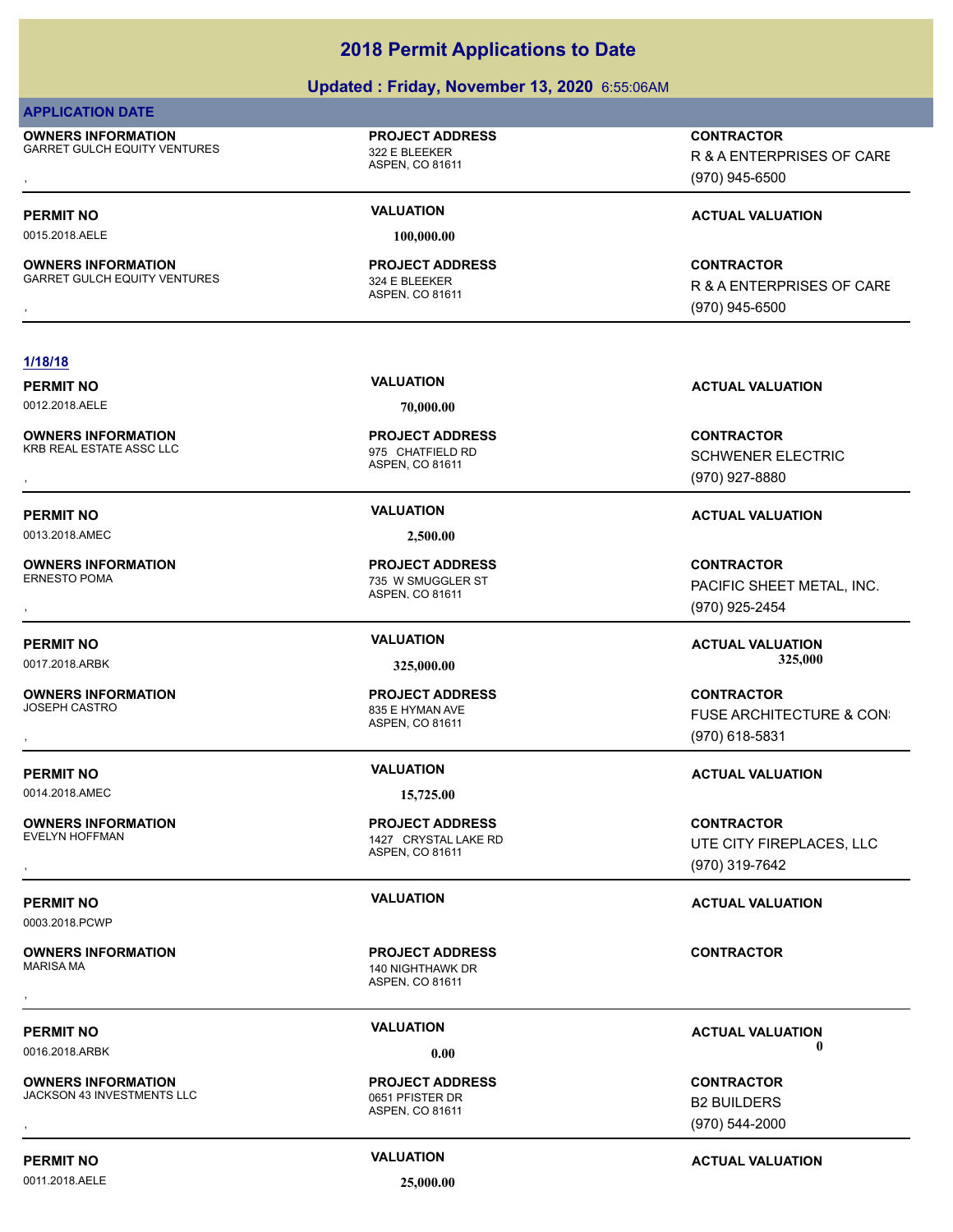### **Updated : Friday, November 13, 2020** 6:55:06AM

### **APPLICATION DATE**

**OWNERS INFORMATION** GARRET GULCH EQUITY VENTURES 322 E BLEEKER

# ASPEN, CO 81611

0015.2018.AELE **100,000.00**

**OWNERS INFORMATION** GARRET GULCH EQUITY VENTURES 324 E BI FFKFR

ASPEN, CO 81611 **PROJECT ADDRESS**

**PROJECT ADDRESS**

**OWNERS INFORMATION METALLY CONTRACTOR SERVICES FOR A SERVICE OF PROJECT ADDRESS ARRET GULCH EQUITY VENTURES ARRE<br>GARRET GULCH EQUITY VENTURES ASPEN ASPEN. CO 81611 ASPEN A SPEN. CO 81611 ASPEN ASPEN A SPEN. CO 81611** R & A ENTERPRISES OF CARE (970) 945-6500

### **PERMIT NO VALUATION VALUATION VALUATION**

**OWNERS INFORMATION METALLY CONTRACTOR SERVICES FOR SERVICE OF PROJECT ADDRESS ARRET GULCH EQUITY VENTURES ARRE<br>GARRET GULCH EQUITY VENTURES ASPEN ASPEN, CO 81611 MASPEN ASPEN, CO 81611 MASPEN ASPEN (970) 945-6500** R & A ENTERPRISES OF CARE (970) 945-6500

### **1/18/18**

**OWNERS INFORMATION**

**PERMIT NO VALUATION ACTUAL VALUATION**

0013.2018.AMEC **2,500.00**

**OWNERS INFORMATION**

**OWNERS INFORMATION**

0014.2018.AMEC **15,725.00**

**OWNERS INFORMATION**

0003.2018.PCWP

**OWNERS INFORMATION**

**OWNERS INFORMATION** JACKSON 43 INVESTMENTS LLC<br>0651 PFISTER DR

0011.2018.AELE **25,000.00**

0012.2018.AELE **70,000.00**

ASPEN, CO 81611 KRB REAL ESTATE ASSC LLC 6 and 10 minutes of 975 CHATFIELD RD **PROJECT ADDRESS**

ASPEN, CO 81611 735 W SMUGGLER ST **PROJECT ADDRESS**

ASPEN, CO 81611 835 E HYMAN AVE **PROJECT ADDRESS**

ASPEN, CO 81611 1427 CRYSTAL LAKE RD **PROJECT ADDRESS**

ASPEN, CO 81611 140 NIGHTHAWK DR **PROJECT ADDRESS** , **CONTRACTOR**

ASPEN, CO 81611 **PROJECT ADDRESS OWNERS INFORMATION LEADURED BY A SERVICE TO A SERVICE TO A SERVICE TO A SERVICE TO A SERVICE TO A SERVICE OF S<br>
UACKSON 43 INVESTMENTS LLC LEADURED ASPEN. CO 81611<br>
ASPEN. CO 81611 LEADURED LEADURED ASPEN. CO 81611 (970)** 

**PERMIT NO VALUATION VALUATION VALUATION** 

, **CONTRACTOR** SCHWENER ELECTRIC (970) 927-8880

, **CONTRACTOR** PACIFIC SHEET METAL, INC. (970) 925-2454

**PERMIT NO VALUATION ACTUAL VALUATION** 0017.2018.ARBK **325,000.00 325,000.00**

, **CONTRACTOR** FUSE ARCHITECTURE & CON: (970) 618-5831

### **PERMIT NO VALUATION ACTUAL VALUATION**

, **CONTRACTOR** UTE CITY FIREPLACES, LLC (970) 319-7642

### **PERMIT NO VALUATION ACTUAL VALUATION**

**PERMIT NO CONSUMITY OF A CONSUMITY OF A CONSUMITY OF A CONSUMITY OF A CTUAL VALUATION** 0016.2018.ARBK **0.00 0.00**

> B2 BUILDERS (970) 544-2000

**PERMIT NO CONSUMITY ACTUAL VALUATION VALUATION VALUATION**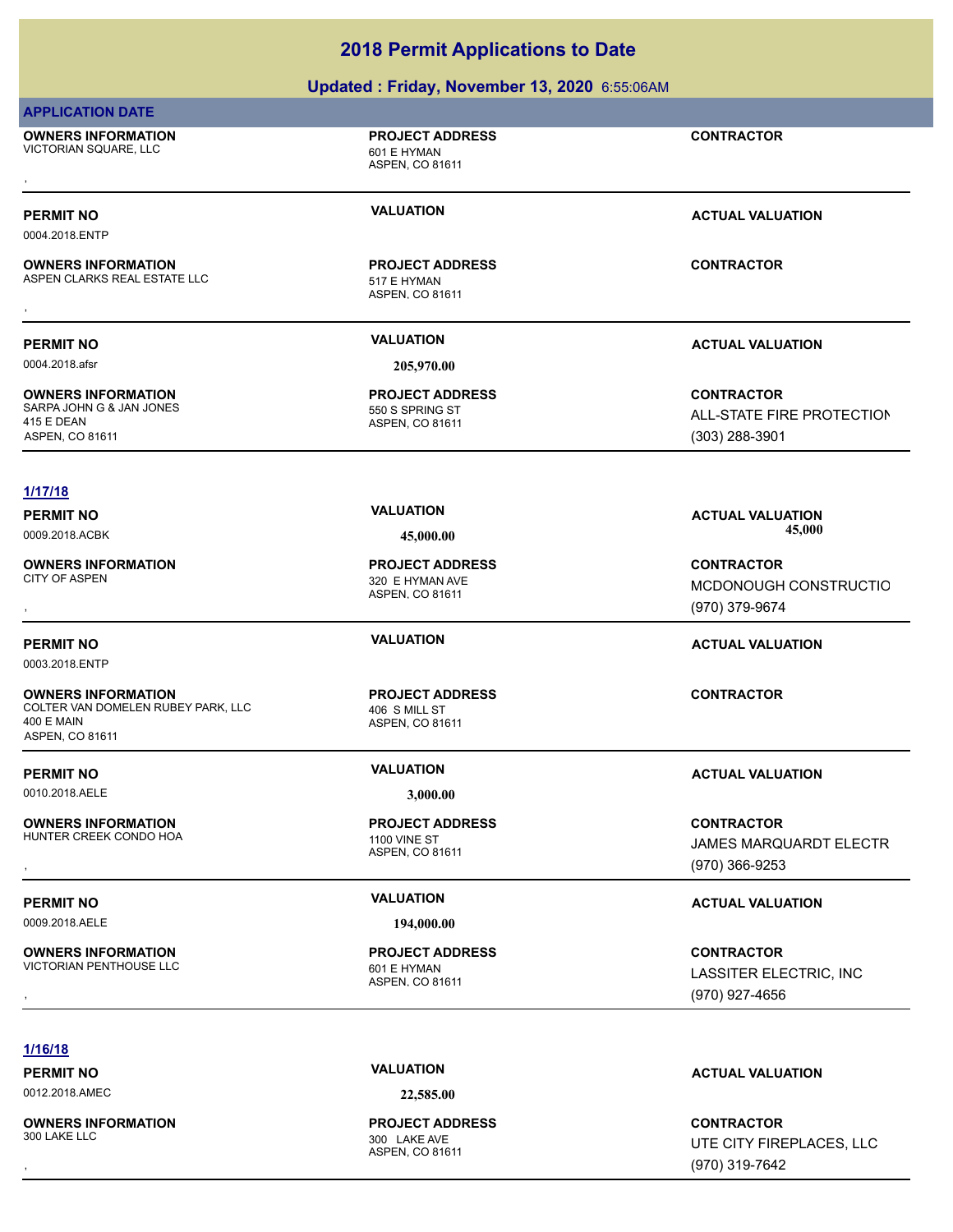### **Updated : Friday, November 13, 2020** 6:55:06AM

### **APPLICATION DATE**

**OWNERS INFORMATION** VICTORIAN SQUARE, LLC<br>
601 E HYMAN , **CONTRACTOR**

ASPEN, CO 81611

**PROJECT ADDRESS**

0004.2018.ENTP

**OWNERS INFORMATION** ASPEN CLARKS REAL ESTATE LLC<br>517 E HYMAN **OWNERS INFORMATION LETTLE SERVICE PROJECT ADDRESS ARE:** CONTRACTOR<br>ASPEN CLARKS REAL ESTATE LLC THE STATE ASPEN, CO 81611<br>,

0004.2018.afsr **205,970.00**

**OWNERS INFORMATION** SARPA JOHN G & JAN JONES 550 S SPRING ST 415 E DEAN ASPEN, CO 81611

### **1/17/18**

**OWNERS INFORMATION**

0003.2018.ENTP

**OWNERS INFORMATION** COLTER VAN DOMELEN RUBEY PARK, LLC 406 S MILL ST 400 E MAIN ASPEN, CO 81611

0010.2018.AELE **3,000.00**

**OWNERS INFORMATION** HUNTER CREEK CONDO HOA 1100 VINE ST

0009.2018.AELE **194,000.00**

**OWNERS INFORMATION** VICTORIAN PENTHOUSE LLC<br>VICTORIAN PENTHOUSE LLC 601 E HYMAN

**PROJECT ADDRESS**

ASPEN, CO 81611

ASPEN, CO 81611 **PROJECT ADDRESS**

ASPEN, CO 81611 320 E HYMAN AVE **PROJECT ADDRESS**

ASPEN, CO 81611 **PROJECT ADDRESS**

ASPEN, CO 81611 **PROJECT ADDRESS**

ASPEN, CO 81611 **PROJECT ADDRESS**

**PERMIT NO VALUATION VALUATION VALUATION** 

### **PERMIT NO VALUATION ACTUAL VALUATION**

**CONTRACTOR ALL-STATE FIRE PROTECTION** (303) 288-3901

**PERMIT NO VALUATION ACTUAL VALUATION** 0009.2018.ACBK **45,000.00 45,000.00**

, **CONTRACTOR** MCDONOUGH CONSTRUCTIO (970) 379-9674

### **PERMIT NO VALUATION ACTUAL VALUATION**

**CONTRACTOR**

### **PERMIT NO VALUATION ACTUAL VALUATION**

**OWNERS INFORMATION GOVERNED BY A SERVICE PROJECT ADDRESS ARE:** CONTRACTOR CONTRACTOR<br>HUNTER CREEK CONDO HOA A SPEN, CO 81611 ASPEN, CO 81611 GOVERNED A SPEN, CO 81611 (970) 366-9253 JAMES MARQUARDT ELECTR (970) 366-9253

### **PERMIT NO VALUATION ACTUAL VALUATION**

, **CONTRACTOR** LASSITER ELECTRIC, INC (970) 927-4656

### **1/16/18**

0012.2018.AMEC **22,585.00**

**OWNERS INFORMATION**

ASPEN, CO 81611 300 LAKE AVE **PROJECT ADDRESS**

**PERMIT NO VALUATION ACTUAL VALUATION**

, **CONTRACTOR** UTE CITY FIREPLACES, LLC (970) 319-7642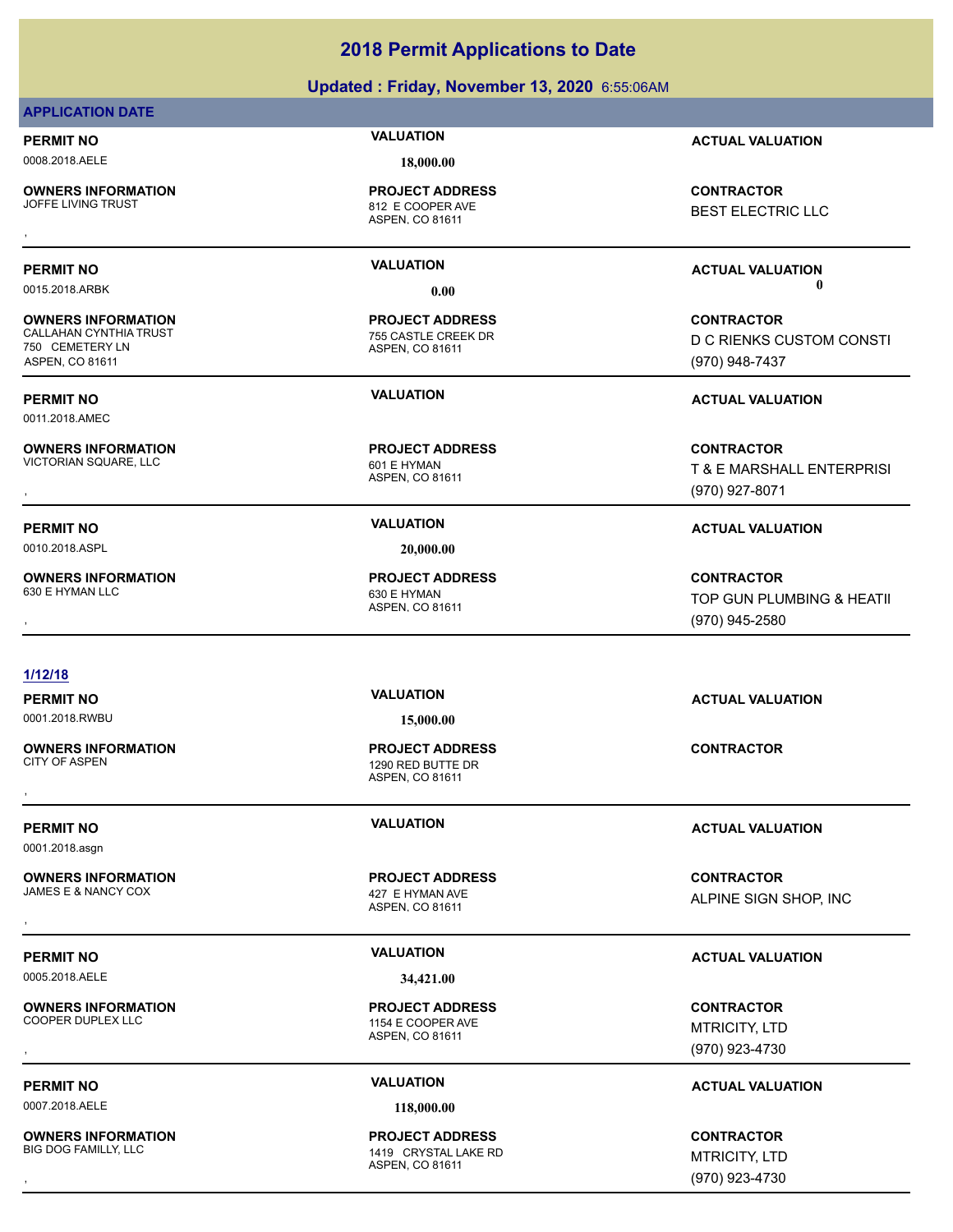### **Updated : Friday, November 13, 2020** 6:55:06AM

### **APPLICATION DATE**

0008.2018.AELE **18,000.00**

**OWNERS INFORMATION**<br>JOFFE LIVING TRUST

812 E COOPER AVE **PROJECT ADDRESS**

ASPEN, CO 81611

**OWNERS INFORMATION** CALLAHAN CYNTHIA TRUST 755 CASTLE CREEK DR 750 CEMETERY LN ASPEN, CO 81611

0011.2018.AMEC

**OWNERS INFORMATION**

0010.2018.ASPL **20,000.00**

**OWNERS INFORMATION** 630 E HYMAN LLC 630 E HYMAN

ASPEN, CO 81611 **PROJECT ADDRESS**

ASPEN, CO 81611 VICTORIAN SQUARE, LLC 601 E HYMAN **PROJECT ADDRESS**

ASPEN, CO 81611 **PROJECT ADDRESS**

### **1/12/18**

0001.2018.RWBU **15,000.00**

**OWNERS INFORMATION**

0001.2018.asgn

**OWNERS INFORMATION** JAMES E & NANCY COX 427 E HYMAN AVE

0005.2018.AELE **34,421.00**

**OWNERS INFORMATION**

0007.2018.AELE **118,000.00**

**OWNERS INFORMATION**

ASPEN, CO 81611 1290 RED BUTTE DR **PROJECT ADDRESS** , **CONTRACTOR**

ASPEN, CO 81611 **PROJECT ADDRESS** , **CONTRACTOR**

ASPEN, CO 81611 1154 E COOPER AVE **PROJECT ADDRESS**

ASPEN, CO 81611 1419 CRYSTAL LAKE RD **PROJECT ADDRESS** , **CONTRACTOR**

**PERMIT NO VALUATION ACTUAL VALUATION**

**OWNERS INFORMATION LATE CONTRACTOR PROJECT ADDRESS ARE CONTRACTOR CONTRACTOR**<br>JOFFE LIVING TRUST<br>, ASPEN, CO 81611<br>, BEST ELECTRIC LLC

### **PERMIT NO VALUATION ACTUAL VALUATION** 0015.2018.ARBK **0.00 0.00**

**CONTRACTOR** D C RIENKS CUSTOM CONSTI (970) 948-7437

### **PERMIT NO VALUATION ACTUAL VALUATION**

**OWNERS INFORMATION PROJECT ADDRESS CONTRACTOR**<br>VICTORIAN SQUARE, LLC 601 E HYMAN T & E MARSHALL ENTERPRISI<br>, ASPEN, CO 81611 T & E MARSHALL ENTERPRISI (970) 927-8071

### **PERMIT NO VALUATION ACTUAL VALUATION**

, **CONTRACTOR** TOP GUN PLUMBING & HEATII (970) 945-2580

**PERMIT NO VALUATION ACTUAL VALUATION**

**PERMIT NO VALUATION ACTUAL VALUATION**

ALPINE SIGN SHOP, INC

### **PERMIT NO VALUATION ACTUAL VALUATION**

, **CONTRACTOR** MTRICITY, LTD (970) 923-4730

### **PERMIT NO VALUATION ACTUAL VALUATION**

MTRICITY, LTD (970) 923-4730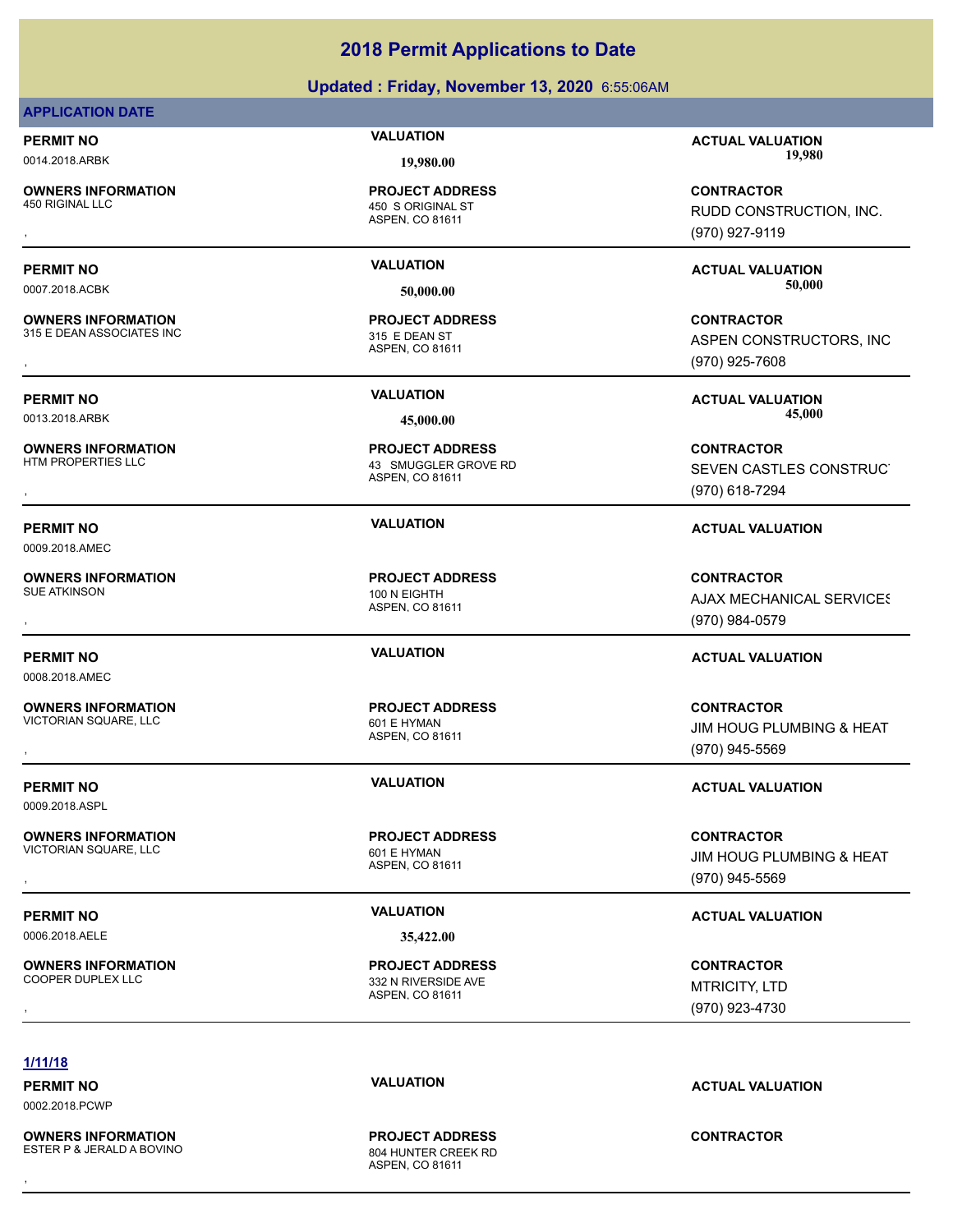### **Updated : Friday, November 13, 2020** 6:55:06AM

### **APPLICATION DATE**

**OWNERS INFORMATION**<br>450 RIGINAL LLC

**OWNERS INFORMATION**

**OWNERS INFORMATION**

**OWNERS INFORMATION**

**OWNERS INFORMATION**

**OWNERS INFORMATION**

**OWNERS INFORMATION**

0009.2018.AMEC

0008.2018.AMEC

0009.2018.ASPL

ASPEN, CO 81611 450 S ORIGINAL ST **PROJECT ADDRESS**

ASPEN, CO 81611 315 E DEAN ASSOCIATES INC 315 E DEAN ST **PROJECT ADDRESS**

ASPEN, CO 81611 43 SMUGGLER GROVE RD **PROJECT ADDRESS**

ASPEN, CO 81611 SUE ATKINSON 100 N EIGHTH **PROJECT ADDRESS**

ASPEN, CO 81611 VICTORIAN SQUARE, LLC<br>
601 E HYMAN **PROJECT ADDRESS**

**PROJECT ADDRESS**

0006.2018.AELE **35,422.00**

**PROJECT ADDRESS**

**PERMIT NO VALUATION ACTUAL VALUATION** 0014.2018.ARBK **19,980.00 19,980.00**

, **CONTRACTOR** RUDD CONSTRUCTION, INC. (970) 927-9119

**PERMIT NO VALUATION ACTUAL VALUATION** 0007.2018.ACBK **50,000.00 50,000.00**

**OWNERS INFORMATION GOVERNED BY A SPEN CONTRACTOR CONTRACTOR**<br>115 E DEAN ASSOCIATES INC GOVERNED BY STAGE A SPEN CONSTRUCTORS ASPEN CONSTRUCTORS, INC<br>15 E DEAN ASSOCIATES INC<br>2009 - ASPEN CO 81611 ASPEN CONSTRUCTORS, INC (970) 925-7608

**PERMIT NO VALUATION ACTUAL VALUATION** 0013.2018.ARBK **45,000.00 45,000.00**

**OWNERS INFORMATION PROJECT ADDRESS CONTRACTOR**<br>HTM PROPERTIES LLC 43 SMUGGLER GROVE RD SEVEN CASTLES CONSTRUC<br>, ASPEN, CO 81611 SEVEN CASTLES CONSTRUCT (970) 618-7294

### **PERMIT NO VALUATION ACTUAL VALUATION**

, **CONTRACTOR AJAX MECHANICAL SERVICES** (970) 984-0579

### **PERMIT NO VALUATION ACTUAL VALUATION**

**OWNERS INFORMATION PROJECT ADDRESS CONTRACTOR**<br>VICTORIAN SQUARE, LLC 601 E HYMAN JIM HOUG PLUMBING & HEAT<br>, ASPEN, CO 81611 **JIM HOUG PLUMBING & HEAT** (970) 945-5569

**OWNERS INFORMATION PROJECT ADDRESS CONTRACTOR**<br>VICTORIAN SQUARE, LLC 601 E HYMAN JIM HOUG PLUMBING & HEAT<br>, ASPEN. CO 81611 JIM HOUG PLUMBING & HEAT (970) 945-5569

### **PERMIT NO VALUATION VALUATION VALUATION**

, **CONTRACTOR** MTRICITY, LTD (970) 923-4730

### **1/11/18**

0002.2018.PCWP

**OWNERS INFORMATION** ESTER P & JERALD A BOVINO 804 HUNTER CREEK RD

ASPEN, CO 81611 **PROJECT ADDRESS** , **CONTRACTOR**

**PERMIT NO VALUATION ACTUAL VALUATION**

VICTORIAN SQUARE, LLC 601 E HYMAN

**PERMIT NO VALUATION ACTUAL VALUATION**

ASPEN, CO 81611

ASPEN, CO 81611 332 N RIVERSIDE AVE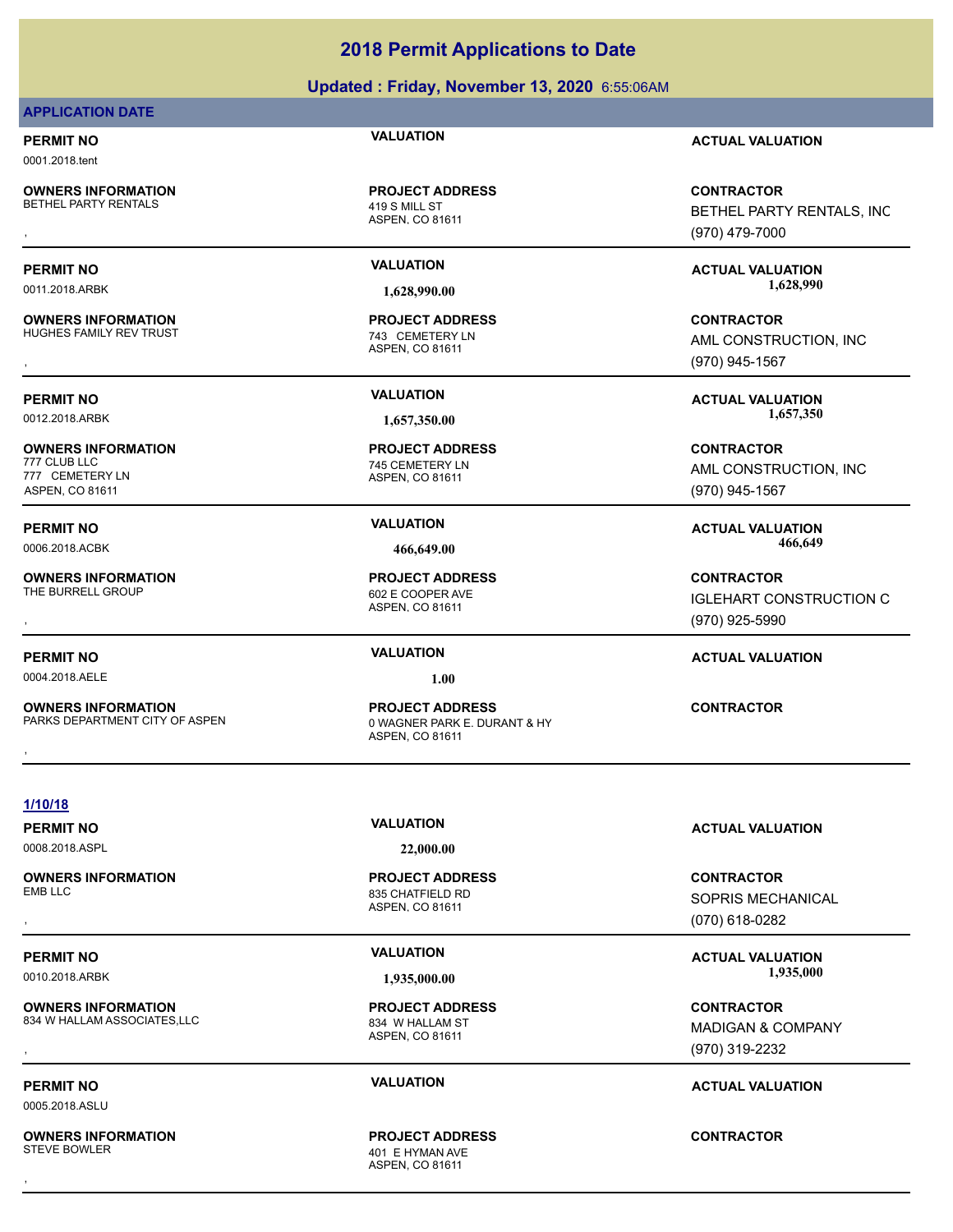### **Updated : Friday, November 13, 2020** 6:55:06AM

### **APPLICATION DATE**

0001.2018.tent

**OWNERS INFORMATION** BETHEL PARTY RENTALS 419 S MILL ST

**OWNERS INFORMATION** HUGHES FAMILY REV TRUST **THE SERVICE OF A SERVICE OF A SERVICE OF A SERVICE OF A SERVICE OF A SERVICE OF A SERVICE OF A SERVICE OF A SERVICE OF A SERVICE OF A SERVICE OF A SERVICE OF A SERVICE OF A SERVICE OF A SERVICE OF** 

**OWNERS INFORMATION**

777 CEMETERY LN ASPEN, CO 81611

**OWNERS INFORMATION** THE BURRELL GROUP **120 COOPER AVE** 

0004.2018.AELE **1.00**

**OWNERS INFORMATION**

ASPEN, CO 81611 **PROJECT ADDRESS**

ASPEN, CO 81611 **PROJECT ADDRESS**

ASPEN, CO 81611 745 CEMETERY LN **PROJECT ADDRESS**

ASPEN, CO 81611 **PROJECT ADDRESS**

ASPEN, CO 81611 0 WAGNER PARK E. DURANT & HY **PROJECT ADDRESS OWNERS INFORMATION FROM THE PROJECT ADDRESS FOR A SUMPLE CONTRACTOR**<br>PARKS DEPARTMENT CITY OF ASPEN FRAMEL ASPEN, CO 81611<br>,

**PERMIT NO VALUATION ACTUAL VALUATION**

**OWNERS INFORMATION PROJECT ADDRESS CONTRACTOR**<br>BETHEL PARTY RENTALS 419 S MILL ST BETHEL PARTY RENTALS, INC<br>, ASPEN, CO 81611 BETHEL PARTY RENTALS, INC (970) 479-7000

**PERMIT NO VALUATION ACTUAL VALUATION** 0011.2018.ARBK **1,628,990.00 1,628,990.00**

, **CONTRACTOR** AML CONSTRUCTION, INC (970) 945-1567

**PERMIT NO VALUATION ACTUAL VALUATION** 0012.2018.ARBK **1,657,350.00 1,657,350.00**

> **CONTRACTOR** AML CONSTRUCTION, INC (970) 945-1567

**PERMIT NO VALUATION ACTUAL VALUATION** 0006.2018.ACBK **466,649.00 466,649.00**

, **CONTRACTOR IGLEHART CONSTRUCTION C** (970) 925-5990

### **PERMIT NO VALUATION ACTUAL VALUATION**

**1/10/18**

0008.2018.ASPL **22,000.00**

ASPEN, CO 81611 835 CHATFIELD RD **PROJECT ADDRESS**

ASPEN, CO 81611 401 E HYMAN AVE **PROJECT ADDRESS** , **CONTRACTOR**

**PERMIT NO VALUATION ACTUAL VALUATION**

, **CONTRACTOR** SOPRIS MECHANICAL (070) 618-0282

PERMIT NO **SALUATION VALUATION CONSUMPTION ACTUAL VALUATION** 0010.2018.ARBK **1,935,000.00 1,935,000.00**

, **CONTRACTOR** MADIGAN & COMPANY (970) 319-2232

### **PERMIT NO VALUATION ACTUAL VALUATION**

**OWNERS INFORMATION**

**OWNERS INFORMATION**

**OWNERS INFORMATION** 834 W HALLAM ASSOCIATES, LLC<br>834 W HALLAM ST

0005.2018.ASLU

ASPEN, CO 81611 **PROJECT ADDRESS**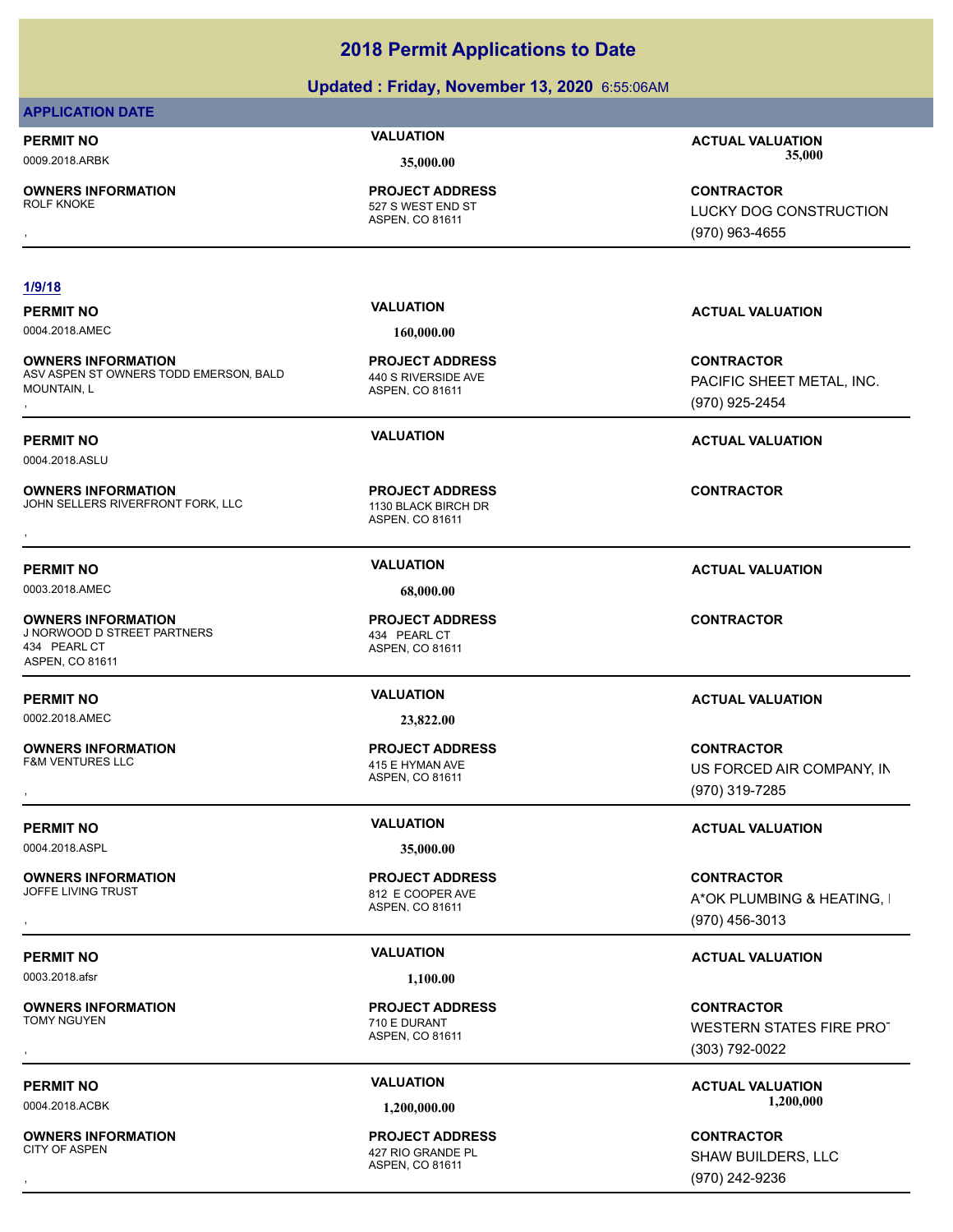### **Updated : Friday, November 13, 2020** 6:55:06AM

### **APPLICATION DATE**

**OWNERS INFORMATION**

ASPEN, CO 81611 527 S WEST END ST **PROJECT ADDRESS**

### **1/9/18**

0004.2018.AMEC **160,000.00**

**OWNERS INFORMATION** ASV ASPEN ST OWNERS TODD EMERSON, BALD MOUNTAIN, L **OWNERS INFORMATION DEMERSON, BALD REGULES PROJECT ADDRESS ARE SERVICES CONTRACTOR CONTROURDERS AND RESOLUTION<br>ASV ASPEN ST OWNERS TODD EMERSON, BALD 440 S RIVERSIDE AVE <b>Resolution of the CONTROUNTAIN, L**<br>MOUNTAIN, L **ASP** 

0004.2018.ASLU

**OWNERS INFORMATION** JOHN SELLERS RIVERFRONT FORK, LLC 1130 BLACK BIRCH DR **OWNERS INFORMATION FORK, LLC FORMATION FIGURE ARE ASSESS FOR THE SEXUAL SELLERS RIVERFRONT FORK, LLC FORMATION**<br>JOHN SELLERS RIVERFRONT FORK, LLC FORMATION FOR ASPEN, CO 81611<br>,

0003.2018.AMEC **68,000.00**

**OWNERS INFORMATION** J NORWOOD D STREET PARTNERS 434 PEARL CT 434 PEARL CT ASPEN, CO 81611

**OWNERS INFORMATION**

0004.2018.ASPL **35,000.00**

**OWNERS INFORMATION**

0003.2018.afsr **1,100.00**

**OWNERS INFORMATION** 

**OWNERS INFORMATION**

ASPEN, CO 81611 440 S RIVERSIDE AVE **PROJECT ADDRESS**

ASPEN, CO 81611 **PROJECT ADDRESS**

ASPEN, CO 81611 **PROJECT ADDRESS**

0002.2018.AMEC **23,822.00**

ASPEN, CO 81611 415 E HYMAN AVE **PROJECT ADDRESS**

ASPEN, CO 81611 812 E COOPER AVE **PROJECT ADDRESS**

ASPEN, CO 81611 710 E DURANT **PROJECT ADDRESS**

### ASPEN, CO 81611 427 RIO GRANDE PL **PROJECT ADDRESS**

**PERMIT NO VALUATION ACTUAL VALUATION** 0009.2018.ARBK **35,000.00 35,000.00**

, **CONTRACTOR** LUCKY DOG CONSTRUCTION. (970) 963-4655

### **PERMIT NO VALUATION ACTUAL VALUATION**

PACIFIC SHEET METAL, INC. (970) 925-2454

### **PERMIT NO VALUATION ACTUAL VALUATION**

### **PERMIT NO VALUATION VALUATION VALUATION**

### **CONTRACTOR**

### **PERMIT NO VALUATION ACTUAL VALUATION**

, **CONTRACTOR** US FORCED AIR COMPANY, IN (970) 319-7285

### **PERMIT NO VALUATION ACTUAL VALUATION**

**OWNERS INFORMATION PROJECT ADDRESS CONTRACTOR**<br>JOFFE LIVING TRUST 812 E COOPER AVE A\*OK PLUMBING & HEATING, I<br>, ASPEN. CO 81611 A\*OK PLUMBING & HEATING, I (970) 456-3013

### **PERMIT NO VALUATION ACTUAL VALUATION**

, **CONTRACTOR** WESTERN STATES FIRE PROT (303) 792-0022

**PERMIT NO CONSUMITY OF A CONSUMITY OF A CONSUMITY OF A CONSUMITY OF A CTUAL VALUATION** 0004.2018.ACBK **1,200,000.00 1,200,000.00**

, **CONTRACTOR** SHAW BUILDERS, LLC (970) 242-9236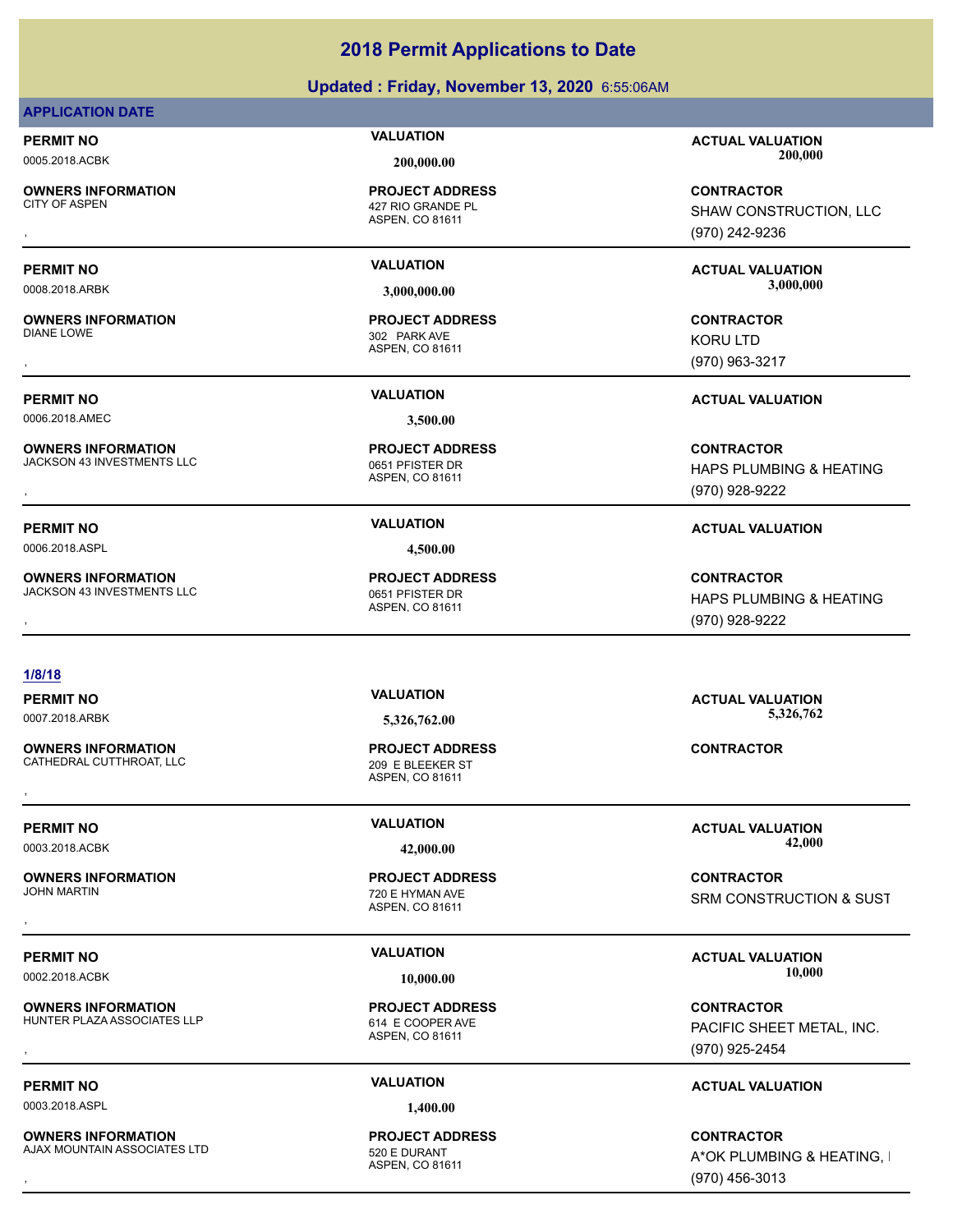### **Updated : Friday, November 13, 2020** 6:55:06AM

### **APPLICATION DATE**

**OWNERS INFORMATION**

**OWNERS INFORMATION**

0006.2018.AMEC **3,500.00**

**OWNERS INFORMATION** JACKSON 43 INVESTMENTS LLC<br>0651 PFISTER DR

**OWNERS INFORMATION** JACKSON 43 INVESTMENTS LLC<br>0651 PFISTER DR

ASPEN, CO 81611 427 RIO GRANDE PL **PROJECT ADDRESS**

ASPEN, CO 81611 302 PARK AVE **PROJECT ADDRESS**

ASPEN, CO 81611 **PROJECT ADDRESS**

### **1/8/18**

**OWNERS INFORMATION** CATHEDRAL CUTTHROAT, LLC<br>
209 E BLEEKER ST

**OWNERS INFORMATION**

**OWNERS INFORMATION** HUNTER PLAZA ASSOCIATES LLP<br>614 E COOPER AVE

0003.2018.ASPL **1,400.00**

**OWNERS INFORMATION** AJAX MOUNTAIN ASSOCIATES LTD 520 E DURANT

ASPEN, CO 81611 **PROJECT ADDRESS OWNERS INFORMATION GOVERNED BY A SERVICE PROJECT ADDRESS ARE:**<br>CATHEDRAL CUTTHROAT, LLC GOVERNED BY ASPEN, CO 81611<br>,

ASPEN, CO 81611 720 E HYMAN AVE **PROJECT ADDRESS**

ASPEN, CO 81611 **PROJECT ADDRESS**

ASPEN, CO 81611 **PROJECT ADDRESS**

**PERMIT NO VALUATION ACTUAL VALUATION** 0005.2018.ACBK **200,000.00 200,000.00**

, **CONTRACTOR** SHAW CONSTRUCTION, LLC (970) 242-9236

**PERMIT NO VALUATION ACTUAL VALUATION** 0008.2018.ARBK **3,000,000.00 3,000,000.00**

, **CONTRACTOR** KORU LTD (970) 963-3217

**PERMIT NO VALUATION ACTUAL VALUATION**

**OWNERS INFORMATION LEADURED BY A SERVICE TO A SERVICE ADDRESS ARE SERVICE SONTRACTOR CONTRACTOR SERVICE SOME ASPEN<br>JACKSON 43 INVESTMENTS LLC LEADURE SOME SERVICE OF THE SPEN, CO 81611<br>, ASPEN, CO 81611 LEADURE SOME SOME** HAPS PLUMBING & HEATING (970) 928-9222

**OWNERS INFORMATION LEADURED BY A SERVICE TO A SERVICE ADDRESS ARE SERVICE SONTRACTOR CONTRACTOR SERVICE SOME ASPEN<br>JACKSON 43 INVESTMENTS LLC LEADURER SERVICE SONG A SPEN, CO 81611<br>, EARLY MASPEN, CO 81611 LEADURER SONG S** HAPS PLUMBING & HEATING (970) 928-9222

**PERMIT NO VALUATION ACTUAL VALUATION** 0007.2018.ARBK **5,326,762.00 5,326,762.00**

**PERMIT NO VALUATION ACTUAL VALUATION** 0003.2018.ACBK **42,000.00 42,000.00**

, **CONTRACTOR** SRM CONSTRUCTION & SUST

### **PERMIT NO VALUATION ACTUAL VALUATION** 0002.2018.ACBK **10,000.00 10,000.00**

**OWNERS INFORMATION LETTLE SERVICE PROJECT ADDRESS ARE SERVICE CONTRACTOR CONTRACTOR**<br>HUNTER PLAZA ASSOCIATES LLP ASPEN ASPEN, CO 81611<br>, The CONTROL CO 81611 (970) 925-2454 PACIFIC SHEET METAL, INC. (970) 925-2454

### **PERMIT NO VALUATION ACTUAL VALUATION**

, **CONTRACTOR** A\*OK PLUMBING & HEATING, I (970) 456-3013

# **PERMIT NO VALUATION ACTUAL VALUATION** 0006.2018.ASPL **4,500.00**

ASPEN, CO 81611 **PROJECT ADDRESS**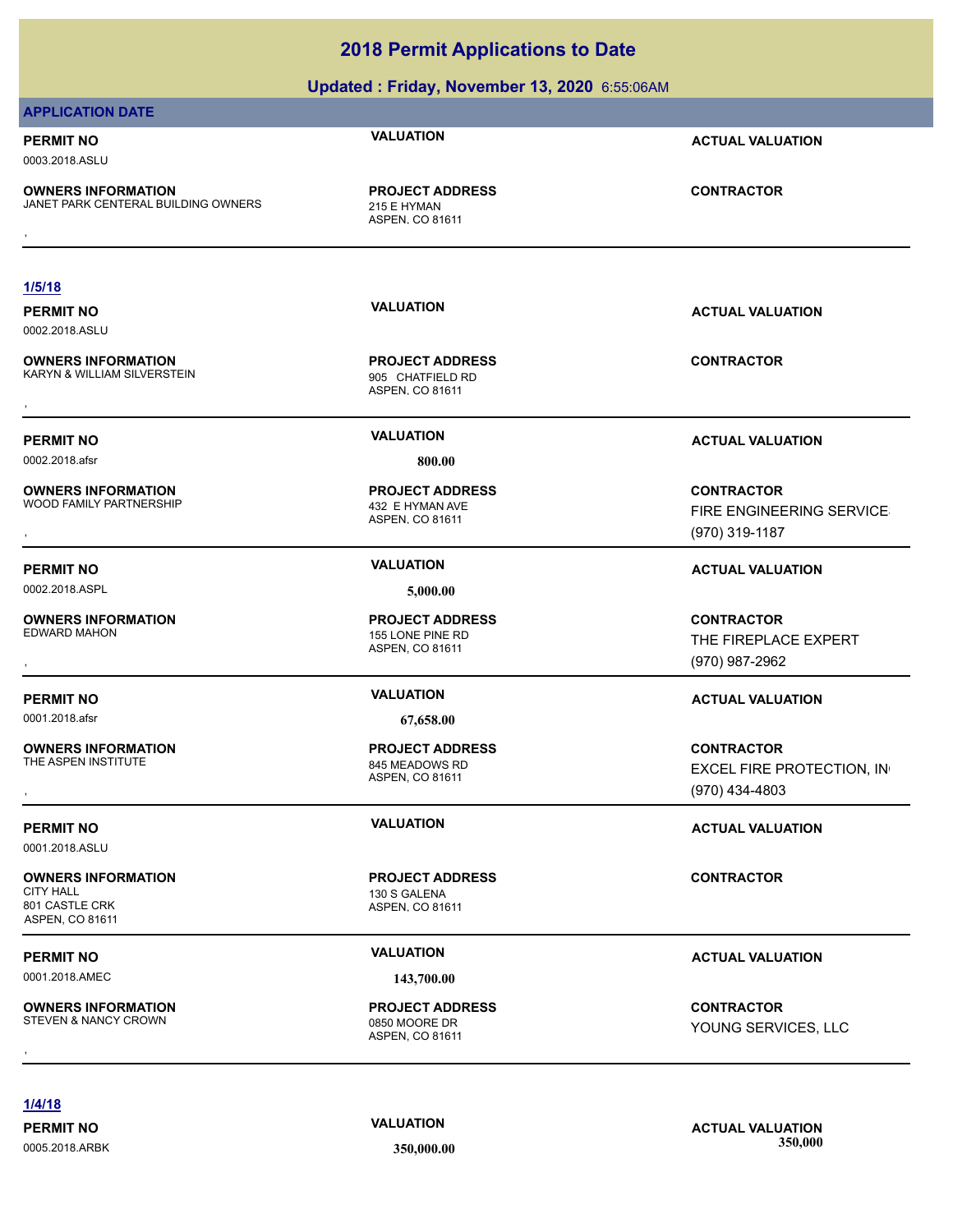| Updated: Friday, November 13, 2020 6:55:06AM                                              |                                                               |                                                                  |
|-------------------------------------------------------------------------------------------|---------------------------------------------------------------|------------------------------------------------------------------|
| <b>APPLICATION DATE</b>                                                                   |                                                               |                                                                  |
| <b>PERMIT NO</b><br>0003.2018.ASLU                                                        | <b>VALUATION</b>                                              | <b>ACTUAL VALUATION</b>                                          |
| <b>OWNERS INFORMATION</b><br>JANET PARK CENTERAL BUILDING OWNERS                          | <b>PROJECT ADDRESS</b><br>215 E HYMAN<br>ASPEN, CO 81611      | <b>CONTRACTOR</b>                                                |
|                                                                                           |                                                               |                                                                  |
| 1/5/18                                                                                    |                                                               |                                                                  |
| <b>PERMIT NO</b><br>0002.2018.ASLU                                                        | <b>VALUATION</b>                                              | <b>ACTUAL VALUATION</b>                                          |
| <b>OWNERS INFORMATION</b><br>KARYN & WILLIAM SILVERSTEIN                                  | <b>PROJECT ADDRESS</b><br>905 CHATFIELD RD<br>ASPEN, CO 81611 | <b>CONTRACTOR</b>                                                |
| <b>PERMIT NO</b>                                                                          | <b>VALUATION</b>                                              | <b>ACTUAL VALUATION</b>                                          |
| 0002.2018.afsr                                                                            | 800.00                                                        |                                                                  |
| <b>OWNERS INFORMATION</b><br>WOOD FAMILY PARTNERSHIP                                      | <b>PROJECT ADDRESS</b><br>432 E HYMAN AVE<br>ASPEN, CO 81611  | <b>CONTRACTOR</b><br>FIRE ENGINEERING SERVICE<br>(970) 319-1187  |
| <b>PERMIT NO</b>                                                                          | <b>VALUATION</b>                                              | <b>ACTUAL VALUATION</b>                                          |
| 0002.2018.ASPL                                                                            | 5,000.00                                                      |                                                                  |
| <b>OWNERS INFORMATION</b><br><b>EDWARD MAHON</b>                                          | <b>PROJECT ADDRESS</b><br>155 LONE PINE RD<br>ASPEN, CO 81611 | <b>CONTRACTOR</b><br>THE FIREPLACE EXPERT<br>(970) 987-2962      |
| <b>PERMIT NO</b>                                                                          | <b>VALUATION</b>                                              | <b>ACTUAL VALUATION</b>                                          |
| 0001.2018.afsr                                                                            | 67,658.00                                                     |                                                                  |
| <b>OWNERS INFORMATION</b><br>THE ASPEN INSTITUTE                                          | <b>PROJECT ADDRESS</b><br>845 MEADOWS RD<br>ASPEN, CO 81611   | <b>CONTRACTOR</b><br>EXCEL FIRE PROTECTION, IN<br>(970) 434-4803 |
| <b>PERMIT NO</b><br>0001.2018.ASLU                                                        | <b>VALUATION</b>                                              | <b>ACTUAL VALUATION</b>                                          |
| <b>OWNERS INFORMATION</b><br><b>CITY HALL</b><br>801 CASTLE CRK<br><b>ASPEN, CO 81611</b> | <b>PROJECT ADDRESS</b><br>130 S GALENA<br>ASPEN, CO 81611     | <b>CONTRACTOR</b>                                                |
| <b>PERMIT NO</b>                                                                          | <b>VALUATION</b>                                              | <b>ACTUAL VALUATION</b>                                          |
| 0001.2018.AMEC                                                                            | 143,700.00                                                    |                                                                  |
| <b>OWNERS INFORMATION</b><br>STEVEN & NANCY CROWN                                         | <b>PROJECT ADDRESS</b><br>0850 MOORE DR<br>ASPEN, CO 81611    | <b>CONTRACTOR</b><br>YOUNG SERVICES, LLC                         |
|                                                                                           |                                                               |                                                                  |

**1/4/18**

0005.2018.ARBK **350,000.00 350,000.00**

**PERMIT NO VALUATION ACTUAL VALUATION**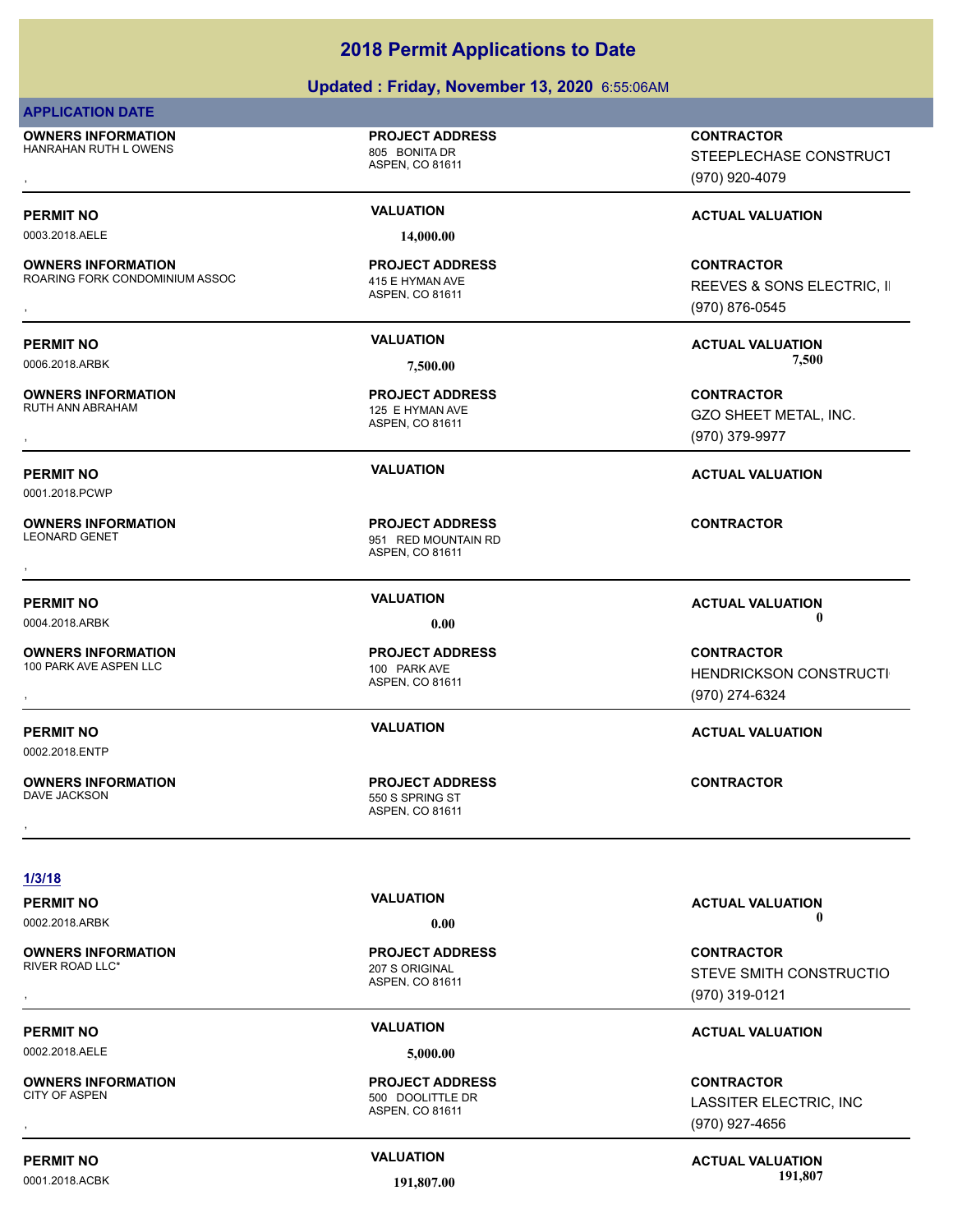### **Updated : Friday, November 13, 2020** 6:55:06AM

### **APPLICATION DATE**

**OWNERS INFORMATION** HANRAHAN RUTH LOWENS 805 BONITA DR

**OWNERS INFORMATION**

**OWNERS INFORMATION**

**OWNERS INFORMATION**

**OWNERS INFORMATION**

**OWNERS INFORMATION**

0001.2018.PCWP

ASPEN, CO 81611

**PROJECT ADDRESS**

0003.2018.AELE **14,000.00**

### ASPEN, CO 81611 ROARING FORK CONDOMINIUM ASSOC 415 E HYMAN AVE **PROJECT ADDRESS**

ASPEN, CO 81611 125 E HYMAN AVE **PROJECT ADDRESS**

ASPEN, CO 81611 951 RED MOUNTAIN RD **PROJECT ADDRESS** , **CONTRACTOR**

ASPEN, CO 81611 100 PARK AVE ASPEN LLC 100 PARK AVE **PROJECT ADDRESS**

ASPEN, CO 81611 550 S SPRING ST **PROJECT ADDRESS** , **CONTRACTOR**

, **CONTRACTOR** STEEPLECHASE CONSTRUCT (970) 920-4079

### **PERMIT NO VALUATION VALUATION VALUATION**

**OWNERS INFORMATION MASSOC REPOJECT ADDRESS ARE:**<br>ROARING FORK CONDOMINIUM ASSOC ASPEN, CO 81611 ASPEN, CO 81611 **REEVES & SONS ELECTRIC, II**<br>ASPEN, CO 81611 (970) 876-0545 REEVES & SONS ELECTRIC, II (970) 876-0545

**PERMIT NO VALUATION ACTUAL VALUATION** 0006.2018.ARBK **7,500.00 7,500.00**

, **CONTRACTOR** GZO SHEET METAL, INC. (970) 379-9977

### **PERMIT NO VALUATION ACTUAL VALUATION**

### **PERMIT NO VALUATION ACTUAL VALUATION** 0004.2018.ARBK **0.00 0.00**

**OWNERS INFORMATION PROJECT ADDRESS CONTRACTOR**<br>100 PARK AVE ASPEN LLC 100 PARK AVE HENDRICKSON CONSTRUCTI<br>, ASPEN. CO 81611 HENDRICKSON CONSTRUCTI (970) 274-6324

### **PERMIT NO VALUATION ACTUAL VALUATION**

0002.2018.ENTP

**OWNERS INFORMATION**

0002.2018.AELE **5,000.00**

**OWNERS INFORMATION**

### ASPEN, CO 81611 207 S ORIGINAL **PROJECT ADDRESS**

ASPEN, CO 81611 500 DOOLITTLE DR

**PERMIT NO VALUATION ACTUAL VALUATION** 0002.2018.ARBK **0.00 0.00**

, **CONTRACTOR** STEVE SMITH CONSTRUCTIO (970) 319-0121

### **PERMIT NO VALUATION ACTUAL VALUATION**

, **CONTRACTOR** LASSITER ELECTRIC, INC (970) 927-4656

**PERMIT NO CONSUMITY ACTUAL VALUATION VALUATION VALUATION** 0001.2018.ACBK **191,807.00 191,807.00**

**PROJECT ADDRESS**

## **1/3/18**